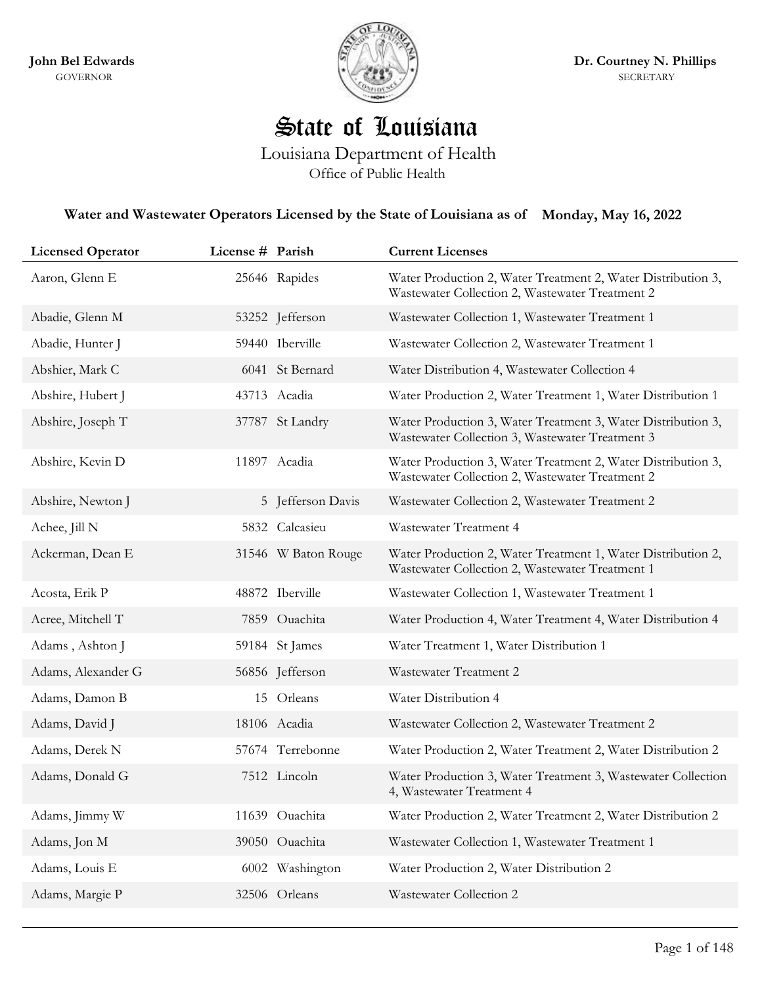

## State of Louisiana

Louisiana Department of Health Office of Public Health

## **Water and Wastewater Operators Licensed by the State of Louisiana as of Monday, May 16, 2022**

| <b>Licensed Operator</b> | License # Parish |                     | <b>Current Licenses</b>                                                                                         |
|--------------------------|------------------|---------------------|-----------------------------------------------------------------------------------------------------------------|
| Aaron, Glenn E           |                  | 25646 Rapides       | Water Production 2, Water Treatment 2, Water Distribution 3,<br>Wastewater Collection 2, Wastewater Treatment 2 |
| Abadie, Glenn M          |                  | 53252 Jefferson     | Wastewater Collection 1, Wastewater Treatment 1                                                                 |
| Abadie, Hunter J         |                  | 59440 Iberville     | Wastewater Collection 2, Wastewater Treatment 1                                                                 |
| Abshier, Mark C          |                  | 6041 St Bernard     | Water Distribution 4, Wastewater Collection 4                                                                   |
| Abshire, Hubert J        |                  | 43713 Acadia        | Water Production 2, Water Treatment 1, Water Distribution 1                                                     |
| Abshire, Joseph T        |                  | 37787 St Landry     | Water Production 3, Water Treatment 3, Water Distribution 3,<br>Wastewater Collection 3, Wastewater Treatment 3 |
| Abshire, Kevin D         |                  | 11897 Acadia        | Water Production 3, Water Treatment 2, Water Distribution 3,<br>Wastewater Collection 2, Wastewater Treatment 2 |
| Abshire, Newton J        |                  | 5 Jefferson Davis   | Wastewater Collection 2, Wastewater Treatment 2                                                                 |
| Achee, Jill N            |                  | 5832 Calcasieu      | Wastewater Treatment 4                                                                                          |
| Ackerman, Dean E         |                  | 31546 W Baton Rouge | Water Production 2, Water Treatment 1, Water Distribution 2,<br>Wastewater Collection 2, Wastewater Treatment 1 |
| Acosta, Erik P           |                  | 48872 Iberville     | Wastewater Collection 1, Wastewater Treatment 1                                                                 |
| Acree, Mitchell T        |                  | 7859 Ouachita       | Water Production 4, Water Treatment 4, Water Distribution 4                                                     |
| Adams, Ashton J          |                  | 59184 St James      | Water Treatment 1, Water Distribution 1                                                                         |
| Adams, Alexander G       |                  | 56856 Jefferson     | Wastewater Treatment 2                                                                                          |
| Adams, Damon B           |                  | 15 Orleans          | Water Distribution 4                                                                                            |
| Adams, David J           |                  | 18106 Acadia        | Wastewater Collection 2, Wastewater Treatment 2                                                                 |
| Adams, Derek N           |                  | 57674 Terrebonne    | Water Production 2, Water Treatment 2, Water Distribution 2                                                     |
| Adams, Donald G          |                  | 7512 Lincoln        | Water Production 3, Water Treatment 3, Wastewater Collection<br>4, Wastewater Treatment 4                       |
| Adams, Jimmy W           |                  | 11639 Ouachita      | Water Production 2, Water Treatment 2, Water Distribution 2                                                     |
| Adams, Jon M             |                  | 39050 Ouachita      | Wastewater Collection 1, Wastewater Treatment 1                                                                 |
| Adams, Louis E           |                  | 6002 Washington     | Water Production 2, Water Distribution 2                                                                        |
| Adams, Margie P          |                  | 32506 Orleans       | Wastewater Collection 2                                                                                         |
|                          |                  |                     |                                                                                                                 |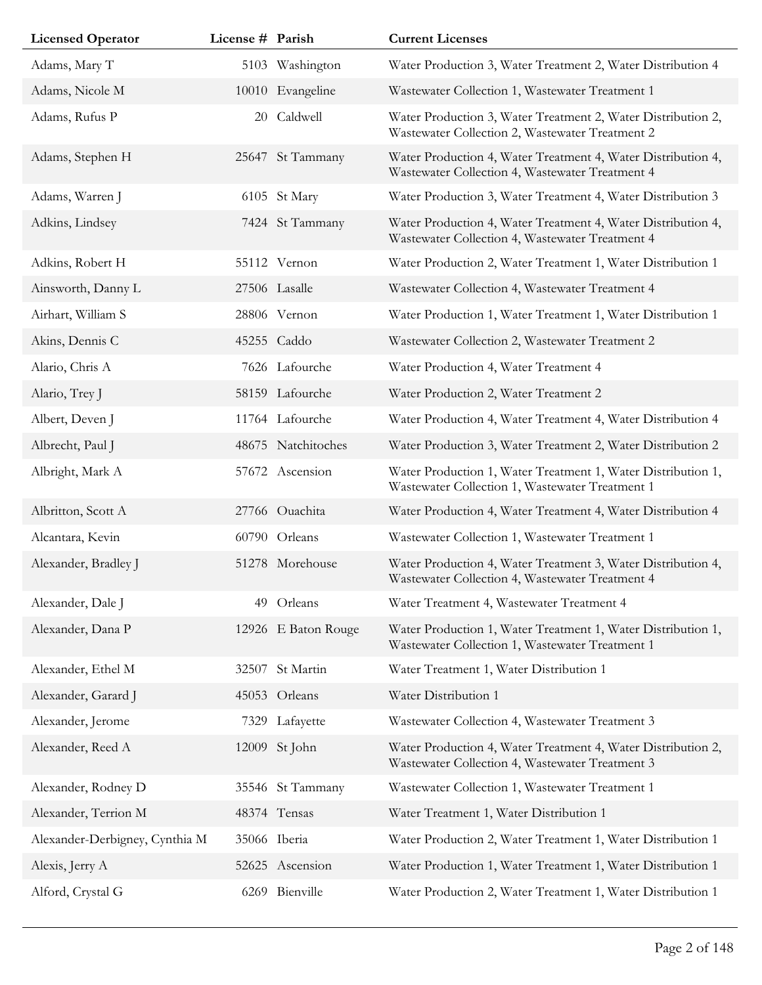| <b>Licensed Operator</b>       | License # Parish |                     | <b>Current Licenses</b>                                                                                         |
|--------------------------------|------------------|---------------------|-----------------------------------------------------------------------------------------------------------------|
| Adams, Mary T                  |                  | 5103 Washington     | Water Production 3, Water Treatment 2, Water Distribution 4                                                     |
| Adams, Nicole M                |                  | 10010 Evangeline    | Wastewater Collection 1, Wastewater Treatment 1                                                                 |
| Adams, Rufus P                 | 20               | Caldwell            | Water Production 3, Water Treatment 2, Water Distribution 2,<br>Wastewater Collection 2, Wastewater Treatment 2 |
| Adams, Stephen H               |                  | 25647 St Tammany    | Water Production 4, Water Treatment 4, Water Distribution 4,<br>Wastewater Collection 4, Wastewater Treatment 4 |
| Adams, Warren J                |                  | 6105 St Mary        | Water Production 3, Water Treatment 4, Water Distribution 3                                                     |
| Adkins, Lindsey                |                  | 7424 St Tammany     | Water Production 4, Water Treatment 4, Water Distribution 4,<br>Wastewater Collection 4, Wastewater Treatment 4 |
| Adkins, Robert H               |                  | 55112 Vernon        | Water Production 2, Water Treatment 1, Water Distribution 1                                                     |
| Ainsworth, Danny L             |                  | 27506 Lasalle       | Wastewater Collection 4, Wastewater Treatment 4                                                                 |
| Airhart, William S             |                  | 28806 Vernon        | Water Production 1, Water Treatment 1, Water Distribution 1                                                     |
| Akins, Dennis C                |                  | 45255 Caddo         | Wastewater Collection 2, Wastewater Treatment 2                                                                 |
| Alario, Chris A                |                  | 7626 Lafourche      | Water Production 4, Water Treatment 4                                                                           |
| Alario, Trey J                 |                  | 58159 Lafourche     | Water Production 2, Water Treatment 2                                                                           |
| Albert, Deven J                |                  | 11764 Lafourche     | Water Production 4, Water Treatment 4, Water Distribution 4                                                     |
| Albrecht, Paul J               |                  | 48675 Natchitoches  | Water Production 3, Water Treatment 2, Water Distribution 2                                                     |
| Albright, Mark A               |                  | 57672 Ascension     | Water Production 1, Water Treatment 1, Water Distribution 1,<br>Wastewater Collection 1, Wastewater Treatment 1 |
| Albritton, Scott A             |                  | 27766 Ouachita      | Water Production 4, Water Treatment 4, Water Distribution 4                                                     |
| Alcantara, Kevin               |                  | 60790 Orleans       | Wastewater Collection 1, Wastewater Treatment 1                                                                 |
| Alexander, Bradley J           |                  | 51278 Morehouse     | Water Production 4, Water Treatment 3, Water Distribution 4,<br>Wastewater Collection 4, Wastewater Treatment 4 |
| Alexander, Dale J              | 49               | Orleans             | Water Treatment 4, Wastewater Treatment 4                                                                       |
| Alexander, Dana P              |                  | 12926 E Baton Rouge | Water Production 1, Water Treatment 1, Water Distribution 1,<br>Wastewater Collection 1, Wastewater Treatment 1 |
| Alexander, Ethel M             | 32507            | St Martin           | Water Treatment 1, Water Distribution 1                                                                         |
| Alexander, Garard J            |                  | 45053 Orleans       | Water Distribution 1                                                                                            |
| Alexander, Jerome              |                  | 7329 Lafayette      | Wastewater Collection 4, Wastewater Treatment 3                                                                 |
| Alexander, Reed A              |                  | 12009 St John       | Water Production 4, Water Treatment 4, Water Distribution 2,<br>Wastewater Collection 4, Wastewater Treatment 3 |
| Alexander, Rodney D            |                  | 35546 St Tammany    | Wastewater Collection 1, Wastewater Treatment 1                                                                 |
| Alexander, Terrion M           |                  | 48374 Tensas        | Water Treatment 1, Water Distribution 1                                                                         |
| Alexander-Derbigney, Cynthia M |                  | 35066 Iberia        | Water Production 2, Water Treatment 1, Water Distribution 1                                                     |
| Alexis, Jerry A                |                  | 52625 Ascension     | Water Production 1, Water Treatment 1, Water Distribution 1                                                     |
| Alford, Crystal G              | 6269             | Bienville           | Water Production 2, Water Treatment 1, Water Distribution 1                                                     |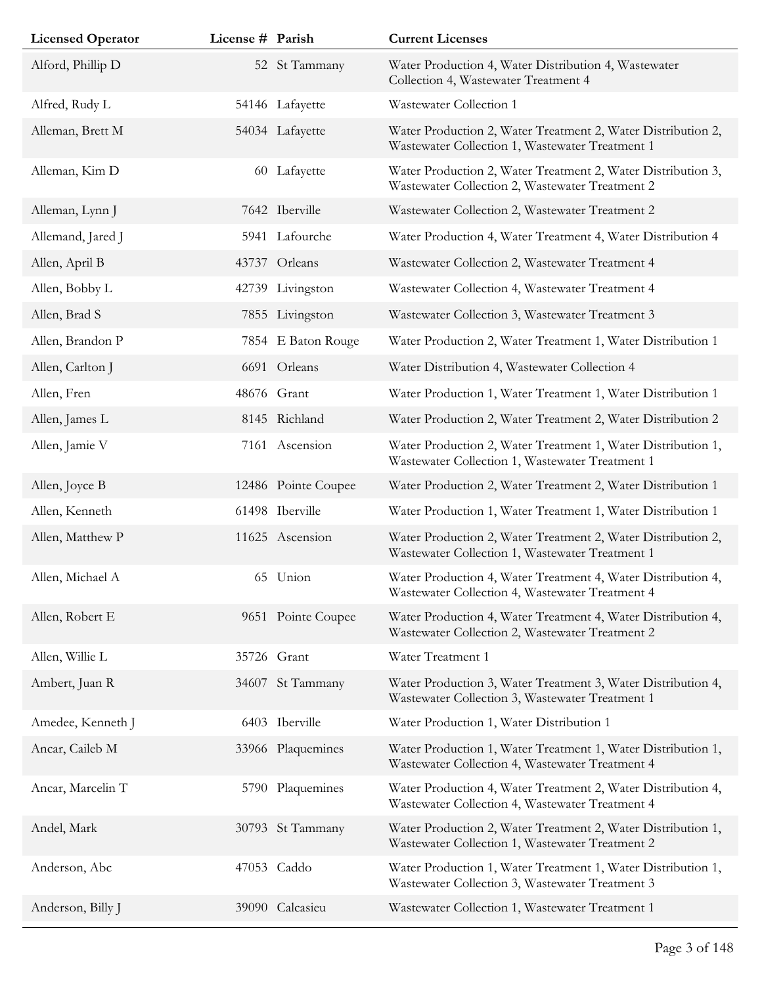| <b>Licensed Operator</b> | License # Parish |                     | <b>Current Licenses</b>                                                                                         |
|--------------------------|------------------|---------------------|-----------------------------------------------------------------------------------------------------------------|
| Alford, Phillip D        |                  | 52 St Tammany       | Water Production 4, Water Distribution 4, Wastewater<br>Collection 4, Wastewater Treatment 4                    |
| Alfred, Rudy L           |                  | 54146 Lafayette     | Wastewater Collection 1                                                                                         |
| Alleman, Brett M         |                  | 54034 Lafayette     | Water Production 2, Water Treatment 2, Water Distribution 2,<br>Wastewater Collection 1, Wastewater Treatment 1 |
| Alleman, Kim D           |                  | 60 Lafayette        | Water Production 2, Water Treatment 2, Water Distribution 3,<br>Wastewater Collection 2, Wastewater Treatment 2 |
| Alleman, Lynn J          |                  | 7642 Iberville      | Wastewater Collection 2, Wastewater Treatment 2                                                                 |
| Allemand, Jared J        |                  | 5941 Lafourche      | Water Production 4, Water Treatment 4, Water Distribution 4                                                     |
| Allen, April B           |                  | 43737 Orleans       | Wastewater Collection 2, Wastewater Treatment 4                                                                 |
| Allen, Bobby L           |                  | 42739 Livingston    | Wastewater Collection 4, Wastewater Treatment 4                                                                 |
| Allen, Brad S            |                  | 7855 Livingston     | Wastewater Collection 3, Wastewater Treatment 3                                                                 |
| Allen, Brandon P         |                  | 7854 E Baton Rouge  | Water Production 2, Water Treatment 1, Water Distribution 1                                                     |
| Allen, Carlton J         |                  | 6691 Orleans        | Water Distribution 4, Wastewater Collection 4                                                                   |
| Allen, Fren              |                  | 48676 Grant         | Water Production 1, Water Treatment 1, Water Distribution 1                                                     |
| Allen, James L           |                  | 8145 Richland       | Water Production 2, Water Treatment 2, Water Distribution 2                                                     |
| Allen, Jamie V           |                  | 7161 Ascension      | Water Production 2, Water Treatment 1, Water Distribution 1,<br>Wastewater Collection 1, Wastewater Treatment 1 |
| Allen, Joyce B           |                  | 12486 Pointe Coupee | Water Production 2, Water Treatment 2, Water Distribution 1                                                     |
| Allen, Kenneth           |                  | 61498 Iberville     | Water Production 1, Water Treatment 1, Water Distribution 1                                                     |
| Allen, Matthew P         |                  | 11625 Ascension     | Water Production 2, Water Treatment 2, Water Distribution 2,<br>Wastewater Collection 1, Wastewater Treatment 1 |
| Allen, Michael A         |                  | 65 Union            | Water Production 4, Water Treatment 4, Water Distribution 4,<br>Wastewater Collection 4, Wastewater Treatment 4 |
| Allen, Robert E          |                  | 9651 Pointe Coupee  | Water Production 4, Water Treatment 4, Water Distribution 4,<br>Wastewater Collection 2, Wastewater Treatment 2 |
| Allen, Willie L          |                  | 35726 Grant         | Water Treatment 1                                                                                               |
| Ambert, Juan R           |                  | 34607 St Tammany    | Water Production 3, Water Treatment 3, Water Distribution 4,<br>Wastewater Collection 3, Wastewater Treatment 1 |
| Amedee, Kenneth J        |                  | 6403 Iberville      | Water Production 1, Water Distribution 1                                                                        |
| Ancar, Caileb M          |                  | 33966 Plaquemines   | Water Production 1, Water Treatment 1, Water Distribution 1,<br>Wastewater Collection 4, Wastewater Treatment 4 |
| Ancar, Marcelin T        |                  | 5790 Plaquemines    | Water Production 4, Water Treatment 2, Water Distribution 4,<br>Wastewater Collection 4, Wastewater Treatment 4 |
| Andel, Mark              |                  | 30793 St Tammany    | Water Production 2, Water Treatment 2, Water Distribution 1,<br>Wastewater Collection 1, Wastewater Treatment 2 |
| Anderson, Abc            |                  | 47053 Caddo         | Water Production 1, Water Treatment 1, Water Distribution 1,<br>Wastewater Collection 3, Wastewater Treatment 3 |
| Anderson, Billy J        |                  | 39090 Calcasieu     | Wastewater Collection 1, Wastewater Treatment 1                                                                 |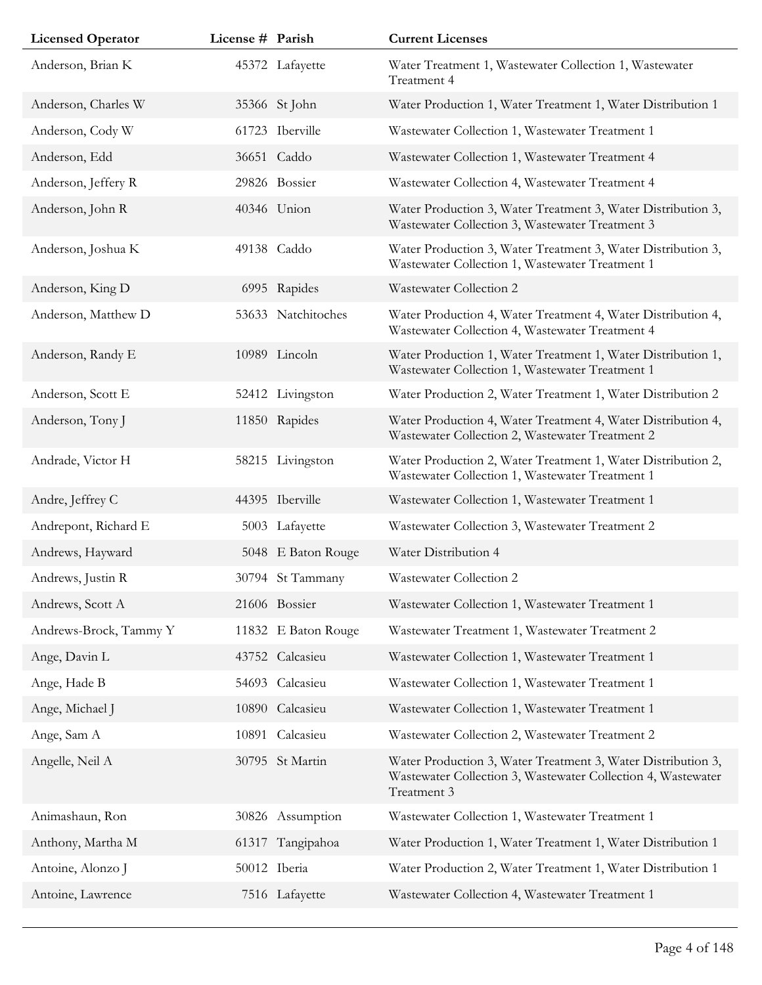| <b>Licensed Operator</b> | License # Parish |                     | <b>Current Licenses</b>                                                                                                                     |
|--------------------------|------------------|---------------------|---------------------------------------------------------------------------------------------------------------------------------------------|
| Anderson, Brian K        |                  | 45372 Lafayette     | Water Treatment 1, Wastewater Collection 1, Wastewater<br>Treatment 4                                                                       |
| Anderson, Charles W      |                  | 35366 St John       | Water Production 1, Water Treatment 1, Water Distribution 1                                                                                 |
| Anderson, Cody W         |                  | 61723 Iberville     | Wastewater Collection 1, Wastewater Treatment 1                                                                                             |
| Anderson, Edd            |                  | 36651 Caddo         | Wastewater Collection 1, Wastewater Treatment 4                                                                                             |
| Anderson, Jeffery R      |                  | 29826 Bossier       | Wastewater Collection 4, Wastewater Treatment 4                                                                                             |
| Anderson, John R         |                  | 40346 Union         | Water Production 3, Water Treatment 3, Water Distribution 3,<br>Wastewater Collection 3, Wastewater Treatment 3                             |
| Anderson, Joshua K       |                  | 49138 Caddo         | Water Production 3, Water Treatment 3, Water Distribution 3,<br>Wastewater Collection 1, Wastewater Treatment 1                             |
| Anderson, King D         |                  | 6995 Rapides        | Wastewater Collection 2                                                                                                                     |
| Anderson, Matthew D      |                  | 53633 Natchitoches  | Water Production 4, Water Treatment 4, Water Distribution 4,<br>Wastewater Collection 4, Wastewater Treatment 4                             |
| Anderson, Randy E        |                  | 10989 Lincoln       | Water Production 1, Water Treatment 1, Water Distribution 1,<br>Wastewater Collection 1, Wastewater Treatment 1                             |
| Anderson, Scott E        |                  | 52412 Livingston    | Water Production 2, Water Treatment 1, Water Distribution 2                                                                                 |
| Anderson, Tony J         |                  | 11850 Rapides       | Water Production 4, Water Treatment 4, Water Distribution 4,<br>Wastewater Collection 2, Wastewater Treatment 2                             |
| Andrade, Victor H        |                  | 58215 Livingston    | Water Production 2, Water Treatment 1, Water Distribution 2,<br>Wastewater Collection 1, Wastewater Treatment 1                             |
| Andre, Jeffrey C         |                  | 44395 Iberville     | Wastewater Collection 1, Wastewater Treatment 1                                                                                             |
| Andrepont, Richard E     |                  | 5003 Lafayette      | Wastewater Collection 3, Wastewater Treatment 2                                                                                             |
| Andrews, Hayward         |                  | 5048 E Baton Rouge  | Water Distribution 4                                                                                                                        |
| Andrews, Justin R        |                  | 30794 St Tammany    | Wastewater Collection 2                                                                                                                     |
| Andrews, Scott A         |                  | 21606 Bossier       | Wastewater Collection 1, Wastewater Treatment 1                                                                                             |
| Andrews-Brock, Tammy Y   |                  | 11832 E Baton Rouge | Wastewater Treatment 1, Wastewater Treatment 2                                                                                              |
| Ange, Davin L            |                  | 43752 Calcasieu     | Wastewater Collection 1, Wastewater Treatment 1                                                                                             |
| Ange, Hade B             |                  | 54693 Calcasieu     | Wastewater Collection 1, Wastewater Treatment 1                                                                                             |
| Ange, Michael J          |                  | 10890 Calcasieu     | Wastewater Collection 1, Wastewater Treatment 1                                                                                             |
| Ange, Sam A              |                  | 10891 Calcasieu     | Wastewater Collection 2, Wastewater Treatment 2                                                                                             |
| Angelle, Neil A          |                  | 30795 St Martin     | Water Production 3, Water Treatment 3, Water Distribution 3,<br>Wastewater Collection 3, Wastewater Collection 4, Wastewater<br>Treatment 3 |
| Animashaun, Ron          | 30826            | Assumption          | Wastewater Collection 1, Wastewater Treatment 1                                                                                             |
| Anthony, Martha M        |                  | 61317 Tangipahoa    | Water Production 1, Water Treatment 1, Water Distribution 1                                                                                 |
| Antoine, Alonzo J        |                  | 50012 Iberia        | Water Production 2, Water Treatment 1, Water Distribution 1                                                                                 |
| Antoine, Lawrence        |                  | 7516 Lafayette      | Wastewater Collection 4, Wastewater Treatment 1                                                                                             |
|                          |                  |                     |                                                                                                                                             |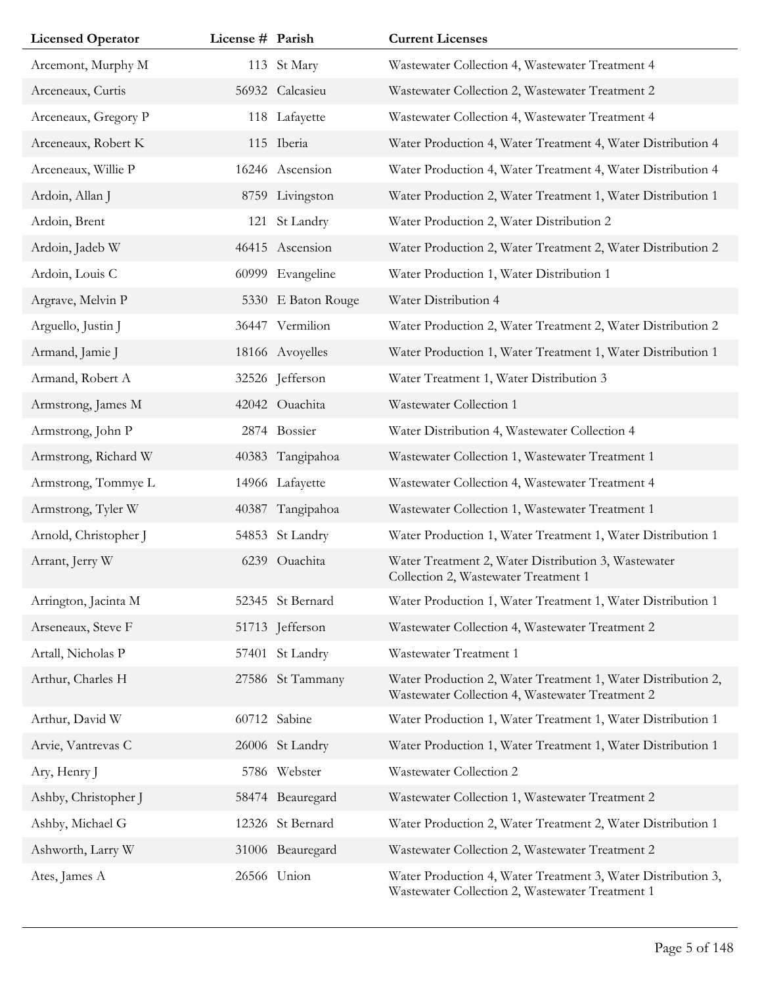| <b>Licensed Operator</b> | License # Parish |                    | <b>Current Licenses</b>                                                                                         |
|--------------------------|------------------|--------------------|-----------------------------------------------------------------------------------------------------------------|
| Arcemont, Murphy M       |                  | 113 St Mary        | Wastewater Collection 4, Wastewater Treatment 4                                                                 |
| Arceneaux, Curtis        |                  | 56932 Calcasieu    | Wastewater Collection 2, Wastewater Treatment 2                                                                 |
| Arceneaux, Gregory P     |                  | 118 Lafayette      | Wastewater Collection 4, Wastewater Treatment 4                                                                 |
| Arceneaux, Robert K      |                  | 115 Iberia         | Water Production 4, Water Treatment 4, Water Distribution 4                                                     |
| Arceneaux, Willie P      |                  | 16246 Ascension    | Water Production 4, Water Treatment 4, Water Distribution 4                                                     |
| Ardoin, Allan J          |                  | 8759 Livingston    | Water Production 2, Water Treatment 1, Water Distribution 1                                                     |
| Ardoin, Brent            |                  | 121 St Landry      | Water Production 2, Water Distribution 2                                                                        |
| Ardoin, Jadeb W          |                  | 46415 Ascension    | Water Production 2, Water Treatment 2, Water Distribution 2                                                     |
| Ardoin, Louis C          |                  | 60999 Evangeline   | Water Production 1, Water Distribution 1                                                                        |
| Argrave, Melvin P        |                  | 5330 E Baton Rouge | Water Distribution 4                                                                                            |
| Arguello, Justin J       |                  | 36447 Vermilion    | Water Production 2, Water Treatment 2, Water Distribution 2                                                     |
| Armand, Jamie J          |                  | 18166 Avoyelles    | Water Production 1, Water Treatment 1, Water Distribution 1                                                     |
| Armand, Robert A         |                  | 32526 Jefferson    | Water Treatment 1, Water Distribution 3                                                                         |
| Armstrong, James M       |                  | 42042 Ouachita     | Wastewater Collection 1                                                                                         |
| Armstrong, John P        |                  | 2874 Bossier       | Water Distribution 4, Wastewater Collection 4                                                                   |
| Armstrong, Richard W     |                  | 40383 Tangipahoa   | Wastewater Collection 1, Wastewater Treatment 1                                                                 |
| Armstrong, Tommye L      |                  | 14966 Lafayette    | Wastewater Collection 4, Wastewater Treatment 4                                                                 |
| Armstrong, Tyler W       |                  | 40387 Tangipahoa   | Wastewater Collection 1, Wastewater Treatment 1                                                                 |
| Arnold, Christopher J    |                  | 54853 St Landry    | Water Production 1, Water Treatment 1, Water Distribution 1                                                     |
| Arrant, Jerry W          | 6239             | Ouachita           | Water Treatment 2, Water Distribution 3, Wastewater<br>Collection 2, Wastewater Treatment 1                     |
| Arrington, Jacinta M     |                  | 52345 St Bernard   | Water Production 1, Water Treatment 1, Water Distribution 1                                                     |
| Arseneaux, Steve F       |                  | 51713 Jefferson    | Wastewater Collection 4, Wastewater Treatment 2                                                                 |
| Artall, Nicholas P       |                  | 57401 St Landry    | Wastewater Treatment 1                                                                                          |
| Arthur, Charles H        |                  | 27586 St Tammany   | Water Production 2, Water Treatment 1, Water Distribution 2,<br>Wastewater Collection 4, Wastewater Treatment 2 |
| Arthur, David W          |                  | 60712 Sabine       | Water Production 1, Water Treatment 1, Water Distribution 1                                                     |
| Arvie, Vantrevas C       |                  | 26006 St Landry    | Water Production 1, Water Treatment 1, Water Distribution 1                                                     |
| Ary, Henry J             |                  | 5786 Webster       | Wastewater Collection 2                                                                                         |
| Ashby, Christopher J     |                  | 58474 Beauregard   | Wastewater Collection 1, Wastewater Treatment 2                                                                 |
| Ashby, Michael G         |                  | 12326 St Bernard   | Water Production 2, Water Treatment 2, Water Distribution 1                                                     |
| Ashworth, Larry W        |                  | 31006 Beauregard   | Wastewater Collection 2, Wastewater Treatment 2                                                                 |
| Ates, James A            |                  | 26566 Union        | Water Production 4, Water Treatment 3, Water Distribution 3,<br>Wastewater Collection 2, Wastewater Treatment 1 |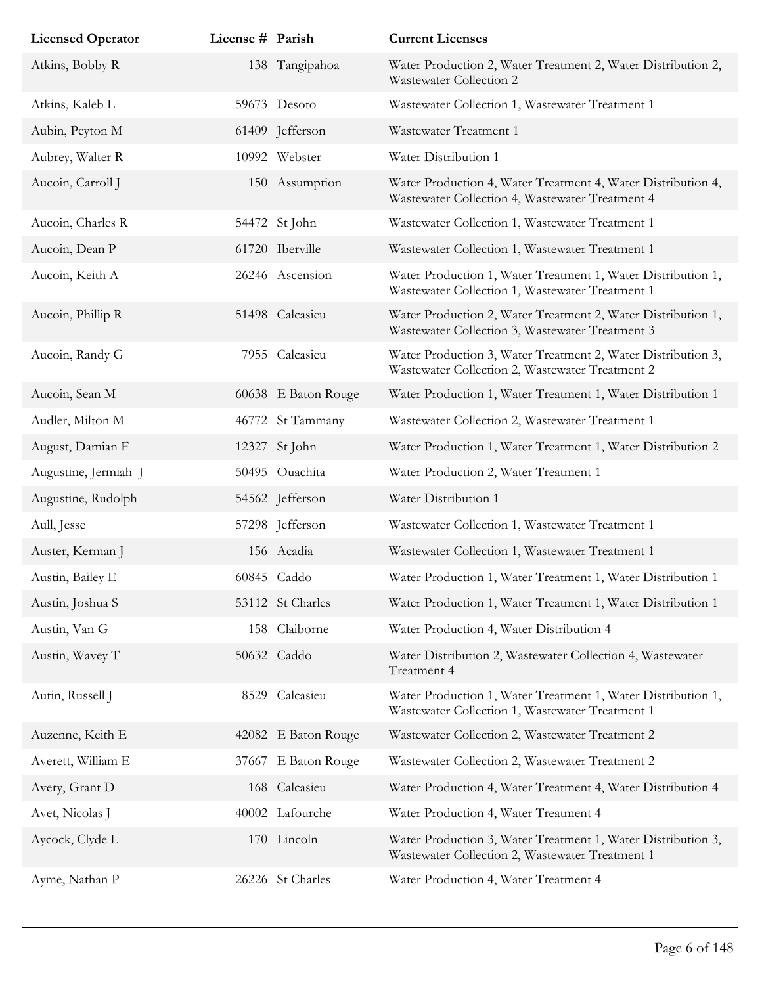| <b>Licensed Operator</b> | License # Parish |                     | <b>Current Licenses</b>                                                                                         |
|--------------------------|------------------|---------------------|-----------------------------------------------------------------------------------------------------------------|
| Atkins, Bobby R          |                  | 138 Tangipahoa      | Water Production 2, Water Treatment 2, Water Distribution 2,<br>Wastewater Collection 2                         |
| Atkins, Kaleb L          |                  | 59673 Desoto        | Wastewater Collection 1, Wastewater Treatment 1                                                                 |
| Aubin, Peyton M          |                  | 61409 Jefferson     | Wastewater Treatment 1                                                                                          |
| Aubrey, Walter R         |                  | 10992 Webster       | Water Distribution 1                                                                                            |
| Aucoin, Carroll J        |                  | 150 Assumption      | Water Production 4, Water Treatment 4, Water Distribution 4,<br>Wastewater Collection 4, Wastewater Treatment 4 |
| Aucoin, Charles R        |                  | 54472 St John       | Wastewater Collection 1, Wastewater Treatment 1                                                                 |
| Aucoin, Dean P           |                  | 61720 Iberville     | Wastewater Collection 1, Wastewater Treatment 1                                                                 |
| Aucoin, Keith A          |                  | 26246 Ascension     | Water Production 1, Water Treatment 1, Water Distribution 1,<br>Wastewater Collection 1, Wastewater Treatment 1 |
| Aucoin, Phillip R        |                  | 51498 Calcasieu     | Water Production 2, Water Treatment 2, Water Distribution 1,<br>Wastewater Collection 3, Wastewater Treatment 3 |
| Aucoin, Randy G          |                  | 7955 Calcasieu      | Water Production 3, Water Treatment 2, Water Distribution 3,<br>Wastewater Collection 2, Wastewater Treatment 2 |
| Aucoin, Sean M           |                  | 60638 E Baton Rouge | Water Production 1, Water Treatment 1, Water Distribution 1                                                     |
| Audler, Milton M         |                  | 46772 St Tammany    | Wastewater Collection 2, Wastewater Treatment 1                                                                 |
| August, Damian F         |                  | 12327 St John       | Water Production 1, Water Treatment 1, Water Distribution 2                                                     |
| Augustine, Jermiah J     |                  | 50495 Ouachita      | Water Production 2, Water Treatment 1                                                                           |
| Augustine, Rudolph       |                  | 54562 Jefferson     | Water Distribution 1                                                                                            |
| Aull, Jesse              |                  | 57298 Jefferson     | Wastewater Collection 1, Wastewater Treatment 1                                                                 |
| Auster, Kerman J         |                  | 156 Acadia          | Wastewater Collection 1, Wastewater Treatment 1                                                                 |
| Austin, Bailey E         |                  | 60845 Caddo         | Water Production 1, Water Treatment 1, Water Distribution 1                                                     |
| Austin, Joshua S         |                  | 53112 St Charles    | Water Production 1, Water Treatment 1, Water Distribution 1                                                     |
| Austin, Van G            | 158              | Claiborne           | Water Production 4, Water Distribution 4                                                                        |
| Austin, Wavey T          |                  | 50632 Caddo         | Water Distribution 2, Wastewater Collection 4, Wastewater<br>Treatment 4                                        |
| Autin, Russell J         | 8529             | Calcasieu           | Water Production 1, Water Treatment 1, Water Distribution 1,<br>Wastewater Collection 1, Wastewater Treatment 1 |
| Auzenne, Keith E         |                  | 42082 E Baton Rouge | Wastewater Collection 2, Wastewater Treatment 2                                                                 |
| Averett, William E       |                  | 37667 E Baton Rouge | Wastewater Collection 2, Wastewater Treatment 2                                                                 |
| Avery, Grant D           |                  | 168 Calcasieu       | Water Production 4, Water Treatment 4, Water Distribution 4                                                     |
| Avet, Nicolas J          |                  | 40002 Lafourche     | Water Production 4, Water Treatment 4                                                                           |
| Aycock, Clyde L          |                  | 170 Lincoln         | Water Production 3, Water Treatment 1, Water Distribution 3,<br>Wastewater Collection 2, Wastewater Treatment 1 |
| Ayme, Nathan P           |                  | 26226 St Charles    | Water Production 4, Water Treatment 4                                                                           |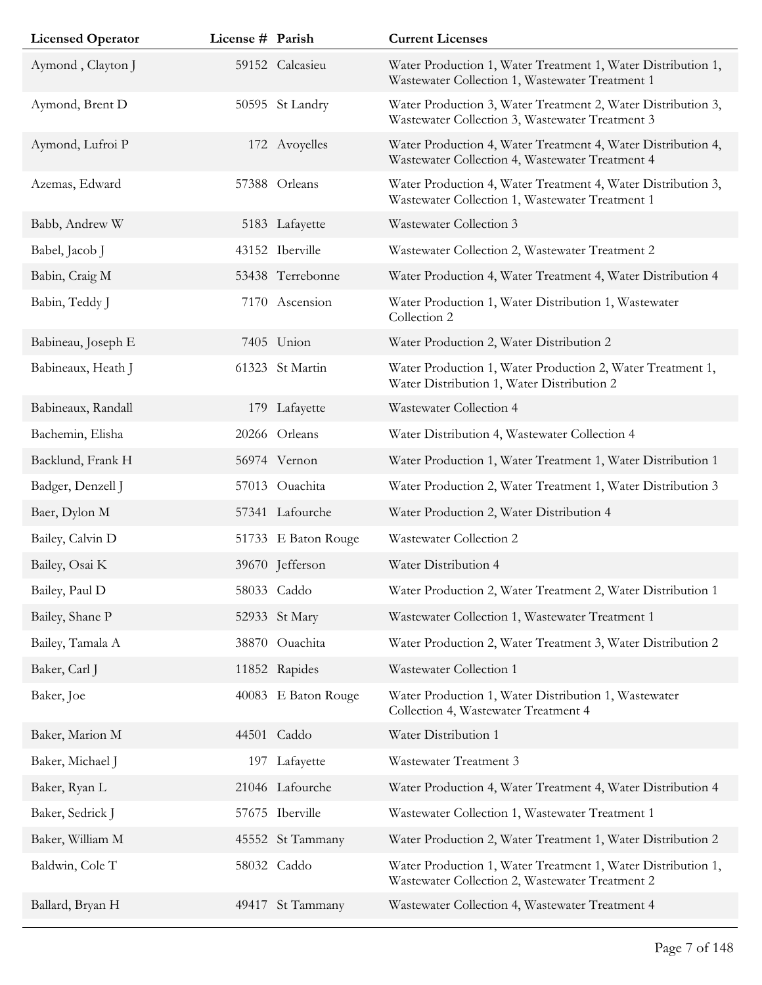| <b>Licensed Operator</b> | License # Parish |                     | <b>Current Licenses</b>                                                                                         |
|--------------------------|------------------|---------------------|-----------------------------------------------------------------------------------------------------------------|
| Aymond, Clayton J        |                  | 59152 Calcasieu     | Water Production 1, Water Treatment 1, Water Distribution 1,<br>Wastewater Collection 1, Wastewater Treatment 1 |
| Aymond, Brent D          |                  | 50595 St Landry     | Water Production 3, Water Treatment 2, Water Distribution 3,<br>Wastewater Collection 3, Wastewater Treatment 3 |
| Aymond, Lufroi P         |                  | 172 Avoyelles       | Water Production 4, Water Treatment 4, Water Distribution 4,<br>Wastewater Collection 4, Wastewater Treatment 4 |
| Azemas, Edward           |                  | 57388 Orleans       | Water Production 4, Water Treatment 4, Water Distribution 3,<br>Wastewater Collection 1, Wastewater Treatment 1 |
| Babb, Andrew W           |                  | 5183 Lafayette      | Wastewater Collection 3                                                                                         |
| Babel, Jacob J           |                  | 43152 Iberville     | Wastewater Collection 2, Wastewater Treatment 2                                                                 |
| Babin, Craig M           |                  | 53438 Terrebonne    | Water Production 4, Water Treatment 4, Water Distribution 4                                                     |
| Babin, Teddy J           | 7170             | Ascension           | Water Production 1, Water Distribution 1, Wastewater<br>Collection 2                                            |
| Babineau, Joseph E       |                  | 7405 Union          | Water Production 2, Water Distribution 2                                                                        |
| Babineaux, Heath J       |                  | 61323 St Martin     | Water Production 1, Water Production 2, Water Treatment 1,<br>Water Distribution 1, Water Distribution 2        |
| Babineaux, Randall       |                  | 179 Lafayette       | Wastewater Collection 4                                                                                         |
| Bachemin, Elisha         |                  | 20266 Orleans       | Water Distribution 4, Wastewater Collection 4                                                                   |
| Backlund, Frank H        |                  | 56974 Vernon        | Water Production 1, Water Treatment 1, Water Distribution 1                                                     |
| Badger, Denzell J        |                  | 57013 Ouachita      | Water Production 2, Water Treatment 1, Water Distribution 3                                                     |
| Baer, Dylon M            |                  | 57341 Lafourche     | Water Production 2, Water Distribution 4                                                                        |
| Bailey, Calvin D         |                  | 51733 E Baton Rouge | Wastewater Collection 2                                                                                         |
| Bailey, Osai K           |                  | 39670 Jefferson     | Water Distribution 4                                                                                            |
| Bailey, Paul D           |                  | 58033 Caddo         | Water Production 2, Water Treatment 2, Water Distribution 1                                                     |
| Bailey, Shane P          |                  | 52933 St Mary       | Wastewater Collection 1, Wastewater Treatment 1                                                                 |
| Bailey, Tamala A         |                  | 38870 Ouachita      | Water Production 2, Water Treatment 3, Water Distribution 2                                                     |
| Baker, Carl J            |                  | 11852 Rapides       | Wastewater Collection 1                                                                                         |
| Baker, Joe               |                  | 40083 E Baton Rouge | Water Production 1, Water Distribution 1, Wastewater<br>Collection 4, Wastewater Treatment 4                    |
| Baker, Marion M          |                  | 44501 Caddo         | Water Distribution 1                                                                                            |
| Baker, Michael J         | 197              | Lafayette           | Wastewater Treatment 3                                                                                          |
| Baker, Ryan L            |                  | 21046 Lafourche     | Water Production 4, Water Treatment 4, Water Distribution 4                                                     |
| Baker, Sedrick J         |                  | 57675 Iberville     | Wastewater Collection 1, Wastewater Treatment 1                                                                 |
| Baker, William M         |                  | 45552 St Tammany    | Water Production 2, Water Treatment 1, Water Distribution 2                                                     |
| Baldwin, Cole T          |                  | 58032 Caddo         | Water Production 1, Water Treatment 1, Water Distribution 1,<br>Wastewater Collection 2, Wastewater Treatment 2 |
| Ballard, Bryan H         |                  | 49417 St Tammany    | Wastewater Collection 4, Wastewater Treatment 4                                                                 |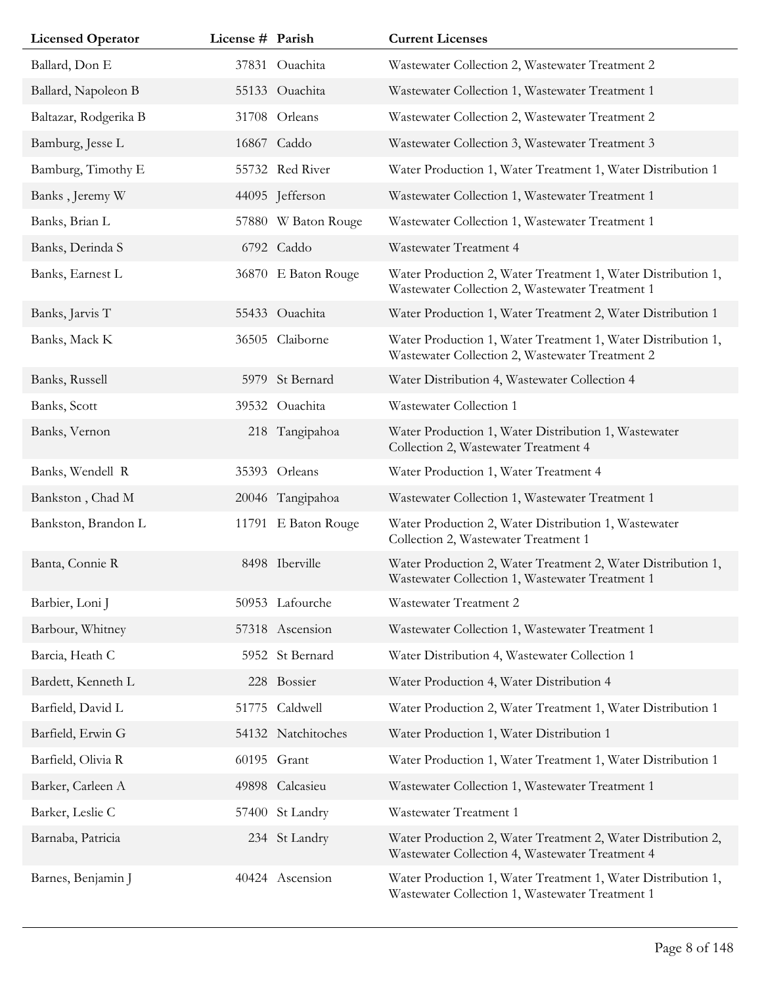| <b>Licensed Operator</b> | License # Parish |                     | <b>Current Licenses</b>                                                                                         |
|--------------------------|------------------|---------------------|-----------------------------------------------------------------------------------------------------------------|
| Ballard, Don E           |                  | 37831 Ouachita      | Wastewater Collection 2, Wastewater Treatment 2                                                                 |
| Ballard, Napoleon B      |                  | 55133 Ouachita      | Wastewater Collection 1, Wastewater Treatment 1                                                                 |
| Baltazar, Rodgerika B    |                  | 31708 Orleans       | Wastewater Collection 2, Wastewater Treatment 2                                                                 |
| Bamburg, Jesse L         |                  | 16867 Caddo         | Wastewater Collection 3, Wastewater Treatment 3                                                                 |
| Bamburg, Timothy E       |                  | 55732 Red River     | Water Production 1, Water Treatment 1, Water Distribution 1                                                     |
| Banks, Jeremy W          |                  | 44095 Jefferson     | Wastewater Collection 1, Wastewater Treatment 1                                                                 |
| Banks, Brian L           |                  | 57880 W Baton Rouge | Wastewater Collection 1, Wastewater Treatment 1                                                                 |
| Banks, Derinda S         |                  | 6792 Caddo          | Wastewater Treatment 4                                                                                          |
| Banks, Earnest L         |                  | 36870 E Baton Rouge | Water Production 2, Water Treatment 1, Water Distribution 1,<br>Wastewater Collection 2, Wastewater Treatment 1 |
| Banks, Jarvis T          |                  | 55433 Ouachita      | Water Production 1, Water Treatment 2, Water Distribution 1                                                     |
| Banks, Mack K            | 36505            | Claiborne           | Water Production 1, Water Treatment 1, Water Distribution 1,<br>Wastewater Collection 2, Wastewater Treatment 2 |
| Banks, Russell           |                  | 5979 St Bernard     | Water Distribution 4, Wastewater Collection 4                                                                   |
| Banks, Scott             |                  | 39532 Ouachita      | Wastewater Collection 1                                                                                         |
| Banks, Vernon            |                  | 218 Tangipahoa      | Water Production 1, Water Distribution 1, Wastewater<br>Collection 2, Wastewater Treatment 4                    |
| Banks, Wendell R         | 35393            | Orleans             | Water Production 1, Water Treatment 4                                                                           |
| Bankston, Chad M         |                  | 20046 Tangipahoa    | Wastewater Collection 1, Wastewater Treatment 1                                                                 |
| Bankston, Brandon L      |                  | 11791 E Baton Rouge | Water Production 2, Water Distribution 1, Wastewater<br>Collection 2, Wastewater Treatment 1                    |
| Banta, Connie R          |                  | 8498 Iberville      | Water Production 2, Water Treatment 2, Water Distribution 1,<br>Wastewater Collection 1, Wastewater Treatment 1 |
| Barbier, Loni J          |                  | 50953 Lafourche     | Wastewater Treatment 2                                                                                          |
| Barbour, Whitney         |                  | 57318 Ascension     | Wastewater Collection 1, Wastewater Treatment 1                                                                 |
| Barcia, Heath C          |                  | 5952 St Bernard     | Water Distribution 4, Wastewater Collection 1                                                                   |
| Bardett, Kenneth L       |                  | 228 Bossier         | Water Production 4, Water Distribution 4                                                                        |
| Barfield, David L        | 51775            | Caldwell            | Water Production 2, Water Treatment 1, Water Distribution 1                                                     |
| Barfield, Erwin G        |                  | 54132 Natchitoches  | Water Production 1, Water Distribution 1                                                                        |
| Barfield, Olivia R       |                  | 60195 Grant         | Water Production 1, Water Treatment 1, Water Distribution 1                                                     |
| Barker, Carleen A        |                  | 49898 Calcasieu     | Wastewater Collection 1, Wastewater Treatment 1                                                                 |
| Barker, Leslie C         |                  | 57400 St Landry     | Wastewater Treatment 1                                                                                          |
| Barnaba, Patricia        |                  | 234 St Landry       | Water Production 2, Water Treatment 2, Water Distribution 2,<br>Wastewater Collection 4, Wastewater Treatment 4 |
| Barnes, Benjamin J       |                  | 40424 Ascension     | Water Production 1, Water Treatment 1, Water Distribution 1,<br>Wastewater Collection 1, Wastewater Treatment 1 |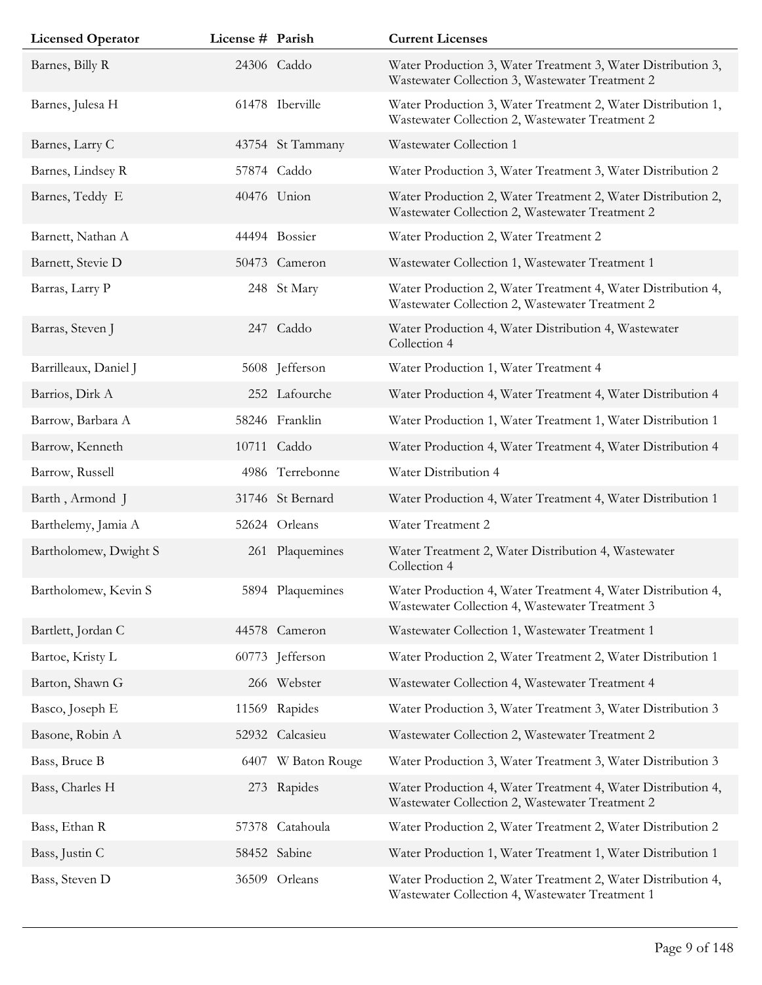| <b>Licensed Operator</b> | License # Parish |                    | <b>Current Licenses</b>                                                                                         |
|--------------------------|------------------|--------------------|-----------------------------------------------------------------------------------------------------------------|
| Barnes, Billy R          |                  | 24306 Caddo        | Water Production 3, Water Treatment 3, Water Distribution 3,<br>Wastewater Collection 3, Wastewater Treatment 2 |
| Barnes, Julesa H         |                  | 61478 Iberville    | Water Production 3, Water Treatment 2, Water Distribution 1,<br>Wastewater Collection 2, Wastewater Treatment 2 |
| Barnes, Larry C          |                  | 43754 St Tammany   | Wastewater Collection 1                                                                                         |
| Barnes, Lindsey R        |                  | 57874 Caddo        | Water Production 3, Water Treatment 3, Water Distribution 2                                                     |
| Barnes, Teddy E          |                  | 40476 Union        | Water Production 2, Water Treatment 2, Water Distribution 2,<br>Wastewater Collection 2, Wastewater Treatment 2 |
| Barnett, Nathan A        |                  | 44494 Bossier      | Water Production 2, Water Treatment 2                                                                           |
| Barnett, Stevie D        |                  | 50473 Cameron      | Wastewater Collection 1, Wastewater Treatment 1                                                                 |
| Barras, Larry P          |                  | 248 St Mary        | Water Production 2, Water Treatment 4, Water Distribution 4,<br>Wastewater Collection 2, Wastewater Treatment 2 |
| Barras, Steven J         |                  | 247 Caddo          | Water Production 4, Water Distribution 4, Wastewater<br>Collection 4                                            |
| Barrilleaux, Daniel J    |                  | 5608 Jefferson     | Water Production 1, Water Treatment 4                                                                           |
| Barrios, Dirk A          |                  | 252 Lafourche      | Water Production 4, Water Treatment 4, Water Distribution 4                                                     |
| Barrow, Barbara A        |                  | 58246 Franklin     | Water Production 1, Water Treatment 1, Water Distribution 1                                                     |
| Barrow, Kenneth          |                  | 10711 Caddo        | Water Production 4, Water Treatment 4, Water Distribution 4                                                     |
| Barrow, Russell          |                  | 4986 Terrebonne    | Water Distribution 4                                                                                            |
| Barth, Armond J          |                  | 31746 St Bernard   | Water Production 4, Water Treatment 4, Water Distribution 1                                                     |
| Barthelemy, Jamia A      |                  | 52624 Orleans      | Water Treatment 2                                                                                               |
| Bartholomew, Dwight S    |                  | 261 Plaquemines    | Water Treatment 2, Water Distribution 4, Wastewater<br>Collection 4                                             |
| Bartholomew, Kevin S     |                  | 5894 Plaquemines   | Water Production 4, Water Treatment 4, Water Distribution 4,<br>Wastewater Collection 4, Wastewater Treatment 3 |
| Bartlett, Jordan C       |                  | 44578 Cameron      | Wastewater Collection 1, Wastewater Treatment 1                                                                 |
| Bartoe, Kristy L         |                  | 60773 Jefferson    | Water Production 2, Water Treatment 2, Water Distribution 1                                                     |
| Barton, Shawn G          |                  | 266 Webster        | Wastewater Collection 4, Wastewater Treatment 4                                                                 |
| Basco, Joseph E          |                  | 11569 Rapides      | Water Production 3, Water Treatment 3, Water Distribution 3                                                     |
| Basone, Robin A          |                  | 52932 Calcasieu    | Wastewater Collection 2, Wastewater Treatment 2                                                                 |
| Bass, Bruce B            |                  | 6407 W Baton Rouge | Water Production 3, Water Treatment 3, Water Distribution 3                                                     |
| Bass, Charles H          |                  | 273 Rapides        | Water Production 4, Water Treatment 4, Water Distribution 4,<br>Wastewater Collection 2, Wastewater Treatment 2 |
| Bass, Ethan R            | 57378            | Catahoula          | Water Production 2, Water Treatment 2, Water Distribution 2                                                     |
| Bass, Justin C           |                  | 58452 Sabine       | Water Production 1, Water Treatment 1, Water Distribution 1                                                     |
| Bass, Steven D           |                  | 36509 Orleans      | Water Production 2, Water Treatment 2, Water Distribution 4,<br>Wastewater Collection 4, Wastewater Treatment 1 |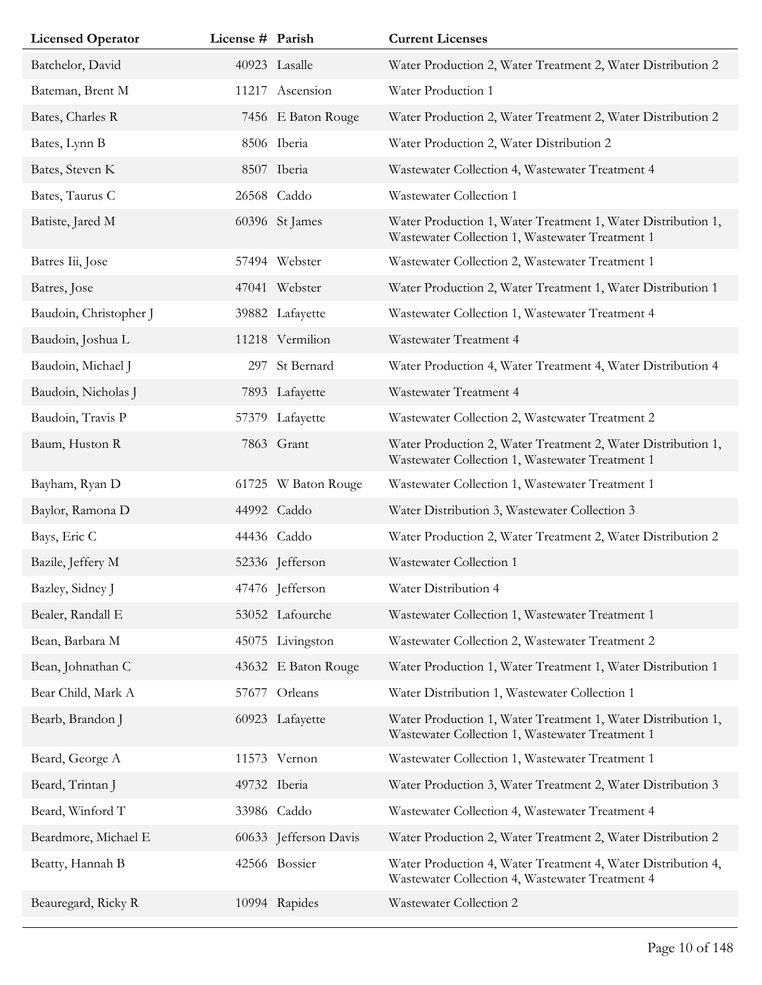| <b>Licensed Operator</b> | License # Parish |                       | <b>Current Licenses</b>                                                                                         |
|--------------------------|------------------|-----------------------|-----------------------------------------------------------------------------------------------------------------|
| Batchelor, David         |                  | 40923 Lasalle         | Water Production 2, Water Treatment 2, Water Distribution 2                                                     |
| Bateman, Brent M         |                  | 11217 Ascension       | Water Production 1                                                                                              |
| Bates, Charles R         |                  | 7456 E Baton Rouge    | Water Production 2, Water Treatment 2, Water Distribution 2                                                     |
| Bates, Lynn B            |                  | 8506 Iberia           | Water Production 2, Water Distribution 2                                                                        |
| Bates, Steven K          |                  | 8507 Iberia           | Wastewater Collection 4, Wastewater Treatment 4                                                                 |
| Bates, Taurus C          |                  | 26568 Caddo           | Wastewater Collection 1                                                                                         |
| Batiste, Jared M         |                  | 60396 St James        | Water Production 1, Water Treatment 1, Water Distribution 1,<br>Wastewater Collection 1, Wastewater Treatment 1 |
| Batres Iii, Jose         |                  | 57494 Webster         | Wastewater Collection 2, Wastewater Treatment 1                                                                 |
| Batres, Jose             |                  | 47041 Webster         | Water Production 2, Water Treatment 1, Water Distribution 1                                                     |
| Baudoin, Christopher J   |                  | 39882 Lafayette       | Wastewater Collection 1, Wastewater Treatment 4                                                                 |
| Baudoin, Joshua L        |                  | 11218 Vermilion       | Wastewater Treatment 4                                                                                          |
| Baudoin, Michael J       | 297              | St Bernard            | Water Production 4, Water Treatment 4, Water Distribution 4                                                     |
| Baudoin, Nicholas J      |                  | 7893 Lafayette        | Wastewater Treatment 4                                                                                          |
| Baudoin, Travis P        |                  | 57379 Lafayette       | Wastewater Collection 2, Wastewater Treatment 2                                                                 |
| Baum, Huston R           |                  | 7863 Grant            | Water Production 2, Water Treatment 2, Water Distribution 1,<br>Wastewater Collection 1, Wastewater Treatment 1 |
| Bayham, Ryan D           |                  | 61725 W Baton Rouge   | Wastewater Collection 1, Wastewater Treatment 1                                                                 |
| Baylor, Ramona D         |                  | 44992 Caddo           | Water Distribution 3, Wastewater Collection 3                                                                   |
| Bays, Eric C             |                  | 44436 Caddo           | Water Production 2, Water Treatment 2, Water Distribution 2                                                     |
| Bazile, Jeffery M        |                  | 52336 Jefferson       | Wastewater Collection 1                                                                                         |
| Bazley, Sidney J         |                  | 47476 Jefferson       | Water Distribution 4                                                                                            |
| Bealer, Randall E        |                  | 53052 Lafourche       | Wastewater Collection 1, Wastewater Treatment 1                                                                 |
| Bean, Barbara M          |                  | 45075 Livingston      | Wastewater Collection 2, Wastewater Treatment 2                                                                 |
| Bean, Johnathan C        |                  | 43632 E Baton Rouge   | Water Production 1, Water Treatment 1, Water Distribution 1                                                     |
| Bear Child, Mark A       | 57677            | Orleans               | Water Distribution 1, Wastewater Collection 1                                                                   |
| Bearb, Brandon J         |                  | 60923 Lafayette       | Water Production 1, Water Treatment 1, Water Distribution 1,<br>Wastewater Collection 1, Wastewater Treatment 1 |
| Beard, George A          |                  | 11573 Vernon          | Wastewater Collection 1, Wastewater Treatment 1                                                                 |
| Beard, Trintan J         |                  | 49732 Iberia          | Water Production 3, Water Treatment 2, Water Distribution 3                                                     |
| Beard, Winford T         |                  | 33986 Caddo           | Wastewater Collection 4, Wastewater Treatment 4                                                                 |
| Beardmore, Michael E     |                  | 60633 Jefferson Davis | Water Production 2, Water Treatment 2, Water Distribution 2                                                     |
| Beatty, Hannah B         |                  | 42566 Bossier         | Water Production 4, Water Treatment 4, Water Distribution 4,<br>Wastewater Collection 4, Wastewater Treatment 4 |
| Beauregard, Ricky R      |                  | 10994 Rapides         | Wastewater Collection 2                                                                                         |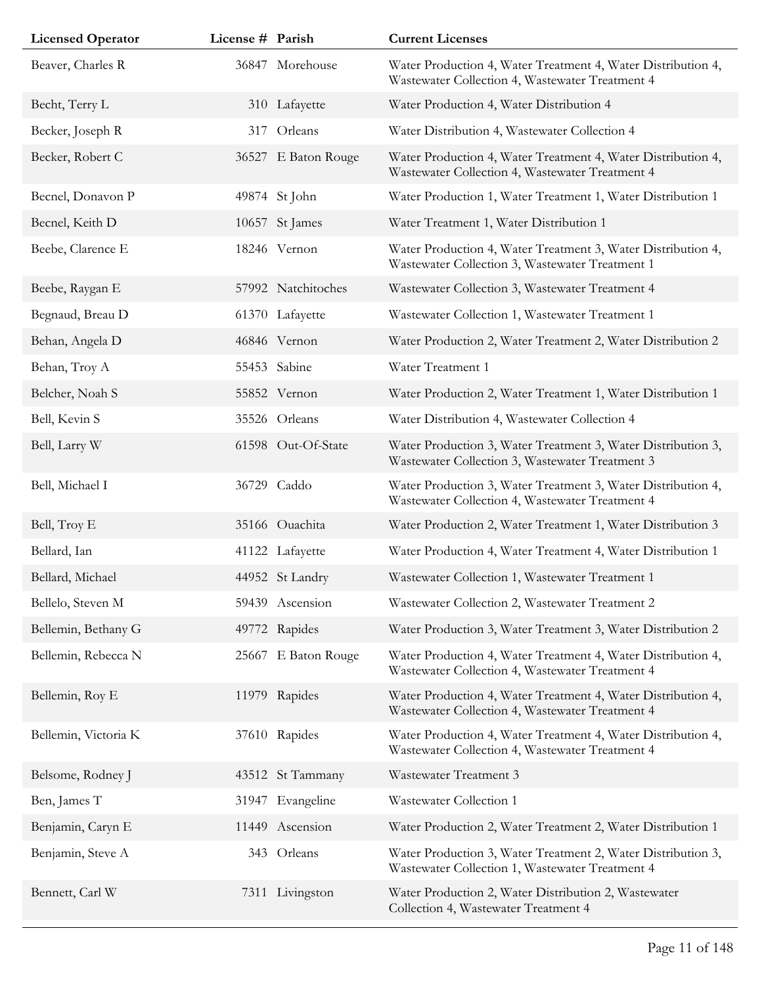| <b>Licensed Operator</b> | License # Parish |                     | <b>Current Licenses</b>                                                                                         |
|--------------------------|------------------|---------------------|-----------------------------------------------------------------------------------------------------------------|
| Beaver, Charles R        |                  | 36847 Morehouse     | Water Production 4, Water Treatment 4, Water Distribution 4,<br>Wastewater Collection 4, Wastewater Treatment 4 |
| Becht, Terry L           |                  | 310 Lafayette       | Water Production 4, Water Distribution 4                                                                        |
| Becker, Joseph R         | 317              | Orleans             | Water Distribution 4, Wastewater Collection 4                                                                   |
| Becker, Robert C         |                  | 36527 E Baton Rouge | Water Production 4, Water Treatment 4, Water Distribution 4,<br>Wastewater Collection 4, Wastewater Treatment 4 |
| Becnel, Donavon P        |                  | 49874 St John       | Water Production 1, Water Treatment 1, Water Distribution 1                                                     |
| Becnel, Keith D          |                  | 10657 St James      | Water Treatment 1, Water Distribution 1                                                                         |
| Beebe, Clarence E        |                  | 18246 Vernon        | Water Production 4, Water Treatment 3, Water Distribution 4,<br>Wastewater Collection 3, Wastewater Treatment 1 |
| Beebe, Raygan E          |                  | 57992 Natchitoches  | Wastewater Collection 3, Wastewater Treatment 4                                                                 |
| Begnaud, Breau D         |                  | 61370 Lafayette     | Wastewater Collection 1, Wastewater Treatment 1                                                                 |
| Behan, Angela D          |                  | 46846 Vernon        | Water Production 2, Water Treatment 2, Water Distribution 2                                                     |
| Behan, Troy A            |                  | 55453 Sabine        | Water Treatment 1                                                                                               |
| Belcher, Noah S          |                  | 55852 Vernon        | Water Production 2, Water Treatment 1, Water Distribution 1                                                     |
| Bell, Kevin S            |                  | 35526 Orleans       | Water Distribution 4, Wastewater Collection 4                                                                   |
| Bell, Larry W            |                  | 61598 Out-Of-State  | Water Production 3, Water Treatment 3, Water Distribution 3,<br>Wastewater Collection 3, Wastewater Treatment 3 |
| Bell, Michael I          |                  | 36729 Caddo         | Water Production 3, Water Treatment 3, Water Distribution 4,<br>Wastewater Collection 4, Wastewater Treatment 4 |
| Bell, Troy E             |                  | 35166 Ouachita      | Water Production 2, Water Treatment 1, Water Distribution 3                                                     |
| Bellard, Ian             |                  | 41122 Lafayette     | Water Production 4, Water Treatment 4, Water Distribution 1                                                     |
| Bellard, Michael         |                  | 44952 St Landry     | Wastewater Collection 1, Wastewater Treatment 1                                                                 |
| Bellelo, Steven M        |                  | 59439 Ascension     | Wastewater Collection 2, Wastewater Treatment 2                                                                 |
| Bellemin, Bethany G      |                  | 49772 Rapides       | Water Production 3, Water Treatment 3, Water Distribution 2                                                     |
| Bellemin, Rebecca N      |                  | 25667 E Baton Rouge | Water Production 4, Water Treatment 4, Water Distribution 4,<br>Wastewater Collection 4, Wastewater Treatment 4 |
| Bellemin, Roy E          |                  | 11979 Rapides       | Water Production 4, Water Treatment 4, Water Distribution 4,<br>Wastewater Collection 4, Wastewater Treatment 4 |
| Bellemin, Victoria K     |                  | 37610 Rapides       | Water Production 4, Water Treatment 4, Water Distribution 4,<br>Wastewater Collection 4, Wastewater Treatment 4 |
| Belsome, Rodney J        |                  | 43512 St Tammany    | Wastewater Treatment 3                                                                                          |
| Ben, James T             |                  | 31947 Evangeline    | Wastewater Collection 1                                                                                         |
| Benjamin, Caryn E        |                  | 11449 Ascension     | Water Production 2, Water Treatment 2, Water Distribution 1                                                     |
| Benjamin, Steve A        |                  | 343 Orleans         | Water Production 3, Water Treatment 2, Water Distribution 3,<br>Wastewater Collection 1, Wastewater Treatment 4 |
| Bennett, Carl W          |                  | 7311 Livingston     | Water Production 2, Water Distribution 2, Wastewater<br>Collection 4, Wastewater Treatment 4                    |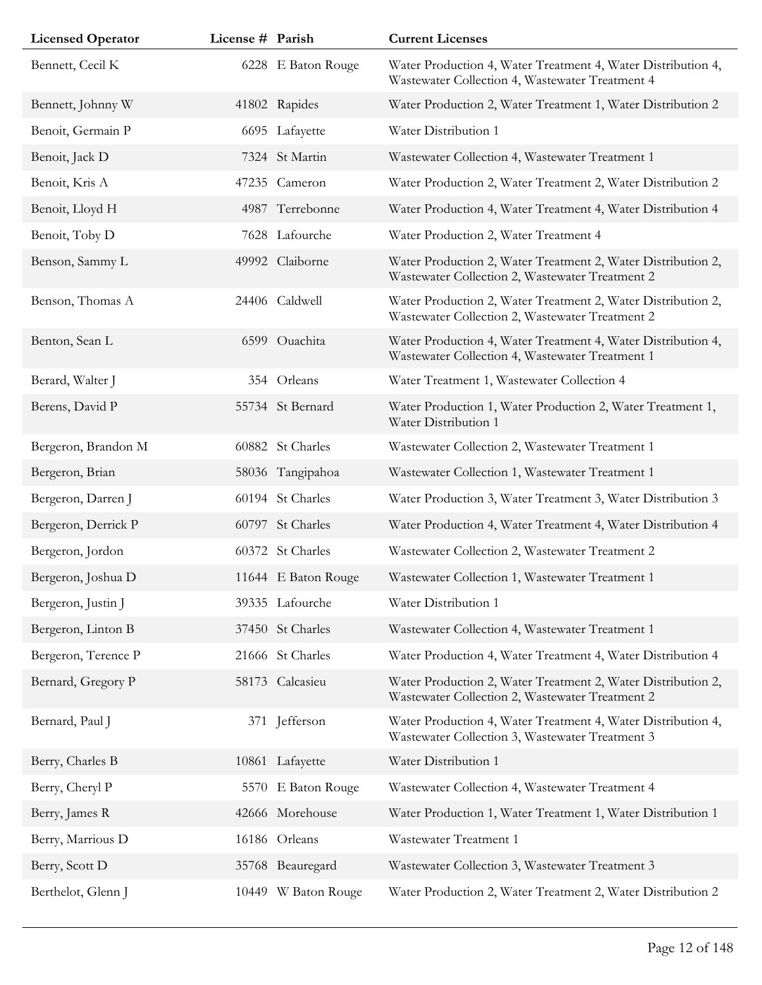| <b>Licensed Operator</b> | License # Parish |                     | <b>Current Licenses</b>                                                                                         |
|--------------------------|------------------|---------------------|-----------------------------------------------------------------------------------------------------------------|
| Bennett, Cecil K         |                  | 6228 E Baton Rouge  | Water Production 4, Water Treatment 4, Water Distribution 4,<br>Wastewater Collection 4, Wastewater Treatment 4 |
| Bennett, Johnny W        |                  | 41802 Rapides       | Water Production 2, Water Treatment 1, Water Distribution 2                                                     |
| Benoit, Germain P        |                  | 6695 Lafayette      | Water Distribution 1                                                                                            |
| Benoit, Jack D           |                  | 7324 St Martin      | Wastewater Collection 4, Wastewater Treatment 1                                                                 |
| Benoit, Kris A           |                  | 47235 Cameron       | Water Production 2, Water Treatment 2, Water Distribution 2                                                     |
| Benoit, Lloyd H          |                  | 4987 Terrebonne     | Water Production 4, Water Treatment 4, Water Distribution 4                                                     |
| Benoit, Toby D           |                  | 7628 Lafourche      | Water Production 2, Water Treatment 4                                                                           |
| Benson, Sammy L          |                  | 49992 Claiborne     | Water Production 2, Water Treatment 2, Water Distribution 2,<br>Wastewater Collection 2, Wastewater Treatment 2 |
| Benson, Thomas A         |                  | 24406 Caldwell      | Water Production 2, Water Treatment 2, Water Distribution 2,<br>Wastewater Collection 2, Wastewater Treatment 2 |
| Benton, Sean L           |                  | 6599 Ouachita       | Water Production 4, Water Treatment 4, Water Distribution 4,<br>Wastewater Collection 4, Wastewater Treatment 1 |
| Berard, Walter J         |                  | 354 Orleans         | Water Treatment 1, Wastewater Collection 4                                                                      |
| Berens, David P          |                  | 55734 St Bernard    | Water Production 1, Water Production 2, Water Treatment 1,<br>Water Distribution 1                              |
| Bergeron, Brandon M      |                  | 60882 St Charles    | Wastewater Collection 2, Wastewater Treatment 1                                                                 |
| Bergeron, Brian          |                  | 58036 Tangipahoa    | Wastewater Collection 1, Wastewater Treatment 1                                                                 |
| Bergeron, Darren J       |                  | 60194 St Charles    | Water Production 3, Water Treatment 3, Water Distribution 3                                                     |
| Bergeron, Derrick P      |                  | 60797 St Charles    | Water Production 4, Water Treatment 4, Water Distribution 4                                                     |
| Bergeron, Jordon         |                  | 60372 St Charles    | Wastewater Collection 2, Wastewater Treatment 2                                                                 |
| Bergeron, Joshua D       |                  | 11644 E Baton Rouge | Wastewater Collection 1, Wastewater Treatment 1                                                                 |
| Bergeron, Justin J       |                  | 39335 Lafourche     | Water Distribution 1                                                                                            |
| Bergeron, Linton B       |                  | 37450 St Charles    | Wastewater Collection 4, Wastewater Treatment 1                                                                 |
| Bergeron, Terence P      |                  | 21666 St Charles    | Water Production 4, Water Treatment 4, Water Distribution 4                                                     |
| Bernard, Gregory P       |                  | 58173 Calcasieu     | Water Production 2, Water Treatment 2, Water Distribution 2,<br>Wastewater Collection 2, Wastewater Treatment 2 |
| Bernard, Paul J          |                  | 371 Jefferson       | Water Production 4, Water Treatment 4, Water Distribution 4,<br>Wastewater Collection 3, Wastewater Treatment 3 |
| Berry, Charles B         |                  | 10861 Lafayette     | Water Distribution 1                                                                                            |
| Berry, Cheryl P          |                  | 5570 E Baton Rouge  | Wastewater Collection 4, Wastewater Treatment 4                                                                 |
| Berry, James R           |                  | 42666 Morehouse     | Water Production 1, Water Treatment 1, Water Distribution 1                                                     |
| Berry, Marrious D        |                  | 16186 Orleans       | Wastewater Treatment 1                                                                                          |
| Berry, Scott D           |                  | 35768 Beauregard    | Wastewater Collection 3, Wastewater Treatment 3                                                                 |
| Berthelot, Glenn J       |                  | 10449 W Baton Rouge | Water Production 2, Water Treatment 2, Water Distribution 2                                                     |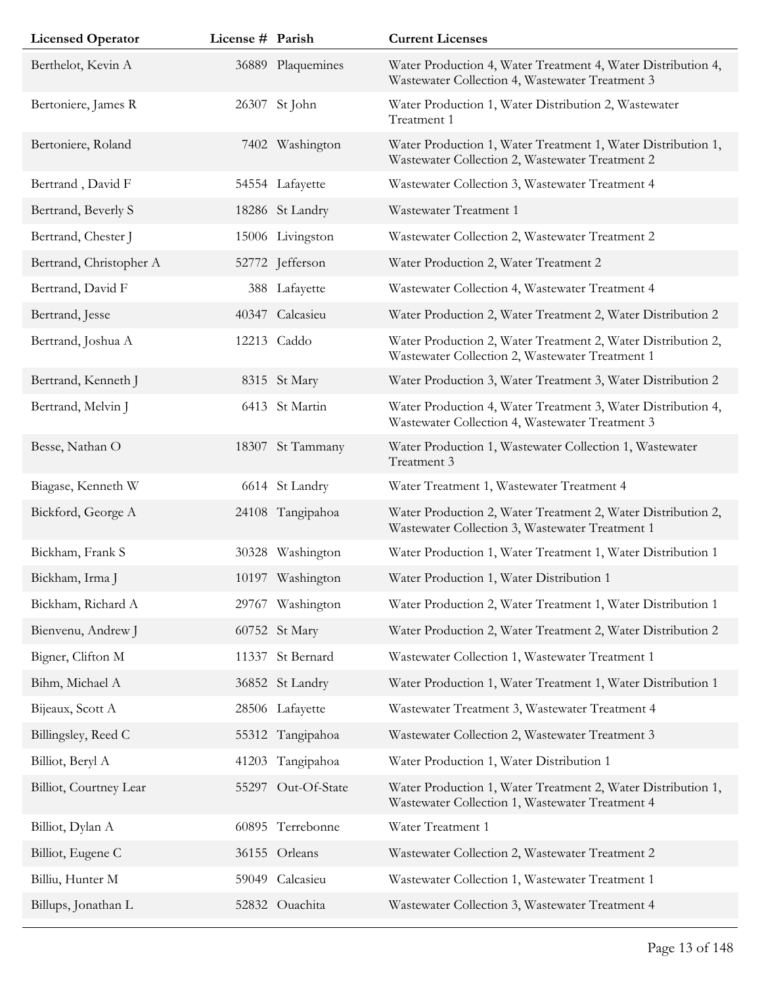| <b>Licensed Operator</b> | License # Parish |                   | <b>Current Licenses</b>                                                                                         |
|--------------------------|------------------|-------------------|-----------------------------------------------------------------------------------------------------------------|
| Berthelot, Kevin A       |                  | 36889 Plaquemines | Water Production 4, Water Treatment 4, Water Distribution 4,<br>Wastewater Collection 4, Wastewater Treatment 3 |
| Bertoniere, James R      |                  | 26307 St John     | Water Production 1, Water Distribution 2, Wastewater<br>Treatment 1                                             |
| Bertoniere, Roland       |                  | 7402 Washington   | Water Production 1, Water Treatment 1, Water Distribution 1,<br>Wastewater Collection 2, Wastewater Treatment 2 |
| Bertrand, David F        |                  | 54554 Lafayette   | Wastewater Collection 3, Wastewater Treatment 4                                                                 |
| Bertrand, Beverly S      |                  | 18286 St Landry   | Wastewater Treatment 1                                                                                          |
| Bertrand, Chester J      |                  | 15006 Livingston  | Wastewater Collection 2, Wastewater Treatment 2                                                                 |
| Bertrand, Christopher A  |                  | 52772 Jefferson   | Water Production 2, Water Treatment 2                                                                           |
| Bertrand, David F        |                  | 388 Lafayette     | Wastewater Collection 4, Wastewater Treatment 4                                                                 |
| Bertrand, Jesse          |                  | 40347 Calcasieu   | Water Production 2, Water Treatment 2, Water Distribution 2                                                     |
| Bertrand, Joshua A       |                  | 12213 Caddo       | Water Production 2, Water Treatment 2, Water Distribution 2,<br>Wastewater Collection 2, Wastewater Treatment 1 |
| Bertrand, Kenneth J      |                  | 8315 St Mary      | Water Production 3, Water Treatment 3, Water Distribution 2                                                     |
| Bertrand, Melvin J       |                  | 6413 St Martin    | Water Production 4, Water Treatment 3, Water Distribution 4,<br>Wastewater Collection 4, Wastewater Treatment 3 |
| Besse, Nathan O          |                  | 18307 St Tammany  | Water Production 1, Wastewater Collection 1, Wastewater<br>Treatment 3                                          |
| Biagase, Kenneth W       |                  | 6614 St Landry    | Water Treatment 1, Wastewater Treatment 4                                                                       |
| Bickford, George A       |                  | 24108 Tangipahoa  | Water Production 2, Water Treatment 2, Water Distribution 2,<br>Wastewater Collection 3, Wastewater Treatment 1 |
| Bickham, Frank S         |                  | 30328 Washington  | Water Production 1, Water Treatment 1, Water Distribution 1                                                     |
| Bickham, Irma J          |                  | 10197 Washington  | Water Production 1, Water Distribution 1                                                                        |
| Bickham, Richard A       |                  | 29767 Washington  | Water Production 2, Water Treatment 1, Water Distribution 1                                                     |
| Bienvenu, Andrew J       |                  | 60752 St Mary     | Water Production 2, Water Treatment 2, Water Distribution 2                                                     |
| Bigner, Clifton M        | 11337            | St Bernard        | Wastewater Collection 1, Wastewater Treatment 1                                                                 |
| Bihm, Michael A          |                  | 36852 St Landry   | Water Production 1, Water Treatment 1, Water Distribution 1                                                     |
| Bijeaux, Scott A         |                  | 28506 Lafayette   | Wastewater Treatment 3, Wastewater Treatment 4                                                                  |
| Billingsley, Reed C      |                  | 55312 Tangipahoa  | Wastewater Collection 2, Wastewater Treatment 3                                                                 |
| Billiot, Beryl A         | 41203            | Tangipahoa        | Water Production 1, Water Distribution 1                                                                        |
| Billiot, Courtney Lear   | 55297            | Out-Of-State      | Water Production 1, Water Treatment 2, Water Distribution 1,<br>Wastewater Collection 1, Wastewater Treatment 4 |
| Billiot, Dylan A         | 60895            | Terrebonne        | Water Treatment 1                                                                                               |
| Billiot, Eugene C        |                  | 36155 Orleans     | Wastewater Collection 2, Wastewater Treatment 2                                                                 |
| Billiu, Hunter M         |                  | 59049 Calcasieu   | Wastewater Collection 1, Wastewater Treatment 1                                                                 |
| Billups, Jonathan L      |                  | 52832 Ouachita    | Wastewater Collection 3, Wastewater Treatment 4                                                                 |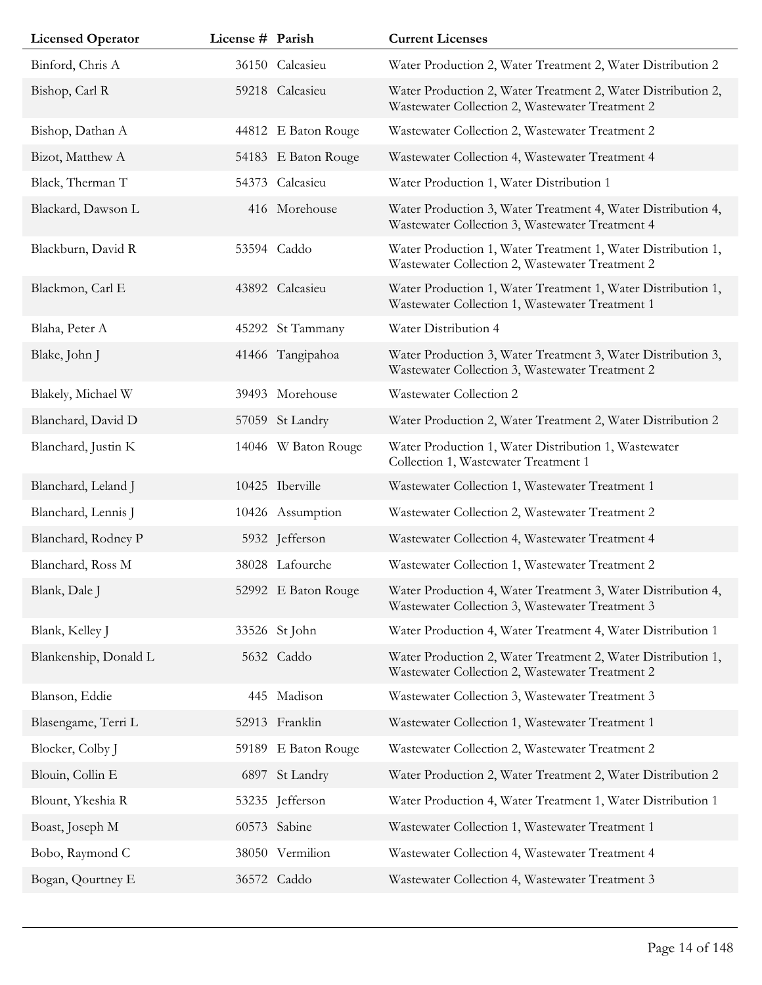| <b>Licensed Operator</b> | License # Parish |                     | <b>Current Licenses</b>                                                                                         |
|--------------------------|------------------|---------------------|-----------------------------------------------------------------------------------------------------------------|
| Binford, Chris A         |                  | 36150 Calcasieu     | Water Production 2, Water Treatment 2, Water Distribution 2                                                     |
| Bishop, Carl R           |                  | 59218 Calcasieu     | Water Production 2, Water Treatment 2, Water Distribution 2,<br>Wastewater Collection 2, Wastewater Treatment 2 |
| Bishop, Dathan A         |                  | 44812 E Baton Rouge | Wastewater Collection 2, Wastewater Treatment 2                                                                 |
| Bizot, Matthew A         |                  | 54183 E Baton Rouge | Wastewater Collection 4, Wastewater Treatment 4                                                                 |
| Black, Therman T         |                  | 54373 Calcasieu     | Water Production 1, Water Distribution 1                                                                        |
| Blackard, Dawson L       |                  | 416 Morehouse       | Water Production 3, Water Treatment 4, Water Distribution 4,<br>Wastewater Collection 3, Wastewater Treatment 4 |
| Blackburn, David R       |                  | 53594 Caddo         | Water Production 1, Water Treatment 1, Water Distribution 1,<br>Wastewater Collection 2, Wastewater Treatment 2 |
| Blackmon, Carl E         |                  | 43892 Calcasieu     | Water Production 1, Water Treatment 1, Water Distribution 1,<br>Wastewater Collection 1, Wastewater Treatment 1 |
| Blaha, Peter A           |                  | 45292 St Tammany    | Water Distribution 4                                                                                            |
| Blake, John J            |                  | 41466 Tangipahoa    | Water Production 3, Water Treatment 3, Water Distribution 3,<br>Wastewater Collection 3, Wastewater Treatment 2 |
| Blakely, Michael W       |                  | 39493 Morehouse     | Wastewater Collection 2                                                                                         |
| Blanchard, David D       |                  | 57059 St Landry     | Water Production 2, Water Treatment 2, Water Distribution 2                                                     |
| Blanchard, Justin K      |                  | 14046 W Baton Rouge | Water Production 1, Water Distribution 1, Wastewater<br>Collection 1, Wastewater Treatment 1                    |
| Blanchard, Leland J      |                  | 10425 Iberville     | Wastewater Collection 1, Wastewater Treatment 1                                                                 |
| Blanchard, Lennis J      |                  | 10426 Assumption    | Wastewater Collection 2, Wastewater Treatment 2                                                                 |
| Blanchard, Rodney P      |                  | 5932 Jefferson      | Wastewater Collection 4, Wastewater Treatment 4                                                                 |
| Blanchard, Ross M        |                  | 38028 Lafourche     | Wastewater Collection 1, Wastewater Treatment 2                                                                 |
| Blank, Dale J            |                  | 52992 E Baton Rouge | Water Production 4, Water Treatment 3, Water Distribution 4,<br>Wastewater Collection 3, Wastewater Treatment 3 |
| Blank, Kelley J          |                  | 33526 St John       | Water Production 4, Water Treatment 4, Water Distribution 1                                                     |
| Blankenship, Donald L    |                  | 5632 Caddo          | Water Production 2, Water Treatment 2, Water Distribution 1,<br>Wastewater Collection 2, Wastewater Treatment 2 |
| Blanson, Eddie           |                  | 445 Madison         | Wastewater Collection 3, Wastewater Treatment 3                                                                 |
| Blasengame, Terri L      |                  | 52913 Franklin      | Wastewater Collection 1, Wastewater Treatment 1                                                                 |
| Blocker, Colby J         |                  | 59189 E Baton Rouge | Wastewater Collection 2, Wastewater Treatment 2                                                                 |
| Blouin, Collin E         | 6897             | St Landry           | Water Production 2, Water Treatment 2, Water Distribution 2                                                     |
| Blount, Ykeshia R        |                  | 53235 Jefferson     | Water Production 4, Water Treatment 1, Water Distribution 1                                                     |
| Boast, Joseph M          |                  | 60573 Sabine        | Wastewater Collection 1, Wastewater Treatment 1                                                                 |
| Bobo, Raymond C          |                  | 38050 Vermilion     | Wastewater Collection 4, Wastewater Treatment 4                                                                 |
| Bogan, Qourtney E        |                  | 36572 Caddo         | Wastewater Collection 4, Wastewater Treatment 3                                                                 |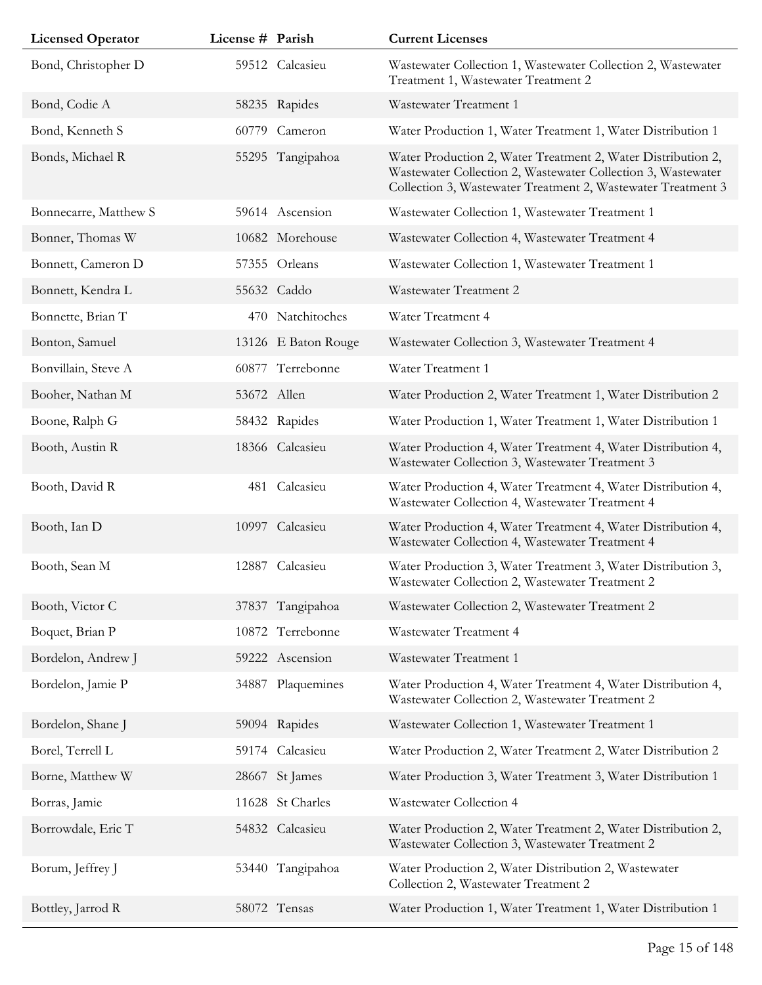| <b>Licensed Operator</b> | License # Parish |                     | <b>Current Licenses</b>                                                                                                                                                                      |
|--------------------------|------------------|---------------------|----------------------------------------------------------------------------------------------------------------------------------------------------------------------------------------------|
| Bond, Christopher D      |                  | 59512 Calcasieu     | Wastewater Collection 1, Wastewater Collection 2, Wastewater<br>Treatment 1, Wastewater Treatment 2                                                                                          |
| Bond, Codie A            |                  | 58235 Rapides       | Wastewater Treatment 1                                                                                                                                                                       |
| Bond, Kenneth S          | 60779            | Cameron             | Water Production 1, Water Treatment 1, Water Distribution 1                                                                                                                                  |
| Bonds, Michael R         |                  | 55295 Tangipahoa    | Water Production 2, Water Treatment 2, Water Distribution 2,<br>Wastewater Collection 2, Wastewater Collection 3, Wastewater<br>Collection 3, Wastewater Treatment 2, Wastewater Treatment 3 |
| Bonnecarre, Matthew S    |                  | 59614 Ascension     | Wastewater Collection 1, Wastewater Treatment 1                                                                                                                                              |
| Bonner, Thomas W         |                  | 10682 Morehouse     | Wastewater Collection 4, Wastewater Treatment 4                                                                                                                                              |
| Bonnett, Cameron D       |                  | 57355 Orleans       | Wastewater Collection 1, Wastewater Treatment 1                                                                                                                                              |
| Bonnett, Kendra L        |                  | 55632 Caddo         | Wastewater Treatment 2                                                                                                                                                                       |
| Bonnette, Brian T        |                  | 470 Natchitoches    | Water Treatment 4                                                                                                                                                                            |
| Bonton, Samuel           |                  | 13126 E Baton Rouge | Wastewater Collection 3, Wastewater Treatment 4                                                                                                                                              |
| Bonvillain, Steve A      | 60877            | Terrebonne          | Water Treatment 1                                                                                                                                                                            |
| Booher, Nathan M         |                  | 53672 Allen         | Water Production 2, Water Treatment 1, Water Distribution 2                                                                                                                                  |
| Boone, Ralph G           |                  | 58432 Rapides       | Water Production 1, Water Treatment 1, Water Distribution 1                                                                                                                                  |
| Booth, Austin R          |                  | 18366 Calcasieu     | Water Production 4, Water Treatment 4, Water Distribution 4,<br>Wastewater Collection 3, Wastewater Treatment 3                                                                              |
| Booth, David R           |                  | 481 Calcasieu       | Water Production 4, Water Treatment 4, Water Distribution 4,<br>Wastewater Collection 4, Wastewater Treatment 4                                                                              |
| Booth, Ian D             |                  | 10997 Calcasieu     | Water Production 4, Water Treatment 4, Water Distribution 4,<br>Wastewater Collection 4, Wastewater Treatment 4                                                                              |
| Booth, Sean M            | 12887            | Calcasieu           | Water Production 3, Water Treatment 3, Water Distribution 3,<br>Wastewater Collection 2, Wastewater Treatment 2                                                                              |
| Booth, Victor C          |                  | 37837 Tangipahoa    | Wastewater Collection 2, Wastewater Treatment 2                                                                                                                                              |
| Boquet, Brian P          |                  | 10872 Terrebonne    | Wastewater Treatment 4                                                                                                                                                                       |
| Bordelon, Andrew J       |                  | 59222 Ascension     | Wastewater Treatment 1                                                                                                                                                                       |
| Bordelon, Jamie P        |                  | 34887 Plaquemines   | Water Production 4, Water Treatment 4, Water Distribution 4,<br>Wastewater Collection 2, Wastewater Treatment 2                                                                              |
| Bordelon, Shane J        |                  | 59094 Rapides       | Wastewater Collection 1, Wastewater Treatment 1                                                                                                                                              |
| Borel, Terrell L         |                  | 59174 Calcasieu     | Water Production 2, Water Treatment 2, Water Distribution 2                                                                                                                                  |
| Borne, Matthew W         | 28667            | St James            | Water Production 3, Water Treatment 3, Water Distribution 1                                                                                                                                  |
| Borras, Jamie            |                  | 11628 St Charles    | Wastewater Collection 4                                                                                                                                                                      |
| Borrowdale, Eric T       |                  | 54832 Calcasieu     | Water Production 2, Water Treatment 2, Water Distribution 2,<br>Wastewater Collection 3, Wastewater Treatment 2                                                                              |
| Borum, Jeffrey J         |                  | 53440 Tangipahoa    | Water Production 2, Water Distribution 2, Wastewater<br>Collection 2, Wastewater Treatment 2                                                                                                 |
| Bottley, Jarrod R        |                  | 58072 Tensas        | Water Production 1, Water Treatment 1, Water Distribution 1                                                                                                                                  |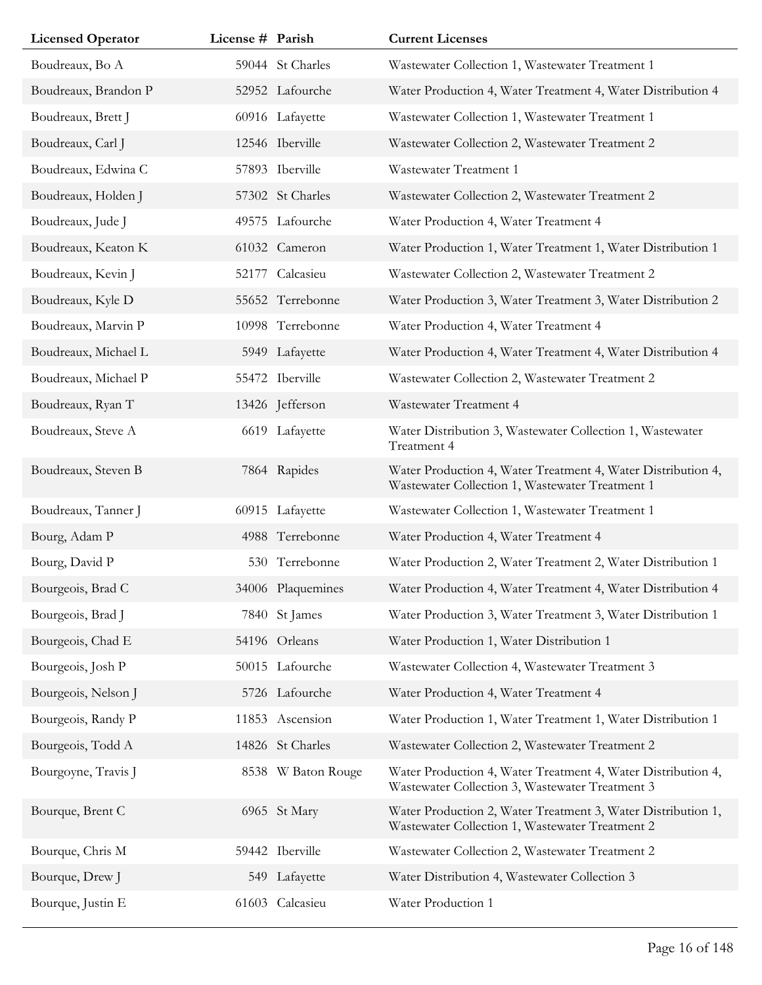| <b>Licensed Operator</b> | License # Parish |                    | <b>Current Licenses</b>                                                                                         |
|--------------------------|------------------|--------------------|-----------------------------------------------------------------------------------------------------------------|
| Boudreaux, Bo A          |                  | 59044 St Charles   | Wastewater Collection 1, Wastewater Treatment 1                                                                 |
| Boudreaux, Brandon P     |                  | 52952 Lafourche    | Water Production 4, Water Treatment 4, Water Distribution 4                                                     |
| Boudreaux, Brett J       |                  | 60916 Lafayette    | Wastewater Collection 1, Wastewater Treatment 1                                                                 |
| Boudreaux, Carl J        |                  | 12546 Iberville    | Wastewater Collection 2, Wastewater Treatment 2                                                                 |
| Boudreaux, Edwina C      |                  | 57893 Iberville    | Wastewater Treatment 1                                                                                          |
| Boudreaux, Holden J      |                  | 57302 St Charles   | Wastewater Collection 2, Wastewater Treatment 2                                                                 |
| Boudreaux, Jude J        |                  | 49575 Lafourche    | Water Production 4, Water Treatment 4                                                                           |
| Boudreaux, Keaton K      |                  | 61032 Cameron      | Water Production 1, Water Treatment 1, Water Distribution 1                                                     |
| Boudreaux, Kevin J       | 52177            | Calcasieu          | Wastewater Collection 2, Wastewater Treatment 2                                                                 |
| Boudreaux, Kyle D        |                  | 55652 Terrebonne   | Water Production 3, Water Treatment 3, Water Distribution 2                                                     |
| Boudreaux, Marvin P      |                  | 10998 Terrebonne   | Water Production 4, Water Treatment 4                                                                           |
| Boudreaux, Michael L     |                  | 5949 Lafayette     | Water Production 4, Water Treatment 4, Water Distribution 4                                                     |
| Boudreaux, Michael P     |                  | 55472 Iberville    | Wastewater Collection 2, Wastewater Treatment 2                                                                 |
| Boudreaux, Ryan T        |                  | 13426 Jefferson    | Wastewater Treatment 4                                                                                          |
| Boudreaux, Steve A       |                  | 6619 Lafayette     | Water Distribution 3, Wastewater Collection 1, Wastewater<br>Treatment 4                                        |
| Boudreaux, Steven B      |                  | 7864 Rapides       | Water Production 4, Water Treatment 4, Water Distribution 4,<br>Wastewater Collection 1, Wastewater Treatment 1 |
| Boudreaux, Tanner J      |                  | 60915 Lafayette    | Wastewater Collection 1, Wastewater Treatment 1                                                                 |
| Bourg, Adam P            |                  | 4988 Terrebonne    | Water Production 4, Water Treatment 4                                                                           |
| Bourg, David P           |                  | 530 Terrebonne     | Water Production 2, Water Treatment 2, Water Distribution 1                                                     |
| Bourgeois, Brad C        |                  | 34006 Plaquemines  | Water Production 4, Water Treatment 4, Water Distribution 4                                                     |
| Bourgeois, Brad J        |                  | 7840 St James      | Water Production 3, Water Treatment 3, Water Distribution 1                                                     |
| Bourgeois, Chad E        |                  | 54196 Orleans      | Water Production 1, Water Distribution 1                                                                        |
| Bourgeois, Josh P        |                  | 50015 Lafourche    | Wastewater Collection 4, Wastewater Treatment 3                                                                 |
| Bourgeois, Nelson J      |                  | 5726 Lafourche     | Water Production 4, Water Treatment 4                                                                           |
| Bourgeois, Randy P       |                  | 11853 Ascension    | Water Production 1, Water Treatment 1, Water Distribution 1                                                     |
| Bourgeois, Todd A        |                  | 14826 St Charles   | Wastewater Collection 2, Wastewater Treatment 2                                                                 |
| Bourgoyne, Travis J      |                  | 8538 W Baton Rouge | Water Production 4, Water Treatment 4, Water Distribution 4,<br>Wastewater Collection 3, Wastewater Treatment 3 |
| Bourque, Brent C         |                  | 6965 St Mary       | Water Production 2, Water Treatment 3, Water Distribution 1,<br>Wastewater Collection 1, Wastewater Treatment 2 |
| Bourque, Chris M         |                  | 59442 Iberville    | Wastewater Collection 2, Wastewater Treatment 2                                                                 |
| Bourque, Drew J          |                  | 549 Lafayette      | Water Distribution 4, Wastewater Collection 3                                                                   |
| Bourque, Justin E        |                  | 61603 Calcasieu    | Water Production 1                                                                                              |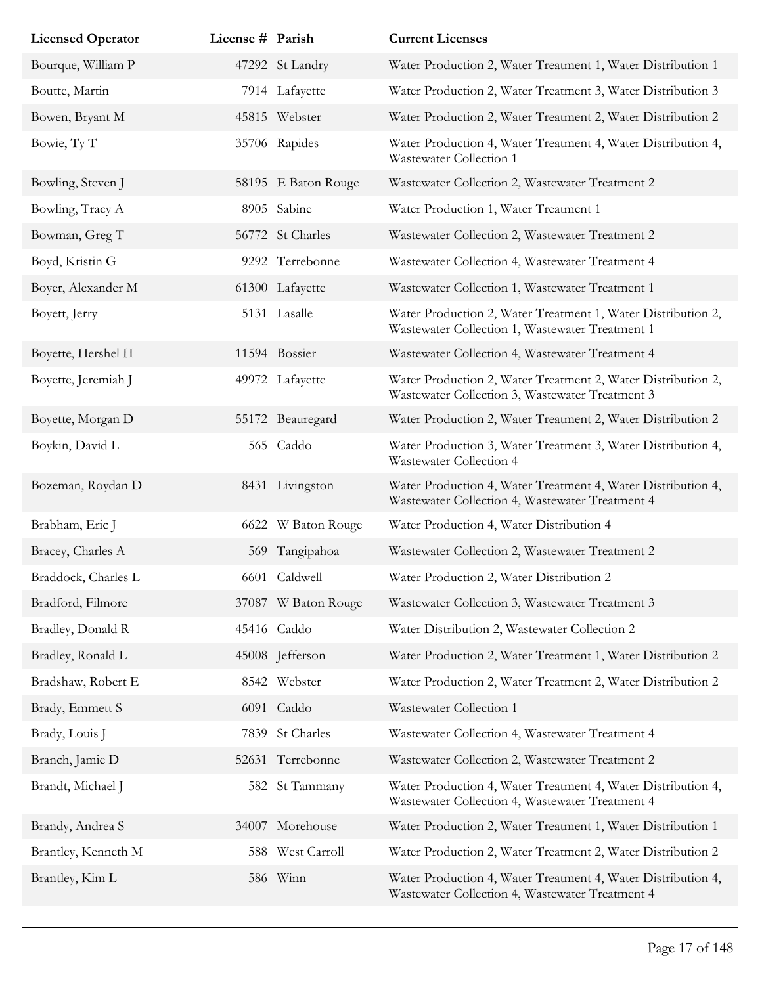| <b>Licensed Operator</b> | License # Parish |                     | <b>Current Licenses</b>                                                                                         |
|--------------------------|------------------|---------------------|-----------------------------------------------------------------------------------------------------------------|
| Bourque, William P       |                  | 47292 St Landry     | Water Production 2, Water Treatment 1, Water Distribution 1                                                     |
| Boutte, Martin           |                  | 7914 Lafayette      | Water Production 2, Water Treatment 3, Water Distribution 3                                                     |
| Bowen, Bryant M          |                  | 45815 Webster       | Water Production 2, Water Treatment 2, Water Distribution 2                                                     |
| Bowie, Ty T              |                  | 35706 Rapides       | Water Production 4, Water Treatment 4, Water Distribution 4,<br>Wastewater Collection 1                         |
| Bowling, Steven J        |                  | 58195 E Baton Rouge | Wastewater Collection 2, Wastewater Treatment 2                                                                 |
| Bowling, Tracy A         |                  | 8905 Sabine         | Water Production 1, Water Treatment 1                                                                           |
| Bowman, Greg T           |                  | 56772 St Charles    | Wastewater Collection 2, Wastewater Treatment 2                                                                 |
| Boyd, Kristin G          |                  | 9292 Terrebonne     | Wastewater Collection 4, Wastewater Treatment 4                                                                 |
| Boyer, Alexander M       |                  | 61300 Lafayette     | Wastewater Collection 1, Wastewater Treatment 1                                                                 |
| Boyett, Jerry            |                  | 5131 Lasalle        | Water Production 2, Water Treatment 1, Water Distribution 2,<br>Wastewater Collection 1, Wastewater Treatment 1 |
| Boyette, Hershel H       |                  | 11594 Bossier       | Wastewater Collection 4, Wastewater Treatment 4                                                                 |
| Boyette, Jeremiah J      |                  | 49972 Lafayette     | Water Production 2, Water Treatment 2, Water Distribution 2,<br>Wastewater Collection 3, Wastewater Treatment 3 |
| Boyette, Morgan D        |                  | 55172 Beauregard    | Water Production 2, Water Treatment 2, Water Distribution 2                                                     |
| Boykin, David L          |                  | 565 Caddo           | Water Production 3, Water Treatment 3, Water Distribution 4,<br>Wastewater Collection 4                         |
| Bozeman, Roydan D        |                  | 8431 Livingston     | Water Production 4, Water Treatment 4, Water Distribution 4,<br>Wastewater Collection 4, Wastewater Treatment 4 |
| Brabham, Eric J          |                  | 6622 W Baton Rouge  | Water Production 4, Water Distribution 4                                                                        |
| Bracey, Charles A        |                  | 569 Tangipahoa      | Wastewater Collection 2, Wastewater Treatment 2                                                                 |
| Braddock, Charles L      |                  | 6601 Caldwell       | Water Production 2, Water Distribution 2                                                                        |
| Bradford, Filmore        |                  | 37087 W Baton Rouge | Wastewater Collection 3, Wastewater Treatment 3                                                                 |
| Bradley, Donald R        |                  | 45416 Caddo         | Water Distribution 2, Wastewater Collection 2                                                                   |
| Bradley, Ronald L        |                  | 45008 Jefferson     | Water Production 2, Water Treatment 1, Water Distribution 2                                                     |
| Bradshaw, Robert E       |                  | 8542 Webster        | Water Production 2, Water Treatment 2, Water Distribution 2                                                     |
| Brady, Emmett S          |                  | 6091 Caddo          | Wastewater Collection 1                                                                                         |
| Brady, Louis J           | 7839             | St Charles          | Wastewater Collection 4, Wastewater Treatment 4                                                                 |
| Branch, Jamie D          |                  | 52631 Terrebonne    | Wastewater Collection 2, Wastewater Treatment 2                                                                 |
| Brandt, Michael J        |                  | 582 St Tammany      | Water Production 4, Water Treatment 4, Water Distribution 4,<br>Wastewater Collection 4, Wastewater Treatment 4 |
| Brandy, Andrea S         |                  | 34007 Morehouse     | Water Production 2, Water Treatment 1, Water Distribution 1                                                     |
| Brantley, Kenneth M      |                  | 588 West Carroll    | Water Production 2, Water Treatment 2, Water Distribution 2                                                     |
| Brantley, Kim L          |                  | 586 Winn            | Water Production 4, Water Treatment 4, Water Distribution 4,<br>Wastewater Collection 4, Wastewater Treatment 4 |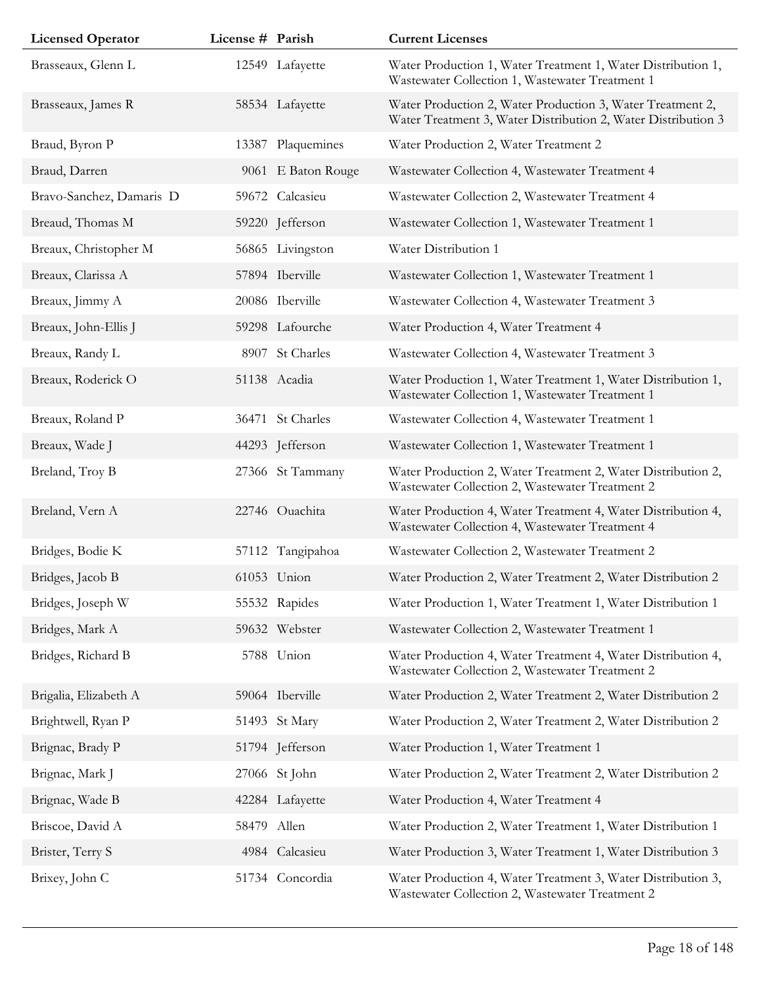| <b>Licensed Operator</b> | License # Parish |                    | <b>Current Licenses</b>                                                                                                     |
|--------------------------|------------------|--------------------|-----------------------------------------------------------------------------------------------------------------------------|
| Brasseaux, Glenn L       |                  | 12549 Lafayette    | Water Production 1, Water Treatment 1, Water Distribution 1,<br>Wastewater Collection 1, Wastewater Treatment 1             |
| Brasseaux, James R       |                  | 58534 Lafayette    | Water Production 2, Water Production 3, Water Treatment 2,<br>Water Treatment 3, Water Distribution 2, Water Distribution 3 |
| Braud, Byron P           | 13387            | Plaquemines        | Water Production 2, Water Treatment 2                                                                                       |
| Braud, Darren            |                  | 9061 E Baton Rouge | Wastewater Collection 4, Wastewater Treatment 4                                                                             |
| Bravo-Sanchez, Damaris D |                  | 59672 Calcasieu    | Wastewater Collection 2, Wastewater Treatment 4                                                                             |
| Breaud, Thomas M         |                  | 59220 Jefferson    | Wastewater Collection 1, Wastewater Treatment 1                                                                             |
| Breaux, Christopher M    |                  | 56865 Livingston   | Water Distribution 1                                                                                                        |
| Breaux, Clarissa A       |                  | 57894 Iberville    | Wastewater Collection 1, Wastewater Treatment 1                                                                             |
| Breaux, Jimmy A          |                  | 20086 Iberville    | Wastewater Collection 4, Wastewater Treatment 3                                                                             |
| Breaux, John-Ellis J     |                  | 59298 Lafourche    | Water Production 4, Water Treatment 4                                                                                       |
| Breaux, Randy L          |                  | 8907 St Charles    | Wastewater Collection 4, Wastewater Treatment 3                                                                             |
| Breaux, Roderick O       |                  | 51138 Acadia       | Water Production 1, Water Treatment 1, Water Distribution 1,<br>Wastewater Collection 1, Wastewater Treatment 1             |
| Breaux, Roland P         |                  | 36471 St Charles   | Wastewater Collection 4, Wastewater Treatment 1                                                                             |
| Breaux, Wade J           |                  | 44293 Jefferson    | Wastewater Collection 1, Wastewater Treatment 1                                                                             |
| Breland, Troy B          |                  | 27366 St Tammany   | Water Production 2, Water Treatment 2, Water Distribution 2,<br>Wastewater Collection 2, Wastewater Treatment 2             |
| Breland, Vern A          |                  | 22746 Ouachita     | Water Production 4, Water Treatment 4, Water Distribution 4,<br>Wastewater Collection 4, Wastewater Treatment 4             |
| Bridges, Bodie K         |                  | 57112 Tangipahoa   | Wastewater Collection 2, Wastewater Treatment 2                                                                             |
| Bridges, Jacob B         |                  | 61053 Union        | Water Production 2, Water Treatment 2, Water Distribution 2                                                                 |
| Bridges, Joseph W        |                  | 55532 Rapides      | Water Production 1, Water Treatment 1, Water Distribution 1                                                                 |
| Bridges, Mark A          |                  | 59632 Webster      | Wastewater Collection 2, Wastewater Treatment 1                                                                             |
| Bridges, Richard B       |                  | 5788 Union         | Water Production 4, Water Treatment 4, Water Distribution 4,<br>Wastewater Collection 2, Wastewater Treatment 2             |
| Brigalia, Elizabeth A    |                  | 59064 Iberville    | Water Production 2, Water Treatment 2, Water Distribution 2                                                                 |
| Brightwell, Ryan P       |                  | 51493 St Mary      | Water Production 2, Water Treatment 2, Water Distribution 2                                                                 |
| Brignac, Brady P         |                  | 51794 Jefferson    | Water Production 1, Water Treatment 1                                                                                       |
| Brignac, Mark J          |                  | 27066 St John      | Water Production 2, Water Treatment 2, Water Distribution 2                                                                 |
| Brignac, Wade B          |                  | 42284 Lafayette    | Water Production 4, Water Treatment 4                                                                                       |
| Briscoe, David A         | 58479 Allen      |                    | Water Production 2, Water Treatment 1, Water Distribution 1                                                                 |
| Brister, Terry S         |                  | 4984 Calcasieu     | Water Production 3, Water Treatment 1, Water Distribution 3                                                                 |
| Brixey, John C           |                  | 51734 Concordia    | Water Production 4, Water Treatment 3, Water Distribution 3,<br>Wastewater Collection 2, Wastewater Treatment 2             |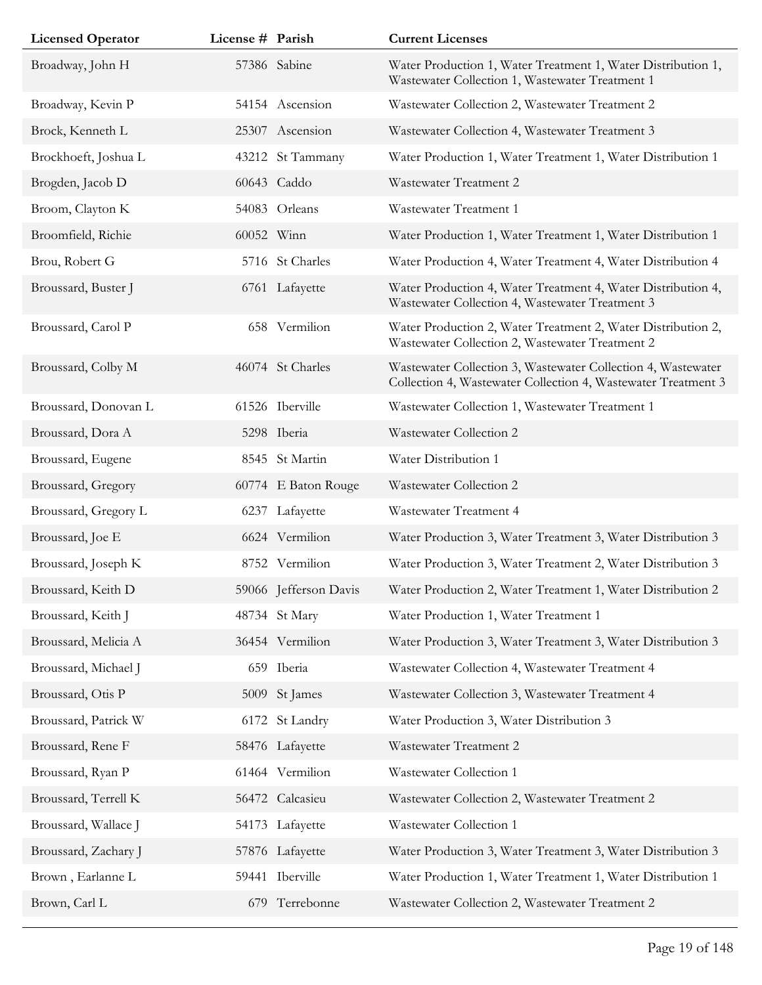| <b>Licensed Operator</b> | License # Parish |                       | <b>Current Licenses</b>                                                                                                       |
|--------------------------|------------------|-----------------------|-------------------------------------------------------------------------------------------------------------------------------|
| Broadway, John H         |                  | 57386 Sabine          | Water Production 1, Water Treatment 1, Water Distribution 1,<br>Wastewater Collection 1, Wastewater Treatment 1               |
| Broadway, Kevin P        |                  | 54154 Ascension       | Wastewater Collection 2, Wastewater Treatment 2                                                                               |
| Brock, Kenneth L         |                  | 25307 Ascension       | Wastewater Collection 4, Wastewater Treatment 3                                                                               |
| Brockhoeft, Joshua L     |                  | 43212 St Tammany      | Water Production 1, Water Treatment 1, Water Distribution 1                                                                   |
| Brogden, Jacob D         |                  | 60643 Caddo           | Wastewater Treatment 2                                                                                                        |
| Broom, Clayton K         |                  | 54083 Orleans         | Wastewater Treatment 1                                                                                                        |
| Broomfield, Richie       | 60052 Winn       |                       | Water Production 1, Water Treatment 1, Water Distribution 1                                                                   |
| Brou, Robert G           |                  | 5716 St Charles       | Water Production 4, Water Treatment 4, Water Distribution 4                                                                   |
| Broussard, Buster J      |                  | 6761 Lafayette        | Water Production 4, Water Treatment 4, Water Distribution 4,<br>Wastewater Collection 4, Wastewater Treatment 3               |
| Broussard, Carol P       |                  | 658 Vermilion         | Water Production 2, Water Treatment 2, Water Distribution 2,<br>Wastewater Collection 2, Wastewater Treatment 2               |
| Broussard, Colby M       |                  | 46074 St Charles      | Wastewater Collection 3, Wastewater Collection 4, Wastewater<br>Collection 4, Wastewater Collection 4, Wastewater Treatment 3 |
| Broussard, Donovan L     |                  | 61526 Iberville       | Wastewater Collection 1, Wastewater Treatment 1                                                                               |
| Broussard, Dora A        |                  | 5298 Iberia           | Wastewater Collection 2                                                                                                       |
| Broussard, Eugene        |                  | 8545 St Martin        | Water Distribution 1                                                                                                          |
| Broussard, Gregory       |                  | 60774 E Baton Rouge   | Wastewater Collection 2                                                                                                       |
| Broussard, Gregory L     |                  | 6237 Lafayette        | Wastewater Treatment 4                                                                                                        |
| Broussard, Joe E         |                  | 6624 Vermilion        | Water Production 3, Water Treatment 3, Water Distribution 3                                                                   |
| Broussard, Joseph K      |                  | 8752 Vermilion        | Water Production 3, Water Treatment 2, Water Distribution 3                                                                   |
| Broussard, Keith D       |                  | 59066 Jefferson Davis | Water Production 2, Water Treatment 1, Water Distribution 2                                                                   |
| Broussard, Keith J       |                  | 48734 St Mary         | Water Production 1, Water Treatment 1                                                                                         |
| Broussard, Melicia A     |                  | 36454 Vermilion       | Water Production 3, Water Treatment 3, Water Distribution 3                                                                   |
| Broussard, Michael J     |                  | 659 Iberia            | Wastewater Collection 4, Wastewater Treatment 4                                                                               |
| Broussard, Otis P        |                  | 5009 St James         | Wastewater Collection 3, Wastewater Treatment 4                                                                               |
| Broussard, Patrick W     |                  | 6172 St Landry        | Water Production 3, Water Distribution 3                                                                                      |
| Broussard, Rene F        |                  | 58476 Lafayette       | Wastewater Treatment 2                                                                                                        |
| Broussard, Ryan P        |                  | 61464 Vermilion       | Wastewater Collection 1                                                                                                       |
| Broussard, Terrell K     |                  | 56472 Calcasieu       | Wastewater Collection 2, Wastewater Treatment 2                                                                               |
| Broussard, Wallace J     |                  | 54173 Lafayette       | Wastewater Collection 1                                                                                                       |
| Broussard, Zachary J     |                  | 57876 Lafayette       | Water Production 3, Water Treatment 3, Water Distribution 3                                                                   |
| Brown, Earlanne L        |                  | 59441 Iberville       | Water Production 1, Water Treatment 1, Water Distribution 1                                                                   |
| Brown, Carl L            |                  | 679 Terrebonne        | Wastewater Collection 2, Wastewater Treatment 2                                                                               |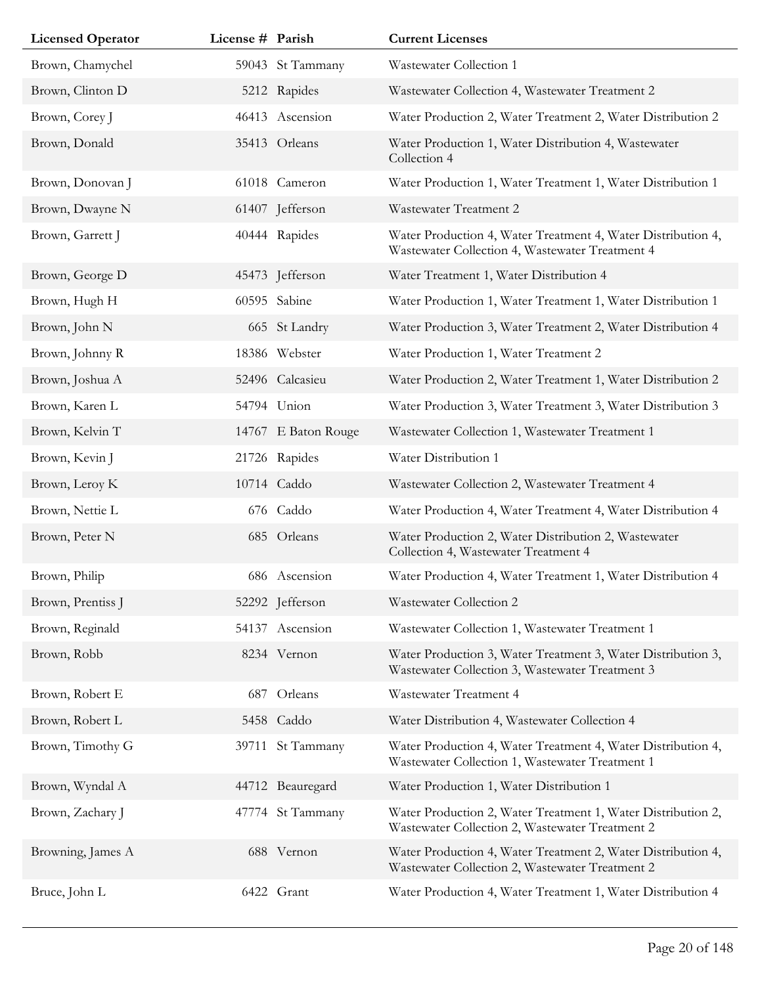| <b>Licensed Operator</b> | License # Parish |                     | <b>Current Licenses</b>                                                                                         |
|--------------------------|------------------|---------------------|-----------------------------------------------------------------------------------------------------------------|
| Brown, Chamychel         |                  | 59043 St Tammany    | Wastewater Collection 1                                                                                         |
| Brown, Clinton D         |                  | 5212 Rapides        | Wastewater Collection 4, Wastewater Treatment 2                                                                 |
| Brown, Corey J           |                  | 46413 Ascension     | Water Production 2, Water Treatment 2, Water Distribution 2                                                     |
| Brown, Donald            |                  | 35413 Orleans       | Water Production 1, Water Distribution 4, Wastewater<br>Collection 4                                            |
| Brown, Donovan J         |                  | 61018 Cameron       | Water Production 1, Water Treatment 1, Water Distribution 1                                                     |
| Brown, Dwayne N          |                  | 61407 Jefferson     | Wastewater Treatment 2                                                                                          |
| Brown, Garrett J         |                  | 40444 Rapides       | Water Production 4, Water Treatment 4, Water Distribution 4,<br>Wastewater Collection 4, Wastewater Treatment 4 |
| Brown, George D          |                  | 45473 Jefferson     | Water Treatment 1, Water Distribution 4                                                                         |
| Brown, Hugh H            |                  | 60595 Sabine        | Water Production 1, Water Treatment 1, Water Distribution 1                                                     |
| Brown, John N            |                  | 665 St Landry       | Water Production 3, Water Treatment 2, Water Distribution 4                                                     |
| Brown, Johnny R          |                  | 18386 Webster       | Water Production 1, Water Treatment 2                                                                           |
| Brown, Joshua A          |                  | 52496 Calcasieu     | Water Production 2, Water Treatment 1, Water Distribution 2                                                     |
| Brown, Karen L           |                  | 54794 Union         | Water Production 3, Water Treatment 3, Water Distribution 3                                                     |
| Brown, Kelvin T          |                  | 14767 E Baton Rouge | Wastewater Collection 1, Wastewater Treatment 1                                                                 |
| Brown, Kevin J           |                  | 21726 Rapides       | Water Distribution 1                                                                                            |
| Brown, Leroy K           |                  | 10714 Caddo         | Wastewater Collection 2, Wastewater Treatment 4                                                                 |
| Brown, Nettie L          |                  | 676 Caddo           | Water Production 4, Water Treatment 4, Water Distribution 4                                                     |
| Brown, Peter N           |                  | 685 Orleans         | Water Production 2, Water Distribution 2, Wastewater<br>Collection 4, Wastewater Treatment 4                    |
| Brown, Philip            |                  | 686 Ascension       | Water Production 4, Water Treatment 1, Water Distribution 4                                                     |
| Brown, Prentiss J        |                  | 52292 Jefferson     | Wastewater Collection 2                                                                                         |
| Brown, Reginald          |                  | 54137 Ascension     | Wastewater Collection 1, Wastewater Treatment 1                                                                 |
| Brown, Robb              |                  | 8234 Vernon         | Water Production 3, Water Treatment 3, Water Distribution 3,<br>Wastewater Collection 3, Wastewater Treatment 3 |
| Brown, Robert E          | 687              | Orleans             | Wastewater Treatment 4                                                                                          |
| Brown, Robert L          |                  | 5458 Caddo          | Water Distribution 4, Wastewater Collection 4                                                                   |
| Brown, Timothy G         |                  | 39711 St Tammany    | Water Production 4, Water Treatment 4, Water Distribution 4,<br>Wastewater Collection 1, Wastewater Treatment 1 |
| Brown, Wyndal A          |                  | 44712 Beauregard    | Water Production 1, Water Distribution 1                                                                        |
| Brown, Zachary J         |                  | 47774 St Tammany    | Water Production 2, Water Treatment 1, Water Distribution 2,<br>Wastewater Collection 2, Wastewater Treatment 2 |
| Browning, James A        |                  | 688 Vernon          | Water Production 4, Water Treatment 2, Water Distribution 4,<br>Wastewater Collection 2, Wastewater Treatment 2 |
| Bruce, John L            |                  | 6422 Grant          | Water Production 4, Water Treatment 1, Water Distribution 4                                                     |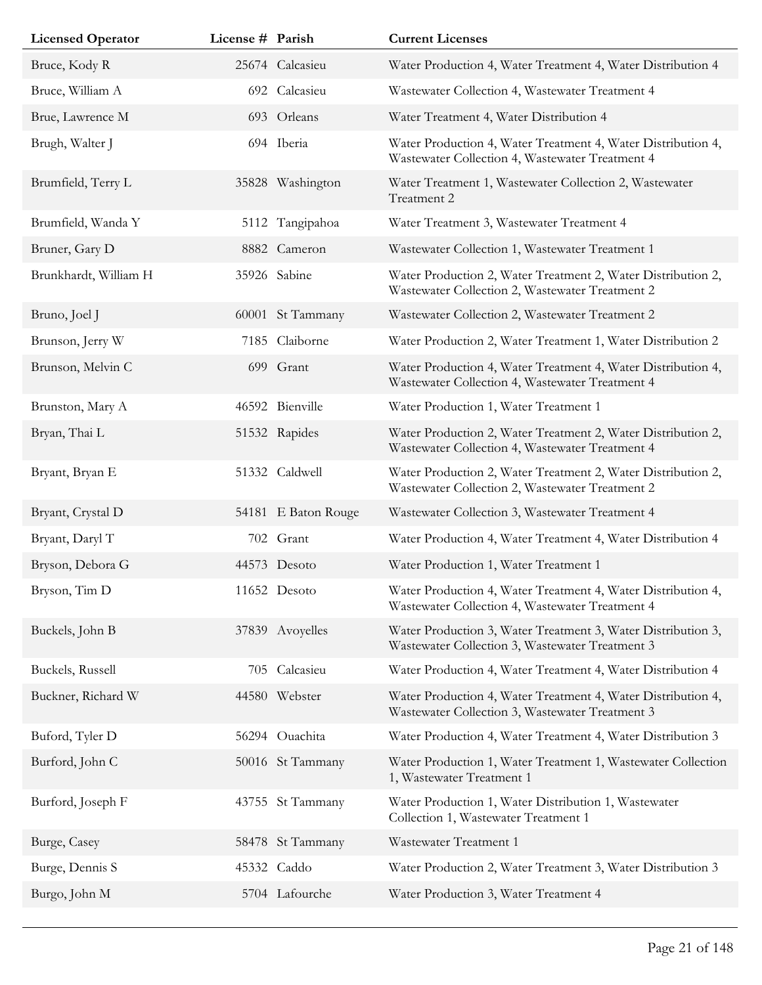| <b>Licensed Operator</b> | License # Parish |                     | <b>Current Licenses</b>                                                                                         |
|--------------------------|------------------|---------------------|-----------------------------------------------------------------------------------------------------------------|
| Bruce, Kody R            |                  | 25674 Calcasieu     | Water Production 4, Water Treatment 4, Water Distribution 4                                                     |
| Bruce, William A         |                  | 692 Calcasieu       | Wastewater Collection 4, Wastewater Treatment 4                                                                 |
| Brue, Lawrence M         |                  | 693 Orleans         | Water Treatment 4, Water Distribution 4                                                                         |
| Brugh, Walter J          |                  | 694 Iberia          | Water Production 4, Water Treatment 4, Water Distribution 4,<br>Wastewater Collection 4, Wastewater Treatment 4 |
| Brumfield, Terry L       |                  | 35828 Washington    | Water Treatment 1, Wastewater Collection 2, Wastewater<br>Treatment 2                                           |
| Brumfield, Wanda Y       |                  | 5112 Tangipahoa     | Water Treatment 3, Wastewater Treatment 4                                                                       |
| Bruner, Gary D           |                  | 8882 Cameron        | Wastewater Collection 1, Wastewater Treatment 1                                                                 |
| Brunkhardt, William H    |                  | 35926 Sabine        | Water Production 2, Water Treatment 2, Water Distribution 2,<br>Wastewater Collection 2, Wastewater Treatment 2 |
| Bruno, Joel J            | 60001            | St Tammany          | Wastewater Collection 2, Wastewater Treatment 2                                                                 |
| Brunson, Jerry W         | 7185             | Claiborne           | Water Production 2, Water Treatment 1, Water Distribution 2                                                     |
| Brunson, Melvin C        |                  | 699 Grant           | Water Production 4, Water Treatment 4, Water Distribution 4,<br>Wastewater Collection 4, Wastewater Treatment 4 |
| Brunston, Mary A         |                  | 46592 Bienville     | Water Production 1, Water Treatment 1                                                                           |
| Bryan, Thai L            |                  | 51532 Rapides       | Water Production 2, Water Treatment 2, Water Distribution 2,<br>Wastewater Collection 4, Wastewater Treatment 4 |
| Bryant, Bryan E          |                  | 51332 Caldwell      | Water Production 2, Water Treatment 2, Water Distribution 2,<br>Wastewater Collection 2, Wastewater Treatment 2 |
| Bryant, Crystal D        |                  | 54181 E Baton Rouge | Wastewater Collection 3, Wastewater Treatment 4                                                                 |
| Bryant, Daryl T          |                  | 702 Grant           | Water Production 4, Water Treatment 4, Water Distribution 4                                                     |
| Bryson, Debora G         |                  | 44573 Desoto        | Water Production 1, Water Treatment 1                                                                           |
| Bryson, Tim D            |                  | 11652 Desoto        | Water Production 4, Water Treatment 4, Water Distribution 4,<br>Wastewater Collection 4, Wastewater Treatment 4 |
| Buckels, John B          |                  | 37839 Avoyelles     | Water Production 3, Water Treatment 3, Water Distribution 3,<br>Wastewater Collection 3, Wastewater Treatment 3 |
| Buckels, Russell         | 705              | Calcasieu           | Water Production 4, Water Treatment 4, Water Distribution 4                                                     |
| Buckner, Richard W       |                  | 44580 Webster       | Water Production 4, Water Treatment 4, Water Distribution 4,<br>Wastewater Collection 3, Wastewater Treatment 3 |
| Buford, Tyler D          |                  | 56294 Ouachita      | Water Production 4, Water Treatment 4, Water Distribution 3                                                     |
| Burford, John C          |                  | 50016 St Tammany    | Water Production 1, Water Treatment 1, Wastewater Collection<br>1, Wastewater Treatment 1                       |
| Burford, Joseph F        |                  | 43755 St Tammany    | Water Production 1, Water Distribution 1, Wastewater<br>Collection 1, Wastewater Treatment 1                    |
| Burge, Casey             |                  | 58478 St Tammany    | Wastewater Treatment 1                                                                                          |
| Burge, Dennis S          |                  | 45332 Caddo         | Water Production 2, Water Treatment 3, Water Distribution 3                                                     |
| Burgo, John M            |                  | 5704 Lafourche      | Water Production 3, Water Treatment 4                                                                           |
|                          |                  |                     |                                                                                                                 |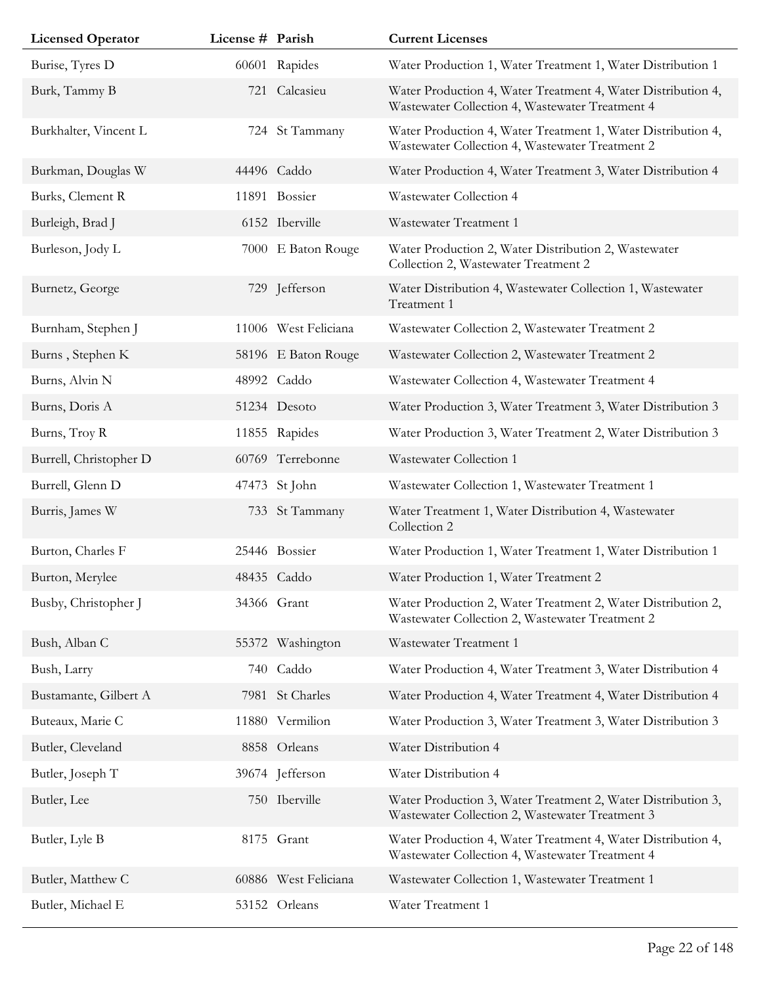| <b>Licensed Operator</b> | License # Parish |                      | <b>Current Licenses</b>                                                                                         |
|--------------------------|------------------|----------------------|-----------------------------------------------------------------------------------------------------------------|
| Burise, Tyres D          |                  | 60601 Rapides        | Water Production 1, Water Treatment 1, Water Distribution 1                                                     |
| Burk, Tammy B            | 721              | Calcasieu            | Water Production 4, Water Treatment 4, Water Distribution 4,<br>Wastewater Collection 4, Wastewater Treatment 4 |
| Burkhalter, Vincent L    |                  | 724 St Tammany       | Water Production 4, Water Treatment 1, Water Distribution 4,<br>Wastewater Collection 4, Wastewater Treatment 2 |
| Burkman, Douglas W       |                  | 44496 Caddo          | Water Production 4, Water Treatment 3, Water Distribution 4                                                     |
| Burks, Clement R         |                  | 11891 Bossier        | Wastewater Collection 4                                                                                         |
| Burleigh, Brad J         |                  | 6152 Iberville       | Wastewater Treatment 1                                                                                          |
| Burleson, Jody L         |                  | 7000 E Baton Rouge   | Water Production 2, Water Distribution 2, Wastewater<br>Collection 2, Wastewater Treatment 2                    |
| Burnetz, George          |                  | 729 Jefferson        | Water Distribution 4, Wastewater Collection 1, Wastewater<br>Treatment 1                                        |
| Burnham, Stephen J       |                  | 11006 West Feliciana | Wastewater Collection 2, Wastewater Treatment 2                                                                 |
| Burns, Stephen K         |                  | 58196 E Baton Rouge  | Wastewater Collection 2, Wastewater Treatment 2                                                                 |
| Burns, Alvin N           |                  | 48992 Caddo          | Wastewater Collection 4, Wastewater Treatment 4                                                                 |
| Burns, Doris A           |                  | 51234 Desoto         | Water Production 3, Water Treatment 3, Water Distribution 3                                                     |
| Burns, Troy R            |                  | 11855 Rapides        | Water Production 3, Water Treatment 2, Water Distribution 3                                                     |
| Burrell, Christopher D   |                  | 60769 Terrebonne     | Wastewater Collection 1                                                                                         |
| Burrell, Glenn D         |                  | 47473 St John        | Wastewater Collection 1, Wastewater Treatment 1                                                                 |
| Burris, James W          |                  | 733 St Tammany       | Water Treatment 1, Water Distribution 4, Wastewater<br>Collection 2                                             |
| Burton, Charles F        |                  | 25446 Bossier        | Water Production 1, Water Treatment 1, Water Distribution 1                                                     |
| Burton, Merylee          |                  | 48435 Caddo          | Water Production 1, Water Treatment 2                                                                           |
| Busby, Christopher J     |                  | 34366 Grant          | Water Production 2, Water Treatment 2, Water Distribution 2,<br>Wastewater Collection 2, Wastewater Treatment 2 |
| Bush, Alban C            |                  | 55372 Washington     | Wastewater Treatment 1                                                                                          |
| Bush, Larry              | 740              | Caddo                | Water Production 4, Water Treatment 3, Water Distribution 4                                                     |
| Bustamante, Gilbert A    |                  | 7981 St Charles      | Water Production 4, Water Treatment 4, Water Distribution 4                                                     |
| Buteaux, Marie C         |                  | 11880 Vermilion      | Water Production 3, Water Treatment 3, Water Distribution 3                                                     |
| Butler, Cleveland        |                  | 8858 Orleans         | Water Distribution 4                                                                                            |
| Butler, Joseph T         |                  | 39674 Jefferson      | Water Distribution 4                                                                                            |
| Butler, Lee              |                  | 750 Iberville        | Water Production 3, Water Treatment 2, Water Distribution 3,<br>Wastewater Collection 2, Wastewater Treatment 3 |
| Butler, Lyle B           |                  | 8175 Grant           | Water Production 4, Water Treatment 4, Water Distribution 4,<br>Wastewater Collection 4, Wastewater Treatment 4 |
| Butler, Matthew C        |                  | 60886 West Feliciana | Wastewater Collection 1, Wastewater Treatment 1                                                                 |
| Butler, Michael E        |                  | 53152 Orleans        | Water Treatment 1                                                                                               |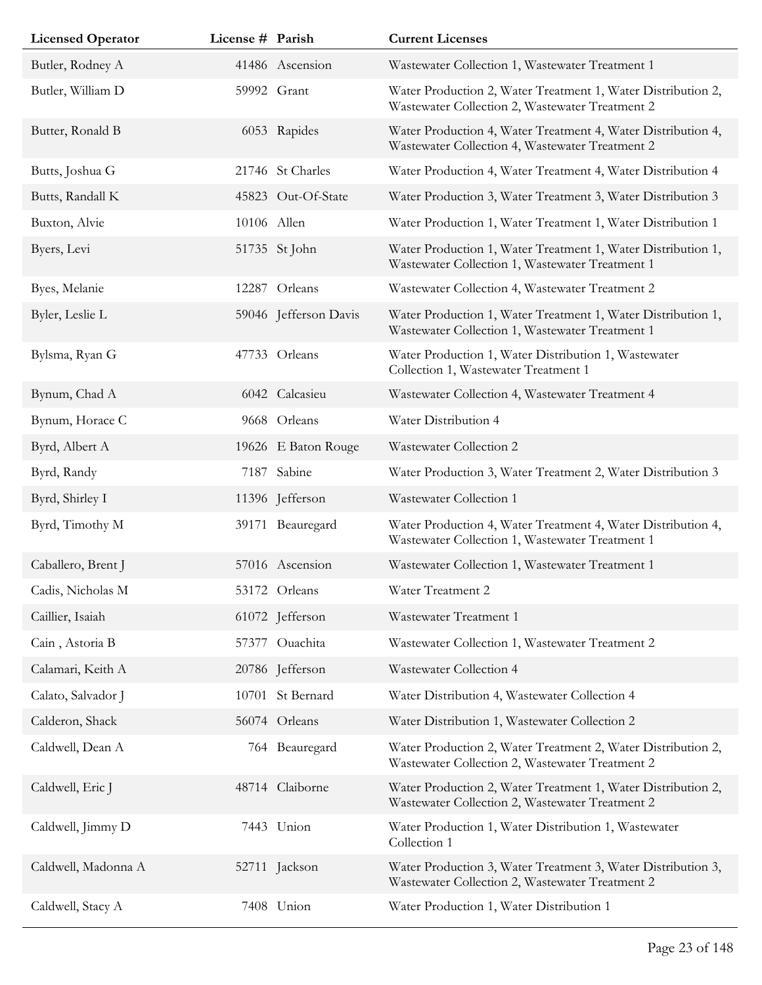| <b>Licensed Operator</b> | License # Parish |                       | <b>Current Licenses</b>                                                                                         |
|--------------------------|------------------|-----------------------|-----------------------------------------------------------------------------------------------------------------|
| Butler, Rodney A         |                  | 41486 Ascension       | Wastewater Collection 1, Wastewater Treatment 1                                                                 |
| Butler, William D        |                  | 59992 Grant           | Water Production 2, Water Treatment 1, Water Distribution 2,<br>Wastewater Collection 2, Wastewater Treatment 2 |
| Butter, Ronald B         |                  | 6053 Rapides          | Water Production 4, Water Treatment 4, Water Distribution 4,<br>Wastewater Collection 4, Wastewater Treatment 2 |
| Butts, Joshua G          |                  | 21746 St Charles      | Water Production 4, Water Treatment 4, Water Distribution 4                                                     |
| Butts, Randall K         |                  | 45823 Out-Of-State    | Water Production 3, Water Treatment 3, Water Distribution 3                                                     |
| Buxton, Alvie            |                  | 10106 Allen           | Water Production 1, Water Treatment 1, Water Distribution 1                                                     |
| Byers, Levi              |                  | 51735 St John         | Water Production 1, Water Treatment 1, Water Distribution 1,<br>Wastewater Collection 1, Wastewater Treatment 1 |
| Byes, Melanie            |                  | 12287 Orleans         | Wastewater Collection 4, Wastewater Treatment 2                                                                 |
| Byler, Leslie L          |                  | 59046 Jefferson Davis | Water Production 1, Water Treatment 1, Water Distribution 1,<br>Wastewater Collection 1, Wastewater Treatment 1 |
| Bylsma, Ryan G           |                  | 47733 Orleans         | Water Production 1, Water Distribution 1, Wastewater<br>Collection 1, Wastewater Treatment 1                    |
| Bynum, Chad A            |                  | 6042 Calcasieu        | Wastewater Collection 4, Wastewater Treatment 4                                                                 |
| Bynum, Horace C          |                  | 9668 Orleans          | Water Distribution 4                                                                                            |
| Byrd, Albert A           |                  | 19626 E Baton Rouge   | Wastewater Collection 2                                                                                         |
| Byrd, Randy              |                  | 7187 Sabine           | Water Production 3, Water Treatment 2, Water Distribution 3                                                     |
| Byrd, Shirley I          |                  | 11396 Jefferson       | Wastewater Collection 1                                                                                         |
| Byrd, Timothy M          |                  | 39171 Beauregard      | Water Production 4, Water Treatment 4, Water Distribution 4,<br>Wastewater Collection 1, Wastewater Treatment 1 |
| Caballero, Brent J       |                  | 57016 Ascension       | Wastewater Collection 1, Wastewater Treatment 1                                                                 |
| Cadis, Nicholas M        |                  | 53172 Orleans         | Water Treatment 2                                                                                               |
| Caillier, Isaiah         |                  | 61072 Jefferson       | Wastewater Treatment 1                                                                                          |
| Cain, Astoria B          |                  | 57377 Ouachita        | Wastewater Collection 1, Wastewater Treatment 2                                                                 |
| Calamari, Keith A        |                  | 20786 Jefferson       | Wastewater Collection 4                                                                                         |
| Calato, Salvador J       |                  | 10701 St Bernard      | Water Distribution 4, Wastewater Collection 4                                                                   |
| Calderon, Shack          |                  | 56074 Orleans         | Water Distribution 1, Wastewater Collection 2                                                                   |
| Caldwell, Dean A         |                  | 764 Beauregard        | Water Production 2, Water Treatment 2, Water Distribution 2,<br>Wastewater Collection 2, Wastewater Treatment 2 |
| Caldwell, Eric J         |                  | 48714 Claiborne       | Water Production 2, Water Treatment 1, Water Distribution 2,<br>Wastewater Collection 2, Wastewater Treatment 2 |
| Caldwell, Jimmy D        |                  | 7443 Union            | Water Production 1, Water Distribution 1, Wastewater<br>Collection 1                                            |
| Caldwell, Madonna A      |                  | 52711 Jackson         | Water Production 3, Water Treatment 3, Water Distribution 3,<br>Wastewater Collection 2, Wastewater Treatment 2 |
| Caldwell, Stacy A        |                  | 7408 Union            | Water Production 1, Water Distribution 1                                                                        |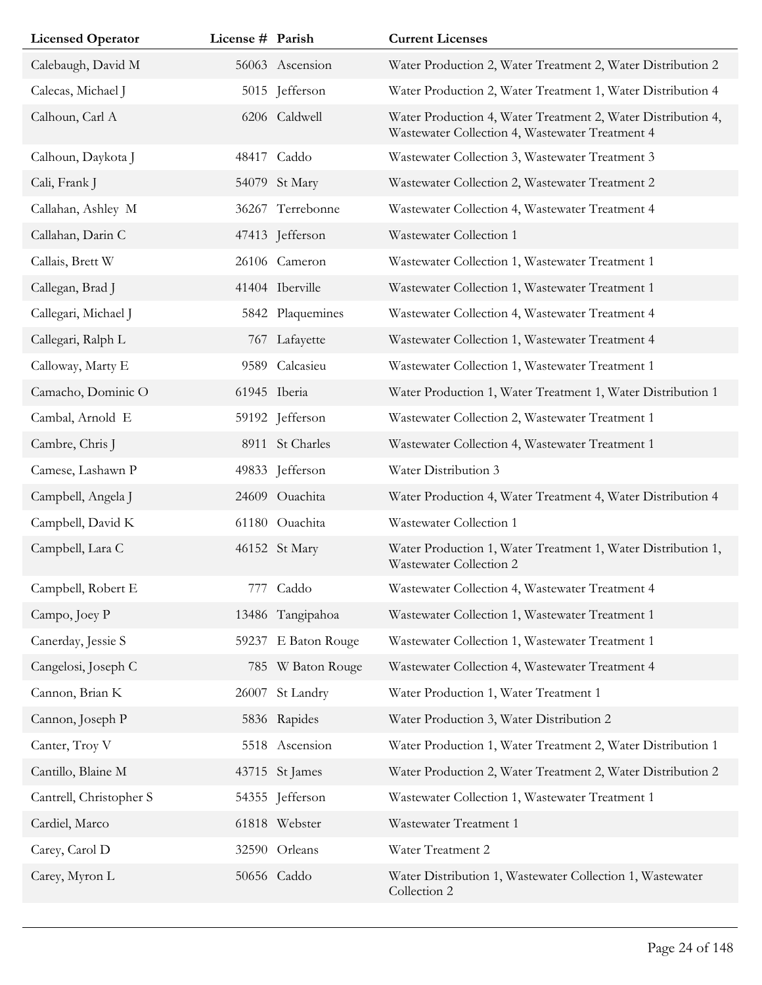| <b>Licensed Operator</b> | License # Parish |                     | <b>Current Licenses</b>                                                                                         |
|--------------------------|------------------|---------------------|-----------------------------------------------------------------------------------------------------------------|
| Calebaugh, David M       |                  | 56063 Ascension     | Water Production 2, Water Treatment 2, Water Distribution 2                                                     |
| Calecas, Michael J       |                  | 5015 Jefferson      | Water Production 2, Water Treatment 1, Water Distribution 4                                                     |
| Calhoun, Carl A          |                  | 6206 Caldwell       | Water Production 4, Water Treatment 2, Water Distribution 4,<br>Wastewater Collection 4, Wastewater Treatment 4 |
| Calhoun, Daykota J       |                  | 48417 Caddo         | Wastewater Collection 3, Wastewater Treatment 3                                                                 |
| Cali, Frank J            |                  | 54079 St Mary       | Wastewater Collection 2, Wastewater Treatment 2                                                                 |
| Callahan, Ashley M       |                  | 36267 Terrebonne    | Wastewater Collection 4, Wastewater Treatment 4                                                                 |
| Callahan, Darin C        |                  | 47413 Jefferson     | Wastewater Collection 1                                                                                         |
| Callais, Brett W         |                  | 26106 Cameron       | Wastewater Collection 1, Wastewater Treatment 1                                                                 |
| Callegan, Brad J         |                  | 41404 Iberville     | Wastewater Collection 1, Wastewater Treatment 1                                                                 |
| Callegari, Michael J     |                  | 5842 Plaquemines    | Wastewater Collection 4, Wastewater Treatment 4                                                                 |
| Callegari, Ralph L       |                  | 767 Lafayette       | Wastewater Collection 1, Wastewater Treatment 4                                                                 |
| Calloway, Marty E        |                  | 9589 Calcasieu      | Wastewater Collection 1, Wastewater Treatment 1                                                                 |
| Camacho, Dominic O       |                  | 61945 Iberia        | Water Production 1, Water Treatment 1, Water Distribution 1                                                     |
| Cambal, Arnold E         |                  | 59192 Jefferson     | Wastewater Collection 2, Wastewater Treatment 1                                                                 |
| Cambre, Chris J          |                  | 8911 St Charles     | Wastewater Collection 4, Wastewater Treatment 1                                                                 |
| Camese, Lashawn P        |                  | 49833 Jefferson     | Water Distribution 3                                                                                            |
| Campbell, Angela J       |                  | 24609 Ouachita      | Water Production 4, Water Treatment 4, Water Distribution 4                                                     |
| Campbell, David K        |                  | 61180 Ouachita      | Wastewater Collection 1                                                                                         |
| Campbell, Lara C         |                  | 46152 St Mary       | Water Production 1, Water Treatment 1, Water Distribution 1,<br>Wastewater Collection 2                         |
| Campbell, Robert E       |                  | 777 Caddo           | Wastewater Collection 4, Wastewater Treatment 4                                                                 |
| Campo, Joey P            |                  | 13486 Tangipahoa    | Wastewater Collection 1, Wastewater Treatment 1                                                                 |
| Canerday, Jessie S       |                  | 59237 E Baton Rouge | Wastewater Collection 1, Wastewater Treatment 1                                                                 |
| Cangelosi, Joseph C      |                  | 785 W Baton Rouge   | Wastewater Collection 4, Wastewater Treatment 4                                                                 |
| Cannon, Brian K          | 26007            | St Landry           | Water Production 1, Water Treatment 1                                                                           |
| Cannon, Joseph P         |                  | 5836 Rapides        | Water Production 3, Water Distribution 2                                                                        |
| Canter, Troy V           |                  | 5518 Ascension      | Water Production 1, Water Treatment 2, Water Distribution 1                                                     |
| Cantillo, Blaine M       |                  | 43715 St James      | Water Production 2, Water Treatment 2, Water Distribution 2                                                     |
| Cantrell, Christopher S  |                  | 54355 Jefferson     | Wastewater Collection 1, Wastewater Treatment 1                                                                 |
| Cardiel, Marco           |                  | 61818 Webster       | Wastewater Treatment 1                                                                                          |
| Carey, Carol D           |                  | 32590 Orleans       | Water Treatment 2                                                                                               |
| Carey, Myron L           |                  | 50656 Caddo         | Water Distribution 1, Wastewater Collection 1, Wastewater<br>Collection 2                                       |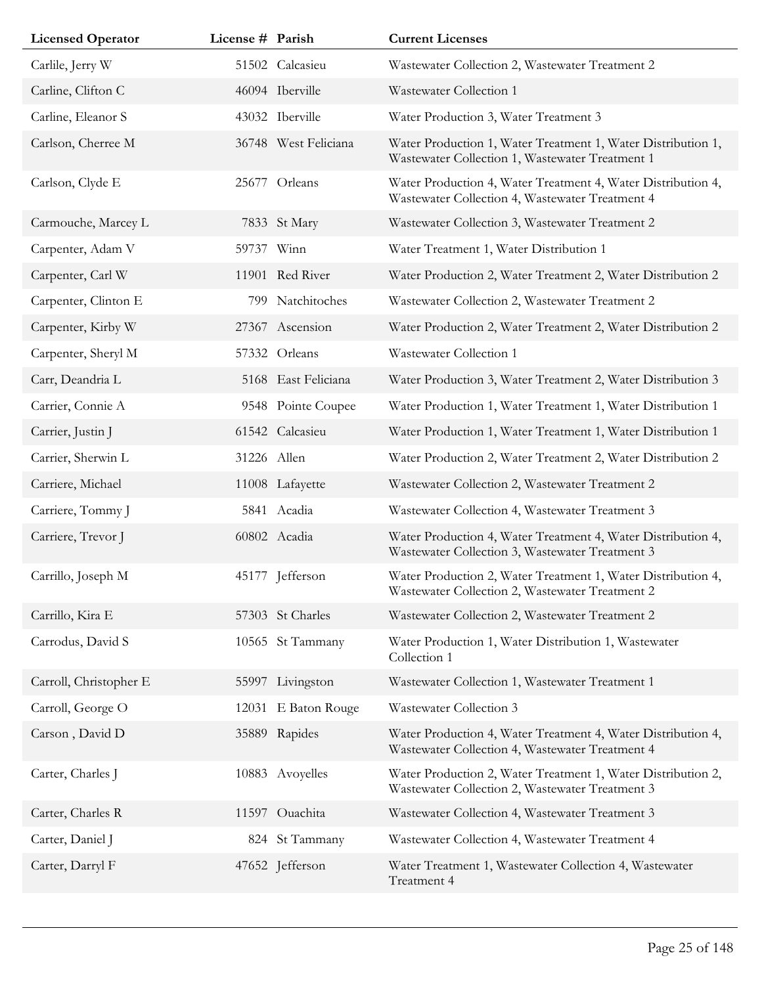| <b>Licensed Operator</b> | License # Parish |                      | <b>Current Licenses</b>                                                                                         |
|--------------------------|------------------|----------------------|-----------------------------------------------------------------------------------------------------------------|
| Carlile, Jerry W         |                  | 51502 Calcasieu      | Wastewater Collection 2, Wastewater Treatment 2                                                                 |
| Carline, Clifton C       |                  | 46094 Iberville      | Wastewater Collection 1                                                                                         |
| Carline, Eleanor S       |                  | 43032 Iberville      | Water Production 3, Water Treatment 3                                                                           |
| Carlson, Cherree M       |                  | 36748 West Feliciana | Water Production 1, Water Treatment 1, Water Distribution 1,<br>Wastewater Collection 1, Wastewater Treatment 1 |
| Carlson, Clyde E         | 25677            | Orleans              | Water Production 4, Water Treatment 4, Water Distribution 4,<br>Wastewater Collection 4, Wastewater Treatment 4 |
| Carmouche, Marcey L      |                  | 7833 St Mary         | Wastewater Collection 3, Wastewater Treatment 2                                                                 |
| Carpenter, Adam V        |                  | 59737 Winn           | Water Treatment 1, Water Distribution 1                                                                         |
| Carpenter, Carl W        |                  | 11901 Red River      | Water Production 2, Water Treatment 2, Water Distribution 2                                                     |
| Carpenter, Clinton E     | 799              | Natchitoches         | Wastewater Collection 2, Wastewater Treatment 2                                                                 |
| Carpenter, Kirby W       |                  | 27367 Ascension      | Water Production 2, Water Treatment 2, Water Distribution 2                                                     |
| Carpenter, Sheryl M      |                  | 57332 Orleans        | Wastewater Collection 1                                                                                         |
| Carr, Deandria L         |                  | 5168 East Feliciana  | Water Production 3, Water Treatment 2, Water Distribution 3                                                     |
| Carrier, Connie A        |                  | 9548 Pointe Coupee   | Water Production 1, Water Treatment 1, Water Distribution 1                                                     |
| Carrier, Justin J        |                  | 61542 Calcasieu      | Water Production 1, Water Treatment 1, Water Distribution 1                                                     |
| Carrier, Sherwin L       |                  | 31226 Allen          | Water Production 2, Water Treatment 2, Water Distribution 2                                                     |
| Carriere, Michael        |                  | 11008 Lafayette      | Wastewater Collection 2, Wastewater Treatment 2                                                                 |
| Carriere, Tommy J        |                  | 5841 Acadia          | Wastewater Collection 4, Wastewater Treatment 3                                                                 |
| Carriere, Trevor J       |                  | 60802 Acadia         | Water Production 4, Water Treatment 4, Water Distribution 4,<br>Wastewater Collection 3, Wastewater Treatment 3 |
| Carrillo, Joseph M       |                  | 45177 Jefferson      | Water Production 2, Water Treatment 1, Water Distribution 4,<br>Wastewater Collection 2, Wastewater Treatment 2 |
| Carrillo, Kira E         |                  | 57303 St Charles     | Wastewater Collection 2, Wastewater Treatment 2                                                                 |
| Carrodus, David S        |                  | 10565 St Tammany     | Water Production 1, Water Distribution 1, Wastewater<br>Collection 1                                            |
| Carroll, Christopher E   |                  | 55997 Livingston     | Wastewater Collection 1, Wastewater Treatment 1                                                                 |
| Carroll, George O        |                  | 12031 E Baton Rouge  | Wastewater Collection 3                                                                                         |
| Carson, David D          |                  | 35889 Rapides        | Water Production 4, Water Treatment 4, Water Distribution 4,<br>Wastewater Collection 4, Wastewater Treatment 4 |
| Carter, Charles J        |                  | 10883 Avoyelles      | Water Production 2, Water Treatment 1, Water Distribution 2,<br>Wastewater Collection 2, Wastewater Treatment 3 |
| Carter, Charles R        |                  | 11597 Ouachita       | Wastewater Collection 4, Wastewater Treatment 3                                                                 |
| Carter, Daniel J         |                  | 824 St Tammany       | Wastewater Collection 4, Wastewater Treatment 4                                                                 |
| Carter, Darryl F         |                  | 47652 Jefferson      | Water Treatment 1, Wastewater Collection 4, Wastewater<br>Treatment 4                                           |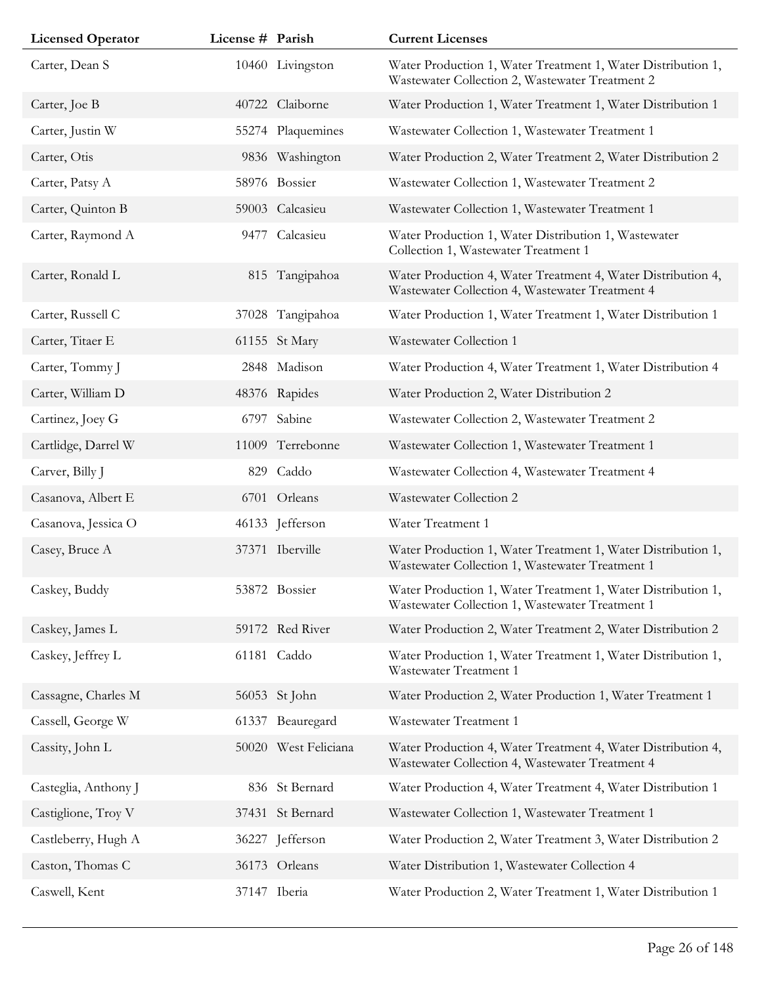| <b>Licensed Operator</b> | License # Parish |                      | <b>Current Licenses</b>                                                                                         |
|--------------------------|------------------|----------------------|-----------------------------------------------------------------------------------------------------------------|
| Carter, Dean S           |                  | 10460 Livingston     | Water Production 1, Water Treatment 1, Water Distribution 1,<br>Wastewater Collection 2, Wastewater Treatment 2 |
| Carter, Joe B            | 40722            | Claiborne            | Water Production 1, Water Treatment 1, Water Distribution 1                                                     |
| Carter, Justin W         | 55274            | Plaquemines          | Wastewater Collection 1, Wastewater Treatment 1                                                                 |
| Carter, Otis             |                  | 9836 Washington      | Water Production 2, Water Treatment 2, Water Distribution 2                                                     |
| Carter, Patsy A          |                  | 58976 Bossier        | Wastewater Collection 1, Wastewater Treatment 2                                                                 |
| Carter, Quinton B        |                  | 59003 Calcasieu      | Wastewater Collection 1, Wastewater Treatment 1                                                                 |
| Carter, Raymond A        | 9477             | Calcasieu            | Water Production 1, Water Distribution 1, Wastewater<br>Collection 1, Wastewater Treatment 1                    |
| Carter, Ronald L         |                  | 815 Tangipahoa       | Water Production 4, Water Treatment 4, Water Distribution 4,<br>Wastewater Collection 4, Wastewater Treatment 4 |
| Carter, Russell C        |                  | 37028 Tangipahoa     | Water Production 1, Water Treatment 1, Water Distribution 1                                                     |
| Carter, Titaer E         |                  | 61155 St Mary        | Wastewater Collection 1                                                                                         |
| Carter, Tommy J          |                  | 2848 Madison         | Water Production 4, Water Treatment 1, Water Distribution 4                                                     |
| Carter, William D        |                  | 48376 Rapides        | Water Production 2, Water Distribution 2                                                                        |
| Cartinez, Joey G         | 6797             | Sabine               | Wastewater Collection 2, Wastewater Treatment 2                                                                 |
| Cartlidge, Darrel W      |                  | 11009 Terrebonne     | Wastewater Collection 1, Wastewater Treatment 1                                                                 |
| Carver, Billy J          | 829              | Caddo                | Wastewater Collection 4, Wastewater Treatment 4                                                                 |
| Casanova, Albert E       |                  | 6701 Orleans         | Wastewater Collection 2                                                                                         |
| Casanova, Jessica O      |                  | 46133 Jefferson      | Water Treatment 1                                                                                               |
| Casey, Bruce A           |                  | 37371 Iberville      | Water Production 1, Water Treatment 1, Water Distribution 1,<br>Wastewater Collection 1, Wastewater Treatment 1 |
| Caskey, Buddy            |                  | 53872 Bossier        | Water Production 1, Water Treatment 1, Water Distribution 1,<br>Wastewater Collection 1, Wastewater Treatment 1 |
| Caskey, James L          |                  | 59172 Red River      | Water Production 2, Water Treatment 2, Water Distribution 2                                                     |
| Caskey, Jeffrey L        |                  | 61181 Caddo          | Water Production 1, Water Treatment 1, Water Distribution 1,<br>Wastewater Treatment 1                          |
| Cassagne, Charles M      |                  | 56053 St John        | Water Production 2, Water Production 1, Water Treatment 1                                                       |
| Cassell, George W        |                  | 61337 Beauregard     | Wastewater Treatment 1                                                                                          |
| Cassity, John L          |                  | 50020 West Feliciana | Water Production 4, Water Treatment 4, Water Distribution 4,<br>Wastewater Collection 4, Wastewater Treatment 4 |
| Casteglia, Anthony J     |                  | 836 St Bernard       | Water Production 4, Water Treatment 4, Water Distribution 1                                                     |
| Castiglione, Troy V      | 37431            | St Bernard           | Wastewater Collection 1, Wastewater Treatment 1                                                                 |
| Castleberry, Hugh A      | 36227            | Jefferson            | Water Production 2, Water Treatment 3, Water Distribution 2                                                     |
| Caston, Thomas C         |                  | 36173 Orleans        | Water Distribution 1, Wastewater Collection 4                                                                   |
| Caswell, Kent            |                  | 37147 Iberia         | Water Production 2, Water Treatment 1, Water Distribution 1                                                     |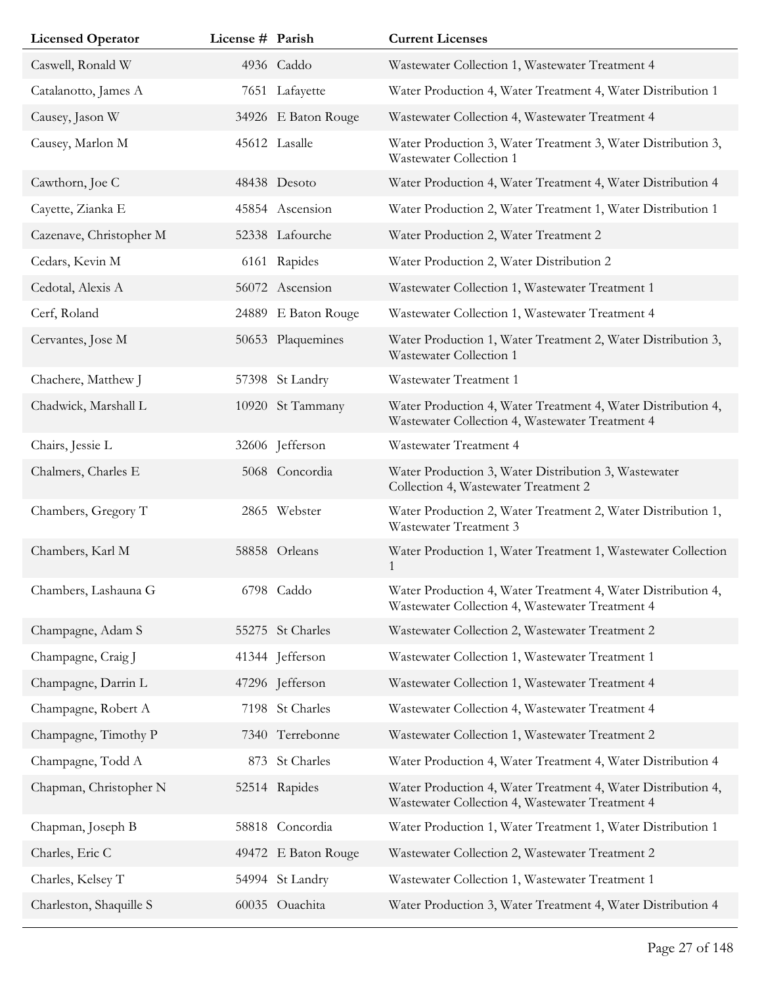| <b>Licensed Operator</b> | License # Parish |                     | <b>Current Licenses</b>                                                                                         |
|--------------------------|------------------|---------------------|-----------------------------------------------------------------------------------------------------------------|
| Caswell, Ronald W        |                  | 4936 Caddo          | Wastewater Collection 1, Wastewater Treatment 4                                                                 |
| Catalanotto, James A     |                  | 7651 Lafayette      | Water Production 4, Water Treatment 4, Water Distribution 1                                                     |
| Causey, Jason W          |                  | 34926 E Baton Rouge | Wastewater Collection 4, Wastewater Treatment 4                                                                 |
| Causey, Marlon M         |                  | 45612 Lasalle       | Water Production 3, Water Treatment 3, Water Distribution 3,<br>Wastewater Collection 1                         |
| Cawthorn, Joe C          |                  | 48438 Desoto        | Water Production 4, Water Treatment 4, Water Distribution 4                                                     |
| Cayette, Zianka E        |                  | 45854 Ascension     | Water Production 2, Water Treatment 1, Water Distribution 1                                                     |
| Cazenave, Christopher M  |                  | 52338 Lafourche     | Water Production 2, Water Treatment 2                                                                           |
| Cedars, Kevin M          |                  | 6161 Rapides        | Water Production 2, Water Distribution 2                                                                        |
| Cedotal, Alexis A        |                  | 56072 Ascension     | Wastewater Collection 1, Wastewater Treatment 1                                                                 |
| Cerf, Roland             |                  | 24889 E Baton Rouge | Wastewater Collection 1, Wastewater Treatment 4                                                                 |
| Cervantes, Jose M        |                  | 50653 Plaquemines   | Water Production 1, Water Treatment 2, Water Distribution 3,<br>Wastewater Collection 1                         |
| Chachere, Matthew J      |                  | 57398 St Landry     | Wastewater Treatment 1                                                                                          |
| Chadwick, Marshall L     |                  | 10920 St Tammany    | Water Production 4, Water Treatment 4, Water Distribution 4,<br>Wastewater Collection 4, Wastewater Treatment 4 |
| Chairs, Jessie L         |                  | 32606 Jefferson     | Wastewater Treatment 4                                                                                          |
| Chalmers, Charles E      |                  | 5068 Concordia      | Water Production 3, Water Distribution 3, Wastewater<br>Collection 4, Wastewater Treatment 2                    |
| Chambers, Gregory T      |                  | 2865 Webster        | Water Production 2, Water Treatment 2, Water Distribution 1,<br>Wastewater Treatment 3                          |
| Chambers, Karl M         |                  | 58858 Orleans       | Water Production 1, Water Treatment 1, Wastewater Collection<br>1                                               |
| Chambers, Lashauna G     |                  | 6798 Caddo          | Water Production 4, Water Treatment 4, Water Distribution 4,<br>Wastewater Collection 4, Wastewater Treatment 4 |
| Champagne, Adam S        |                  | 55275 St Charles    | Wastewater Collection 2, Wastewater Treatment 2                                                                 |
| Champagne, Craig J       |                  | 41344 Jefferson     | Wastewater Collection 1, Wastewater Treatment 1                                                                 |
| Champagne, Darrin L      |                  | 47296 Jefferson     | Wastewater Collection 1, Wastewater Treatment 4                                                                 |
| Champagne, Robert A      |                  | 7198 St Charles     | Wastewater Collection 4, Wastewater Treatment 4                                                                 |
| Champagne, Timothy P     |                  | 7340 Terrebonne     | Wastewater Collection 1, Wastewater Treatment 2                                                                 |
| Champagne, Todd A        |                  | 873 St Charles      | Water Production 4, Water Treatment 4, Water Distribution 4                                                     |
| Chapman, Christopher N   |                  | 52514 Rapides       | Water Production 4, Water Treatment 4, Water Distribution 4,<br>Wastewater Collection 4, Wastewater Treatment 4 |
| Chapman, Joseph B        |                  | 58818 Concordia     | Water Production 1, Water Treatment 1, Water Distribution 1                                                     |
| Charles, Eric C          |                  | 49472 E Baton Rouge | Wastewater Collection 2, Wastewater Treatment 2                                                                 |
| Charles, Kelsey T        |                  | 54994 St Landry     | Wastewater Collection 1, Wastewater Treatment 1                                                                 |
| Charleston, Shaquille S  |                  | 60035 Ouachita      | Water Production 3, Water Treatment 4, Water Distribution 4                                                     |
|                          |                  |                     |                                                                                                                 |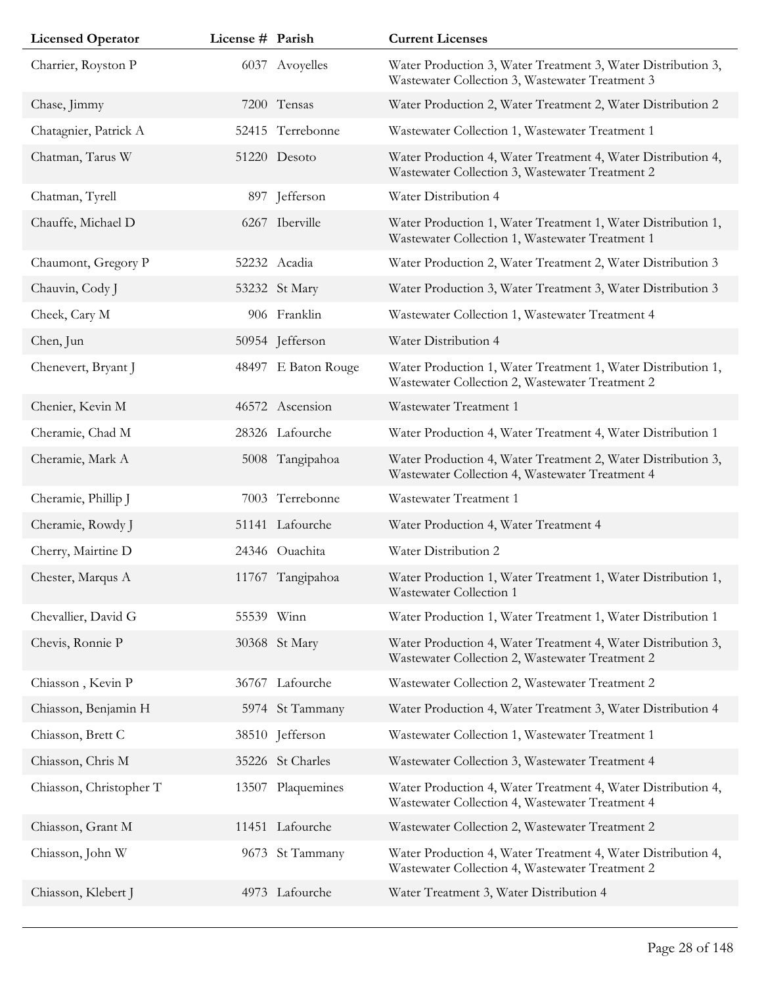| <b>Licensed Operator</b> | License # Parish |                     | <b>Current Licenses</b>                                                                                         |
|--------------------------|------------------|---------------------|-----------------------------------------------------------------------------------------------------------------|
| Charrier, Royston P      |                  | 6037 Avoyelles      | Water Production 3, Water Treatment 3, Water Distribution 3,<br>Wastewater Collection 3, Wastewater Treatment 3 |
| Chase, Jimmy             |                  | 7200 Tensas         | Water Production 2, Water Treatment 2, Water Distribution 2                                                     |
| Chatagnier, Patrick A    |                  | 52415 Terrebonne    | Wastewater Collection 1, Wastewater Treatment 1                                                                 |
| Chatman, Tarus W         |                  | 51220 Desoto        | Water Production 4, Water Treatment 4, Water Distribution 4,<br>Wastewater Collection 3, Wastewater Treatment 2 |
| Chatman, Tyrell          |                  | 897 Jefferson       | Water Distribution 4                                                                                            |
| Chauffe, Michael D       |                  | 6267 Iberville      | Water Production 1, Water Treatment 1, Water Distribution 1,<br>Wastewater Collection 1, Wastewater Treatment 1 |
| Chaumont, Gregory P      |                  | 52232 Acadia        | Water Production 2, Water Treatment 2, Water Distribution 3                                                     |
| Chauvin, Cody J          |                  | 53232 St Mary       | Water Production 3, Water Treatment 3, Water Distribution 3                                                     |
| Cheek, Cary M            |                  | 906 Franklin        | Wastewater Collection 1, Wastewater Treatment 4                                                                 |
| Chen, Jun                |                  | 50954 Jefferson     | Water Distribution 4                                                                                            |
| Chenevert, Bryant J      |                  | 48497 E Baton Rouge | Water Production 1, Water Treatment 1, Water Distribution 1,<br>Wastewater Collection 2, Wastewater Treatment 2 |
| Chenier, Kevin M         |                  | 46572 Ascension     | Wastewater Treatment 1                                                                                          |
| Cheramie, Chad M         |                  | 28326 Lafourche     | Water Production 4, Water Treatment 4, Water Distribution 1                                                     |
| Cheramie, Mark A         |                  | 5008 Tangipahoa     | Water Production 4, Water Treatment 2, Water Distribution 3,<br>Wastewater Collection 4, Wastewater Treatment 4 |
| Cheramie, Phillip J      |                  | 7003 Terrebonne     | Wastewater Treatment 1                                                                                          |
| Cheramie, Rowdy J        |                  | 51141 Lafourche     | Water Production 4, Water Treatment 4                                                                           |
| Cherry, Mairtine D       |                  | 24346 Ouachita      | Water Distribution 2                                                                                            |
| Chester, Marqus A        |                  | 11767 Tangipahoa    | Water Production 1, Water Treatment 1, Water Distribution 1,<br>Wastewater Collection 1                         |
| Chevallier, David G      |                  | 55539 Winn          | Water Production 1, Water Treatment 1, Water Distribution 1                                                     |
| Chevis, Ronnie P         |                  | 30368 St Mary       | Water Production 4, Water Treatment 4, Water Distribution 3,<br>Wastewater Collection 2, Wastewater Treatment 2 |
| Chiasson, Kevin P        |                  | 36767 Lafourche     | Wastewater Collection 2, Wastewater Treatment 2                                                                 |
| Chiasson, Benjamin H     |                  | 5974 St Tammany     | Water Production 4, Water Treatment 3, Water Distribution 4                                                     |
| Chiasson, Brett C        |                  | 38510 Jefferson     | Wastewater Collection 1, Wastewater Treatment 1                                                                 |
| Chiasson, Chris M        |                  | 35226 St Charles    | Wastewater Collection 3, Wastewater Treatment 4                                                                 |
| Chiasson, Christopher T  | 13507            | Plaquemines         | Water Production 4, Water Treatment 4, Water Distribution 4,<br>Wastewater Collection 4, Wastewater Treatment 4 |
| Chiasson, Grant M        |                  | 11451 Lafourche     | Wastewater Collection 2, Wastewater Treatment 2                                                                 |
| Chiasson, John W         |                  | 9673 St Tammany     | Water Production 4, Water Treatment 4, Water Distribution 4,<br>Wastewater Collection 4, Wastewater Treatment 2 |
| Chiasson, Klebert J      |                  | 4973 Lafourche      | Water Treatment 3, Water Distribution 4                                                                         |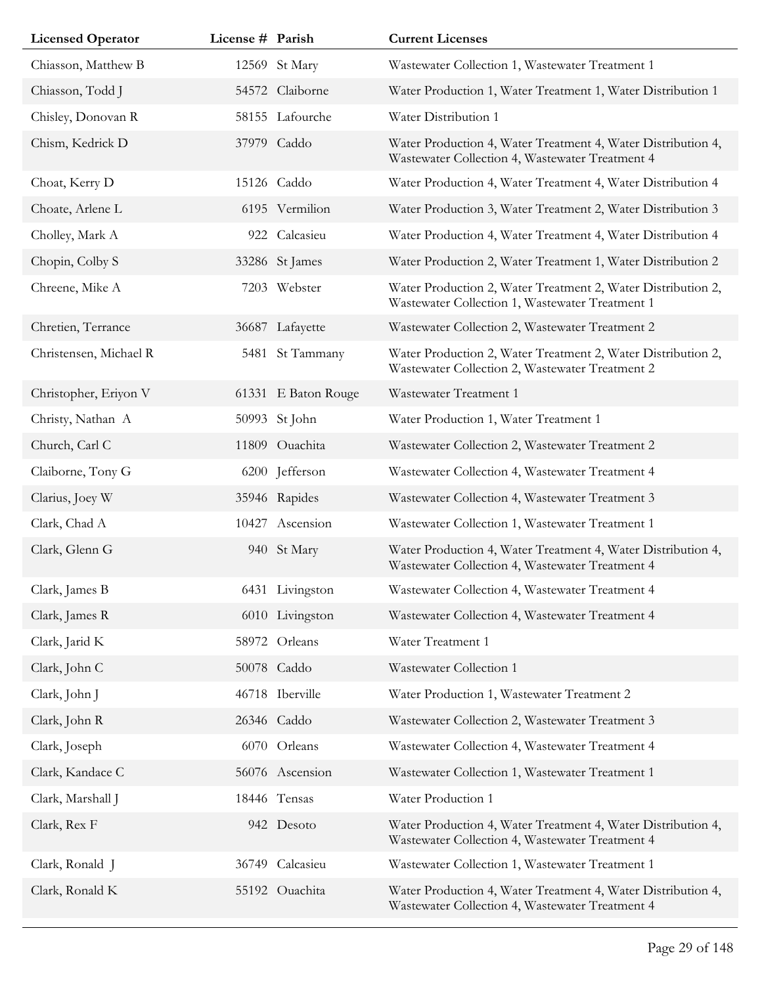| <b>Licensed Operator</b> | License # Parish |                     | <b>Current Licenses</b>                                                                                         |
|--------------------------|------------------|---------------------|-----------------------------------------------------------------------------------------------------------------|
| Chiasson, Matthew B      |                  | 12569 St Mary       | Wastewater Collection 1, Wastewater Treatment 1                                                                 |
| Chiasson, Todd J         |                  | 54572 Claiborne     | Water Production 1, Water Treatment 1, Water Distribution 1                                                     |
| Chisley, Donovan R       |                  | 58155 Lafourche     | Water Distribution 1                                                                                            |
| Chism, Kedrick D         |                  | 37979 Caddo         | Water Production 4, Water Treatment 4, Water Distribution 4,<br>Wastewater Collection 4, Wastewater Treatment 4 |
| Choat, Kerry D           |                  | 15126 Caddo         | Water Production 4, Water Treatment 4, Water Distribution 4                                                     |
| Choate, Arlene L         |                  | 6195 Vermilion      | Water Production 3, Water Treatment 2, Water Distribution 3                                                     |
| Cholley, Mark A          |                  | 922 Calcasieu       | Water Production 4, Water Treatment 4, Water Distribution 4                                                     |
| Chopin, Colby S          |                  | 33286 St James      | Water Production 2, Water Treatment 1, Water Distribution 2                                                     |
| Chreene, Mike A          |                  | 7203 Webster        | Water Production 2, Water Treatment 2, Water Distribution 2,<br>Wastewater Collection 1, Wastewater Treatment 1 |
| Chretien, Terrance       |                  | 36687 Lafayette     | Wastewater Collection 2, Wastewater Treatment 2                                                                 |
| Christensen, Michael R   |                  | 5481 St Tammany     | Water Production 2, Water Treatment 2, Water Distribution 2,<br>Wastewater Collection 2, Wastewater Treatment 2 |
| Christopher, Eriyon V    |                  | 61331 E Baton Rouge | Wastewater Treatment 1                                                                                          |
| Christy, Nathan A        |                  | 50993 St John       | Water Production 1, Water Treatment 1                                                                           |
| Church, Carl C           |                  | 11809 Ouachita      | Wastewater Collection 2, Wastewater Treatment 2                                                                 |
| Claiborne, Tony G        |                  | 6200 Jefferson      | Wastewater Collection 4, Wastewater Treatment 4                                                                 |
| Clarius, Joey W          |                  | 35946 Rapides       | Wastewater Collection 4, Wastewater Treatment 3                                                                 |
| Clark, Chad A            |                  | 10427 Ascension     | Wastewater Collection 1, Wastewater Treatment 1                                                                 |
| Clark, Glenn G           |                  | 940 St Mary         | Water Production 4, Water Treatment 4, Water Distribution 4,<br>Wastewater Collection 4, Wastewater Treatment 4 |
| Clark, James B           |                  | 6431 Livingston     | Wastewater Collection 4, Wastewater Treatment 4                                                                 |
| Clark, James R           |                  | 6010 Livingston     | Wastewater Collection 4, Wastewater Treatment 4                                                                 |
| Clark, Jarid K           |                  | 58972 Orleans       | Water Treatment 1                                                                                               |
| Clark, John C            |                  | 50078 Caddo         | Wastewater Collection 1                                                                                         |
| Clark, John J            |                  | 46718 Iberville     | Water Production 1, Wastewater Treatment 2                                                                      |
| Clark, John R            |                  | 26346 Caddo         | Wastewater Collection 2, Wastewater Treatment 3                                                                 |
| Clark, Joseph            |                  | 6070 Orleans        | Wastewater Collection 4, Wastewater Treatment 4                                                                 |
| Clark, Kandace C         |                  | 56076 Ascension     | Wastewater Collection 1, Wastewater Treatment 1                                                                 |
| Clark, Marshall J        |                  | 18446 Tensas        | Water Production 1                                                                                              |
| Clark, Rex F             |                  | 942 Desoto          | Water Production 4, Water Treatment 4, Water Distribution 4,<br>Wastewater Collection 4, Wastewater Treatment 4 |
| Clark, Ronald J          |                  | 36749 Calcasieu     | Wastewater Collection 1, Wastewater Treatment 1                                                                 |
| Clark, Ronald K          |                  | 55192 Ouachita      | Water Production 4, Water Treatment 4, Water Distribution 4,<br>Wastewater Collection 4, Wastewater Treatment 4 |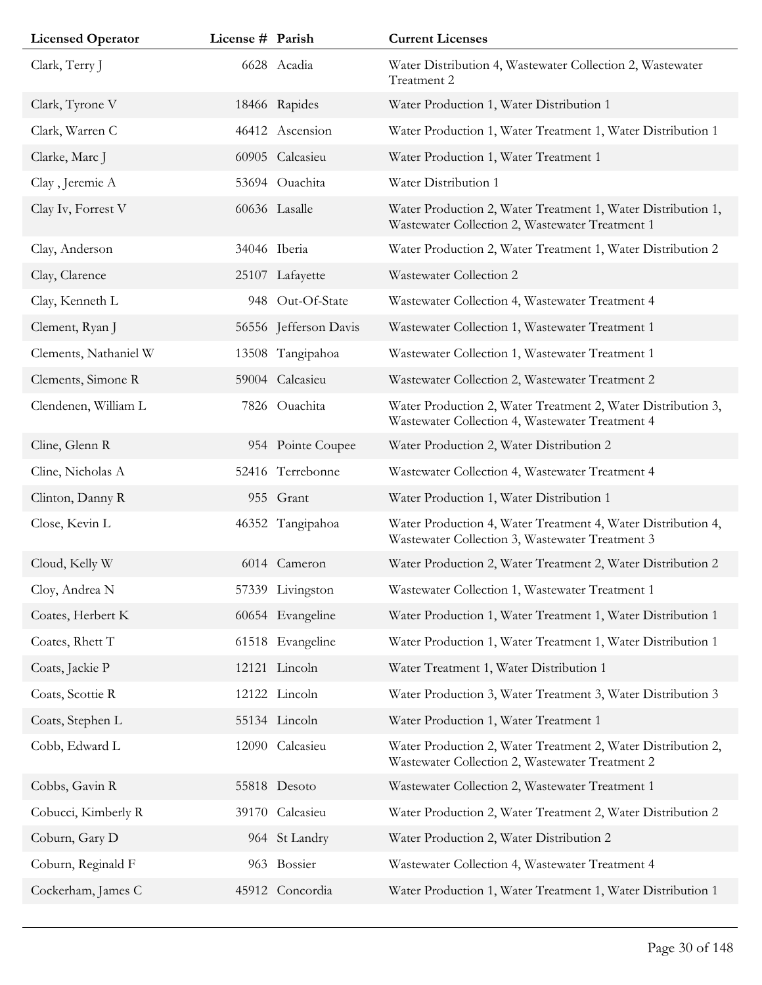| <b>Licensed Operator</b> | License # Parish |                       | <b>Current Licenses</b>                                                                                         |
|--------------------------|------------------|-----------------------|-----------------------------------------------------------------------------------------------------------------|
| Clark, Terry J           |                  | 6628 Acadia           | Water Distribution 4, Wastewater Collection 2, Wastewater<br>Treatment 2                                        |
| Clark, Tyrone V          |                  | 18466 Rapides         | Water Production 1, Water Distribution 1                                                                        |
| Clark, Warren C          |                  | 46412 Ascension       | Water Production 1, Water Treatment 1, Water Distribution 1                                                     |
| Clarke, Marc J           |                  | 60905 Calcasieu       | Water Production 1, Water Treatment 1                                                                           |
| Clay, Jeremie A          |                  | 53694 Ouachita        | Water Distribution 1                                                                                            |
| Clay Iv, Forrest V       |                  | 60636 Lasalle         | Water Production 2, Water Treatment 1, Water Distribution 1,<br>Wastewater Collection 2, Wastewater Treatment 1 |
| Clay, Anderson           |                  | 34046 Iberia          | Water Production 2, Water Treatment 1, Water Distribution 2                                                     |
| Clay, Clarence           |                  | 25107 Lafayette       | Wastewater Collection 2                                                                                         |
| Clay, Kenneth L          |                  | 948 Out-Of-State      | Wastewater Collection 4, Wastewater Treatment 4                                                                 |
| Clement, Ryan J          |                  | 56556 Jefferson Davis | Wastewater Collection 1, Wastewater Treatment 1                                                                 |
| Clements, Nathaniel W    |                  | 13508 Tangipahoa      | Wastewater Collection 1, Wastewater Treatment 1                                                                 |
| Clements, Simone R       |                  | 59004 Calcasieu       | Wastewater Collection 2, Wastewater Treatment 2                                                                 |
| Clendenen, William L     |                  | 7826 Ouachita         | Water Production 2, Water Treatment 2, Water Distribution 3,<br>Wastewater Collection 4, Wastewater Treatment 4 |
| Cline, Glenn R           |                  | 954 Pointe Coupee     | Water Production 2, Water Distribution 2                                                                        |
| Cline, Nicholas A        |                  | 52416 Terrebonne      | Wastewater Collection 4, Wastewater Treatment 4                                                                 |
| Clinton, Danny R         |                  | 955 Grant             | Water Production 1, Water Distribution 1                                                                        |
| Close, Kevin L           |                  | 46352 Tangipahoa      | Water Production 4, Water Treatment 4, Water Distribution 4,<br>Wastewater Collection 3, Wastewater Treatment 3 |
| Cloud, Kelly W           |                  | 6014 Cameron          | Water Production 2, Water Treatment 2, Water Distribution 2                                                     |
| Cloy, Andrea N           |                  | 57339 Livingston      | Wastewater Collection 1, Wastewater Treatment 1                                                                 |
| Coates, Herbert K        |                  | 60654 Evangeline      | Water Production 1, Water Treatment 1, Water Distribution 1                                                     |
| Coates, Rhett T          |                  | 61518 Evangeline      | Water Production 1, Water Treatment 1, Water Distribution 1                                                     |
| Coats, Jackie P          |                  | 12121 Lincoln         | Water Treatment 1, Water Distribution 1                                                                         |
| Coats, Scottie R         |                  | 12122 Lincoln         | Water Production 3, Water Treatment 3, Water Distribution 3                                                     |
| Coats, Stephen L         |                  | 55134 Lincoln         | Water Production 1, Water Treatment 1                                                                           |
| Cobb, Edward L           |                  | 12090 Calcasieu       | Water Production 2, Water Treatment 2, Water Distribution 2,<br>Wastewater Collection 2, Wastewater Treatment 2 |
| Cobbs, Gavin R           |                  | 55818 Desoto          | Wastewater Collection 2, Wastewater Treatment 1                                                                 |
| Cobucci, Kimberly R      |                  | 39170 Calcasieu       | Water Production 2, Water Treatment 2, Water Distribution 2                                                     |
| Coburn, Gary D           |                  | 964 St Landry         | Water Production 2, Water Distribution 2                                                                        |
| Coburn, Reginald F       |                  | 963 Bossier           | Wastewater Collection 4, Wastewater Treatment 4                                                                 |
| Cockerham, James C       |                  | 45912 Concordia       | Water Production 1, Water Treatment 1, Water Distribution 1                                                     |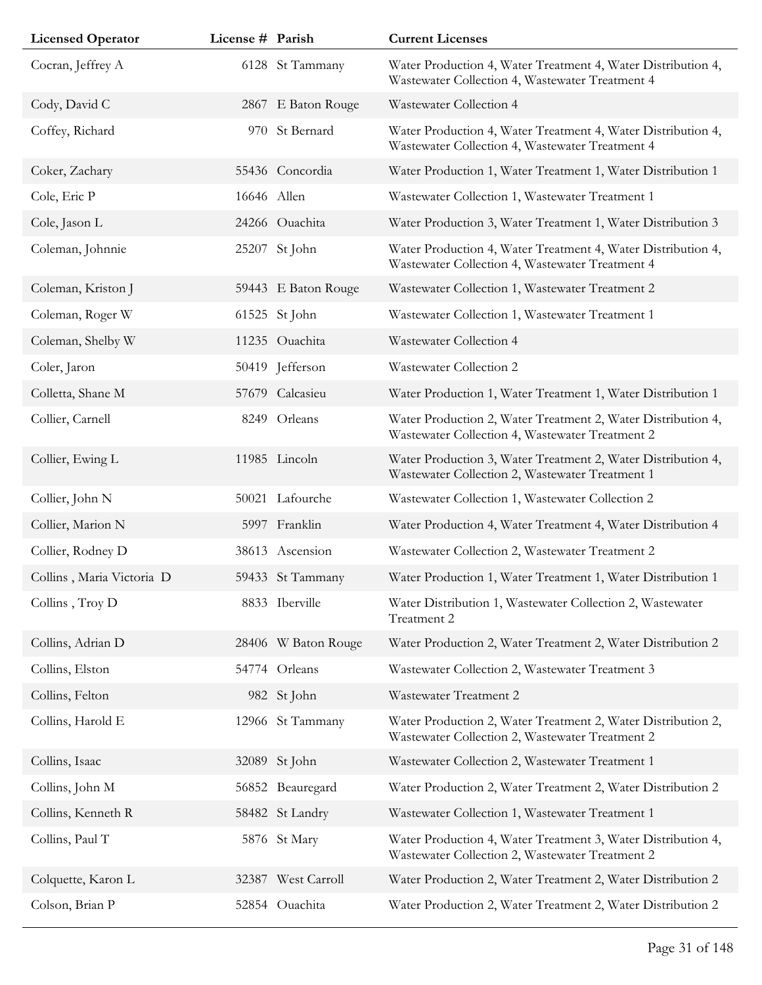| <b>Licensed Operator</b>  | License # Parish |                     | <b>Current Licenses</b>                                                                                         |
|---------------------------|------------------|---------------------|-----------------------------------------------------------------------------------------------------------------|
| Cocran, Jeffrey A         |                  | 6128 St Tammany     | Water Production 4, Water Treatment 4, Water Distribution 4,<br>Wastewater Collection 4, Wastewater Treatment 4 |
| Cody, David C             |                  | 2867 E Baton Rouge  | Wastewater Collection 4                                                                                         |
| Coffey, Richard           |                  | 970 St Bernard      | Water Production 4, Water Treatment 4, Water Distribution 4,<br>Wastewater Collection 4, Wastewater Treatment 4 |
| Coker, Zachary            |                  | 55436 Concordia     | Water Production 1, Water Treatment 1, Water Distribution 1                                                     |
| Cole, Eric P              | 16646 Allen      |                     | Wastewater Collection 1, Wastewater Treatment 1                                                                 |
| Cole, Jason L             |                  | 24266 Ouachita      | Water Production 3, Water Treatment 1, Water Distribution 3                                                     |
| Coleman, Johnnie          |                  | 25207 St John       | Water Production 4, Water Treatment 4, Water Distribution 4,<br>Wastewater Collection 4, Wastewater Treatment 4 |
| Coleman, Kriston J        |                  | 59443 E Baton Rouge | Wastewater Collection 1, Wastewater Treatment 2                                                                 |
| Coleman, Roger W          |                  | 61525 St John       | Wastewater Collection 1, Wastewater Treatment 1                                                                 |
| Coleman, Shelby W         |                  | 11235 Ouachita      | Wastewater Collection 4                                                                                         |
| Coler, Jaron              |                  | 50419 Jefferson     | Wastewater Collection 2                                                                                         |
| Colletta, Shane M         |                  | 57679 Calcasieu     | Water Production 1, Water Treatment 1, Water Distribution 1                                                     |
| Collier, Carnell          |                  | 8249 Orleans        | Water Production 2, Water Treatment 2, Water Distribution 4,<br>Wastewater Collection 4, Wastewater Treatment 2 |
| Collier, Ewing L          |                  | 11985 Lincoln       | Water Production 3, Water Treatment 2, Water Distribution 4,<br>Wastewater Collection 2, Wastewater Treatment 1 |
| Collier, John N           |                  | 50021 Lafourche     | Wastewater Collection 1, Wastewater Collection 2                                                                |
| Collier, Marion N         |                  | 5997 Franklin       | Water Production 4, Water Treatment 4, Water Distribution 4                                                     |
| Collier, Rodney D         |                  | 38613 Ascension     | Wastewater Collection 2, Wastewater Treatment 2                                                                 |
| Collins, Maria Victoria D |                  | 59433 St Tammany    | Water Production 1, Water Treatment 1, Water Distribution 1                                                     |
| Collins, Troy D           |                  | 8833 Iberville      | Water Distribution 1, Wastewater Collection 2, Wastewater<br>Treatment 2                                        |
| Collins, Adrian D         |                  | 28406 W Baton Rouge | Water Production 2, Water Treatment 2, Water Distribution 2                                                     |
| Collins, Elston           |                  | 54774 Orleans       | Wastewater Collection 2, Wastewater Treatment 3                                                                 |
| Collins, Felton           |                  | 982 St John         | Wastewater Treatment 2                                                                                          |
| Collins, Harold E         |                  | 12966 St Tammany    | Water Production 2, Water Treatment 2, Water Distribution 2,<br>Wastewater Collection 2, Wastewater Treatment 2 |
| Collins, Isaac            | 32089            | St John             | Wastewater Collection 2, Wastewater Treatment 1                                                                 |
| Collins, John M           |                  | 56852 Beauregard    | Water Production 2, Water Treatment 2, Water Distribution 2                                                     |
| Collins, Kenneth R        |                  | 58482 St Landry     | Wastewater Collection 1, Wastewater Treatment 1                                                                 |
| Collins, Paul T           |                  | 5876 St Mary        | Water Production 4, Water Treatment 3, Water Distribution 4,<br>Wastewater Collection 2, Wastewater Treatment 2 |
| Colquette, Karon L        |                  | 32387 West Carroll  | Water Production 2, Water Treatment 2, Water Distribution 2                                                     |
| Colson, Brian P           |                  | 52854 Ouachita      | Water Production 2, Water Treatment 2, Water Distribution 2                                                     |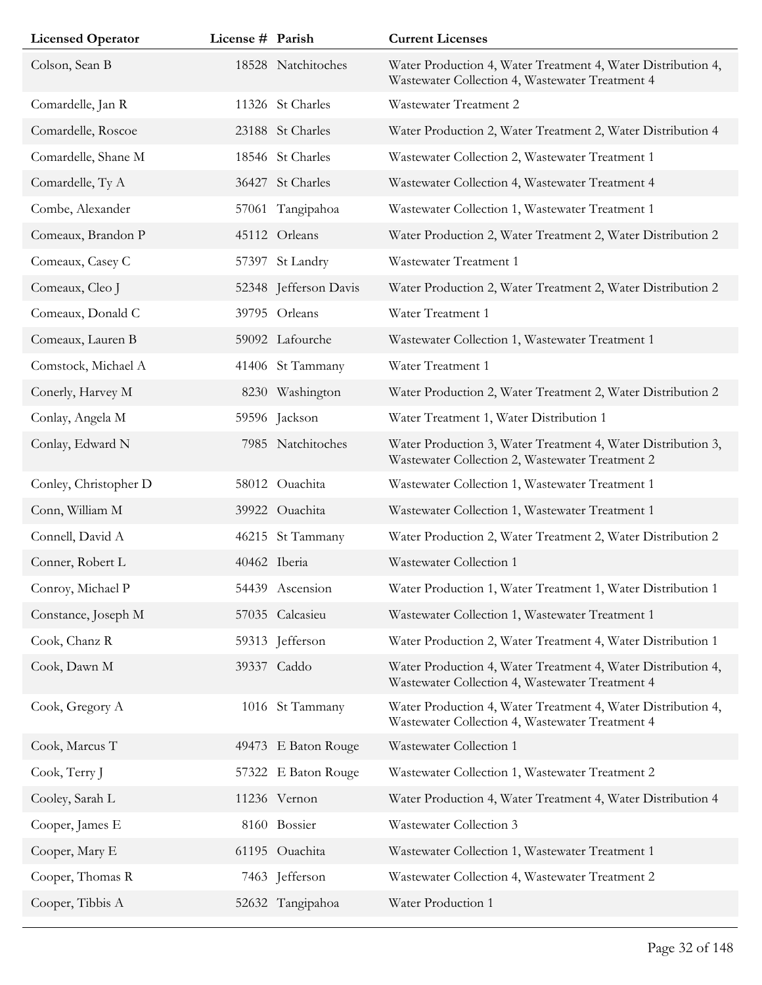| <b>Licensed Operator</b> | License # Parish |                       | <b>Current Licenses</b>                                                                                         |
|--------------------------|------------------|-----------------------|-----------------------------------------------------------------------------------------------------------------|
| Colson, Sean B           |                  | 18528 Natchitoches    | Water Production 4, Water Treatment 4, Water Distribution 4,<br>Wastewater Collection 4, Wastewater Treatment 4 |
| Comardelle, Jan R        |                  | 11326 St Charles      | <b>Wastewater Treatment 2</b>                                                                                   |
| Comardelle, Roscoe       |                  | 23188 St Charles      | Water Production 2, Water Treatment 2, Water Distribution 4                                                     |
| Comardelle, Shane M      |                  | 18546 St Charles      | Wastewater Collection 2, Wastewater Treatment 1                                                                 |
| Comardelle, Ty A         |                  | 36427 St Charles      | Wastewater Collection 4, Wastewater Treatment 4                                                                 |
| Combe, Alexander         |                  | 57061 Tangipahoa      | Wastewater Collection 1, Wastewater Treatment 1                                                                 |
| Comeaux, Brandon P       |                  | 45112 Orleans         | Water Production 2, Water Treatment 2, Water Distribution 2                                                     |
| Comeaux, Casey C         |                  | 57397 St Landry       | Wastewater Treatment 1                                                                                          |
| Comeaux, Cleo J          |                  | 52348 Jefferson Davis | Water Production 2, Water Treatment 2, Water Distribution 2                                                     |
| Comeaux, Donald C        |                  | 39795 Orleans         | Water Treatment 1                                                                                               |
| Comeaux, Lauren B        |                  | 59092 Lafourche       | Wastewater Collection 1, Wastewater Treatment 1                                                                 |
| Comstock, Michael A      |                  | 41406 St Tammany      | Water Treatment 1                                                                                               |
| Conerly, Harvey M        |                  | 8230 Washington       | Water Production 2, Water Treatment 2, Water Distribution 2                                                     |
| Conlay, Angela M         |                  | 59596 Jackson         | Water Treatment 1, Water Distribution 1                                                                         |
| Conlay, Edward N         |                  | 7985 Natchitoches     | Water Production 3, Water Treatment 4, Water Distribution 3,<br>Wastewater Collection 2, Wastewater Treatment 2 |
| Conley, Christopher D    |                  | 58012 Ouachita        | Wastewater Collection 1, Wastewater Treatment 1                                                                 |
| Conn, William M          |                  | 39922 Ouachita        | Wastewater Collection 1, Wastewater Treatment 1                                                                 |
| Connell, David A         |                  | 46215 St Tammany      | Water Production 2, Water Treatment 2, Water Distribution 2                                                     |
| Conner, Robert L         |                  | 40462 Iberia          | Wastewater Collection 1                                                                                         |
| Conroy, Michael P        |                  | 54439 Ascension       | Water Production 1, Water Treatment 1, Water Distribution 1                                                     |
| Constance, Joseph M      |                  | 57035 Calcasieu       | Wastewater Collection 1, Wastewater Treatment 1                                                                 |
| Cook, Chanz R            |                  | 59313 Jefferson       | Water Production 2, Water Treatment 4, Water Distribution 1                                                     |
| Cook, Dawn M             |                  | 39337 Caddo           | Water Production 4, Water Treatment 4, Water Distribution 4,<br>Wastewater Collection 4, Wastewater Treatment 4 |
| Cook, Gregory A          |                  | 1016 St Tammany       | Water Production 4, Water Treatment 4, Water Distribution 4,<br>Wastewater Collection 4, Wastewater Treatment 4 |
| Cook, Marcus T           |                  | 49473 E Baton Rouge   | Wastewater Collection 1                                                                                         |
| Cook, Terry J            |                  | 57322 E Baton Rouge   | Wastewater Collection 1, Wastewater Treatment 2                                                                 |
| Cooley, Sarah L          |                  | 11236 Vernon          | Water Production 4, Water Treatment 4, Water Distribution 4                                                     |
| Cooper, James E          |                  | 8160 Bossier          | Wastewater Collection 3                                                                                         |
| Cooper, Mary E           |                  | 61195 Ouachita        | Wastewater Collection 1, Wastewater Treatment 1                                                                 |
| Cooper, Thomas R         |                  | 7463 Jefferson        | Wastewater Collection 4, Wastewater Treatment 2                                                                 |
| Cooper, Tibbis A         |                  | 52632 Tangipahoa      | Water Production 1                                                                                              |
|                          |                  |                       |                                                                                                                 |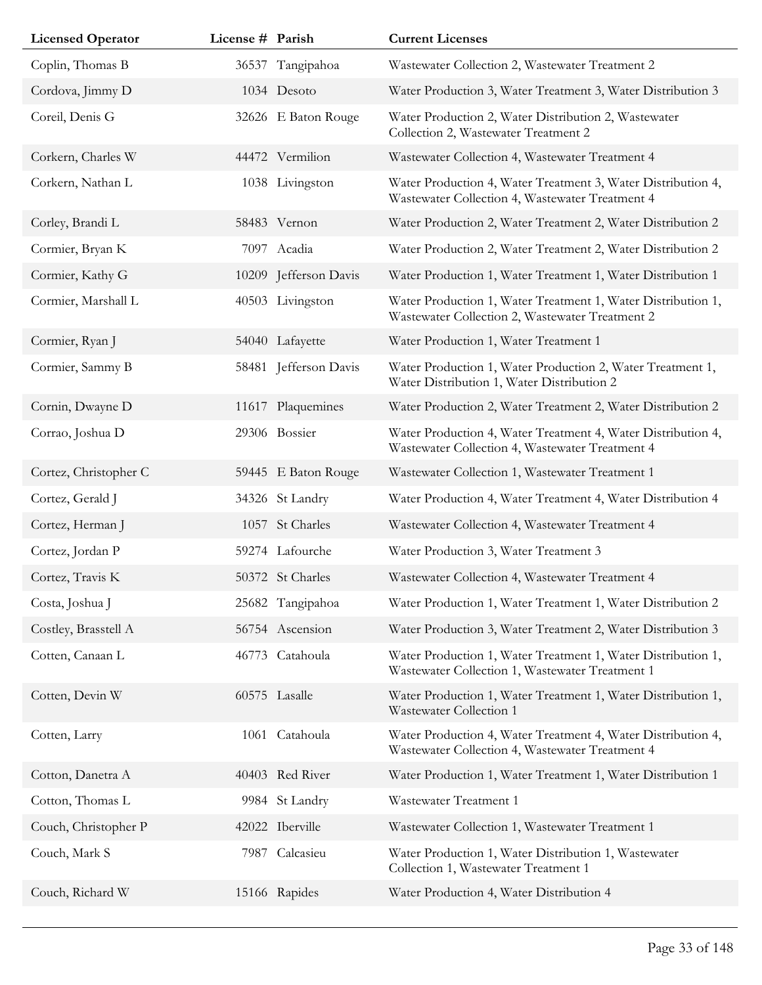| <b>Licensed Operator</b> | License # Parish |                       | <b>Current Licenses</b>                                                                                         |
|--------------------------|------------------|-----------------------|-----------------------------------------------------------------------------------------------------------------|
| Coplin, Thomas B         |                  | 36537 Tangipahoa      | Wastewater Collection 2, Wastewater Treatment 2                                                                 |
| Cordova, Jimmy D         |                  | 1034 Desoto           | Water Production 3, Water Treatment 3, Water Distribution 3                                                     |
| Coreil, Denis G          |                  | 32626 E Baton Rouge   | Water Production 2, Water Distribution 2, Wastewater<br>Collection 2, Wastewater Treatment 2                    |
| Corkern, Charles W       |                  | 44472 Vermilion       | Wastewater Collection 4, Wastewater Treatment 4                                                                 |
| Corkern, Nathan L        |                  | 1038 Livingston       | Water Production 4, Water Treatment 3, Water Distribution 4,<br>Wastewater Collection 4, Wastewater Treatment 4 |
| Corley, Brandi L         |                  | 58483 Vernon          | Water Production 2, Water Treatment 2, Water Distribution 2                                                     |
| Cormier, Bryan K         |                  | 7097 Acadia           | Water Production 2, Water Treatment 2, Water Distribution 2                                                     |
| Cormier, Kathy G         |                  | 10209 Jefferson Davis | Water Production 1, Water Treatment 1, Water Distribution 1                                                     |
| Cormier, Marshall L      |                  | 40503 Livingston      | Water Production 1, Water Treatment 1, Water Distribution 1,<br>Wastewater Collection 2, Wastewater Treatment 2 |
| Cormier, Ryan J          |                  | 54040 Lafayette       | Water Production 1, Water Treatment 1                                                                           |
| Cormier, Sammy B         |                  | 58481 Jefferson Davis | Water Production 1, Water Production 2, Water Treatment 1,<br>Water Distribution 1, Water Distribution 2        |
| Cornin, Dwayne D         |                  | 11617 Plaquemines     | Water Production 2, Water Treatment 2, Water Distribution 2                                                     |
| Corrao, Joshua D         |                  | 29306 Bossier         | Water Production 4, Water Treatment 4, Water Distribution 4,<br>Wastewater Collection 4, Wastewater Treatment 4 |
| Cortez, Christopher C    |                  | 59445 E Baton Rouge   | Wastewater Collection 1, Wastewater Treatment 1                                                                 |
| Cortez, Gerald J         |                  | 34326 St Landry       | Water Production 4, Water Treatment 4, Water Distribution 4                                                     |
| Cortez, Herman J         |                  | 1057 St Charles       | Wastewater Collection 4, Wastewater Treatment 4                                                                 |
| Cortez, Jordan P         |                  | 59274 Lafourche       | Water Production 3, Water Treatment 3                                                                           |
| Cortez, Travis K         |                  | 50372 St Charles      | Wastewater Collection 4, Wastewater Treatment 4                                                                 |
| Costa, Joshua J          |                  | 25682 Tangipahoa      | Water Production 1, Water Treatment 1, Water Distribution 2                                                     |
| Costley, Brasstell A     |                  | 56754 Ascension       | Water Production 3, Water Treatment 2, Water Distribution 3                                                     |
| Cotten, Canaan L         |                  | 46773 Catahoula       | Water Production 1, Water Treatment 1, Water Distribution 1,<br>Wastewater Collection 1, Wastewater Treatment 1 |
| Cotten, Devin W          |                  | 60575 Lasalle         | Water Production 1, Water Treatment 1, Water Distribution 1,<br>Wastewater Collection 1                         |
| Cotten, Larry            |                  | 1061 Catahoula        | Water Production 4, Water Treatment 4, Water Distribution 4,<br>Wastewater Collection 4, Wastewater Treatment 4 |
| Cotton, Danetra A        |                  | 40403 Red River       | Water Production 1, Water Treatment 1, Water Distribution 1                                                     |
| Cotton, Thomas L         |                  | 9984 St Landry        | Wastewater Treatment 1                                                                                          |
| Couch, Christopher P     |                  | 42022 Iberville       | Wastewater Collection 1, Wastewater Treatment 1                                                                 |
| Couch, Mark S            | 7987             | Calcasieu             | Water Production 1, Water Distribution 1, Wastewater<br>Collection 1, Wastewater Treatment 1                    |
| Couch, Richard W         |                  | 15166 Rapides         | Water Production 4, Water Distribution 4                                                                        |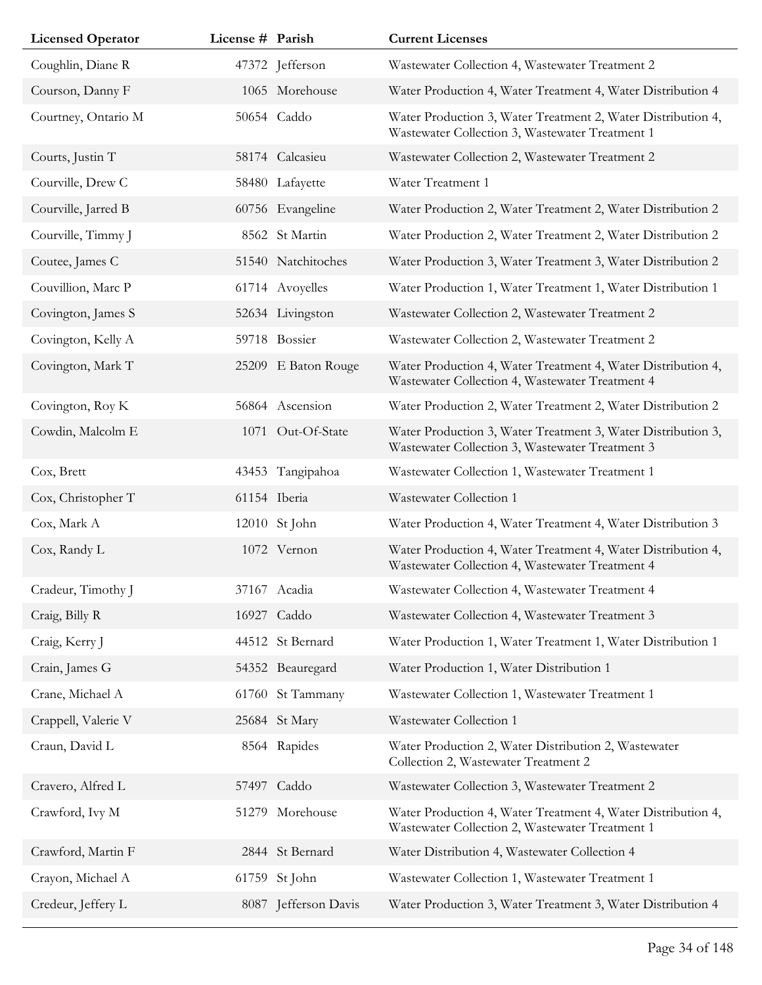| <b>Licensed Operator</b> | License # Parish |                      | <b>Current Licenses</b>                                                                                         |
|--------------------------|------------------|----------------------|-----------------------------------------------------------------------------------------------------------------|
| Coughlin, Diane R        |                  | 47372 Jefferson      | Wastewater Collection 4, Wastewater Treatment 2                                                                 |
| Courson, Danny F         |                  | 1065 Morehouse       | Water Production 4, Water Treatment 4, Water Distribution 4                                                     |
| Courtney, Ontario M      |                  | 50654 Caddo          | Water Production 3, Water Treatment 2, Water Distribution 4,<br>Wastewater Collection 3, Wastewater Treatment 1 |
| Courts, Justin T         |                  | 58174 Calcasieu      | Wastewater Collection 2, Wastewater Treatment 2                                                                 |
| Courville, Drew C        |                  | 58480 Lafayette      | Water Treatment 1                                                                                               |
| Courville, Jarred B      |                  | 60756 Evangeline     | Water Production 2, Water Treatment 2, Water Distribution 2                                                     |
| Courville, Timmy J       |                  | 8562 St Martin       | Water Production 2, Water Treatment 2, Water Distribution 2                                                     |
| Coutee, James C          |                  | 51540 Natchitoches   | Water Production 3, Water Treatment 3, Water Distribution 2                                                     |
| Couvillion, Marc P       |                  | 61714 Avoyelles      | Water Production 1, Water Treatment 1, Water Distribution 1                                                     |
| Covington, James S       |                  | 52634 Livingston     | Wastewater Collection 2, Wastewater Treatment 2                                                                 |
| Covington, Kelly A       |                  | 59718 Bossier        | Wastewater Collection 2, Wastewater Treatment 2                                                                 |
| Covington, Mark T        |                  | 25209 E Baton Rouge  | Water Production 4, Water Treatment 4, Water Distribution 4,<br>Wastewater Collection 4, Wastewater Treatment 4 |
| Covington, Roy K         |                  | 56864 Ascension      | Water Production 2, Water Treatment 2, Water Distribution 2                                                     |
| Cowdin, Malcolm E        |                  | 1071 Out-Of-State    | Water Production 3, Water Treatment 3, Water Distribution 3,<br>Wastewater Collection 3, Wastewater Treatment 3 |
| Cox, Brett               |                  | 43453 Tangipahoa     | Wastewater Collection 1, Wastewater Treatment 1                                                                 |
| Cox, Christopher T       |                  | 61154 Iberia         | Wastewater Collection 1                                                                                         |
| Cox, Mark A              |                  | 12010 St John        | Water Production 4, Water Treatment 4, Water Distribution 3                                                     |
| Cox, Randy L             |                  | 1072 Vernon          | Water Production 4, Water Treatment 4, Water Distribution 4,<br>Wastewater Collection 4, Wastewater Treatment 4 |
| Cradeur, Timothy J       |                  | 37167 Acadia         | Wastewater Collection 4, Wastewater Treatment 4                                                                 |
| Craig, Billy R           |                  | 16927 Caddo          | Wastewater Collection 4, Wastewater Treatment 3                                                                 |
| Craig, Kerry J           |                  | 44512 St Bernard     | Water Production 1, Water Treatment 1, Water Distribution 1                                                     |
| Crain, James G           |                  | 54352 Beauregard     | Water Production 1, Water Distribution 1                                                                        |
| Crane, Michael A         |                  | 61760 St Tammany     | Wastewater Collection 1, Wastewater Treatment 1                                                                 |
| Crappell, Valerie V      |                  | 25684 St Mary        | Wastewater Collection 1                                                                                         |
| Craun, David L           |                  | 8564 Rapides         | Water Production 2, Water Distribution 2, Wastewater<br>Collection 2, Wastewater Treatment 2                    |
| Cravero, Alfred L        |                  | 57497 Caddo          | Wastewater Collection 3, Wastewater Treatment 2                                                                 |
| Crawford, Ivy M          |                  | 51279 Morehouse      | Water Production 4, Water Treatment 4, Water Distribution 4,<br>Wastewater Collection 2, Wastewater Treatment 1 |
| Crawford, Martin F       |                  | 2844 St Bernard      | Water Distribution 4, Wastewater Collection 4                                                                   |
| Crayon, Michael A        |                  | 61759 St John        | Wastewater Collection 1, Wastewater Treatment 1                                                                 |
| Credeur, Jeffery L       |                  | 8087 Jefferson Davis | Water Production 3, Water Treatment 3, Water Distribution 4                                                     |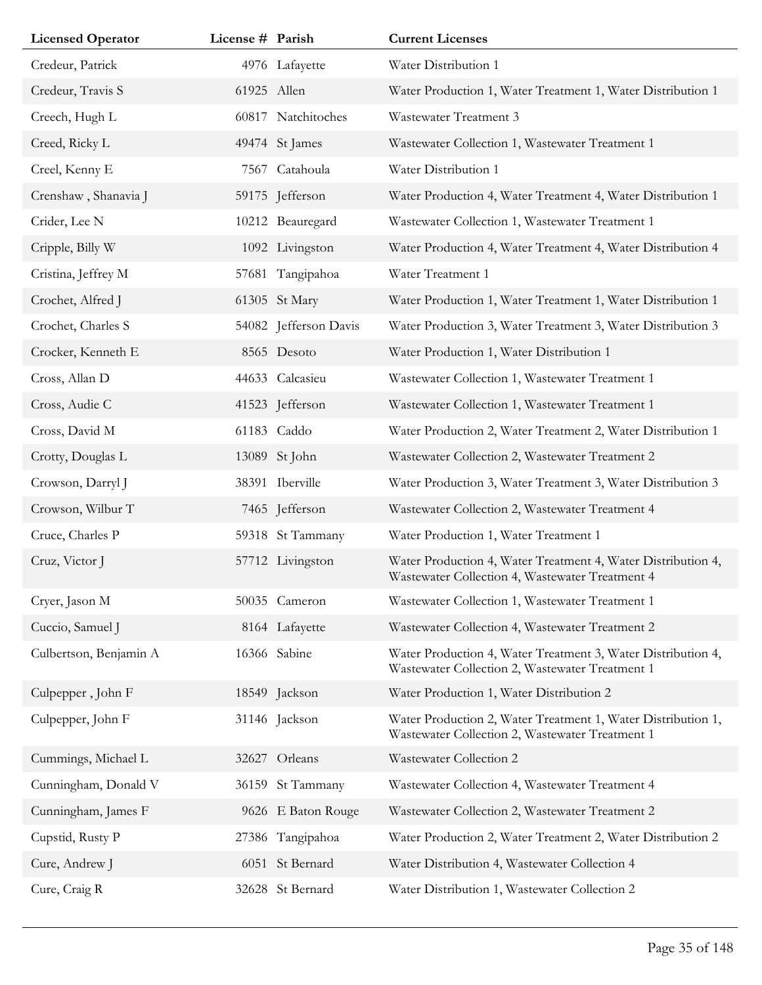| <b>Licensed Operator</b> | License # Parish |                       | <b>Current Licenses</b>                                                                                         |
|--------------------------|------------------|-----------------------|-----------------------------------------------------------------------------------------------------------------|
| Credeur, Patrick         |                  | 4976 Lafayette        | Water Distribution 1                                                                                            |
| Credeur, Travis S        | 61925 Allen      |                       | Water Production 1, Water Treatment 1, Water Distribution 1                                                     |
| Creech, Hugh L           |                  | 60817 Natchitoches    | Wastewater Treatment 3                                                                                          |
| Creed, Ricky L           |                  | 49474 St James        | Wastewater Collection 1, Wastewater Treatment 1                                                                 |
| Creel, Kenny E           | 7567             | Catahoula             | Water Distribution 1                                                                                            |
| Crenshaw, Shanavia J     |                  | 59175 Jefferson       | Water Production 4, Water Treatment 4, Water Distribution 1                                                     |
| Crider, Lee N            |                  | 10212 Beauregard      | Wastewater Collection 1, Wastewater Treatment 1                                                                 |
| Cripple, Billy W         |                  | 1092 Livingston       | Water Production 4, Water Treatment 4, Water Distribution 4                                                     |
| Cristina, Jeffrey M      |                  | 57681 Tangipahoa      | Water Treatment 1                                                                                               |
| Crochet, Alfred J        |                  | 61305 St Mary         | Water Production 1, Water Treatment 1, Water Distribution 1                                                     |
| Crochet, Charles S       |                  | 54082 Jefferson Davis | Water Production 3, Water Treatment 3, Water Distribution 3                                                     |
| Crocker, Kenneth E       |                  | 8565 Desoto           | Water Production 1, Water Distribution 1                                                                        |
| Cross, Allan D           |                  | 44633 Calcasieu       | Wastewater Collection 1, Wastewater Treatment 1                                                                 |
| Cross, Audie C           |                  | 41523 Jefferson       | Wastewater Collection 1, Wastewater Treatment 1                                                                 |
| Cross, David M           |                  | 61183 Caddo           | Water Production 2, Water Treatment 2, Water Distribution 1                                                     |
| Crotty, Douglas L        |                  | 13089 St John         | Wastewater Collection 2, Wastewater Treatment 2                                                                 |
| Crowson, Darryl J        |                  | 38391 Iberville       | Water Production 3, Water Treatment 3, Water Distribution 3                                                     |
| Crowson, Wilbur T        |                  | 7465 Jefferson        | Wastewater Collection 2, Wastewater Treatment 4                                                                 |
| Cruce, Charles P         |                  | 59318 St Tammany      | Water Production 1, Water Treatment 1                                                                           |
| Cruz, Victor J           |                  | 57712 Livingston      | Water Production 4, Water Treatment 4, Water Distribution 4,<br>Wastewater Collection 4, Wastewater Treatment 4 |
| Cryer, Jason M           |                  | 50035 Cameron         | Wastewater Collection 1, Wastewater Treatment 1                                                                 |
| Cuccio, Samuel J         |                  | 8164 Lafayette        | Wastewater Collection 4, Wastewater Treatment 2                                                                 |
| Culbertson, Benjamin A   |                  | 16366 Sabine          | Water Production 4, Water Treatment 3, Water Distribution 4,<br>Wastewater Collection 2, Wastewater Treatment 1 |
| Culpepper, John F        |                  | 18549 Jackson         | Water Production 1, Water Distribution 2                                                                        |
| Culpepper, John F        |                  | 31146 Jackson         | Water Production 2, Water Treatment 1, Water Distribution 1,<br>Wastewater Collection 2, Wastewater Treatment 1 |
| Cummings, Michael L      |                  | 32627 Orleans         | Wastewater Collection 2                                                                                         |
| Cunningham, Donald V     |                  | 36159 St Tammany      | Wastewater Collection 4, Wastewater Treatment 4                                                                 |
| Cunningham, James F      |                  | 9626 E Baton Rouge    | Wastewater Collection 2, Wastewater Treatment 2                                                                 |
| Cupstid, Rusty P         | 27386            | Tangipahoa            | Water Production 2, Water Treatment 2, Water Distribution 2                                                     |
| Cure, Andrew J           |                  | 6051 St Bernard       | Water Distribution 4, Wastewater Collection 4                                                                   |
| Cure, Craig R            |                  | 32628 St Bernard      | Water Distribution 1, Wastewater Collection 2                                                                   |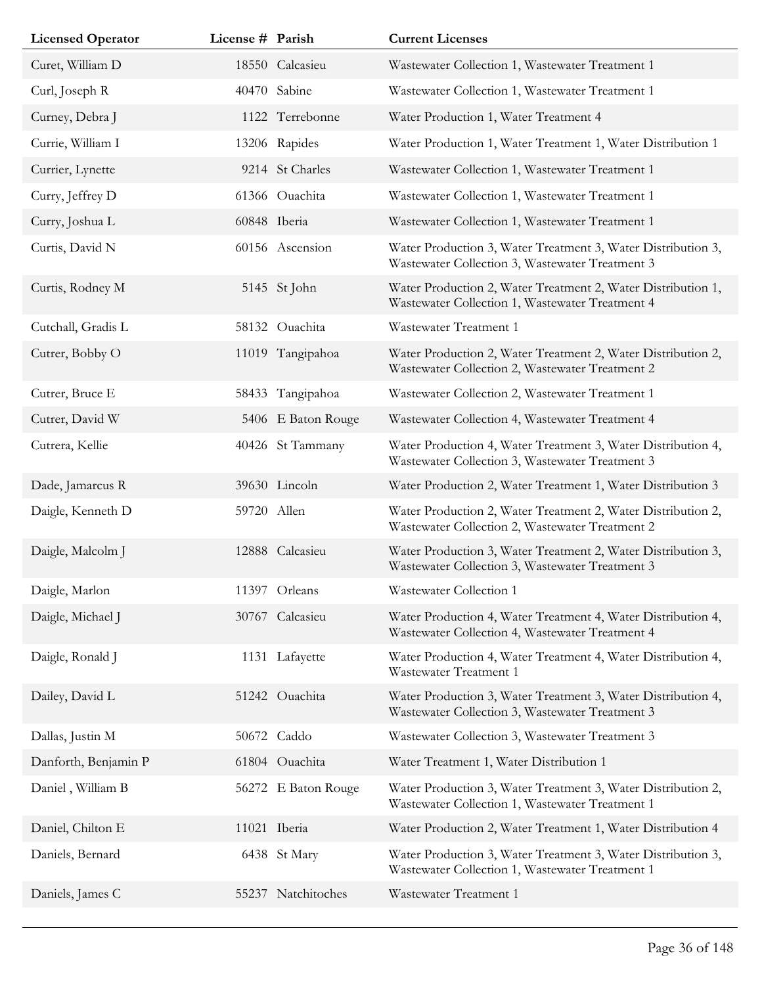| <b>Licensed Operator</b> | License # Parish |                     | <b>Current Licenses</b>                                                                                         |
|--------------------------|------------------|---------------------|-----------------------------------------------------------------------------------------------------------------|
| Curet, William D         |                  | 18550 Calcasieu     | Wastewater Collection 1, Wastewater Treatment 1                                                                 |
| Curl, Joseph R           |                  | 40470 Sabine        | Wastewater Collection 1, Wastewater Treatment 1                                                                 |
| Curney, Debra J          |                  | 1122 Terrebonne     | Water Production 1, Water Treatment 4                                                                           |
| Currie, William I        |                  | 13206 Rapides       | Water Production 1, Water Treatment 1, Water Distribution 1                                                     |
| Currier, Lynette         |                  | 9214 St Charles     | Wastewater Collection 1, Wastewater Treatment 1                                                                 |
| Curry, Jeffrey D         |                  | 61366 Ouachita      | Wastewater Collection 1, Wastewater Treatment 1                                                                 |
| Curry, Joshua L          |                  | 60848 Iberia        | Wastewater Collection 1, Wastewater Treatment 1                                                                 |
| Curtis, David N          |                  | 60156 Ascension     | Water Production 3, Water Treatment 3, Water Distribution 3,<br>Wastewater Collection 3, Wastewater Treatment 3 |
| Curtis, Rodney M         |                  | 5145 St John        | Water Production 2, Water Treatment 2, Water Distribution 1,<br>Wastewater Collection 1, Wastewater Treatment 4 |
| Cutchall, Gradis L       |                  | 58132 Ouachita      | Wastewater Treatment 1                                                                                          |
| Cutrer, Bobby O          |                  | 11019 Tangipahoa    | Water Production 2, Water Treatment 2, Water Distribution 2,<br>Wastewater Collection 2, Wastewater Treatment 2 |
| Cutrer, Bruce E          |                  | 58433 Tangipahoa    | Wastewater Collection 2, Wastewater Treatment 1                                                                 |
| Cutrer, David W          |                  | 5406 E Baton Rouge  | Wastewater Collection 4, Wastewater Treatment 4                                                                 |
| Cutrera, Kellie          |                  | 40426 St Tammany    | Water Production 4, Water Treatment 3, Water Distribution 4,<br>Wastewater Collection 3, Wastewater Treatment 3 |
| Dade, Jamarcus R         |                  | 39630 Lincoln       | Water Production 2, Water Treatment 1, Water Distribution 3                                                     |
| Daigle, Kenneth D        | 59720 Allen      |                     | Water Production 2, Water Treatment 2, Water Distribution 2,<br>Wastewater Collection 2, Wastewater Treatment 2 |
| Daigle, Malcolm J        |                  | 12888 Calcasieu     | Water Production 3, Water Treatment 2, Water Distribution 3,<br>Wastewater Collection 3, Wastewater Treatment 3 |
| Daigle, Marlon           |                  | 11397 Orleans       | Wastewater Collection 1                                                                                         |
| Daigle, Michael J        |                  | 30767 Calcasieu     | Water Production 4, Water Treatment 4, Water Distribution 4,<br>Wastewater Collection 4, Wastewater Treatment 4 |
| Daigle, Ronald J         |                  | 1131 Lafayette      | Water Production 4, Water Treatment 4, Water Distribution 4,<br>Wastewater Treatment 1                          |
| Dailey, David L          |                  | 51242 Ouachita      | Water Production 3, Water Treatment 3, Water Distribution 4,<br>Wastewater Collection 3, Wastewater Treatment 3 |
| Dallas, Justin M         |                  | 50672 Caddo         | Wastewater Collection 3, Wastewater Treatment 3                                                                 |
| Danforth, Benjamin P     |                  | 61804 Ouachita      | Water Treatment 1, Water Distribution 1                                                                         |
| Daniel, William B        |                  | 56272 E Baton Rouge | Water Production 3, Water Treatment 3, Water Distribution 2,<br>Wastewater Collection 1, Wastewater Treatment 1 |
| Daniel, Chilton E        |                  | 11021 Iberia        | Water Production 2, Water Treatment 1, Water Distribution 4                                                     |
| Daniels, Bernard         |                  | 6438 St Mary        | Water Production 3, Water Treatment 3, Water Distribution 3,<br>Wastewater Collection 1, Wastewater Treatment 1 |
| Daniels, James C         |                  | 55237 Natchitoches  | Wastewater Treatment 1                                                                                          |
|                          |                  |                     |                                                                                                                 |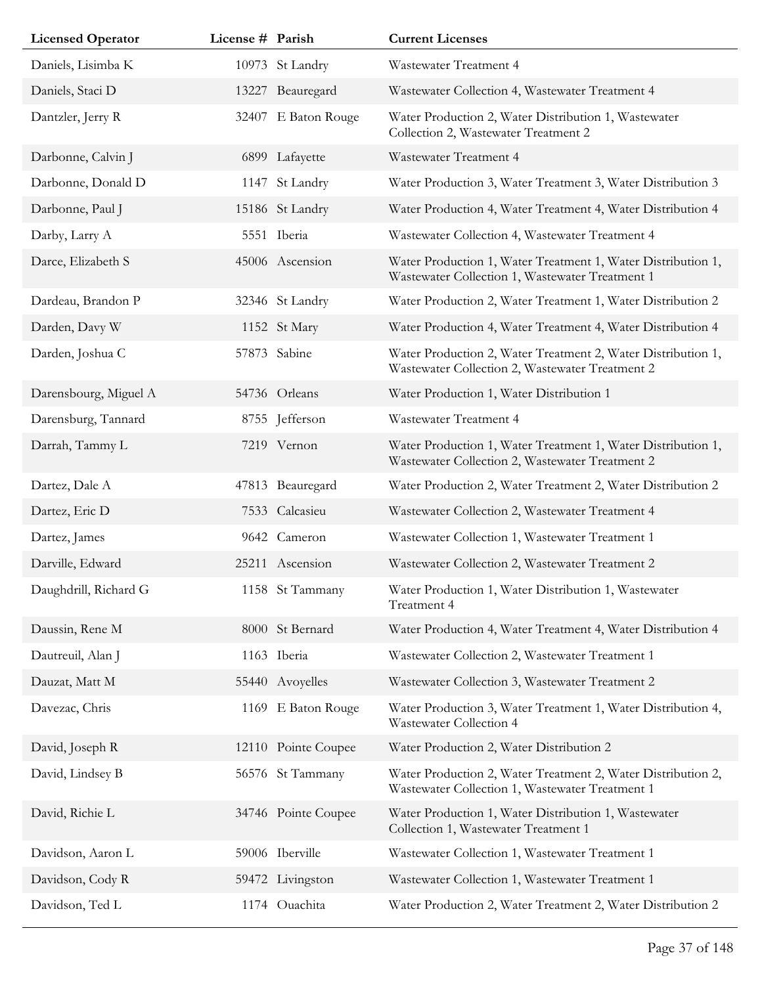| <b>Licensed Operator</b> | License # Parish |                     | <b>Current Licenses</b>                                                                                         |
|--------------------------|------------------|---------------------|-----------------------------------------------------------------------------------------------------------------|
| Daniels, Lisimba K       |                  | 10973 St Landry     | Wastewater Treatment 4                                                                                          |
| Daniels, Staci D         |                  | 13227 Beauregard    | Wastewater Collection 4, Wastewater Treatment 4                                                                 |
| Dantzler, Jerry R        |                  | 32407 E Baton Rouge | Water Production 2, Water Distribution 1, Wastewater<br>Collection 2, Wastewater Treatment 2                    |
| Darbonne, Calvin J       |                  | 6899 Lafayette      | Wastewater Treatment 4                                                                                          |
| Darbonne, Donald D       |                  | 1147 St Landry      | Water Production 3, Water Treatment 3, Water Distribution 3                                                     |
| Darbonne, Paul J         |                  | 15186 St Landry     | Water Production 4, Water Treatment 4, Water Distribution 4                                                     |
| Darby, Larry A           |                  | 5551 Iberia         | Wastewater Collection 4, Wastewater Treatment 4                                                                 |
| Darce, Elizabeth S       |                  | 45006 Ascension     | Water Production 1, Water Treatment 1, Water Distribution 1,<br>Wastewater Collection 1, Wastewater Treatment 1 |
| Dardeau, Brandon P       |                  | 32346 St Landry     | Water Production 2, Water Treatment 1, Water Distribution 2                                                     |
| Darden, Davy W           |                  | 1152 St Mary        | Water Production 4, Water Treatment 4, Water Distribution 4                                                     |
| Darden, Joshua C         |                  | 57873 Sabine        | Water Production 2, Water Treatment 2, Water Distribution 1,<br>Wastewater Collection 2, Wastewater Treatment 2 |
| Darensbourg, Miguel A    |                  | 54736 Orleans       | Water Production 1, Water Distribution 1                                                                        |
| Darensburg, Tannard      |                  | 8755 Jefferson      | Wastewater Treatment 4                                                                                          |
| Darrah, Tammy L          |                  | 7219 Vernon         | Water Production 1, Water Treatment 1, Water Distribution 1,<br>Wastewater Collection 2, Wastewater Treatment 2 |
| Dartez, Dale A           |                  | 47813 Beauregard    | Water Production 2, Water Treatment 2, Water Distribution 2                                                     |
| Dartez, Eric D           |                  | 7533 Calcasieu      | Wastewater Collection 2, Wastewater Treatment 4                                                                 |
| Dartez, James            |                  | 9642 Cameron        | Wastewater Collection 1, Wastewater Treatment 1                                                                 |
| Darville, Edward         |                  | 25211 Ascension     | Wastewater Collection 2, Wastewater Treatment 2                                                                 |
| Daughdrill, Richard G    |                  | 1158 St Tammany     | Water Production 1, Water Distribution 1, Wastewater<br>Treatment 4                                             |
| Daussin, Rene M          |                  | 8000 St Bernard     | Water Production 4, Water Treatment 4, Water Distribution 4                                                     |
| Dautreuil, Alan J        |                  | 1163 Iberia         | Wastewater Collection 2, Wastewater Treatment 1                                                                 |
| Dauzat, Matt M           |                  | 55440 Avoyelles     | Wastewater Collection 3, Wastewater Treatment 2                                                                 |
| Davezac, Chris           |                  | 1169 E Baton Rouge  | Water Production 3, Water Treatment 1, Water Distribution 4,<br>Wastewater Collection 4                         |
| David, Joseph R          |                  | 12110 Pointe Coupee | Water Production 2, Water Distribution 2                                                                        |
| David, Lindsey B         |                  | 56576 St Tammany    | Water Production 2, Water Treatment 2, Water Distribution 2,<br>Wastewater Collection 1, Wastewater Treatment 1 |
| David, Richie L          |                  | 34746 Pointe Coupee | Water Production 1, Water Distribution 1, Wastewater<br>Collection 1, Wastewater Treatment 1                    |
| Davidson, Aaron L        |                  | 59006 Iberville     | Wastewater Collection 1, Wastewater Treatment 1                                                                 |
| Davidson, Cody R         |                  | 59472 Livingston    | Wastewater Collection 1, Wastewater Treatment 1                                                                 |
| Davidson, Ted L          |                  | 1174 Ouachita       | Water Production 2, Water Treatment 2, Water Distribution 2                                                     |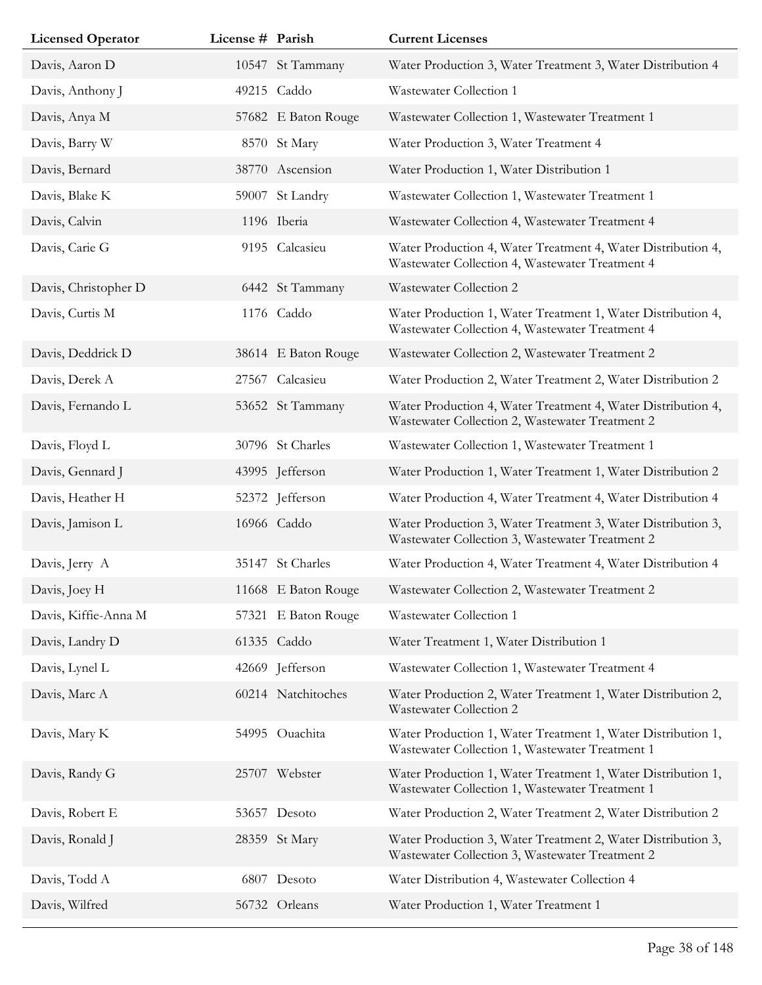|  | <b>Current Licenses</b>                                                                                                                                                                                                                                                                                                                                                                                                                                                                                                                                                 |
|--|-------------------------------------------------------------------------------------------------------------------------------------------------------------------------------------------------------------------------------------------------------------------------------------------------------------------------------------------------------------------------------------------------------------------------------------------------------------------------------------------------------------------------------------------------------------------------|
|  | Water Production 3, Water Treatment 3, Water Distribution 4                                                                                                                                                                                                                                                                                                                                                                                                                                                                                                             |
|  | Wastewater Collection 1                                                                                                                                                                                                                                                                                                                                                                                                                                                                                                                                                 |
|  | Wastewater Collection 1, Wastewater Treatment 1                                                                                                                                                                                                                                                                                                                                                                                                                                                                                                                         |
|  | Water Production 3, Water Treatment 4                                                                                                                                                                                                                                                                                                                                                                                                                                                                                                                                   |
|  | Water Production 1, Water Distribution 1                                                                                                                                                                                                                                                                                                                                                                                                                                                                                                                                |
|  | Wastewater Collection 1, Wastewater Treatment 1                                                                                                                                                                                                                                                                                                                                                                                                                                                                                                                         |
|  | Wastewater Collection 4, Wastewater Treatment 4                                                                                                                                                                                                                                                                                                                                                                                                                                                                                                                         |
|  | Water Production 4, Water Treatment 4, Water Distribution 4,<br>Wastewater Collection 4, Wastewater Treatment 4                                                                                                                                                                                                                                                                                                                                                                                                                                                         |
|  | Wastewater Collection 2                                                                                                                                                                                                                                                                                                                                                                                                                                                                                                                                                 |
|  | Water Production 1, Water Treatment 1, Water Distribution 4,<br>Wastewater Collection 4, Wastewater Treatment 4                                                                                                                                                                                                                                                                                                                                                                                                                                                         |
|  | Wastewater Collection 2, Wastewater Treatment 2                                                                                                                                                                                                                                                                                                                                                                                                                                                                                                                         |
|  | Water Production 2, Water Treatment 2, Water Distribution 2                                                                                                                                                                                                                                                                                                                                                                                                                                                                                                             |
|  | Water Production 4, Water Treatment 4, Water Distribution 4,<br>Wastewater Collection 2, Wastewater Treatment 2                                                                                                                                                                                                                                                                                                                                                                                                                                                         |
|  | Wastewater Collection 1, Wastewater Treatment 1                                                                                                                                                                                                                                                                                                                                                                                                                                                                                                                         |
|  | Water Production 1, Water Treatment 1, Water Distribution 2                                                                                                                                                                                                                                                                                                                                                                                                                                                                                                             |
|  | Water Production 4, Water Treatment 4, Water Distribution 4                                                                                                                                                                                                                                                                                                                                                                                                                                                                                                             |
|  | Water Production 3, Water Treatment 3, Water Distribution 3,<br>Wastewater Collection 3, Wastewater Treatment 2                                                                                                                                                                                                                                                                                                                                                                                                                                                         |
|  | Water Production 4, Water Treatment 4, Water Distribution 4                                                                                                                                                                                                                                                                                                                                                                                                                                                                                                             |
|  | Wastewater Collection 2, Wastewater Treatment 2                                                                                                                                                                                                                                                                                                                                                                                                                                                                                                                         |
|  | Wastewater Collection 1                                                                                                                                                                                                                                                                                                                                                                                                                                                                                                                                                 |
|  | Water Treatment 1, Water Distribution 1                                                                                                                                                                                                                                                                                                                                                                                                                                                                                                                                 |
|  | Wastewater Collection 1, Wastewater Treatment 4                                                                                                                                                                                                                                                                                                                                                                                                                                                                                                                         |
|  | Water Production 2, Water Treatment 1, Water Distribution 2,<br>Wastewater Collection 2                                                                                                                                                                                                                                                                                                                                                                                                                                                                                 |
|  | Water Production 1, Water Treatment 1, Water Distribution 1,<br>Wastewater Collection 1, Wastewater Treatment 1                                                                                                                                                                                                                                                                                                                                                                                                                                                         |
|  | Water Production 1, Water Treatment 1, Water Distribution 1,<br>Wastewater Collection 1, Wastewater Treatment 1                                                                                                                                                                                                                                                                                                                                                                                                                                                         |
|  | Water Production 2, Water Treatment 2, Water Distribution 2                                                                                                                                                                                                                                                                                                                                                                                                                                                                                                             |
|  | Water Production 3, Water Treatment 2, Water Distribution 3,<br>Wastewater Collection 3, Wastewater Treatment 2                                                                                                                                                                                                                                                                                                                                                                                                                                                         |
|  | Water Distribution 4, Wastewater Collection 4                                                                                                                                                                                                                                                                                                                                                                                                                                                                                                                           |
|  | Water Production 1, Water Treatment 1                                                                                                                                                                                                                                                                                                                                                                                                                                                                                                                                   |
|  | License # Parish<br>10547 St Tammany<br>49215 Caddo<br>57682 E Baton Rouge<br>8570 St Mary<br>38770 Ascension<br>59007 St Landry<br>1196 Iberia<br>9195 Calcasieu<br>6442 St Tammany<br>1176 Caddo<br>38614 E Baton Rouge<br>27567 Calcasieu<br>53652 St Tammany<br>30796 St Charles<br>43995 Jefferson<br>52372 Jefferson<br>16966 Caddo<br>35147 St Charles<br>11668 E Baton Rouge<br>57321 E Baton Rouge<br>61335 Caddo<br>42669 Jefferson<br>60214 Natchitoches<br>54995 Ouachita<br>25707 Webster<br>53657 Desoto<br>28359 St Mary<br>6807 Desoto<br>56732 Orleans |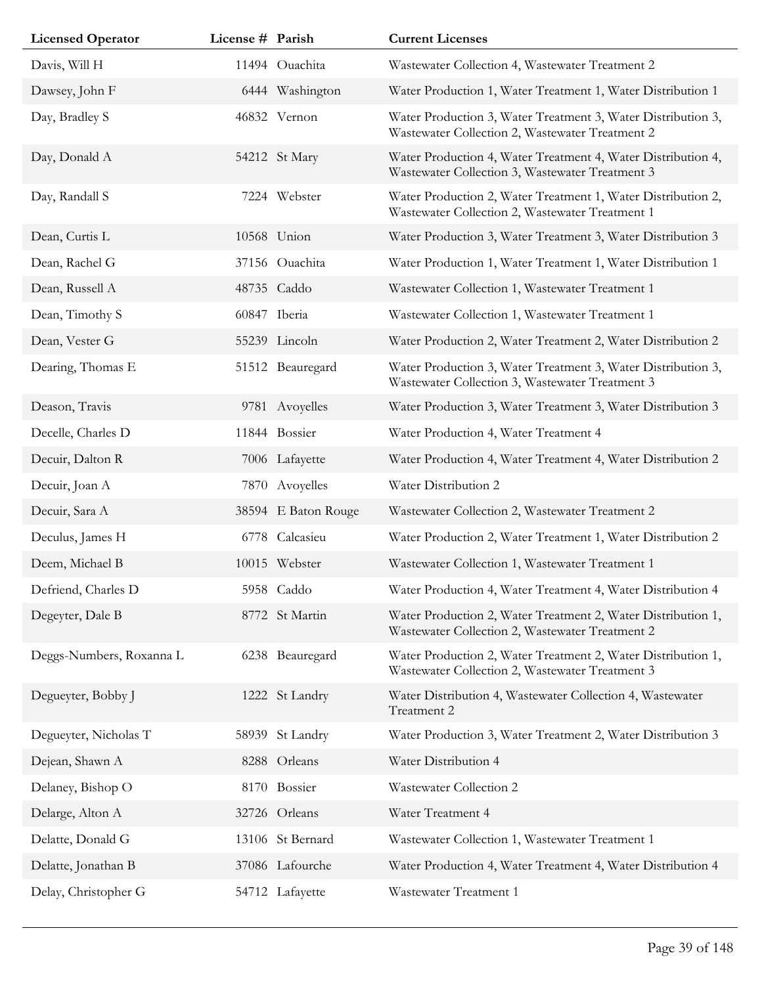| <b>Licensed Operator</b> | License # Parish |                     | <b>Current Licenses</b>                                                                                         |
|--------------------------|------------------|---------------------|-----------------------------------------------------------------------------------------------------------------|
| Davis, Will H            |                  | 11494 Ouachita      | Wastewater Collection 4, Wastewater Treatment 2                                                                 |
| Dawsey, John F           |                  | 6444 Washington     | Water Production 1, Water Treatment 1, Water Distribution 1                                                     |
| Day, Bradley S           |                  | 46832 Vernon        | Water Production 3, Water Treatment 3, Water Distribution 3,<br>Wastewater Collection 2, Wastewater Treatment 2 |
| Day, Donald A            |                  | 54212 St Mary       | Water Production 4, Water Treatment 4, Water Distribution 4,<br>Wastewater Collection 3, Wastewater Treatment 3 |
| Day, Randall S           |                  | 7224 Webster        | Water Production 2, Water Treatment 1, Water Distribution 2,<br>Wastewater Collection 2, Wastewater Treatment 1 |
| Dean, Curtis L           |                  | 10568 Union         | Water Production 3, Water Treatment 3, Water Distribution 3                                                     |
| Dean, Rachel G           |                  | 37156 Ouachita      | Water Production 1, Water Treatment 1, Water Distribution 1                                                     |
| Dean, Russell A          |                  | 48735 Caddo         | Wastewater Collection 1, Wastewater Treatment 1                                                                 |
| Dean, Timothy S          |                  | 60847 Iberia        | Wastewater Collection 1, Wastewater Treatment 1                                                                 |
| Dean, Vester G           |                  | 55239 Lincoln       | Water Production 2, Water Treatment 2, Water Distribution 2                                                     |
| Dearing, Thomas E        |                  | 51512 Beauregard    | Water Production 3, Water Treatment 3, Water Distribution 3,<br>Wastewater Collection 3, Wastewater Treatment 3 |
| Deason, Travis           |                  | 9781 Avoyelles      | Water Production 3, Water Treatment 3, Water Distribution 3                                                     |
| Decelle, Charles D       |                  | 11844 Bossier       | Water Production 4, Water Treatment 4                                                                           |
| Decuir, Dalton R         |                  | 7006 Lafayette      | Water Production 4, Water Treatment 4, Water Distribution 2                                                     |
| Decuir, Joan A           |                  | 7870 Avoyelles      | Water Distribution 2                                                                                            |
| Decuir, Sara A           |                  | 38594 E Baton Rouge | Wastewater Collection 2, Wastewater Treatment 2                                                                 |
| Deculus, James H         |                  | 6778 Calcasieu      | Water Production 2, Water Treatment 1, Water Distribution 2                                                     |
| Deem, Michael B          |                  | 10015 Webster       | Wastewater Collection 1, Wastewater Treatment 1                                                                 |
| Defriend, Charles D      |                  | 5958 Caddo          | Water Production 4, Water Treatment 4, Water Distribution 4                                                     |
| Degeyter, Dale B         |                  | 8772 St Martin      | Water Production 2, Water Treatment 2, Water Distribution 1,<br>Wastewater Collection 2, Wastewater Treatment 2 |
| Deggs-Numbers, Roxanna L |                  | 6238 Beauregard     | Water Production 2, Water Treatment 2, Water Distribution 1,<br>Wastewater Collection 2, Wastewater Treatment 3 |
| Degueyter, Bobby J       |                  | 1222 St Landry      | Water Distribution 4, Wastewater Collection 4, Wastewater<br>Treatment 2                                        |
| Degueyter, Nicholas T    |                  | 58939 St Landry     | Water Production 3, Water Treatment 2, Water Distribution 3                                                     |
| Dejean, Shawn A          |                  | 8288 Orleans        | Water Distribution 4                                                                                            |
| Delaney, Bishop O        |                  | 8170 Bossier        | Wastewater Collection 2                                                                                         |
| Delarge, Alton A         |                  | 32726 Orleans       | Water Treatment 4                                                                                               |
| Delatte, Donald G        |                  | 13106 St Bernard    | Wastewater Collection 1, Wastewater Treatment 1                                                                 |
| Delatte, Jonathan B      |                  | 37086 Lafourche     | Water Production 4, Water Treatment 4, Water Distribution 4                                                     |
| Delay, Christopher G     |                  | 54712 Lafayette     | Wastewater Treatment 1                                                                                          |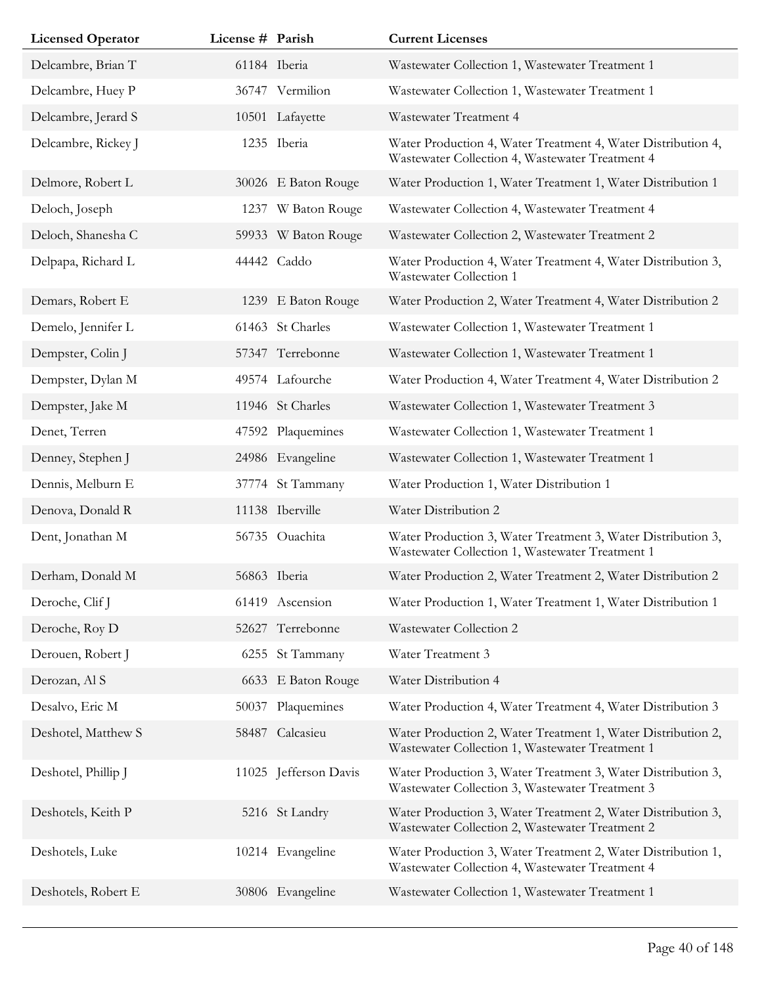| <b>Licensed Operator</b> | License # Parish |                     | <b>Current Licenses</b>                                                                                         |
|--------------------------|------------------|---------------------|-----------------------------------------------------------------------------------------------------------------|
| Delcambre, Brian T       |                  | 61184 Iberia        | Wastewater Collection 1, Wastewater Treatment 1                                                                 |
| Delcambre, Huey P        |                  | 36747 Vermilion     | Wastewater Collection 1, Wastewater Treatment 1                                                                 |
| Delcambre, Jerard S      |                  | 10501 Lafayette     | Wastewater Treatment 4                                                                                          |
| Delcambre, Rickey J      |                  | 1235 Iberia         | Water Production 4, Water Treatment 4, Water Distribution 4,<br>Wastewater Collection 4, Wastewater Treatment 4 |
| Delmore, Robert L        |                  | 30026 E Baton Rouge | Water Production 1, Water Treatment 1, Water Distribution 1                                                     |
| Deloch, Joseph           |                  | 1237 W Baton Rouge  | Wastewater Collection 4, Wastewater Treatment 4                                                                 |
| Deloch, Shanesha C       |                  | 59933 W Baton Rouge | Wastewater Collection 2, Wastewater Treatment 2                                                                 |
| Delpapa, Richard L       |                  | 44442 Caddo         | Water Production 4, Water Treatment 4, Water Distribution 3,<br>Wastewater Collection 1                         |
| Demars, Robert E         |                  | 1239 E Baton Rouge  | Water Production 2, Water Treatment 4, Water Distribution 2                                                     |
| Demelo, Jennifer L       |                  | 61463 St Charles    | Wastewater Collection 1, Wastewater Treatment 1                                                                 |
| Dempster, Colin J        |                  | 57347 Terrebonne    | Wastewater Collection 1, Wastewater Treatment 1                                                                 |
| Dempster, Dylan M        |                  | 49574 Lafourche     | Water Production 4, Water Treatment 4, Water Distribution 2                                                     |
| Dempster, Jake M         |                  | 11946 St Charles    | Wastewater Collection 1, Wastewater Treatment 3                                                                 |
| Denet, Terren            |                  | 47592 Plaquemines   | Wastewater Collection 1, Wastewater Treatment 1                                                                 |
| Denney, Stephen J        |                  | 24986 Evangeline    | Wastewater Collection 1, Wastewater Treatment 1                                                                 |
| Dennis, Melburn E        |                  | 37774 St Tammany    | Water Production 1, Water Distribution 1                                                                        |
| Denova, Donald R         |                  | 11138 Iberville     | Water Distribution 2                                                                                            |
| Dent, Jonathan M         |                  | 56735 Ouachita      | Water Production 3, Water Treatment 3, Water Distribution 3,<br>Wastewater Collection 1, Wastewater Treatment 1 |
| Derham, Donald M         |                  | 56863 Iberia        | Water Production 2, Water Treatment 2, Water Distribution 2                                                     |
| Deroche, Clif J          |                  | 61419 Ascension     | Water Production 1, Water Treatment 1, Water Distribution 1                                                     |
| Deroche, Roy D           |                  | 52627 Terrebonne    | Wastewater Collection 2                                                                                         |
| Derouen, Robert J        |                  | 6255 St Tammany     | Water Treatment 3                                                                                               |
| Derozan, Al S            |                  | 6633 E Baton Rouge  | Water Distribution 4                                                                                            |
| Desalvo, Eric M          | 50037            | Plaquemines         | Water Production 4, Water Treatment 4, Water Distribution 3                                                     |
| Deshotel, Matthew S      |                  | 58487 Calcasieu     | Water Production 2, Water Treatment 1, Water Distribution 2,<br>Wastewater Collection 1, Wastewater Treatment 1 |
| Deshotel, Phillip J      | 11025            | Jefferson Davis     | Water Production 3, Water Treatment 3, Water Distribution 3,<br>Wastewater Collection 3, Wastewater Treatment 3 |
| Deshotels, Keith P       |                  | 5216 St Landry      | Water Production 3, Water Treatment 2, Water Distribution 3,<br>Wastewater Collection 2, Wastewater Treatment 2 |
| Deshotels, Luke          |                  | 10214 Evangeline    | Water Production 3, Water Treatment 2, Water Distribution 1,<br>Wastewater Collection 4, Wastewater Treatment 4 |
| Deshotels, Robert E      |                  | 30806 Evangeline    | Wastewater Collection 1, Wastewater Treatment 1                                                                 |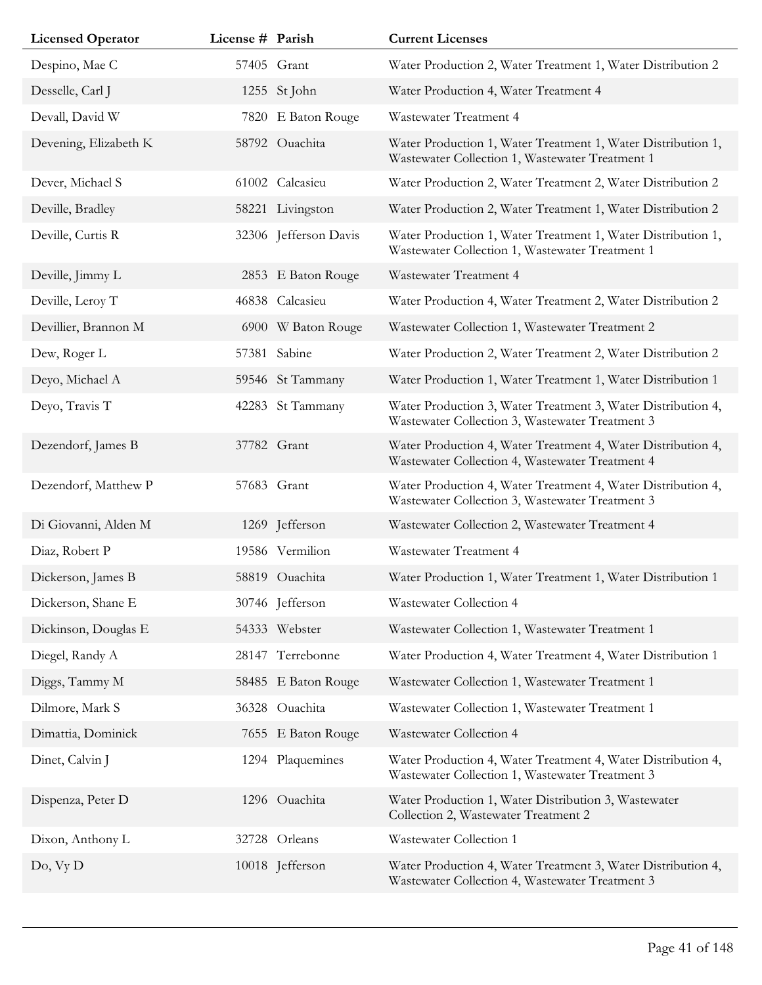| <b>Licensed Operator</b> | License # Parish |                       | <b>Current Licenses</b>                                                                                         |
|--------------------------|------------------|-----------------------|-----------------------------------------------------------------------------------------------------------------|
| Despino, Mae C           |                  | 57405 Grant           | Water Production 2, Water Treatment 1, Water Distribution 2                                                     |
| Desselle, Carl J         |                  | 1255 St John          | Water Production 4, Water Treatment 4                                                                           |
| Devall, David W          | 7820             | E Baton Rouge         | Wastewater Treatment 4                                                                                          |
| Devening, Elizabeth K    |                  | 58792 Ouachita        | Water Production 1, Water Treatment 1, Water Distribution 1,<br>Wastewater Collection 1, Wastewater Treatment 1 |
| Dever, Michael S         |                  | 61002 Calcasieu       | Water Production 2, Water Treatment 2, Water Distribution 2                                                     |
| Deville, Bradley         |                  | 58221 Livingston      | Water Production 2, Water Treatment 1, Water Distribution 2                                                     |
| Deville, Curtis R        |                  | 32306 Jefferson Davis | Water Production 1, Water Treatment 1, Water Distribution 1,<br>Wastewater Collection 1, Wastewater Treatment 1 |
| Deville, Jimmy L         |                  | 2853 E Baton Rouge    | Wastewater Treatment 4                                                                                          |
| Deville, Leroy T         |                  | 46838 Calcasieu       | Water Production 4, Water Treatment 2, Water Distribution 2                                                     |
| Devillier, Brannon M     |                  | 6900 W Baton Rouge    | Wastewater Collection 1, Wastewater Treatment 2                                                                 |
| Dew, Roger L             | 57381            | Sabine                | Water Production 2, Water Treatment 2, Water Distribution 2                                                     |
| Deyo, Michael A          |                  | 59546 St Tammany      | Water Production 1, Water Treatment 1, Water Distribution 1                                                     |
| Deyo, Travis T           |                  | 42283 St Tammany      | Water Production 3, Water Treatment 3, Water Distribution 4,<br>Wastewater Collection 3, Wastewater Treatment 3 |
| Dezendorf, James B       |                  | 37782 Grant           | Water Production 4, Water Treatment 4, Water Distribution 4,<br>Wastewater Collection 4, Wastewater Treatment 4 |
| Dezendorf, Matthew P     |                  | 57683 Grant           | Water Production 4, Water Treatment 4, Water Distribution 4,<br>Wastewater Collection 3, Wastewater Treatment 3 |
| Di Giovanni, Alden M     |                  | 1269 Jefferson        | Wastewater Collection 2, Wastewater Treatment 4                                                                 |
| Diaz, Robert P           |                  | 19586 Vermilion       | Wastewater Treatment 4                                                                                          |
| Dickerson, James B       |                  | 58819 Ouachita        | Water Production 1, Water Treatment 1, Water Distribution 1                                                     |
| Dickerson, Shane E       |                  | 30746 Jefferson       | Wastewater Collection 4                                                                                         |
| Dickinson, Douglas E     |                  | 54333 Webster         | Wastewater Collection 1, Wastewater Treatment 1                                                                 |
| Diegel, Randy A          |                  | 28147 Terrebonne      | Water Production 4, Water Treatment 4, Water Distribution 1                                                     |
| Diggs, Tammy M           |                  | 58485 E Baton Rouge   | Wastewater Collection 1, Wastewater Treatment 1                                                                 |
| Dilmore, Mark S          |                  | 36328 Ouachita        | Wastewater Collection 1, Wastewater Treatment 1                                                                 |
| Dimattia, Dominick       |                  | 7655 E Baton Rouge    | Wastewater Collection 4                                                                                         |
| Dinet, Calvin J          |                  | 1294 Plaquemines      | Water Production 4, Water Treatment 4, Water Distribution 4,<br>Wastewater Collection 1, Wastewater Treatment 3 |
| Dispenza, Peter D        |                  | 1296 Ouachita         | Water Production 1, Water Distribution 3, Wastewater<br>Collection 2, Wastewater Treatment 2                    |
| Dixon, Anthony L         |                  | 32728 Orleans         | Wastewater Collection 1                                                                                         |
| Do, Vy D                 |                  | 10018 Jefferson       | Water Production 4, Water Treatment 3, Water Distribution 4,<br>Wastewater Collection 4, Wastewater Treatment 3 |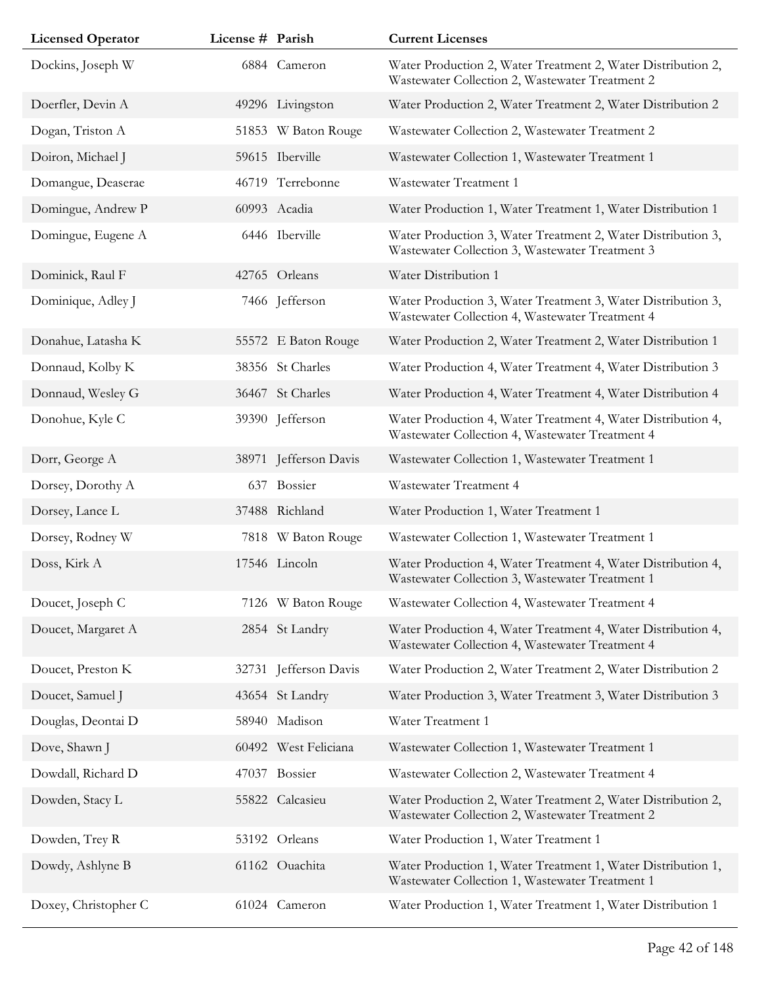| <b>Licensed Operator</b> | License # Parish |                       | <b>Current Licenses</b>                                                                                         |
|--------------------------|------------------|-----------------------|-----------------------------------------------------------------------------------------------------------------|
| Dockins, Joseph W        |                  | 6884 Cameron          | Water Production 2, Water Treatment 2, Water Distribution 2,<br>Wastewater Collection 2, Wastewater Treatment 2 |
| Doerfler, Devin A        |                  | 49296 Livingston      | Water Production 2, Water Treatment 2, Water Distribution 2                                                     |
| Dogan, Triston A         |                  | 51853 W Baton Rouge   | Wastewater Collection 2, Wastewater Treatment 2                                                                 |
| Doiron, Michael J        |                  | 59615 Iberville       | Wastewater Collection 1, Wastewater Treatment 1                                                                 |
| Domangue, Deaserae       |                  | 46719 Terrebonne      | Wastewater Treatment 1                                                                                          |
| Domingue, Andrew P       |                  | 60993 Acadia          | Water Production 1, Water Treatment 1, Water Distribution 1                                                     |
| Domingue, Eugene A       |                  | 6446 Iberville        | Water Production 3, Water Treatment 2, Water Distribution 3,<br>Wastewater Collection 3, Wastewater Treatment 3 |
| Dominick, Raul F         |                  | 42765 Orleans         | Water Distribution 1                                                                                            |
| Dominique, Adley J       |                  | 7466 Jefferson        | Water Production 3, Water Treatment 3, Water Distribution 3,<br>Wastewater Collection 4, Wastewater Treatment 4 |
| Donahue, Latasha K       |                  | 55572 E Baton Rouge   | Water Production 2, Water Treatment 2, Water Distribution 1                                                     |
| Donnaud, Kolby K         |                  | 38356 St Charles      | Water Production 4, Water Treatment 4, Water Distribution 3                                                     |
| Donnaud, Wesley G        |                  | 36467 St Charles      | Water Production 4, Water Treatment 4, Water Distribution 4                                                     |
| Donohue, Kyle C          |                  | 39390 Jefferson       | Water Production 4, Water Treatment 4, Water Distribution 4,<br>Wastewater Collection 4, Wastewater Treatment 4 |
| Dorr, George A           |                  | 38971 Jefferson Davis | Wastewater Collection 1, Wastewater Treatment 1                                                                 |
| Dorsey, Dorothy A        |                  | 637 Bossier           | Wastewater Treatment 4                                                                                          |
| Dorsey, Lance L          |                  | 37488 Richland        | Water Production 1, Water Treatment 1                                                                           |
| Dorsey, Rodney W         |                  | 7818 W Baton Rouge    | Wastewater Collection 1, Wastewater Treatment 1                                                                 |
| Doss, Kirk A             |                  | 17546 Lincoln         | Water Production 4, Water Treatment 4, Water Distribution 4,<br>Wastewater Collection 3, Wastewater Treatment 1 |
| Doucet, Joseph C         |                  | 7126 W Baton Rouge    | Wastewater Collection 4, Wastewater Treatment 4                                                                 |
| Doucet, Margaret A       |                  | 2854 St Landry        | Water Production 4, Water Treatment 4, Water Distribution 4,<br>Wastewater Collection 4, Wastewater Treatment 4 |
| Doucet, Preston K        |                  | 32731 Jefferson Davis | Water Production 2, Water Treatment 2, Water Distribution 2                                                     |
| Doucet, Samuel J         |                  | 43654 St Landry       | Water Production 3, Water Treatment 3, Water Distribution 3                                                     |
| Douglas, Deontai D       |                  | 58940 Madison         | Water Treatment 1                                                                                               |
| Dove, Shawn J            |                  | 60492 West Feliciana  | Wastewater Collection 1, Wastewater Treatment 1                                                                 |
| Dowdall, Richard D       |                  | 47037 Bossier         | Wastewater Collection 2, Wastewater Treatment 4                                                                 |
| Dowden, Stacy L          |                  | 55822 Calcasieu       | Water Production 2, Water Treatment 2, Water Distribution 2,<br>Wastewater Collection 2, Wastewater Treatment 2 |
| Dowden, Trey R           |                  | 53192 Orleans         | Water Production 1, Water Treatment 1                                                                           |
| Dowdy, Ashlyne B         |                  | 61162 Ouachita        | Water Production 1, Water Treatment 1, Water Distribution 1,<br>Wastewater Collection 1, Wastewater Treatment 1 |
| Doxey, Christopher C     |                  | 61024 Cameron         | Water Production 1, Water Treatment 1, Water Distribution 1                                                     |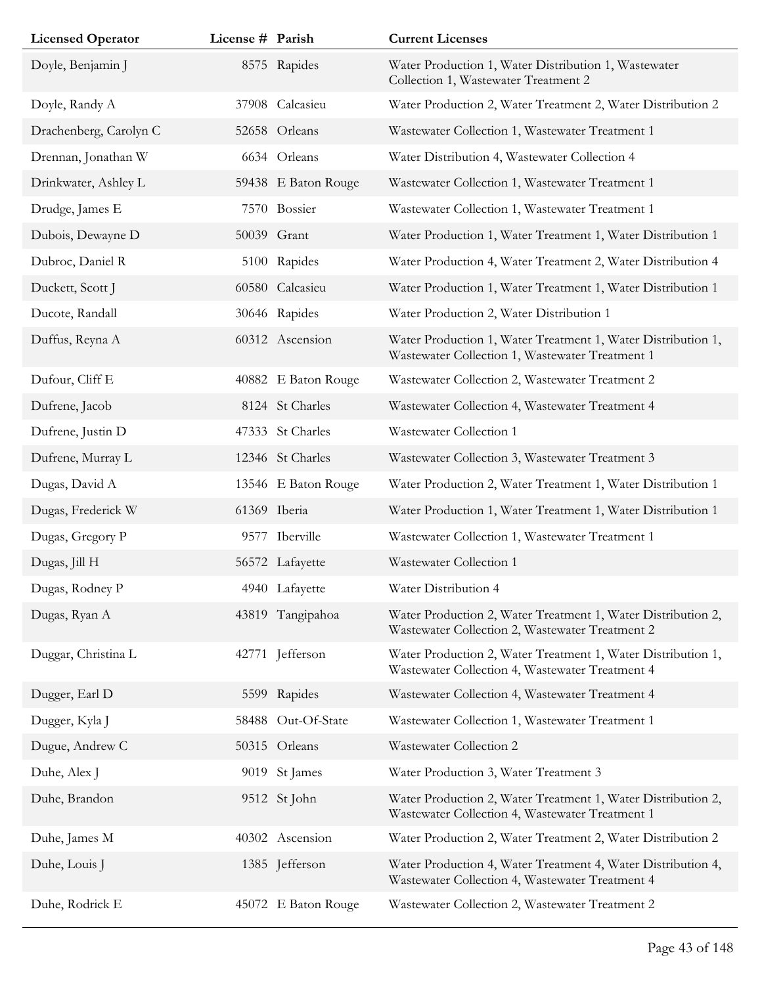| <b>Licensed Operator</b> | License # Parish |                     | <b>Current Licenses</b>                                                                                         |
|--------------------------|------------------|---------------------|-----------------------------------------------------------------------------------------------------------------|
| Doyle, Benjamin J        |                  | 8575 Rapides        | Water Production 1, Water Distribution 1, Wastewater<br>Collection 1, Wastewater Treatment 2                    |
| Doyle, Randy A           | 37908            | Calcasieu           | Water Production 2, Water Treatment 2, Water Distribution 2                                                     |
| Drachenberg, Carolyn C   |                  | 52658 Orleans       | Wastewater Collection 1, Wastewater Treatment 1                                                                 |
| Drennan, Jonathan W      |                  | 6634 Orleans        | Water Distribution 4, Wastewater Collection 4                                                                   |
| Drinkwater, Ashley L     |                  | 59438 E Baton Rouge | Wastewater Collection 1, Wastewater Treatment 1                                                                 |
| Drudge, James E          |                  | 7570 Bossier        | Wastewater Collection 1, Wastewater Treatment 1                                                                 |
| Dubois, Dewayne D        |                  | 50039 Grant         | Water Production 1, Water Treatment 1, Water Distribution 1                                                     |
| Dubroc, Daniel R         |                  | 5100 Rapides        | Water Production 4, Water Treatment 2, Water Distribution 4                                                     |
| Duckett, Scott J         |                  | 60580 Calcasieu     | Water Production 1, Water Treatment 1, Water Distribution 1                                                     |
| Ducote, Randall          |                  | 30646 Rapides       | Water Production 2, Water Distribution 1                                                                        |
| Duffus, Reyna A          |                  | 60312 Ascension     | Water Production 1, Water Treatment 1, Water Distribution 1,<br>Wastewater Collection 1, Wastewater Treatment 1 |
| Dufour, Cliff E          |                  | 40882 E Baton Rouge | Wastewater Collection 2, Wastewater Treatment 2                                                                 |
| Dufrene, Jacob           |                  | 8124 St Charles     | Wastewater Collection 4, Wastewater Treatment 4                                                                 |
| Dufrene, Justin D        |                  | 47333 St Charles    | Wastewater Collection 1                                                                                         |
| Dufrene, Murray L        |                  | 12346 St Charles    | Wastewater Collection 3, Wastewater Treatment 3                                                                 |
| Dugas, David A           |                  | 13546 E Baton Rouge | Water Production 2, Water Treatment 1, Water Distribution 1                                                     |
| Dugas, Frederick W       |                  | 61369 Iberia        | Water Production 1, Water Treatment 1, Water Distribution 1                                                     |
| Dugas, Gregory P         |                  | 9577 Iberville      | Wastewater Collection 1, Wastewater Treatment 1                                                                 |
| Dugas, Jill H            |                  | 56572 Lafayette     | Wastewater Collection 1                                                                                         |
| Dugas, Rodney P          |                  | 4940 Lafayette      | Water Distribution 4                                                                                            |
| Dugas, Ryan A            |                  | 43819 Tangipahoa    | Water Production 2, Water Treatment 1, Water Distribution 2,<br>Wastewater Collection 2, Wastewater Treatment 2 |
| Duggar, Christina L      | 42771            | Jefferson           | Water Production 2, Water Treatment 1, Water Distribution 1,<br>Wastewater Collection 4, Wastewater Treatment 4 |
| Dugger, Earl D           |                  | 5599 Rapides        | Wastewater Collection 4, Wastewater Treatment 4                                                                 |
| Dugger, Kyla J           | 58488            | Out-Of-State        | Wastewater Collection 1, Wastewater Treatment 1                                                                 |
| Dugue, Andrew C          |                  | 50315 Orleans       | Wastewater Collection 2                                                                                         |
| Duhe, Alex J             |                  | 9019 St James       | Water Production 3, Water Treatment 3                                                                           |
| Duhe, Brandon            |                  | 9512 St John        | Water Production 2, Water Treatment 1, Water Distribution 2,<br>Wastewater Collection 4, Wastewater Treatment 1 |
| Duhe, James M            |                  | 40302 Ascension     | Water Production 2, Water Treatment 2, Water Distribution 2                                                     |
| Duhe, Louis J            |                  | 1385 Jefferson      | Water Production 4, Water Treatment 4, Water Distribution 4,<br>Wastewater Collection 4, Wastewater Treatment 4 |
| Duhe, Rodrick E          |                  | 45072 E Baton Rouge | Wastewater Collection 2, Wastewater Treatment 2                                                                 |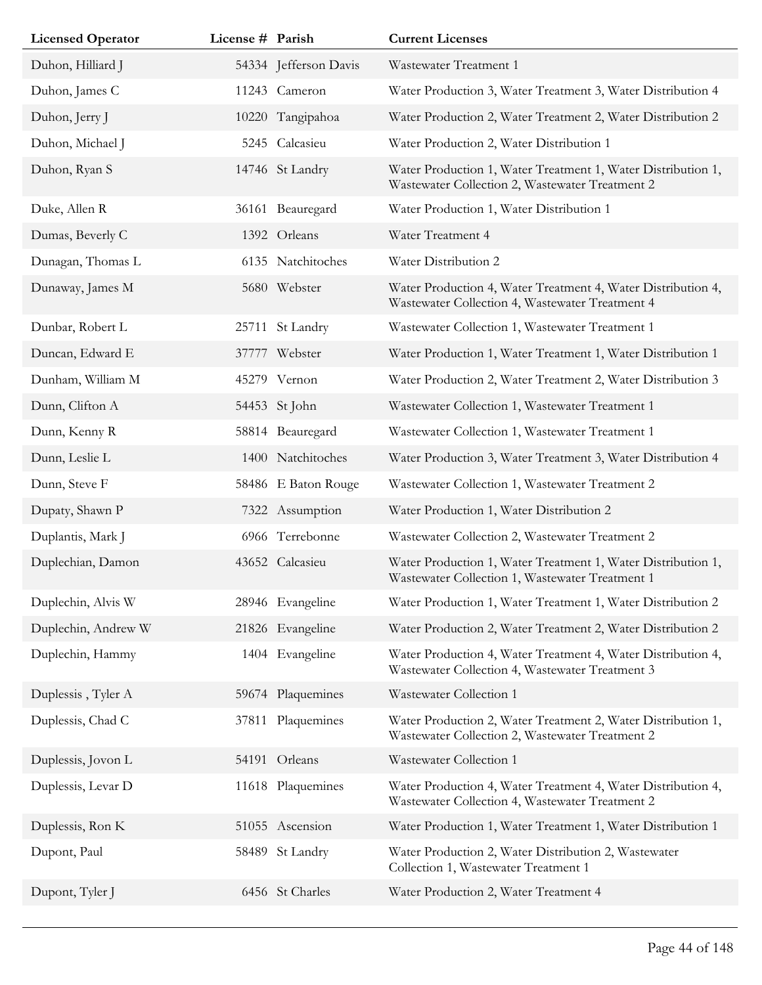| <b>Licensed Operator</b> | License # Parish |                       | <b>Current Licenses</b>                                                                                         |
|--------------------------|------------------|-----------------------|-----------------------------------------------------------------------------------------------------------------|
| Duhon, Hilliard J        |                  | 54334 Jefferson Davis | Wastewater Treatment 1                                                                                          |
| Duhon, James C           |                  | 11243 Cameron         | Water Production 3, Water Treatment 3, Water Distribution 4                                                     |
| Duhon, Jerry J           |                  | 10220 Tangipahoa      | Water Production 2, Water Treatment 2, Water Distribution 2                                                     |
| Duhon, Michael J         |                  | 5245 Calcasieu        | Water Production 2, Water Distribution 1                                                                        |
| Duhon, Ryan S            |                  | 14746 St Landry       | Water Production 1, Water Treatment 1, Water Distribution 1,<br>Wastewater Collection 2, Wastewater Treatment 2 |
| Duke, Allen R            |                  | 36161 Beauregard      | Water Production 1, Water Distribution 1                                                                        |
| Dumas, Beverly C         |                  | 1392 Orleans          | Water Treatment 4                                                                                               |
| Dunagan, Thomas L        |                  | 6135 Natchitoches     | Water Distribution 2                                                                                            |
| Dunaway, James M         |                  | 5680 Webster          | Water Production 4, Water Treatment 4, Water Distribution 4,<br>Wastewater Collection 4, Wastewater Treatment 4 |
| Dunbar, Robert L         | 25711            | St Landry             | Wastewater Collection 1, Wastewater Treatment 1                                                                 |
| Duncan, Edward E         |                  | 37777 Webster         | Water Production 1, Water Treatment 1, Water Distribution 1                                                     |
| Dunham, William M        |                  | 45279 Vernon          | Water Production 2, Water Treatment 2, Water Distribution 3                                                     |
| Dunn, Clifton A          |                  | 54453 St John         | Wastewater Collection 1, Wastewater Treatment 1                                                                 |
| Dunn, Kenny R            |                  | 58814 Beauregard      | Wastewater Collection 1, Wastewater Treatment 1                                                                 |
| Dunn, Leslie L           |                  | 1400 Natchitoches     | Water Production 3, Water Treatment 3, Water Distribution 4                                                     |
| Dunn, Steve F            |                  | 58486 E Baton Rouge   | Wastewater Collection 1, Wastewater Treatment 2                                                                 |
| Dupaty, Shawn P          |                  | 7322 Assumption       | Water Production 1, Water Distribution 2                                                                        |
| Duplantis, Mark J        |                  | 6966 Terrebonne       | Wastewater Collection 2, Wastewater Treatment 2                                                                 |
| Duplechian, Damon        |                  | 43652 Calcasieu       | Water Production 1, Water Treatment 1, Water Distribution 1,<br>Wastewater Collection 1, Wastewater Treatment 1 |
| Duplechin, Alvis W       |                  | 28946 Evangeline      | Water Production 1, Water Treatment 1, Water Distribution 2                                                     |
| Duplechin, Andrew W      |                  | 21826 Evangeline      | Water Production 2, Water Treatment 2, Water Distribution 2                                                     |
| Duplechin, Hammy         |                  | 1404 Evangeline       | Water Production 4, Water Treatment 4, Water Distribution 4,<br>Wastewater Collection 4, Wastewater Treatment 3 |
| Duplessis, Tyler A       |                  | 59674 Plaquemines     | Wastewater Collection 1                                                                                         |
| Duplessis, Chad C        |                  | 37811 Plaquemines     | Water Production 2, Water Treatment 2, Water Distribution 1,<br>Wastewater Collection 2, Wastewater Treatment 2 |
| Duplessis, Jovon L       |                  | 54191 Orleans         | Wastewater Collection 1                                                                                         |
| Duplessis, Levar D       |                  | 11618 Plaquemines     | Water Production 4, Water Treatment 4, Water Distribution 4,<br>Wastewater Collection 4, Wastewater Treatment 2 |
| Duplessis, Ron K         |                  | 51055 Ascension       | Water Production 1, Water Treatment 1, Water Distribution 1                                                     |
| Dupont, Paul             |                  | 58489 St Landry       | Water Production 2, Water Distribution 2, Wastewater<br>Collection 1, Wastewater Treatment 1                    |
| Dupont, Tyler J          |                  | 6456 St Charles       | Water Production 2, Water Treatment 4                                                                           |
|                          |                  |                       |                                                                                                                 |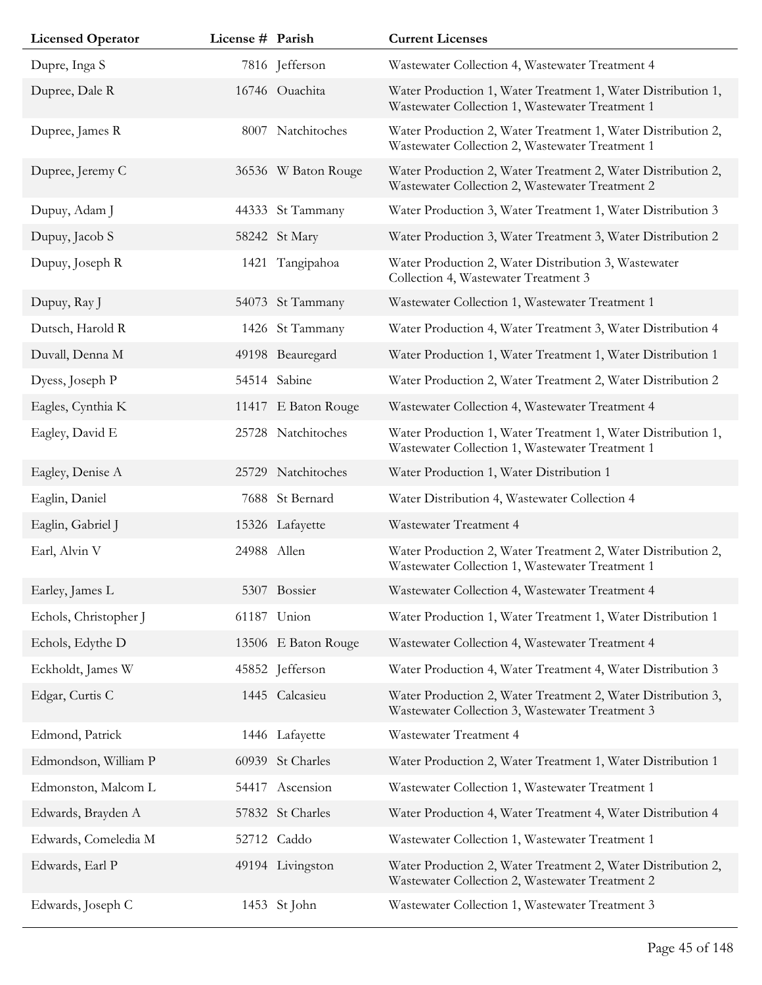| <b>Licensed Operator</b> | License # Parish |                     | <b>Current Licenses</b>                                                                                         |
|--------------------------|------------------|---------------------|-----------------------------------------------------------------------------------------------------------------|
| Dupre, Inga S            |                  | 7816 Jefferson      | Wastewater Collection 4, Wastewater Treatment 4                                                                 |
| Dupree, Dale R           |                  | 16746 Ouachita      | Water Production 1, Water Treatment 1, Water Distribution 1,<br>Wastewater Collection 1, Wastewater Treatment 1 |
| Dupree, James R          |                  | 8007 Natchitoches   | Water Production 2, Water Treatment 1, Water Distribution 2,<br>Wastewater Collection 2, Wastewater Treatment 1 |
| Dupree, Jeremy C         |                  | 36536 W Baton Rouge | Water Production 2, Water Treatment 2, Water Distribution 2,<br>Wastewater Collection 2, Wastewater Treatment 2 |
| Dupuy, Adam J            |                  | 44333 St Tammany    | Water Production 3, Water Treatment 1, Water Distribution 3                                                     |
| Dupuy, Jacob S           |                  | 58242 St Mary       | Water Production 3, Water Treatment 3, Water Distribution 2                                                     |
| Dupuy, Joseph R          |                  | 1421 Tangipahoa     | Water Production 2, Water Distribution 3, Wastewater<br>Collection 4, Wastewater Treatment 3                    |
| Dupuy, Ray J             |                  | 54073 St Tammany    | Wastewater Collection 1, Wastewater Treatment 1                                                                 |
| Dutsch, Harold R         |                  | 1426 St Tammany     | Water Production 4, Water Treatment 3, Water Distribution 4                                                     |
| Duvall, Denna M          |                  | 49198 Beauregard    | Water Production 1, Water Treatment 1, Water Distribution 1                                                     |
| Dyess, Joseph P          |                  | 54514 Sabine        | Water Production 2, Water Treatment 2, Water Distribution 2                                                     |
| Eagles, Cynthia K        |                  | 11417 E Baton Rouge | Wastewater Collection 4, Wastewater Treatment 4                                                                 |
| Eagley, David E          |                  | 25728 Natchitoches  | Water Production 1, Water Treatment 1, Water Distribution 1,<br>Wastewater Collection 1, Wastewater Treatment 1 |
| Eagley, Denise A         |                  | 25729 Natchitoches  | Water Production 1, Water Distribution 1                                                                        |
| Eaglin, Daniel           |                  | 7688 St Bernard     | Water Distribution 4, Wastewater Collection 4                                                                   |
| Eaglin, Gabriel J        |                  | 15326 Lafayette     | Wastewater Treatment 4                                                                                          |
| Earl, Alvin V            | 24988 Allen      |                     | Water Production 2, Water Treatment 2, Water Distribution 2,<br>Wastewater Collection 1, Wastewater Treatment 1 |
| Earley, James L          |                  | 5307 Bossier        | Wastewater Collection 4, Wastewater Treatment 4                                                                 |
| Echols, Christopher J    |                  | 61187 Union         | Water Production 1, Water Treatment 1, Water Distribution 1                                                     |
| Echols, Edythe D         |                  | 13506 E Baton Rouge | Wastewater Collection 4, Wastewater Treatment 4                                                                 |
| Eckholdt, James W        |                  | 45852 Jefferson     | Water Production 4, Water Treatment 4, Water Distribution 3                                                     |
| Edgar, Curtis C          |                  | 1445 Calcasieu      | Water Production 2, Water Treatment 2, Water Distribution 3,<br>Wastewater Collection 3, Wastewater Treatment 3 |
| Edmond, Patrick          |                  | 1446 Lafayette      | Wastewater Treatment 4                                                                                          |
| Edmondson, William P     |                  | 60939 St Charles    | Water Production 2, Water Treatment 1, Water Distribution 1                                                     |
| Edmonston, Malcom L      | 54417            | Ascension           | Wastewater Collection 1, Wastewater Treatment 1                                                                 |
| Edwards, Brayden A       |                  | 57832 St Charles    | Water Production 4, Water Treatment 4, Water Distribution 4                                                     |
| Edwards, Comeledia M     |                  | 52712 Caddo         | Wastewater Collection 1, Wastewater Treatment 1                                                                 |
| Edwards, Earl P          |                  | 49194 Livingston    | Water Production 2, Water Treatment 2, Water Distribution 2,<br>Wastewater Collection 2, Wastewater Treatment 2 |
| Edwards, Joseph C        |                  | 1453 St John        | Wastewater Collection 1, Wastewater Treatment 3                                                                 |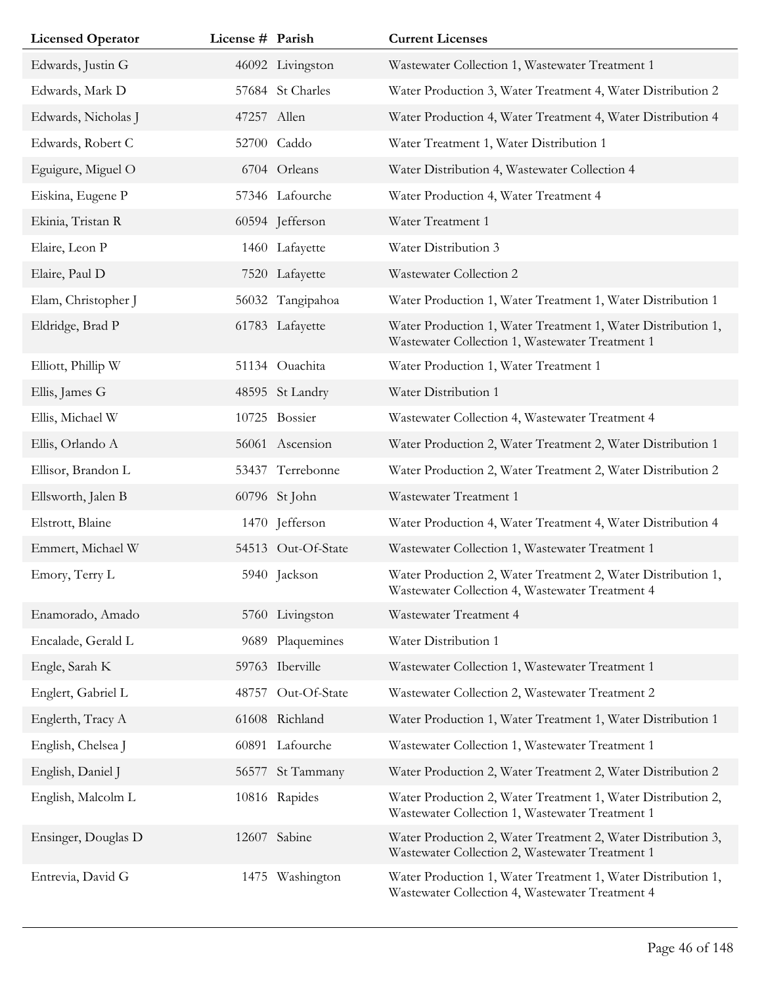| <b>Licensed Operator</b> | License # Parish |                    | <b>Current Licenses</b>                                                                                         |
|--------------------------|------------------|--------------------|-----------------------------------------------------------------------------------------------------------------|
| Edwards, Justin G        |                  | 46092 Livingston   | Wastewater Collection 1, Wastewater Treatment 1                                                                 |
| Edwards, Mark D          |                  | 57684 St Charles   | Water Production 3, Water Treatment 4, Water Distribution 2                                                     |
| Edwards, Nicholas J      |                  | 47257 Allen        | Water Production 4, Water Treatment 4, Water Distribution 4                                                     |
| Edwards, Robert C        |                  | 52700 Caddo        | Water Treatment 1, Water Distribution 1                                                                         |
| Eguigure, Miguel O       |                  | 6704 Orleans       | Water Distribution 4, Wastewater Collection 4                                                                   |
| Eiskina, Eugene P        |                  | 57346 Lafourche    | Water Production 4, Water Treatment 4                                                                           |
| Ekinia, Tristan R        |                  | 60594 Jefferson    | Water Treatment 1                                                                                               |
| Elaire, Leon P           |                  | 1460 Lafayette     | Water Distribution 3                                                                                            |
| Elaire, Paul D           |                  | 7520 Lafayette     | Wastewater Collection 2                                                                                         |
| Elam, Christopher J      |                  | 56032 Tangipahoa   | Water Production 1, Water Treatment 1, Water Distribution 1                                                     |
| Eldridge, Brad P         |                  | 61783 Lafayette    | Water Production 1, Water Treatment 1, Water Distribution 1,<br>Wastewater Collection 1, Wastewater Treatment 1 |
| Elliott, Phillip W       |                  | 51134 Ouachita     | Water Production 1, Water Treatment 1                                                                           |
| Ellis, James G           |                  | 48595 St Landry    | Water Distribution 1                                                                                            |
| Ellis, Michael W         |                  | 10725 Bossier      | Wastewater Collection 4, Wastewater Treatment 4                                                                 |
| Ellis, Orlando A         |                  | 56061 Ascension    | Water Production 2, Water Treatment 2, Water Distribution 1                                                     |
| Ellisor, Brandon L       |                  | 53437 Terrebonne   | Water Production 2, Water Treatment 2, Water Distribution 2                                                     |
| Ellsworth, Jalen B       |                  | 60796 St John      | Wastewater Treatment 1                                                                                          |
| Elstrott, Blaine         |                  | 1470 Jefferson     | Water Production 4, Water Treatment 4, Water Distribution 4                                                     |
| Emmert, Michael W        |                  | 54513 Out-Of-State | Wastewater Collection 1, Wastewater Treatment 1                                                                 |
| Emory, Terry L           |                  | 5940 Jackson       | Water Production 2, Water Treatment 2, Water Distribution 1,<br>Wastewater Collection 4, Wastewater Treatment 4 |
| Enamorado, Amado         |                  | 5760 Livingston    | Wastewater Treatment 4                                                                                          |
| Encalade, Gerald L       | 9689             | Plaquemines        | Water Distribution 1                                                                                            |
| Engle, Sarah K           |                  | 59763 Iberville    | Wastewater Collection 1, Wastewater Treatment 1                                                                 |
| Englert, Gabriel L       |                  | 48757 Out-Of-State | Wastewater Collection 2, Wastewater Treatment 2                                                                 |
| Englerth, Tracy A        |                  | 61608 Richland     | Water Production 1, Water Treatment 1, Water Distribution 1                                                     |
| English, Chelsea J       |                  | 60891 Lafourche    | Wastewater Collection 1, Wastewater Treatment 1                                                                 |
| English, Daniel J        |                  | 56577 St Tammany   | Water Production 2, Water Treatment 2, Water Distribution 2                                                     |
| English, Malcolm L       |                  | 10816 Rapides      | Water Production 2, Water Treatment 1, Water Distribution 2,<br>Wastewater Collection 1, Wastewater Treatment 1 |
| Ensinger, Douglas D      |                  | 12607 Sabine       | Water Production 2, Water Treatment 2, Water Distribution 3,<br>Wastewater Collection 2, Wastewater Treatment 1 |
| Entrevia, David G        |                  | 1475 Washington    | Water Production 1, Water Treatment 1, Water Distribution 1,<br>Wastewater Collection 4, Wastewater Treatment 4 |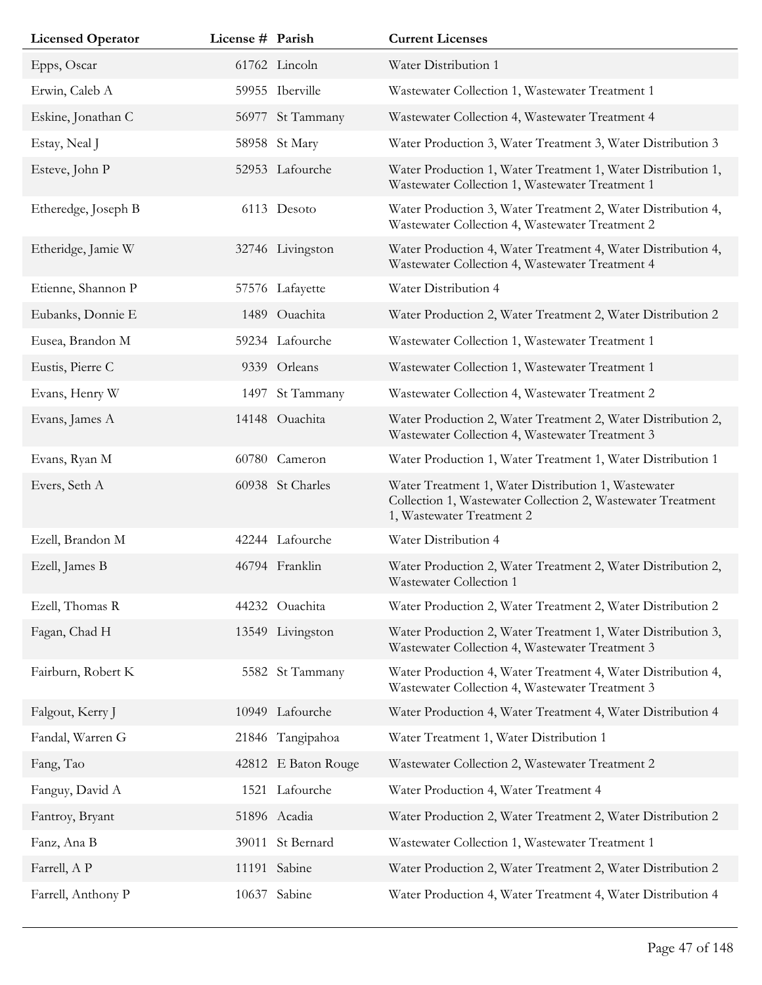| <b>Licensed Operator</b> | License # Parish |                     | <b>Current Licenses</b>                                                                                                                         |
|--------------------------|------------------|---------------------|-------------------------------------------------------------------------------------------------------------------------------------------------|
| Epps, Oscar              |                  | 61762 Lincoln       | Water Distribution 1                                                                                                                            |
| Erwin, Caleb A           |                  | 59955 Iberville     | Wastewater Collection 1, Wastewater Treatment 1                                                                                                 |
| Eskine, Jonathan C       |                  | 56977 St Tammany    | Wastewater Collection 4, Wastewater Treatment 4                                                                                                 |
| Estay, Neal J            |                  | 58958 St Mary       | Water Production 3, Water Treatment 3, Water Distribution 3                                                                                     |
| Esteve, John P           |                  | 52953 Lafourche     | Water Production 1, Water Treatment 1, Water Distribution 1,<br>Wastewater Collection 1, Wastewater Treatment 1                                 |
| Etheredge, Joseph B      |                  | 6113 Desoto         | Water Production 3, Water Treatment 2, Water Distribution 4,<br>Wastewater Collection 4, Wastewater Treatment 2                                 |
| Etheridge, Jamie W       |                  | 32746 Livingston    | Water Production 4, Water Treatment 4, Water Distribution 4,<br>Wastewater Collection 4, Wastewater Treatment 4                                 |
| Etienne, Shannon P       |                  | 57576 Lafayette     | Water Distribution 4                                                                                                                            |
| Eubanks, Donnie E        |                  | 1489 Ouachita       | Water Production 2, Water Treatment 2, Water Distribution 2                                                                                     |
| Eusea, Brandon M         |                  | 59234 Lafourche     | Wastewater Collection 1, Wastewater Treatment 1                                                                                                 |
| Eustis, Pierre C         |                  | 9339 Orleans        | Wastewater Collection 1, Wastewater Treatment 1                                                                                                 |
| Evans, Henry W           | 1497             | St Tammany          | Wastewater Collection 4, Wastewater Treatment 2                                                                                                 |
| Evans, James A           |                  | 14148 Ouachita      | Water Production 2, Water Treatment 2, Water Distribution 2,<br>Wastewater Collection 4, Wastewater Treatment 3                                 |
| Evans, Ryan M            |                  | 60780 Cameron       | Water Production 1, Water Treatment 1, Water Distribution 1                                                                                     |
| Evers, Seth A            |                  | 60938 St Charles    | Water Treatment 1, Water Distribution 1, Wastewater<br>Collection 1, Wastewater Collection 2, Wastewater Treatment<br>1, Wastewater Treatment 2 |
| Ezell, Brandon M         |                  | 42244 Lafourche     | Water Distribution 4                                                                                                                            |
| Ezell, James B           |                  | 46794 Franklin      | Water Production 2, Water Treatment 2, Water Distribution 2,<br>Wastewater Collection 1                                                         |
| Ezell, Thomas R          |                  | 44232 Ouachita      | Water Production 2, Water Treatment 2, Water Distribution 2                                                                                     |
| Fagan, Chad H            |                  | 13549 Livingston    | Water Production 2, Water Treatment 1, Water Distribution 3,<br>Wastewater Collection 4, Wastewater Treatment 3                                 |
| Fairburn, Robert K       |                  | 5582 St Tammany     | Water Production 4, Water Treatment 4, Water Distribution 4,<br>Wastewater Collection 4, Wastewater Treatment 3                                 |
| Falgout, Kerry J         |                  | 10949 Lafourche     | Water Production 4, Water Treatment 4, Water Distribution 4                                                                                     |
| Fandal, Warren G         |                  | 21846 Tangipahoa    | Water Treatment 1, Water Distribution 1                                                                                                         |
| Fang, Tao                |                  | 42812 E Baton Rouge | Wastewater Collection 2, Wastewater Treatment 2                                                                                                 |
| Fanguy, David A          |                  | 1521 Lafourche      | Water Production 4, Water Treatment 4                                                                                                           |
| Fantroy, Bryant          |                  | 51896 Acadia        | Water Production 2, Water Treatment 2, Water Distribution 2                                                                                     |
| Fanz, Ana B              |                  | 39011 St Bernard    | Wastewater Collection 1, Wastewater Treatment 1                                                                                                 |
| Farrell, A P             |                  | 11191 Sabine        | Water Production 2, Water Treatment 2, Water Distribution 2                                                                                     |
| Farrell, Anthony P       |                  | 10637 Sabine        | Water Production 4, Water Treatment 4, Water Distribution 4                                                                                     |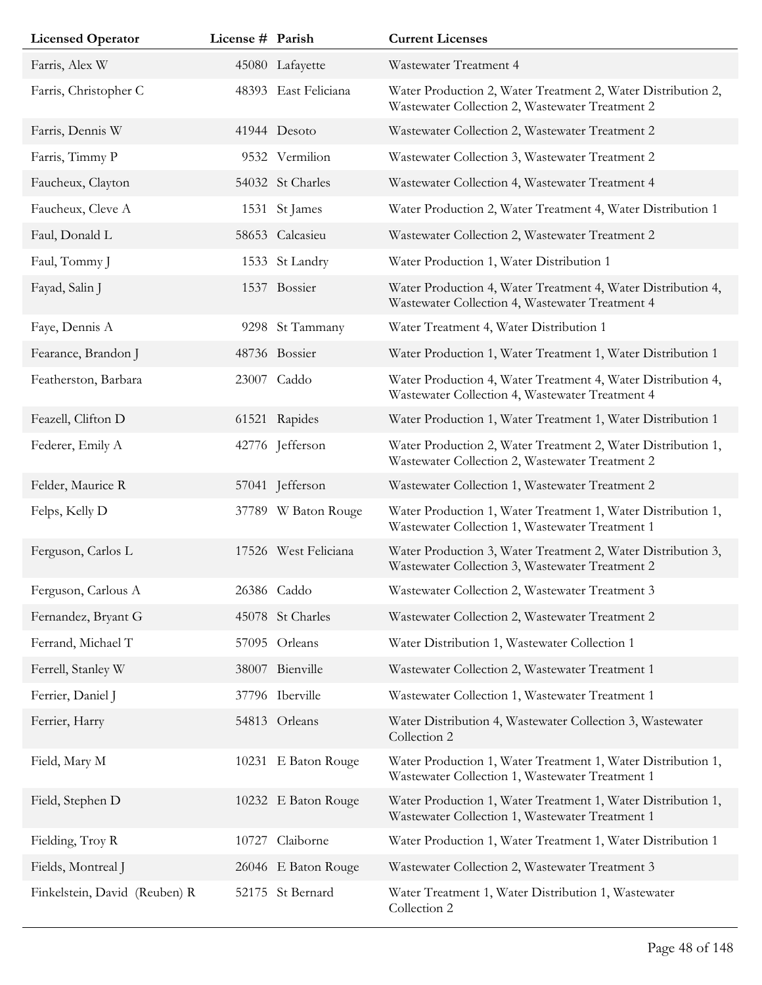| <b>Licensed Operator</b>      | License # Parish |                      | <b>Current Licenses</b>                                                                                         |
|-------------------------------|------------------|----------------------|-----------------------------------------------------------------------------------------------------------------|
| Farris, Alex W                |                  | 45080 Lafayette      | Wastewater Treatment 4                                                                                          |
| Farris, Christopher C         |                  | 48393 East Feliciana | Water Production 2, Water Treatment 2, Water Distribution 2,<br>Wastewater Collection 2, Wastewater Treatment 2 |
| Farris, Dennis W              |                  | 41944 Desoto         | Wastewater Collection 2, Wastewater Treatment 2                                                                 |
| Farris, Timmy P               |                  | 9532 Vermilion       | Wastewater Collection 3, Wastewater Treatment 2                                                                 |
| Faucheux, Clayton             |                  | 54032 St Charles     | Wastewater Collection 4, Wastewater Treatment 4                                                                 |
| Faucheux, Cleve A             |                  | 1531 St James        | Water Production 2, Water Treatment 4, Water Distribution 1                                                     |
| Faul, Donald L                |                  | 58653 Calcasieu      | Wastewater Collection 2, Wastewater Treatment 2                                                                 |
| Faul, Tommy J                 |                  | 1533 St Landry       | Water Production 1, Water Distribution 1                                                                        |
| Fayad, Salin J                |                  | 1537 Bossier         | Water Production 4, Water Treatment 4, Water Distribution 4,<br>Wastewater Collection 4, Wastewater Treatment 4 |
| Faye, Dennis A                |                  | 9298 St Tammany      | Water Treatment 4, Water Distribution 1                                                                         |
| Fearance, Brandon J           |                  | 48736 Bossier        | Water Production 1, Water Treatment 1, Water Distribution 1                                                     |
| Featherston, Barbara          |                  | 23007 Caddo          | Water Production 4, Water Treatment 4, Water Distribution 4,<br>Wastewater Collection 4, Wastewater Treatment 4 |
| Feazell, Clifton D            |                  | 61521 Rapides        | Water Production 1, Water Treatment 1, Water Distribution 1                                                     |
| Federer, Emily A              |                  | 42776 Jefferson      | Water Production 2, Water Treatment 2, Water Distribution 1,<br>Wastewater Collection 2, Wastewater Treatment 2 |
| Felder, Maurice R             |                  | 57041 Jefferson      | Wastewater Collection 1, Wastewater Treatment 2                                                                 |
| Felps, Kelly D                |                  | 37789 W Baton Rouge  | Water Production 1, Water Treatment 1, Water Distribution 1,<br>Wastewater Collection 1, Wastewater Treatment 1 |
| Ferguson, Carlos L            |                  | 17526 West Feliciana | Water Production 3, Water Treatment 2, Water Distribution 3,<br>Wastewater Collection 3, Wastewater Treatment 2 |
| Ferguson, Carlous A           |                  | 26386 Caddo          | Wastewater Collection 2, Wastewater Treatment 3                                                                 |
| Fernandez, Bryant G           |                  | 45078 St Charles     | Wastewater Collection 2, Wastewater Treatment 2                                                                 |
| Ferrand, Michael T            |                  | 57095 Orleans        | Water Distribution 1, Wastewater Collection 1                                                                   |
| Ferrell, Stanley W            |                  | 38007 Bienville      | Wastewater Collection 2, Wastewater Treatment 1                                                                 |
| Ferrier, Daniel J             |                  | 37796 Iberville      | Wastewater Collection 1, Wastewater Treatment 1                                                                 |
| Ferrier, Harry                |                  | 54813 Orleans        | Water Distribution 4, Wastewater Collection 3, Wastewater<br>Collection 2                                       |
| Field, Mary M                 |                  | 10231 E Baton Rouge  | Water Production 1, Water Treatment 1, Water Distribution 1,<br>Wastewater Collection 1, Wastewater Treatment 1 |
| Field, Stephen D              |                  | 10232 E Baton Rouge  | Water Production 1, Water Treatment 1, Water Distribution 1,<br>Wastewater Collection 1, Wastewater Treatment 1 |
| Fielding, Troy R              | 10727            | Claiborne            | Water Production 1, Water Treatment 1, Water Distribution 1                                                     |
| Fields, Montreal J            |                  | 26046 E Baton Rouge  | Wastewater Collection 2, Wastewater Treatment 3                                                                 |
| Finkelstein, David (Reuben) R |                  | 52175 St Bernard     | Water Treatment 1, Water Distribution 1, Wastewater<br>Collection 2                                             |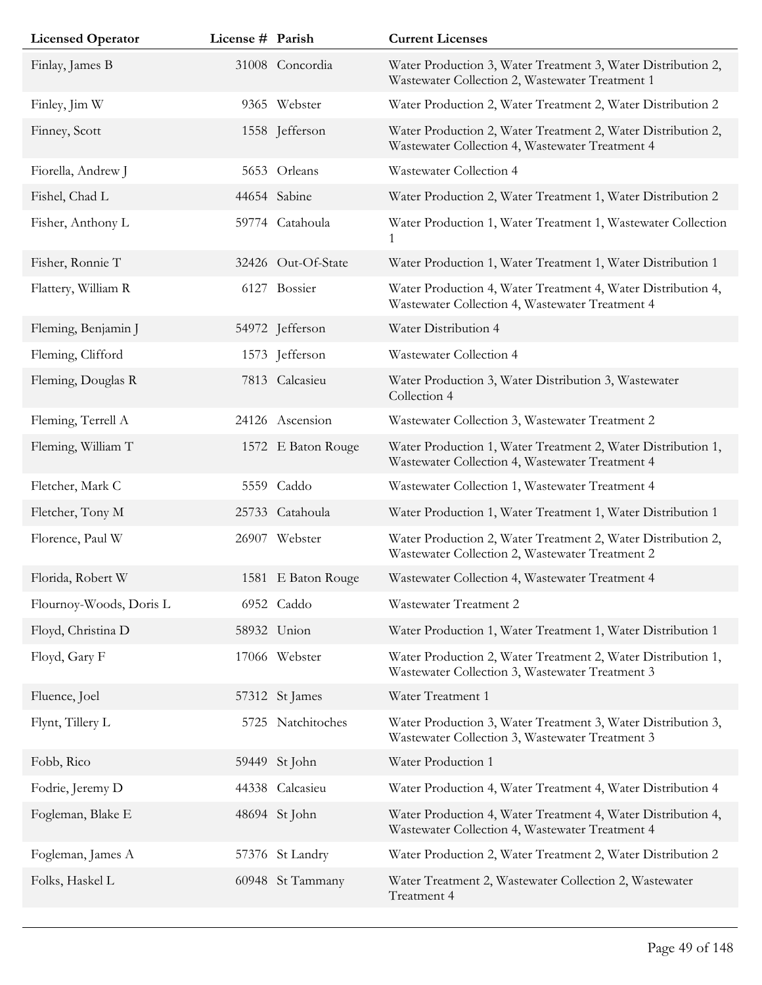| <b>Licensed Operator</b> | License # Parish |                    | <b>Current Licenses</b>                                                                                         |
|--------------------------|------------------|--------------------|-----------------------------------------------------------------------------------------------------------------|
| Finlay, James B          |                  | 31008 Concordia    | Water Production 3, Water Treatment 3, Water Distribution 2,<br>Wastewater Collection 2, Wastewater Treatment 1 |
| Finley, Jim W            |                  | 9365 Webster       | Water Production 2, Water Treatment 2, Water Distribution 2                                                     |
| Finney, Scott            |                  | 1558 Jefferson     | Water Production 2, Water Treatment 2, Water Distribution 2,<br>Wastewater Collection 4, Wastewater Treatment 4 |
| Fiorella, Andrew J       |                  | 5653 Orleans       | Wastewater Collection 4                                                                                         |
| Fishel, Chad L           |                  | 44654 Sabine       | Water Production 2, Water Treatment 1, Water Distribution 2                                                     |
| Fisher, Anthony L        |                  | 59774 Catahoula    | Water Production 1, Water Treatment 1, Wastewater Collection<br>1                                               |
| Fisher, Ronnie T         |                  | 32426 Out-Of-State | Water Production 1, Water Treatment 1, Water Distribution 1                                                     |
| Flattery, William R      |                  | 6127 Bossier       | Water Production 4, Water Treatment 4, Water Distribution 4,<br>Wastewater Collection 4, Wastewater Treatment 4 |
| Fleming, Benjamin J      |                  | 54972 Jefferson    | Water Distribution 4                                                                                            |
| Fleming, Clifford        |                  | 1573 Jefferson     | Wastewater Collection 4                                                                                         |
| Fleming, Douglas R       |                  | 7813 Calcasieu     | Water Production 3, Water Distribution 3, Wastewater<br>Collection 4                                            |
| Fleming, Terrell A       |                  | 24126 Ascension    | Wastewater Collection 3, Wastewater Treatment 2                                                                 |
| Fleming, William T       |                  | 1572 E Baton Rouge | Water Production 1, Water Treatment 2, Water Distribution 1,<br>Wastewater Collection 4, Wastewater Treatment 4 |
| Fletcher, Mark C         |                  | 5559 Caddo         | Wastewater Collection 1, Wastewater Treatment 4                                                                 |
| Fletcher, Tony M         |                  | 25733 Catahoula    | Water Production 1, Water Treatment 1, Water Distribution 1                                                     |
| Florence, Paul W         |                  | 26907 Webster      | Water Production 2, Water Treatment 2, Water Distribution 2,<br>Wastewater Collection 2, Wastewater Treatment 2 |
| Florida, Robert W        |                  | 1581 E Baton Rouge | Wastewater Collection 4, Wastewater Treatment 4                                                                 |
| Flournoy-Woods, Doris L  |                  | 6952 Caddo         | Wastewater Treatment 2                                                                                          |
| Floyd, Christina D       |                  | 58932 Union        | Water Production 1, Water Treatment 1, Water Distribution 1                                                     |
| Floyd, Gary F            |                  | 17066 Webster      | Water Production 2, Water Treatment 2, Water Distribution 1,<br>Wastewater Collection 3, Wastewater Treatment 3 |
| Fluence, Joel            |                  | 57312 St James     | Water Treatment 1                                                                                               |
| Flynt, Tillery L         |                  | 5725 Natchitoches  | Water Production 3, Water Treatment 3, Water Distribution 3,<br>Wastewater Collection 3, Wastewater Treatment 3 |
| Fobb, Rico               | 59449            | St John            | Water Production 1                                                                                              |
| Fodrie, Jeremy D         | 44338            | Calcasieu          | Water Production 4, Water Treatment 4, Water Distribution 4                                                     |
| Fogleman, Blake E        |                  | 48694 St John      | Water Production 4, Water Treatment 4, Water Distribution 4,<br>Wastewater Collection 4, Wastewater Treatment 4 |
| Fogleman, James A        |                  | 57376 St Landry    | Water Production 2, Water Treatment 2, Water Distribution 2                                                     |
| Folks, Haskel L          |                  | 60948 St Tammany   | Water Treatment 2, Wastewater Collection 2, Wastewater<br>Treatment 4                                           |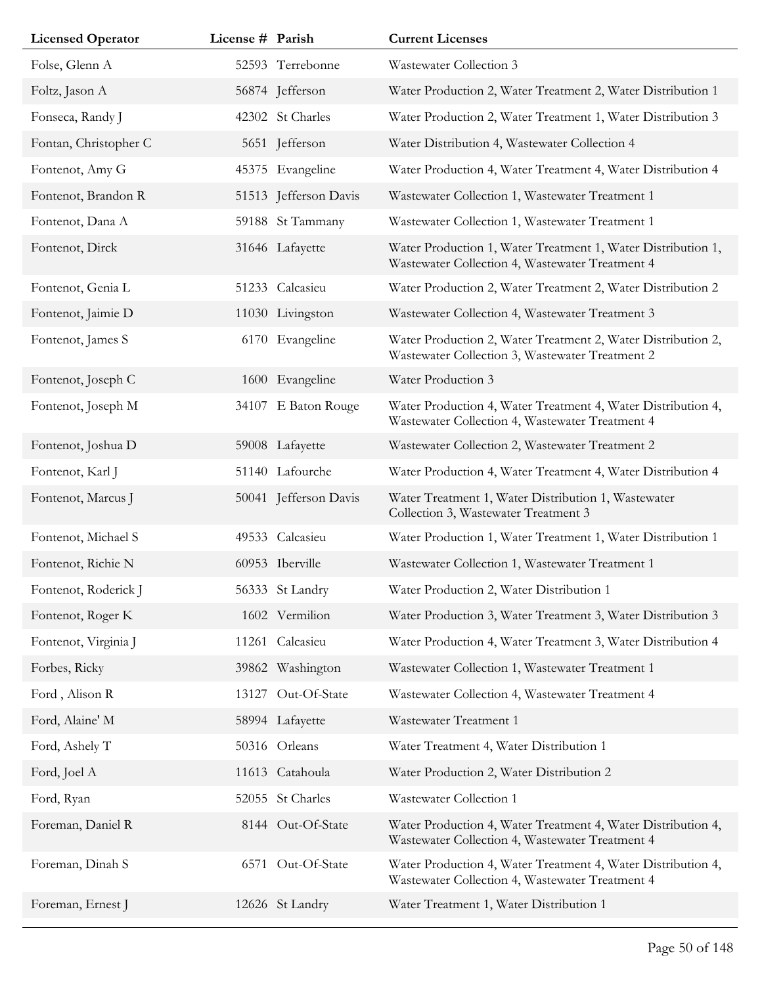| <b>Licensed Operator</b> | License # Parish |                       | <b>Current Licenses</b>                                                                                         |
|--------------------------|------------------|-----------------------|-----------------------------------------------------------------------------------------------------------------|
| Folse, Glenn A           |                  | 52593 Terrebonne      | Wastewater Collection 3                                                                                         |
| Foltz, Jason A           |                  | 56874 Jefferson       | Water Production 2, Water Treatment 2, Water Distribution 1                                                     |
| Fonseca, Randy J         |                  | 42302 St Charles      | Water Production 2, Water Treatment 1, Water Distribution 3                                                     |
| Fontan, Christopher C    |                  | 5651 Jefferson        | Water Distribution 4, Wastewater Collection 4                                                                   |
| Fontenot, Amy G          |                  | 45375 Evangeline      | Water Production 4, Water Treatment 4, Water Distribution 4                                                     |
| Fontenot, Brandon R      |                  | 51513 Jefferson Davis | Wastewater Collection 1, Wastewater Treatment 1                                                                 |
| Fontenot, Dana A         |                  | 59188 St Tammany      | Wastewater Collection 1, Wastewater Treatment 1                                                                 |
| Fontenot, Dirck          |                  | 31646 Lafayette       | Water Production 1, Water Treatment 1, Water Distribution 1,<br>Wastewater Collection 4, Wastewater Treatment 4 |
| Fontenot, Genia L        |                  | 51233 Calcasieu       | Water Production 2, Water Treatment 2, Water Distribution 2                                                     |
| Fontenot, Jaimie D       |                  | 11030 Livingston      | Wastewater Collection 4, Wastewater Treatment 3                                                                 |
| Fontenot, James S        |                  | 6170 Evangeline       | Water Production 2, Water Treatment 2, Water Distribution 2,<br>Wastewater Collection 3, Wastewater Treatment 2 |
| Fontenot, Joseph C       |                  | 1600 Evangeline       | Water Production 3                                                                                              |
| Fontenot, Joseph M       |                  | 34107 E Baton Rouge   | Water Production 4, Water Treatment 4, Water Distribution 4,<br>Wastewater Collection 4, Wastewater Treatment 4 |
| Fontenot, Joshua D       |                  | 59008 Lafayette       | Wastewater Collection 2, Wastewater Treatment 2                                                                 |
| Fontenot, Karl J         |                  | 51140 Lafourche       | Water Production 4, Water Treatment 4, Water Distribution 4                                                     |
| Fontenot, Marcus J       |                  | 50041 Jefferson Davis | Water Treatment 1, Water Distribution 1, Wastewater<br>Collection 3, Wastewater Treatment 3                     |
| Fontenot, Michael S      |                  | 49533 Calcasieu       | Water Production 1, Water Treatment 1, Water Distribution 1                                                     |
| Fontenot, Richie N       |                  | 60953 Iberville       | Wastewater Collection 1, Wastewater Treatment 1                                                                 |
| Fontenot, Roderick J     |                  | 56333 St Landry       | Water Production 2, Water Distribution 1                                                                        |
| Fontenot, Roger K        |                  | 1602 Vermilion        | Water Production 3, Water Treatment 3, Water Distribution 3                                                     |
| Fontenot, Virginia J     |                  | 11261 Calcasieu       | Water Production 4, Water Treatment 3, Water Distribution 4                                                     |
| Forbes, Ricky            |                  | 39862 Washington      | Wastewater Collection 1, Wastewater Treatment 1                                                                 |
| Ford, Alison R           | 13127            | Out-Of-State          | Wastewater Collection 4, Wastewater Treatment 4                                                                 |
| Ford, Alaine' M          |                  | 58994 Lafayette       | Wastewater Treatment 1                                                                                          |
| Ford, Ashely T           |                  | 50316 Orleans         | Water Treatment 4, Water Distribution 1                                                                         |
| Ford, Joel A             |                  | 11613 Catahoula       | Water Production 2, Water Distribution 2                                                                        |
| Ford, Ryan               |                  | 52055 St Charles      | Wastewater Collection 1                                                                                         |
| Foreman, Daniel R        |                  | 8144 Out-Of-State     | Water Production 4, Water Treatment 4, Water Distribution 4,<br>Wastewater Collection 4, Wastewater Treatment 4 |
| Foreman, Dinah S         | 6571             | Out-Of-State          | Water Production 4, Water Treatment 4, Water Distribution 4,<br>Wastewater Collection 4, Wastewater Treatment 4 |
| Foreman, Ernest J        |                  | 12626 St Landry       | Water Treatment 1, Water Distribution 1                                                                         |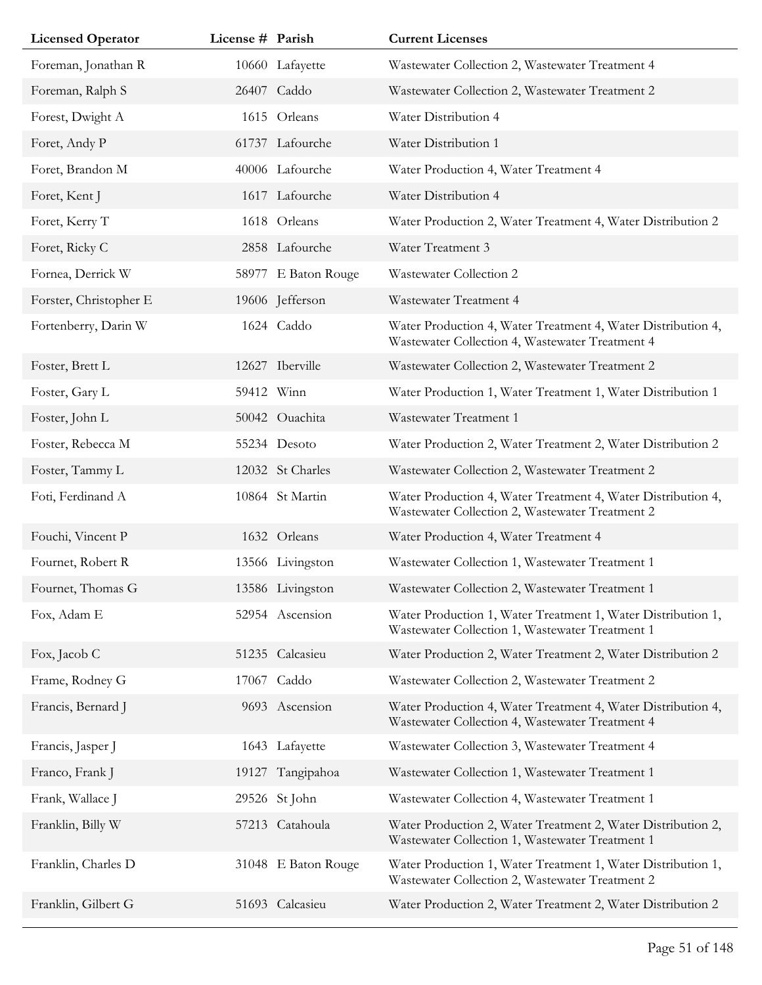| <b>Licensed Operator</b> | License # Parish |                     | <b>Current Licenses</b>                                                                                         |
|--------------------------|------------------|---------------------|-----------------------------------------------------------------------------------------------------------------|
| Foreman, Jonathan R      |                  | 10660 Lafayette     | Wastewater Collection 2, Wastewater Treatment 4                                                                 |
| Foreman, Ralph S         |                  | 26407 Caddo         | Wastewater Collection 2, Wastewater Treatment 2                                                                 |
| Forest, Dwight A         |                  | 1615 Orleans        | Water Distribution 4                                                                                            |
| Foret, Andy P            |                  | 61737 Lafourche     | Water Distribution 1                                                                                            |
| Foret, Brandon M         |                  | 40006 Lafourche     | Water Production 4, Water Treatment 4                                                                           |
| Foret, Kent J            |                  | 1617 Lafourche      | Water Distribution 4                                                                                            |
| Foret, Kerry T           |                  | 1618 Orleans        | Water Production 2, Water Treatment 4, Water Distribution 2                                                     |
| Foret, Ricky C           |                  | 2858 Lafourche      | Water Treatment 3                                                                                               |
| Fornea, Derrick W        |                  | 58977 E Baton Rouge | Wastewater Collection 2                                                                                         |
| Forster, Christopher E   |                  | 19606 Jefferson     | Wastewater Treatment 4                                                                                          |
| Fortenberry, Darin W     |                  | 1624 Caddo          | Water Production 4, Water Treatment 4, Water Distribution 4,<br>Wastewater Collection 4, Wastewater Treatment 4 |
| Foster, Brett L          |                  | 12627 Iberville     | Wastewater Collection 2, Wastewater Treatment 2                                                                 |
| Foster, Gary L           |                  | 59412 Winn          | Water Production 1, Water Treatment 1, Water Distribution 1                                                     |
| Foster, John L           |                  | 50042 Ouachita      | Wastewater Treatment 1                                                                                          |
| Foster, Rebecca M        |                  | 55234 Desoto        | Water Production 2, Water Treatment 2, Water Distribution 2                                                     |
| Foster, Tammy L          |                  | 12032 St Charles    | Wastewater Collection 2, Wastewater Treatment 2                                                                 |
| Foti, Ferdinand A        |                  | 10864 St Martin     | Water Production 4, Water Treatment 4, Water Distribution 4,<br>Wastewater Collection 2, Wastewater Treatment 2 |
| Fouchi, Vincent P        |                  | 1632 Orleans        | Water Production 4, Water Treatment 4                                                                           |
| Fournet, Robert R        |                  | 13566 Livingston    | Wastewater Collection 1, Wastewater Treatment 1                                                                 |
| Fournet, Thomas G        |                  | 13586 Livingston    | Wastewater Collection 2, Wastewater Treatment 1                                                                 |
| Fox, Adam E              |                  | 52954 Ascension     | Water Production 1, Water Treatment 1, Water Distribution 1,<br>Wastewater Collection 1, Wastewater Treatment 1 |
| Fox, Jacob C             |                  | 51235 Calcasieu     | Water Production 2, Water Treatment 2, Water Distribution 2                                                     |
| Frame, Rodney G          | 17067            | Caddo               | Wastewater Collection 2, Wastewater Treatment 2                                                                 |
| Francis, Bernard J       |                  | 9693 Ascension      | Water Production 4, Water Treatment 4, Water Distribution 4,<br>Wastewater Collection 4, Wastewater Treatment 4 |
| Francis, Jasper J        |                  | 1643 Lafayette      | Wastewater Collection 3, Wastewater Treatment 4                                                                 |
| Franco, Frank J          |                  | 19127 Tangipahoa    | Wastewater Collection 1, Wastewater Treatment 1                                                                 |
| Frank, Wallace J         |                  | 29526 St John       | Wastewater Collection 4, Wastewater Treatment 1                                                                 |
| Franklin, Billy W        |                  | 57213 Catahoula     | Water Production 2, Water Treatment 2, Water Distribution 2,<br>Wastewater Collection 1, Wastewater Treatment 1 |
| Franklin, Charles D      |                  | 31048 E Baton Rouge | Water Production 1, Water Treatment 1, Water Distribution 1,<br>Wastewater Collection 2, Wastewater Treatment 2 |
| Franklin, Gilbert G      |                  | 51693 Calcasieu     | Water Production 2, Water Treatment 2, Water Distribution 2                                                     |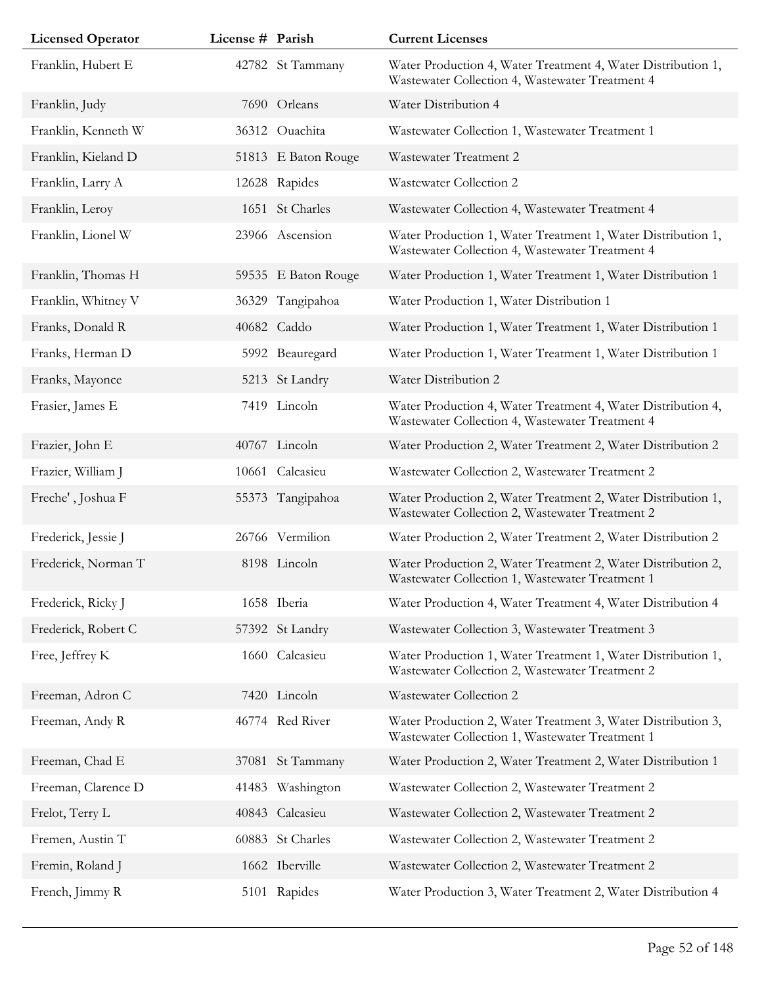| <b>Licensed Operator</b> | License # Parish |                     | <b>Current Licenses</b>                                                                                         |
|--------------------------|------------------|---------------------|-----------------------------------------------------------------------------------------------------------------|
| Franklin, Hubert E       |                  | 42782 St Tammany    | Water Production 4, Water Treatment 4, Water Distribution 1,<br>Wastewater Collection 4, Wastewater Treatment 4 |
| Franklin, Judy           |                  | 7690 Orleans        | Water Distribution 4                                                                                            |
| Franklin, Kenneth W      |                  | 36312 Ouachita      | Wastewater Collection 1, Wastewater Treatment 1                                                                 |
| Franklin, Kieland D      |                  | 51813 E Baton Rouge | Wastewater Treatment 2                                                                                          |
| Franklin, Larry A        |                  | 12628 Rapides       | Wastewater Collection 2                                                                                         |
| Franklin, Leroy          |                  | 1651 St Charles     | Wastewater Collection 4, Wastewater Treatment 4                                                                 |
| Franklin, Lionel W       |                  | 23966 Ascension     | Water Production 1, Water Treatment 1, Water Distribution 1,<br>Wastewater Collection 4, Wastewater Treatment 4 |
| Franklin, Thomas H       |                  | 59535 E Baton Rouge | Water Production 1, Water Treatment 1, Water Distribution 1                                                     |
| Franklin, Whitney V      | 36329            | Tangipahoa          | Water Production 1, Water Distribution 1                                                                        |
| Franks, Donald R         |                  | 40682 Caddo         | Water Production 1, Water Treatment 1, Water Distribution 1                                                     |
| Franks, Herman D         |                  | 5992 Beauregard     | Water Production 1, Water Treatment 1, Water Distribution 1                                                     |
| Franks, Mayonce          |                  | 5213 St Landry      | Water Distribution 2                                                                                            |
| Frasier, James E         |                  | 7419 Lincoln        | Water Production 4, Water Treatment 4, Water Distribution 4,<br>Wastewater Collection 4, Wastewater Treatment 4 |
| Frazier, John E          |                  | 40767 Lincoln       | Water Production 2, Water Treatment 2, Water Distribution 2                                                     |
| Frazier, William J       | 10661            | Calcasieu           | Wastewater Collection 2, Wastewater Treatment 2                                                                 |
| Freche', Joshua F        |                  | 55373 Tangipahoa    | Water Production 2, Water Treatment 2, Water Distribution 1,<br>Wastewater Collection 2, Wastewater Treatment 2 |
| Frederick, Jessie J      |                  | 26766 Vermilion     | Water Production 2, Water Treatment 2, Water Distribution 2                                                     |
| Frederick, Norman T      |                  | 8198 Lincoln        | Water Production 2, Water Treatment 2, Water Distribution 2,<br>Wastewater Collection 1, Wastewater Treatment 1 |
| Frederick, Ricky J       |                  | 1658 Iberia         | Water Production 4, Water Treatment 4, Water Distribution 4                                                     |
| Frederick, Robert C      |                  | 57392 St Landry     | Wastewater Collection 3, Wastewater Treatment 3                                                                 |
| Free, Jeffrey K          |                  | 1660 Calcasieu      | Water Production 1, Water Treatment 1, Water Distribution 1,<br>Wastewater Collection 2, Wastewater Treatment 2 |
| Freeman, Adron C         |                  | 7420 Lincoln        | Wastewater Collection 2                                                                                         |
| Freeman, Andy R          |                  | 46774 Red River     | Water Production 2, Water Treatment 3, Water Distribution 3,<br>Wastewater Collection 1, Wastewater Treatment 1 |
| Freeman, Chad E          |                  | 37081 St Tammany    | Water Production 2, Water Treatment 2, Water Distribution 1                                                     |
| Freeman, Clarence D      | 41483            | Washington          | Wastewater Collection 2, Wastewater Treatment 2                                                                 |
| Frelot, Terry L          |                  | 40843 Calcasieu     | Wastewater Collection 2, Wastewater Treatment 2                                                                 |
| Fremen, Austin T         |                  | 60883 St Charles    | Wastewater Collection 2, Wastewater Treatment 2                                                                 |
| Fremin, Roland J         |                  | 1662 Iberville      | Wastewater Collection 2, Wastewater Treatment 2                                                                 |
| French, Jimmy R          |                  | 5101 Rapides        | Water Production 3, Water Treatment 2, Water Distribution 4                                                     |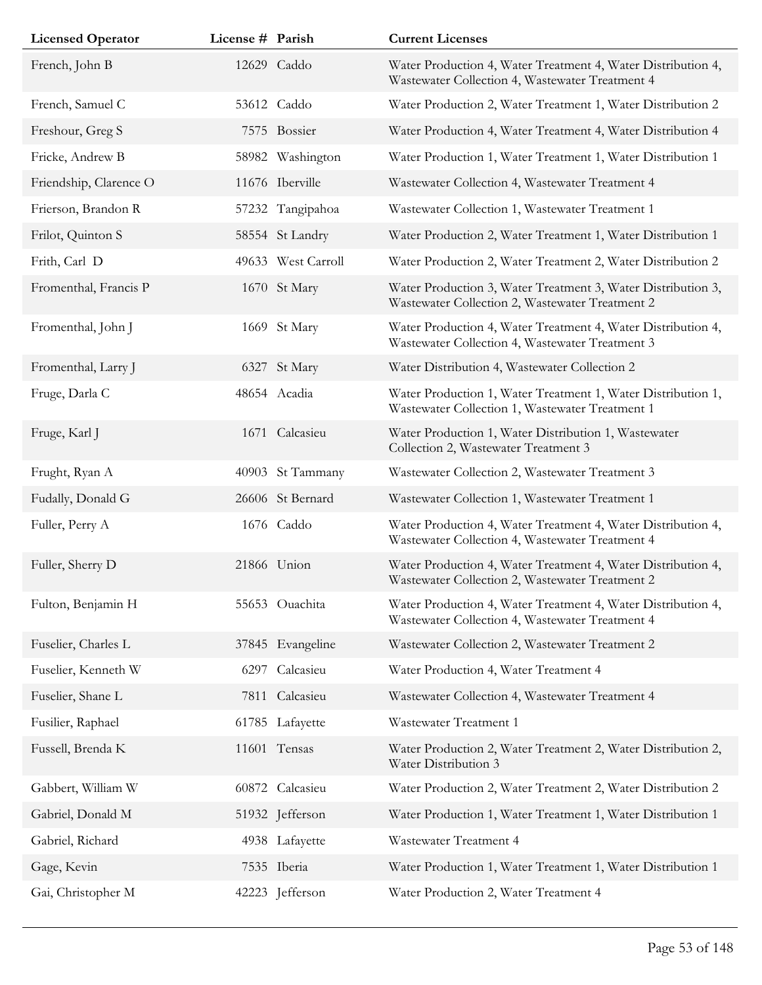| <b>Licensed Operator</b> | License # Parish |                    | <b>Current Licenses</b>                                                                                         |
|--------------------------|------------------|--------------------|-----------------------------------------------------------------------------------------------------------------|
| French, John B           |                  | 12629 Caddo        | Water Production 4, Water Treatment 4, Water Distribution 4,<br>Wastewater Collection 4, Wastewater Treatment 4 |
| French, Samuel C         |                  | 53612 Caddo        | Water Production 2, Water Treatment 1, Water Distribution 2                                                     |
| Freshour, Greg S         |                  | 7575 Bossier       | Water Production 4, Water Treatment 4, Water Distribution 4                                                     |
| Fricke, Andrew B         |                  | 58982 Washington   | Water Production 1, Water Treatment 1, Water Distribution 1                                                     |
| Friendship, Clarence O   |                  | 11676 Iberville    | Wastewater Collection 4, Wastewater Treatment 4                                                                 |
| Frierson, Brandon R      |                  | 57232 Tangipahoa   | Wastewater Collection 1, Wastewater Treatment 1                                                                 |
| Frilot, Quinton S        |                  | 58554 St Landry    | Water Production 2, Water Treatment 1, Water Distribution 1                                                     |
| Frith, Carl D            |                  | 49633 West Carroll | Water Production 2, Water Treatment 2, Water Distribution 2                                                     |
| Fromenthal, Francis P    |                  | 1670 St Mary       | Water Production 3, Water Treatment 3, Water Distribution 3,<br>Wastewater Collection 2, Wastewater Treatment 2 |
| Fromenthal, John J       |                  | 1669 St Mary       | Water Production 4, Water Treatment 4, Water Distribution 4,<br>Wastewater Collection 4, Wastewater Treatment 3 |
| Fromenthal, Larry J      |                  | 6327 St Mary       | Water Distribution 4, Wastewater Collection 2                                                                   |
| Fruge, Darla C           |                  | 48654 Acadia       | Water Production 1, Water Treatment 1, Water Distribution 1,<br>Wastewater Collection 1, Wastewater Treatment 1 |
| Fruge, Karl J            | 1671             | Calcasieu          | Water Production 1, Water Distribution 1, Wastewater<br>Collection 2, Wastewater Treatment 3                    |
| Frught, Ryan A           |                  | 40903 St Tammany   | Wastewater Collection 2, Wastewater Treatment 3                                                                 |
| Fudally, Donald G        |                  | 26606 St Bernard   | Wastewater Collection 1, Wastewater Treatment 1                                                                 |
| Fuller, Perry A          |                  | 1676 Caddo         | Water Production 4, Water Treatment 4, Water Distribution 4,<br>Wastewater Collection 4, Wastewater Treatment 4 |
| Fuller, Sherry D         |                  | 21866 Union        | Water Production 4, Water Treatment 4, Water Distribution 4,<br>Wastewater Collection 2, Wastewater Treatment 2 |
| Fulton, Benjamin H       |                  | 55653 Ouachita     | Water Production 4, Water Treatment 4, Water Distribution 4,<br>Wastewater Collection 4, Wastewater Treatment 4 |
| Fuselier, Charles L      |                  | 37845 Evangeline   | Wastewater Collection 2, Wastewater Treatment 2                                                                 |
| Fuselier, Kenneth W      | 6297             | Calcasieu          | Water Production 4, Water Treatment 4                                                                           |
| Fuselier, Shane L        |                  | 7811 Calcasieu     | Wastewater Collection 4, Wastewater Treatment 4                                                                 |
| Fusilier, Raphael        |                  | 61785 Lafayette    | Wastewater Treatment 1                                                                                          |
| Fussell, Brenda K        |                  | 11601 Tensas       | Water Production 2, Water Treatment 2, Water Distribution 2,<br>Water Distribution 3                            |
| Gabbert, William W       |                  | 60872 Calcasieu    | Water Production 2, Water Treatment 2, Water Distribution 2                                                     |
| Gabriel, Donald M        |                  | 51932 Jefferson    | Water Production 1, Water Treatment 1, Water Distribution 1                                                     |
| Gabriel, Richard         |                  | 4938 Lafayette     | Wastewater Treatment 4                                                                                          |
| Gage, Kevin              |                  | 7535 Iberia        | Water Production 1, Water Treatment 1, Water Distribution 1                                                     |
| Gai, Christopher M       |                  | 42223 Jefferson    | Water Production 2, Water Treatment 4                                                                           |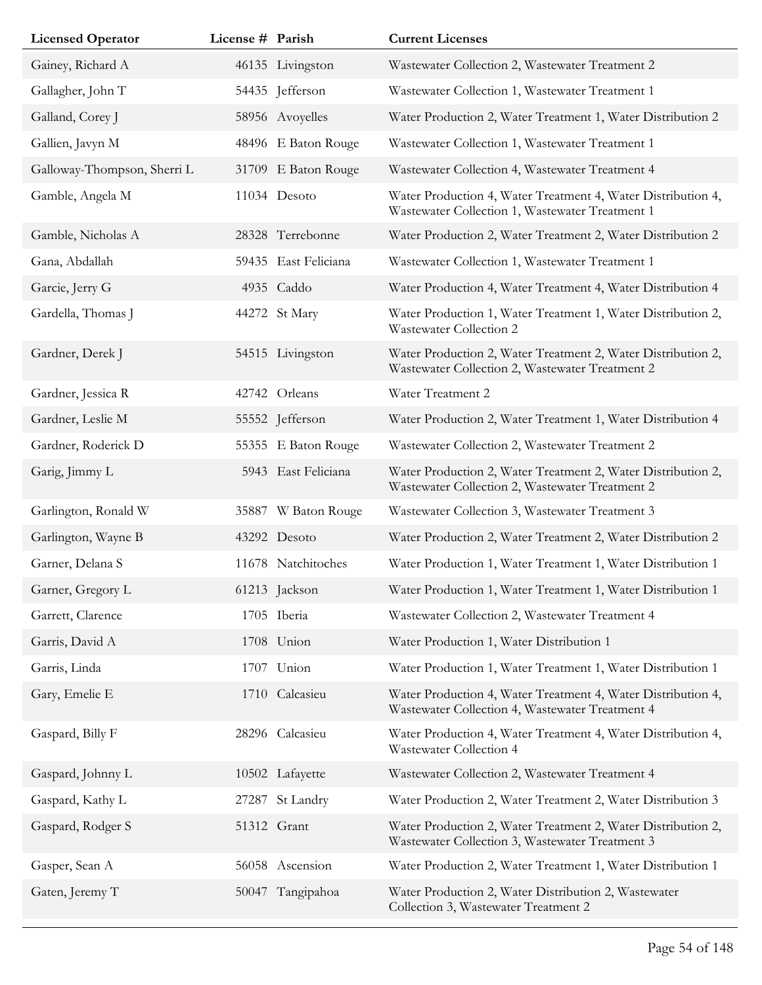| <b>Licensed Operator</b>    | License # Parish |                     | <b>Current Licenses</b>                                                                                         |
|-----------------------------|------------------|---------------------|-----------------------------------------------------------------------------------------------------------------|
| Gainey, Richard A           |                  | 46135 Livingston    | Wastewater Collection 2, Wastewater Treatment 2                                                                 |
| Gallagher, John T           |                  | 54435 Jefferson     | Wastewater Collection 1, Wastewater Treatment 1                                                                 |
| Galland, Corey J            |                  | 58956 Avoyelles     | Water Production 2, Water Treatment 1, Water Distribution 2                                                     |
| Gallien, Javyn M            |                  | 48496 E Baton Rouge | Wastewater Collection 1, Wastewater Treatment 1                                                                 |
| Galloway-Thompson, Sherri L |                  | 31709 E Baton Rouge | Wastewater Collection 4, Wastewater Treatment 4                                                                 |
| Gamble, Angela M            |                  | 11034 Desoto        | Water Production 4, Water Treatment 4, Water Distribution 4,<br>Wastewater Collection 1, Wastewater Treatment 1 |
| Gamble, Nicholas A          |                  | 28328 Terrebonne    | Water Production 2, Water Treatment 2, Water Distribution 2                                                     |
| Gana, Abdallah              | 59435            | East Feliciana      | Wastewater Collection 1, Wastewater Treatment 1                                                                 |
| Garcie, Jerry G             |                  | 4935 Caddo          | Water Production 4, Water Treatment 4, Water Distribution 4                                                     |
| Gardella, Thomas J          |                  | 44272 St Mary       | Water Production 1, Water Treatment 1, Water Distribution 2,<br>Wastewater Collection 2                         |
| Gardner, Derek J            |                  | 54515 Livingston    | Water Production 2, Water Treatment 2, Water Distribution 2,<br>Wastewater Collection 2, Wastewater Treatment 2 |
| Gardner, Jessica R          |                  | 42742 Orleans       | Water Treatment 2                                                                                               |
| Gardner, Leslie M           |                  | 55552 Jefferson     | Water Production 2, Water Treatment 1, Water Distribution 4                                                     |
| Gardner, Roderick D         |                  | 55355 E Baton Rouge | Wastewater Collection 2, Wastewater Treatment 2                                                                 |
| Garig, Jimmy L              |                  | 5943 East Feliciana | Water Production 2, Water Treatment 2, Water Distribution 2,<br>Wastewater Collection 2, Wastewater Treatment 2 |
| Garlington, Ronald W        |                  | 35887 W Baton Rouge | Wastewater Collection 3, Wastewater Treatment 3                                                                 |
| Garlington, Wayne B         |                  | 43292 Desoto        | Water Production 2, Water Treatment 2, Water Distribution 2                                                     |
| Garner, Delana S            |                  | 11678 Natchitoches  | Water Production 1, Water Treatment 1, Water Distribution 1                                                     |
| Garner, Gregory L           |                  | 61213 Jackson       | Water Production 1, Water Treatment 1, Water Distribution 1                                                     |
| Garrett, Clarence           |                  | 1705 Iberia         | Wastewater Collection 2, Wastewater Treatment 4                                                                 |
| Garris, David A             |                  | 1708 Union          | Water Production 1, Water Distribution 1                                                                        |
| Garris, Linda               | 1707             | Union               | Water Production 1, Water Treatment 1, Water Distribution 1                                                     |
| Gary, Emelie E              |                  | 1710 Calcasieu      | Water Production 4, Water Treatment 4, Water Distribution 4,<br>Wastewater Collection 4, Wastewater Treatment 4 |
| Gaspard, Billy F            |                  | 28296 Calcasieu     | Water Production 4, Water Treatment 4, Water Distribution 4,<br>Wastewater Collection 4                         |
| Gaspard, Johnny L           |                  | 10502 Lafayette     | Wastewater Collection 2, Wastewater Treatment 4                                                                 |
| Gaspard, Kathy L            | 27287            | St Landry           | Water Production 2, Water Treatment 2, Water Distribution 3                                                     |
| Gaspard, Rodger S           |                  | 51312 Grant         | Water Production 2, Water Treatment 2, Water Distribution 2,<br>Wastewater Collection 3, Wastewater Treatment 3 |
| Gasper, Sean A              |                  | 56058 Ascension     | Water Production 2, Water Treatment 1, Water Distribution 1                                                     |
| Gaten, Jeremy T             |                  | 50047 Tangipahoa    | Water Production 2, Water Distribution 2, Wastewater<br>Collection 3, Wastewater Treatment 2                    |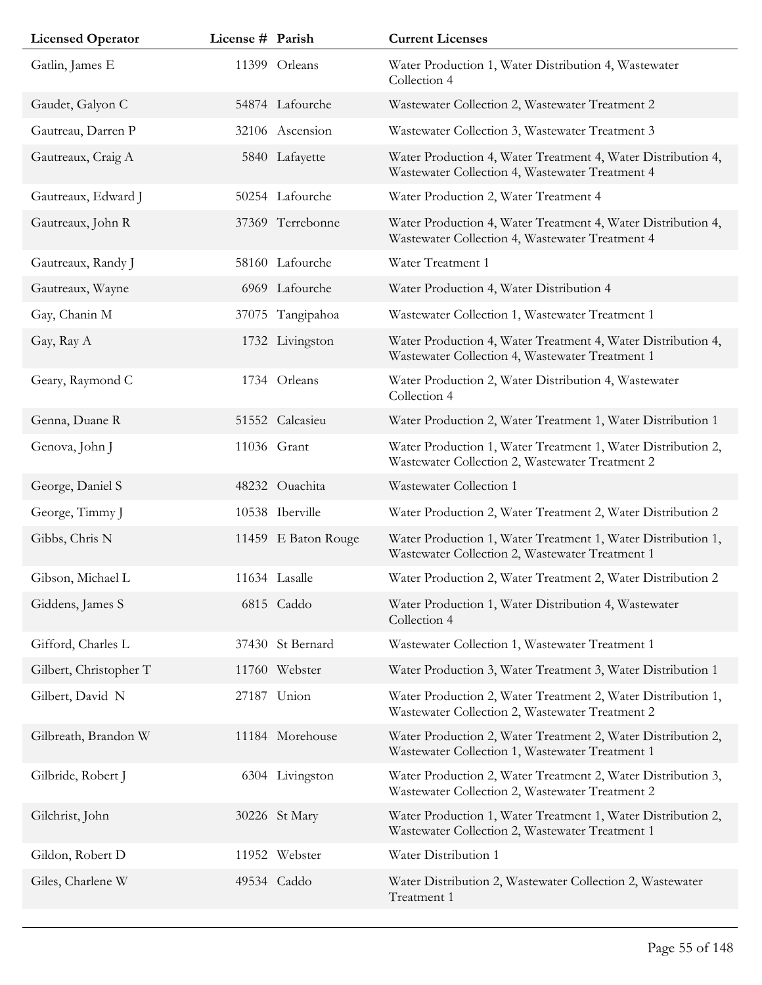| <b>Licensed Operator</b> | License # Parish |                     | <b>Current Licenses</b>                                                                                         |
|--------------------------|------------------|---------------------|-----------------------------------------------------------------------------------------------------------------|
| Gatlin, James E          |                  | 11399 Orleans       | Water Production 1, Water Distribution 4, Wastewater<br>Collection 4                                            |
| Gaudet, Galyon C         |                  | 54874 Lafourche     | Wastewater Collection 2, Wastewater Treatment 2                                                                 |
| Gautreau, Darren P       |                  | 32106 Ascension     | Wastewater Collection 3, Wastewater Treatment 3                                                                 |
| Gautreaux, Craig A       |                  | 5840 Lafayette      | Water Production 4, Water Treatment 4, Water Distribution 4,<br>Wastewater Collection 4, Wastewater Treatment 4 |
| Gautreaux, Edward J      |                  | 50254 Lafourche     | Water Production 2, Water Treatment 4                                                                           |
| Gautreaux, John R        |                  | 37369 Terrebonne    | Water Production 4, Water Treatment 4, Water Distribution 4,<br>Wastewater Collection 4, Wastewater Treatment 4 |
| Gautreaux, Randy J       |                  | 58160 Lafourche     | Water Treatment 1                                                                                               |
| Gautreaux, Wayne         |                  | 6969 Lafourche      | Water Production 4, Water Distribution 4                                                                        |
| Gay, Chanin M            |                  | 37075 Tangipahoa    | Wastewater Collection 1, Wastewater Treatment 1                                                                 |
| Gay, Ray A               |                  | 1732 Livingston     | Water Production 4, Water Treatment 4, Water Distribution 4,<br>Wastewater Collection 4, Wastewater Treatment 1 |
| Geary, Raymond C         |                  | 1734 Orleans        | Water Production 2, Water Distribution 4, Wastewater<br>Collection 4                                            |
| Genna, Duane R           |                  | 51552 Calcasieu     | Water Production 2, Water Treatment 1, Water Distribution 1                                                     |
| Genova, John J           |                  | 11036 Grant         | Water Production 1, Water Treatment 1, Water Distribution 2,<br>Wastewater Collection 2, Wastewater Treatment 2 |
| George, Daniel S         |                  | 48232 Ouachita      | Wastewater Collection 1                                                                                         |
| George, Timmy J          |                  | 10538 Iberville     | Water Production 2, Water Treatment 2, Water Distribution 2                                                     |
| Gibbs, Chris N           |                  | 11459 E Baton Rouge | Water Production 1, Water Treatment 1, Water Distribution 1,<br>Wastewater Collection 2, Wastewater Treatment 1 |
| Gibson, Michael L        |                  | 11634 Lasalle       | Water Production 2, Water Treatment 2, Water Distribution 2                                                     |
| Giddens, James S         |                  | 6815 Caddo          | Water Production 1, Water Distribution 4, Wastewater<br>Collection 4                                            |
| Gifford, Charles L       |                  | 37430 St Bernard    | Wastewater Collection 1, Wastewater Treatment 1                                                                 |
| Gilbert, Christopher T   |                  | 11760 Webster       | Water Production 3, Water Treatment 3, Water Distribution 1                                                     |
| Gilbert, David N         | 27187            | Union               | Water Production 2, Water Treatment 2, Water Distribution 1,<br>Wastewater Collection 2, Wastewater Treatment 2 |
| Gilbreath, Brandon W     |                  | 11184 Morehouse     | Water Production 2, Water Treatment 2, Water Distribution 2,<br>Wastewater Collection 1, Wastewater Treatment 1 |
| Gilbride, Robert J       |                  | 6304 Livingston     | Water Production 2, Water Treatment 2, Water Distribution 3,<br>Wastewater Collection 2, Wastewater Treatment 2 |
| Gilchrist, John          |                  | 30226 St Mary       | Water Production 1, Water Treatment 1, Water Distribution 2,<br>Wastewater Collection 2, Wastewater Treatment 1 |
| Gildon, Robert D         |                  | 11952 Webster       | Water Distribution 1                                                                                            |
| Giles, Charlene W        |                  | 49534 Caddo         | Water Distribution 2, Wastewater Collection 2, Wastewater<br>Treatment 1                                        |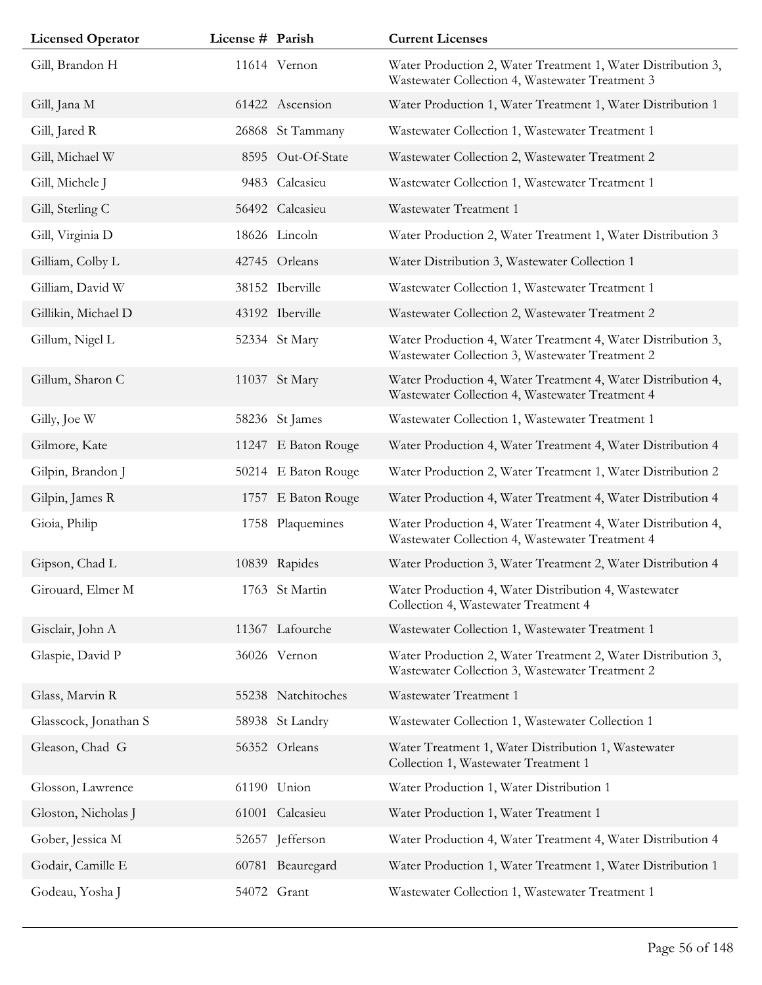| <b>Licensed Operator</b> | License # Parish |                     | <b>Current Licenses</b>                                                                                         |
|--------------------------|------------------|---------------------|-----------------------------------------------------------------------------------------------------------------|
| Gill, Brandon H          |                  | 11614 Vernon        | Water Production 2, Water Treatment 1, Water Distribution 3,<br>Wastewater Collection 4, Wastewater Treatment 3 |
| Gill, Jana M             |                  | 61422 Ascension     | Water Production 1, Water Treatment 1, Water Distribution 1                                                     |
| Gill, Jared R            |                  | 26868 St Tammany    | Wastewater Collection 1, Wastewater Treatment 1                                                                 |
| Gill, Michael W          |                  | 8595 Out-Of-State   | Wastewater Collection 2, Wastewater Treatment 2                                                                 |
| Gill, Michele J          |                  | 9483 Calcasieu      | Wastewater Collection 1, Wastewater Treatment 1                                                                 |
| Gill, Sterling C         |                  | 56492 Calcasieu     | Wastewater Treatment 1                                                                                          |
| Gill, Virginia D         |                  | 18626 Lincoln       | Water Production 2, Water Treatment 1, Water Distribution 3                                                     |
| Gilliam, Colby L         |                  | 42745 Orleans       | Water Distribution 3, Wastewater Collection 1                                                                   |
| Gilliam, David W         |                  | 38152 Iberville     | Wastewater Collection 1, Wastewater Treatment 1                                                                 |
| Gillikin, Michael D      |                  | 43192 Iberville     | Wastewater Collection 2, Wastewater Treatment 2                                                                 |
| Gillum, Nigel L          |                  | 52334 St Mary       | Water Production 4, Water Treatment 4, Water Distribution 3,<br>Wastewater Collection 3, Wastewater Treatment 2 |
| Gillum, Sharon C         |                  | 11037 St Mary       | Water Production 4, Water Treatment 4, Water Distribution 4,<br>Wastewater Collection 4, Wastewater Treatment 4 |
| Gilly, Joe W             |                  | 58236 St James      | Wastewater Collection 1, Wastewater Treatment 1                                                                 |
| Gilmore, Kate            |                  | 11247 E Baton Rouge | Water Production 4, Water Treatment 4, Water Distribution 4                                                     |
| Gilpin, Brandon J        |                  | 50214 E Baton Rouge | Water Production 2, Water Treatment 1, Water Distribution 2                                                     |
| Gilpin, James R          |                  | 1757 E Baton Rouge  | Water Production 4, Water Treatment 4, Water Distribution 4                                                     |
| Gioia, Philip            |                  | 1758 Plaquemines    | Water Production 4, Water Treatment 4, Water Distribution 4,<br>Wastewater Collection 4, Wastewater Treatment 4 |
| Gipson, Chad L           |                  | 10839 Rapides       | Water Production 3, Water Treatment 2, Water Distribution 4                                                     |
| Girouard, Elmer M        |                  | 1763 St Martin      | Water Production 4, Water Distribution 4, Wastewater<br>Collection 4, Wastewater Treatment 4                    |
| Gisclair, John A         |                  | 11367 Lafourche     | Wastewater Collection 1, Wastewater Treatment 1                                                                 |
| Glaspie, David P         |                  | 36026 Vernon        | Water Production 2, Water Treatment 2, Water Distribution 3,<br>Wastewater Collection 3, Wastewater Treatment 2 |
| Glass, Marvin R          |                  | 55238 Natchitoches  | Wastewater Treatment 1                                                                                          |
| Glasscock, Jonathan S    |                  | 58938 St Landry     | Wastewater Collection 1, Wastewater Collection 1                                                                |
| Gleason, Chad G          |                  | 56352 Orleans       | Water Treatment 1, Water Distribution 1, Wastewater<br>Collection 1, Wastewater Treatment 1                     |
| Glosson, Lawrence        | 61190            | Union               | Water Production 1, Water Distribution 1                                                                        |
| Gloston, Nicholas J      |                  | 61001 Calcasieu     | Water Production 1, Water Treatment 1                                                                           |
| Gober, Jessica M         |                  | 52657 Jefferson     | Water Production 4, Water Treatment 4, Water Distribution 4                                                     |
| Godair, Camille E        |                  | 60781 Beauregard    | Water Production 1, Water Treatment 1, Water Distribution 1                                                     |
| Godeau, Yosha J          |                  | 54072 Grant         | Wastewater Collection 1, Wastewater Treatment 1                                                                 |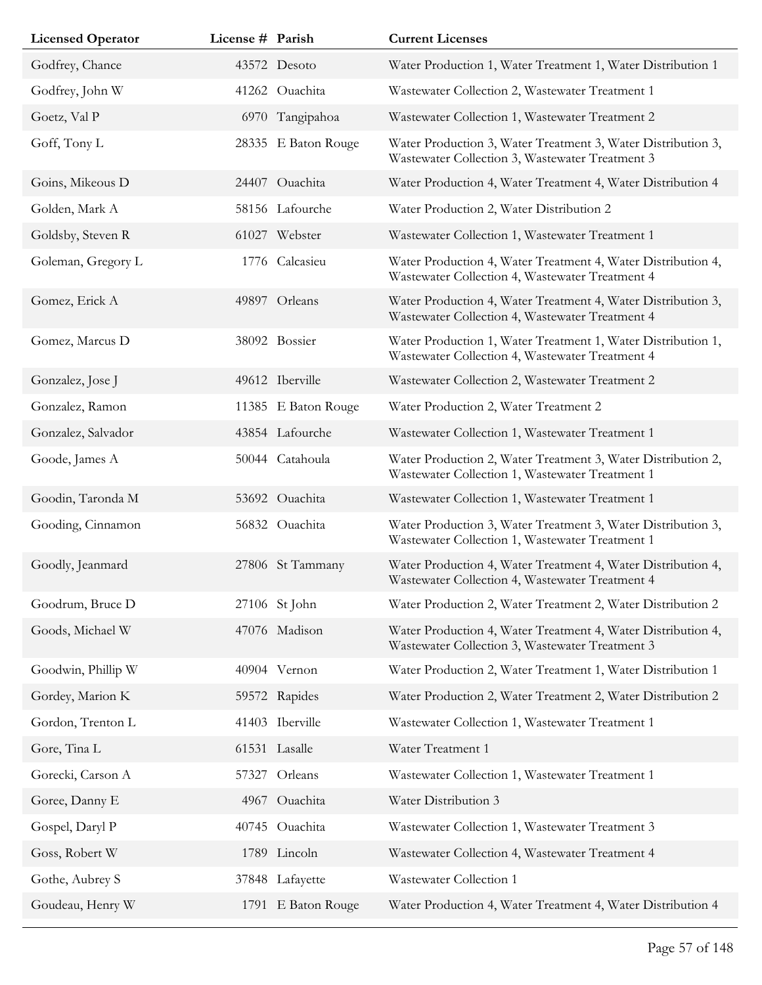| <b>Licensed Operator</b> | License # Parish |                     | <b>Current Licenses</b>                                                                                         |
|--------------------------|------------------|---------------------|-----------------------------------------------------------------------------------------------------------------|
| Godfrey, Chance          |                  | 43572 Desoto        | Water Production 1, Water Treatment 1, Water Distribution 1                                                     |
| Godfrey, John W          |                  | 41262 Ouachita      | Wastewater Collection 2, Wastewater Treatment 1                                                                 |
| Goetz, Val P             |                  | 6970 Tangipahoa     | Wastewater Collection 1, Wastewater Treatment 2                                                                 |
| Goff, Tony L             |                  | 28335 E Baton Rouge | Water Production 3, Water Treatment 3, Water Distribution 3,<br>Wastewater Collection 3, Wastewater Treatment 3 |
| Goins, Mikeous D         |                  | 24407 Ouachita      | Water Production 4, Water Treatment 4, Water Distribution 4                                                     |
| Golden, Mark A           |                  | 58156 Lafourche     | Water Production 2, Water Distribution 2                                                                        |
| Goldsby, Steven R        |                  | 61027 Webster       | Wastewater Collection 1, Wastewater Treatment 1                                                                 |
| Goleman, Gregory L       |                  | 1776 Calcasieu      | Water Production 4, Water Treatment 4, Water Distribution 4,<br>Wastewater Collection 4, Wastewater Treatment 4 |
| Gomez, Erick A           |                  | 49897 Orleans       | Water Production 4, Water Treatment 4, Water Distribution 3,<br>Wastewater Collection 4, Wastewater Treatment 4 |
| Gomez, Marcus D          |                  | 38092 Bossier       | Water Production 1, Water Treatment 1, Water Distribution 1,<br>Wastewater Collection 4, Wastewater Treatment 4 |
| Gonzalez, Jose J         |                  | 49612 Iberville     | Wastewater Collection 2, Wastewater Treatment 2                                                                 |
| Gonzalez, Ramon          |                  | 11385 E Baton Rouge | Water Production 2, Water Treatment 2                                                                           |
| Gonzalez, Salvador       |                  | 43854 Lafourche     | Wastewater Collection 1, Wastewater Treatment 1                                                                 |
| Goode, James A           |                  | 50044 Catahoula     | Water Production 2, Water Treatment 3, Water Distribution 2,<br>Wastewater Collection 1, Wastewater Treatment 1 |
| Goodin, Taronda M        |                  | 53692 Ouachita      | Wastewater Collection 1, Wastewater Treatment 1                                                                 |
| Gooding, Cinnamon        |                  | 56832 Ouachita      | Water Production 3, Water Treatment 3, Water Distribution 3,<br>Wastewater Collection 1, Wastewater Treatment 1 |
| Goodly, Jeanmard         |                  | 27806 St Tammany    | Water Production 4, Water Treatment 4, Water Distribution 4,<br>Wastewater Collection 4, Wastewater Treatment 4 |
| Goodrum, Bruce D         |                  | 27106 St John       | Water Production 2, Water Treatment 2, Water Distribution 2                                                     |
| Goods, Michael W         |                  | 47076 Madison       | Water Production 4, Water Treatment 4, Water Distribution 4,<br>Wastewater Collection 3, Wastewater Treatment 3 |
| Goodwin, Phillip W       |                  | 40904 Vernon        | Water Production 2, Water Treatment 1, Water Distribution 1                                                     |
| Gordey, Marion K         |                  | 59572 Rapides       | Water Production 2, Water Treatment 2, Water Distribution 2                                                     |
| Gordon, Trenton L        |                  | 41403 Iberville     | Wastewater Collection 1, Wastewater Treatment 1                                                                 |
| Gore, Tina L             |                  | 61531 Lasalle       | Water Treatment 1                                                                                               |
| Gorecki, Carson A        | 57327            | Orleans             | Wastewater Collection 1, Wastewater Treatment 1                                                                 |
| Goree, Danny E           |                  | 4967 Ouachita       | Water Distribution 3                                                                                            |
| Gospel, Daryl P          |                  | 40745 Ouachita      | Wastewater Collection 1, Wastewater Treatment 3                                                                 |
| Goss, Robert W           |                  | 1789 Lincoln        | Wastewater Collection 4, Wastewater Treatment 4                                                                 |
| Gothe, Aubrey S          |                  | 37848 Lafayette     | Wastewater Collection 1                                                                                         |
| Goudeau, Henry W         |                  | 1791 E Baton Rouge  | Water Production 4, Water Treatment 4, Water Distribution 4                                                     |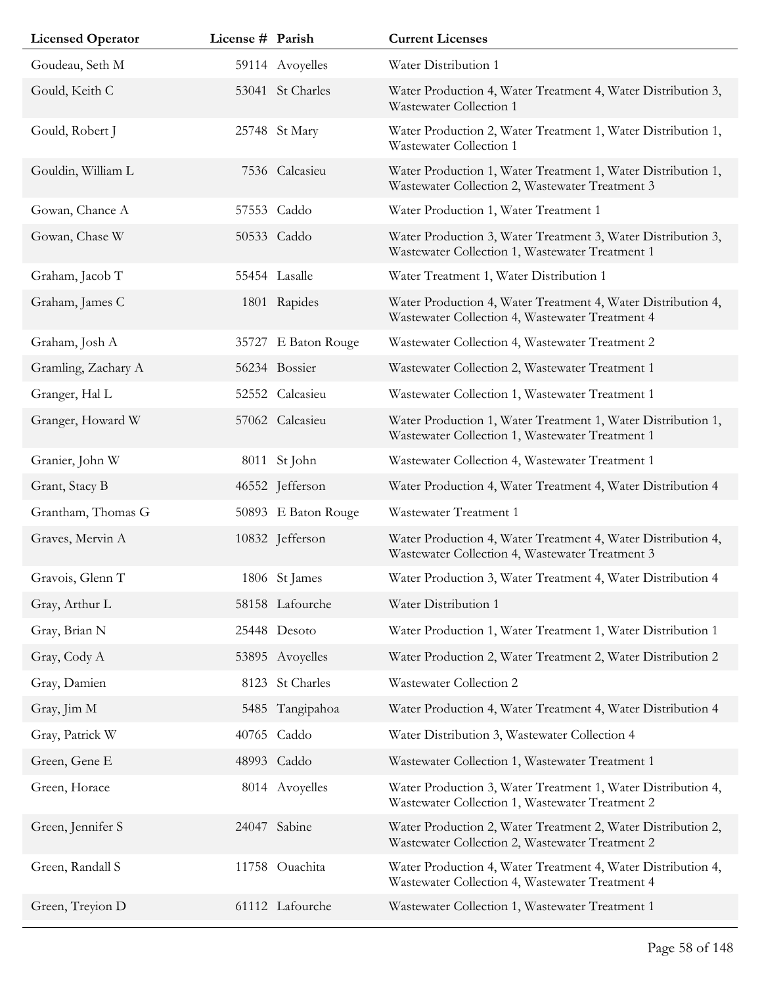| <b>Licensed Operator</b> | License # Parish |                     | <b>Current Licenses</b>                                                                                         |
|--------------------------|------------------|---------------------|-----------------------------------------------------------------------------------------------------------------|
| Goudeau, Seth M          |                  | 59114 Avoyelles     | Water Distribution 1                                                                                            |
| Gould, Keith C           |                  | 53041 St Charles    | Water Production 4, Water Treatment 4, Water Distribution 3,<br>Wastewater Collection 1                         |
| Gould, Robert J          |                  | 25748 St Mary       | Water Production 2, Water Treatment 1, Water Distribution 1,<br>Wastewater Collection 1                         |
| Gouldin, William L       |                  | 7536 Calcasieu      | Water Production 1, Water Treatment 1, Water Distribution 1,<br>Wastewater Collection 2, Wastewater Treatment 3 |
| Gowan, Chance A          |                  | 57553 Caddo         | Water Production 1, Water Treatment 1                                                                           |
| Gowan, Chase W           |                  | 50533 Caddo         | Water Production 3, Water Treatment 3, Water Distribution 3,<br>Wastewater Collection 1, Wastewater Treatment 1 |
| Graham, Jacob T          |                  | 55454 Lasalle       | Water Treatment 1, Water Distribution 1                                                                         |
| Graham, James C          |                  | 1801 Rapides        | Water Production 4, Water Treatment 4, Water Distribution 4,<br>Wastewater Collection 4, Wastewater Treatment 4 |
| Graham, Josh A           | 35727            | E Baton Rouge       | Wastewater Collection 4, Wastewater Treatment 2                                                                 |
| Gramling, Zachary A      |                  | 56234 Bossier       | Wastewater Collection 2, Wastewater Treatment 1                                                                 |
| Granger, Hal L           |                  | 52552 Calcasieu     | Wastewater Collection 1, Wastewater Treatment 1                                                                 |
| Granger, Howard W        |                  | 57062 Calcasieu     | Water Production 1, Water Treatment 1, Water Distribution 1,<br>Wastewater Collection 1, Wastewater Treatment 1 |
| Granier, John W          |                  | 8011 St John        | Wastewater Collection 4, Wastewater Treatment 1                                                                 |
| Grant, Stacy B           |                  | 46552 Jefferson     | Water Production 4, Water Treatment 4, Water Distribution 4                                                     |
| Grantham, Thomas G       |                  | 50893 E Baton Rouge | Wastewater Treatment 1                                                                                          |
| Graves, Mervin A         |                  | 10832 Jefferson     | Water Production 4, Water Treatment 4, Water Distribution 4,<br>Wastewater Collection 4, Wastewater Treatment 3 |
| Gravois, Glenn T         |                  | 1806 St James       | Water Production 3, Water Treatment 4, Water Distribution 4                                                     |
| Gray, Arthur L           |                  | 58158 Lafourche     | Water Distribution 1                                                                                            |
| Gray, Brian N            |                  | 25448 Desoto        | Water Production 1, Water Treatment 1, Water Distribution 1                                                     |
| Gray, Cody A             |                  | 53895 Avoyelles     | Water Production 2, Water Treatment 2, Water Distribution 2                                                     |
| Gray, Damien             |                  | 8123 St Charles     | Wastewater Collection 2                                                                                         |
| Gray, Jim M              |                  | 5485 Tangipahoa     | Water Production 4, Water Treatment 4, Water Distribution 4                                                     |
| Gray, Patrick W          |                  | 40765 Caddo         | Water Distribution 3, Wastewater Collection 4                                                                   |
| Green, Gene E            |                  | 48993 Caddo         | Wastewater Collection 1, Wastewater Treatment 1                                                                 |
| Green, Horace            |                  | 8014 Avoyelles      | Water Production 3, Water Treatment 1, Water Distribution 4,<br>Wastewater Collection 1, Wastewater Treatment 2 |
| Green, Jennifer S        |                  | 24047 Sabine        | Water Production 2, Water Treatment 2, Water Distribution 2,<br>Wastewater Collection 2, Wastewater Treatment 2 |
| Green, Randall S         |                  | 11758 Ouachita      | Water Production 4, Water Treatment 4, Water Distribution 4,<br>Wastewater Collection 4, Wastewater Treatment 4 |
| Green, Treyion D         |                  | 61112 Lafourche     | Wastewater Collection 1, Wastewater Treatment 1                                                                 |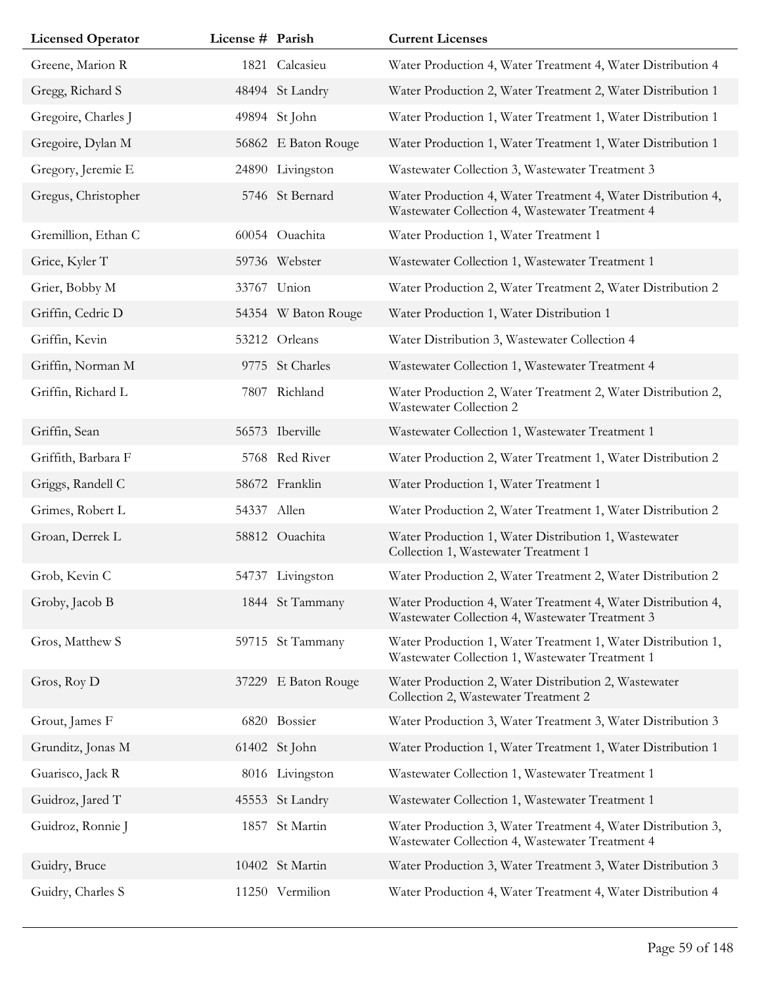| <b>Licensed Operator</b> | License # Parish |                     | <b>Current Licenses</b>                                                                                         |
|--------------------------|------------------|---------------------|-----------------------------------------------------------------------------------------------------------------|
| Greene, Marion R         | 1821             | Calcasieu           | Water Production 4, Water Treatment 4, Water Distribution 4                                                     |
| Gregg, Richard S         |                  | 48494 St Landry     | Water Production 2, Water Treatment 2, Water Distribution 1                                                     |
| Gregoire, Charles J      |                  | 49894 St John       | Water Production 1, Water Treatment 1, Water Distribution 1                                                     |
| Gregoire, Dylan M        |                  | 56862 E Baton Rouge | Water Production 1, Water Treatment 1, Water Distribution 1                                                     |
| Gregory, Jeremie E       |                  | 24890 Livingston    | Wastewater Collection 3, Wastewater Treatment 3                                                                 |
| Gregus, Christopher      |                  | 5746 St Bernard     | Water Production 4, Water Treatment 4, Water Distribution 4,<br>Wastewater Collection 4, Wastewater Treatment 4 |
| Gremillion, Ethan C      |                  | 60054 Ouachita      | Water Production 1, Water Treatment 1                                                                           |
| Grice, Kyler T           |                  | 59736 Webster       | Wastewater Collection 1, Wastewater Treatment 1                                                                 |
| Grier, Bobby M           |                  | 33767 Union         | Water Production 2, Water Treatment 2, Water Distribution 2                                                     |
| Griffin, Cedric D        |                  | 54354 W Baton Rouge | Water Production 1, Water Distribution 1                                                                        |
| Griffin, Kevin           |                  | 53212 Orleans       | Water Distribution 3, Wastewater Collection 4                                                                   |
| Griffin, Norman M        |                  | 9775 St Charles     | Wastewater Collection 1, Wastewater Treatment 4                                                                 |
| Griffin, Richard L       |                  | 7807 Richland       | Water Production 2, Water Treatment 2, Water Distribution 2,<br>Wastewater Collection 2                         |
| Griffin, Sean            |                  | 56573 Iberville     | Wastewater Collection 1, Wastewater Treatment 1                                                                 |
| Griffith, Barbara F      |                  | 5768 Red River      | Water Production 2, Water Treatment 1, Water Distribution 2                                                     |
| Griggs, Randell C        |                  | 58672 Franklin      | Water Production 1, Water Treatment 1                                                                           |
| Grimes, Robert L         | 54337 Allen      |                     | Water Production 2, Water Treatment 1, Water Distribution 2                                                     |
| Groan, Derrek L          |                  | 58812 Ouachita      | Water Production 1, Water Distribution 1, Wastewater<br>Collection 1, Wastewater Treatment 1                    |
| Grob, Kevin C            |                  | 54737 Livingston    | Water Production 2, Water Treatment 2, Water Distribution 2                                                     |
| Groby, Jacob B           |                  | 1844 St Tammany     | Water Production 4, Water Treatment 4, Water Distribution 4,<br>Wastewater Collection 4, Wastewater Treatment 3 |
| Gros, Matthew S          |                  | 59715 St Tammany    | Water Production 1, Water Treatment 1, Water Distribution 1,<br>Wastewater Collection 1, Wastewater Treatment 1 |
| Gros, Roy D              |                  | 37229 E Baton Rouge | Water Production 2, Water Distribution 2, Wastewater<br>Collection 2, Wastewater Treatment 2                    |
| Grout, James F           |                  | 6820 Bossier        | Water Production 3, Water Treatment 3, Water Distribution 3                                                     |
| Grunditz, Jonas M        |                  | 61402 St John       | Water Production 1, Water Treatment 1, Water Distribution 1                                                     |
| Guarisco, Jack R         |                  | 8016 Livingston     | Wastewater Collection 1, Wastewater Treatment 1                                                                 |
| Guidroz, Jared T         |                  | 45553 St Landry     | Wastewater Collection 1, Wastewater Treatment 1                                                                 |
| Guidroz, Ronnie J        | 1857             | St Martin           | Water Production 3, Water Treatment 4, Water Distribution 3,<br>Wastewater Collection 4, Wastewater Treatment 4 |
| Guidry, Bruce            |                  | 10402 St Martin     | Water Production 3, Water Treatment 3, Water Distribution 3                                                     |
| Guidry, Charles S        |                  | 11250 Vermilion     | Water Production 4, Water Treatment 4, Water Distribution 4                                                     |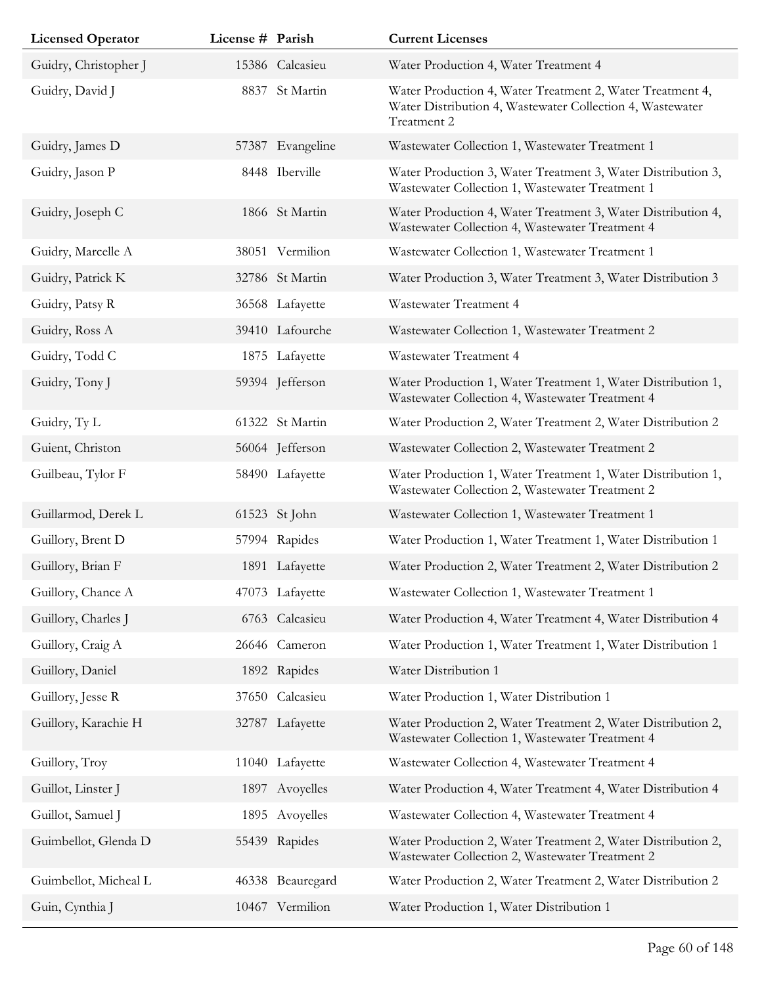| <b>Licensed Operator</b> | License # Parish |                  | <b>Current Licenses</b>                                                                                                               |
|--------------------------|------------------|------------------|---------------------------------------------------------------------------------------------------------------------------------------|
| Guidry, Christopher J    |                  | 15386 Calcasieu  | Water Production 4, Water Treatment 4                                                                                                 |
| Guidry, David J          |                  | 8837 St Martin   | Water Production 4, Water Treatment 2, Water Treatment 4,<br>Water Distribution 4, Wastewater Collection 4, Wastewater<br>Treatment 2 |
| Guidry, James D          |                  | 57387 Evangeline | Wastewater Collection 1, Wastewater Treatment 1                                                                                       |
| Guidry, Jason P          |                  | 8448 Iberville   | Water Production 3, Water Treatment 3, Water Distribution 3,<br>Wastewater Collection 1, Wastewater Treatment 1                       |
| Guidry, Joseph C         |                  | 1866 St Martin   | Water Production 4, Water Treatment 3, Water Distribution 4,<br>Wastewater Collection 4, Wastewater Treatment 4                       |
| Guidry, Marcelle A       |                  | 38051 Vermilion  | Wastewater Collection 1, Wastewater Treatment 1                                                                                       |
| Guidry, Patrick K        |                  | 32786 St Martin  | Water Production 3, Water Treatment 3, Water Distribution 3                                                                           |
| Guidry, Patsy R          |                  | 36568 Lafayette  | Wastewater Treatment 4                                                                                                                |
| Guidry, Ross A           |                  | 39410 Lafourche  | Wastewater Collection 1, Wastewater Treatment 2                                                                                       |
| Guidry, Todd C           |                  | 1875 Lafayette   | Wastewater Treatment 4                                                                                                                |
| Guidry, Tony J           |                  | 59394 Jefferson  | Water Production 1, Water Treatment 1, Water Distribution 1,<br>Wastewater Collection 4, Wastewater Treatment 4                       |
| Guidry, Ty L             |                  | 61322 St Martin  | Water Production 2, Water Treatment 2, Water Distribution 2                                                                           |
| Guient, Christon         |                  | 56064 Jefferson  | Wastewater Collection 2, Wastewater Treatment 2                                                                                       |
| Guilbeau, Tylor F        |                  | 58490 Lafayette  | Water Production 1, Water Treatment 1, Water Distribution 1,<br>Wastewater Collection 2, Wastewater Treatment 2                       |
| Guillarmod, Derek L      |                  | 61523 St John    | Wastewater Collection 1, Wastewater Treatment 1                                                                                       |
| Guillory, Brent D        |                  | 57994 Rapides    | Water Production 1, Water Treatment 1, Water Distribution 1                                                                           |
| Guillory, Brian F        |                  | 1891 Lafayette   | Water Production 2, Water Treatment 2, Water Distribution 2                                                                           |
| Guillory, Chance A       |                  | 47073 Lafayette  | Wastewater Collection 1, Wastewater Treatment 1                                                                                       |
| Guillory, Charles J      |                  | 6763 Calcasieu   | Water Production 4, Water Treatment 4, Water Distribution 4                                                                           |
| Guillory, Craig A        |                  | 26646 Cameron    | Water Production 1, Water Treatment 1, Water Distribution 1                                                                           |
| Guillory, Daniel         |                  | 1892 Rapides     | Water Distribution 1                                                                                                                  |
| Guillory, Jesse R        |                  | 37650 Calcasieu  | Water Production 1, Water Distribution 1                                                                                              |
| Guillory, Karachie H     |                  | 32787 Lafayette  | Water Production 2, Water Treatment 2, Water Distribution 2,<br>Wastewater Collection 1, Wastewater Treatment 4                       |
| Guillory, Troy           |                  | 11040 Lafayette  | Wastewater Collection 4, Wastewater Treatment 4                                                                                       |
| Guillot, Linster J       |                  | 1897 Avoyelles   | Water Production 4, Water Treatment 4, Water Distribution 4                                                                           |
| Guillot, Samuel J        |                  | 1895 Avoyelles   | Wastewater Collection 4, Wastewater Treatment 4                                                                                       |
| Guimbellot, Glenda D     |                  | 55439 Rapides    | Water Production 2, Water Treatment 2, Water Distribution 2,<br>Wastewater Collection 2, Wastewater Treatment 2                       |
| Guimbellot, Micheal L    |                  | 46338 Beauregard | Water Production 2, Water Treatment 2, Water Distribution 2                                                                           |
| Guin, Cynthia J          |                  | 10467 Vermilion  | Water Production 1, Water Distribution 1                                                                                              |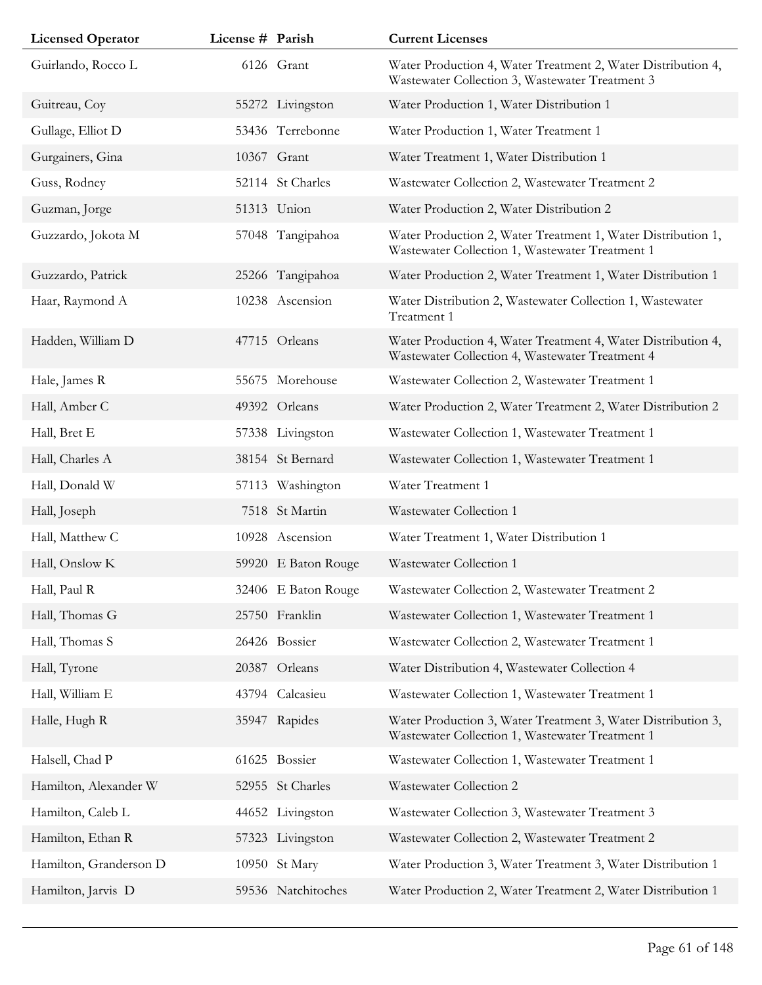| <b>Licensed Operator</b> | License # Parish |                     | <b>Current Licenses</b>                                                                                         |
|--------------------------|------------------|---------------------|-----------------------------------------------------------------------------------------------------------------|
| Guirlando, Rocco L       |                  | 6126 Grant          | Water Production 4, Water Treatment 2, Water Distribution 4,<br>Wastewater Collection 3, Wastewater Treatment 3 |
| Guitreau, Coy            |                  | 55272 Livingston    | Water Production 1, Water Distribution 1                                                                        |
| Gullage, Elliot D        |                  | 53436 Terrebonne    | Water Production 1, Water Treatment 1                                                                           |
| Gurgainers, Gina         |                  | 10367 Grant         | Water Treatment 1, Water Distribution 1                                                                         |
| Guss, Rodney             |                  | 52114 St Charles    | Wastewater Collection 2, Wastewater Treatment 2                                                                 |
| Guzman, Jorge            |                  | 51313 Union         | Water Production 2, Water Distribution 2                                                                        |
| Guzzardo, Jokota M       |                  | 57048 Tangipahoa    | Water Production 2, Water Treatment 1, Water Distribution 1,<br>Wastewater Collection 1, Wastewater Treatment 1 |
| Guzzardo, Patrick        |                  | 25266 Tangipahoa    | Water Production 2, Water Treatment 1, Water Distribution 1                                                     |
| Haar, Raymond A          |                  | 10238 Ascension     | Water Distribution 2, Wastewater Collection 1, Wastewater<br>Treatment 1                                        |
| Hadden, William D        |                  | 47715 Orleans       | Water Production 4, Water Treatment 4, Water Distribution 4,<br>Wastewater Collection 4, Wastewater Treatment 4 |
| Hale, James R            | 55675            | Morehouse           | Wastewater Collection 2, Wastewater Treatment 1                                                                 |
| Hall, Amber C            |                  | 49392 Orleans       | Water Production 2, Water Treatment 2, Water Distribution 2                                                     |
| Hall, Bret E             |                  | 57338 Livingston    | Wastewater Collection 1, Wastewater Treatment 1                                                                 |
| Hall, Charles A          |                  | 38154 St Bernard    | Wastewater Collection 1, Wastewater Treatment 1                                                                 |
| Hall, Donald W           |                  | 57113 Washington    | Water Treatment 1                                                                                               |
| Hall, Joseph             |                  | 7518 St Martin      | Wastewater Collection 1                                                                                         |
| Hall, Matthew C          |                  | 10928 Ascension     | Water Treatment 1, Water Distribution 1                                                                         |
| Hall, Onslow K           |                  | 59920 E Baton Rouge | Wastewater Collection 1                                                                                         |
| Hall, Paul R             |                  | 32406 E Baton Rouge | Wastewater Collection 2, Wastewater Treatment 2                                                                 |
| Hall, Thomas G           |                  | 25750 Franklin      | Wastewater Collection 1, Wastewater Treatment 1                                                                 |
| Hall, Thomas S           |                  | 26426 Bossier       | Wastewater Collection 2, Wastewater Treatment 1                                                                 |
| Hall, Tyrone             |                  | 20387 Orleans       | Water Distribution 4, Wastewater Collection 4                                                                   |
| Hall, William E          |                  | 43794 Calcasieu     | Wastewater Collection 1, Wastewater Treatment 1                                                                 |
| Halle, Hugh R            |                  | 35947 Rapides       | Water Production 3, Water Treatment 3, Water Distribution 3,<br>Wastewater Collection 1, Wastewater Treatment 1 |
| Halsell, Chad P          |                  | 61625 Bossier       | Wastewater Collection 1, Wastewater Treatment 1                                                                 |
| Hamilton, Alexander W    |                  | 52955 St Charles    | Wastewater Collection 2                                                                                         |
| Hamilton, Caleb L        |                  | 44652 Livingston    | Wastewater Collection 3, Wastewater Treatment 3                                                                 |
| Hamilton, Ethan R        |                  | 57323 Livingston    | Wastewater Collection 2, Wastewater Treatment 2                                                                 |
| Hamilton, Granderson D   |                  | 10950 St Mary       | Water Production 3, Water Treatment 3, Water Distribution 1                                                     |
| Hamilton, Jarvis D       |                  | 59536 Natchitoches  | Water Production 2, Water Treatment 2, Water Distribution 1                                                     |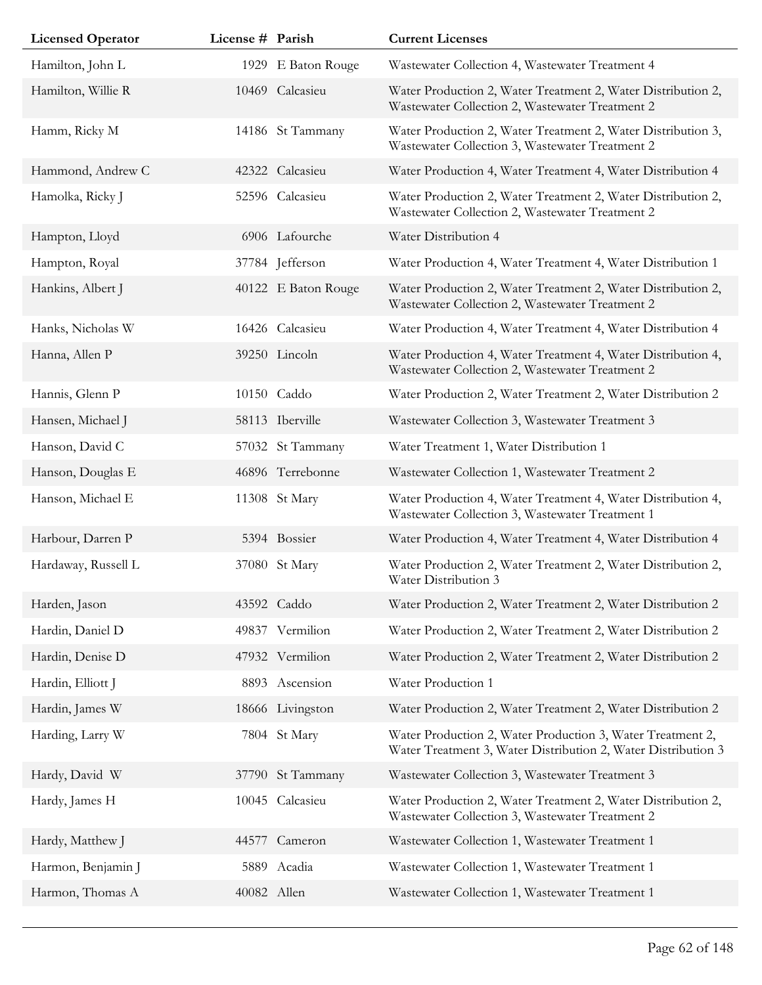| <b>Licensed Operator</b> | License # Parish |                     | <b>Current Licenses</b>                                                                                                     |
|--------------------------|------------------|---------------------|-----------------------------------------------------------------------------------------------------------------------------|
| Hamilton, John L         |                  | 1929 E Baton Rouge  | Wastewater Collection 4, Wastewater Treatment 4                                                                             |
| Hamilton, Willie R       |                  | 10469 Calcasieu     | Water Production 2, Water Treatment 2, Water Distribution 2,<br>Wastewater Collection 2, Wastewater Treatment 2             |
| Hamm, Ricky M            |                  | 14186 St Tammany    | Water Production 2, Water Treatment 2, Water Distribution 3,<br>Wastewater Collection 3, Wastewater Treatment 2             |
| Hammond, Andrew C        |                  | 42322 Calcasieu     | Water Production 4, Water Treatment 4, Water Distribution 4                                                                 |
| Hamolka, Ricky J         |                  | 52596 Calcasieu     | Water Production 2, Water Treatment 2, Water Distribution 2,<br>Wastewater Collection 2, Wastewater Treatment 2             |
| Hampton, Lloyd           |                  | 6906 Lafourche      | Water Distribution 4                                                                                                        |
| Hampton, Royal           |                  | 37784 Jefferson     | Water Production 4, Water Treatment 4, Water Distribution 1                                                                 |
| Hankins, Albert J        |                  | 40122 E Baton Rouge | Water Production 2, Water Treatment 2, Water Distribution 2,<br>Wastewater Collection 2, Wastewater Treatment 2             |
| Hanks, Nicholas W        |                  | 16426 Calcasieu     | Water Production 4, Water Treatment 4, Water Distribution 4                                                                 |
| Hanna, Allen P           |                  | 39250 Lincoln       | Water Production 4, Water Treatment 4, Water Distribution 4,<br>Wastewater Collection 2, Wastewater Treatment 2             |
| Hannis, Glenn P          |                  | 10150 Caddo         | Water Production 2, Water Treatment 2, Water Distribution 2                                                                 |
| Hansen, Michael J        |                  | 58113 Iberville     | Wastewater Collection 3, Wastewater Treatment 3                                                                             |
| Hanson, David C          |                  | 57032 St Tammany    | Water Treatment 1, Water Distribution 1                                                                                     |
| Hanson, Douglas E        |                  | 46896 Terrebonne    | Wastewater Collection 1, Wastewater Treatment 2                                                                             |
| Hanson, Michael E        |                  | 11308 St Mary       | Water Production 4, Water Treatment 4, Water Distribution 4,<br>Wastewater Collection 3, Wastewater Treatment 1             |
| Harbour, Darren P        |                  | 5394 Bossier        | Water Production 4, Water Treatment 4, Water Distribution 4                                                                 |
| Hardaway, Russell L      |                  | 37080 St Mary       | Water Production 2, Water Treatment 2, Water Distribution 2,<br>Water Distribution 3                                        |
| Harden, Jason            |                  | 43592 Caddo         | Water Production 2, Water Treatment 2, Water Distribution 2                                                                 |
| Hardin, Daniel D         |                  | 49837 Vermilion     | Water Production 2, Water Treatment 2, Water Distribution 2                                                                 |
| Hardin, Denise D         |                  | 47932 Vermilion     | Water Production 2, Water Treatment 2, Water Distribution 2                                                                 |
| Hardin, Elliott J        |                  | 8893 Ascension      | Water Production 1                                                                                                          |
| Hardin, James W          |                  | 18666 Livingston    | Water Production 2, Water Treatment 2, Water Distribution 2                                                                 |
| Harding, Larry W         |                  | 7804 St Mary        | Water Production 2, Water Production 3, Water Treatment 2,<br>Water Treatment 3, Water Distribution 2, Water Distribution 3 |
| Hardy, David W           |                  | 37790 St Tammany    | Wastewater Collection 3, Wastewater Treatment 3                                                                             |
| Hardy, James H           | 10045            | Calcasieu           | Water Production 2, Water Treatment 2, Water Distribution 2,<br>Wastewater Collection 3, Wastewater Treatment 2             |
| Hardy, Matthew J         | 44577            | Cameron             | Wastewater Collection 1, Wastewater Treatment 1                                                                             |
| Harmon, Benjamin J       |                  | 5889 Acadia         | Wastewater Collection 1, Wastewater Treatment 1                                                                             |
| Harmon, Thomas A         | 40082 Allen      |                     | Wastewater Collection 1, Wastewater Treatment 1                                                                             |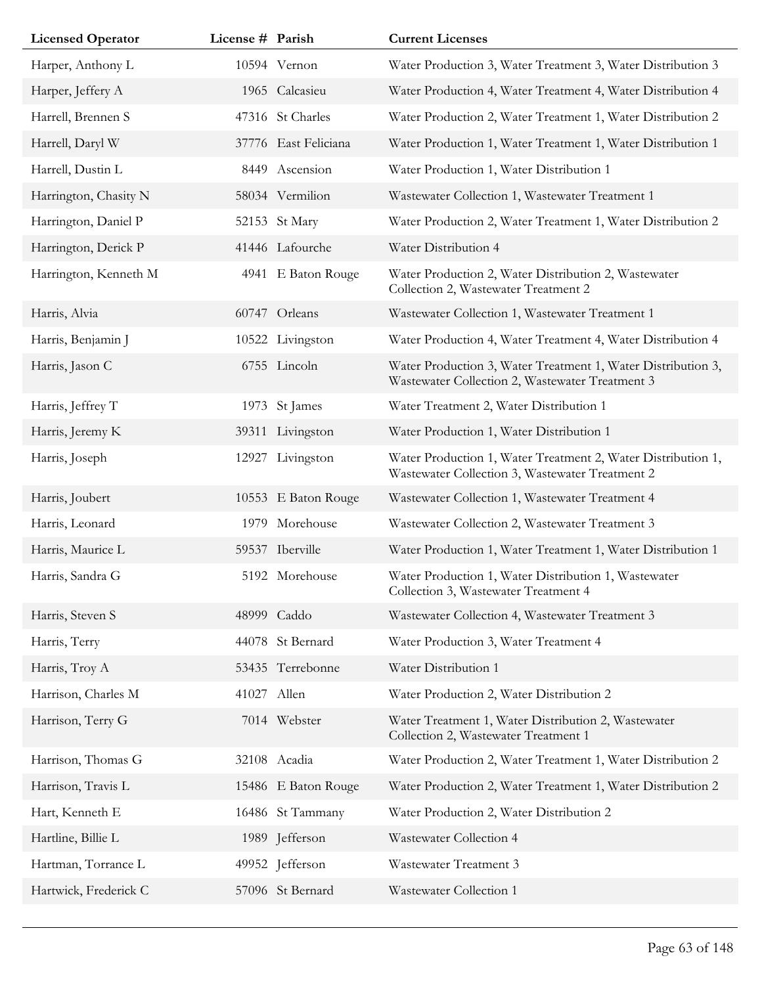| <b>Licensed Operator</b> | License # Parish |                      | <b>Current Licenses</b>                                                                                         |
|--------------------------|------------------|----------------------|-----------------------------------------------------------------------------------------------------------------|
| Harper, Anthony L        |                  | 10594 Vernon         | Water Production 3, Water Treatment 3, Water Distribution 3                                                     |
| Harper, Jeffery A        |                  | 1965 Calcasieu       | Water Production 4, Water Treatment 4, Water Distribution 4                                                     |
| Harrell, Brennen S       |                  | 47316 St Charles     | Water Production 2, Water Treatment 1, Water Distribution 2                                                     |
| Harrell, Daryl W         |                  | 37776 East Feliciana | Water Production 1, Water Treatment 1, Water Distribution 1                                                     |
| Harrell, Dustin L        |                  | 8449 Ascension       | Water Production 1, Water Distribution 1                                                                        |
| Harrington, Chasity N    |                  | 58034 Vermilion      | Wastewater Collection 1, Wastewater Treatment 1                                                                 |
| Harrington, Daniel P     |                  | 52153 St Mary        | Water Production 2, Water Treatment 1, Water Distribution 2                                                     |
| Harrington, Derick P     |                  | 41446 Lafourche      | Water Distribution 4                                                                                            |
| Harrington, Kenneth M    |                  | 4941 E Baton Rouge   | Water Production 2, Water Distribution 2, Wastewater<br>Collection 2, Wastewater Treatment 2                    |
| Harris, Alvia            |                  | 60747 Orleans        | Wastewater Collection 1, Wastewater Treatment 1                                                                 |
| Harris, Benjamin J       |                  | 10522 Livingston     | Water Production 4, Water Treatment 4, Water Distribution 4                                                     |
| Harris, Jason C          |                  | 6755 Lincoln         | Water Production 3, Water Treatment 1, Water Distribution 3,<br>Wastewater Collection 2, Wastewater Treatment 3 |
| Harris, Jeffrey T        |                  | 1973 St James        | Water Treatment 2, Water Distribution 1                                                                         |
| Harris, Jeremy K         |                  | 39311 Livingston     | Water Production 1, Water Distribution 1                                                                        |
| Harris, Joseph           | 12927            | Livingston           | Water Production 1, Water Treatment 2, Water Distribution 1,<br>Wastewater Collection 3, Wastewater Treatment 2 |
| Harris, Joubert          |                  | 10553 E Baton Rouge  | Wastewater Collection 1, Wastewater Treatment 4                                                                 |
| Harris, Leonard          |                  | 1979 Morehouse       | Wastewater Collection 2, Wastewater Treatment 3                                                                 |
| Harris, Maurice L        |                  | 59537 Iberville      | Water Production 1, Water Treatment 1, Water Distribution 1                                                     |
| Harris, Sandra G         |                  | 5192 Morehouse       | Water Production 1, Water Distribution 1, Wastewater<br>Collection 3, Wastewater Treatment 4                    |
| Harris, Steven S         |                  | 48999 Caddo          | Wastewater Collection 4, Wastewater Treatment 3                                                                 |
| Harris, Terry            |                  | 44078 St Bernard     | Water Production 3, Water Treatment 4                                                                           |
| Harris, Troy A           |                  | 53435 Terrebonne     | Water Distribution 1                                                                                            |
| Harrison, Charles M      |                  | 41027 Allen          | Water Production 2, Water Distribution 2                                                                        |
| Harrison, Terry G        |                  | 7014 Webster         | Water Treatment 1, Water Distribution 2, Wastewater<br>Collection 2, Wastewater Treatment 1                     |
| Harrison, Thomas G       |                  | 32108 Acadia         | Water Production 2, Water Treatment 1, Water Distribution 2                                                     |
| Harrison, Travis L       |                  | 15486 E Baton Rouge  | Water Production 2, Water Treatment 1, Water Distribution 2                                                     |
| Hart, Kenneth E          |                  | 16486 St Tammany     | Water Production 2, Water Distribution 2                                                                        |
| Hartline, Billie L       |                  | 1989 Jefferson       | Wastewater Collection 4                                                                                         |
| Hartman, Torrance L      |                  | 49952 Jefferson      | Wastewater Treatment 3                                                                                          |
| Hartwick, Frederick C    |                  | 57096 St Bernard     | Wastewater Collection 1                                                                                         |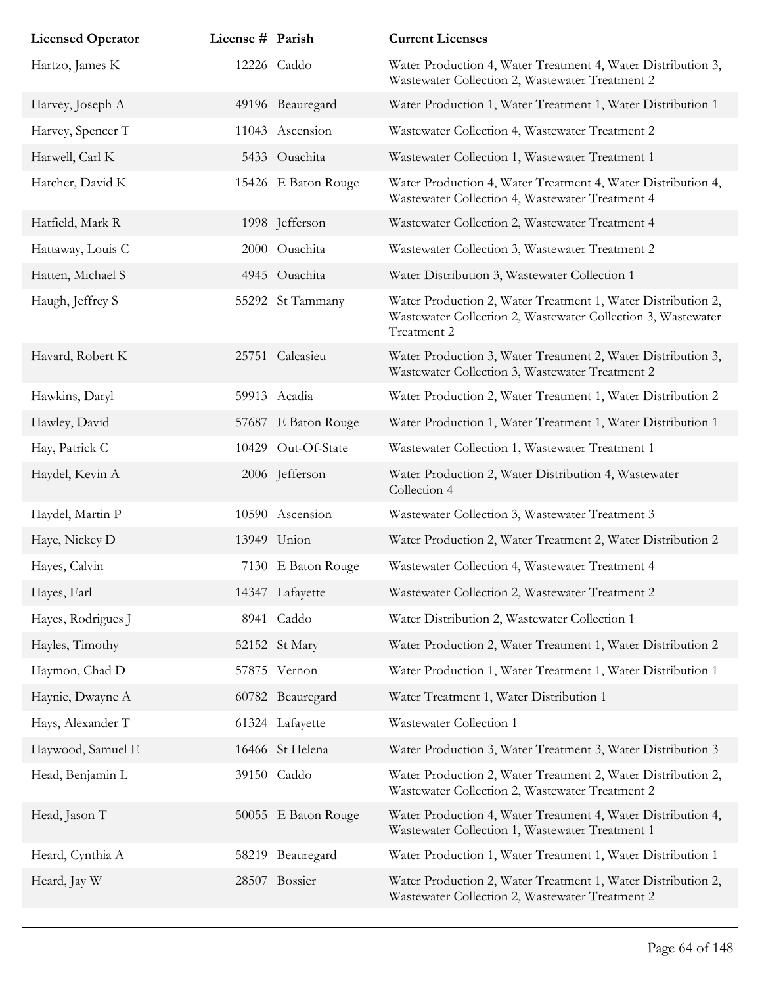| <b>Licensed Operator</b> | License # Parish |                     | <b>Current Licenses</b>                                                                                                                     |
|--------------------------|------------------|---------------------|---------------------------------------------------------------------------------------------------------------------------------------------|
| Hartzo, James K          |                  | 12226 Caddo         | Water Production 4, Water Treatment 4, Water Distribution 3,<br>Wastewater Collection 2, Wastewater Treatment 2                             |
| Harvey, Joseph A         |                  | 49196 Beauregard    | Water Production 1, Water Treatment 1, Water Distribution 1                                                                                 |
| Harvey, Spencer T        |                  | 11043 Ascension     | Wastewater Collection 4, Wastewater Treatment 2                                                                                             |
| Harwell, Carl K          |                  | 5433 Ouachita       | Wastewater Collection 1, Wastewater Treatment 1                                                                                             |
| Hatcher, David K         |                  | 15426 E Baton Rouge | Water Production 4, Water Treatment 4, Water Distribution 4,<br>Wastewater Collection 4, Wastewater Treatment 4                             |
| Hatfield, Mark R         |                  | 1998 Jefferson      | Wastewater Collection 2, Wastewater Treatment 4                                                                                             |
| Hattaway, Louis C        |                  | 2000 Ouachita       | Wastewater Collection 3, Wastewater Treatment 2                                                                                             |
| Hatten, Michael S        |                  | 4945 Ouachita       | Water Distribution 3, Wastewater Collection 1                                                                                               |
| Haugh, Jeffrey S         |                  | 55292 St Tammany    | Water Production 2, Water Treatment 1, Water Distribution 2,<br>Wastewater Collection 2, Wastewater Collection 3, Wastewater<br>Treatment 2 |
| Havard, Robert K         |                  | 25751 Calcasieu     | Water Production 3, Water Treatment 2, Water Distribution 3,<br>Wastewater Collection 3, Wastewater Treatment 2                             |
| Hawkins, Daryl           |                  | 59913 Acadia        | Water Production 2, Water Treatment 1, Water Distribution 2                                                                                 |
| Hawley, David            |                  | 57687 E Baton Rouge | Water Production 1, Water Treatment 1, Water Distribution 1                                                                                 |
| Hay, Patrick C           |                  | 10429 Out-Of-State  | Wastewater Collection 1, Wastewater Treatment 1                                                                                             |
| Haydel, Kevin A          |                  | 2006 Jefferson      | Water Production 2, Water Distribution 4, Wastewater<br>Collection 4                                                                        |
| Haydel, Martin P         |                  | 10590 Ascension     | Wastewater Collection 3, Wastewater Treatment 3                                                                                             |
| Haye, Nickey D           |                  | 13949 Union         | Water Production 2, Water Treatment 2, Water Distribution 2                                                                                 |
| Hayes, Calvin            |                  | 7130 E Baton Rouge  | Wastewater Collection 4, Wastewater Treatment 4                                                                                             |
| Hayes, Earl              |                  | 14347 Lafayette     | Wastewater Collection 2, Wastewater Treatment 2                                                                                             |
| Hayes, Rodrigues J       |                  | 8941 Caddo          | Water Distribution 2, Wastewater Collection 1                                                                                               |
| Hayles, Timothy          |                  | 52152 St Mary       | Water Production 2, Water Treatment 1, Water Distribution 2                                                                                 |
| Haymon, Chad D           |                  | 57875 Vernon        | Water Production 1, Water Treatment 1, Water Distribution 1                                                                                 |
| Haynie, Dwayne A         |                  | 60782 Beauregard    | Water Treatment 1, Water Distribution 1                                                                                                     |
| Hays, Alexander T        |                  | 61324 Lafayette     | Wastewater Collection 1                                                                                                                     |
| Haywood, Samuel E        |                  | 16466 St Helena     | Water Production 3, Water Treatment 3, Water Distribution 3                                                                                 |
| Head, Benjamin L         |                  | 39150 Caddo         | Water Production 2, Water Treatment 2, Water Distribution 2,<br>Wastewater Collection 2, Wastewater Treatment 2                             |
| Head, Jason T            |                  | 50055 E Baton Rouge | Water Production 4, Water Treatment 4, Water Distribution 4,<br>Wastewater Collection 1, Wastewater Treatment 1                             |
| Heard, Cynthia A         | 58219            | Beauregard          | Water Production 1, Water Treatment 1, Water Distribution 1                                                                                 |
| Heard, Jay W             |                  | 28507 Bossier       | Water Production 2, Water Treatment 1, Water Distribution 2,<br>Wastewater Collection 2, Wastewater Treatment 2                             |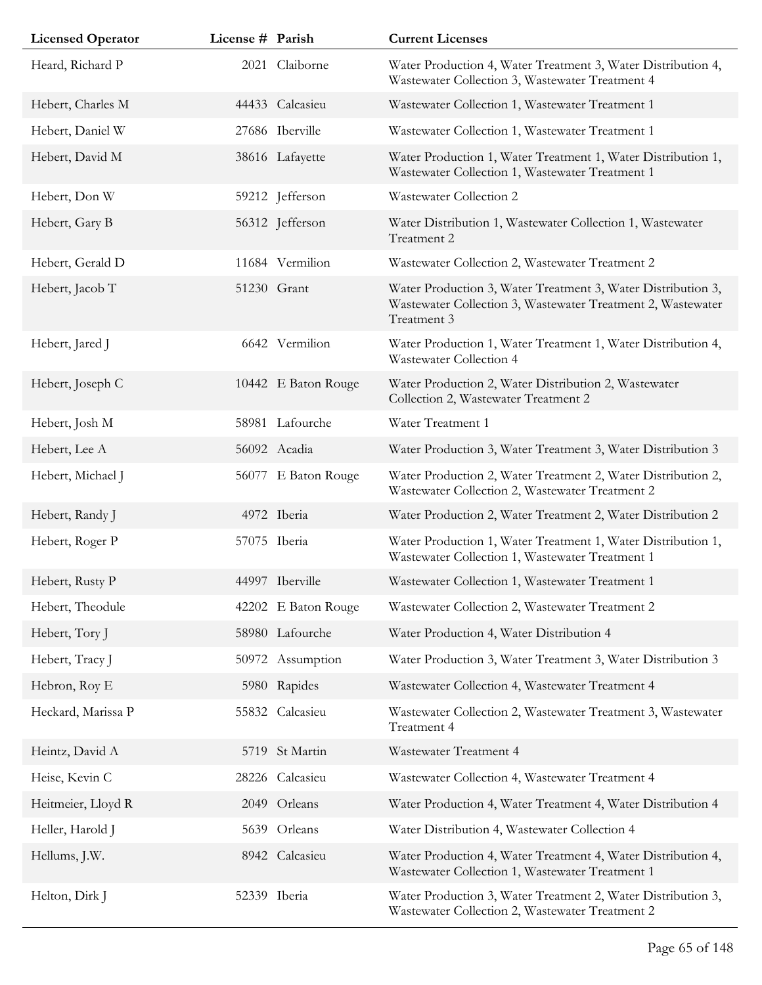| <b>Licensed Operator</b> | License # Parish |                     | <b>Current Licenses</b>                                                                                                                    |
|--------------------------|------------------|---------------------|--------------------------------------------------------------------------------------------------------------------------------------------|
| Heard, Richard P         |                  | 2021 Claiborne      | Water Production 4, Water Treatment 3, Water Distribution 4,<br>Wastewater Collection 3, Wastewater Treatment 4                            |
| Hebert, Charles M        |                  | 44433 Calcasieu     | Wastewater Collection 1, Wastewater Treatment 1                                                                                            |
| Hebert, Daniel W         |                  | 27686 Iberville     | Wastewater Collection 1, Wastewater Treatment 1                                                                                            |
| Hebert, David M          |                  | 38616 Lafayette     | Water Production 1, Water Treatment 1, Water Distribution 1,<br>Wastewater Collection 1, Wastewater Treatment 1                            |
| Hebert, Don W            |                  | 59212 Jefferson     | Wastewater Collection 2                                                                                                                    |
| Hebert, Gary B           |                  | 56312 Jefferson     | Water Distribution 1, Wastewater Collection 1, Wastewater<br>Treatment 2                                                                   |
| Hebert, Gerald D         |                  | 11684 Vermilion     | Wastewater Collection 2, Wastewater Treatment 2                                                                                            |
| Hebert, Jacob T          |                  | 51230 Grant         | Water Production 3, Water Treatment 3, Water Distribution 3,<br>Wastewater Collection 3, Wastewater Treatment 2, Wastewater<br>Treatment 3 |
| Hebert, Jared J          |                  | 6642 Vermilion      | Water Production 1, Water Treatment 1, Water Distribution 4,<br>Wastewater Collection 4                                                    |
| Hebert, Joseph C         |                  | 10442 E Baton Rouge | Water Production 2, Water Distribution 2, Wastewater<br>Collection 2, Wastewater Treatment 2                                               |
| Hebert, Josh M           |                  | 58981 Lafourche     | Water Treatment 1                                                                                                                          |
| Hebert, Lee A            |                  | 56092 Acadia        | Water Production 3, Water Treatment 3, Water Distribution 3                                                                                |
| Hebert, Michael J        |                  | 56077 E Baton Rouge | Water Production 2, Water Treatment 2, Water Distribution 2,<br>Wastewater Collection 2, Wastewater Treatment 2                            |
| Hebert, Randy J          |                  | 4972 Iberia         | Water Production 2, Water Treatment 2, Water Distribution 2                                                                                |
| Hebert, Roger P          |                  | 57075 Iberia        | Water Production 1, Water Treatment 1, Water Distribution 1,<br>Wastewater Collection 1, Wastewater Treatment 1                            |
| Hebert, Rusty P          |                  | 44997 Iberville     | Wastewater Collection 1, Wastewater Treatment 1                                                                                            |
| Hebert, Theodule         |                  | 42202 E Baton Rouge | Wastewater Collection 2, Wastewater Treatment 2                                                                                            |
| Hebert, Tory J           |                  | 58980 Lafourche     | Water Production 4, Water Distribution 4                                                                                                   |
| Hebert, Tracy J          |                  | 50972 Assumption    | Water Production 3, Water Treatment 3, Water Distribution 3                                                                                |
| Hebron, Roy E            |                  | 5980 Rapides        | Wastewater Collection 4, Wastewater Treatment 4                                                                                            |
| Heckard, Marissa P       | 55832            | Calcasieu           | Wastewater Collection 2, Wastewater Treatment 3, Wastewater<br>Treatment 4                                                                 |
| Heintz, David A          |                  | 5719 St Martin      | Wastewater Treatment 4                                                                                                                     |
| Heise, Kevin C           |                  | 28226 Calcasieu     | Wastewater Collection 4, Wastewater Treatment 4                                                                                            |
| Heitmeier, Lloyd R       |                  | 2049 Orleans        | Water Production 4, Water Treatment 4, Water Distribution 4                                                                                |
| Heller, Harold J         |                  | 5639 Orleans        | Water Distribution 4, Wastewater Collection 4                                                                                              |
| Hellums, J.W.            |                  | 8942 Calcasieu      | Water Production 4, Water Treatment 4, Water Distribution 4,<br>Wastewater Collection 1, Wastewater Treatment 1                            |
| Helton, Dirk J           |                  | 52339 Iberia        | Water Production 3, Water Treatment 2, Water Distribution 3,<br>Wastewater Collection 2, Wastewater Treatment 2                            |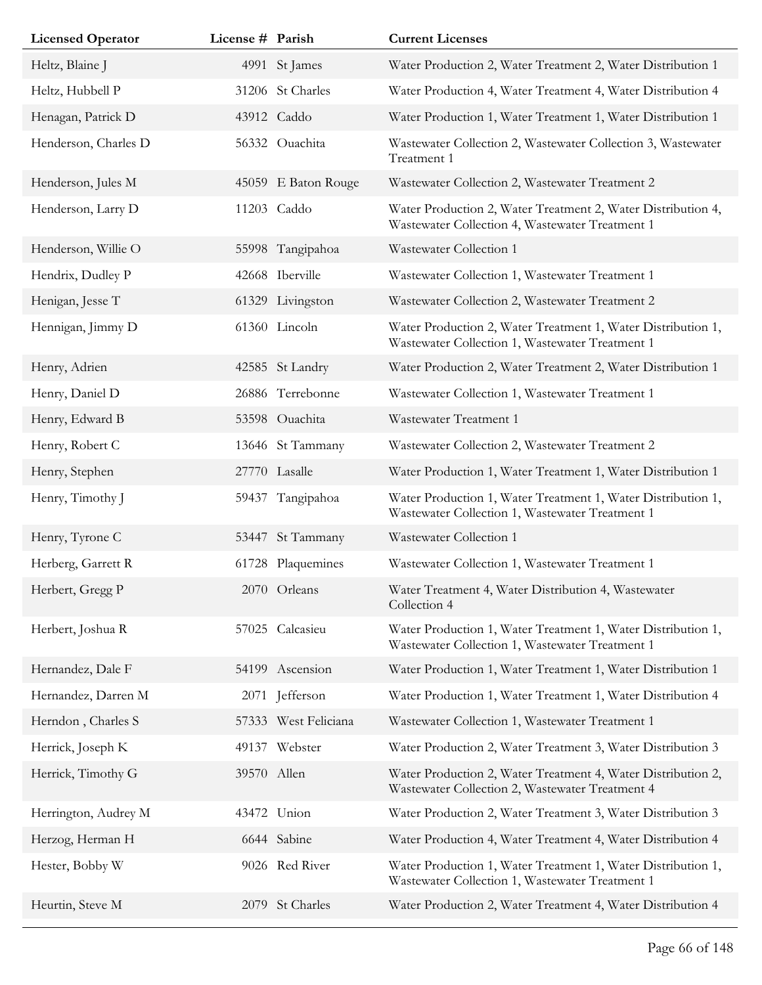| <b>Licensed Operator</b> | License # Parish |                      | <b>Current Licenses</b>                                                                                         |
|--------------------------|------------------|----------------------|-----------------------------------------------------------------------------------------------------------------|
| Heltz, Blaine J          |                  | 4991 St James        | Water Production 2, Water Treatment 2, Water Distribution 1                                                     |
| Heltz, Hubbell P         |                  | 31206 St Charles     | Water Production 4, Water Treatment 4, Water Distribution 4                                                     |
| Henagan, Patrick D       |                  | 43912 Caddo          | Water Production 1, Water Treatment 1, Water Distribution 1                                                     |
| Henderson, Charles D     |                  | 56332 Ouachita       | Wastewater Collection 2, Wastewater Collection 3, Wastewater<br>Treatment 1                                     |
| Henderson, Jules M       |                  | 45059 E Baton Rouge  | Wastewater Collection 2, Wastewater Treatment 2                                                                 |
| Henderson, Larry D       |                  | 11203 Caddo          | Water Production 2, Water Treatment 2, Water Distribution 4,<br>Wastewater Collection 4, Wastewater Treatment 1 |
| Henderson, Willie O      |                  | 55998 Tangipahoa     | Wastewater Collection 1                                                                                         |
| Hendrix, Dudley P        |                  | 42668 Iberville      | Wastewater Collection 1, Wastewater Treatment 1                                                                 |
| Henigan, Jesse T         |                  | 61329 Livingston     | Wastewater Collection 2, Wastewater Treatment 2                                                                 |
| Hennigan, Jimmy D        |                  | 61360 Lincoln        | Water Production 2, Water Treatment 1, Water Distribution 1,<br>Wastewater Collection 1, Wastewater Treatment 1 |
| Henry, Adrien            |                  | 42585 St Landry      | Water Production 2, Water Treatment 2, Water Distribution 1                                                     |
| Henry, Daniel D          |                  | 26886 Terrebonne     | Wastewater Collection 1, Wastewater Treatment 1                                                                 |
| Henry, Edward B          |                  | 53598 Ouachita       | Wastewater Treatment 1                                                                                          |
| Henry, Robert C          |                  | 13646 St Tammany     | Wastewater Collection 2, Wastewater Treatment 2                                                                 |
| Henry, Stephen           |                  | 27770 Lasalle        | Water Production 1, Water Treatment 1, Water Distribution 1                                                     |
| Henry, Timothy J         |                  | 59437 Tangipahoa     | Water Production 1, Water Treatment 1, Water Distribution 1,<br>Wastewater Collection 1, Wastewater Treatment 1 |
| Henry, Tyrone C          | 53447            | St Tammany           | Wastewater Collection 1                                                                                         |
| Herberg, Garrett R       |                  | 61728 Plaquemines    | Wastewater Collection 1, Wastewater Treatment 1                                                                 |
| Herbert, Gregg P         |                  | 2070 Orleans         | Water Treatment 4, Water Distribution 4, Wastewater<br>Collection 4                                             |
| Herbert, Joshua R        |                  | 57025 Calcasieu      | Water Production 1, Water Treatment 1, Water Distribution 1,<br>Wastewater Collection 1, Wastewater Treatment 1 |
| Hernandez, Dale F        |                  | 54199 Ascension      | Water Production 1, Water Treatment 1, Water Distribution 1                                                     |
| Hernandez, Darren M      | 2071             | Jefferson            | Water Production 1, Water Treatment 1, Water Distribution 4                                                     |
| Herndon, Charles S       |                  | 57333 West Feliciana | Wastewater Collection 1, Wastewater Treatment 1                                                                 |
| Herrick, Joseph K        |                  | 49137 Webster        | Water Production 2, Water Treatment 3, Water Distribution 3                                                     |
| Herrick, Timothy G       | 39570 Allen      |                      | Water Production 2, Water Treatment 4, Water Distribution 2,<br>Wastewater Collection 2, Wastewater Treatment 4 |
| Herrington, Audrey M     |                  | 43472 Union          | Water Production 2, Water Treatment 3, Water Distribution 3                                                     |
| Herzog, Herman H         |                  | 6644 Sabine          | Water Production 4, Water Treatment 4, Water Distribution 4                                                     |
| Hester, Bobby W          |                  | 9026 Red River       | Water Production 1, Water Treatment 1, Water Distribution 1,<br>Wastewater Collection 1, Wastewater Treatment 1 |
| Heurtin, Steve M         | 2079             | St Charles           | Water Production 2, Water Treatment 4, Water Distribution 4                                                     |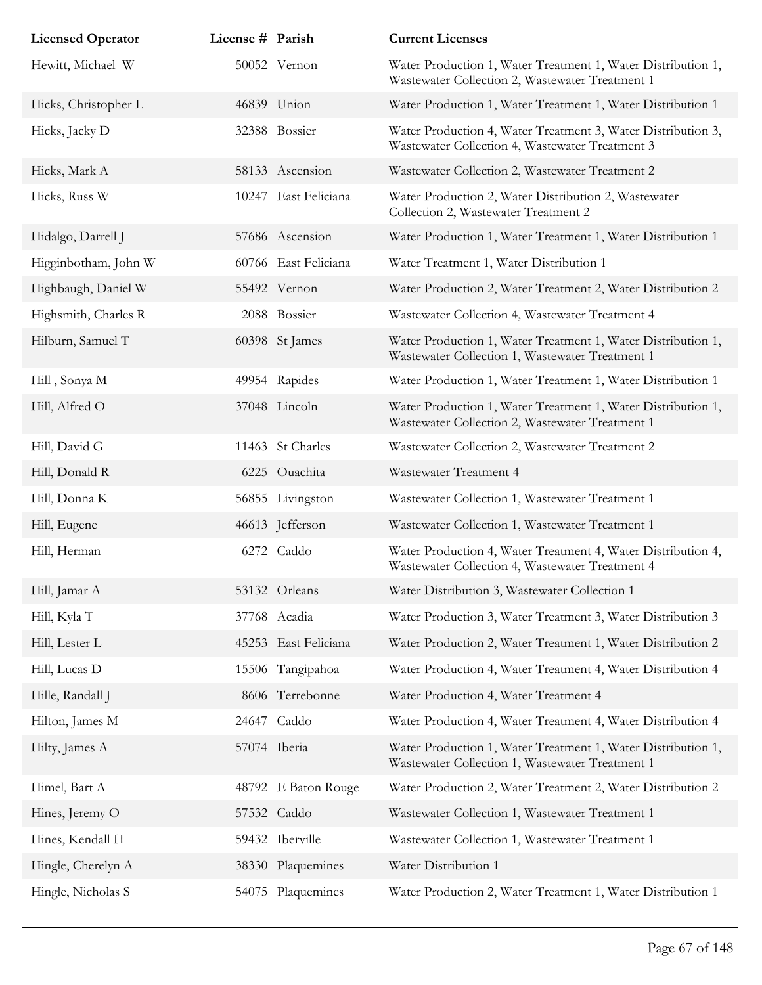| <b>Licensed Operator</b> | License # Parish |                      | <b>Current Licenses</b>                                                                                         |
|--------------------------|------------------|----------------------|-----------------------------------------------------------------------------------------------------------------|
| Hewitt, Michael W        |                  | 50052 Vernon         | Water Production 1, Water Treatment 1, Water Distribution 1,<br>Wastewater Collection 2, Wastewater Treatment 1 |
| Hicks, Christopher L     |                  | 46839 Union          | Water Production 1, Water Treatment 1, Water Distribution 1                                                     |
| Hicks, Jacky D           |                  | 32388 Bossier        | Water Production 4, Water Treatment 3, Water Distribution 3,<br>Wastewater Collection 4, Wastewater Treatment 3 |
| Hicks, Mark A            |                  | 58133 Ascension      | Wastewater Collection 2, Wastewater Treatment 2                                                                 |
| Hicks, Russ W            | 10247            | East Feliciana       | Water Production 2, Water Distribution 2, Wastewater<br>Collection 2, Wastewater Treatment 2                    |
| Hidalgo, Darrell J       |                  | 57686 Ascension      | Water Production 1, Water Treatment 1, Water Distribution 1                                                     |
| Higginbotham, John W     |                  | 60766 East Feliciana | Water Treatment 1, Water Distribution 1                                                                         |
| Highbaugh, Daniel W      |                  | 55492 Vernon         | Water Production 2, Water Treatment 2, Water Distribution 2                                                     |
| Highsmith, Charles R     |                  | 2088 Bossier         | Wastewater Collection 4, Wastewater Treatment 4                                                                 |
| Hilburn, Samuel T        |                  | 60398 St James       | Water Production 1, Water Treatment 1, Water Distribution 1,<br>Wastewater Collection 1, Wastewater Treatment 1 |
| Hill, Sonya M            |                  | 49954 Rapides        | Water Production 1, Water Treatment 1, Water Distribution 1                                                     |
| Hill, Alfred O           |                  | 37048 Lincoln        | Water Production 1, Water Treatment 1, Water Distribution 1,<br>Wastewater Collection 2, Wastewater Treatment 1 |
| Hill, David G            |                  | 11463 St Charles     | Wastewater Collection 2, Wastewater Treatment 2                                                                 |
| Hill, Donald R           |                  | 6225 Ouachita        | Wastewater Treatment 4                                                                                          |
| Hill, Donna K            |                  | 56855 Livingston     | Wastewater Collection 1, Wastewater Treatment 1                                                                 |
| Hill, Eugene             |                  | 46613 Jefferson      | Wastewater Collection 1, Wastewater Treatment 1                                                                 |
| Hill, Herman             |                  | 6272 Caddo           | Water Production 4, Water Treatment 4, Water Distribution 4,<br>Wastewater Collection 4, Wastewater Treatment 4 |
| Hill, Jamar A            |                  | 53132 Orleans        | Water Distribution 3, Wastewater Collection 1                                                                   |
| Hill, Kyla T             |                  | 37768 Acadia         | Water Production 3, Water Treatment 3, Water Distribution 3                                                     |
| Hill, Lester L           |                  | 45253 East Feliciana | Water Production 2, Water Treatment 1, Water Distribution 2                                                     |
| Hill, Lucas D            |                  | 15506 Tangipahoa     | Water Production 4, Water Treatment 4, Water Distribution 4                                                     |
| Hille, Randall J         |                  | 8606 Terrebonne      | Water Production 4, Water Treatment 4                                                                           |
| Hilton, James M          |                  | 24647 Caddo          | Water Production 4, Water Treatment 4, Water Distribution 4                                                     |
| Hilty, James A           |                  | 57074 Iberia         | Water Production 1, Water Treatment 1, Water Distribution 1,<br>Wastewater Collection 1, Wastewater Treatment 1 |
| Himel, Bart A            |                  | 48792 E Baton Rouge  | Water Production 2, Water Treatment 2, Water Distribution 2                                                     |
| Hines, Jeremy O          |                  | 57532 Caddo          | Wastewater Collection 1, Wastewater Treatment 1                                                                 |
| Hines, Kendall H         |                  | 59432 Iberville      | Wastewater Collection 1, Wastewater Treatment 1                                                                 |
| Hingle, Cherelyn A       |                  | 38330 Plaquemines    | Water Distribution 1                                                                                            |
| Hingle, Nicholas S       |                  | 54075 Plaquemines    | Water Production 2, Water Treatment 1, Water Distribution 1                                                     |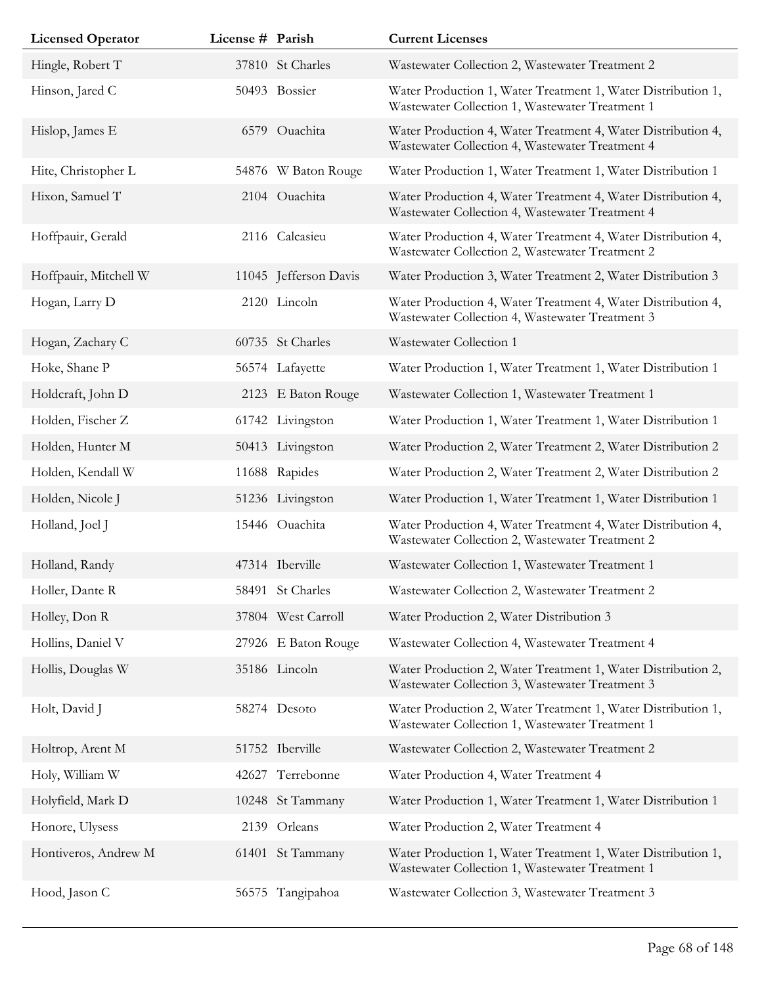| <b>Licensed Operator</b> | License # Parish |                       | <b>Current Licenses</b>                                                                                         |
|--------------------------|------------------|-----------------------|-----------------------------------------------------------------------------------------------------------------|
| Hingle, Robert T         |                  | 37810 St Charles      | Wastewater Collection 2, Wastewater Treatment 2                                                                 |
| Hinson, Jared C          |                  | 50493 Bossier         | Water Production 1, Water Treatment 1, Water Distribution 1,<br>Wastewater Collection 1, Wastewater Treatment 1 |
| Hislop, James E          |                  | 6579 Ouachita         | Water Production 4, Water Treatment 4, Water Distribution 4,<br>Wastewater Collection 4, Wastewater Treatment 4 |
| Hite, Christopher L      |                  | 54876 W Baton Rouge   | Water Production 1, Water Treatment 1, Water Distribution 1                                                     |
| Hixon, Samuel T          |                  | 2104 Ouachita         | Water Production 4, Water Treatment 4, Water Distribution 4,<br>Wastewater Collection 4, Wastewater Treatment 4 |
| Hoffpauir, Gerald        |                  | 2116 Calcasieu        | Water Production 4, Water Treatment 4, Water Distribution 4,<br>Wastewater Collection 2, Wastewater Treatment 2 |
| Hoffpauir, Mitchell W    |                  | 11045 Jefferson Davis | Water Production 3, Water Treatment 2, Water Distribution 3                                                     |
| Hogan, Larry D           |                  | 2120 Lincoln          | Water Production 4, Water Treatment 4, Water Distribution 4,<br>Wastewater Collection 4, Wastewater Treatment 3 |
| Hogan, Zachary C         |                  | 60735 St Charles      | Wastewater Collection 1                                                                                         |
| Hoke, Shane P            |                  | 56574 Lafayette       | Water Production 1, Water Treatment 1, Water Distribution 1                                                     |
| Holdcraft, John D        |                  | 2123 E Baton Rouge    | Wastewater Collection 1, Wastewater Treatment 1                                                                 |
| Holden, Fischer Z        |                  | 61742 Livingston      | Water Production 1, Water Treatment 1, Water Distribution 1                                                     |
| Holden, Hunter M         |                  | 50413 Livingston      | Water Production 2, Water Treatment 2, Water Distribution 2                                                     |
| Holden, Kendall W        |                  | 11688 Rapides         | Water Production 2, Water Treatment 2, Water Distribution 2                                                     |
| Holden, Nicole J         |                  | 51236 Livingston      | Water Production 1, Water Treatment 1, Water Distribution 1                                                     |
| Holland, Joel J          |                  | 15446 Ouachita        | Water Production 4, Water Treatment 4, Water Distribution 4,<br>Wastewater Collection 2, Wastewater Treatment 2 |
| Holland, Randy           |                  | 47314 Iberville       | Wastewater Collection 1, Wastewater Treatment 1                                                                 |
| Holler, Dante R          |                  | 58491 St Charles      | Wastewater Collection 2, Wastewater Treatment 2                                                                 |
| Holley, Don R            |                  | 37804 West Carroll    | Water Production 2, Water Distribution 3                                                                        |
| Hollins, Daniel V        |                  | 27926 E Baton Rouge   | Wastewater Collection 4, Wastewater Treatment 4                                                                 |
| Hollis, Douglas W        |                  | 35186 Lincoln         | Water Production 2, Water Treatment 1, Water Distribution 2,<br>Wastewater Collection 3, Wastewater Treatment 3 |
| Holt, David J            |                  | 58274 Desoto          | Water Production 2, Water Treatment 1, Water Distribution 1,<br>Wastewater Collection 1, Wastewater Treatment 1 |
| Holtrop, Arent M         |                  | 51752 Iberville       | Wastewater Collection 2, Wastewater Treatment 2                                                                 |
| Holy, William W          |                  | 42627 Terrebonne      | Water Production 4, Water Treatment 4                                                                           |
| Holyfield, Mark D        |                  | 10248 St Tammany      | Water Production 1, Water Treatment 1, Water Distribution 1                                                     |
| Honore, Ulysess          |                  | 2139 Orleans          | Water Production 2, Water Treatment 4                                                                           |
| Hontiveros, Andrew M     |                  | 61401 St Tammany      | Water Production 1, Water Treatment 1, Water Distribution 1,<br>Wastewater Collection 1, Wastewater Treatment 1 |
| Hood, Jason C            |                  | 56575 Tangipahoa      | Wastewater Collection 3, Wastewater Treatment 3                                                                 |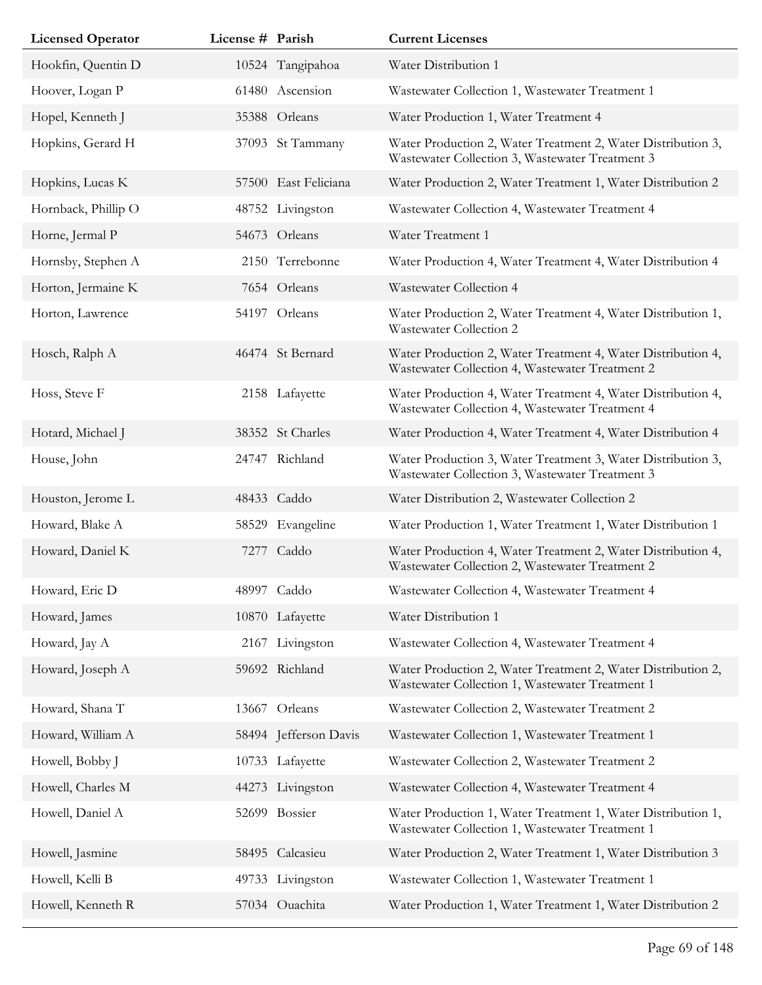| <b>Licensed Operator</b> | License # Parish |                       | <b>Current Licenses</b>                                                                                         |
|--------------------------|------------------|-----------------------|-----------------------------------------------------------------------------------------------------------------|
| Hookfin, Quentin D       |                  | 10524 Tangipahoa      | Water Distribution 1                                                                                            |
| Hoover, Logan P          |                  | 61480 Ascension       | Wastewater Collection 1, Wastewater Treatment 1                                                                 |
| Hopel, Kenneth J         |                  | 35388 Orleans         | Water Production 1, Water Treatment 4                                                                           |
| Hopkins, Gerard H        |                  | 37093 St Tammany      | Water Production 2, Water Treatment 2, Water Distribution 3,<br>Wastewater Collection 3, Wastewater Treatment 3 |
| Hopkins, Lucas K         |                  | 57500 East Feliciana  | Water Production 2, Water Treatment 1, Water Distribution 2                                                     |
| Hornback, Phillip O      |                  | 48752 Livingston      | Wastewater Collection 4, Wastewater Treatment 4                                                                 |
| Horne, Jermal P          |                  | 54673 Orleans         | Water Treatment 1                                                                                               |
| Hornsby, Stephen A       |                  | 2150 Terrebonne       | Water Production 4, Water Treatment 4, Water Distribution 4                                                     |
| Horton, Jermaine K       |                  | 7654 Orleans          | Wastewater Collection 4                                                                                         |
| Horton, Lawrence         |                  | 54197 Orleans         | Water Production 2, Water Treatment 4, Water Distribution 1,<br>Wastewater Collection 2                         |
| Hosch, Ralph A           |                  | 46474 St Bernard      | Water Production 2, Water Treatment 4, Water Distribution 4,<br>Wastewater Collection 4, Wastewater Treatment 2 |
| Hoss, Steve F            |                  | 2158 Lafayette        | Water Production 4, Water Treatment 4, Water Distribution 4,<br>Wastewater Collection 4, Wastewater Treatment 4 |
| Hotard, Michael J        |                  | 38352 St Charles      | Water Production 4, Water Treatment 4, Water Distribution 4                                                     |
| House, John              | 24747            | Richland              | Water Production 3, Water Treatment 3, Water Distribution 3,<br>Wastewater Collection 3, Wastewater Treatment 3 |
| Houston, Jerome L        |                  | 48433 Caddo           | Water Distribution 2, Wastewater Collection 2                                                                   |
| Howard, Blake A          | 58529            | Evangeline            | Water Production 1, Water Treatment 1, Water Distribution 1                                                     |
| Howard, Daniel K         |                  | 7277 Caddo            | Water Production 4, Water Treatment 2, Water Distribution 4,<br>Wastewater Collection 2, Wastewater Treatment 2 |
| Howard, Eric D           |                  | 48997 Caddo           | Wastewater Collection 4, Wastewater Treatment 4                                                                 |
| Howard, James            |                  | 10870 Lafayette       | Water Distribution 1                                                                                            |
| Howard, Jay A            | 2167             | Livingston            | Wastewater Collection 4, Wastewater Treatment 4                                                                 |
| Howard, Joseph A         |                  | 59692 Richland        | Water Production 2, Water Treatment 2, Water Distribution 2,<br>Wastewater Collection 1, Wastewater Treatment 1 |
| Howard, Shana T          |                  | 13667 Orleans         | Wastewater Collection 2, Wastewater Treatment 2                                                                 |
| Howard, William A        |                  | 58494 Jefferson Davis | Wastewater Collection 1, Wastewater Treatment 1                                                                 |
| Howell, Bobby J          |                  | 10733 Lafayette       | Wastewater Collection 2, Wastewater Treatment 2                                                                 |
| Howell, Charles M        |                  | 44273 Livingston      | Wastewater Collection 4, Wastewater Treatment 4                                                                 |
| Howell, Daniel A         |                  | 52699 Bossier         | Water Production 1, Water Treatment 1, Water Distribution 1,<br>Wastewater Collection 1, Wastewater Treatment 1 |
| Howell, Jasmine          |                  | 58495 Calcasieu       | Water Production 2, Water Treatment 1, Water Distribution 3                                                     |
| Howell, Kelli B          |                  | 49733 Livingston      | Wastewater Collection 1, Wastewater Treatment 1                                                                 |
| Howell, Kenneth R        |                  | 57034 Ouachita        | Water Production 1, Water Treatment 1, Water Distribution 2                                                     |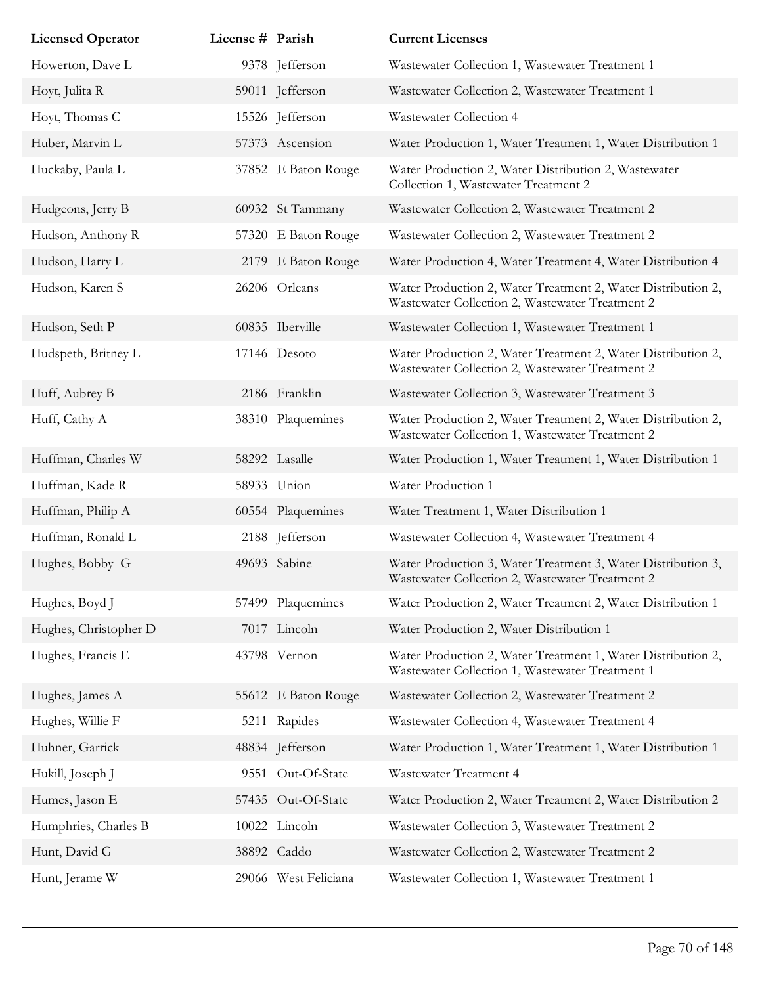| <b>Licensed Operator</b> | License # Parish |                      | <b>Current Licenses</b>                                                                                         |
|--------------------------|------------------|----------------------|-----------------------------------------------------------------------------------------------------------------|
| Howerton, Dave L         |                  | 9378 Jefferson       | Wastewater Collection 1, Wastewater Treatment 1                                                                 |
| Hoyt, Julita R           |                  | 59011 Jefferson      | Wastewater Collection 2, Wastewater Treatment 1                                                                 |
| Hoyt, Thomas C           |                  | 15526 Jefferson      | Wastewater Collection 4                                                                                         |
| Huber, Marvin L          |                  | 57373 Ascension      | Water Production 1, Water Treatment 1, Water Distribution 1                                                     |
| Huckaby, Paula L         |                  | 37852 E Baton Rouge  | Water Production 2, Water Distribution 2, Wastewater<br>Collection 1, Wastewater Treatment 2                    |
| Hudgeons, Jerry B        |                  | 60932 St Tammany     | Wastewater Collection 2, Wastewater Treatment 2                                                                 |
| Hudson, Anthony R        |                  | 57320 E Baton Rouge  | Wastewater Collection 2, Wastewater Treatment 2                                                                 |
| Hudson, Harry L          |                  | 2179 E Baton Rouge   | Water Production 4, Water Treatment 4, Water Distribution 4                                                     |
| Hudson, Karen S          |                  | 26206 Orleans        | Water Production 2, Water Treatment 2, Water Distribution 2,<br>Wastewater Collection 2, Wastewater Treatment 2 |
| Hudson, Seth P           |                  | 60835 Iberville      | Wastewater Collection 1, Wastewater Treatment 1                                                                 |
| Hudspeth, Britney L      |                  | 17146 Desoto         | Water Production 2, Water Treatment 2, Water Distribution 2,<br>Wastewater Collection 2, Wastewater Treatment 2 |
| Huff, Aubrey B           |                  | 2186 Franklin        | Wastewater Collection 3, Wastewater Treatment 3                                                                 |
| Huff, Cathy A            |                  | 38310 Plaquemines    | Water Production 2, Water Treatment 2, Water Distribution 2,<br>Wastewater Collection 1, Wastewater Treatment 2 |
| Huffman, Charles W       |                  | 58292 Lasalle        | Water Production 1, Water Treatment 1, Water Distribution 1                                                     |
| Huffman, Kade R          |                  | 58933 Union          | Water Production 1                                                                                              |
| Huffman, Philip A        |                  | 60554 Plaquemines    | Water Treatment 1, Water Distribution 1                                                                         |
| Huffman, Ronald L        |                  | 2188 Jefferson       | Wastewater Collection 4, Wastewater Treatment 4                                                                 |
| Hughes, Bobby G          |                  | 49693 Sabine         | Water Production 3, Water Treatment 3, Water Distribution 3,<br>Wastewater Collection 2, Wastewater Treatment 2 |
| Hughes, Boyd J           |                  | 57499 Plaquemines    | Water Production 2, Water Treatment 2, Water Distribution 1                                                     |
| Hughes, Christopher D    |                  | 7017 Lincoln         | Water Production 2, Water Distribution 1                                                                        |
| Hughes, Francis E        |                  | 43798 Vernon         | Water Production 2, Water Treatment 1, Water Distribution 2,<br>Wastewater Collection 1, Wastewater Treatment 1 |
| Hughes, James A          |                  | 55612 E Baton Rouge  | Wastewater Collection 2, Wastewater Treatment 2                                                                 |
| Hughes, Willie F         |                  | 5211 Rapides         | Wastewater Collection 4, Wastewater Treatment 4                                                                 |
| Huhner, Garrick          |                  | 48834 Jefferson      | Water Production 1, Water Treatment 1, Water Distribution 1                                                     |
| Hukill, Joseph J         |                  | 9551 Out-Of-State    | Wastewater Treatment 4                                                                                          |
| Humes, Jason E           |                  | 57435 Out-Of-State   | Water Production 2, Water Treatment 2, Water Distribution 2                                                     |
| Humphries, Charles B     |                  | 10022 Lincoln        | Wastewater Collection 3, Wastewater Treatment 2                                                                 |
| Hunt, David G            |                  | 38892 Caddo          | Wastewater Collection 2, Wastewater Treatment 2                                                                 |
| Hunt, Jerame W           |                  | 29066 West Feliciana | Wastewater Collection 1, Wastewater Treatment 1                                                                 |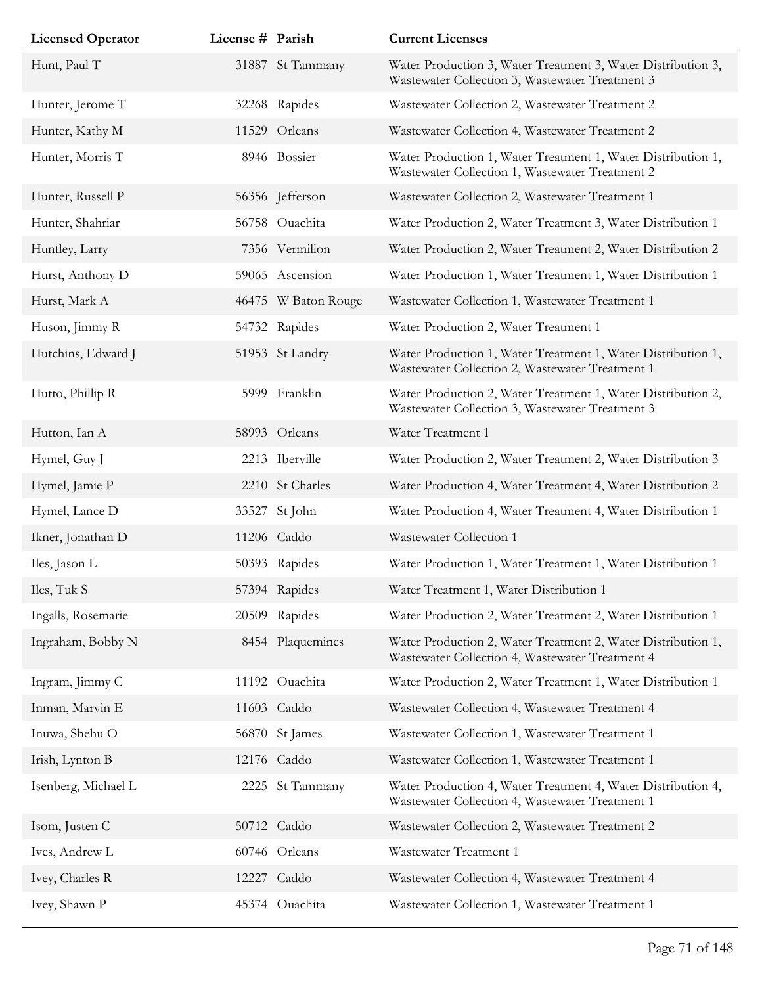| <b>Licensed Operator</b> | License # Parish |                     | <b>Current Licenses</b>                                                                                         |
|--------------------------|------------------|---------------------|-----------------------------------------------------------------------------------------------------------------|
| Hunt, Paul T             |                  | 31887 St Tammany    | Water Production 3, Water Treatment 3, Water Distribution 3,<br>Wastewater Collection 3, Wastewater Treatment 3 |
| Hunter, Jerome T         |                  | 32268 Rapides       | Wastewater Collection 2, Wastewater Treatment 2                                                                 |
| Hunter, Kathy M          |                  | 11529 Orleans       | Wastewater Collection 4, Wastewater Treatment 2                                                                 |
| Hunter, Morris T         |                  | 8946 Bossier        | Water Production 1, Water Treatment 1, Water Distribution 1,<br>Wastewater Collection 1, Wastewater Treatment 2 |
| Hunter, Russell P        |                  | 56356 Jefferson     | Wastewater Collection 2, Wastewater Treatment 1                                                                 |
| Hunter, Shahriar         |                  | 56758 Ouachita      | Water Production 2, Water Treatment 3, Water Distribution 1                                                     |
| Huntley, Larry           |                  | 7356 Vermilion      | Water Production 2, Water Treatment 2, Water Distribution 2                                                     |
| Hurst, Anthony D         |                  | 59065 Ascension     | Water Production 1, Water Treatment 1, Water Distribution 1                                                     |
| Hurst, Mark A            |                  | 46475 W Baton Rouge | Wastewater Collection 1, Wastewater Treatment 1                                                                 |
| Huson, Jimmy R           |                  | 54732 Rapides       | Water Production 2, Water Treatment 1                                                                           |
| Hutchins, Edward J       |                  | 51953 St Landry     | Water Production 1, Water Treatment 1, Water Distribution 1,<br>Wastewater Collection 2, Wastewater Treatment 1 |
| Hutto, Phillip R         |                  | 5999 Franklin       | Water Production 2, Water Treatment 1, Water Distribution 2,<br>Wastewater Collection 3, Wastewater Treatment 3 |
| Hutton, Ian A            |                  | 58993 Orleans       | Water Treatment 1                                                                                               |
| Hymel, Guy J             |                  | 2213 Iberville      | Water Production 2, Water Treatment 2, Water Distribution 3                                                     |
| Hymel, Jamie P           |                  | 2210 St Charles     | Water Production 4, Water Treatment 4, Water Distribution 2                                                     |
| Hymel, Lance D           | 33527            | St John             | Water Production 4, Water Treatment 4, Water Distribution 1                                                     |
| Ikner, Jonathan D        |                  | 11206 Caddo         | Wastewater Collection 1                                                                                         |
| Iles, Jason L            |                  | 50393 Rapides       | Water Production 1, Water Treatment 1, Water Distribution 1                                                     |
| Iles, Tuk S              |                  | 57394 Rapides       | Water Treatment 1, Water Distribution 1                                                                         |
| Ingalls, Rosemarie       |                  | 20509 Rapides       | Water Production 2, Water Treatment 2, Water Distribution 1                                                     |
| Ingraham, Bobby N        |                  | 8454 Plaquemines    | Water Production 2, Water Treatment 2, Water Distribution 1,<br>Wastewater Collection 4, Wastewater Treatment 4 |
| Ingram, Jimmy C          |                  | 11192 Ouachita      | Water Production 2, Water Treatment 1, Water Distribution 1                                                     |
| Inman, Marvin E          |                  | 11603 Caddo         | Wastewater Collection 4, Wastewater Treatment 4                                                                 |
| Inuwa, Shehu O           |                  | 56870 St James      | Wastewater Collection 1, Wastewater Treatment 1                                                                 |
| Irish, Lynton B          |                  | 12176 Caddo         | Wastewater Collection 1, Wastewater Treatment 1                                                                 |
| Isenberg, Michael L      |                  | 2225 St Tammany     | Water Production 4, Water Treatment 4, Water Distribution 4,<br>Wastewater Collection 4, Wastewater Treatment 1 |
| Isom, Justen C           |                  | 50712 Caddo         | Wastewater Collection 2, Wastewater Treatment 2                                                                 |
| Ives, Andrew L           |                  | 60746 Orleans       | Wastewater Treatment 1                                                                                          |
| Ivey, Charles R          |                  | 12227 Caddo         | Wastewater Collection 4, Wastewater Treatment 4                                                                 |
| Ivey, Shawn P            |                  | 45374 Ouachita      | Wastewater Collection 1, Wastewater Treatment 1                                                                 |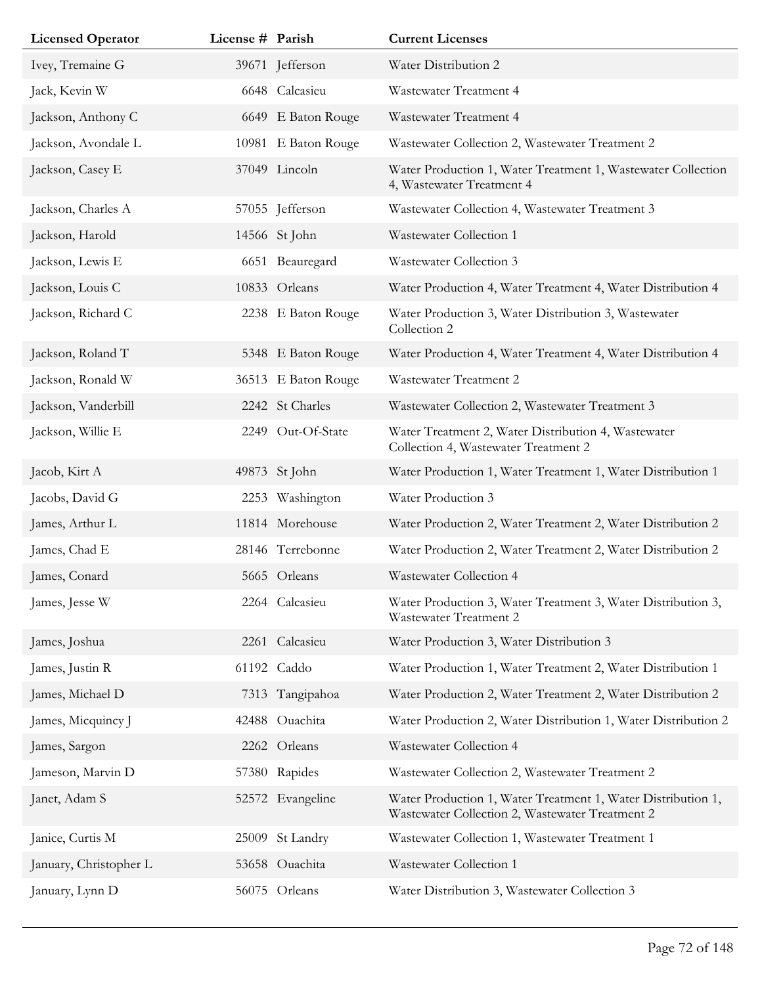| <b>Licensed Operator</b> | License # Parish |                     | <b>Current Licenses</b>                                                                                         |
|--------------------------|------------------|---------------------|-----------------------------------------------------------------------------------------------------------------|
| Ivey, Tremaine G         |                  | 39671 Jefferson     | Water Distribution 2                                                                                            |
| Jack, Kevin W            |                  | 6648 Calcasieu      | Wastewater Treatment 4                                                                                          |
| Jackson, Anthony C       |                  | 6649 E Baton Rouge  | Wastewater Treatment 4                                                                                          |
| Jackson, Avondale L      |                  | 10981 E Baton Rouge | Wastewater Collection 2, Wastewater Treatment 2                                                                 |
| Jackson, Casey E         |                  | 37049 Lincoln       | Water Production 1, Water Treatment 1, Wastewater Collection<br>4, Wastewater Treatment 4                       |
| Jackson, Charles A       |                  | 57055 Jefferson     | Wastewater Collection 4, Wastewater Treatment 3                                                                 |
| Jackson, Harold          |                  | 14566 St John       | Wastewater Collection 1                                                                                         |
| Jackson, Lewis E         |                  | 6651 Beauregard     | Wastewater Collection 3                                                                                         |
| Jackson, Louis C         |                  | 10833 Orleans       | Water Production 4, Water Treatment 4, Water Distribution 4                                                     |
| Jackson, Richard C       |                  | 2238 E Baton Rouge  | Water Production 3, Water Distribution 3, Wastewater<br>Collection 2                                            |
| Jackson, Roland T        |                  | 5348 E Baton Rouge  | Water Production 4, Water Treatment 4, Water Distribution 4                                                     |
| Jackson, Ronald W        |                  | 36513 E Baton Rouge | Wastewater Treatment 2                                                                                          |
| Jackson, Vanderbill      |                  | 2242 St Charles     | Wastewater Collection 2, Wastewater Treatment 3                                                                 |
| Jackson, Willie E        |                  | 2249 Out-Of-State   | Water Treatment 2, Water Distribution 4, Wastewater<br>Collection 4, Wastewater Treatment 2                     |
| Jacob, Kirt A            |                  | 49873 St John       | Water Production 1, Water Treatment 1, Water Distribution 1                                                     |
| Jacobs, David G          |                  | 2253 Washington     | Water Production 3                                                                                              |
| James, Arthur L          |                  | 11814 Morehouse     | Water Production 2, Water Treatment 2, Water Distribution 2                                                     |
| James, Chad E            |                  | 28146 Terrebonne    | Water Production 2, Water Treatment 2, Water Distribution 2                                                     |
| James, Conard            |                  | 5665 Orleans        | Wastewater Collection 4                                                                                         |
| James, Jesse W           |                  | 2264 Calcasieu      | Water Production 3, Water Treatment 3, Water Distribution 3,<br>Wastewater Treatment 2                          |
| James, Joshua            |                  | 2261 Calcasieu      | Water Production 3, Water Distribution 3                                                                        |
| James, Justin R          |                  | 61192 Caddo         | Water Production 1, Water Treatment 2, Water Distribution 1                                                     |
| James, Michael D         |                  | 7313 Tangipahoa     | Water Production 2, Water Treatment 2, Water Distribution 2                                                     |
| James, Micquincy J       | 42488            | Ouachita            | Water Production 2, Water Distribution 1, Water Distribution 2                                                  |
| James, Sargon            |                  | 2262 Orleans        | Wastewater Collection 4                                                                                         |
| Jameson, Marvin D        |                  | 57380 Rapides       | Wastewater Collection 2, Wastewater Treatment 2                                                                 |
| Janet, Adam S            |                  | 52572 Evangeline    | Water Production 1, Water Treatment 1, Water Distribution 1,<br>Wastewater Collection 2, Wastewater Treatment 2 |
| Janice, Curtis M         | 25009            | St Landry           | Wastewater Collection 1, Wastewater Treatment 1                                                                 |
| January, Christopher L   |                  | 53658 Ouachita      | Wastewater Collection 1                                                                                         |
| January, Lynn D          |                  | 56075 Orleans       | Water Distribution 3, Wastewater Collection 3                                                                   |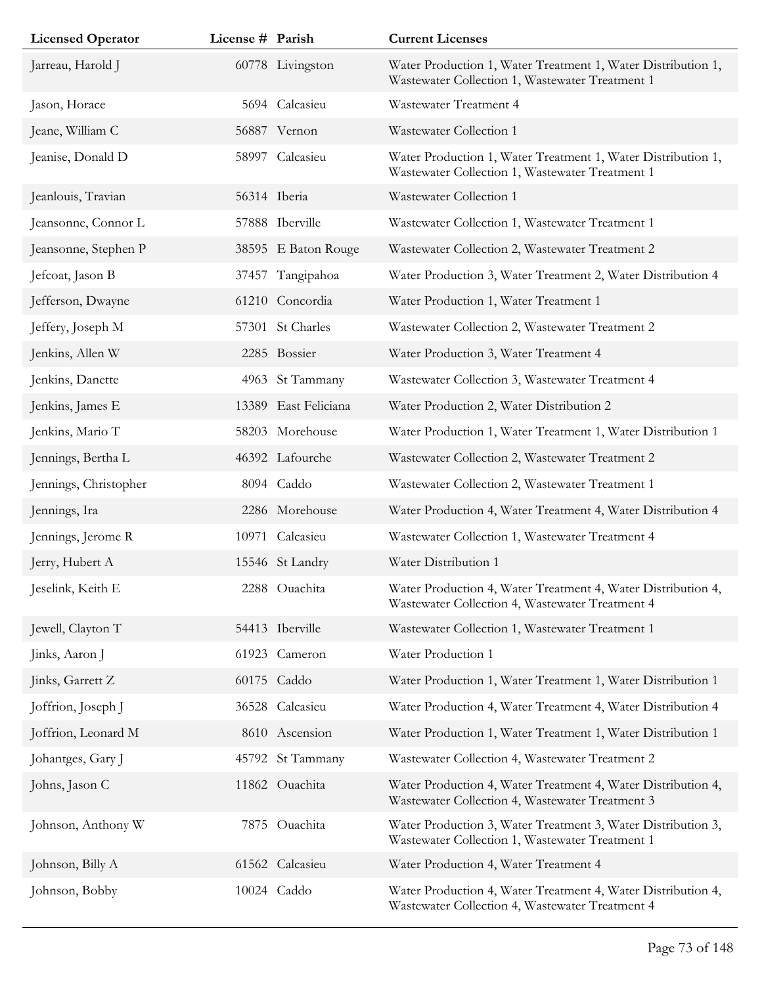| <b>Licensed Operator</b> | License # Parish |                      | <b>Current Licenses</b>                                                                                         |
|--------------------------|------------------|----------------------|-----------------------------------------------------------------------------------------------------------------|
| Jarreau, Harold J        |                  | 60778 Livingston     | Water Production 1, Water Treatment 1, Water Distribution 1,<br>Wastewater Collection 1, Wastewater Treatment 1 |
| Jason, Horace            |                  | 5694 Calcasieu       | Wastewater Treatment 4                                                                                          |
| Jeane, William C         |                  | 56887 Vernon         | Wastewater Collection 1                                                                                         |
| Jeanise, Donald D        |                  | 58997 Calcasieu      | Water Production 1, Water Treatment 1, Water Distribution 1,<br>Wastewater Collection 1, Wastewater Treatment 1 |
| Jeanlouis, Travian       |                  | 56314 Iberia         | Wastewater Collection 1                                                                                         |
| Jeansonne, Connor L      |                  | 57888 Iberville      | Wastewater Collection 1, Wastewater Treatment 1                                                                 |
| Jeansonne, Stephen P     |                  | 38595 E Baton Rouge  | Wastewater Collection 2, Wastewater Treatment 2                                                                 |
| Jefcoat, Jason B         |                  | 37457 Tangipahoa     | Water Production 3, Water Treatment 2, Water Distribution 4                                                     |
| Jefferson, Dwayne        |                  | 61210 Concordia      | Water Production 1, Water Treatment 1                                                                           |
| Jeffery, Joseph M        |                  | 57301 St Charles     | Wastewater Collection 2, Wastewater Treatment 2                                                                 |
| Jenkins, Allen W         |                  | 2285 Bossier         | Water Production 3, Water Treatment 4                                                                           |
| Jenkins, Danette         |                  | 4963 St Tammany      | Wastewater Collection 3, Wastewater Treatment 4                                                                 |
| Jenkins, James E         |                  | 13389 East Feliciana | Water Production 2, Water Distribution 2                                                                        |
| Jenkins, Mario T         |                  | 58203 Morehouse      | Water Production 1, Water Treatment 1, Water Distribution 1                                                     |
| Jennings, Bertha L       |                  | 46392 Lafourche      | Wastewater Collection 2, Wastewater Treatment 2                                                                 |
| Jennings, Christopher    |                  | 8094 Caddo           | Wastewater Collection 2, Wastewater Treatment 1                                                                 |
| Jennings, Ira            |                  | 2286 Morehouse       | Water Production 4, Water Treatment 4, Water Distribution 4                                                     |
| Jennings, Jerome R       |                  | 10971 Calcasieu      | Wastewater Collection 1, Wastewater Treatment 4                                                                 |
| Jerry, Hubert A          |                  | 15546 St Landry      | Water Distribution 1                                                                                            |
| Jeselink, Keith E        |                  | 2288 Ouachita        | Water Production 4, Water Treatment 4, Water Distribution 4,<br>Wastewater Collection 4, Wastewater Treatment 4 |
| Jewell, Clayton T        |                  | 54413 Iberville      | Wastewater Collection 1, Wastewater Treatment 1                                                                 |
| Jinks, Aaron J           |                  | 61923 Cameron        | Water Production 1                                                                                              |
| Jinks, Garrett Z         |                  | 60175 Caddo          | Water Production 1, Water Treatment 1, Water Distribution 1                                                     |
| Joffrion, Joseph J       |                  | 36528 Calcasieu      | Water Production 4, Water Treatment 4, Water Distribution 4                                                     |
| Joffrion, Leonard M      |                  | 8610 Ascension       | Water Production 1, Water Treatment 1, Water Distribution 1                                                     |
| Johantges, Gary J        |                  | 45792 St Tammany     | Wastewater Collection 4, Wastewater Treatment 2                                                                 |
| Johns, Jason C           |                  | 11862 Ouachita       | Water Production 4, Water Treatment 4, Water Distribution 4,<br>Wastewater Collection 4, Wastewater Treatment 3 |
| Johnson, Anthony W       |                  | 7875 Ouachita        | Water Production 3, Water Treatment 3, Water Distribution 3,<br>Wastewater Collection 1, Wastewater Treatment 1 |
| Johnson, Billy A         |                  | 61562 Calcasieu      | Water Production 4, Water Treatment 4                                                                           |
| Johnson, Bobby           |                  | 10024 Caddo          | Water Production 4, Water Treatment 4, Water Distribution 4,<br>Wastewater Collection 4, Wastewater Treatment 4 |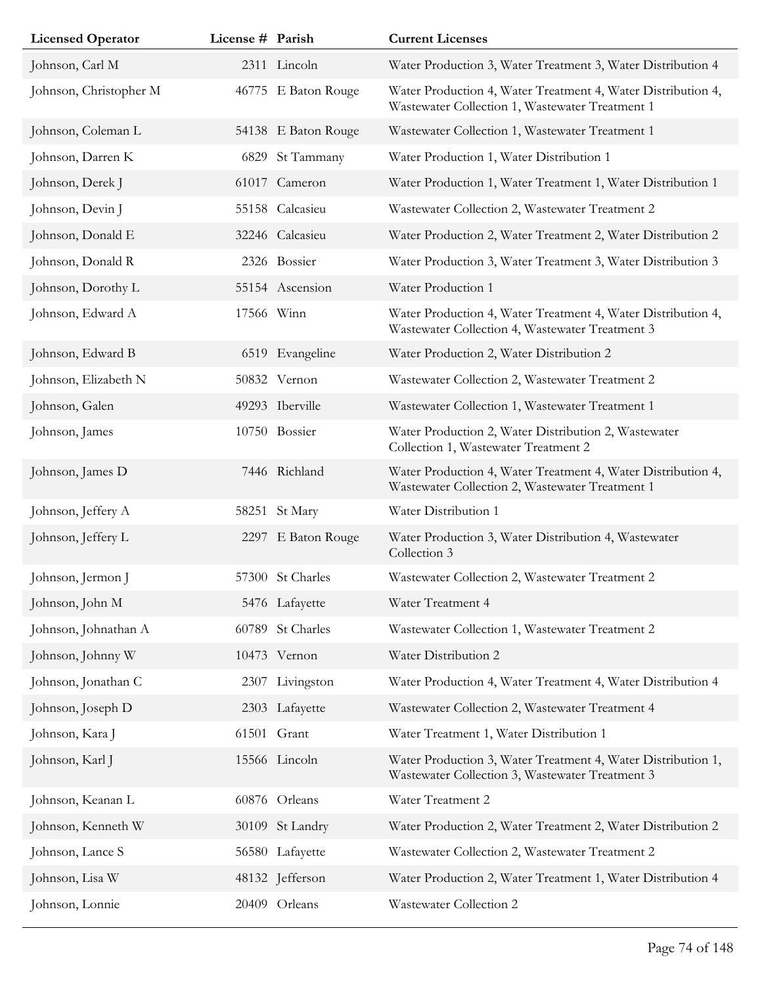| <b>Licensed Operator</b> | License # Parish |                     | <b>Current Licenses</b>                                                                                         |
|--------------------------|------------------|---------------------|-----------------------------------------------------------------------------------------------------------------|
| Johnson, Carl M          |                  | 2311 Lincoln        | Water Production 3, Water Treatment 3, Water Distribution 4                                                     |
| Johnson, Christopher M   |                  | 46775 E Baton Rouge | Water Production 4, Water Treatment 4, Water Distribution 4,<br>Wastewater Collection 1, Wastewater Treatment 1 |
| Johnson, Coleman L       |                  | 54138 E Baton Rouge | Wastewater Collection 1, Wastewater Treatment 1                                                                 |
| Johnson, Darren K        | 6829             | St Tammany          | Water Production 1, Water Distribution 1                                                                        |
| Johnson, Derek J         |                  | 61017 Cameron       | Water Production 1, Water Treatment 1, Water Distribution 1                                                     |
| Johnson, Devin J         |                  | 55158 Calcasieu     | Wastewater Collection 2, Wastewater Treatment 2                                                                 |
| Johnson, Donald E        |                  | 32246 Calcasieu     | Water Production 2, Water Treatment 2, Water Distribution 2                                                     |
| Johnson, Donald R        |                  | 2326 Bossier        | Water Production 3, Water Treatment 3, Water Distribution 3                                                     |
| Johnson, Dorothy L       |                  | 55154 Ascension     | Water Production 1                                                                                              |
| Johnson, Edward A        |                  | 17566 Winn          | Water Production 4, Water Treatment 4, Water Distribution 4,<br>Wastewater Collection 4, Wastewater Treatment 3 |
| Johnson, Edward B        |                  | 6519 Evangeline     | Water Production 2, Water Distribution 2                                                                        |
| Johnson, Elizabeth N     |                  | 50832 Vernon        | Wastewater Collection 2, Wastewater Treatment 2                                                                 |
| Johnson, Galen           |                  | 49293 Iberville     | Wastewater Collection 1, Wastewater Treatment 1                                                                 |
| Johnson, James           |                  | 10750 Bossier       | Water Production 2, Water Distribution 2, Wastewater<br>Collection 1, Wastewater Treatment 2                    |
| Johnson, James D         |                  | 7446 Richland       | Water Production 4, Water Treatment 4, Water Distribution 4,<br>Wastewater Collection 2, Wastewater Treatment 1 |
| Johnson, Jeffery A       |                  | 58251 St Mary       | Water Distribution 1                                                                                            |
| Johnson, Jeffery L       |                  | 2297 E Baton Rouge  | Water Production 3, Water Distribution 4, Wastewater<br>Collection 3                                            |
| Johnson, Jermon J        |                  | 57300 St Charles    | Wastewater Collection 2, Wastewater Treatment 2                                                                 |
| Johnson, John M          |                  | 5476 Lafayette      | Water Treatment 4                                                                                               |
| Johnson, Johnathan A     |                  | 60789 St Charles    | Wastewater Collection 1, Wastewater Treatment 2                                                                 |
| Johnson, Johnny W        |                  | 10473 Vernon        | Water Distribution 2                                                                                            |
| Johnson, Jonathan C      |                  | 2307 Livingston     | Water Production 4, Water Treatment 4, Water Distribution 4                                                     |
| Johnson, Joseph D        |                  | 2303 Lafayette      | Wastewater Collection 2, Wastewater Treatment 4                                                                 |
| Johnson, Kara J          |                  | 61501 Grant         | Water Treatment 1, Water Distribution 1                                                                         |
| Johnson, Karl J          |                  | 15566 Lincoln       | Water Production 3, Water Treatment 4, Water Distribution 1,<br>Wastewater Collection 3, Wastewater Treatment 3 |
| Johnson, Keanan L        |                  | 60876 Orleans       | Water Treatment 2                                                                                               |
| Johnson, Kenneth W       |                  | 30109 St Landry     | Water Production 2, Water Treatment 2, Water Distribution 2                                                     |
| Johnson, Lance S         |                  | 56580 Lafayette     | Wastewater Collection 2, Wastewater Treatment 2                                                                 |
| Johnson, Lisa W          |                  | 48132 Jefferson     | Water Production 2, Water Treatment 1, Water Distribution 4                                                     |
| Johnson, Lonnie          |                  | 20409 Orleans       | Wastewater Collection 2                                                                                         |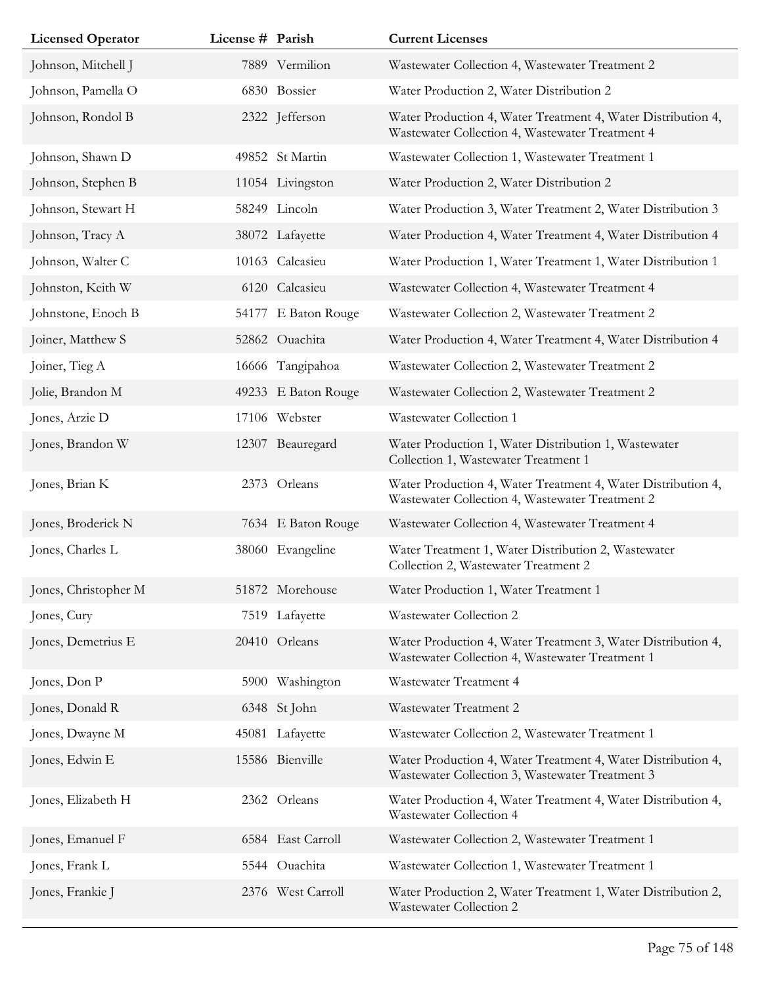| <b>Licensed Operator</b> | License # Parish |                     | <b>Current Licenses</b>                                                                                         |
|--------------------------|------------------|---------------------|-----------------------------------------------------------------------------------------------------------------|
| Johnson, Mitchell J      |                  | 7889 Vermilion      | Wastewater Collection 4, Wastewater Treatment 2                                                                 |
| Johnson, Pamella O       |                  | 6830 Bossier        | Water Production 2, Water Distribution 2                                                                        |
| Johnson, Rondol B        |                  | 2322 Jefferson      | Water Production 4, Water Treatment 4, Water Distribution 4,<br>Wastewater Collection 4, Wastewater Treatment 4 |
| Johnson, Shawn D         |                  | 49852 St Martin     | Wastewater Collection 1, Wastewater Treatment 1                                                                 |
| Johnson, Stephen B       |                  | 11054 Livingston    | Water Production 2, Water Distribution 2                                                                        |
| Johnson, Stewart H       |                  | 58249 Lincoln       | Water Production 3, Water Treatment 2, Water Distribution 3                                                     |
| Johnson, Tracy A         |                  | 38072 Lafayette     | Water Production 4, Water Treatment 4, Water Distribution 4                                                     |
| Johnson, Walter C        |                  | 10163 Calcasieu     | Water Production 1, Water Treatment 1, Water Distribution 1                                                     |
| Johnston, Keith W        |                  | 6120 Calcasieu      | Wastewater Collection 4, Wastewater Treatment 4                                                                 |
| Johnstone, Enoch B       |                  | 54177 E Baton Rouge | Wastewater Collection 2, Wastewater Treatment 2                                                                 |
| Joiner, Matthew S        |                  | 52862 Ouachita      | Water Production 4, Water Treatment 4, Water Distribution 4                                                     |
| Joiner, Tieg A           |                  | 16666 Tangipahoa    | Wastewater Collection 2, Wastewater Treatment 2                                                                 |
| Jolie, Brandon M         |                  | 49233 E Baton Rouge | Wastewater Collection 2, Wastewater Treatment 2                                                                 |
| Jones, Arzie D           |                  | 17106 Webster       | Wastewater Collection 1                                                                                         |
| Jones, Brandon W         |                  | 12307 Beauregard    | Water Production 1, Water Distribution 1, Wastewater<br>Collection 1, Wastewater Treatment 1                    |
| Jones, Brian K           |                  | 2373 Orleans        | Water Production 4, Water Treatment 4, Water Distribution 4,<br>Wastewater Collection 4, Wastewater Treatment 2 |
| Jones, Broderick N       |                  | 7634 E Baton Rouge  | Wastewater Collection 4, Wastewater Treatment 4                                                                 |
| Jones, Charles L         |                  | 38060 Evangeline    | Water Treatment 1, Water Distribution 2, Wastewater<br>Collection 2, Wastewater Treatment 2                     |
| Jones, Christopher M     |                  | 51872 Morehouse     | Water Production 1, Water Treatment 1                                                                           |
| Jones, Cury              |                  | 7519 Lafayette      | Wastewater Collection 2                                                                                         |
| Jones, Demetrius E       |                  | 20410 Orleans       | Water Production 4, Water Treatment 3, Water Distribution 4,<br>Wastewater Collection 4, Wastewater Treatment 1 |
| Jones, Don P             |                  | 5900 Washington     | Wastewater Treatment 4                                                                                          |
| Jones, Donald R          |                  | 6348 St John        | Wastewater Treatment 2                                                                                          |
| Jones, Dwayne M          |                  | 45081 Lafayette     | Wastewater Collection 2, Wastewater Treatment 1                                                                 |
| Jones, Edwin E           |                  | 15586 Bienville     | Water Production 4, Water Treatment 4, Water Distribution 4,<br>Wastewater Collection 3, Wastewater Treatment 3 |
| Jones, Elizabeth H       |                  | 2362 Orleans        | Water Production 4, Water Treatment 4, Water Distribution 4,<br>Wastewater Collection 4                         |
| Jones, Emanuel F         |                  | 6584 East Carroll   | Wastewater Collection 2, Wastewater Treatment 1                                                                 |
| Jones, Frank L           |                  | 5544 Ouachita       | Wastewater Collection 1, Wastewater Treatment 1                                                                 |
| Jones, Frankie J         |                  | 2376 West Carroll   | Water Production 2, Water Treatment 1, Water Distribution 2,<br>Wastewater Collection 2                         |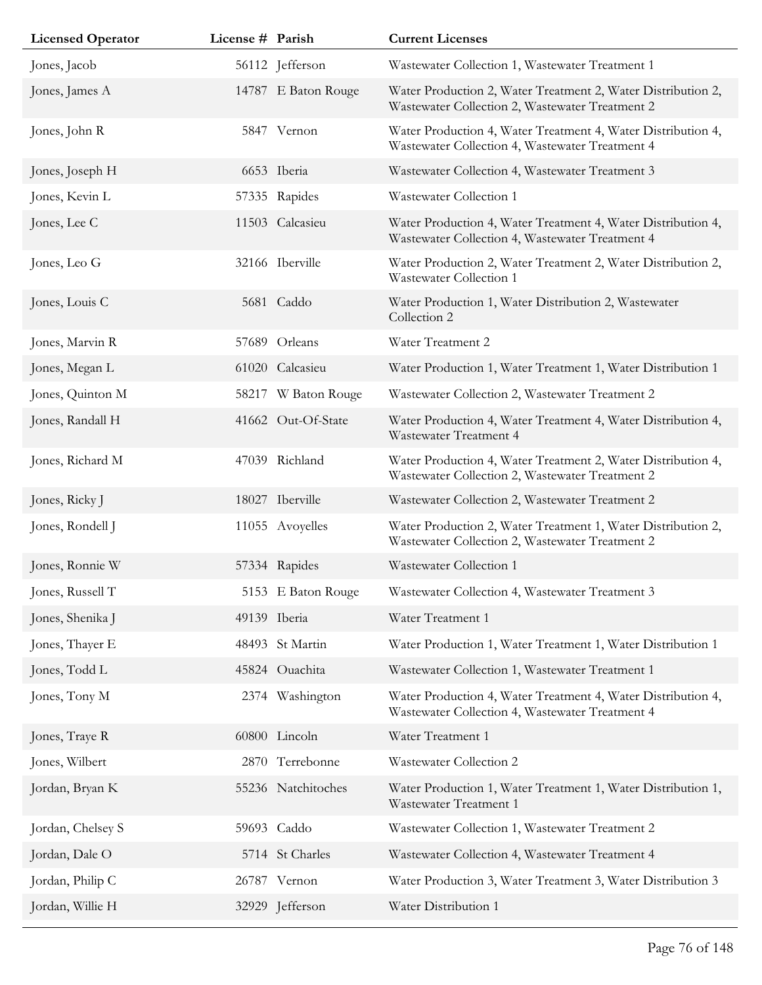| <b>Licensed Operator</b> | License # Parish |                     | <b>Current Licenses</b>                                                                                         |
|--------------------------|------------------|---------------------|-----------------------------------------------------------------------------------------------------------------|
| Jones, Jacob             |                  | 56112 Jefferson     | Wastewater Collection 1, Wastewater Treatment 1                                                                 |
| Jones, James A           |                  | 14787 E Baton Rouge | Water Production 2, Water Treatment 2, Water Distribution 2,<br>Wastewater Collection 2, Wastewater Treatment 2 |
| Jones, John R            |                  | 5847 Vernon         | Water Production 4, Water Treatment 4, Water Distribution 4,<br>Wastewater Collection 4, Wastewater Treatment 4 |
| Jones, Joseph H          |                  | 6653 Iberia         | Wastewater Collection 4, Wastewater Treatment 3                                                                 |
| Jones, Kevin L           |                  | 57335 Rapides       | Wastewater Collection 1                                                                                         |
| Jones, Lee C             |                  | 11503 Calcasieu     | Water Production 4, Water Treatment 4, Water Distribution 4,<br>Wastewater Collection 4, Wastewater Treatment 4 |
| Jones, Leo G             |                  | 32166 Iberville     | Water Production 2, Water Treatment 2, Water Distribution 2,<br>Wastewater Collection 1                         |
| Jones, Louis C           |                  | 5681 Caddo          | Water Production 1, Water Distribution 2, Wastewater<br>Collection 2                                            |
| Jones, Marvin R          |                  | 57689 Orleans       | Water Treatment 2                                                                                               |
| Jones, Megan L           |                  | 61020 Calcasieu     | Water Production 1, Water Treatment 1, Water Distribution 1                                                     |
| Jones, Quinton M         | 58217            | W Baton Rouge       | Wastewater Collection 2, Wastewater Treatment 2                                                                 |
| Jones, Randall H         |                  | 41662 Out-Of-State  | Water Production 4, Water Treatment 4, Water Distribution 4,<br>Wastewater Treatment 4                          |
| Jones, Richard M         |                  | 47039 Richland      | Water Production 4, Water Treatment 2, Water Distribution 4,<br>Wastewater Collection 2, Wastewater Treatment 2 |
| Jones, Ricky J           |                  | 18027 Iberville     | Wastewater Collection 2, Wastewater Treatment 2                                                                 |
| Jones, Rondell J         |                  | 11055 Avoyelles     | Water Production 2, Water Treatment 1, Water Distribution 2,<br>Wastewater Collection 2, Wastewater Treatment 2 |
| Jones, Ronnie W          |                  | 57334 Rapides       | Wastewater Collection 1                                                                                         |
| Jones, Russell T         |                  | 5153 E Baton Rouge  | Wastewater Collection 4, Wastewater Treatment 3                                                                 |
| Jones, Shenika J         |                  | 49139 Iberia        | Water Treatment 1                                                                                               |
| Jones, Thayer E          |                  | 48493 St Martin     | Water Production 1, Water Treatment 1, Water Distribution 1                                                     |
| Jones, Todd L            |                  | 45824 Ouachita      | Wastewater Collection 1, Wastewater Treatment 1                                                                 |
| Jones, Tony M            |                  | 2374 Washington     | Water Production 4, Water Treatment 4, Water Distribution 4,<br>Wastewater Collection 4, Wastewater Treatment 4 |
| Jones, Traye R           |                  | 60800 Lincoln       | Water Treatment 1                                                                                               |
| Jones, Wilbert           |                  | 2870 Terrebonne     | Wastewater Collection 2                                                                                         |
| Jordan, Bryan K          |                  | 55236 Natchitoches  | Water Production 1, Water Treatment 1, Water Distribution 1,<br>Wastewater Treatment 1                          |
| Jordan, Chelsey S        |                  | 59693 Caddo         | Wastewater Collection 1, Wastewater Treatment 2                                                                 |
| Jordan, Dale O           |                  | 5714 St Charles     | Wastewater Collection 4, Wastewater Treatment 4                                                                 |
| Jordan, Philip C         |                  | 26787 Vernon        | Water Production 3, Water Treatment 3, Water Distribution 3                                                     |
| Jordan, Willie H         |                  | 32929 Jefferson     | Water Distribution 1                                                                                            |
|                          |                  |                     |                                                                                                                 |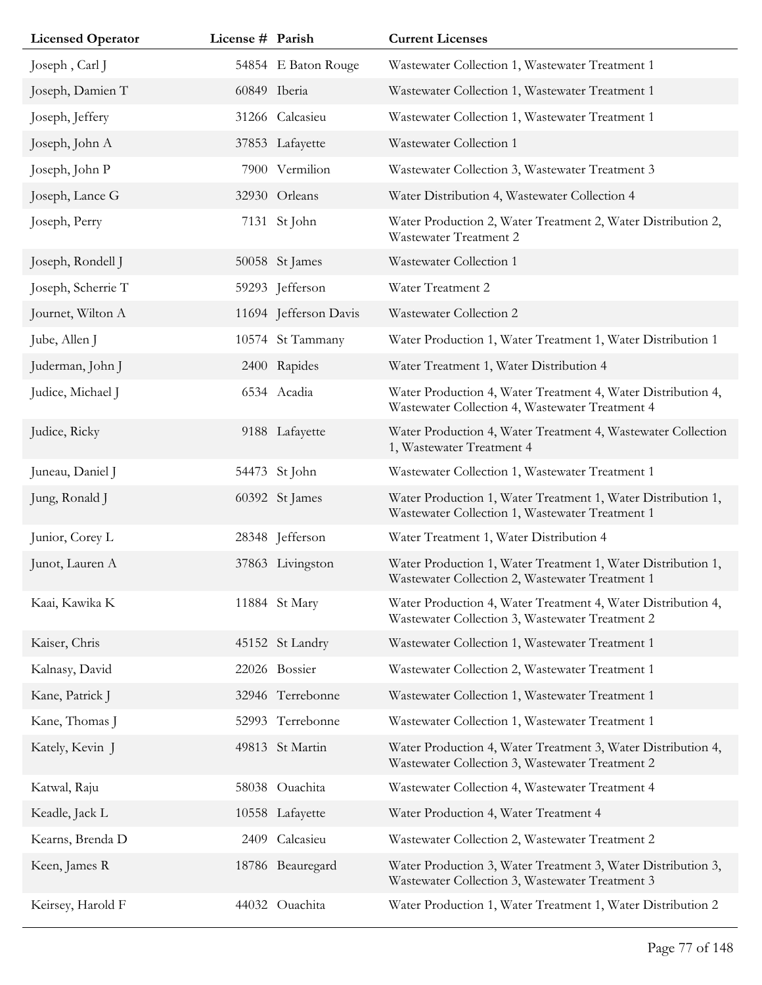| <b>Licensed Operator</b> | License # Parish |                       | <b>Current Licenses</b>                                                                                         |
|--------------------------|------------------|-----------------------|-----------------------------------------------------------------------------------------------------------------|
| Joseph, Carl J           |                  | 54854 E Baton Rouge   | Wastewater Collection 1, Wastewater Treatment 1                                                                 |
| Joseph, Damien T         |                  | 60849 Iberia          | Wastewater Collection 1, Wastewater Treatment 1                                                                 |
| Joseph, Jeffery          |                  | 31266 Calcasieu       | Wastewater Collection 1, Wastewater Treatment 1                                                                 |
| Joseph, John A           |                  | 37853 Lafayette       | Wastewater Collection 1                                                                                         |
| Joseph, John P           |                  | 7900 Vermilion        | Wastewater Collection 3, Wastewater Treatment 3                                                                 |
| Joseph, Lance G          |                  | 32930 Orleans         | Water Distribution 4, Wastewater Collection 4                                                                   |
| Joseph, Perry            |                  | 7131 St John          | Water Production 2, Water Treatment 2, Water Distribution 2,<br><b>Wastewater Treatment 2</b>                   |
| Joseph, Rondell J        |                  | 50058 St James        | Wastewater Collection 1                                                                                         |
| Joseph, Scherrie T       |                  | 59293 Jefferson       | Water Treatment 2                                                                                               |
| Journet, Wilton A        |                  | 11694 Jefferson Davis | Wastewater Collection 2                                                                                         |
| Jube, Allen J            |                  | 10574 St Tammany      | Water Production 1, Water Treatment 1, Water Distribution 1                                                     |
| Juderman, John J         |                  | 2400 Rapides          | Water Treatment 1, Water Distribution 4                                                                         |
| Judice, Michael J        |                  | 6534 Acadia           | Water Production 4, Water Treatment 4, Water Distribution 4,<br>Wastewater Collection 4, Wastewater Treatment 4 |
| Judice, Ricky            |                  | 9188 Lafayette        | Water Production 4, Water Treatment 4, Wastewater Collection<br>1, Wastewater Treatment 4                       |
| Juneau, Daniel J         |                  | 54473 St John         | Wastewater Collection 1, Wastewater Treatment 1                                                                 |
| Jung, Ronald J           |                  | 60392 St James        | Water Production 1, Water Treatment 1, Water Distribution 1,<br>Wastewater Collection 1, Wastewater Treatment 1 |
| Junior, Corey L          |                  | 28348 Jefferson       | Water Treatment 1, Water Distribution 4                                                                         |
| Junot, Lauren A          |                  | 37863 Livingston      | Water Production 1, Water Treatment 1, Water Distribution 1,<br>Wastewater Collection 2, Wastewater Treatment 1 |
| Kaai, Kawika K           |                  | 11884 St Mary         | Water Production 4, Water Treatment 4, Water Distribution 4,<br>Wastewater Collection 3, Wastewater Treatment 2 |
| Kaiser, Chris            |                  | 45152 St Landry       | Wastewater Collection 1, Wastewater Treatment 1                                                                 |
| Kalnasy, David           |                  | 22026 Bossier         | Wastewater Collection 2, Wastewater Treatment 1                                                                 |
| Kane, Patrick J          |                  | 32946 Terrebonne      | Wastewater Collection 1, Wastewater Treatment 1                                                                 |
| Kane, Thomas J           |                  | 52993 Terrebonne      | Wastewater Collection 1, Wastewater Treatment 1                                                                 |
| Kately, Kevin J          |                  | 49813 St Martin       | Water Production 4, Water Treatment 3, Water Distribution 4,<br>Wastewater Collection 3, Wastewater Treatment 2 |
| Katwal, Raju             |                  | 58038 Ouachita        | Wastewater Collection 4, Wastewater Treatment 4                                                                 |
| Keadle, Jack L           |                  | 10558 Lafayette       | Water Production 4, Water Treatment 4                                                                           |
| Kearns, Brenda D         | 2409             | Calcasieu             | Wastewater Collection 2, Wastewater Treatment 2                                                                 |
| Keen, James R            |                  | 18786 Beauregard      | Water Production 3, Water Treatment 3, Water Distribution 3,<br>Wastewater Collection 3, Wastewater Treatment 3 |
| Keirsey, Harold F        |                  | 44032 Ouachita        | Water Production 1, Water Treatment 1, Water Distribution 2                                                     |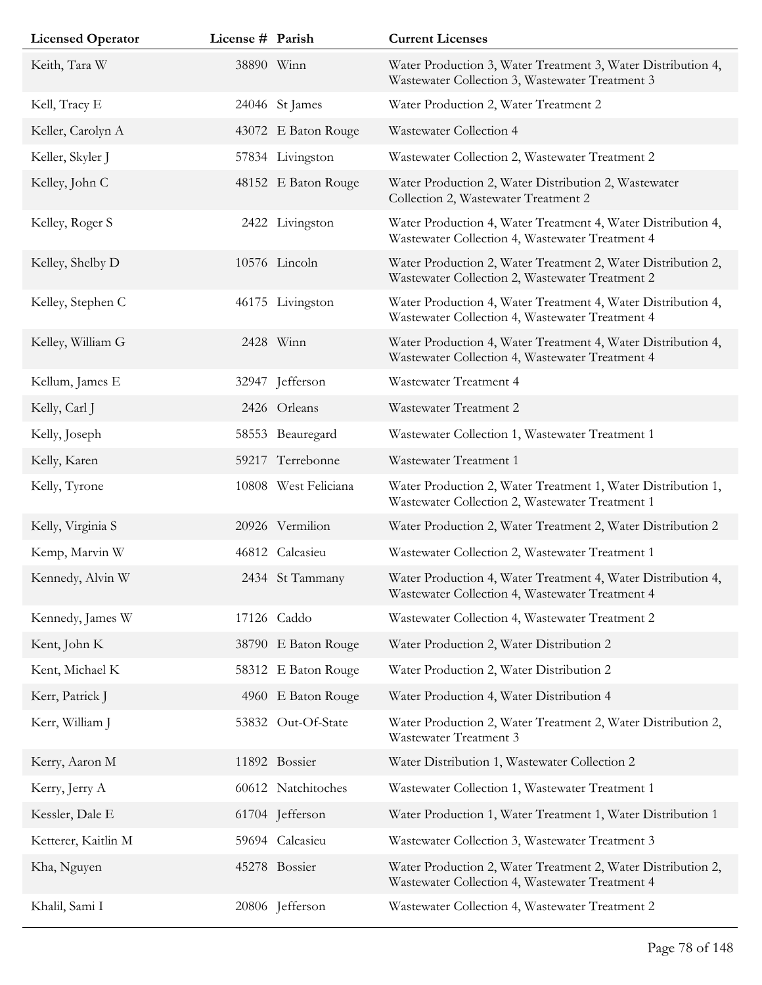| <b>Licensed Operator</b> | License # Parish |                      | <b>Current Licenses</b>                                                                                         |
|--------------------------|------------------|----------------------|-----------------------------------------------------------------------------------------------------------------|
| Keith, Tara W            |                  | 38890 Winn           | Water Production 3, Water Treatment 3, Water Distribution 4,<br>Wastewater Collection 3, Wastewater Treatment 3 |
| Kell, Tracy E            |                  | 24046 St James       | Water Production 2, Water Treatment 2                                                                           |
| Keller, Carolyn A        |                  | 43072 E Baton Rouge  | Wastewater Collection 4                                                                                         |
| Keller, Skyler J         |                  | 57834 Livingston     | Wastewater Collection 2, Wastewater Treatment 2                                                                 |
| Kelley, John C           |                  | 48152 E Baton Rouge  | Water Production 2, Water Distribution 2, Wastewater<br>Collection 2, Wastewater Treatment 2                    |
| Kelley, Roger S          |                  | 2422 Livingston      | Water Production 4, Water Treatment 4, Water Distribution 4,<br>Wastewater Collection 4, Wastewater Treatment 4 |
| Kelley, Shelby D         |                  | 10576 Lincoln        | Water Production 2, Water Treatment 2, Water Distribution 2,<br>Wastewater Collection 2, Wastewater Treatment 2 |
| Kelley, Stephen C        |                  | 46175 Livingston     | Water Production 4, Water Treatment 4, Water Distribution 4,<br>Wastewater Collection 4, Wastewater Treatment 4 |
| Kelley, William G        |                  | 2428 Winn            | Water Production 4, Water Treatment 4, Water Distribution 4,<br>Wastewater Collection 4, Wastewater Treatment 4 |
| Kellum, James E          |                  | 32947 Jefferson      | Wastewater Treatment 4                                                                                          |
| Kelly, Carl J            |                  | 2426 Orleans         | Wastewater Treatment 2                                                                                          |
| Kelly, Joseph            |                  | 58553 Beauregard     | Wastewater Collection 1, Wastewater Treatment 1                                                                 |
| Kelly, Karen             |                  | 59217 Terrebonne     | Wastewater Treatment 1                                                                                          |
| Kelly, Tyrone            |                  | 10808 West Feliciana | Water Production 2, Water Treatment 1, Water Distribution 1,<br>Wastewater Collection 2, Wastewater Treatment 1 |
| Kelly, Virginia S        |                  | 20926 Vermilion      | Water Production 2, Water Treatment 2, Water Distribution 2                                                     |
| Kemp, Marvin W           |                  | 46812 Calcasieu      | Wastewater Collection 2, Wastewater Treatment 1                                                                 |
| Kennedy, Alvin W         |                  | 2434 St Tammany      | Water Production 4, Water Treatment 4, Water Distribution 4,<br>Wastewater Collection 4, Wastewater Treatment 4 |
| Kennedy, James W         |                  | 17126 Caddo          | Wastewater Collection 4, Wastewater Treatment 2                                                                 |
| Kent, John K             |                  | 38790 E Baton Rouge  | Water Production 2, Water Distribution 2                                                                        |
| Kent, Michael K          |                  | 58312 E Baton Rouge  | Water Production 2, Water Distribution 2                                                                        |
| Kerr, Patrick J          |                  | 4960 E Baton Rouge   | Water Production 4, Water Distribution 4                                                                        |
| Kerr, William J          |                  | 53832 Out-Of-State   | Water Production 2, Water Treatment 2, Water Distribution 2,<br>Wastewater Treatment 3                          |
| Kerry, Aaron M           |                  | 11892 Bossier        | Water Distribution 1, Wastewater Collection 2                                                                   |
| Kerry, Jerry A           |                  | 60612 Natchitoches   | Wastewater Collection 1, Wastewater Treatment 1                                                                 |
| Kessler, Dale E          |                  | 61704 Jefferson      | Water Production 1, Water Treatment 1, Water Distribution 1                                                     |
| Ketterer, Kaitlin M      |                  | 59694 Calcasieu      | Wastewater Collection 3, Wastewater Treatment 3                                                                 |
| Kha, Nguyen              |                  | 45278 Bossier        | Water Production 2, Water Treatment 2, Water Distribution 2,<br>Wastewater Collection 4, Wastewater Treatment 4 |
| Khalil, Sami I           |                  | 20806 Jefferson      | Wastewater Collection 4, Wastewater Treatment 2                                                                 |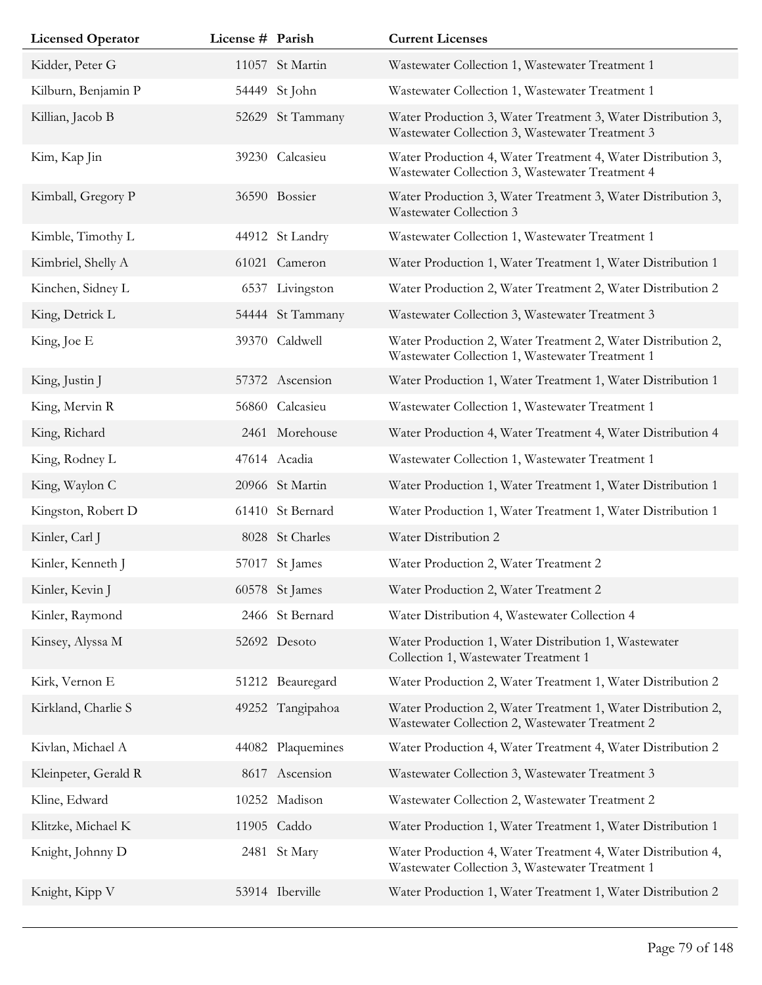| <b>Licensed Operator</b> | License # Parish |                   | <b>Current Licenses</b>                                                                                         |
|--------------------------|------------------|-------------------|-----------------------------------------------------------------------------------------------------------------|
| Kidder, Peter G          |                  | 11057 St Martin   | Wastewater Collection 1, Wastewater Treatment 1                                                                 |
| Kilburn, Benjamin P      |                  | 54449 St John     | Wastewater Collection 1, Wastewater Treatment 1                                                                 |
| Killian, Jacob B         |                  | 52629 St Tammany  | Water Production 3, Water Treatment 3, Water Distribution 3,<br>Wastewater Collection 3, Wastewater Treatment 3 |
| Kim, Kap Jin             |                  | 39230 Calcasieu   | Water Production 4, Water Treatment 4, Water Distribution 3,<br>Wastewater Collection 3, Wastewater Treatment 4 |
| Kimball, Gregory P       |                  | 36590 Bossier     | Water Production 3, Water Treatment 3, Water Distribution 3,<br>Wastewater Collection 3                         |
| Kimble, Timothy L        |                  | 44912 St Landry   | Wastewater Collection 1, Wastewater Treatment 1                                                                 |
| Kimbriel, Shelly A       |                  | 61021 Cameron     | Water Production 1, Water Treatment 1, Water Distribution 1                                                     |
| Kinchen, Sidney L        |                  | 6537 Livingston   | Water Production 2, Water Treatment 2, Water Distribution 2                                                     |
| King, Detrick L          |                  | 54444 St Tammany  | Wastewater Collection 3, Wastewater Treatment 3                                                                 |
| King, Joe E              |                  | 39370 Caldwell    | Water Production 2, Water Treatment 2, Water Distribution 2,<br>Wastewater Collection 1, Wastewater Treatment 1 |
| King, Justin J           |                  | 57372 Ascension   | Water Production 1, Water Treatment 1, Water Distribution 1                                                     |
| King, Mervin R           |                  | 56860 Calcasieu   | Wastewater Collection 1, Wastewater Treatment 1                                                                 |
| King, Richard            |                  | 2461 Morehouse    | Water Production 4, Water Treatment 4, Water Distribution 4                                                     |
| King, Rodney L           |                  | 47614 Acadia      | Wastewater Collection 1, Wastewater Treatment 1                                                                 |
| King, Waylon C           |                  | 20966 St Martin   | Water Production 1, Water Treatment 1, Water Distribution 1                                                     |
| Kingston, Robert D       |                  | 61410 St Bernard  | Water Production 1, Water Treatment 1, Water Distribution 1                                                     |
| Kinler, Carl J           |                  | 8028 St Charles   | Water Distribution 2                                                                                            |
| Kinler, Kenneth J        |                  | 57017 St James    | Water Production 2, Water Treatment 2                                                                           |
| Kinler, Kevin J          |                  | 60578 St James    | Water Production 2, Water Treatment 2                                                                           |
| Kinler, Raymond          |                  | 2466 St Bernard   | Water Distribution 4, Wastewater Collection 4                                                                   |
| Kinsey, Alyssa M         |                  | 52692 Desoto      | Water Production 1, Water Distribution 1, Wastewater<br>Collection 1, Wastewater Treatment 1                    |
| Kirk, Vernon E           |                  | 51212 Beauregard  | Water Production 2, Water Treatment 1, Water Distribution 2                                                     |
| Kirkland, Charlie S      |                  | 49252 Tangipahoa  | Water Production 2, Water Treatment 1, Water Distribution 2,<br>Wastewater Collection 2, Wastewater Treatment 2 |
| Kivlan, Michael A        |                  | 44082 Plaquemines | Water Production 4, Water Treatment 4, Water Distribution 2                                                     |
| Kleinpeter, Gerald R     |                  | 8617 Ascension    | Wastewater Collection 3, Wastewater Treatment 3                                                                 |
| Kline, Edward            |                  | 10252 Madison     | Wastewater Collection 2, Wastewater Treatment 2                                                                 |
| Klitzke, Michael K       |                  | 11905 Caddo       | Water Production 1, Water Treatment 1, Water Distribution 1                                                     |
| Knight, Johnny D         |                  | 2481 St Mary      | Water Production 4, Water Treatment 4, Water Distribution 4,<br>Wastewater Collection 3, Wastewater Treatment 1 |
| Knight, Kipp V           |                  | 53914 Iberville   | Water Production 1, Water Treatment 1, Water Distribution 2                                                     |
|                          |                  |                   |                                                                                                                 |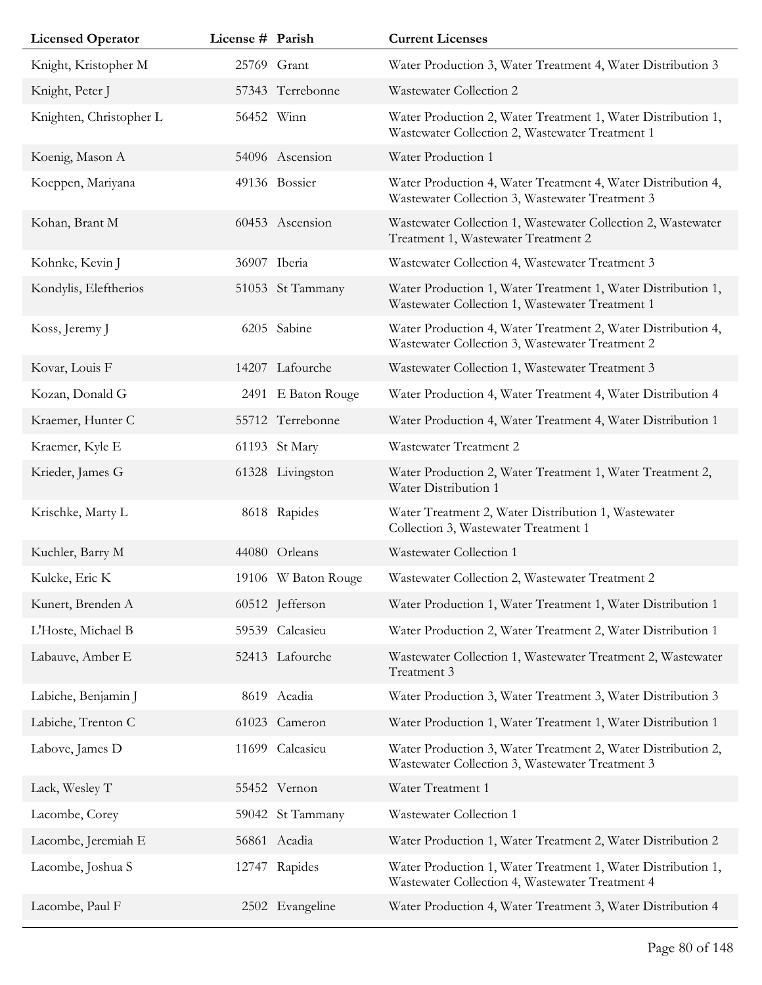| <b>Licensed Operator</b> | License # Parish |                     | <b>Current Licenses</b>                                                                                         |
|--------------------------|------------------|---------------------|-----------------------------------------------------------------------------------------------------------------|
| Knight, Kristopher M     |                  | 25769 Grant         | Water Production 3, Water Treatment 4, Water Distribution 3                                                     |
| Knight, Peter J          |                  | 57343 Terrebonne    | Wastewater Collection 2                                                                                         |
| Knighten, Christopher L  | 56452 Winn       |                     | Water Production 2, Water Treatment 1, Water Distribution 1,<br>Wastewater Collection 2, Wastewater Treatment 1 |
| Koenig, Mason A          |                  | 54096 Ascension     | Water Production 1                                                                                              |
| Koeppen, Mariyana        |                  | 49136 Bossier       | Water Production 4, Water Treatment 4, Water Distribution 4,<br>Wastewater Collection 3, Wastewater Treatment 3 |
| Kohan, Brant M           |                  | 60453 Ascension     | Wastewater Collection 1, Wastewater Collection 2, Wastewater<br>Treatment 1, Wastewater Treatment 2             |
| Kohnke, Kevin J          |                  | 36907 Iberia        | Wastewater Collection 4, Wastewater Treatment 3                                                                 |
| Kondylis, Eleftherios    |                  | 51053 St Tammany    | Water Production 1, Water Treatment 1, Water Distribution 1,<br>Wastewater Collection 1, Wastewater Treatment 1 |
| Koss, Jeremy J           |                  | 6205 Sabine         | Water Production 4, Water Treatment 2, Water Distribution 4,<br>Wastewater Collection 3, Wastewater Treatment 2 |
| Kovar, Louis F           |                  | 14207 Lafourche     | Wastewater Collection 1, Wastewater Treatment 3                                                                 |
| Kozan, Donald G          |                  | 2491 E Baton Rouge  | Water Production 4, Water Treatment 4, Water Distribution 4                                                     |
| Kraemer, Hunter C        |                  | 55712 Terrebonne    | Water Production 4, Water Treatment 4, Water Distribution 1                                                     |
| Kraemer, Kyle E          |                  | 61193 St Mary       | Wastewater Treatment 2                                                                                          |
| Krieder, James G         |                  | 61328 Livingston    | Water Production 2, Water Treatment 1, Water Treatment 2,<br>Water Distribution 1                               |
| Krischke, Marty L        |                  | 8618 Rapides        | Water Treatment 2, Water Distribution 1, Wastewater<br>Collection 3, Wastewater Treatment 1                     |
| Kuchler, Barry M         |                  | 44080 Orleans       | Wastewater Collection 1                                                                                         |
| Kulcke, Eric K           |                  | 19106 W Baton Rouge | Wastewater Collection 2, Wastewater Treatment 2                                                                 |
| Kunert, Brenden A        |                  | 60512 Jefferson     | Water Production 1, Water Treatment 1, Water Distribution 1                                                     |
| L'Hoste, Michael B       |                  | 59539 Calcasieu     | Water Production 2, Water Treatment 2, Water Distribution 1                                                     |
| Labauve, Amber E         |                  | 52413 Lafourche     | Wastewater Collection 1, Wastewater Treatment 2, Wastewater<br>Treatment 3                                      |
| Labiche, Benjamin J      |                  | 8619 Acadia         | Water Production 3, Water Treatment 3, Water Distribution 3                                                     |
| Labiche, Trenton C       |                  | 61023 Cameron       | Water Production 1, Water Treatment 1, Water Distribution 1                                                     |
| Labove, James D          | 11699            | Calcasieu           | Water Production 3, Water Treatment 2, Water Distribution 2,<br>Wastewater Collection 3, Wastewater Treatment 3 |
| Lack, Wesley T           |                  | 55452 Vernon        | Water Treatment 1                                                                                               |
| Lacombe, Corey           |                  | 59042 St Tammany    | Wastewater Collection 1                                                                                         |
| Lacombe, Jeremiah E      |                  | 56861 Acadia        | Water Production 1, Water Treatment 2, Water Distribution 2                                                     |
| Lacombe, Joshua S        |                  | 12747 Rapides       | Water Production 1, Water Treatment 1, Water Distribution 1,<br>Wastewater Collection 4, Wastewater Treatment 4 |
| Lacombe, Paul F          |                  | 2502 Evangeline     | Water Production 4, Water Treatment 3, Water Distribution 4                                                     |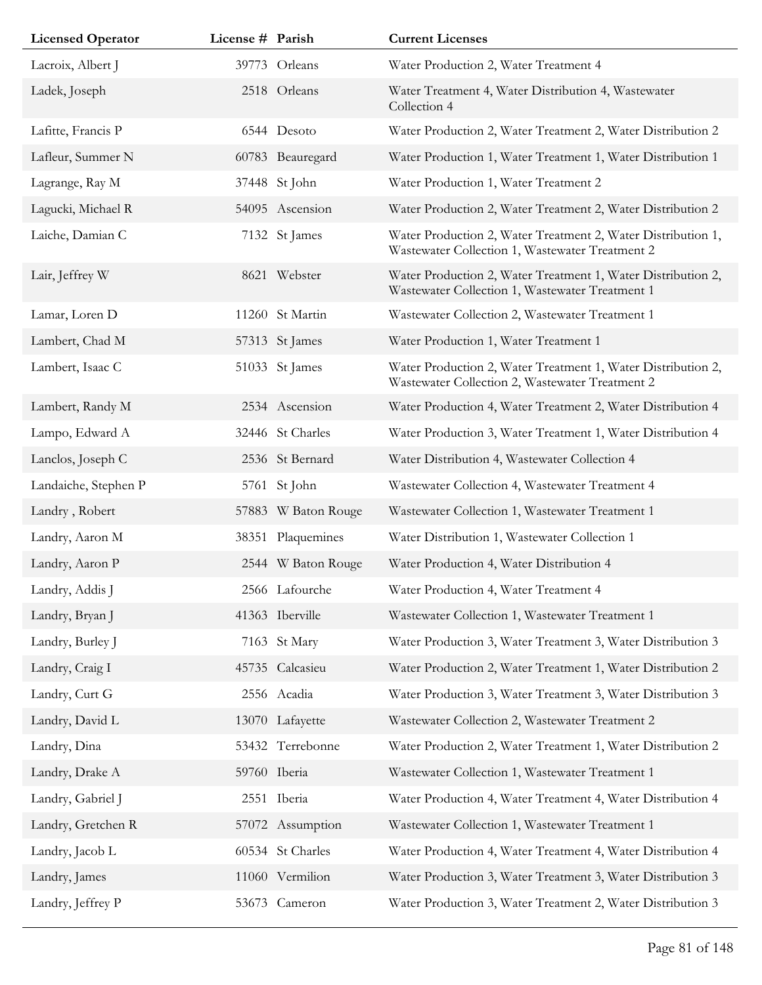| <b>Licensed Operator</b> | License # Parish |                     | <b>Current Licenses</b>                                                                                         |
|--------------------------|------------------|---------------------|-----------------------------------------------------------------------------------------------------------------|
| Lacroix, Albert J        |                  | 39773 Orleans       | Water Production 2, Water Treatment 4                                                                           |
| Ladek, Joseph            |                  | 2518 Orleans        | Water Treatment 4, Water Distribution 4, Wastewater<br>Collection 4                                             |
| Lafitte, Francis P       |                  | 6544 Desoto         | Water Production 2, Water Treatment 2, Water Distribution 2                                                     |
| Lafleur, Summer N        |                  | 60783 Beauregard    | Water Production 1, Water Treatment 1, Water Distribution 1                                                     |
| Lagrange, Ray M          |                  | 37448 St John       | Water Production 1, Water Treatment 2                                                                           |
| Lagucki, Michael R       |                  | 54095 Ascension     | Water Production 2, Water Treatment 2, Water Distribution 2                                                     |
| Laiche, Damian C         |                  | 7132 St James       | Water Production 2, Water Treatment 2, Water Distribution 1,<br>Wastewater Collection 1, Wastewater Treatment 2 |
| Lair, Jeffrey W          |                  | 8621 Webster        | Water Production 2, Water Treatment 1, Water Distribution 2,<br>Wastewater Collection 1, Wastewater Treatment 1 |
| Lamar, Loren D           |                  | 11260 St Martin     | Wastewater Collection 2, Wastewater Treatment 1                                                                 |
| Lambert, Chad M          |                  | 57313 St James      | Water Production 1, Water Treatment 1                                                                           |
| Lambert, Isaac C         |                  | 51033 St James      | Water Production 2, Water Treatment 1, Water Distribution 2,<br>Wastewater Collection 2, Wastewater Treatment 2 |
| Lambert, Randy M         |                  | 2534 Ascension      | Water Production 4, Water Treatment 2, Water Distribution 4                                                     |
| Lampo, Edward A          |                  | 32446 St Charles    | Water Production 3, Water Treatment 1, Water Distribution 4                                                     |
| Lanclos, Joseph C        |                  | 2536 St Bernard     | Water Distribution 4, Wastewater Collection 4                                                                   |
| Landaiche, Stephen P     |                  | 5761 St John        | Wastewater Collection 4, Wastewater Treatment 4                                                                 |
| Landry, Robert           |                  | 57883 W Baton Rouge | Wastewater Collection 1, Wastewater Treatment 1                                                                 |
| Landry, Aaron M          |                  | 38351 Plaquemines   | Water Distribution 1, Wastewater Collection 1                                                                   |
| Landry, Aaron P          |                  | 2544 W Baton Rouge  | Water Production 4, Water Distribution 4                                                                        |
| Landry, Addis J          |                  | 2566 Lafourche      | Water Production 4, Water Treatment 4                                                                           |
| Landry, Bryan J          |                  | 41363 Iberville     | Wastewater Collection 1, Wastewater Treatment 1                                                                 |
| Landry, Burley J         |                  | 7163 St Mary        | Water Production 3, Water Treatment 3, Water Distribution 3                                                     |
| Landry, Craig I          |                  | 45735 Calcasieu     | Water Production 2, Water Treatment 1, Water Distribution 2                                                     |
| Landry, Curt G           |                  | 2556 Acadia         | Water Production 3, Water Treatment 3, Water Distribution 3                                                     |
| Landry, David L          |                  | 13070 Lafayette     | Wastewater Collection 2, Wastewater Treatment 2                                                                 |
| Landry, Dina             |                  | 53432 Terrebonne    | Water Production 2, Water Treatment 1, Water Distribution 2                                                     |
| Landry, Drake A          |                  | 59760 Iberia        | Wastewater Collection 1, Wastewater Treatment 1                                                                 |
| Landry, Gabriel J        |                  | 2551 Iberia         | Water Production 4, Water Treatment 4, Water Distribution 4                                                     |
| Landry, Gretchen R       |                  | 57072 Assumption    | Wastewater Collection 1, Wastewater Treatment 1                                                                 |
| Landry, Jacob L          |                  | 60534 St Charles    | Water Production 4, Water Treatment 4, Water Distribution 4                                                     |
| Landry, James            |                  | 11060 Vermilion     | Water Production 3, Water Treatment 3, Water Distribution 3                                                     |
| Landry, Jeffrey P        |                  | 53673 Cameron       | Water Production 3, Water Treatment 2, Water Distribution 3                                                     |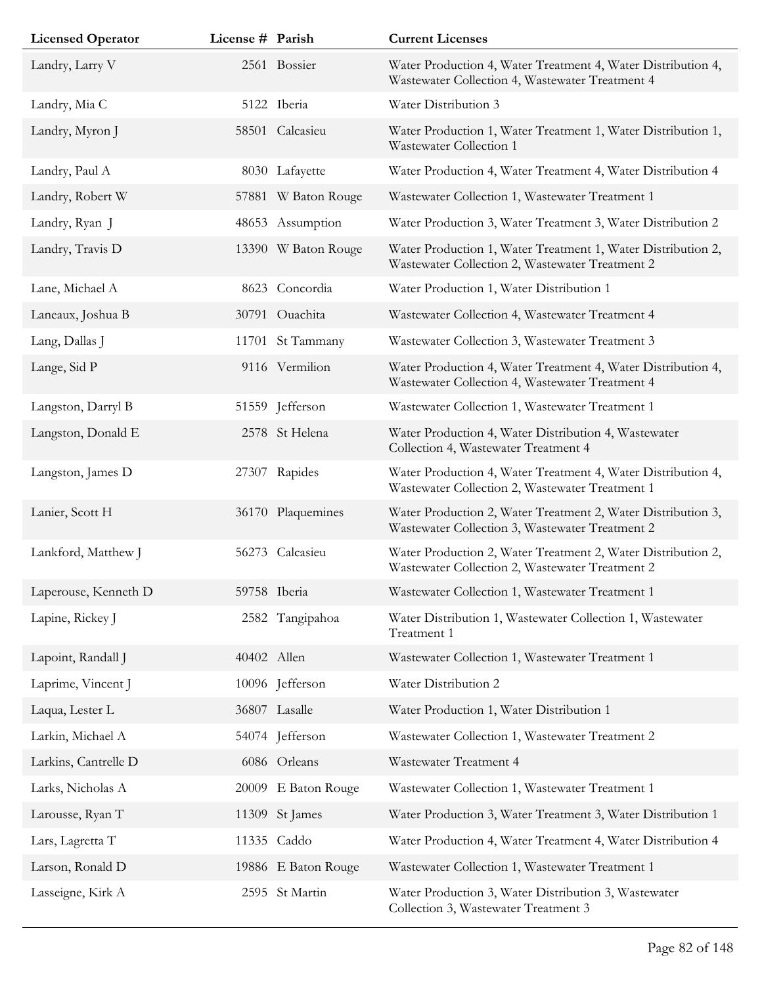| <b>Licensed Operator</b> | License # Parish |                     | <b>Current Licenses</b>                                                                                         |
|--------------------------|------------------|---------------------|-----------------------------------------------------------------------------------------------------------------|
| Landry, Larry V          |                  | 2561 Bossier        | Water Production 4, Water Treatment 4, Water Distribution 4,<br>Wastewater Collection 4, Wastewater Treatment 4 |
| Landry, Mia C            |                  | 5122 Iberia         | Water Distribution 3                                                                                            |
| Landry, Myron J          |                  | 58501 Calcasieu     | Water Production 1, Water Treatment 1, Water Distribution 1,<br>Wastewater Collection 1                         |
| Landry, Paul A           |                  | 8030 Lafayette      | Water Production 4, Water Treatment 4, Water Distribution 4                                                     |
| Landry, Robert W         |                  | 57881 W Baton Rouge | Wastewater Collection 1, Wastewater Treatment 1                                                                 |
| Landry, Ryan J           |                  | 48653 Assumption    | Water Production 3, Water Treatment 3, Water Distribution 2                                                     |
| Landry, Travis D         |                  | 13390 W Baton Rouge | Water Production 1, Water Treatment 1, Water Distribution 2,<br>Wastewater Collection 2, Wastewater Treatment 2 |
| Lane, Michael A          |                  | 8623 Concordia      | Water Production 1, Water Distribution 1                                                                        |
| Laneaux, Joshua B        |                  | 30791 Ouachita      | Wastewater Collection 4, Wastewater Treatment 4                                                                 |
| Lang, Dallas J           |                  | 11701 St Tammany    | Wastewater Collection 3, Wastewater Treatment 3                                                                 |
| Lange, Sid P             |                  | 9116 Vermilion      | Water Production 4, Water Treatment 4, Water Distribution 4,<br>Wastewater Collection 4, Wastewater Treatment 4 |
| Langston, Darryl B       |                  | 51559 Jefferson     | Wastewater Collection 1, Wastewater Treatment 1                                                                 |
| Langston, Donald E       |                  | 2578 St Helena      | Water Production 4, Water Distribution 4, Wastewater<br>Collection 4, Wastewater Treatment 4                    |
| Langston, James D        |                  | 27307 Rapides       | Water Production 4, Water Treatment 4, Water Distribution 4,<br>Wastewater Collection 2, Wastewater Treatment 1 |
| Lanier, Scott H          |                  | 36170 Plaquemines   | Water Production 2, Water Treatment 2, Water Distribution 3,<br>Wastewater Collection 3, Wastewater Treatment 2 |
| Lankford, Matthew J      |                  | 56273 Calcasieu     | Water Production 2, Water Treatment 2, Water Distribution 2,<br>Wastewater Collection 2, Wastewater Treatment 2 |
| Laperouse, Kenneth D     |                  | 59758 Iberia        | Wastewater Collection 1, Wastewater Treatment 1                                                                 |
| Lapine, Rickey J         |                  | 2582 Tangipahoa     | Water Distribution 1, Wastewater Collection 1, Wastewater<br>Treatment 1                                        |
| Lapoint, Randall J       |                  | 40402 Allen         | Wastewater Collection 1, Wastewater Treatment 1                                                                 |
| Laprime, Vincent J       |                  | 10096 Jefferson     | Water Distribution 2                                                                                            |
| Laqua, Lester L          |                  | 36807 Lasalle       | Water Production 1, Water Distribution 1                                                                        |
| Larkin, Michael A        |                  | 54074 Jefferson     | Wastewater Collection 1, Wastewater Treatment 2                                                                 |
| Larkins, Cantrelle D     |                  | 6086 Orleans        | Wastewater Treatment 4                                                                                          |
| Larks, Nicholas A        |                  | 20009 E Baton Rouge | Wastewater Collection 1, Wastewater Treatment 1                                                                 |
| Larousse, Ryan T         | 11309            | St James            | Water Production 3, Water Treatment 3, Water Distribution 1                                                     |
| Lars, Lagretta T         |                  | 11335 Caddo         | Water Production 4, Water Treatment 4, Water Distribution 4                                                     |
| Larson, Ronald D         |                  | 19886 E Baton Rouge | Wastewater Collection 1, Wastewater Treatment 1                                                                 |
| Lasseigne, Kirk A        |                  | 2595 St Martin      | Water Production 3, Water Distribution 3, Wastewater<br>Collection 3, Wastewater Treatment 3                    |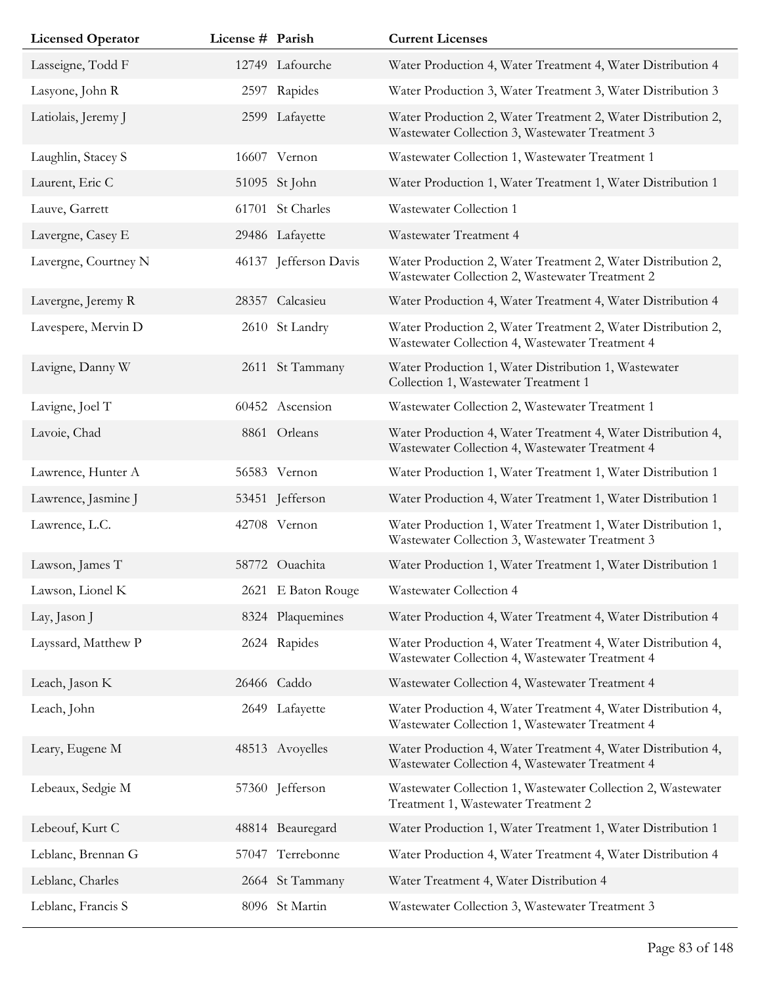| <b>Licensed Operator</b> | License # Parish |                       | <b>Current Licenses</b>                                                                                         |
|--------------------------|------------------|-----------------------|-----------------------------------------------------------------------------------------------------------------|
| Lasseigne, Todd F        |                  | 12749 Lafourche       | Water Production 4, Water Treatment 4, Water Distribution 4                                                     |
| Lasyone, John R          |                  | 2597 Rapides          | Water Production 3, Water Treatment 3, Water Distribution 3                                                     |
| Latiolais, Jeremy J      |                  | 2599 Lafayette        | Water Production 2, Water Treatment 2, Water Distribution 2,<br>Wastewater Collection 3, Wastewater Treatment 3 |
| Laughlin, Stacey S       |                  | 16607 Vernon          | Wastewater Collection 1, Wastewater Treatment 1                                                                 |
| Laurent, Eric C          |                  | 51095 St John         | Water Production 1, Water Treatment 1, Water Distribution 1                                                     |
| Lauve, Garrett           |                  | 61701 St Charles      | Wastewater Collection 1                                                                                         |
| Lavergne, Casey E        |                  | 29486 Lafayette       | Wastewater Treatment 4                                                                                          |
| Lavergne, Courtney N     |                  | 46137 Jefferson Davis | Water Production 2, Water Treatment 2, Water Distribution 2,<br>Wastewater Collection 2, Wastewater Treatment 2 |
| Lavergne, Jeremy R       |                  | 28357 Calcasieu       | Water Production 4, Water Treatment 4, Water Distribution 4                                                     |
| Lavespere, Mervin D      |                  | 2610 St Landry        | Water Production 2, Water Treatment 2, Water Distribution 2,<br>Wastewater Collection 4, Wastewater Treatment 4 |
| Lavigne, Danny W         |                  | 2611 St Tammany       | Water Production 1, Water Distribution 1, Wastewater<br>Collection 1, Wastewater Treatment 1                    |
| Lavigne, Joel T          |                  | 60452 Ascension       | Wastewater Collection 2, Wastewater Treatment 1                                                                 |
| Lavoie, Chad             |                  | 8861 Orleans          | Water Production 4, Water Treatment 4, Water Distribution 4,<br>Wastewater Collection 4, Wastewater Treatment 4 |
| Lawrence, Hunter A       |                  | 56583 Vernon          | Water Production 1, Water Treatment 1, Water Distribution 1                                                     |
| Lawrence, Jasmine J      |                  | 53451 Jefferson       | Water Production 4, Water Treatment 1, Water Distribution 1                                                     |
| Lawrence, L.C.           |                  | 42708 Vernon          | Water Production 1, Water Treatment 1, Water Distribution 1,<br>Wastewater Collection 3, Wastewater Treatment 3 |
| Lawson, James T          |                  | 58772 Ouachita        | Water Production 1, Water Treatment 1, Water Distribution 1                                                     |
| Lawson, Lionel K         |                  | 2621 E Baton Rouge    | Wastewater Collection 4                                                                                         |
| Lay, Jason J             |                  | 8324 Plaquemines      | Water Production 4, Water Treatment 4, Water Distribution 4                                                     |
| Layssard, Matthew P      |                  | 2624 Rapides          | Water Production 4, Water Treatment 4, Water Distribution 4,<br>Wastewater Collection 4, Wastewater Treatment 4 |
| Leach, Jason K           |                  | 26466 Caddo           | Wastewater Collection 4, Wastewater Treatment 4                                                                 |
| Leach, John              |                  | 2649 Lafayette        | Water Production 4, Water Treatment 4, Water Distribution 4,<br>Wastewater Collection 1, Wastewater Treatment 4 |
| Leary, Eugene M          |                  | 48513 Avoyelles       | Water Production 4, Water Treatment 4, Water Distribution 4,<br>Wastewater Collection 4, Wastewater Treatment 4 |
| Lebeaux, Sedgie M        |                  | 57360 Jefferson       | Wastewater Collection 1, Wastewater Collection 2, Wastewater<br>Treatment 1, Wastewater Treatment 2             |
| Lebeouf, Kurt C          |                  | 48814 Beauregard      | Water Production 1, Water Treatment 1, Water Distribution 1                                                     |
| Leblanc, Brennan G       | 57047            | Terrebonne            | Water Production 4, Water Treatment 4, Water Distribution 4                                                     |
| Leblanc, Charles         |                  | 2664 St Tammany       | Water Treatment 4, Water Distribution 4                                                                         |
| Leblanc, Francis S       |                  | 8096 St Martin        | Wastewater Collection 3, Wastewater Treatment 3                                                                 |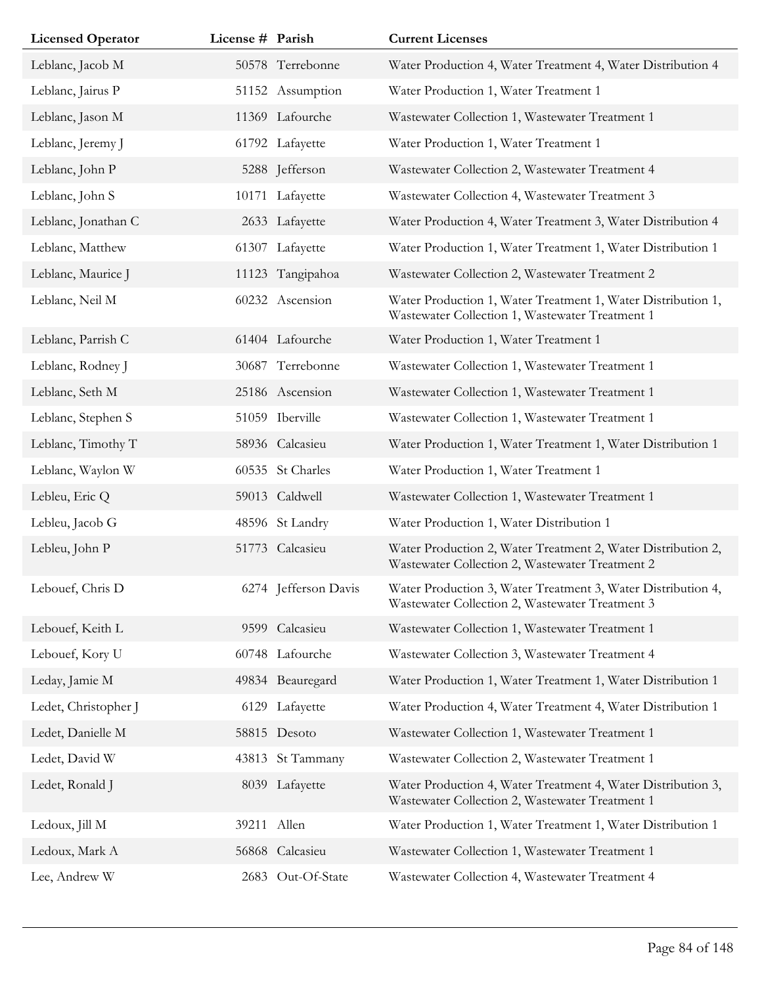| <b>Licensed Operator</b> | License # Parish |                      | <b>Current Licenses</b>                                                                                         |
|--------------------------|------------------|----------------------|-----------------------------------------------------------------------------------------------------------------|
| Leblanc, Jacob M         |                  | 50578 Terrebonne     | Water Production 4, Water Treatment 4, Water Distribution 4                                                     |
| Leblanc, Jairus P        |                  | 51152 Assumption     | Water Production 1, Water Treatment 1                                                                           |
| Leblanc, Jason M         |                  | 11369 Lafourche      | Wastewater Collection 1, Wastewater Treatment 1                                                                 |
| Leblanc, Jeremy J        |                  | 61792 Lafayette      | Water Production 1, Water Treatment 1                                                                           |
| Leblanc, John P          |                  | 5288 Jefferson       | Wastewater Collection 2, Wastewater Treatment 4                                                                 |
| Leblanc, John S          |                  | 10171 Lafayette      | Wastewater Collection 4, Wastewater Treatment 3                                                                 |
| Leblanc, Jonathan C      |                  | 2633 Lafayette       | Water Production 4, Water Treatment 3, Water Distribution 4                                                     |
| Leblanc, Matthew         |                  | 61307 Lafayette      | Water Production 1, Water Treatment 1, Water Distribution 1                                                     |
| Leblanc, Maurice J       |                  | 11123 Tangipahoa     | Wastewater Collection 2, Wastewater Treatment 2                                                                 |
| Leblanc, Neil M          |                  | 60232 Ascension      | Water Production 1, Water Treatment 1, Water Distribution 1,<br>Wastewater Collection 1, Wastewater Treatment 1 |
| Leblanc, Parrish C       |                  | 61404 Lafourche      | Water Production 1, Water Treatment 1                                                                           |
| Leblanc, Rodney J        |                  | 30687 Terrebonne     | Wastewater Collection 1, Wastewater Treatment 1                                                                 |
| Leblanc, Seth M          |                  | 25186 Ascension      | Wastewater Collection 1, Wastewater Treatment 1                                                                 |
| Leblanc, Stephen S       |                  | 51059 Iberville      | Wastewater Collection 1, Wastewater Treatment 1                                                                 |
| Leblanc, Timothy T       |                  | 58936 Calcasieu      | Water Production 1, Water Treatment 1, Water Distribution 1                                                     |
| Leblanc, Waylon W        |                  | 60535 St Charles     | Water Production 1, Water Treatment 1                                                                           |
| Lebleu, Eric Q           |                  | 59013 Caldwell       | Wastewater Collection 1, Wastewater Treatment 1                                                                 |
| Lebleu, Jacob G          |                  | 48596 St Landry      | Water Production 1, Water Distribution 1                                                                        |
| Lebleu, John P           |                  | 51773 Calcasieu      | Water Production 2, Water Treatment 2, Water Distribution 2,<br>Wastewater Collection 2, Wastewater Treatment 2 |
| Lebouef, Chris D         |                  | 6274 Jefferson Davis | Water Production 3, Water Treatment 3, Water Distribution 4,<br>Wastewater Collection 2, Wastewater Treatment 3 |
| Lebouef, Keith L         |                  | 9599 Calcasieu       | Wastewater Collection 1, Wastewater Treatment 1                                                                 |
| Lebouef, Kory U          |                  | 60748 Lafourche      | Wastewater Collection 3, Wastewater Treatment 4                                                                 |
| Leday, Jamie M           |                  | 49834 Beauregard     | Water Production 1, Water Treatment 1, Water Distribution 1                                                     |
| Ledet, Christopher J     |                  | 6129 Lafayette       | Water Production 4, Water Treatment 4, Water Distribution 1                                                     |
| Ledet, Danielle M        |                  | 58815 Desoto         | Wastewater Collection 1, Wastewater Treatment 1                                                                 |
| Ledet, David W           |                  | 43813 St Tammany     | Wastewater Collection 2, Wastewater Treatment 1                                                                 |
| Ledet, Ronald J          |                  | 8039 Lafayette       | Water Production 4, Water Treatment 4, Water Distribution 3,<br>Wastewater Collection 2, Wastewater Treatment 1 |
| Ledoux, Jill M           | 39211 Allen      |                      | Water Production 1, Water Treatment 1, Water Distribution 1                                                     |
| Ledoux, Mark A           |                  | 56868 Calcasieu      | Wastewater Collection 1, Wastewater Treatment 1                                                                 |
| Lee, Andrew W            |                  | 2683 Out-Of-State    | Wastewater Collection 4, Wastewater Treatment 4                                                                 |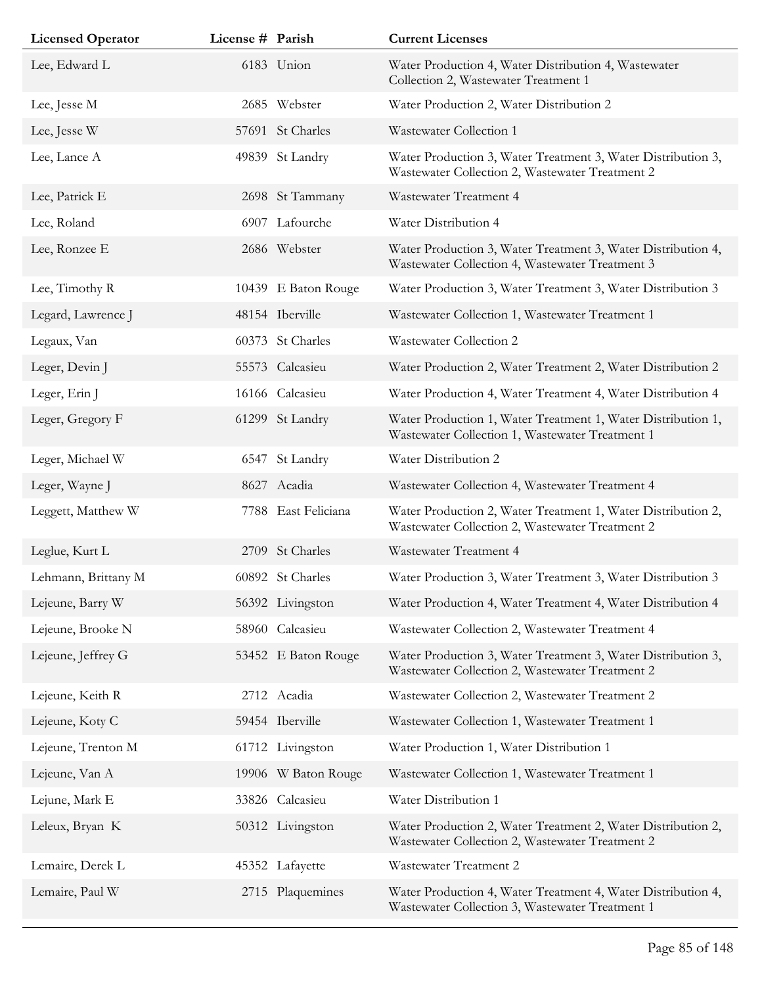| <b>Licensed Operator</b> | License # Parish |                     | <b>Current Licenses</b>                                                                                         |
|--------------------------|------------------|---------------------|-----------------------------------------------------------------------------------------------------------------|
| Lee, Edward L            |                  | 6183 Union          | Water Production 4, Water Distribution 4, Wastewater<br>Collection 2, Wastewater Treatment 1                    |
| Lee, Jesse M             |                  | 2685 Webster        | Water Production 2, Water Distribution 2                                                                        |
| Lee, Jesse W             |                  | 57691 St Charles    | Wastewater Collection 1                                                                                         |
| Lee, Lance A             |                  | 49839 St Landry     | Water Production 3, Water Treatment 3, Water Distribution 3,<br>Wastewater Collection 2, Wastewater Treatment 2 |
| Lee, Patrick E           |                  | 2698 St Tammany     | Wastewater Treatment 4                                                                                          |
| Lee, Roland              |                  | 6907 Lafourche      | Water Distribution 4                                                                                            |
| Lee, Ronzee E            |                  | 2686 Webster        | Water Production 3, Water Treatment 3, Water Distribution 4,<br>Wastewater Collection 4, Wastewater Treatment 3 |
| Lee, Timothy R           |                  | 10439 E Baton Rouge | Water Production 3, Water Treatment 3, Water Distribution 3                                                     |
| Legard, Lawrence J       |                  | 48154 Iberville     | Wastewater Collection 1, Wastewater Treatment 1                                                                 |
| Legaux, Van              |                  | 60373 St Charles    | Wastewater Collection 2                                                                                         |
| Leger, Devin J           |                  | 55573 Calcasieu     | Water Production 2, Water Treatment 2, Water Distribution 2                                                     |
| Leger, Erin J            |                  | 16166 Calcasieu     | Water Production 4, Water Treatment 4, Water Distribution 4                                                     |
| Leger, Gregory F         |                  | 61299 St Landry     | Water Production 1, Water Treatment 1, Water Distribution 1,<br>Wastewater Collection 1, Wastewater Treatment 1 |
| Leger, Michael W         |                  | 6547 St Landry      | Water Distribution 2                                                                                            |
| Leger, Wayne J           |                  | 8627 Acadia         | Wastewater Collection 4, Wastewater Treatment 4                                                                 |
| Leggett, Matthew W       |                  | 7788 East Feliciana | Water Production 2, Water Treatment 1, Water Distribution 2,<br>Wastewater Collection 2, Wastewater Treatment 2 |
| Leglue, Kurt L           |                  | 2709 St Charles     | Wastewater Treatment 4                                                                                          |
| Lehmann, Brittany M      |                  | 60892 St Charles    | Water Production 3, Water Treatment 3, Water Distribution 3                                                     |
| Lejeune, Barry W         |                  | 56392 Livingston    | Water Production 4, Water Treatment 4, Water Distribution 4                                                     |
| Lejeune, Brooke N        |                  | 58960 Calcasieu     | Wastewater Collection 2, Wastewater Treatment 4                                                                 |
| Lejeune, Jeffrey G       |                  | 53452 E Baton Rouge | Water Production 3, Water Treatment 3, Water Distribution 3,<br>Wastewater Collection 2, Wastewater Treatment 2 |
| Lejeune, Keith R         |                  | 2712 Acadia         | Wastewater Collection 2, Wastewater Treatment 2                                                                 |
| Lejeune, Koty C          |                  | 59454 Iberville     | Wastewater Collection 1, Wastewater Treatment 1                                                                 |
| Lejeune, Trenton M       |                  | 61712 Livingston    | Water Production 1, Water Distribution 1                                                                        |
| Lejeune, Van A           |                  | 19906 W Baton Rouge | Wastewater Collection 1, Wastewater Treatment 1                                                                 |
| Lejune, Mark E           |                  | 33826 Calcasieu     | Water Distribution 1                                                                                            |
| Leleux, Bryan K          |                  | 50312 Livingston    | Water Production 2, Water Treatment 2, Water Distribution 2,<br>Wastewater Collection 2, Wastewater Treatment 2 |
| Lemaire, Derek L         |                  | 45352 Lafayette     | Wastewater Treatment 2                                                                                          |
| Lemaire, Paul W          |                  | 2715 Plaquemines    | Water Production 4, Water Treatment 4, Water Distribution 4,<br>Wastewater Collection 3, Wastewater Treatment 1 |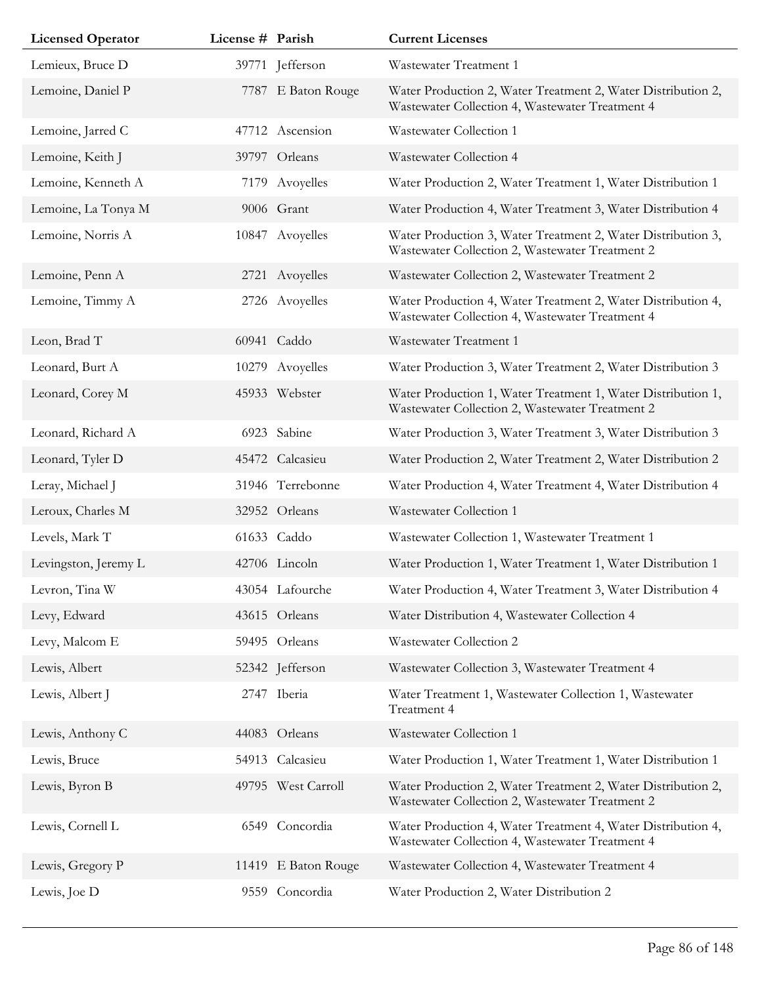| <b>Licensed Operator</b> | License # Parish |                     | <b>Current Licenses</b>                                                                                         |
|--------------------------|------------------|---------------------|-----------------------------------------------------------------------------------------------------------------|
| Lemieux, Bruce D         |                  | 39771 Jefferson     | Wastewater Treatment 1                                                                                          |
| Lemoine, Daniel P        |                  | 7787 E Baton Rouge  | Water Production 2, Water Treatment 2, Water Distribution 2,<br>Wastewater Collection 4, Wastewater Treatment 4 |
| Lemoine, Jarred C        |                  | 47712 Ascension     | Wastewater Collection 1                                                                                         |
| Lemoine, Keith J         |                  | 39797 Orleans       | Wastewater Collection 4                                                                                         |
| Lemoine, Kenneth A       |                  | 7179 Avoyelles      | Water Production 2, Water Treatment 1, Water Distribution 1                                                     |
| Lemoine, La Tonya M      |                  | 9006 Grant          | Water Production 4, Water Treatment 3, Water Distribution 4                                                     |
| Lemoine, Norris A        |                  | 10847 Avoyelles     | Water Production 3, Water Treatment 2, Water Distribution 3,<br>Wastewater Collection 2, Wastewater Treatment 2 |
| Lemoine, Penn A          |                  | 2721 Avoyelles      | Wastewater Collection 2, Wastewater Treatment 2                                                                 |
| Lemoine, Timmy A         |                  | 2726 Avoyelles      | Water Production 4, Water Treatment 2, Water Distribution 4,<br>Wastewater Collection 4, Wastewater Treatment 4 |
| Leon, Brad T             |                  | 60941 Caddo         | Wastewater Treatment 1                                                                                          |
| Leonard, Burt A          |                  | 10279 Avoyelles     | Water Production 3, Water Treatment 2, Water Distribution 3                                                     |
| Leonard, Corey M         |                  | 45933 Webster       | Water Production 1, Water Treatment 1, Water Distribution 1,<br>Wastewater Collection 2, Wastewater Treatment 2 |
| Leonard, Richard A       |                  | 6923 Sabine         | Water Production 3, Water Treatment 3, Water Distribution 3                                                     |
| Leonard, Tyler D         |                  | 45472 Calcasieu     | Water Production 2, Water Treatment 2, Water Distribution 2                                                     |
| Leray, Michael J         |                  | 31946 Terrebonne    | Water Production 4, Water Treatment 4, Water Distribution 4                                                     |
| Leroux, Charles M        |                  | 32952 Orleans       | Wastewater Collection 1                                                                                         |
| Levels, Mark T           |                  | 61633 Caddo         | Wastewater Collection 1, Wastewater Treatment 1                                                                 |
| Levingston, Jeremy L     |                  | 42706 Lincoln       | Water Production 1, Water Treatment 1, Water Distribution 1                                                     |
| Levron, Tina W           |                  | 43054 Lafourche     | Water Production 4, Water Treatment 3, Water Distribution 4                                                     |
| Levy, Edward             |                  | 43615 Orleans       | Water Distribution 4, Wastewater Collection 4                                                                   |
| Levy, Malcom E           |                  | 59495 Orleans       | Wastewater Collection 2                                                                                         |
| Lewis, Albert            |                  | 52342 Jefferson     | Wastewater Collection 3, Wastewater Treatment 4                                                                 |
| Lewis, Albert J          |                  | 2747 Iberia         | Water Treatment 1, Wastewater Collection 1, Wastewater<br>Treatment 4                                           |
| Lewis, Anthony C         |                  | 44083 Orleans       | Wastewater Collection 1                                                                                         |
| Lewis, Bruce             |                  | 54913 Calcasieu     | Water Production 1, Water Treatment 1, Water Distribution 1                                                     |
| Lewis, Byron B           |                  | 49795 West Carroll  | Water Production 2, Water Treatment 2, Water Distribution 2,<br>Wastewater Collection 2, Wastewater Treatment 2 |
| Lewis, Cornell L         |                  | 6549 Concordia      | Water Production 4, Water Treatment 4, Water Distribution 4,<br>Wastewater Collection 4, Wastewater Treatment 4 |
| Lewis, Gregory P         |                  | 11419 E Baton Rouge | Wastewater Collection 4, Wastewater Treatment 4                                                                 |
| Lewis, Joe D             |                  | 9559 Concordia      | Water Production 2, Water Distribution 2                                                                        |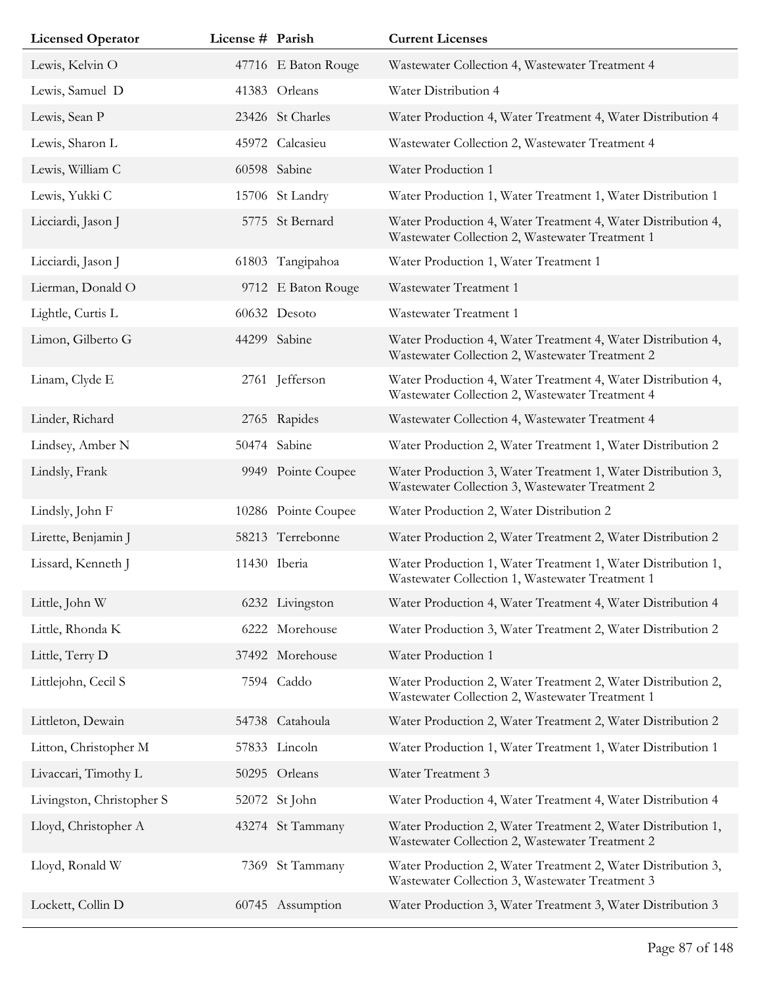| <b>Licensed Operator</b>  | License # Parish |                     | <b>Current Licenses</b>                                                                                         |
|---------------------------|------------------|---------------------|-----------------------------------------------------------------------------------------------------------------|
| Lewis, Kelvin O           |                  | 47716 E Baton Rouge | Wastewater Collection 4, Wastewater Treatment 4                                                                 |
| Lewis, Samuel D           |                  | 41383 Orleans       | Water Distribution 4                                                                                            |
| Lewis, Sean P             |                  | 23426 St Charles    | Water Production 4, Water Treatment 4, Water Distribution 4                                                     |
| Lewis, Sharon L           |                  | 45972 Calcasieu     | Wastewater Collection 2, Wastewater Treatment 4                                                                 |
| Lewis, William C          |                  | 60598 Sabine        | Water Production 1                                                                                              |
| Lewis, Yukki C            |                  | 15706 St Landry     | Water Production 1, Water Treatment 1, Water Distribution 1                                                     |
| Licciardi, Jason J        |                  | 5775 St Bernard     | Water Production 4, Water Treatment 4, Water Distribution 4,<br>Wastewater Collection 2, Wastewater Treatment 1 |
| Licciardi, Jason J        |                  | 61803 Tangipahoa    | Water Production 1, Water Treatment 1                                                                           |
| Lierman, Donald O         |                  | 9712 E Baton Rouge  | Wastewater Treatment 1                                                                                          |
| Lightle, Curtis L         |                  | 60632 Desoto        | Wastewater Treatment 1                                                                                          |
| Limon, Gilberto G         |                  | 44299 Sabine        | Water Production 4, Water Treatment 4, Water Distribution 4,<br>Wastewater Collection 2, Wastewater Treatment 2 |
| Linam, Clyde E            |                  | 2761 Jefferson      | Water Production 4, Water Treatment 4, Water Distribution 4,<br>Wastewater Collection 2, Wastewater Treatment 4 |
| Linder, Richard           |                  | 2765 Rapides        | Wastewater Collection 4, Wastewater Treatment 4                                                                 |
| Lindsey, Amber N          |                  | 50474 Sabine        | Water Production 2, Water Treatment 1, Water Distribution 2                                                     |
| Lindsly, Frank            |                  | 9949 Pointe Coupee  | Water Production 3, Water Treatment 1, Water Distribution 3,<br>Wastewater Collection 3, Wastewater Treatment 2 |
| Lindsly, John F           |                  | 10286 Pointe Coupee | Water Production 2, Water Distribution 2                                                                        |
| Lirette, Benjamin J       |                  | 58213 Terrebonne    | Water Production 2, Water Treatment 2, Water Distribution 2                                                     |
| Lissard, Kenneth J        |                  | 11430 Iberia        | Water Production 1, Water Treatment 1, Water Distribution 1,<br>Wastewater Collection 1, Wastewater Treatment 1 |
| Little, John W            |                  | 6232 Livingston     | Water Production 4, Water Treatment 4, Water Distribution 4                                                     |
| Little, Rhonda K          | 6222             | Morehouse           | Water Production 3, Water Treatment 2, Water Distribution 2                                                     |
| Little, Terry D           |                  | 37492 Morehouse     | Water Production 1                                                                                              |
| Littlejohn, Cecil S       |                  | 7594 Caddo          | Water Production 2, Water Treatment 2, Water Distribution 2,<br>Wastewater Collection 2, Wastewater Treatment 1 |
| Littleton, Dewain         |                  | 54738 Catahoula     | Water Production 2, Water Treatment 2, Water Distribution 2                                                     |
| Litton, Christopher M     |                  | 57833 Lincoln       | Water Production 1, Water Treatment 1, Water Distribution 1                                                     |
| Livaccari, Timothy L      |                  | 50295 Orleans       | Water Treatment 3                                                                                               |
| Livingston, Christopher S |                  | 52072 St John       | Water Production 4, Water Treatment 4, Water Distribution 4                                                     |
| Lloyd, Christopher A      |                  | 43274 St Tammany    | Water Production 2, Water Treatment 2, Water Distribution 1,<br>Wastewater Collection 2, Wastewater Treatment 2 |
| Lloyd, Ronald W           |                  | 7369 St Tammany     | Water Production 2, Water Treatment 2, Water Distribution 3,<br>Wastewater Collection 3, Wastewater Treatment 3 |
| Lockett, Collin D         |                  | 60745 Assumption    | Water Production 3, Water Treatment 3, Water Distribution 3                                                     |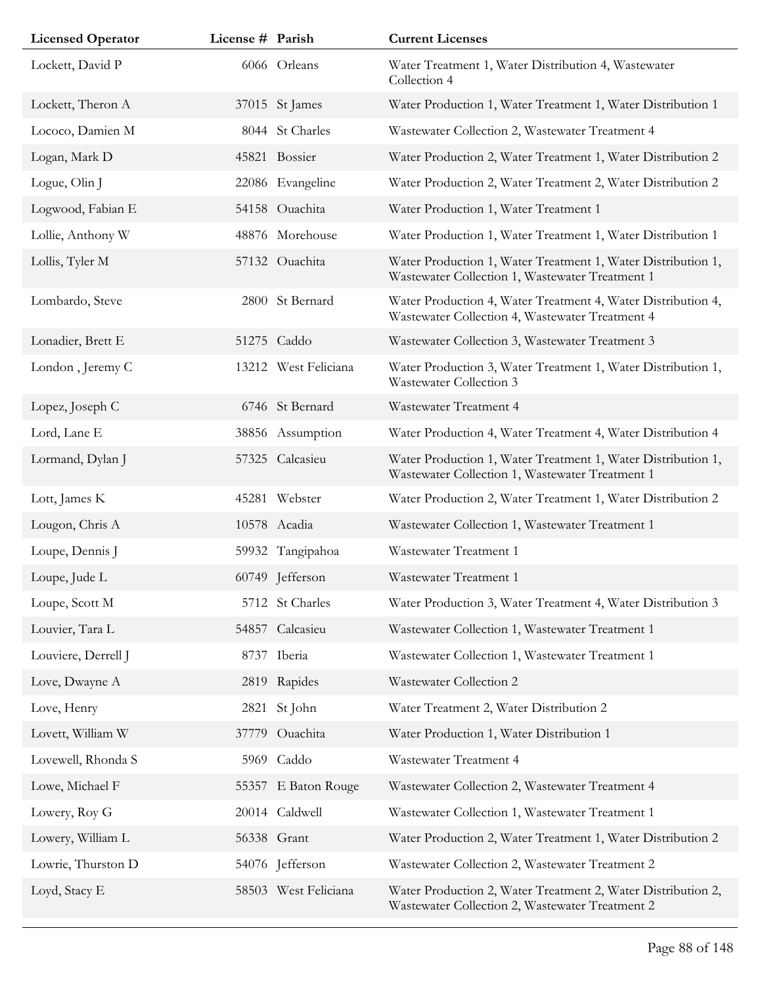| <b>Licensed Operator</b> | License # Parish |                      | <b>Current Licenses</b>                                                                                         |
|--------------------------|------------------|----------------------|-----------------------------------------------------------------------------------------------------------------|
| Lockett, David P         |                  | 6066 Orleans         | Water Treatment 1, Water Distribution 4, Wastewater<br>Collection 4                                             |
| Lockett, Theron A        |                  | 37015 St James       | Water Production 1, Water Treatment 1, Water Distribution 1                                                     |
| Lococo, Damien M         |                  | 8044 St Charles      | Wastewater Collection 2, Wastewater Treatment 4                                                                 |
| Logan, Mark D            |                  | 45821 Bossier        | Water Production 2, Water Treatment 1, Water Distribution 2                                                     |
| Logue, Olin J            |                  | 22086 Evangeline     | Water Production 2, Water Treatment 2, Water Distribution 2                                                     |
| Logwood, Fabian E        |                  | 54158 Ouachita       | Water Production 1, Water Treatment 1                                                                           |
| Lollie, Anthony W        |                  | 48876 Morehouse      | Water Production 1, Water Treatment 1, Water Distribution 1                                                     |
| Lollis, Tyler M          |                  | 57132 Ouachita       | Water Production 1, Water Treatment 1, Water Distribution 1,<br>Wastewater Collection 1, Wastewater Treatment 1 |
| Lombardo, Steve          |                  | 2800 St Bernard      | Water Production 4, Water Treatment 4, Water Distribution 4,<br>Wastewater Collection 4, Wastewater Treatment 4 |
| Lonadier, Brett E        |                  | 51275 Caddo          | Wastewater Collection 3, Wastewater Treatment 3                                                                 |
| London, Jeremy C         |                  | 13212 West Feliciana | Water Production 3, Water Treatment 1, Water Distribution 1,<br>Wastewater Collection 3                         |
| Lopez, Joseph C          |                  | 6746 St Bernard      | Wastewater Treatment 4                                                                                          |
| Lord, Lane E             |                  | 38856 Assumption     | Water Production 4, Water Treatment 4, Water Distribution 4                                                     |
| Lormand, Dylan J         |                  | 57325 Calcasieu      | Water Production 1, Water Treatment 1, Water Distribution 1,<br>Wastewater Collection 1, Wastewater Treatment 1 |
| Lott, James K            |                  | 45281 Webster        | Water Production 2, Water Treatment 1, Water Distribution 2                                                     |
| Lougon, Chris A          |                  | 10578 Acadia         | Wastewater Collection 1, Wastewater Treatment 1                                                                 |
| Loupe, Dennis J          |                  | 59932 Tangipahoa     | Wastewater Treatment 1                                                                                          |
| Loupe, Jude L            |                  | 60749 Jefferson      | Wastewater Treatment 1                                                                                          |
| Loupe, Scott M           |                  | 5712 St Charles      | Water Production 3, Water Treatment 4, Water Distribution 3                                                     |
| Louvier, Tara L          |                  | 54857 Calcasieu      | Wastewater Collection 1, Wastewater Treatment 1                                                                 |
| Louviere, Derrell J      |                  | 8737 Iberia          | Wastewater Collection 1, Wastewater Treatment 1                                                                 |
| Love, Dwayne A           |                  | 2819 Rapides         | Wastewater Collection 2                                                                                         |
| Love, Henry              |                  | 2821 St John         | Water Treatment 2, Water Distribution 2                                                                         |
| Lovett, William W        |                  | 37779 Ouachita       | Water Production 1, Water Distribution 1                                                                        |
| Lovewell, Rhonda S       |                  | 5969 Caddo           | Wastewater Treatment 4                                                                                          |
| Lowe, Michael F          |                  | 55357 E Baton Rouge  | Wastewater Collection 2, Wastewater Treatment 4                                                                 |
| Lowery, Roy G            |                  | 20014 Caldwell       | Wastewater Collection 1, Wastewater Treatment 1                                                                 |
| Lowery, William L        |                  | 56338 Grant          | Water Production 2, Water Treatment 1, Water Distribution 2                                                     |
| Lowrie, Thurston D       |                  | 54076 Jefferson      | Wastewater Collection 2, Wastewater Treatment 2                                                                 |
| Loyd, Stacy E            |                  | 58503 West Feliciana | Water Production 2, Water Treatment 2, Water Distribution 2,<br>Wastewater Collection 2, Wastewater Treatment 2 |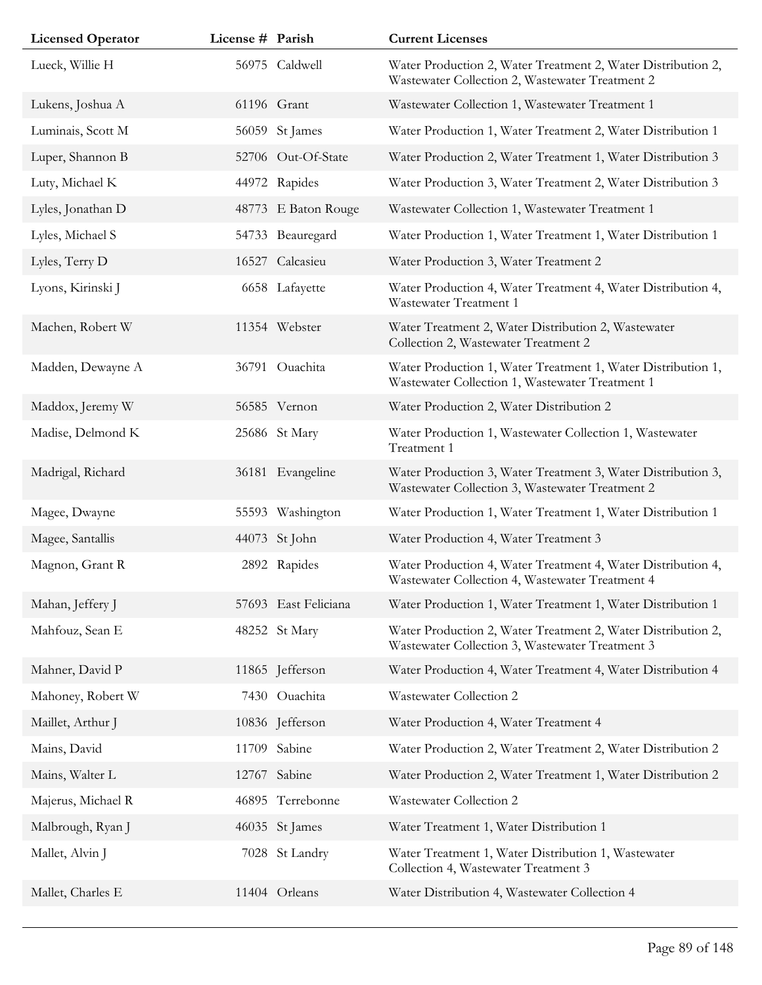| <b>Licensed Operator</b> | License # Parish |                      | <b>Current Licenses</b>                                                                                         |
|--------------------------|------------------|----------------------|-----------------------------------------------------------------------------------------------------------------|
| Lueck, Willie H          |                  | 56975 Caldwell       | Water Production 2, Water Treatment 2, Water Distribution 2,<br>Wastewater Collection 2, Wastewater Treatment 2 |
| Lukens, Joshua A         |                  | 61196 Grant          | Wastewater Collection 1, Wastewater Treatment 1                                                                 |
| Luminais, Scott M        |                  | 56059 St James       | Water Production 1, Water Treatment 2, Water Distribution 1                                                     |
| Luper, Shannon B         |                  | 52706 Out-Of-State   | Water Production 2, Water Treatment 1, Water Distribution 3                                                     |
| Luty, Michael K          |                  | 44972 Rapides        | Water Production 3, Water Treatment 2, Water Distribution 3                                                     |
| Lyles, Jonathan D        |                  | 48773 E Baton Rouge  | Wastewater Collection 1, Wastewater Treatment 1                                                                 |
| Lyles, Michael S         |                  | 54733 Beauregard     | Water Production 1, Water Treatment 1, Water Distribution 1                                                     |
| Lyles, Terry D           |                  | 16527 Calcasieu      | Water Production 3, Water Treatment 2                                                                           |
| Lyons, Kirinski J        |                  | 6658 Lafayette       | Water Production 4, Water Treatment 4, Water Distribution 4,<br>Wastewater Treatment 1                          |
| Machen, Robert W         |                  | 11354 Webster        | Water Treatment 2, Water Distribution 2, Wastewater<br>Collection 2, Wastewater Treatment 2                     |
| Madden, Dewayne A        |                  | 36791 Ouachita       | Water Production 1, Water Treatment 1, Water Distribution 1,<br>Wastewater Collection 1, Wastewater Treatment 1 |
| Maddox, Jeremy W         |                  | 56585 Vernon         | Water Production 2, Water Distribution 2                                                                        |
| Madise, Delmond K        |                  | 25686 St Mary        | Water Production 1, Wastewater Collection 1, Wastewater<br>Treatment 1                                          |
| Madrigal, Richard        |                  | 36181 Evangeline     | Water Production 3, Water Treatment 3, Water Distribution 3,<br>Wastewater Collection 3, Wastewater Treatment 2 |
| Magee, Dwayne            |                  | 55593 Washington     | Water Production 1, Water Treatment 1, Water Distribution 1                                                     |
| Magee, Santallis         |                  | 44073 St John        | Water Production 4, Water Treatment 3                                                                           |
| Magnon, Grant R          |                  | 2892 Rapides         | Water Production 4, Water Treatment 4, Water Distribution 4,<br>Wastewater Collection 4, Wastewater Treatment 4 |
| Mahan, Jeffery J         |                  | 57693 East Feliciana | Water Production 1, Water Treatment 1, Water Distribution 1                                                     |
| Mahfouz, Sean E          |                  | 48252 St Mary        | Water Production 2, Water Treatment 2, Water Distribution 2,<br>Wastewater Collection 3, Wastewater Treatment 3 |
| Mahner, David P          |                  | 11865 Jefferson      | Water Production 4, Water Treatment 4, Water Distribution 4                                                     |
| Mahoney, Robert W        |                  | 7430 Ouachita        | Wastewater Collection 2                                                                                         |
| Maillet, Arthur J        |                  | 10836 Jefferson      | Water Production 4, Water Treatment 4                                                                           |
| Mains, David             |                  | 11709 Sabine         | Water Production 2, Water Treatment 2, Water Distribution 2                                                     |
| Mains, Walter L          |                  | 12767 Sabine         | Water Production 2, Water Treatment 1, Water Distribution 2                                                     |
| Majerus, Michael R       |                  | 46895 Terrebonne     | Wastewater Collection 2                                                                                         |
| Malbrough, Ryan J        |                  | 46035 St James       | Water Treatment 1, Water Distribution 1                                                                         |
| Mallet, Alvin J          |                  | 7028 St Landry       | Water Treatment 1, Water Distribution 1, Wastewater<br>Collection 4, Wastewater Treatment 3                     |
| Mallet, Charles E        |                  | 11404 Orleans        | Water Distribution 4, Wastewater Collection 4                                                                   |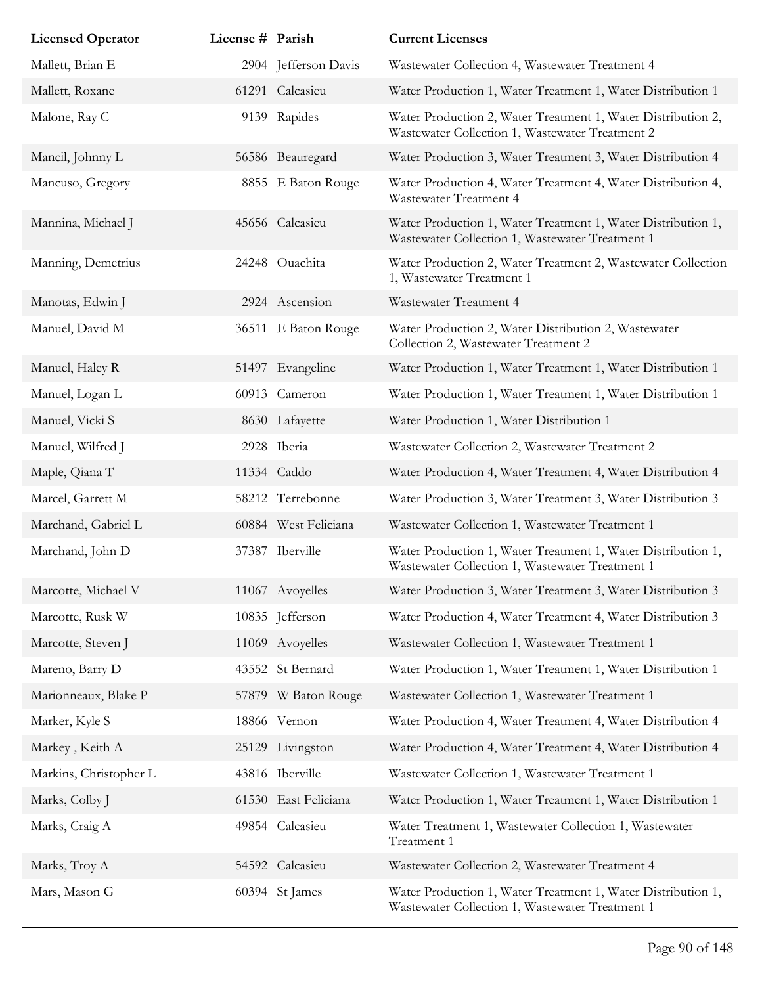| <b>Licensed Operator</b> | License # Parish |                      | <b>Current Licenses</b>                                                                                         |
|--------------------------|------------------|----------------------|-----------------------------------------------------------------------------------------------------------------|
| Mallett, Brian E         |                  | 2904 Jefferson Davis | Wastewater Collection 4, Wastewater Treatment 4                                                                 |
| Mallett, Roxane          |                  | 61291 Calcasieu      | Water Production 1, Water Treatment 1, Water Distribution 1                                                     |
| Malone, Ray C            |                  | 9139 Rapides         | Water Production 2, Water Treatment 1, Water Distribution 2,<br>Wastewater Collection 1, Wastewater Treatment 2 |
| Mancil, Johnny L         |                  | 56586 Beauregard     | Water Production 3, Water Treatment 3, Water Distribution 4                                                     |
| Mancuso, Gregory         |                  | 8855 E Baton Rouge   | Water Production 4, Water Treatment 4, Water Distribution 4,<br>Wastewater Treatment 4                          |
| Mannina, Michael J       |                  | 45656 Calcasieu      | Water Production 1, Water Treatment 1, Water Distribution 1,<br>Wastewater Collection 1, Wastewater Treatment 1 |
| Manning, Demetrius       |                  | 24248 Ouachita       | Water Production 2, Water Treatment 2, Wastewater Collection<br>1, Wastewater Treatment 1                       |
| Manotas, Edwin J         |                  | 2924 Ascension       | Wastewater Treatment 4                                                                                          |
| Manuel, David M          |                  | 36511 E Baton Rouge  | Water Production 2, Water Distribution 2, Wastewater<br>Collection 2, Wastewater Treatment 2                    |
| Manuel, Haley R          |                  | 51497 Evangeline     | Water Production 1, Water Treatment 1, Water Distribution 1                                                     |
| Manuel, Logan L          |                  | 60913 Cameron        | Water Production 1, Water Treatment 1, Water Distribution 1                                                     |
| Manuel, Vicki S          |                  | 8630 Lafayette       | Water Production 1, Water Distribution 1                                                                        |
| Manuel, Wilfred J        |                  | 2928 Iberia          | Wastewater Collection 2, Wastewater Treatment 2                                                                 |
| Maple, Qiana T           |                  | 11334 Caddo          | Water Production 4, Water Treatment 4, Water Distribution 4                                                     |
| Marcel, Garrett M        |                  | 58212 Terrebonne     | Water Production 3, Water Treatment 3, Water Distribution 3                                                     |
| Marchand, Gabriel L      |                  | 60884 West Feliciana | Wastewater Collection 1, Wastewater Treatment 1                                                                 |
| Marchand, John D         |                  | 37387 Iberville      | Water Production 1, Water Treatment 1, Water Distribution 1,<br>Wastewater Collection 1, Wastewater Treatment 1 |
| Marcotte, Michael V      |                  | 11067 Avoyelles      | Water Production 3, Water Treatment 3, Water Distribution 3                                                     |
| Marcotte, Rusk W         |                  | 10835 Jefferson      | Water Production 4, Water Treatment 4, Water Distribution 3                                                     |
| Marcotte, Steven J       |                  | 11069 Avoyelles      | Wastewater Collection 1, Wastewater Treatment 1                                                                 |
| Mareno, Barry D          |                  | 43552 St Bernard     | Water Production 1, Water Treatment 1, Water Distribution 1                                                     |
| Marionneaux, Blake P     |                  | 57879 W Baton Rouge  | Wastewater Collection 1, Wastewater Treatment 1                                                                 |
| Marker, Kyle S           |                  | 18866 Vernon         | Water Production 4, Water Treatment 4, Water Distribution 4                                                     |
| Markey, Keith A          |                  | 25129 Livingston     | Water Production 4, Water Treatment 4, Water Distribution 4                                                     |
| Markins, Christopher L   |                  | 43816 Iberville      | Wastewater Collection 1, Wastewater Treatment 1                                                                 |
| Marks, Colby J           |                  | 61530 East Feliciana | Water Production 1, Water Treatment 1, Water Distribution 1                                                     |
| Marks, Craig A           |                  | 49854 Calcasieu      | Water Treatment 1, Wastewater Collection 1, Wastewater<br>Treatment 1                                           |
| Marks, Troy A            |                  | 54592 Calcasieu      | Wastewater Collection 2, Wastewater Treatment 4                                                                 |
| Mars, Mason G            |                  | 60394 St James       | Water Production 1, Water Treatment 1, Water Distribution 1,<br>Wastewater Collection 1, Wastewater Treatment 1 |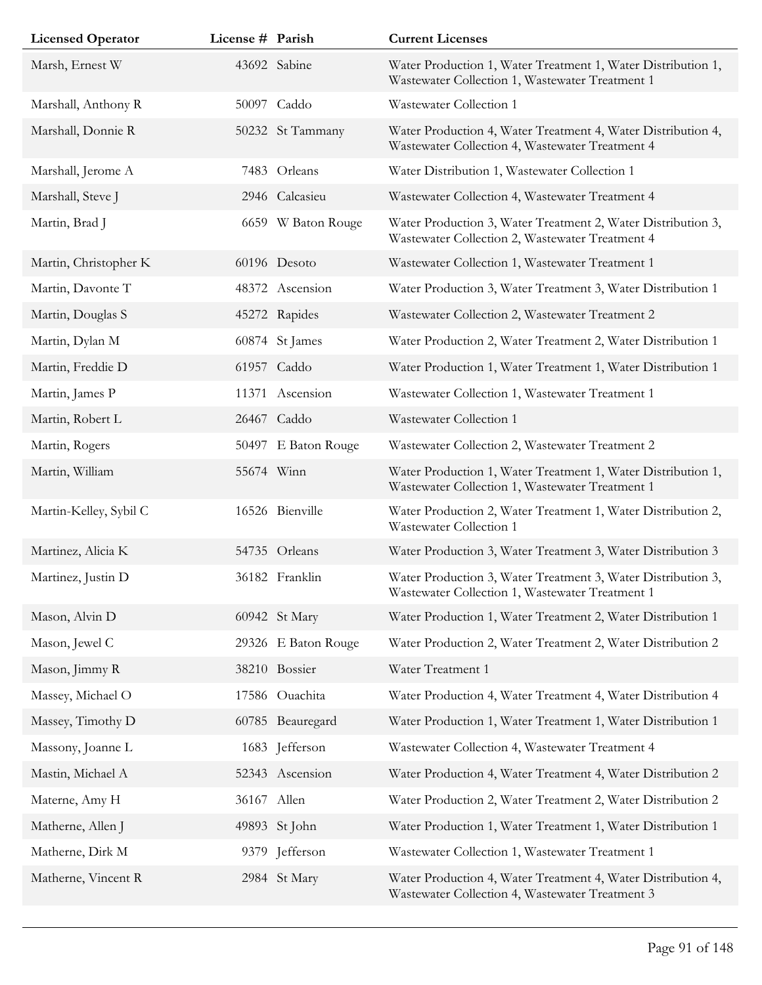| <b>Licensed Operator</b> | License # Parish |                     | <b>Current Licenses</b>                                                                                         |
|--------------------------|------------------|---------------------|-----------------------------------------------------------------------------------------------------------------|
| Marsh, Ernest W          |                  | 43692 Sabine        | Water Production 1, Water Treatment 1, Water Distribution 1,<br>Wastewater Collection 1, Wastewater Treatment 1 |
| Marshall, Anthony R      |                  | 50097 Caddo         | Wastewater Collection 1                                                                                         |
| Marshall, Donnie R       |                  | 50232 St Tammany    | Water Production 4, Water Treatment 4, Water Distribution 4,<br>Wastewater Collection 4, Wastewater Treatment 4 |
| Marshall, Jerome A       |                  | 7483 Orleans        | Water Distribution 1, Wastewater Collection 1                                                                   |
| Marshall, Steve J        |                  | 2946 Calcasieu      | Wastewater Collection 4, Wastewater Treatment 4                                                                 |
| Martin, Brad J           |                  | 6659 W Baton Rouge  | Water Production 3, Water Treatment 2, Water Distribution 3,<br>Wastewater Collection 2, Wastewater Treatment 4 |
| Martin, Christopher K    |                  | 60196 Desoto        | Wastewater Collection 1, Wastewater Treatment 1                                                                 |
| Martin, Davonte T        |                  | 48372 Ascension     | Water Production 3, Water Treatment 3, Water Distribution 1                                                     |
| Martin, Douglas S        |                  | 45272 Rapides       | Wastewater Collection 2, Wastewater Treatment 2                                                                 |
| Martin, Dylan M          |                  | 60874 St James      | Water Production 2, Water Treatment 2, Water Distribution 1                                                     |
| Martin, Freddie D        |                  | 61957 Caddo         | Water Production 1, Water Treatment 1, Water Distribution 1                                                     |
| Martin, James P          |                  | 11371 Ascension     | Wastewater Collection 1, Wastewater Treatment 1                                                                 |
| Martin, Robert L         |                  | 26467 Caddo         | Wastewater Collection 1                                                                                         |
| Martin, Rogers           |                  | 50497 E Baton Rouge | Wastewater Collection 2, Wastewater Treatment 2                                                                 |
| Martin, William          |                  | 55674 Winn          | Water Production 1, Water Treatment 1, Water Distribution 1,<br>Wastewater Collection 1, Wastewater Treatment 1 |
| Martin-Kelley, Sybil C   |                  | 16526 Bienville     | Water Production 2, Water Treatment 1, Water Distribution 2,<br>Wastewater Collection 1                         |
| Martinez, Alicia K       |                  | 54735 Orleans       | Water Production 3, Water Treatment 3, Water Distribution 3                                                     |
| Martinez, Justin D       |                  | 36182 Franklin      | Water Production 3, Water Treatment 3, Water Distribution 3,<br>Wastewater Collection 1, Wastewater Treatment 1 |
| Mason, Alvin D           |                  | 60942 St Mary       | Water Production 1, Water Treatment 2, Water Distribution 1                                                     |
| Mason, Jewel C           |                  | 29326 E Baton Rouge | Water Production 2, Water Treatment 2, Water Distribution 2                                                     |
| Mason, Jimmy R           |                  | 38210 Bossier       | Water Treatment 1                                                                                               |
| Massey, Michael O        |                  | 17586 Ouachita      | Water Production 4, Water Treatment 4, Water Distribution 4                                                     |
| Massey, Timothy D        |                  | 60785 Beauregard    | Water Production 1, Water Treatment 1, Water Distribution 1                                                     |
| Massony, Joanne L        |                  | 1683 Jefferson      | Wastewater Collection 4, Wastewater Treatment 4                                                                 |
| Mastin, Michael A        |                  | 52343 Ascension     | Water Production 4, Water Treatment 4, Water Distribution 2                                                     |
| Materne, Amy H           |                  | 36167 Allen         | Water Production 2, Water Treatment 2, Water Distribution 2                                                     |
| Matherne, Allen J        |                  | 49893 St John       | Water Production 1, Water Treatment 1, Water Distribution 1                                                     |
| Matherne, Dirk M         |                  | 9379 Jefferson      | Wastewater Collection 1, Wastewater Treatment 1                                                                 |
| Matherne, Vincent R      |                  | 2984 St Mary        | Water Production 4, Water Treatment 4, Water Distribution 4,<br>Wastewater Collection 4, Wastewater Treatment 3 |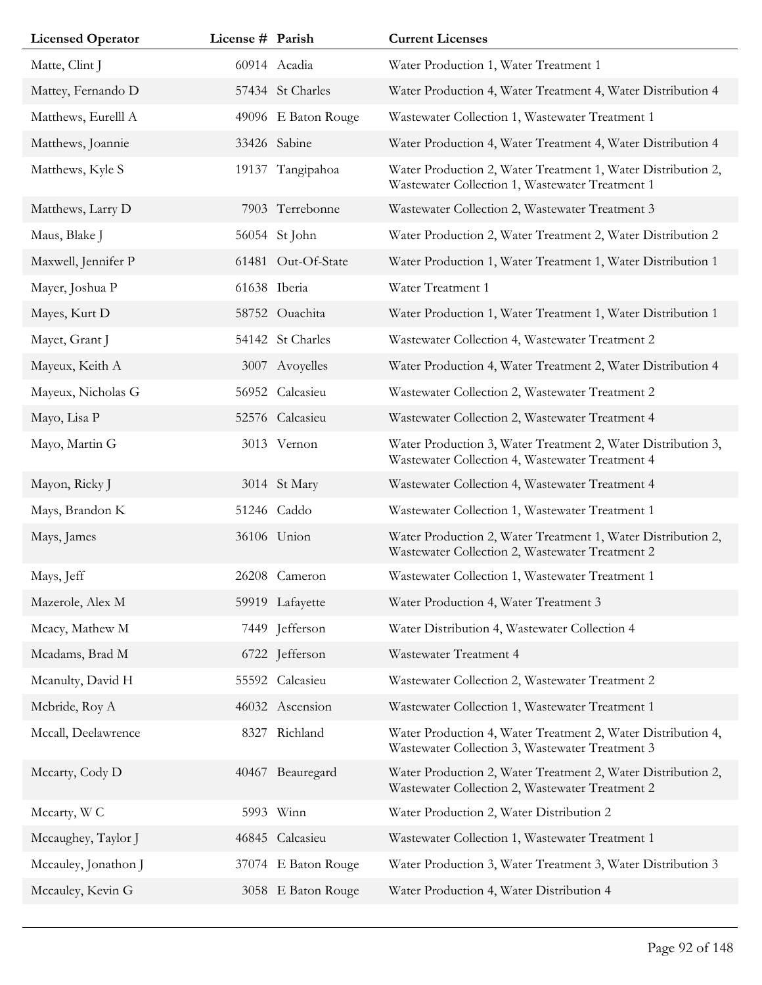| <b>Licensed Operator</b> | License # Parish |                     | <b>Current Licenses</b>                                                                                         |
|--------------------------|------------------|---------------------|-----------------------------------------------------------------------------------------------------------------|
| Matte, Clint J           |                  | 60914 Acadia        | Water Production 1, Water Treatment 1                                                                           |
| Mattey, Fernando D       |                  | 57434 St Charles    | Water Production 4, Water Treatment 4, Water Distribution 4                                                     |
| Matthews, Eurelll A      |                  | 49096 E Baton Rouge | Wastewater Collection 1, Wastewater Treatment 1                                                                 |
| Matthews, Joannie        |                  | 33426 Sabine        | Water Production 4, Water Treatment 4, Water Distribution 4                                                     |
| Matthews, Kyle S         |                  | 19137 Tangipahoa    | Water Production 2, Water Treatment 1, Water Distribution 2,<br>Wastewater Collection 1, Wastewater Treatment 1 |
| Matthews, Larry D        |                  | 7903 Terrebonne     | Wastewater Collection 2, Wastewater Treatment 3                                                                 |
| Maus, Blake J            |                  | 56054 St John       | Water Production 2, Water Treatment 2, Water Distribution 2                                                     |
| Maxwell, Jennifer P      |                  | 61481 Out-Of-State  | Water Production 1, Water Treatment 1, Water Distribution 1                                                     |
| Mayer, Joshua P          |                  | 61638 Iberia        | Water Treatment 1                                                                                               |
| Mayes, Kurt D            |                  | 58752 Ouachita      | Water Production 1, Water Treatment 1, Water Distribution 1                                                     |
| Mayet, Grant J           |                  | 54142 St Charles    | Wastewater Collection 4, Wastewater Treatment 2                                                                 |
| Mayeux, Keith A          |                  | 3007 Avoyelles      | Water Production 4, Water Treatment 2, Water Distribution 4                                                     |
| Mayeux, Nicholas G       |                  | 56952 Calcasieu     | Wastewater Collection 2, Wastewater Treatment 2                                                                 |
| Mayo, Lisa P             |                  | 52576 Calcasieu     | Wastewater Collection 2, Wastewater Treatment 4                                                                 |
| Mayo, Martin G           |                  | 3013 Vernon         | Water Production 3, Water Treatment 2, Water Distribution 3,<br>Wastewater Collection 4, Wastewater Treatment 4 |
| Mayon, Ricky J           |                  | 3014 St Mary        | Wastewater Collection 4, Wastewater Treatment 4                                                                 |
| Mays, Brandon K          |                  | 51246 Caddo         | Wastewater Collection 1, Wastewater Treatment 1                                                                 |
| Mays, James              |                  | 36106 Union         | Water Production 2, Water Treatment 1, Water Distribution 2,<br>Wastewater Collection 2, Wastewater Treatment 2 |
| Mays, Jeff               |                  | 26208 Cameron       | Wastewater Collection 1, Wastewater Treatment 1                                                                 |
| Mazerole, Alex M         |                  | 59919 Lafayette     | Water Production 4, Water Treatment 3                                                                           |
| Mcacy, Mathew M          |                  | 7449 Jefferson      | Water Distribution 4, Wastewater Collection 4                                                                   |
| Mcadams, Brad M          |                  | 6722 Jefferson      | Wastewater Treatment 4                                                                                          |
| Mcanulty, David H        |                  | 55592 Calcasieu     | Wastewater Collection 2, Wastewater Treatment 2                                                                 |
| Mcbride, Roy A           |                  | 46032 Ascension     | Wastewater Collection 1, Wastewater Treatment 1                                                                 |
| Mccall, Deelawrence      |                  | 8327 Richland       | Water Production 4, Water Treatment 2, Water Distribution 4,<br>Wastewater Collection 3, Wastewater Treatment 3 |
| Mccarty, Cody D          |                  | 40467 Beauregard    | Water Production 2, Water Treatment 2, Water Distribution 2,<br>Wastewater Collection 2, Wastewater Treatment 2 |
| Mccarty, W C             |                  | 5993 Winn           | Water Production 2, Water Distribution 2                                                                        |
| Mccaughey, Taylor J      |                  | 46845 Calcasieu     | Wastewater Collection 1, Wastewater Treatment 1                                                                 |
| Mccauley, Jonathon J     |                  | 37074 E Baton Rouge | Water Production 3, Water Treatment 3, Water Distribution 3                                                     |
| Mccauley, Kevin G        |                  | 3058 E Baton Rouge  | Water Production 4, Water Distribution 4                                                                        |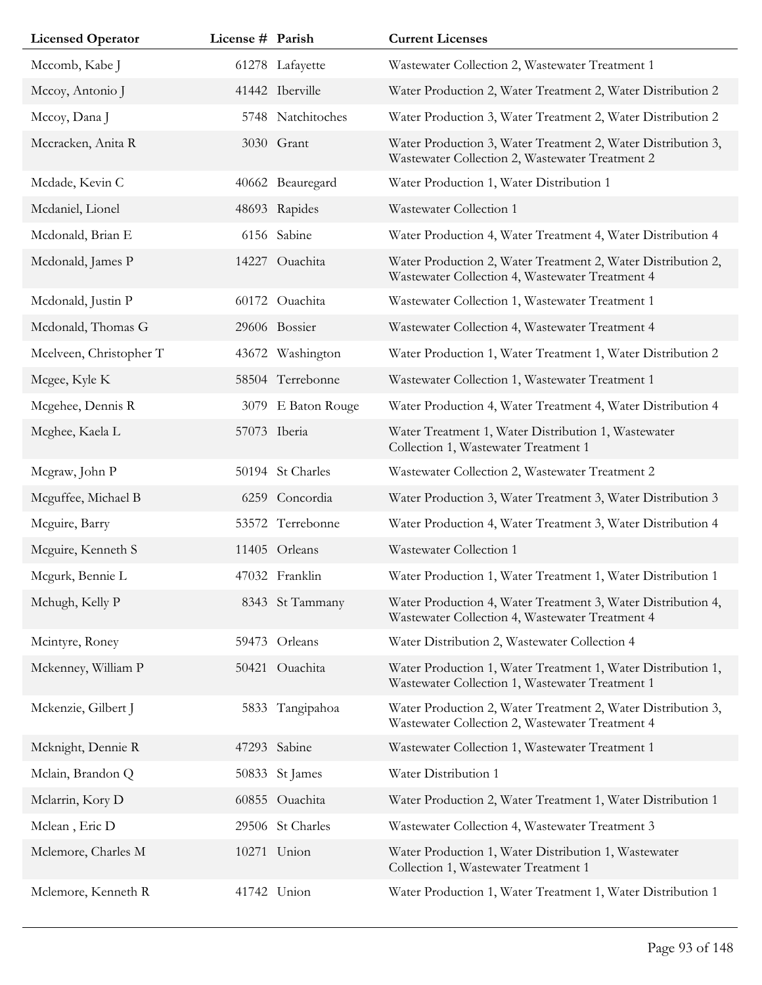| <b>Licensed Operator</b> | License # Parish |                    | <b>Current Licenses</b>                                                                                         |
|--------------------------|------------------|--------------------|-----------------------------------------------------------------------------------------------------------------|
| Mccomb, Kabe J           |                  | 61278 Lafayette    | Wastewater Collection 2, Wastewater Treatment 1                                                                 |
| Mccoy, Antonio J         |                  | 41442 Iberville    | Water Production 2, Water Treatment 2, Water Distribution 2                                                     |
| Mccoy, Dana J            |                  | 5748 Natchitoches  | Water Production 3, Water Treatment 2, Water Distribution 2                                                     |
| Mccracken, Anita R       |                  | 3030 Grant         | Water Production 3, Water Treatment 2, Water Distribution 3,<br>Wastewater Collection 2, Wastewater Treatment 2 |
| Mcdade, Kevin C          |                  | 40662 Beauregard   | Water Production 1, Water Distribution 1                                                                        |
| Mcdaniel, Lionel         |                  | 48693 Rapides      | Wastewater Collection 1                                                                                         |
| Mcdonald, Brian E        |                  | 6156 Sabine        | Water Production 4, Water Treatment 4, Water Distribution 4                                                     |
| Mcdonald, James P        |                  | 14227 Ouachita     | Water Production 2, Water Treatment 2, Water Distribution 2,<br>Wastewater Collection 4, Wastewater Treatment 4 |
| Mcdonald, Justin P       |                  | 60172 Ouachita     | Wastewater Collection 1, Wastewater Treatment 1                                                                 |
| Mcdonald, Thomas G       |                  | 29606 Bossier      | Wastewater Collection 4, Wastewater Treatment 4                                                                 |
| Mcelveen, Christopher T  |                  | 43672 Washington   | Water Production 1, Water Treatment 1, Water Distribution 2                                                     |
| Mcgee, Kyle K            |                  | 58504 Terrebonne   | Wastewater Collection 1, Wastewater Treatment 1                                                                 |
| Mcgehee, Dennis R        |                  | 3079 E Baton Rouge | Water Production 4, Water Treatment 4, Water Distribution 4                                                     |
| Mcghee, Kaela L          |                  | 57073 Iberia       | Water Treatment 1, Water Distribution 1, Wastewater<br>Collection 1, Wastewater Treatment 1                     |
| Mcgraw, John P           |                  | 50194 St Charles   | Wastewater Collection 2, Wastewater Treatment 2                                                                 |
| Mcguffee, Michael B      |                  | 6259 Concordia     | Water Production 3, Water Treatment 3, Water Distribution 3                                                     |
| Mcguire, Barry           |                  | 53572 Terrebonne   | Water Production 4, Water Treatment 3, Water Distribution 4                                                     |
| Mcguire, Kenneth S       |                  | 11405 Orleans      | Wastewater Collection 1                                                                                         |
| Mcgurk, Bennie L         |                  | 47032 Franklin     | Water Production 1, Water Treatment 1, Water Distribution 1                                                     |
| Mchugh, Kelly P          |                  | 8343 St Tammany    | Water Production 4, Water Treatment 3, Water Distribution 4,<br>Wastewater Collection 4, Wastewater Treatment 4 |
| Mcintyre, Roney          | 59473            | Orleans            | Water Distribution 2, Wastewater Collection 4                                                                   |
| Mckenney, William P      | 50421            | Ouachita           | Water Production 1, Water Treatment 1, Water Distribution 1,<br>Wastewater Collection 1, Wastewater Treatment 1 |
| Mckenzie, Gilbert J      | 5833             | Tangipahoa         | Water Production 2, Water Treatment 2, Water Distribution 3,<br>Wastewater Collection 2, Wastewater Treatment 4 |
| Mcknight, Dennie R       |                  | 47293 Sabine       | Wastewater Collection 1, Wastewater Treatment 1                                                                 |
| Mclain, Brandon Q        |                  | 50833 St James     | Water Distribution 1                                                                                            |
| Mclarrin, Kory D         |                  | 60855 Ouachita     | Water Production 2, Water Treatment 1, Water Distribution 1                                                     |
| Mclean, Eric D           |                  | 29506 St Charles   | Wastewater Collection 4, Wastewater Treatment 3                                                                 |
| Mclemore, Charles M      |                  | 10271 Union        | Water Production 1, Water Distribution 1, Wastewater<br>Collection 1, Wastewater Treatment 1                    |
| Mclemore, Kenneth R      | 41742            | Union              | Water Production 1, Water Treatment 1, Water Distribution 1                                                     |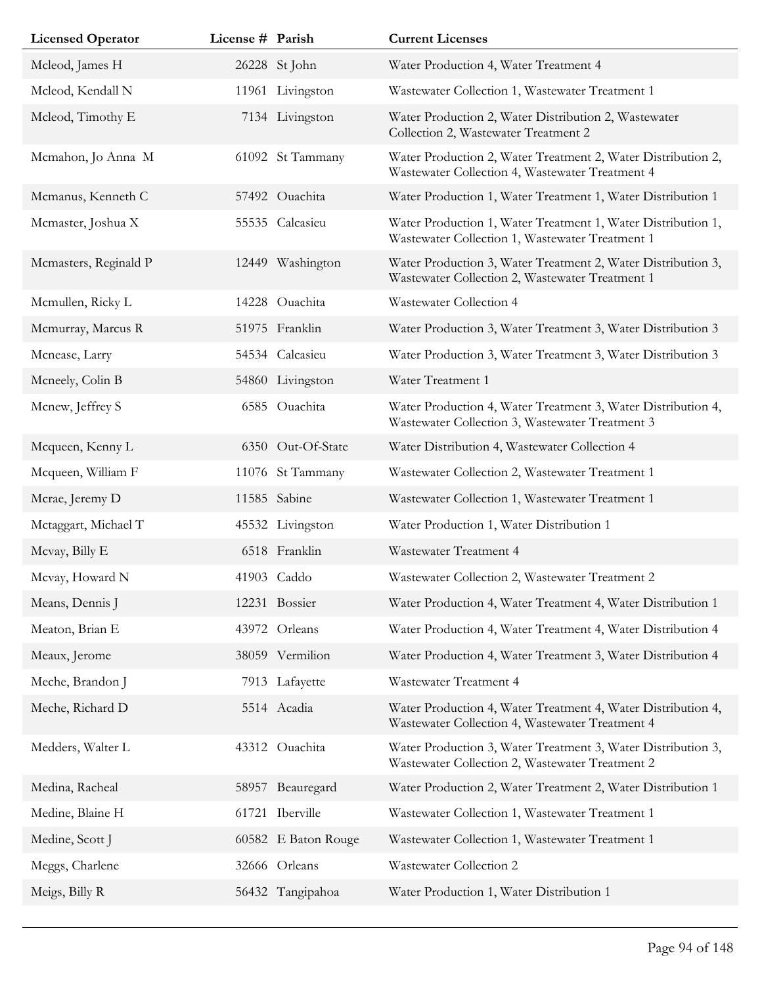| <b>Licensed Operator</b> | License # Parish |                     | <b>Current Licenses</b>                                                                                         |
|--------------------------|------------------|---------------------|-----------------------------------------------------------------------------------------------------------------|
| Mcleod, James H          |                  | 26228 St John       | Water Production 4, Water Treatment 4                                                                           |
| Mcleod, Kendall N        |                  | 11961 Livingston    | Wastewater Collection 1, Wastewater Treatment 1                                                                 |
| Mcleod, Timothy E        |                  | 7134 Livingston     | Water Production 2, Water Distribution 2, Wastewater<br>Collection 2, Wastewater Treatment 2                    |
| Mcmahon, Jo Anna M       |                  | 61092 St Tammany    | Water Production 2, Water Treatment 2, Water Distribution 2,<br>Wastewater Collection 4, Wastewater Treatment 4 |
| Mcmanus, Kenneth C       |                  | 57492 Ouachita      | Water Production 1, Water Treatment 1, Water Distribution 1                                                     |
| Mcmaster, Joshua X       |                  | 55535 Calcasieu     | Water Production 1, Water Treatment 1, Water Distribution 1,<br>Wastewater Collection 1, Wastewater Treatment 1 |
| Mcmasters, Reginald P    |                  | 12449 Washington    | Water Production 3, Water Treatment 2, Water Distribution 3,<br>Wastewater Collection 2, Wastewater Treatment 1 |
| Mcmullen, Ricky L        |                  | 14228 Ouachita      | Wastewater Collection 4                                                                                         |
| Mcmurray, Marcus R       |                  | 51975 Franklin      | Water Production 3, Water Treatment 3, Water Distribution 3                                                     |
| Mcnease, Larry           |                  | 54534 Calcasieu     | Water Production 3, Water Treatment 3, Water Distribution 3                                                     |
| Mcneely, Colin B         |                  | 54860 Livingston    | Water Treatment 1                                                                                               |
| Mcnew, Jeffrey S         |                  | 6585 Ouachita       | Water Production 4, Water Treatment 3, Water Distribution 4,<br>Wastewater Collection 3, Wastewater Treatment 3 |
| Mcqueen, Kenny L         |                  | 6350 Out-Of-State   | Water Distribution 4, Wastewater Collection 4                                                                   |
| Mcqueen, William F       |                  | 11076 St Tammany    | Wastewater Collection 2, Wastewater Treatment 1                                                                 |
| Mcrae, Jeremy D          |                  | 11585 Sabine        | Wastewater Collection 1, Wastewater Treatment 1                                                                 |
| Mctaggart, Michael T     |                  | 45532 Livingston    | Water Production 1, Water Distribution 1                                                                        |
| Mcvay, Billy E           |                  | 6518 Franklin       | Wastewater Treatment 4                                                                                          |
| Mcvay, Howard N          |                  | 41903 Caddo         | Wastewater Collection 2, Wastewater Treatment 2                                                                 |
| Means, Dennis J          |                  | 12231 Bossier       | Water Production 4, Water Treatment 4, Water Distribution 1                                                     |
| Meaton, Brian E          |                  | 43972 Orleans       | Water Production 4, Water Treatment 4, Water Distribution 4                                                     |
| Meaux, Jerome            |                  | 38059 Vermilion     | Water Production 4, Water Treatment 3, Water Distribution 4                                                     |
| Meche, Brandon J         |                  | 7913 Lafayette      | Wastewater Treatment 4                                                                                          |
| Meche, Richard D         |                  | 5514 Acadia         | Water Production 4, Water Treatment 4, Water Distribution 4,<br>Wastewater Collection 4, Wastewater Treatment 4 |
| Medders, Walter L        |                  | 43312 Ouachita      | Water Production 3, Water Treatment 3, Water Distribution 3,<br>Wastewater Collection 2, Wastewater Treatment 2 |
| Medina, Racheal          |                  | 58957 Beauregard    | Water Production 2, Water Treatment 2, Water Distribution 1                                                     |
| Medine, Blaine H         |                  | 61721 Iberville     | Wastewater Collection 1, Wastewater Treatment 1                                                                 |
| Medine, Scott J          |                  | 60582 E Baton Rouge | Wastewater Collection 1, Wastewater Treatment 1                                                                 |
| Meggs, Charlene          |                  | 32666 Orleans       | Wastewater Collection 2                                                                                         |
| Meigs, Billy R           |                  | 56432 Tangipahoa    | Water Production 1, Water Distribution 1                                                                        |
|                          |                  |                     |                                                                                                                 |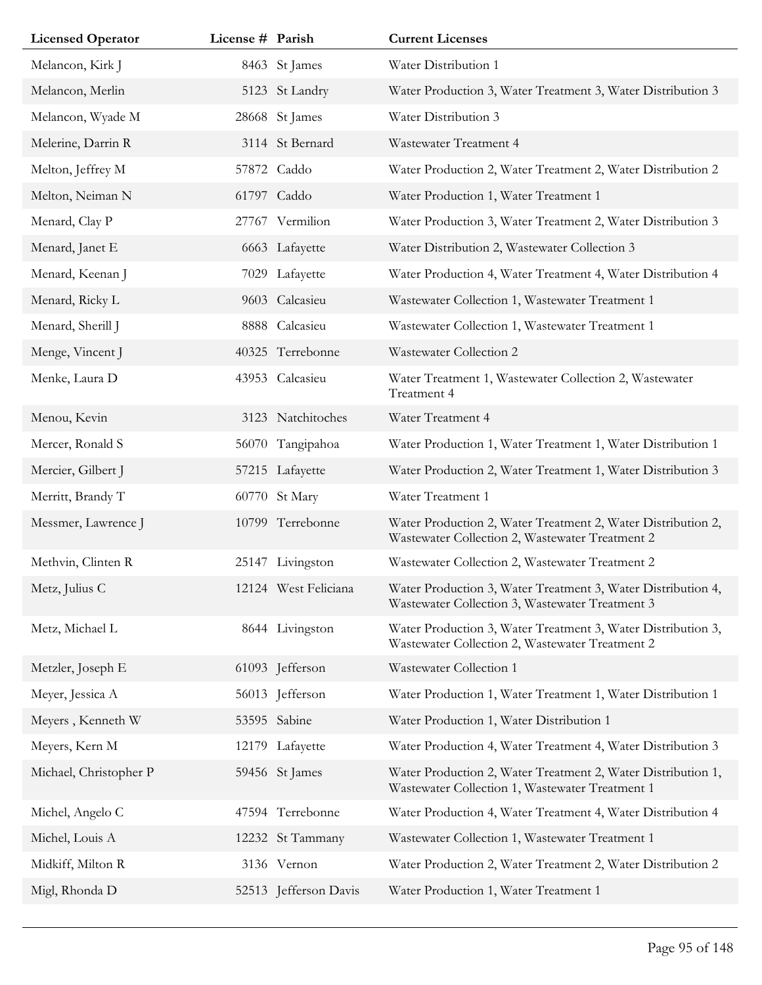| <b>Licensed Operator</b> | License # Parish |                       | <b>Current Licenses</b>                                                                                         |
|--------------------------|------------------|-----------------------|-----------------------------------------------------------------------------------------------------------------|
| Melancon, Kirk J         |                  | 8463 St James         | Water Distribution 1                                                                                            |
| Melancon, Merlin         |                  | 5123 St Landry        | Water Production 3, Water Treatment 3, Water Distribution 3                                                     |
| Melancon, Wyade M        |                  | 28668 St James        | Water Distribution 3                                                                                            |
| Melerine, Darrin R       |                  | 3114 St Bernard       | Wastewater Treatment 4                                                                                          |
| Melton, Jeffrey M        |                  | 57872 Caddo           | Water Production 2, Water Treatment 2, Water Distribution 2                                                     |
| Melton, Neiman N         |                  | 61797 Caddo           | Water Production 1, Water Treatment 1                                                                           |
| Menard, Clay P           |                  | 27767 Vermilion       | Water Production 3, Water Treatment 2, Water Distribution 3                                                     |
| Menard, Janet E          |                  | 6663 Lafayette        | Water Distribution 2, Wastewater Collection 3                                                                   |
| Menard, Keenan J         |                  | 7029 Lafayette        | Water Production 4, Water Treatment 4, Water Distribution 4                                                     |
| Menard, Ricky L          |                  | 9603 Calcasieu        | Wastewater Collection 1, Wastewater Treatment 1                                                                 |
| Menard, Sherill J        |                  | 8888 Calcasieu        | Wastewater Collection 1, Wastewater Treatment 1                                                                 |
| Menge, Vincent J         |                  | 40325 Terrebonne      | Wastewater Collection 2                                                                                         |
| Menke, Laura D           |                  | 43953 Calcasieu       | Water Treatment 1, Wastewater Collection 2, Wastewater<br>Treatment 4                                           |
| Menou, Kevin             |                  | 3123 Natchitoches     | Water Treatment 4                                                                                               |
| Mercer, Ronald S         | 56070            | Tangipahoa            | Water Production 1, Water Treatment 1, Water Distribution 1                                                     |
| Mercier, Gilbert J       |                  | 57215 Lafayette       | Water Production 2, Water Treatment 1, Water Distribution 3                                                     |
| Merritt, Brandy T        |                  | 60770 St Mary         | Water Treatment 1                                                                                               |
| Messmer, Lawrence J      |                  | 10799 Terrebonne      | Water Production 2, Water Treatment 2, Water Distribution 2,<br>Wastewater Collection 2, Wastewater Treatment 2 |
| Methvin, Clinten R       | 25147            | Livingston            | Wastewater Collection 2, Wastewater Treatment 2                                                                 |
| Metz, Julius C           |                  | 12124 West Feliciana  | Water Production 3, Water Treatment 3, Water Distribution 4,<br>Wastewater Collection 3, Wastewater Treatment 3 |
| Metz, Michael L          |                  | 8644 Livingston       | Water Production 3, Water Treatment 3, Water Distribution 3,<br>Wastewater Collection 2, Wastewater Treatment 2 |
| Metzler, Joseph E        |                  | 61093 Jefferson       | Wastewater Collection 1                                                                                         |
| Meyer, Jessica A         |                  | 56013 Jefferson       | Water Production 1, Water Treatment 1, Water Distribution 1                                                     |
| Meyers, Kenneth W        |                  | 53595 Sabine          | Water Production 1, Water Distribution 1                                                                        |
| Meyers, Kern M           |                  | 12179 Lafayette       | Water Production 4, Water Treatment 4, Water Distribution 3                                                     |
| Michael, Christopher P   |                  | 59456 St James        | Water Production 2, Water Treatment 2, Water Distribution 1,<br>Wastewater Collection 1, Wastewater Treatment 1 |
| Michel, Angelo C         |                  | 47594 Terrebonne      | Water Production 4, Water Treatment 4, Water Distribution 4                                                     |
| Michel, Louis A          |                  | 12232 St Tammany      | Wastewater Collection 1, Wastewater Treatment 1                                                                 |
| Midkiff, Milton R        |                  | 3136 Vernon           | Water Production 2, Water Treatment 2, Water Distribution 2                                                     |
| Migl, Rhonda D           |                  | 52513 Jefferson Davis | Water Production 1, Water Treatment 1                                                                           |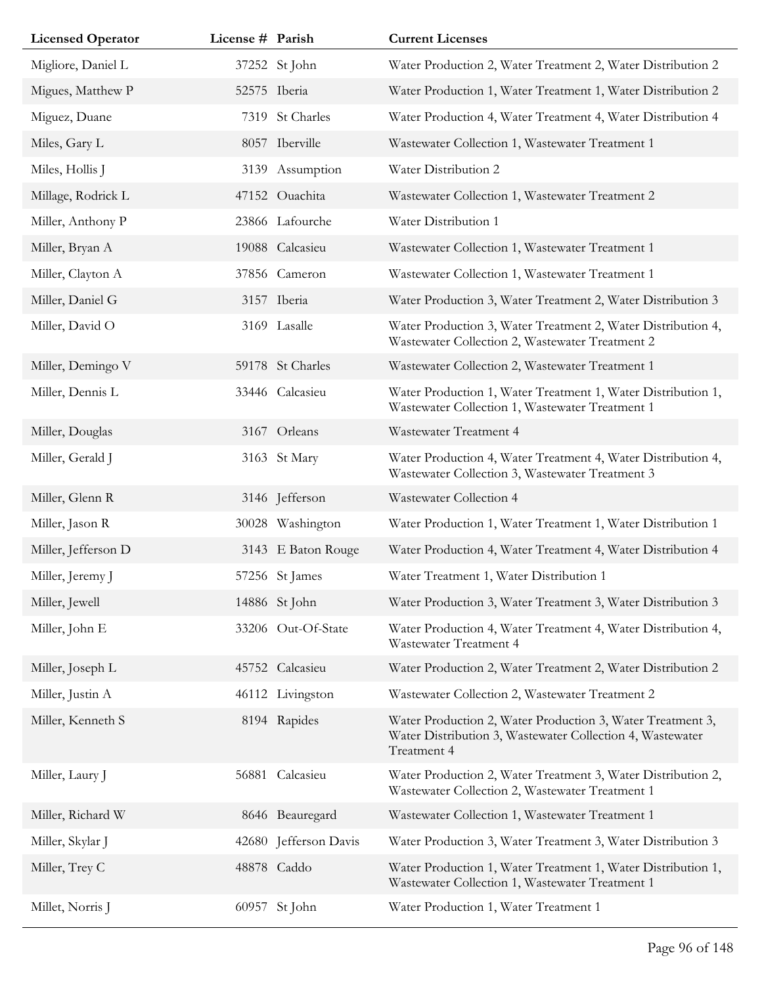| <b>Licensed Operator</b> | License # Parish |                       | <b>Current Licenses</b>                                                                                                                |
|--------------------------|------------------|-----------------------|----------------------------------------------------------------------------------------------------------------------------------------|
| Migliore, Daniel L       |                  | 37252 St John         | Water Production 2, Water Treatment 2, Water Distribution 2                                                                            |
| Migues, Matthew P        |                  | 52575 Iberia          | Water Production 1, Water Treatment 1, Water Distribution 2                                                                            |
| Miguez, Duane            |                  | 7319 St Charles       | Water Production 4, Water Treatment 4, Water Distribution 4                                                                            |
| Miles, Gary L            |                  | 8057 Iberville        | Wastewater Collection 1, Wastewater Treatment 1                                                                                        |
| Miles, Hollis J          |                  | 3139 Assumption       | Water Distribution 2                                                                                                                   |
| Millage, Rodrick L       |                  | 47152 Ouachita        | Wastewater Collection 1, Wastewater Treatment 2                                                                                        |
| Miller, Anthony P        |                  | 23866 Lafourche       | Water Distribution 1                                                                                                                   |
| Miller, Bryan A          |                  | 19088 Calcasieu       | Wastewater Collection 1, Wastewater Treatment 1                                                                                        |
| Miller, Clayton A        |                  | 37856 Cameron         | Wastewater Collection 1, Wastewater Treatment 1                                                                                        |
| Miller, Daniel G         |                  | 3157 Iberia           | Water Production 3, Water Treatment 2, Water Distribution 3                                                                            |
| Miller, David O          |                  | 3169 Lasalle          | Water Production 3, Water Treatment 2, Water Distribution 4,<br>Wastewater Collection 2, Wastewater Treatment 2                        |
| Miller, Demingo V        |                  | 59178 St Charles      | Wastewater Collection 2, Wastewater Treatment 1                                                                                        |
| Miller, Dennis L         |                  | 33446 Calcasieu       | Water Production 1, Water Treatment 1, Water Distribution 1,<br>Wastewater Collection 1, Wastewater Treatment 1                        |
| Miller, Douglas          |                  | 3167 Orleans          | Wastewater Treatment 4                                                                                                                 |
| Miller, Gerald J         |                  | 3163 St Mary          | Water Production 4, Water Treatment 4, Water Distribution 4,<br>Wastewater Collection 3, Wastewater Treatment 3                        |
| Miller, Glenn R          |                  | 3146 Jefferson        | Wastewater Collection 4                                                                                                                |
| Miller, Jason R          |                  | 30028 Washington      | Water Production 1, Water Treatment 1, Water Distribution 1                                                                            |
| Miller, Jefferson D      |                  | 3143 E Baton Rouge    | Water Production 4, Water Treatment 4, Water Distribution 4                                                                            |
| Miller, Jeremy J         |                  | 57256 St James        | Water Treatment 1, Water Distribution 1                                                                                                |
| Miller, Jewell           |                  | 14886 St John         | Water Production 3, Water Treatment 3, Water Distribution 3                                                                            |
| Miller, John E           |                  | 33206 Out-Of-State    | Water Production 4, Water Treatment 4, Water Distribution 4,<br><b>Wastewater Treatment 4</b>                                          |
| Miller, Joseph L         |                  | 45752 Calcasieu       | Water Production 2, Water Treatment 2, Water Distribution 2                                                                            |
| Miller, Justin A         |                  | 46112 Livingston      | Wastewater Collection 2, Wastewater Treatment 2                                                                                        |
| Miller, Kenneth S        |                  | 8194 Rapides          | Water Production 2, Water Production 3, Water Treatment 3,<br>Water Distribution 3, Wastewater Collection 4, Wastewater<br>Treatment 4 |
| Miller, Laury J          |                  | 56881 Calcasieu       | Water Production 2, Water Treatment 3, Water Distribution 2,<br>Wastewater Collection 2, Wastewater Treatment 1                        |
| Miller, Richard W        |                  | 8646 Beauregard       | Wastewater Collection 1, Wastewater Treatment 1                                                                                        |
| Miller, Skylar J         |                  | 42680 Jefferson Davis | Water Production 3, Water Treatment 3, Water Distribution 3                                                                            |
| Miller, Trey C           |                  | 48878 Caddo           | Water Production 1, Water Treatment 1, Water Distribution 1,<br>Wastewater Collection 1, Wastewater Treatment 1                        |
| Millet, Norris J         |                  | 60957 St John         | Water Production 1, Water Treatment 1                                                                                                  |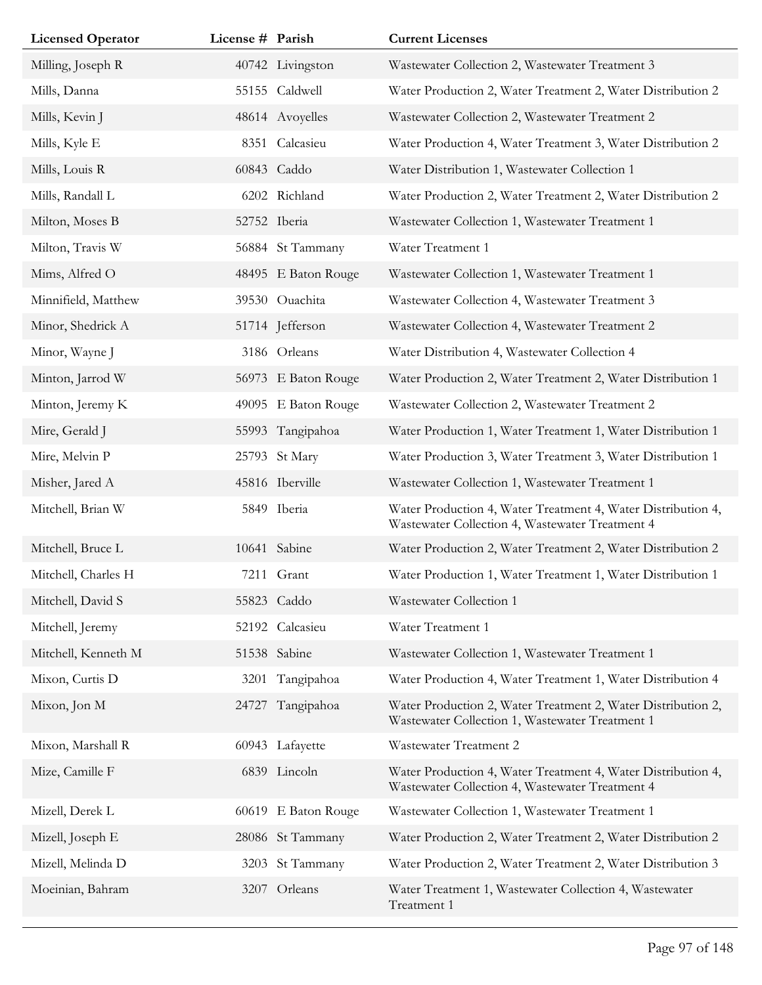| <b>Licensed Operator</b> | License # Parish |                     | <b>Current Licenses</b>                                                                                         |
|--------------------------|------------------|---------------------|-----------------------------------------------------------------------------------------------------------------|
| Milling, Joseph R        |                  | 40742 Livingston    | Wastewater Collection 2, Wastewater Treatment 3                                                                 |
| Mills, Danna             |                  | 55155 Caldwell      | Water Production 2, Water Treatment 2, Water Distribution 2                                                     |
| Mills, Kevin J           |                  | 48614 Avoyelles     | Wastewater Collection 2, Wastewater Treatment 2                                                                 |
| Mills, Kyle E            |                  | 8351 Calcasieu      | Water Production 4, Water Treatment 3, Water Distribution 2                                                     |
| Mills, Louis R           |                  | 60843 Caddo         | Water Distribution 1, Wastewater Collection 1                                                                   |
| Mills, Randall L         |                  | 6202 Richland       | Water Production 2, Water Treatment 2, Water Distribution 2                                                     |
| Milton, Moses B          |                  | 52752 Iberia        | Wastewater Collection 1, Wastewater Treatment 1                                                                 |
| Milton, Travis W         |                  | 56884 St Tammany    | Water Treatment 1                                                                                               |
| Mims, Alfred O           |                  | 48495 E Baton Rouge | Wastewater Collection 1, Wastewater Treatment 1                                                                 |
| Minnifield, Matthew      |                  | 39530 Ouachita      | Wastewater Collection 4, Wastewater Treatment 3                                                                 |
| Minor, Shedrick A        |                  | 51714 Jefferson     | Wastewater Collection 4, Wastewater Treatment 2                                                                 |
| Minor, Wayne J           |                  | 3186 Orleans        | Water Distribution 4, Wastewater Collection 4                                                                   |
| Minton, Jarrod W         |                  | 56973 E Baton Rouge | Water Production 2, Water Treatment 2, Water Distribution 1                                                     |
| Minton, Jeremy K         |                  | 49095 E Baton Rouge | Wastewater Collection 2, Wastewater Treatment 2                                                                 |
| Mire, Gerald J           |                  | 55993 Tangipahoa    | Water Production 1, Water Treatment 1, Water Distribution 1                                                     |
| Mire, Melvin P           |                  | 25793 St Mary       | Water Production 3, Water Treatment 3, Water Distribution 1                                                     |
| Misher, Jared A          |                  | 45816 Iberville     | Wastewater Collection 1, Wastewater Treatment 1                                                                 |
| Mitchell, Brian W        |                  | 5849 Iberia         | Water Production 4, Water Treatment 4, Water Distribution 4,<br>Wastewater Collection 4, Wastewater Treatment 4 |
| Mitchell, Bruce L        |                  | 10641 Sabine        | Water Production 2, Water Treatment 2, Water Distribution 2                                                     |
| Mitchell, Charles H      |                  | 7211 Grant          | Water Production 1, Water Treatment 1, Water Distribution 1                                                     |
| Mitchell, David S        |                  | 55823 Caddo         | Wastewater Collection 1                                                                                         |
| Mitchell, Jeremy         |                  | 52192 Calcasieu     | Water Treatment 1                                                                                               |
| Mitchell, Kenneth M      |                  | 51538 Sabine        | Wastewater Collection 1, Wastewater Treatment 1                                                                 |
| Mixon, Curtis D          | 3201             | Tangipahoa          | Water Production 4, Water Treatment 1, Water Distribution 4                                                     |
| Mixon, Jon M             | 24727            | Tangipahoa          | Water Production 2, Water Treatment 2, Water Distribution 2,<br>Wastewater Collection 1, Wastewater Treatment 1 |
| Mixon, Marshall R        |                  | 60943 Lafayette     | Wastewater Treatment 2                                                                                          |
| Mize, Camille F          |                  | 6839 Lincoln        | Water Production 4, Water Treatment 4, Water Distribution 4,<br>Wastewater Collection 4, Wastewater Treatment 4 |
| Mizell, Derek L          | 60619            | E Baton Rouge       | Wastewater Collection 1, Wastewater Treatment 1                                                                 |
| Mizell, Joseph E         |                  | 28086 St Tammany    | Water Production 2, Water Treatment 2, Water Distribution 2                                                     |
| Mizell, Melinda D        |                  | 3203 St Tammany     | Water Production 2, Water Treatment 2, Water Distribution 3                                                     |
| Moeinian, Bahram         |                  | 3207 Orleans        | Water Treatment 1, Wastewater Collection 4, Wastewater<br>Treatment 1                                           |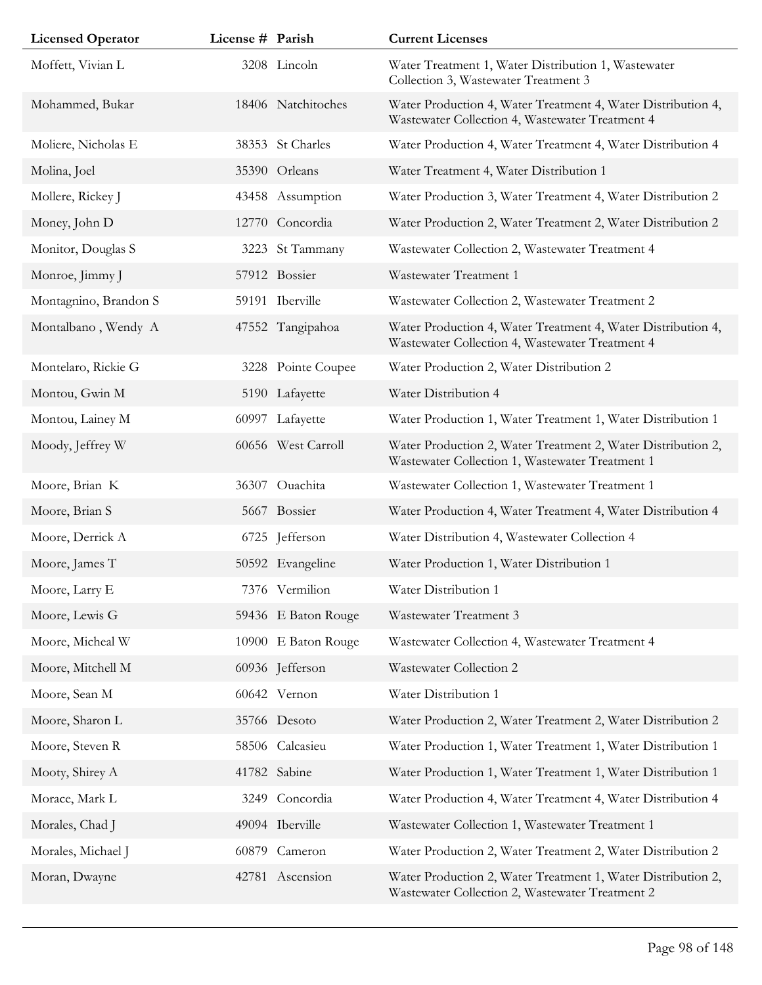| <b>Licensed Operator</b> | License # Parish |                     | <b>Current Licenses</b>                                                                                         |
|--------------------------|------------------|---------------------|-----------------------------------------------------------------------------------------------------------------|
| Moffett, Vivian L        |                  | 3208 Lincoln        | Water Treatment 1, Water Distribution 1, Wastewater<br>Collection 3, Wastewater Treatment 3                     |
| Mohammed, Bukar          |                  | 18406 Natchitoches  | Water Production 4, Water Treatment 4, Water Distribution 4,<br>Wastewater Collection 4, Wastewater Treatment 4 |
| Moliere, Nicholas E      |                  | 38353 St Charles    | Water Production 4, Water Treatment 4, Water Distribution 4                                                     |
| Molina, Joel             |                  | 35390 Orleans       | Water Treatment 4, Water Distribution 1                                                                         |
| Mollere, Rickey J        |                  | 43458 Assumption    | Water Production 3, Water Treatment 4, Water Distribution 2                                                     |
| Money, John D            |                  | 12770 Concordia     | Water Production 2, Water Treatment 2, Water Distribution 2                                                     |
| Monitor, Douglas S       |                  | 3223 St Tammany     | Wastewater Collection 2, Wastewater Treatment 4                                                                 |
| Monroe, Jimmy J          |                  | 57912 Bossier       | Wastewater Treatment 1                                                                                          |
| Montagnino, Brandon S    |                  | 59191 Iberville     | Wastewater Collection 2, Wastewater Treatment 2                                                                 |
| Montalbano, Wendy A      |                  | 47552 Tangipahoa    | Water Production 4, Water Treatment 4, Water Distribution 4,<br>Wastewater Collection 4, Wastewater Treatment 4 |
| Montelaro, Rickie G      |                  | 3228 Pointe Coupee  | Water Production 2, Water Distribution 2                                                                        |
| Montou, Gwin M           |                  | 5190 Lafayette      | Water Distribution 4                                                                                            |
| Montou, Lainey M         |                  | 60997 Lafayette     | Water Production 1, Water Treatment 1, Water Distribution 1                                                     |
| Moody, Jeffrey W         |                  | 60656 West Carroll  | Water Production 2, Water Treatment 2, Water Distribution 2,<br>Wastewater Collection 1, Wastewater Treatment 1 |
| Moore, Brian K           |                  | 36307 Ouachita      | Wastewater Collection 1, Wastewater Treatment 1                                                                 |
| Moore, Brian S           |                  | 5667 Bossier        | Water Production 4, Water Treatment 4, Water Distribution 4                                                     |
| Moore, Derrick A         |                  | 6725 Jefferson      | Water Distribution 4, Wastewater Collection 4                                                                   |
| Moore, James T           |                  | 50592 Evangeline    | Water Production 1, Water Distribution 1                                                                        |
| Moore, Larry E           |                  | 7376 Vermilion      | Water Distribution 1                                                                                            |
| Moore, Lewis G           |                  | 59436 E Baton Rouge | Wastewater Treatment 3                                                                                          |
| Moore, Micheal W         |                  | 10900 E Baton Rouge | Wastewater Collection 4, Wastewater Treatment 4                                                                 |
| Moore, Mitchell M        |                  | 60936 Jefferson     | Wastewater Collection 2                                                                                         |
| Moore, Sean M            |                  | 60642 Vernon        | Water Distribution 1                                                                                            |
| Moore, Sharon L          |                  | 35766 Desoto        | Water Production 2, Water Treatment 2, Water Distribution 2                                                     |
| Moore, Steven R          |                  | 58506 Calcasieu     | Water Production 1, Water Treatment 1, Water Distribution 1                                                     |
| Mooty, Shirey A          |                  | 41782 Sabine        | Water Production 1, Water Treatment 1, Water Distribution 1                                                     |
| Morace, Mark L           |                  | 3249 Concordia      | Water Production 4, Water Treatment 4, Water Distribution 4                                                     |
| Morales, Chad J          |                  | 49094 Iberville     | Wastewater Collection 1, Wastewater Treatment 1                                                                 |
| Morales, Michael J       | 60879            | Cameron             | Water Production 2, Water Treatment 2, Water Distribution 2                                                     |
| Moran, Dwayne            |                  | 42781 Ascension     | Water Production 2, Water Treatment 1, Water Distribution 2,<br>Wastewater Collection 2, Wastewater Treatment 2 |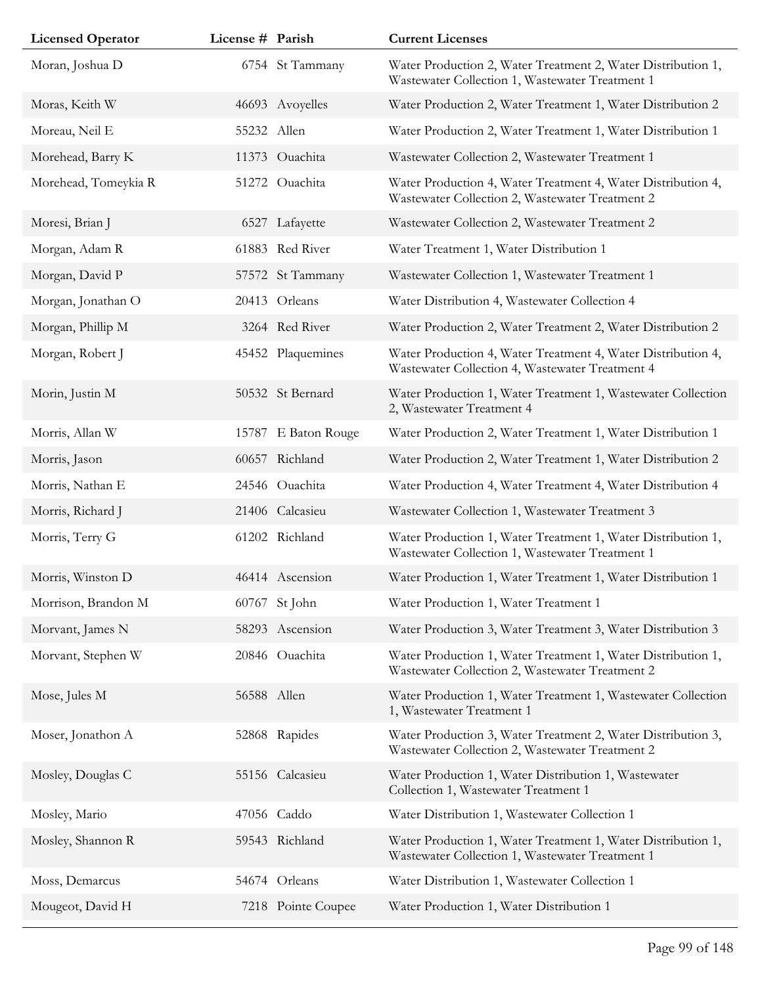| <b>Licensed Operator</b> | License # Parish |                     | <b>Current Licenses</b>                                                                                         |
|--------------------------|------------------|---------------------|-----------------------------------------------------------------------------------------------------------------|
| Moran, Joshua D          |                  | 6754 St Tammany     | Water Production 2, Water Treatment 2, Water Distribution 1,<br>Wastewater Collection 1, Wastewater Treatment 1 |
| Moras, Keith W           |                  | 46693 Avoyelles     | Water Production 2, Water Treatment 1, Water Distribution 2                                                     |
| Moreau, Neil E           | 55232 Allen      |                     | Water Production 2, Water Treatment 1, Water Distribution 1                                                     |
| Morehead, Barry K        |                  | 11373 Ouachita      | Wastewater Collection 2, Wastewater Treatment 1                                                                 |
| Morehead, Tomeykia R     |                  | 51272 Ouachita      | Water Production 4, Water Treatment 4, Water Distribution 4,<br>Wastewater Collection 2, Wastewater Treatment 2 |
| Moresi, Brian J          |                  | 6527 Lafayette      | Wastewater Collection 2, Wastewater Treatment 2                                                                 |
| Morgan, Adam R           |                  | 61883 Red River     | Water Treatment 1, Water Distribution 1                                                                         |
| Morgan, David P          |                  | 57572 St Tammany    | Wastewater Collection 1, Wastewater Treatment 1                                                                 |
| Morgan, Jonathan O       |                  | 20413 Orleans       | Water Distribution 4, Wastewater Collection 4                                                                   |
| Morgan, Phillip M        |                  | 3264 Red River      | Water Production 2, Water Treatment 2, Water Distribution 2                                                     |
| Morgan, Robert J         |                  | 45452 Plaquemines   | Water Production 4, Water Treatment 4, Water Distribution 4,<br>Wastewater Collection 4, Wastewater Treatment 4 |
| Morin, Justin M          |                  | 50532 St Bernard    | Water Production 1, Water Treatment 1, Wastewater Collection<br>2, Wastewater Treatment 4                       |
| Morris, Allan W          |                  | 15787 E Baton Rouge | Water Production 2, Water Treatment 1, Water Distribution 1                                                     |
| Morris, Jason            |                  | 60657 Richland      | Water Production 2, Water Treatment 1, Water Distribution 2                                                     |
| Morris, Nathan E         |                  | 24546 Ouachita      | Water Production 4, Water Treatment 4, Water Distribution 4                                                     |
| Morris, Richard J        |                  | 21406 Calcasieu     | Wastewater Collection 1, Wastewater Treatment 3                                                                 |
| Morris, Terry G          |                  | 61202 Richland      | Water Production 1, Water Treatment 1, Water Distribution 1,<br>Wastewater Collection 1, Wastewater Treatment 1 |
| Morris, Winston D        |                  | 46414 Ascension     | Water Production 1, Water Treatment 1, Water Distribution 1                                                     |
| Morrison, Brandon M      |                  | 60767 St John       | Water Production 1, Water Treatment 1                                                                           |
| Morvant, James N         |                  | 58293 Ascension     | Water Production 3, Water Treatment 3, Water Distribution 3                                                     |
| Morvant, Stephen W       |                  | 20846 Ouachita      | Water Production 1, Water Treatment 1, Water Distribution 1,<br>Wastewater Collection 2, Wastewater Treatment 2 |
| Mose, Jules M            | 56588 Allen      |                     | Water Production 1, Water Treatment 1, Wastewater Collection<br>1, Wastewater Treatment 1                       |
| Moser, Jonathon A        |                  | 52868 Rapides       | Water Production 3, Water Treatment 2, Water Distribution 3,<br>Wastewater Collection 2, Wastewater Treatment 2 |
| Mosley, Douglas C        |                  | 55156 Calcasieu     | Water Production 1, Water Distribution 1, Wastewater<br>Collection 1, Wastewater Treatment 1                    |
| Mosley, Mario            |                  | 47056 Caddo         | Water Distribution 1, Wastewater Collection 1                                                                   |
| Mosley, Shannon R        |                  | 59543 Richland      | Water Production 1, Water Treatment 1, Water Distribution 1,<br>Wastewater Collection 1, Wastewater Treatment 1 |
| Moss, Demarcus           |                  | 54674 Orleans       | Water Distribution 1, Wastewater Collection 1                                                                   |
| Mougeot, David H         |                  | 7218 Pointe Coupee  | Water Production 1, Water Distribution 1                                                                        |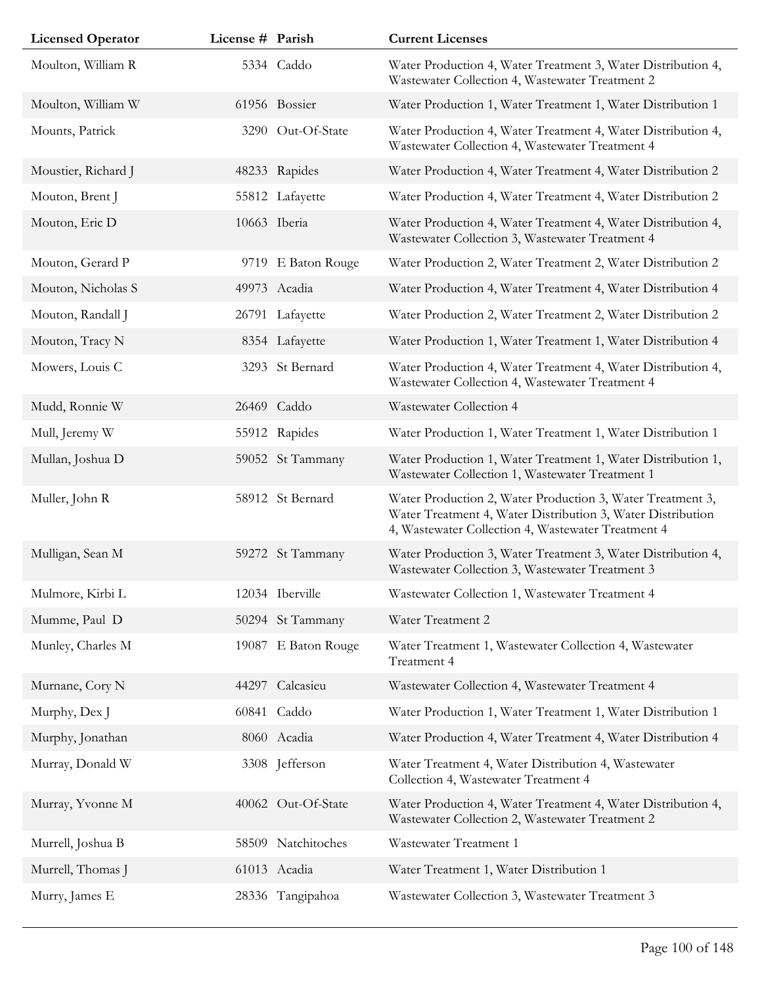| <b>Licensed Operator</b> | License # Parish |                     | <b>Current Licenses</b>                                                                                                                                                         |
|--------------------------|------------------|---------------------|---------------------------------------------------------------------------------------------------------------------------------------------------------------------------------|
| Moulton, William R       |                  | 5334 Caddo          | Water Production 4, Water Treatment 3, Water Distribution 4,<br>Wastewater Collection 4, Wastewater Treatment 2                                                                 |
| Moulton, William W       |                  | 61956 Bossier       | Water Production 1, Water Treatment 1, Water Distribution 1                                                                                                                     |
| Mounts, Patrick          |                  | 3290 Out-Of-State   | Water Production 4, Water Treatment 4, Water Distribution 4,<br>Wastewater Collection 4, Wastewater Treatment 4                                                                 |
| Moustier, Richard J      |                  | 48233 Rapides       | Water Production 4, Water Treatment 4, Water Distribution 2                                                                                                                     |
| Mouton, Brent J          |                  | 55812 Lafayette     | Water Production 4, Water Treatment 4, Water Distribution 2                                                                                                                     |
| Mouton, Eric D           |                  | 10663 Iberia        | Water Production 4, Water Treatment 4, Water Distribution 4,<br>Wastewater Collection 3, Wastewater Treatment 4                                                                 |
| Mouton, Gerard P         |                  | 9719 E Baton Rouge  | Water Production 2, Water Treatment 2, Water Distribution 2                                                                                                                     |
| Mouton, Nicholas S       |                  | 49973 Acadia        | Water Production 4, Water Treatment 4, Water Distribution 4                                                                                                                     |
| Mouton, Randall J        |                  | 26791 Lafayette     | Water Production 2, Water Treatment 2, Water Distribution 2                                                                                                                     |
| Mouton, Tracy N          |                  | 8354 Lafayette      | Water Production 1, Water Treatment 1, Water Distribution 4                                                                                                                     |
| Mowers, Louis C          |                  | 3293 St Bernard     | Water Production 4, Water Treatment 4, Water Distribution 4,<br>Wastewater Collection 4, Wastewater Treatment 4                                                                 |
| Mudd, Ronnie W           |                  | 26469 Caddo         | Wastewater Collection 4                                                                                                                                                         |
| Mull, Jeremy W           |                  | 55912 Rapides       | Water Production 1, Water Treatment 1, Water Distribution 1                                                                                                                     |
| Mullan, Joshua D         |                  | 59052 St Tammany    | Water Production 1, Water Treatment 1, Water Distribution 1,<br>Wastewater Collection 1, Wastewater Treatment 1                                                                 |
| Muller, John R           |                  | 58912 St Bernard    | Water Production 2, Water Production 3, Water Treatment 3,<br>Water Treatment 4, Water Distribution 3, Water Distribution<br>4, Wastewater Collection 4, Wastewater Treatment 4 |
| Mulligan, Sean M         |                  | 59272 St Tammany    | Water Production 3, Water Treatment 3, Water Distribution 4,<br>Wastewater Collection 3, Wastewater Treatment 3                                                                 |
| Mulmore, Kirbi L         |                  | 12034 Iberville     | Wastewater Collection 1, Wastewater Treatment 4                                                                                                                                 |
| Mumme, Paul D            |                  | 50294 St Tammany    | Water Treatment 2                                                                                                                                                               |
| Munley, Charles M        |                  | 19087 E Baton Rouge | Water Treatment 1, Wastewater Collection 4, Wastewater<br>Treatment 4                                                                                                           |
| Murnane, Cory N          | 44297            | Calcasieu           | Wastewater Collection 4, Wastewater Treatment 4                                                                                                                                 |
| Murphy, Dex J            |                  | 60841 Caddo         | Water Production 1, Water Treatment 1, Water Distribution 1                                                                                                                     |
| Murphy, Jonathan         |                  | 8060 Acadia         | Water Production 4, Water Treatment 4, Water Distribution 4                                                                                                                     |
| Murray, Donald W         |                  | 3308 Jefferson      | Water Treatment 4, Water Distribution 4, Wastewater<br>Collection 4, Wastewater Treatment 4                                                                                     |
| Murray, Yvonne M         |                  | 40062 Out-Of-State  | Water Production 4, Water Treatment 4, Water Distribution 4,<br>Wastewater Collection 2, Wastewater Treatment 2                                                                 |
| Murrell, Joshua B        |                  | 58509 Natchitoches  | Wastewater Treatment 1                                                                                                                                                          |
| Murrell, Thomas J        |                  | 61013 Acadia        | Water Treatment 1, Water Distribution 1                                                                                                                                         |
| Murry, James E           |                  | 28336 Tangipahoa    | Wastewater Collection 3, Wastewater Treatment 3                                                                                                                                 |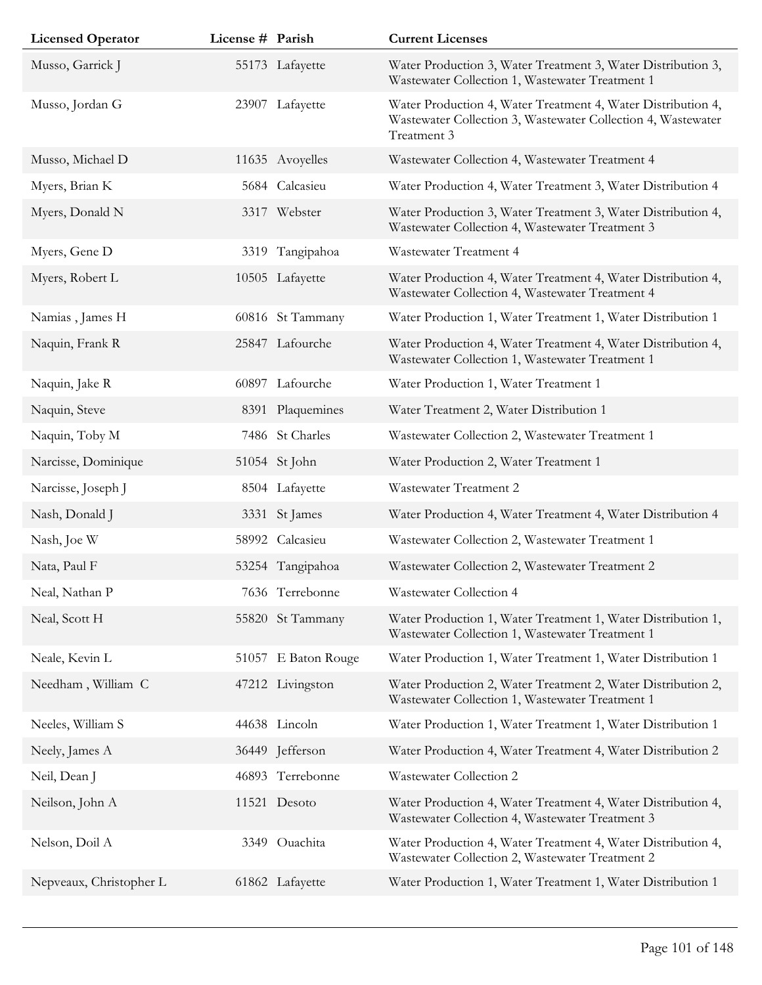| <b>Licensed Operator</b> | License # Parish |                     | <b>Current Licenses</b>                                                                                                                     |
|--------------------------|------------------|---------------------|---------------------------------------------------------------------------------------------------------------------------------------------|
| Musso, Garrick J         |                  | 55173 Lafayette     | Water Production 3, Water Treatment 3, Water Distribution 3,<br>Wastewater Collection 1, Wastewater Treatment 1                             |
| Musso, Jordan G          |                  | 23907 Lafayette     | Water Production 4, Water Treatment 4, Water Distribution 4,<br>Wastewater Collection 3, Wastewater Collection 4, Wastewater<br>Treatment 3 |
| Musso, Michael D         |                  | 11635 Avoyelles     | Wastewater Collection 4, Wastewater Treatment 4                                                                                             |
| Myers, Brian K           |                  | 5684 Calcasieu      | Water Production 4, Water Treatment 3, Water Distribution 4                                                                                 |
| Myers, Donald N          |                  | 3317 Webster        | Water Production 3, Water Treatment 3, Water Distribution 4,<br>Wastewater Collection 4, Wastewater Treatment 3                             |
| Myers, Gene D            |                  | 3319 Tangipahoa     | Wastewater Treatment 4                                                                                                                      |
| Myers, Robert L          |                  | 10505 Lafayette     | Water Production 4, Water Treatment 4, Water Distribution 4,<br>Wastewater Collection 4, Wastewater Treatment 4                             |
| Namias, James H          |                  | 60816 St Tammany    | Water Production 1, Water Treatment 1, Water Distribution 1                                                                                 |
| Naquin, Frank R          |                  | 25847 Lafourche     | Water Production 4, Water Treatment 4, Water Distribution 4,<br>Wastewater Collection 1, Wastewater Treatment 1                             |
| Naquin, Jake R           |                  | 60897 Lafourche     | Water Production 1, Water Treatment 1                                                                                                       |
| Naquin, Steve            |                  | 8391 Plaquemines    | Water Treatment 2, Water Distribution 1                                                                                                     |
| Naquin, Toby M           |                  | 7486 St Charles     | Wastewater Collection 2, Wastewater Treatment 1                                                                                             |
| Narcisse, Dominique      |                  | 51054 St John       | Water Production 2, Water Treatment 1                                                                                                       |
| Narcisse, Joseph J       |                  | 8504 Lafayette      | Wastewater Treatment 2                                                                                                                      |
| Nash, Donald J           |                  | 3331 St James       | Water Production 4, Water Treatment 4, Water Distribution 4                                                                                 |
| Nash, Joe W              |                  | 58992 Calcasieu     | Wastewater Collection 2, Wastewater Treatment 1                                                                                             |
| Nata, Paul F             |                  | 53254 Tangipahoa    | Wastewater Collection 2, Wastewater Treatment 2                                                                                             |
| Neal, Nathan P           |                  | 7636 Terrebonne     | <b>Wastewater Collection 4</b>                                                                                                              |
| Neal, Scott H            |                  | 55820 St Tammany    | Water Production 1, Water Treatment 1, Water Distribution 1,<br>Wastewater Collection 1, Wastewater Treatment 1                             |
| Neale, Kevin L           |                  | 51057 E Baton Rouge | Water Production 1, Water Treatment 1, Water Distribution 1                                                                                 |
| Needham, William C       |                  | 47212 Livingston    | Water Production 2, Water Treatment 2, Water Distribution 2,<br>Wastewater Collection 1, Wastewater Treatment 1                             |
| Neeles, William S        |                  | 44638 Lincoln       | Water Production 1, Water Treatment 1, Water Distribution 1                                                                                 |
| Neely, James A           |                  | 36449 Jefferson     | Water Production 4, Water Treatment 4, Water Distribution 2                                                                                 |
| Neil, Dean J             |                  | 46893 Terrebonne    | Wastewater Collection 2                                                                                                                     |
| Neilson, John A          |                  | 11521 Desoto        | Water Production 4, Water Treatment 4, Water Distribution 4,<br>Wastewater Collection 4, Wastewater Treatment 3                             |
| Nelson, Doil A           |                  | 3349 Ouachita       | Water Production 4, Water Treatment 4, Water Distribution 4,<br>Wastewater Collection 2, Wastewater Treatment 2                             |
| Nepveaux, Christopher L  |                  | 61862 Lafayette     | Water Production 1, Water Treatment 1, Water Distribution 1                                                                                 |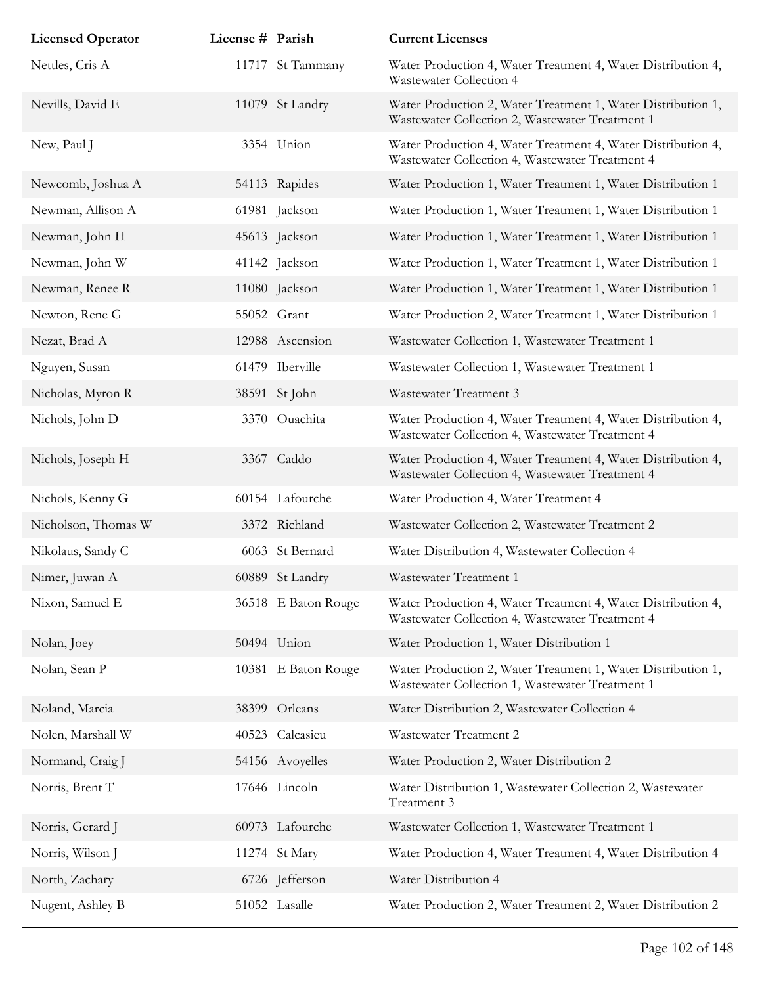| <b>Licensed Operator</b> | License # Parish |                     | <b>Current Licenses</b>                                                                                         |
|--------------------------|------------------|---------------------|-----------------------------------------------------------------------------------------------------------------|
| Nettles, Cris A          |                  | 11717 St Tammany    | Water Production 4, Water Treatment 4, Water Distribution 4,<br>Wastewater Collection 4                         |
| Nevills, David E         |                  | 11079 St Landry     | Water Production 2, Water Treatment 1, Water Distribution 1,<br>Wastewater Collection 2, Wastewater Treatment 1 |
| New, Paul J              |                  | 3354 Union          | Water Production 4, Water Treatment 4, Water Distribution 4,<br>Wastewater Collection 4, Wastewater Treatment 4 |
| Newcomb, Joshua A        |                  | 54113 Rapides       | Water Production 1, Water Treatment 1, Water Distribution 1                                                     |
| Newman, Allison A        |                  | 61981 Jackson       | Water Production 1, Water Treatment 1, Water Distribution 1                                                     |
| Newman, John H           |                  | 45613 Jackson       | Water Production 1, Water Treatment 1, Water Distribution 1                                                     |
| Newman, John W           |                  | 41142 Jackson       | Water Production 1, Water Treatment 1, Water Distribution 1                                                     |
| Newman, Renee R          |                  | 11080 Jackson       | Water Production 1, Water Treatment 1, Water Distribution 1                                                     |
| Newton, Rene G           |                  | 55052 Grant         | Water Production 2, Water Treatment 1, Water Distribution 1                                                     |
| Nezat, Brad A            |                  | 12988 Ascension     | Wastewater Collection 1, Wastewater Treatment 1                                                                 |
| Nguyen, Susan            |                  | 61479 Iberville     | Wastewater Collection 1, Wastewater Treatment 1                                                                 |
| Nicholas, Myron R        | 38591            | St John             | Wastewater Treatment 3                                                                                          |
| Nichols, John D          |                  | 3370 Ouachita       | Water Production 4, Water Treatment 4, Water Distribution 4,<br>Wastewater Collection 4, Wastewater Treatment 4 |
| Nichols, Joseph H        |                  | 3367 Caddo          | Water Production 4, Water Treatment 4, Water Distribution 4,<br>Wastewater Collection 4, Wastewater Treatment 4 |
| Nichols, Kenny G         |                  | 60154 Lafourche     | Water Production 4, Water Treatment 4                                                                           |
| Nicholson, Thomas W      |                  | 3372 Richland       | Wastewater Collection 2, Wastewater Treatment 2                                                                 |
| Nikolaus, Sandy C        |                  | 6063 St Bernard     | Water Distribution 4, Wastewater Collection 4                                                                   |
| Nimer, Juwan A           |                  | 60889 St Landry     | Wastewater Treatment 1                                                                                          |
| Nixon, Samuel E          |                  | 36518 E Baton Rouge | Water Production 4, Water Treatment 4, Water Distribution 4,<br>Wastewater Collection 4, Wastewater Treatment 4 |
| Nolan, Joey              |                  | 50494 Union         | Water Production 1, Water Distribution 1                                                                        |
| Nolan, Sean P            |                  | 10381 E Baton Rouge | Water Production 2, Water Treatment 1, Water Distribution 1,<br>Wastewater Collection 1, Wastewater Treatment 1 |
| Noland, Marcia           |                  | 38399 Orleans       | Water Distribution 2, Wastewater Collection 4                                                                   |
| Nolen, Marshall W        |                  | 40523 Calcasieu     | Wastewater Treatment 2                                                                                          |
| Normand, Craig J         |                  | 54156 Avoyelles     | Water Production 2, Water Distribution 2                                                                        |
| Norris, Brent T          |                  | 17646 Lincoln       | Water Distribution 1, Wastewater Collection 2, Wastewater<br>Treatment 3                                        |
| Norris, Gerard J         |                  | 60973 Lafourche     | Wastewater Collection 1, Wastewater Treatment 1                                                                 |
| Norris, Wilson J         |                  | 11274 St Mary       | Water Production 4, Water Treatment 4, Water Distribution 4                                                     |
| North, Zachary           |                  | 6726 Jefferson      | Water Distribution 4                                                                                            |
| Nugent, Ashley B         |                  | 51052 Lasalle       | Water Production 2, Water Treatment 2, Water Distribution 2                                                     |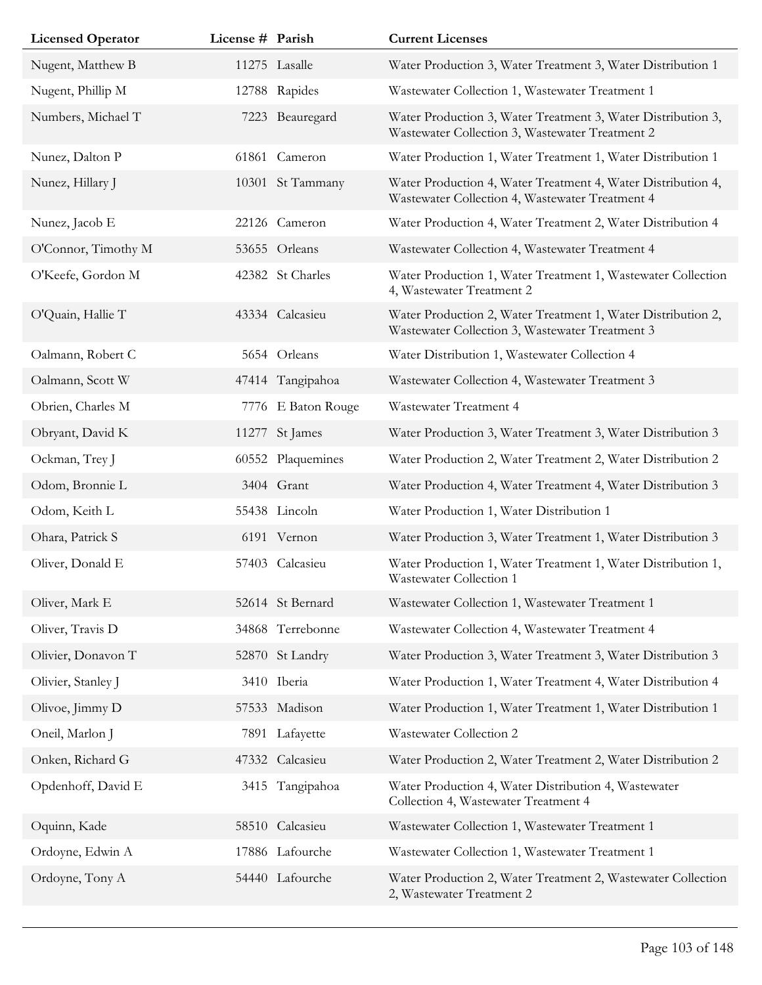| <b>Licensed Operator</b> | License # Parish |                    | <b>Current Licenses</b>                                                                                         |
|--------------------------|------------------|--------------------|-----------------------------------------------------------------------------------------------------------------|
| Nugent, Matthew B        |                  | 11275 Lasalle      | Water Production 3, Water Treatment 3, Water Distribution 1                                                     |
| Nugent, Phillip M        |                  | 12788 Rapides      | Wastewater Collection 1, Wastewater Treatment 1                                                                 |
| Numbers, Michael T       |                  | 7223 Beauregard    | Water Production 3, Water Treatment 3, Water Distribution 3,<br>Wastewater Collection 3, Wastewater Treatment 2 |
| Nunez, Dalton P          | 61861            | Cameron            | Water Production 1, Water Treatment 1, Water Distribution 1                                                     |
| Nunez, Hillary J         |                  | 10301 St Tammany   | Water Production 4, Water Treatment 4, Water Distribution 4,<br>Wastewater Collection 4, Wastewater Treatment 4 |
| Nunez, Jacob E           |                  | 22126 Cameron      | Water Production 4, Water Treatment 2, Water Distribution 4                                                     |
| O'Connor, Timothy M      |                  | 53655 Orleans      | Wastewater Collection 4, Wastewater Treatment 4                                                                 |
| O'Keefe, Gordon M        |                  | 42382 St Charles   | Water Production 1, Water Treatment 1, Wastewater Collection<br>4, Wastewater Treatment 2                       |
| O'Quain, Hallie T        |                  | 43334 Calcasieu    | Water Production 2, Water Treatment 1, Water Distribution 2,<br>Wastewater Collection 3, Wastewater Treatment 3 |
| Oalmann, Robert C        |                  | 5654 Orleans       | Water Distribution 1, Wastewater Collection 4                                                                   |
| Oalmann, Scott W         |                  | 47414 Tangipahoa   | Wastewater Collection 4, Wastewater Treatment 3                                                                 |
| Obrien, Charles M        |                  | 7776 E Baton Rouge | Wastewater Treatment 4                                                                                          |
| Obryant, David K         | 11277            | St James           | Water Production 3, Water Treatment 3, Water Distribution 3                                                     |
| Ockman, Trey J           | 60552            | Plaquemines        | Water Production 2, Water Treatment 2, Water Distribution 2                                                     |
| Odom, Bronnie L          |                  | 3404 Grant         | Water Production 4, Water Treatment 4, Water Distribution 3                                                     |
| Odom, Keith L            |                  | 55438 Lincoln      | Water Production 1, Water Distribution 1                                                                        |
| Ohara, Patrick S         |                  | 6191 Vernon        | Water Production 3, Water Treatment 1, Water Distribution 3                                                     |
| Oliver, Donald E         | 57403            | Calcasieu          | Water Production 1, Water Treatment 1, Water Distribution 1,<br>Wastewater Collection 1                         |
| Oliver, Mark E           |                  | 52614 St Bernard   | Wastewater Collection 1, Wastewater Treatment 1                                                                 |
| Oliver, Travis D         |                  | 34868 Terrebonne   | Wastewater Collection 4, Wastewater Treatment 4                                                                 |
| Olivier, Donavon T       |                  | 52870 St Landry    | Water Production 3, Water Treatment 3, Water Distribution 3                                                     |
| Olivier, Stanley J       |                  | 3410 Iberia        | Water Production 1, Water Treatment 4, Water Distribution 4                                                     |
| Olivoe, Jimmy D          |                  | 57533 Madison      | Water Production 1, Water Treatment 1, Water Distribution 1                                                     |
| Oneil, Marlon J          |                  | 7891 Lafayette     | Wastewater Collection 2                                                                                         |
| Onken, Richard G         |                  | 47332 Calcasieu    | Water Production 2, Water Treatment 2, Water Distribution 2                                                     |
| Opdenhoff, David E       | 3415             | Tangipahoa         | Water Production 4, Water Distribution 4, Wastewater<br>Collection 4, Wastewater Treatment 4                    |
| Oquinn, Kade             | 58510            | Calcasieu          | Wastewater Collection 1, Wastewater Treatment 1                                                                 |
| Ordoyne, Edwin A         |                  | 17886 Lafourche    | Wastewater Collection 1, Wastewater Treatment 1                                                                 |
| Ordoyne, Tony A          |                  | 54440 Lafourche    | Water Production 2, Water Treatment 2, Wastewater Collection<br>2, Wastewater Treatment 2                       |

Ī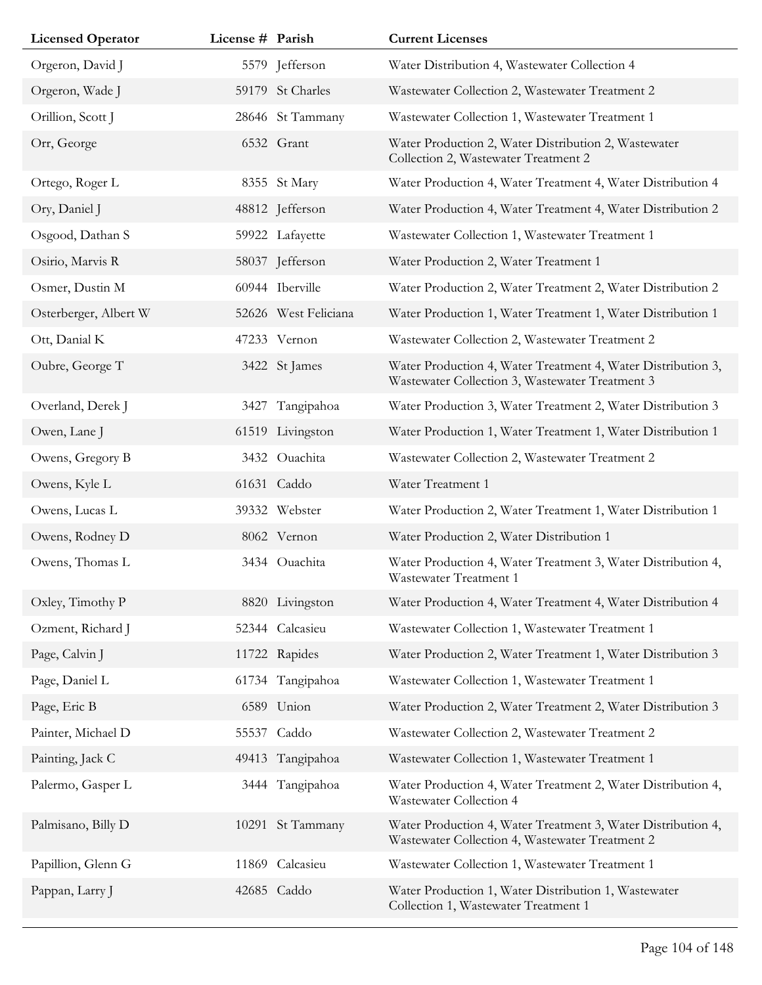| <b>Licensed Operator</b> | License # Parish |                      | <b>Current Licenses</b>                                                                                         |
|--------------------------|------------------|----------------------|-----------------------------------------------------------------------------------------------------------------|
| Orgeron, David J         |                  | 5579 Jefferson       | Water Distribution 4, Wastewater Collection 4                                                                   |
| Orgeron, Wade J          |                  | 59179 St Charles     | Wastewater Collection 2, Wastewater Treatment 2                                                                 |
| Orillion, Scott J        |                  | 28646 St Tammany     | Wastewater Collection 1, Wastewater Treatment 1                                                                 |
| Orr, George              |                  | 6532 Grant           | Water Production 2, Water Distribution 2, Wastewater<br>Collection 2, Wastewater Treatment 2                    |
| Ortego, Roger L          |                  | 8355 St Mary         | Water Production 4, Water Treatment 4, Water Distribution 4                                                     |
| Ory, Daniel J            |                  | 48812 Jefferson      | Water Production 4, Water Treatment 4, Water Distribution 2                                                     |
| Osgood, Dathan S         |                  | 59922 Lafayette      | Wastewater Collection 1, Wastewater Treatment 1                                                                 |
| Osirio, Marvis R         |                  | 58037 Jefferson      | Water Production 2, Water Treatment 1                                                                           |
| Osmer, Dustin M          |                  | 60944 Iberville      | Water Production 2, Water Treatment 2, Water Distribution 2                                                     |
| Osterberger, Albert W    |                  | 52626 West Feliciana | Water Production 1, Water Treatment 1, Water Distribution 1                                                     |
| Ott, Danial K            |                  | 47233 Vernon         | Wastewater Collection 2, Wastewater Treatment 2                                                                 |
| Oubre, George T          |                  | 3422 St James        | Water Production 4, Water Treatment 4, Water Distribution 3,<br>Wastewater Collection 3, Wastewater Treatment 3 |
| Overland, Derek J        | 3427             | Tangipahoa           | Water Production 3, Water Treatment 2, Water Distribution 3                                                     |
| Owen, Lane J             |                  | 61519 Livingston     | Water Production 1, Water Treatment 1, Water Distribution 1                                                     |
| Owens, Gregory B         |                  | 3432 Ouachita        | Wastewater Collection 2, Wastewater Treatment 2                                                                 |
| Owens, Kyle L            |                  | 61631 Caddo          | Water Treatment 1                                                                                               |
| Owens, Lucas L           |                  | 39332 Webster        | Water Production 2, Water Treatment 1, Water Distribution 1                                                     |
| Owens, Rodney D          |                  | 8062 Vernon          | Water Production 2, Water Distribution 1                                                                        |
| Owens, Thomas L          |                  | 3434 Ouachita        | Water Production 4, Water Treatment 3, Water Distribution 4,<br>Wastewater Treatment 1                          |
| Oxley, Timothy P         |                  | 8820 Livingston      | Water Production 4, Water Treatment 4, Water Distribution 4                                                     |
| Ozment, Richard J        |                  | 52344 Calcasieu      | Wastewater Collection 1, Wastewater Treatment 1                                                                 |
| Page, Calvin J           |                  | 11722 Rapides        | Water Production 2, Water Treatment 1, Water Distribution 3                                                     |
| Page, Daniel L           |                  | 61734 Tangipahoa     | Wastewater Collection 1, Wastewater Treatment 1                                                                 |
| Page, Eric B             |                  | 6589 Union           | Water Production 2, Water Treatment 2, Water Distribution 3                                                     |
| Painter, Michael D       |                  | 55537 Caddo          | Wastewater Collection 2, Wastewater Treatment 2                                                                 |
| Painting, Jack C         |                  | 49413 Tangipahoa     | Wastewater Collection 1, Wastewater Treatment 1                                                                 |
| Palermo, Gasper L        |                  | 3444 Tangipahoa      | Water Production 4, Water Treatment 2, Water Distribution 4,<br>Wastewater Collection 4                         |
| Palmisano, Billy D       |                  | 10291 St Tammany     | Water Production 4, Water Treatment 3, Water Distribution 4,<br>Wastewater Collection 4, Wastewater Treatment 2 |
| Papillion, Glenn G       | 11869            | Calcasieu            | Wastewater Collection 1, Wastewater Treatment 1                                                                 |
| Pappan, Larry J          |                  | 42685 Caddo          | Water Production 1, Water Distribution 1, Wastewater<br>Collection 1, Wastewater Treatment 1                    |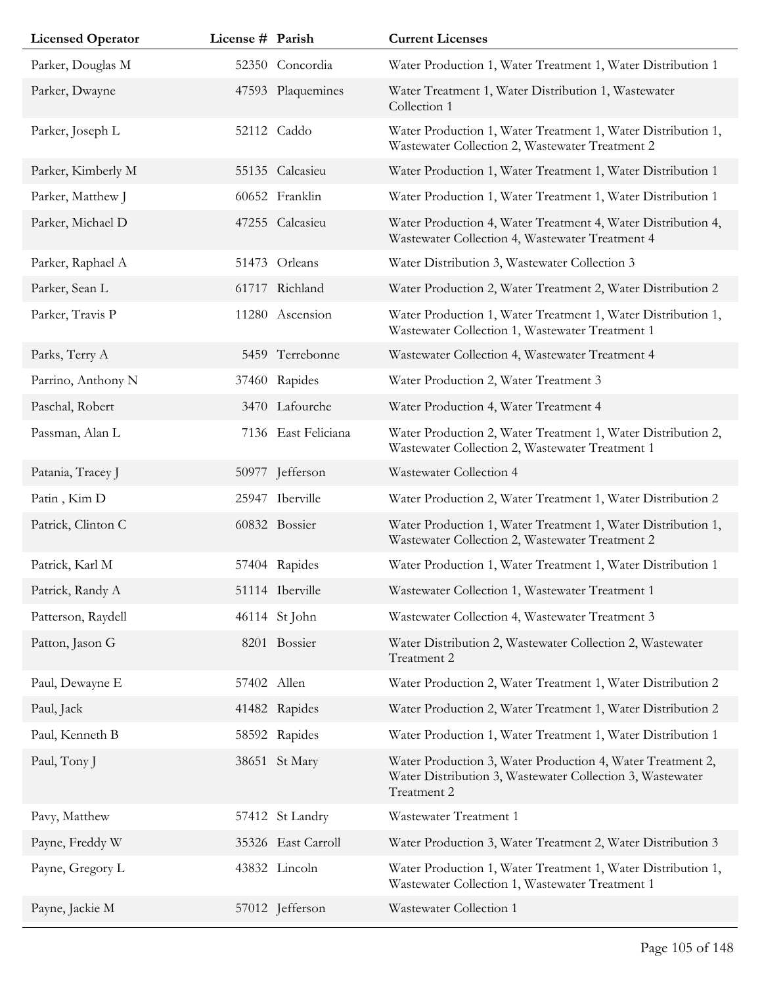| <b>Licensed Operator</b> | License # Parish |                     | <b>Current Licenses</b>                                                                                                                |
|--------------------------|------------------|---------------------|----------------------------------------------------------------------------------------------------------------------------------------|
| Parker, Douglas M        |                  | 52350 Concordia     | Water Production 1, Water Treatment 1, Water Distribution 1                                                                            |
| Parker, Dwayne           |                  | 47593 Plaquemines   | Water Treatment 1, Water Distribution 1, Wastewater<br>Collection 1                                                                    |
| Parker, Joseph L         |                  | 52112 Caddo         | Water Production 1, Water Treatment 1, Water Distribution 1,<br>Wastewater Collection 2, Wastewater Treatment 2                        |
| Parker, Kimberly M       |                  | 55135 Calcasieu     | Water Production 1, Water Treatment 1, Water Distribution 1                                                                            |
| Parker, Matthew J        |                  | 60652 Franklin      | Water Production 1, Water Treatment 1, Water Distribution 1                                                                            |
| Parker, Michael D        |                  | 47255 Calcasieu     | Water Production 4, Water Treatment 4, Water Distribution 4,<br>Wastewater Collection 4, Wastewater Treatment 4                        |
| Parker, Raphael A        |                  | 51473 Orleans       | Water Distribution 3, Wastewater Collection 3                                                                                          |
| Parker, Sean L           |                  | 61717 Richland      | Water Production 2, Water Treatment 2, Water Distribution 2                                                                            |
| Parker, Travis P         |                  | 11280 Ascension     | Water Production 1, Water Treatment 1, Water Distribution 1,<br>Wastewater Collection 1, Wastewater Treatment 1                        |
| Parks, Terry A           |                  | 5459 Terrebonne     | Wastewater Collection 4, Wastewater Treatment 4                                                                                        |
| Parrino, Anthony N       |                  | 37460 Rapides       | Water Production 2, Water Treatment 3                                                                                                  |
| Paschal, Robert          |                  | 3470 Lafourche      | Water Production 4, Water Treatment 4                                                                                                  |
| Passman, Alan L          |                  | 7136 East Feliciana | Water Production 2, Water Treatment 1, Water Distribution 2,<br>Wastewater Collection 2, Wastewater Treatment 1                        |
| Patania, Tracey J        |                  | 50977 Jefferson     | Wastewater Collection 4                                                                                                                |
| Patin, Kim D             |                  | 25947 Iberville     | Water Production 2, Water Treatment 1, Water Distribution 2                                                                            |
| Patrick, Clinton C       |                  | 60832 Bossier       | Water Production 1, Water Treatment 1, Water Distribution 1,<br>Wastewater Collection 2, Wastewater Treatment 2                        |
| Patrick, Karl M          |                  | 57404 Rapides       | Water Production 1, Water Treatment 1, Water Distribution 1                                                                            |
| Patrick, Randy A         |                  | 51114 Iberville     | Wastewater Collection 1, Wastewater Treatment 1                                                                                        |
| Patterson, Raydell       |                  | 46114 St John       | Wastewater Collection 4, Wastewater Treatment 3                                                                                        |
| Patton, Jason G          |                  | 8201 Bossier        | Water Distribution 2, Wastewater Collection 2, Wastewater<br>Treatment 2                                                               |
| Paul, Dewayne E          | 57402 Allen      |                     | Water Production 2, Water Treatment 1, Water Distribution 2                                                                            |
| Paul, Jack               |                  | 41482 Rapides       | Water Production 2, Water Treatment 1, Water Distribution 2                                                                            |
| Paul, Kenneth B          |                  | 58592 Rapides       | Water Production 1, Water Treatment 1, Water Distribution 1                                                                            |
| Paul, Tony J             |                  | 38651 St Mary       | Water Production 3, Water Production 4, Water Treatment 2,<br>Water Distribution 3, Wastewater Collection 3, Wastewater<br>Treatment 2 |
| Pavy, Matthew            |                  | 57412 St Landry     | Wastewater Treatment 1                                                                                                                 |
| Payne, Freddy W          |                  | 35326 East Carroll  | Water Production 3, Water Treatment 2, Water Distribution 3                                                                            |
| Payne, Gregory L         |                  | 43832 Lincoln       | Water Production 1, Water Treatment 1, Water Distribution 1,<br>Wastewater Collection 1, Wastewater Treatment 1                        |
| Payne, Jackie M          |                  | 57012 Jefferson     | Wastewater Collection 1                                                                                                                |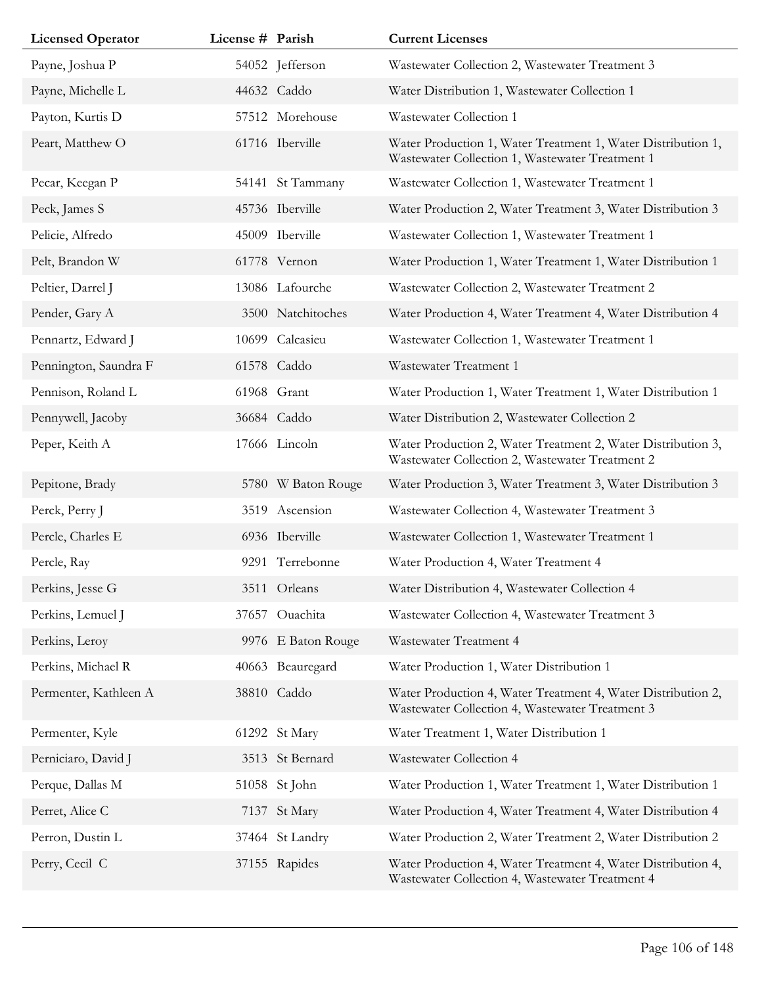| <b>Licensed Operator</b> | License # Parish |                    | <b>Current Licenses</b>                                                                                         |
|--------------------------|------------------|--------------------|-----------------------------------------------------------------------------------------------------------------|
| Payne, Joshua P          |                  | 54052 Jefferson    | Wastewater Collection 2, Wastewater Treatment 3                                                                 |
| Payne, Michelle L        |                  | 44632 Caddo        | Water Distribution 1, Wastewater Collection 1                                                                   |
| Payton, Kurtis D         |                  | 57512 Morehouse    | Wastewater Collection 1                                                                                         |
| Peart, Matthew O         |                  | 61716 Iberville    | Water Production 1, Water Treatment 1, Water Distribution 1,<br>Wastewater Collection 1, Wastewater Treatment 1 |
| Pecar, Keegan P          |                  | 54141 St Tammany   | Wastewater Collection 1, Wastewater Treatment 1                                                                 |
| Peck, James S            |                  | 45736 Iberville    | Water Production 2, Water Treatment 3, Water Distribution 3                                                     |
| Pelicie, Alfredo         |                  | 45009 Iberville    | Wastewater Collection 1, Wastewater Treatment 1                                                                 |
| Pelt, Brandon W          |                  | 61778 Vernon       | Water Production 1, Water Treatment 1, Water Distribution 1                                                     |
| Peltier, Darrel J        |                  | 13086 Lafourche    | Wastewater Collection 2, Wastewater Treatment 2                                                                 |
| Pender, Gary A           |                  | 3500 Natchitoches  | Water Production 4, Water Treatment 4, Water Distribution 4                                                     |
| Pennartz, Edward J       |                  | 10699 Calcasieu    | Wastewater Collection 1, Wastewater Treatment 1                                                                 |
| Pennington, Saundra F    |                  | 61578 Caddo        | Wastewater Treatment 1                                                                                          |
| Pennison, Roland L       |                  | 61968 Grant        | Water Production 1, Water Treatment 1, Water Distribution 1                                                     |
| Pennywell, Jacoby        |                  | 36684 Caddo        | Water Distribution 2, Wastewater Collection 2                                                                   |
| Peper, Keith A           |                  | 17666 Lincoln      | Water Production 2, Water Treatment 2, Water Distribution 3,<br>Wastewater Collection 2, Wastewater Treatment 2 |
| Pepitone, Brady          |                  | 5780 W Baton Rouge | Water Production 3, Water Treatment 3, Water Distribution 3                                                     |
| Perck, Perry J           |                  | 3519 Ascension     | Wastewater Collection 4, Wastewater Treatment 3                                                                 |
| Percle, Charles E        |                  | 6936 Iberville     | Wastewater Collection 1, Wastewater Treatment 1                                                                 |
| Percle, Ray              |                  | 9291 Terrebonne    | Water Production 4, Water Treatment 4                                                                           |
| Perkins, Jesse G         |                  | 3511 Orleans       | Water Distribution 4, Wastewater Collection 4                                                                   |
| Perkins, Lemuel J        |                  | 37657 Ouachita     | Wastewater Collection 4, Wastewater Treatment 3                                                                 |
| Perkins, Leroy           |                  | 9976 E Baton Rouge | Wastewater Treatment 4                                                                                          |
| Perkins, Michael R       |                  | 40663 Beauregard   | Water Production 1, Water Distribution 1                                                                        |
| Permenter, Kathleen A    |                  | 38810 Caddo        | Water Production 4, Water Treatment 4, Water Distribution 2,<br>Wastewater Collection 4, Wastewater Treatment 3 |
| Permenter, Kyle          |                  | 61292 St Mary      | Water Treatment 1, Water Distribution 1                                                                         |
| Perniciaro, David J      |                  | 3513 St Bernard    | Wastewater Collection 4                                                                                         |
| Perque, Dallas M         |                  | 51058 St John      | Water Production 1, Water Treatment 1, Water Distribution 1                                                     |
| Perret, Alice C          |                  | 7137 St Mary       | Water Production 4, Water Treatment 4, Water Distribution 4                                                     |
| Perron, Dustin L         |                  | 37464 St Landry    | Water Production 2, Water Treatment 2, Water Distribution 2                                                     |
| Perry, Cecil C           |                  | 37155 Rapides      | Water Production 4, Water Treatment 4, Water Distribution 4,<br>Wastewater Collection 4, Wastewater Treatment 4 |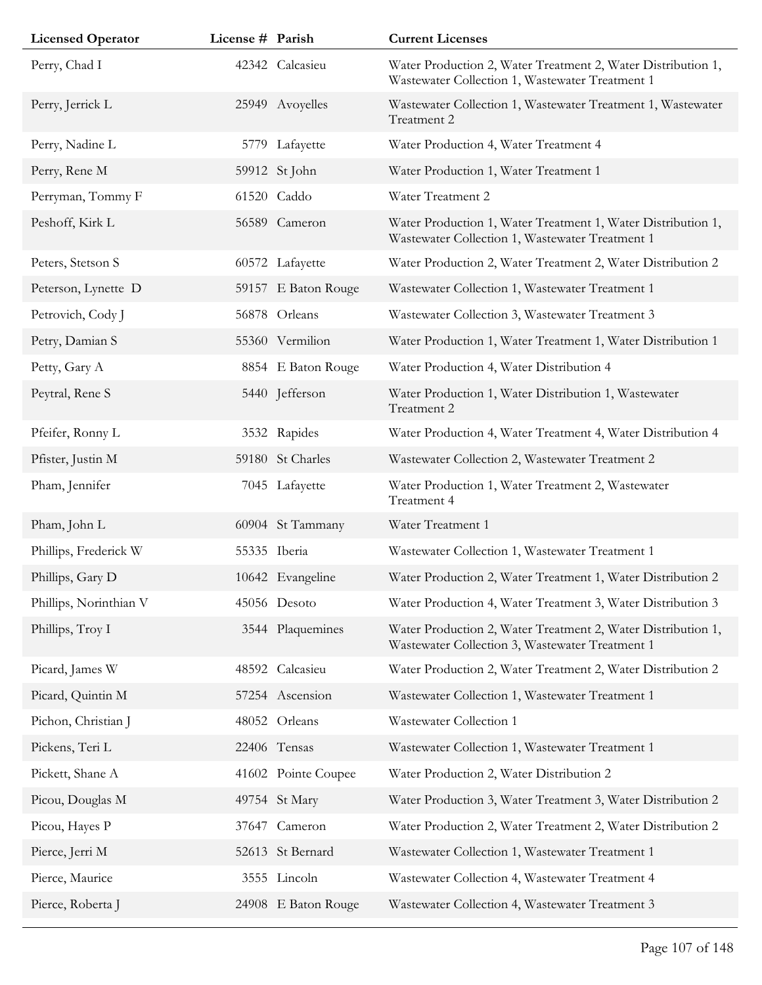| <b>Licensed Operator</b> | License # Parish |                     | <b>Current Licenses</b>                                                                                         |
|--------------------------|------------------|---------------------|-----------------------------------------------------------------------------------------------------------------|
| Perry, Chad I            |                  | 42342 Calcasieu     | Water Production 2, Water Treatment 2, Water Distribution 1,<br>Wastewater Collection 1, Wastewater Treatment 1 |
| Perry, Jerrick L         |                  | 25949 Avoyelles     | Wastewater Collection 1, Wastewater Treatment 1, Wastewater<br>Treatment 2                                      |
| Perry, Nadine L          |                  | 5779 Lafayette      | Water Production 4, Water Treatment 4                                                                           |
| Perry, Rene M            |                  | 59912 St John       | Water Production 1, Water Treatment 1                                                                           |
| Perryman, Tommy F        |                  | 61520 Caddo         | Water Treatment 2                                                                                               |
| Peshoff, Kirk L          |                  | 56589 Cameron       | Water Production 1, Water Treatment 1, Water Distribution 1,<br>Wastewater Collection 1, Wastewater Treatment 1 |
| Peters, Stetson S        |                  | 60572 Lafayette     | Water Production 2, Water Treatment 2, Water Distribution 2                                                     |
| Peterson, Lynette D      |                  | 59157 E Baton Rouge | Wastewater Collection 1, Wastewater Treatment 1                                                                 |
| Petrovich, Cody J        |                  | 56878 Orleans       | Wastewater Collection 3, Wastewater Treatment 3                                                                 |
| Petry, Damian S          |                  | 55360 Vermilion     | Water Production 1, Water Treatment 1, Water Distribution 1                                                     |
| Petty, Gary A            |                  | 8854 E Baton Rouge  | Water Production 4, Water Distribution 4                                                                        |
| Peytral, Rene S          |                  | 5440 Jefferson      | Water Production 1, Water Distribution 1, Wastewater<br>Treatment 2                                             |
| Pfeifer, Ronny L         |                  | 3532 Rapides        | Water Production 4, Water Treatment 4, Water Distribution 4                                                     |
| Pfister, Justin M        |                  | 59180 St Charles    | Wastewater Collection 2, Wastewater Treatment 2                                                                 |
| Pham, Jennifer           |                  | 7045 Lafayette      | Water Production 1, Water Treatment 2, Wastewater<br>Treatment 4                                                |
| Pham, John L             |                  | 60904 St Tammany    | Water Treatment 1                                                                                               |
| Phillips, Frederick W    |                  | 55335 Iberia        | Wastewater Collection 1, Wastewater Treatment 1                                                                 |
| Phillips, Gary D         |                  | 10642 Evangeline    | Water Production 2, Water Treatment 1, Water Distribution 2                                                     |
| Phillips, Norinthian V   |                  | 45056 Desoto        | Water Production 4, Water Treatment 3, Water Distribution 3                                                     |
| Phillips, Troy I         |                  | 3544 Plaquemines    | Water Production 2, Water Treatment 2, Water Distribution 1,<br>Wastewater Collection 3, Wastewater Treatment 1 |
| Picard, James W          |                  | 48592 Calcasieu     | Water Production 2, Water Treatment 2, Water Distribution 2                                                     |
| Picard, Quintin M        |                  | 57254 Ascension     | Wastewater Collection 1, Wastewater Treatment 1                                                                 |
| Pichon, Christian J      |                  | 48052 Orleans       | Wastewater Collection 1                                                                                         |
| Pickens, Teri L          |                  | 22406 Tensas        | Wastewater Collection 1, Wastewater Treatment 1                                                                 |
| Pickett, Shane A         |                  | 41602 Pointe Coupee | Water Production 2, Water Distribution 2                                                                        |
| Picou, Douglas M         |                  | 49754 St Mary       | Water Production 3, Water Treatment 3, Water Distribution 2                                                     |
| Picou, Hayes P           |                  | 37647 Cameron       | Water Production 2, Water Treatment 2, Water Distribution 2                                                     |
| Pierce, Jerri M          |                  | 52613 St Bernard    | Wastewater Collection 1, Wastewater Treatment 1                                                                 |
| Pierce, Maurice          |                  | 3555 Lincoln        | Wastewater Collection 4, Wastewater Treatment 4                                                                 |
| Pierce, Roberta J        |                  | 24908 E Baton Rouge | Wastewater Collection 4, Wastewater Treatment 3                                                                 |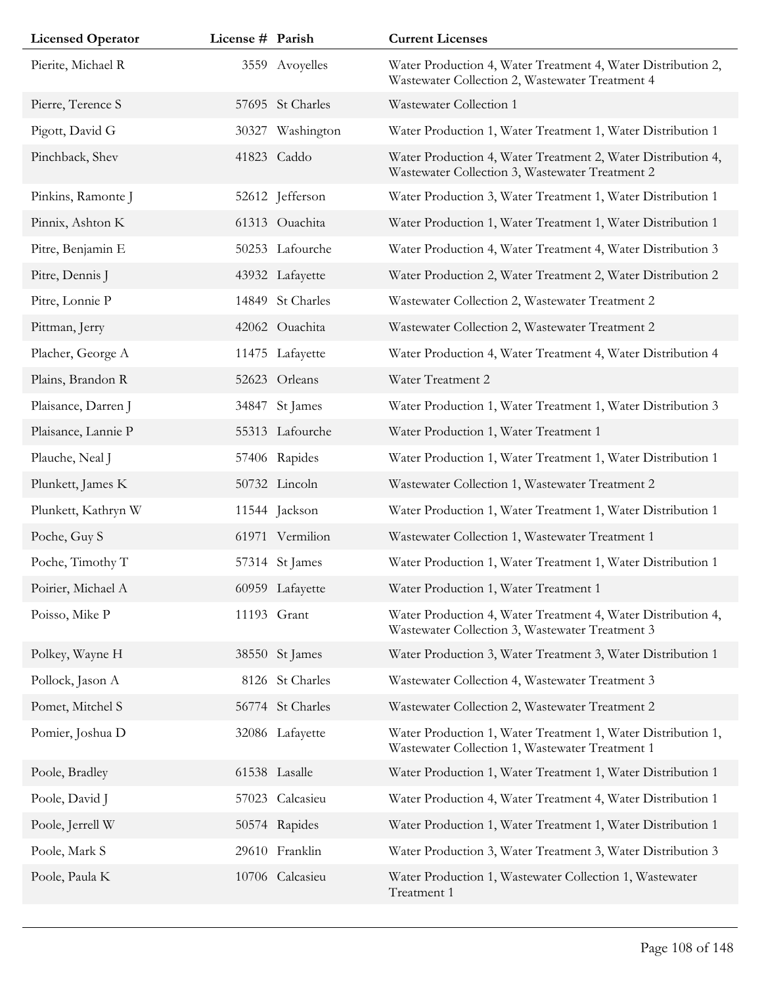| <b>Licensed Operator</b> | License # Parish |                  | <b>Current Licenses</b>                                                                                         |
|--------------------------|------------------|------------------|-----------------------------------------------------------------------------------------------------------------|
| Pierite, Michael R       |                  | 3559 Avoyelles   | Water Production 4, Water Treatment 4, Water Distribution 2,<br>Wastewater Collection 2, Wastewater Treatment 4 |
| Pierre, Terence S        |                  | 57695 St Charles | Wastewater Collection 1                                                                                         |
| Pigott, David G          | 30327            | Washington       | Water Production 1, Water Treatment 1, Water Distribution 1                                                     |
| Pinchback, Shev          |                  | 41823 Caddo      | Water Production 4, Water Treatment 2, Water Distribution 4,<br>Wastewater Collection 3, Wastewater Treatment 2 |
| Pinkins, Ramonte J       |                  | 52612 Jefferson  | Water Production 3, Water Treatment 1, Water Distribution 1                                                     |
| Pinnix, Ashton K         |                  | 61313 Ouachita   | Water Production 1, Water Treatment 1, Water Distribution 1                                                     |
| Pitre, Benjamin E        |                  | 50253 Lafourche  | Water Production 4, Water Treatment 4, Water Distribution 3                                                     |
| Pitre, Dennis J          |                  | 43932 Lafayette  | Water Production 2, Water Treatment 2, Water Distribution 2                                                     |
| Pitre, Lonnie P          |                  | 14849 St Charles | Wastewater Collection 2, Wastewater Treatment 2                                                                 |
| Pittman, Jerry           |                  | 42062 Ouachita   | Wastewater Collection 2, Wastewater Treatment 2                                                                 |
| Placher, George A        |                  | 11475 Lafayette  | Water Production 4, Water Treatment 4, Water Distribution 4                                                     |
| Plains, Brandon R        |                  | 52623 Orleans    | Water Treatment 2                                                                                               |
| Plaisance, Darren J      |                  | 34847 St James   | Water Production 1, Water Treatment 1, Water Distribution 3                                                     |
| Plaisance, Lannie P      |                  | 55313 Lafourche  | Water Production 1, Water Treatment 1                                                                           |
| Plauche, Neal J          |                  | 57406 Rapides    | Water Production 1, Water Treatment 1, Water Distribution 1                                                     |
| Plunkett, James K        |                  | 50732 Lincoln    | Wastewater Collection 1, Wastewater Treatment 2                                                                 |
| Plunkett, Kathryn W      |                  | 11544 Jackson    | Water Production 1, Water Treatment 1, Water Distribution 1                                                     |
| Poche, Guy S             |                  | 61971 Vermilion  | Wastewater Collection 1, Wastewater Treatment 1                                                                 |
| Poche, Timothy T         |                  | 57314 St James   | Water Production 1, Water Treatment 1, Water Distribution 1                                                     |
| Poirier, Michael A       |                  | 60959 Lafayette  | Water Production 1, Water Treatment 1                                                                           |
| Poisso, Mike P           |                  | 11193 Grant      | Water Production 4, Water Treatment 4, Water Distribution 4,<br>Wastewater Collection 3, Wastewater Treatment 3 |
| Polkey, Wayne H          |                  | 38550 St James   | Water Production 3, Water Treatment 3, Water Distribution 1                                                     |
| Pollock, Jason A         |                  | 8126 St Charles  | Wastewater Collection 4, Wastewater Treatment 3                                                                 |
| Pomet, Mitchel S         |                  | 56774 St Charles | Wastewater Collection 2, Wastewater Treatment 2                                                                 |
| Pomier, Joshua D         |                  | 32086 Lafayette  | Water Production 1, Water Treatment 1, Water Distribution 1,<br>Wastewater Collection 1, Wastewater Treatment 1 |
| Poole, Bradley           |                  | 61538 Lasalle    | Water Production 1, Water Treatment 1, Water Distribution 1                                                     |
| Poole, David J           |                  | 57023 Calcasieu  | Water Production 4, Water Treatment 4, Water Distribution 1                                                     |
| Poole, Jerrell W         |                  | 50574 Rapides    | Water Production 1, Water Treatment 1, Water Distribution 1                                                     |
| Poole, Mark S            |                  | 29610 Franklin   | Water Production 3, Water Treatment 3, Water Distribution 3                                                     |
| Poole, Paula K           |                  | 10706 Calcasieu  | Water Production 1, Wastewater Collection 1, Wastewater<br>Treatment 1                                          |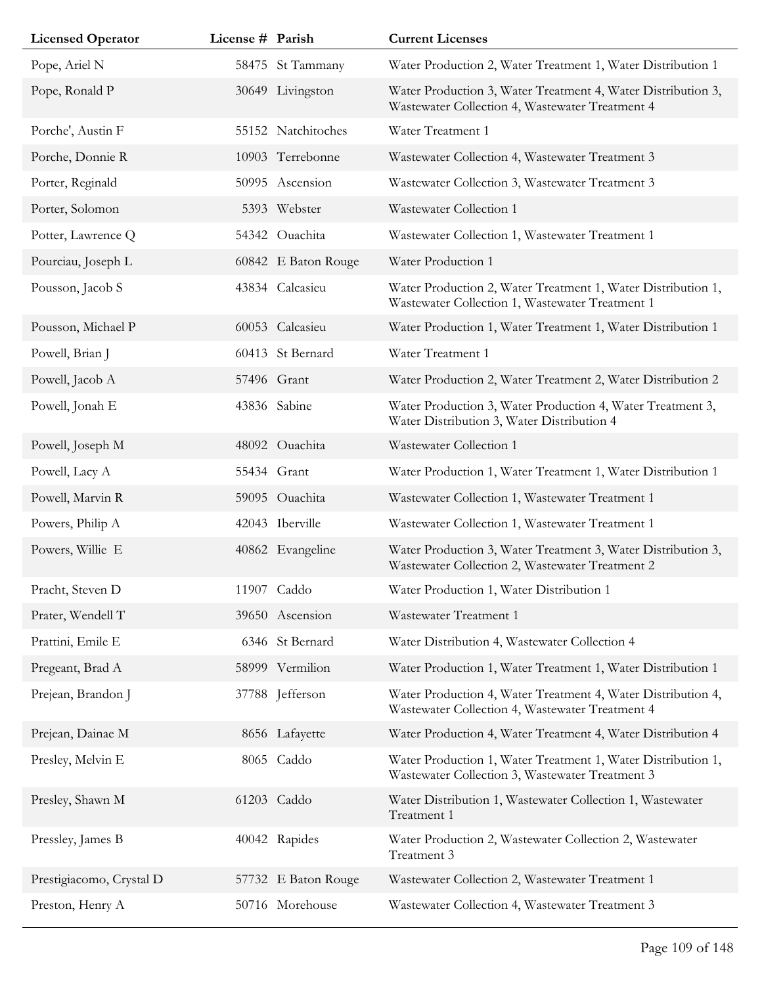| <b>Licensed Operator</b> | License # Parish |                     | <b>Current Licenses</b>                                                                                         |
|--------------------------|------------------|---------------------|-----------------------------------------------------------------------------------------------------------------|
| Pope, Ariel N            |                  | 58475 St Tammany    | Water Production 2, Water Treatment 1, Water Distribution 1                                                     |
| Pope, Ronald P           |                  | 30649 Livingston    | Water Production 3, Water Treatment 4, Water Distribution 3,<br>Wastewater Collection 4, Wastewater Treatment 4 |
| Porche', Austin F        |                  | 55152 Natchitoches  | Water Treatment 1                                                                                               |
| Porche, Donnie R         |                  | 10903 Terrebonne    | Wastewater Collection 4, Wastewater Treatment 3                                                                 |
| Porter, Reginald         |                  | 50995 Ascension     | Wastewater Collection 3, Wastewater Treatment 3                                                                 |
| Porter, Solomon          |                  | 5393 Webster        | Wastewater Collection 1                                                                                         |
| Potter, Lawrence Q       |                  | 54342 Ouachita      | Wastewater Collection 1, Wastewater Treatment 1                                                                 |
| Pourciau, Joseph L       |                  | 60842 E Baton Rouge | Water Production 1                                                                                              |
| Pousson, Jacob S         |                  | 43834 Calcasieu     | Water Production 2, Water Treatment 1, Water Distribution 1,<br>Wastewater Collection 1, Wastewater Treatment 1 |
| Pousson, Michael P       |                  | 60053 Calcasieu     | Water Production 1, Water Treatment 1, Water Distribution 1                                                     |
| Powell, Brian J          |                  | 60413 St Bernard    | Water Treatment 1                                                                                               |
| Powell, Jacob A          |                  | 57496 Grant         | Water Production 2, Water Treatment 2, Water Distribution 2                                                     |
| Powell, Jonah E          |                  | 43836 Sabine        | Water Production 3, Water Production 4, Water Treatment 3,<br>Water Distribution 3, Water Distribution 4        |
| Powell, Joseph M         |                  | 48092 Ouachita      | Wastewater Collection 1                                                                                         |
| Powell, Lacy A           |                  | 55434 Grant         | Water Production 1, Water Treatment 1, Water Distribution 1                                                     |
| Powell, Marvin R         |                  | 59095 Ouachita      | Wastewater Collection 1, Wastewater Treatment 1                                                                 |
| Powers, Philip A         |                  | 42043 Iberville     | Wastewater Collection 1, Wastewater Treatment 1                                                                 |
| Powers, Willie E         |                  | 40862 Evangeline    | Water Production 3, Water Treatment 3, Water Distribution 3,<br>Wastewater Collection 2, Wastewater Treatment 2 |
| Pracht, Steven D         |                  | 11907 Caddo         | Water Production 1, Water Distribution 1                                                                        |
| Prater, Wendell T        |                  | 39650 Ascension     | Wastewater Treatment 1                                                                                          |
| Prattini, Emile E        |                  | 6346 St Bernard     | Water Distribution 4, Wastewater Collection 4                                                                   |
| Pregeant, Brad A         |                  | 58999 Vermilion     | Water Production 1, Water Treatment 1, Water Distribution 1                                                     |
| Prejean, Brandon J       |                  | 37788 Jefferson     | Water Production 4, Water Treatment 4, Water Distribution 4,<br>Wastewater Collection 4, Wastewater Treatment 4 |
| Prejean, Dainae M        |                  | 8656 Lafayette      | Water Production 4, Water Treatment 4, Water Distribution 4                                                     |
| Presley, Melvin E        |                  | 8065 Caddo          | Water Production 1, Water Treatment 1, Water Distribution 1,<br>Wastewater Collection 3, Wastewater Treatment 3 |
| Presley, Shawn M         |                  | 61203 Caddo         | Water Distribution 1, Wastewater Collection 1, Wastewater<br>Treatment 1                                        |
| Pressley, James B        |                  | 40042 Rapides       | Water Production 2, Wastewater Collection 2, Wastewater<br>Treatment 3                                          |
| Prestigiacomo, Crystal D |                  | 57732 E Baton Rouge | Wastewater Collection 2, Wastewater Treatment 1                                                                 |
| Preston, Henry A         |                  | 50716 Morehouse     | Wastewater Collection 4, Wastewater Treatment 3                                                                 |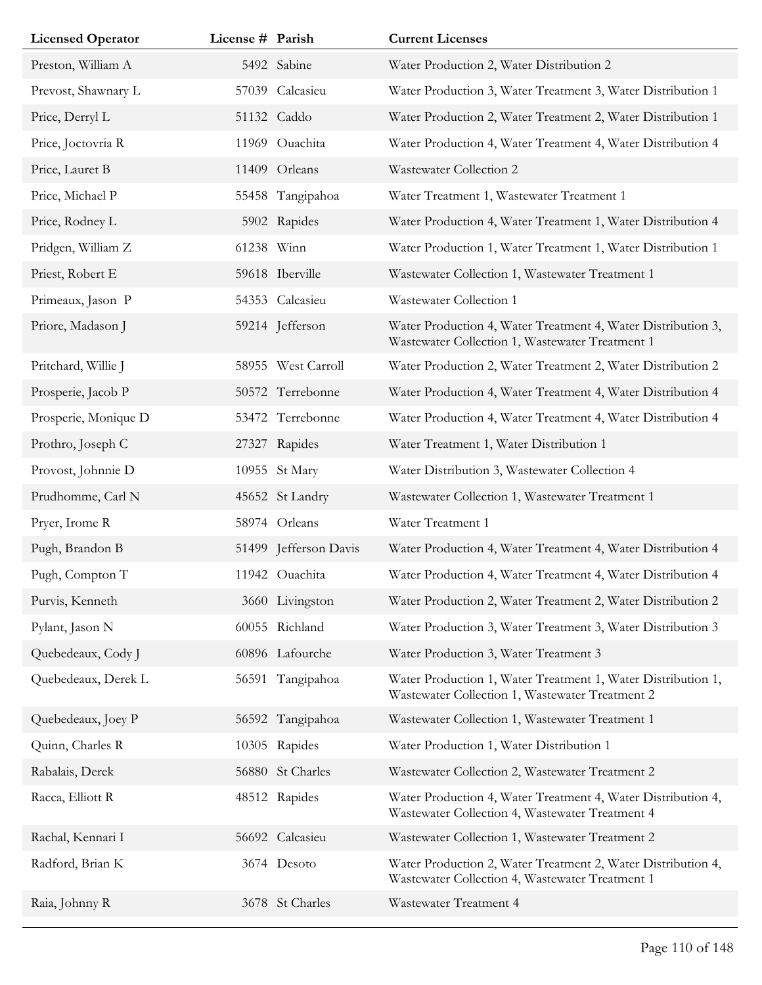| <b>Licensed Operator</b> | License # Parish |                       | <b>Current Licenses</b>                                                                                         |
|--------------------------|------------------|-----------------------|-----------------------------------------------------------------------------------------------------------------|
| Preston, William A       |                  | 5492 Sabine           | Water Production 2, Water Distribution 2                                                                        |
| Prevost, Shawnary L      |                  | 57039 Calcasieu       | Water Production 3, Water Treatment 3, Water Distribution 1                                                     |
| Price, Derryl L          |                  | 51132 Caddo           | Water Production 2, Water Treatment 2, Water Distribution 1                                                     |
| Price, Joctovria R       |                  | 11969 Ouachita        | Water Production 4, Water Treatment 4, Water Distribution 4                                                     |
| Price, Lauret B          |                  | 11409 Orleans         | Wastewater Collection 2                                                                                         |
| Price, Michael P         |                  | 55458 Tangipahoa      | Water Treatment 1, Wastewater Treatment 1                                                                       |
| Price, Rodney L          |                  | 5902 Rapides          | Water Production 4, Water Treatment 1, Water Distribution 4                                                     |
| Pridgen, William Z       | 61238 Winn       |                       | Water Production 1, Water Treatment 1, Water Distribution 1                                                     |
| Priest, Robert E         |                  | 59618 Iberville       | Wastewater Collection 1, Wastewater Treatment 1                                                                 |
| Primeaux, Jason P        |                  | 54353 Calcasieu       | Wastewater Collection 1                                                                                         |
| Priore, Madason J        |                  | 59214 Jefferson       | Water Production 4, Water Treatment 4, Water Distribution 3,<br>Wastewater Collection 1, Wastewater Treatment 1 |
| Pritchard, Willie J      |                  | 58955 West Carroll    | Water Production 2, Water Treatment 2, Water Distribution 2                                                     |
| Prosperie, Jacob P       |                  | 50572 Terrebonne      | Water Production 4, Water Treatment 4, Water Distribution 4                                                     |
| Prosperie, Monique D     |                  | 53472 Terrebonne      | Water Production 4, Water Treatment 4, Water Distribution 4                                                     |
| Prothro, Joseph C        |                  | 27327 Rapides         | Water Treatment 1, Water Distribution 1                                                                         |
| Provost, Johnnie D       |                  | 10955 St Mary         | Water Distribution 3, Wastewater Collection 4                                                                   |
| Prudhomme, Carl N        |                  | 45652 St Landry       | Wastewater Collection 1, Wastewater Treatment 1                                                                 |
| Pryer, Irome R           |                  | 58974 Orleans         | Water Treatment 1                                                                                               |
| Pugh, Brandon B          |                  | 51499 Jefferson Davis | Water Production 4, Water Treatment 4, Water Distribution 4                                                     |
| Pugh, Compton T          |                  | 11942 Ouachita        | Water Production 4, Water Treatment 4, Water Distribution 4                                                     |
| Purvis, Kenneth          |                  | 3660 Livingston       | Water Production 2, Water Treatment 2, Water Distribution 2                                                     |
| Pylant, Jason N          |                  | 60055 Richland        | Water Production 3, Water Treatment 3, Water Distribution 3                                                     |
| Quebedeaux, Cody J       |                  | 60896 Lafourche       | Water Production 3, Water Treatment 3                                                                           |
| Quebedeaux, Derek L      |                  | 56591 Tangipahoa      | Water Production 1, Water Treatment 1, Water Distribution 1,<br>Wastewater Collection 1, Wastewater Treatment 2 |
| Quebedeaux, Joey P       |                  | 56592 Tangipahoa      | Wastewater Collection 1, Wastewater Treatment 1                                                                 |
| Quinn, Charles R         |                  | 10305 Rapides         | Water Production 1, Water Distribution 1                                                                        |
| Rabalais, Derek          |                  | 56880 St Charles      | Wastewater Collection 2, Wastewater Treatment 2                                                                 |
| Racca, Elliott R         |                  | 48512 Rapides         | Water Production 4, Water Treatment 4, Water Distribution 4,<br>Wastewater Collection 4, Wastewater Treatment 4 |
| Rachal, Kennari I        |                  | 56692 Calcasieu       | Wastewater Collection 1, Wastewater Treatment 2                                                                 |
| Radford, Brian K         |                  | 3674 Desoto           | Water Production 2, Water Treatment 2, Water Distribution 4,<br>Wastewater Collection 4, Wastewater Treatment 1 |
| Raia, Johnny R           |                  | 3678 St Charles       | Wastewater Treatment 4                                                                                          |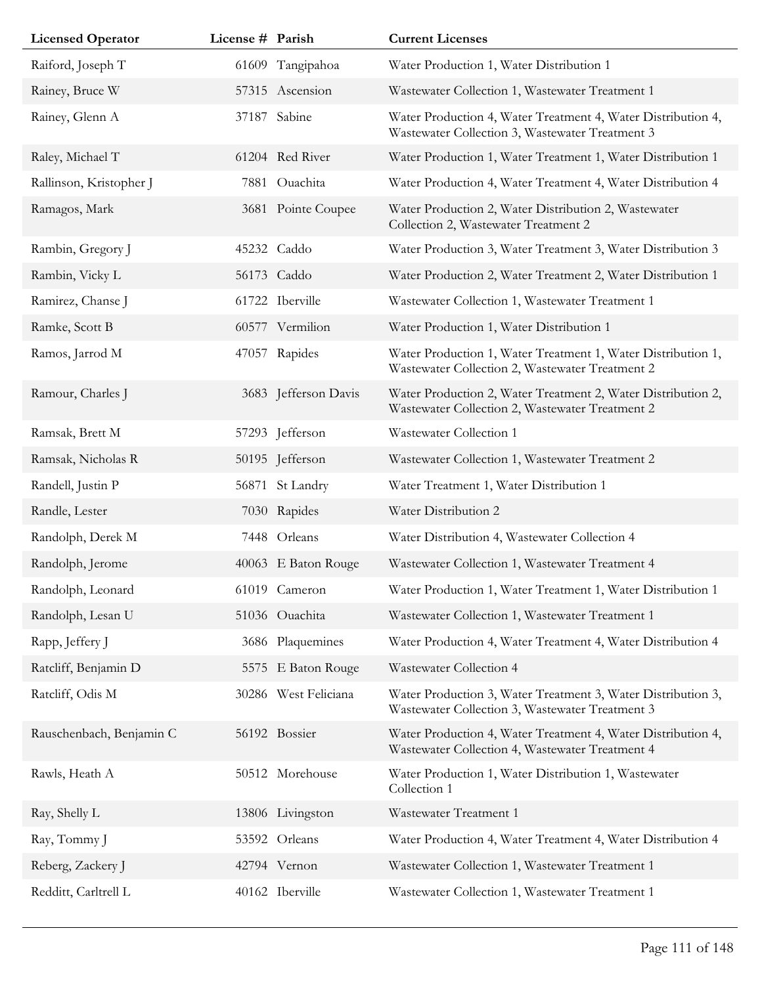| <b>Licensed Operator</b> | License # Parish |                      | <b>Current Licenses</b>                                                                                         |
|--------------------------|------------------|----------------------|-----------------------------------------------------------------------------------------------------------------|
| Raiford, Joseph T        |                  | 61609 Tangipahoa     | Water Production 1, Water Distribution 1                                                                        |
| Rainey, Bruce W          |                  | 57315 Ascension      | Wastewater Collection 1, Wastewater Treatment 1                                                                 |
| Rainey, Glenn A          |                  | 37187 Sabine         | Water Production 4, Water Treatment 4, Water Distribution 4,<br>Wastewater Collection 3, Wastewater Treatment 3 |
| Raley, Michael T         |                  | 61204 Red River      | Water Production 1, Water Treatment 1, Water Distribution 1                                                     |
| Rallinson, Kristopher J  |                  | 7881 Ouachita        | Water Production 4, Water Treatment 4, Water Distribution 4                                                     |
| Ramagos, Mark            |                  | 3681 Pointe Coupee   | Water Production 2, Water Distribution 2, Wastewater<br>Collection 2, Wastewater Treatment 2                    |
| Rambin, Gregory J        |                  | 45232 Caddo          | Water Production 3, Water Treatment 3, Water Distribution 3                                                     |
| Rambin, Vicky L          |                  | 56173 Caddo          | Water Production 2, Water Treatment 2, Water Distribution 1                                                     |
| Ramirez, Chanse J        |                  | 61722 Iberville      | Wastewater Collection 1, Wastewater Treatment 1                                                                 |
| Ramke, Scott B           |                  | 60577 Vermilion      | Water Production 1, Water Distribution 1                                                                        |
| Ramos, Jarrod M          |                  | 47057 Rapides        | Water Production 1, Water Treatment 1, Water Distribution 1,<br>Wastewater Collection 2, Wastewater Treatment 2 |
| Ramour, Charles J        |                  | 3683 Jefferson Davis | Water Production 2, Water Treatment 2, Water Distribution 2,<br>Wastewater Collection 2, Wastewater Treatment 2 |
| Ramsak, Brett M          |                  | 57293 Jefferson      | Wastewater Collection 1                                                                                         |
| Ramsak, Nicholas R       |                  | 50195 Jefferson      | Wastewater Collection 1, Wastewater Treatment 2                                                                 |
| Randell, Justin P        |                  | 56871 St Landry      | Water Treatment 1, Water Distribution 1                                                                         |
| Randle, Lester           |                  | 7030 Rapides         | Water Distribution 2                                                                                            |
| Randolph, Derek M        |                  | 7448 Orleans         | Water Distribution 4, Wastewater Collection 4                                                                   |
| Randolph, Jerome         |                  | 40063 E Baton Rouge  | Wastewater Collection 1, Wastewater Treatment 4                                                                 |
| Randolph, Leonard        |                  | 61019 Cameron        | Water Production 1, Water Treatment 1, Water Distribution 1                                                     |
| Randolph, Lesan U        |                  | 51036 Ouachita       | Wastewater Collection 1, Wastewater Treatment 1                                                                 |
| Rapp, Jeffery J          |                  | 3686 Plaquemines     | Water Production 4, Water Treatment 4, Water Distribution 4                                                     |
| Ratcliff, Benjamin D     |                  | 5575 E Baton Rouge   | Wastewater Collection 4                                                                                         |
| Ratcliff, Odis M         |                  | 30286 West Feliciana | Water Production 3, Water Treatment 3, Water Distribution 3,<br>Wastewater Collection 3, Wastewater Treatment 3 |
| Rauschenbach, Benjamin C |                  | 56192 Bossier        | Water Production 4, Water Treatment 4, Water Distribution 4,<br>Wastewater Collection 4, Wastewater Treatment 4 |
| Rawls, Heath A           |                  | 50512 Morehouse      | Water Production 1, Water Distribution 1, Wastewater<br>Collection 1                                            |
| Ray, Shelly L            |                  | 13806 Livingston     | Wastewater Treatment 1                                                                                          |
| Ray, Tommy J             |                  | 53592 Orleans        | Water Production 4, Water Treatment 4, Water Distribution 4                                                     |
| Reberg, Zackery J        |                  | 42794 Vernon         | Wastewater Collection 1, Wastewater Treatment 1                                                                 |
| Redditt, Carltrell L     |                  | 40162 Iberville      | Wastewater Collection 1, Wastewater Treatment 1                                                                 |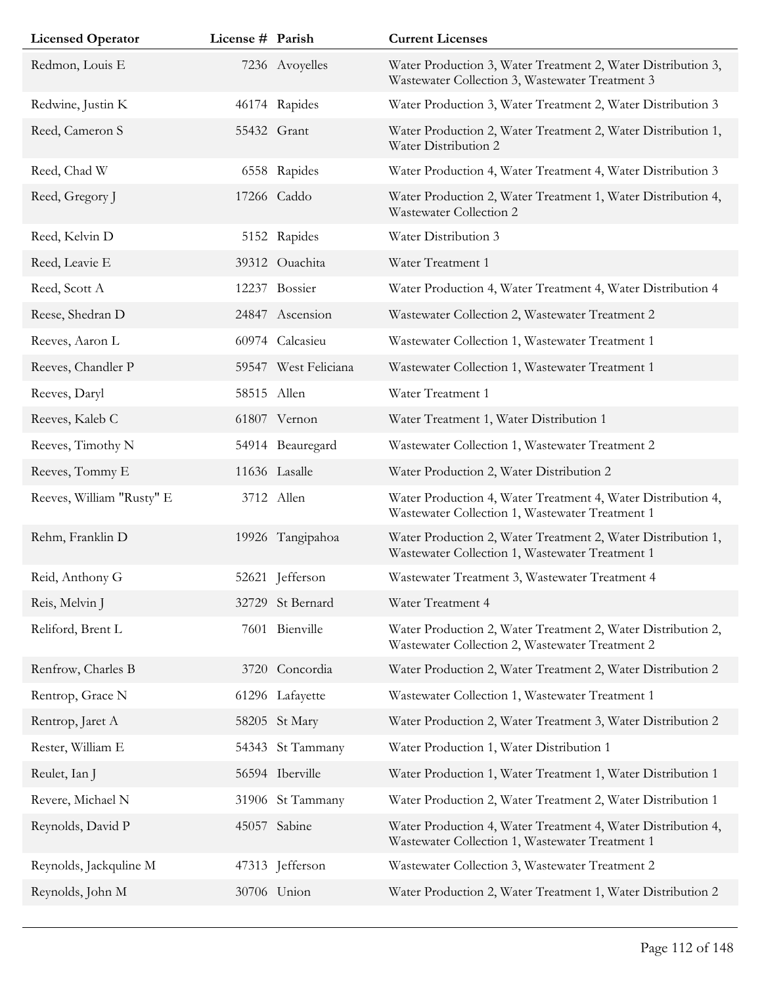| <b>Licensed Operator</b>  | License # Parish |                      | <b>Current Licenses</b>                                                                                         |
|---------------------------|------------------|----------------------|-----------------------------------------------------------------------------------------------------------------|
| Redmon, Louis E           |                  | 7236 Avoyelles       | Water Production 3, Water Treatment 2, Water Distribution 3,<br>Wastewater Collection 3, Wastewater Treatment 3 |
| Redwine, Justin K         |                  | 46174 Rapides        | Water Production 3, Water Treatment 2, Water Distribution 3                                                     |
| Reed, Cameron S           |                  | 55432 Grant          | Water Production 2, Water Treatment 2, Water Distribution 1,<br>Water Distribution 2                            |
| Reed, Chad W              |                  | 6558 Rapides         | Water Production 4, Water Treatment 4, Water Distribution 3                                                     |
| Reed, Gregory J           |                  | 17266 Caddo          | Water Production 2, Water Treatment 1, Water Distribution 4,<br>Wastewater Collection 2                         |
| Reed, Kelvin D            |                  | 5152 Rapides         | Water Distribution 3                                                                                            |
| Reed, Leavie E            |                  | 39312 Ouachita       | Water Treatment 1                                                                                               |
| Reed, Scott A             |                  | 12237 Bossier        | Water Production 4, Water Treatment 4, Water Distribution 4                                                     |
| Reese, Shedran D          |                  | 24847 Ascension      | Wastewater Collection 2, Wastewater Treatment 2                                                                 |
| Reeves, Aaron L           |                  | 60974 Calcasieu      | Wastewater Collection 1, Wastewater Treatment 1                                                                 |
| Reeves, Chandler P        |                  | 59547 West Feliciana | Wastewater Collection 1, Wastewater Treatment 1                                                                 |
| Reeves, Daryl             |                  | 58515 Allen          | Water Treatment 1                                                                                               |
| Reeves, Kaleb C           |                  | 61807 Vernon         | Water Treatment 1, Water Distribution 1                                                                         |
| Reeves, Timothy N         |                  | 54914 Beauregard     | Wastewater Collection 1, Wastewater Treatment 2                                                                 |
| Reeves, Tommy E           |                  | 11636 Lasalle        | Water Production 2, Water Distribution 2                                                                        |
| Reeves, William "Rusty" E |                  | 3712 Allen           | Water Production 4, Water Treatment 4, Water Distribution 4,<br>Wastewater Collection 1, Wastewater Treatment 1 |
| Rehm, Franklin D          |                  | 19926 Tangipahoa     | Water Production 2, Water Treatment 2, Water Distribution 1,<br>Wastewater Collection 1, Wastewater Treatment 1 |
| Reid, Anthony G           |                  | 52621 Jefferson      | Wastewater Treatment 3, Wastewater Treatment 4                                                                  |
| Reis, Melvin J            |                  | 32729 St Bernard     | Water Treatment 4                                                                                               |
| Reliford, Brent L         |                  | 7601 Bienville       | Water Production 2, Water Treatment 2, Water Distribution 2,<br>Wastewater Collection 2, Wastewater Treatment 2 |
| Renfrow, Charles B        |                  | 3720 Concordia       | Water Production 2, Water Treatment 2, Water Distribution 2                                                     |
| Rentrop, Grace N          |                  | 61296 Lafayette      | Wastewater Collection 1, Wastewater Treatment 1                                                                 |
| Rentrop, Jaret A          |                  | 58205 St Mary        | Water Production 2, Water Treatment 3, Water Distribution 2                                                     |
| Rester, William E         |                  | 54343 St Tammany     | Water Production 1, Water Distribution 1                                                                        |
| Reulet, Ian J             |                  | 56594 Iberville      | Water Production 1, Water Treatment 1, Water Distribution 1                                                     |
| Revere, Michael N         |                  | 31906 St Tammany     | Water Production 2, Water Treatment 2, Water Distribution 1                                                     |
| Reynolds, David P         |                  | 45057 Sabine         | Water Production 4, Water Treatment 4, Water Distribution 4,<br>Wastewater Collection 1, Wastewater Treatment 1 |
| Reynolds, Jackquline M    |                  | 47313 Jefferson      | Wastewater Collection 3, Wastewater Treatment 2                                                                 |
| Reynolds, John M          |                  | 30706 Union          | Water Production 2, Water Treatment 1, Water Distribution 2                                                     |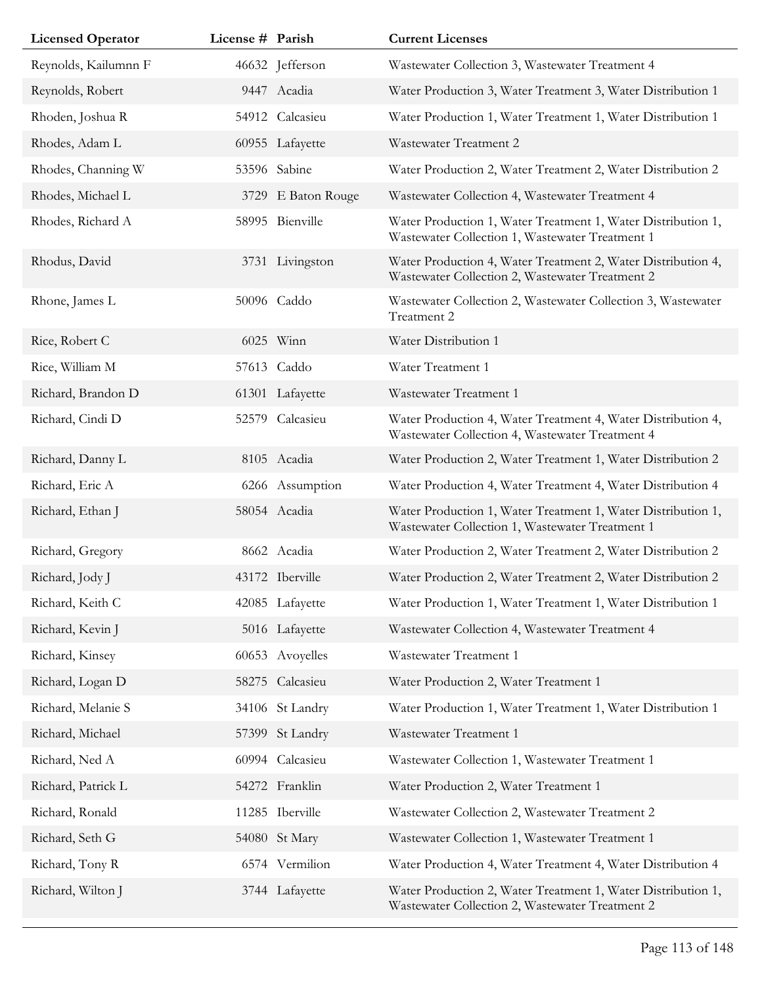| <b>Licensed Operator</b> | License # Parish |                    | <b>Current Licenses</b>                                                                                         |
|--------------------------|------------------|--------------------|-----------------------------------------------------------------------------------------------------------------|
| Reynolds, Kailumnn F     |                  | 46632 Jefferson    | Wastewater Collection 3, Wastewater Treatment 4                                                                 |
| Reynolds, Robert         |                  | 9447 Acadia        | Water Production 3, Water Treatment 3, Water Distribution 1                                                     |
| Rhoden, Joshua R         |                  | 54912 Calcasieu    | Water Production 1, Water Treatment 1, Water Distribution 1                                                     |
| Rhodes, Adam L           |                  | 60955 Lafayette    | Wastewater Treatment 2                                                                                          |
| Rhodes, Channing W       |                  | 53596 Sabine       | Water Production 2, Water Treatment 2, Water Distribution 2                                                     |
| Rhodes, Michael L        |                  | 3729 E Baton Rouge | Wastewater Collection 4, Wastewater Treatment 4                                                                 |
| Rhodes, Richard A        |                  | 58995 Bienville    | Water Production 1, Water Treatment 1, Water Distribution 1,<br>Wastewater Collection 1, Wastewater Treatment 1 |
| Rhodus, David            |                  | 3731 Livingston    | Water Production 4, Water Treatment 2, Water Distribution 4,<br>Wastewater Collection 2, Wastewater Treatment 2 |
| Rhone, James L           |                  | 50096 Caddo        | Wastewater Collection 2, Wastewater Collection 3, Wastewater<br>Treatment 2                                     |
| Rice, Robert C           |                  | 6025 Winn          | Water Distribution 1                                                                                            |
| Rice, William M          |                  | 57613 Caddo        | Water Treatment 1                                                                                               |
| Richard, Brandon D       |                  | 61301 Lafayette    | Wastewater Treatment 1                                                                                          |
| Richard, Cindi D         |                  | 52579 Calcasieu    | Water Production 4, Water Treatment 4, Water Distribution 4,<br>Wastewater Collection 4, Wastewater Treatment 4 |
| Richard, Danny L         |                  | 8105 Acadia        | Water Production 2, Water Treatment 1, Water Distribution 2                                                     |
| Richard, Eric A          |                  | 6266 Assumption    | Water Production 4, Water Treatment 4, Water Distribution 4                                                     |
| Richard, Ethan J         |                  | 58054 Acadia       | Water Production 1, Water Treatment 1, Water Distribution 1,<br>Wastewater Collection 1, Wastewater Treatment 1 |
| Richard, Gregory         |                  | 8662 Acadia        | Water Production 2, Water Treatment 2, Water Distribution 2                                                     |
| Richard, Jody J          |                  | 43172 Iberville    | Water Production 2, Water Treatment 2, Water Distribution 2                                                     |
| Richard, Keith C         |                  | 42085 Lafayette    | Water Production 1, Water Treatment 1, Water Distribution 1                                                     |
| Richard, Kevin J         |                  | 5016 Lafayette     | Wastewater Collection 4, Wastewater Treatment 4                                                                 |
| Richard, Kinsey          |                  | 60653 Avoyelles    | Wastewater Treatment 1                                                                                          |
| Richard, Logan D         |                  | 58275 Calcasieu    | Water Production 2, Water Treatment 1                                                                           |
| Richard, Melanie S       |                  | 34106 St Landry    | Water Production 1, Water Treatment 1, Water Distribution 1                                                     |
| Richard, Michael         | 57399            | St Landry          | Wastewater Treatment 1                                                                                          |
| Richard, Ned A           |                  | 60994 Calcasieu    | Wastewater Collection 1, Wastewater Treatment 1                                                                 |
| Richard, Patrick L       |                  | 54272 Franklin     | Water Production 2, Water Treatment 1                                                                           |
| Richard, Ronald          |                  | 11285 Iberville    | Wastewater Collection 2, Wastewater Treatment 2                                                                 |
| Richard, Seth G          |                  | 54080 St Mary      | Wastewater Collection 1, Wastewater Treatment 1                                                                 |
| Richard, Tony R          |                  | 6574 Vermilion     | Water Production 4, Water Treatment 4, Water Distribution 4                                                     |
| Richard, Wilton J        |                  | 3744 Lafayette     | Water Production 2, Water Treatment 1, Water Distribution 1,<br>Wastewater Collection 2, Wastewater Treatment 2 |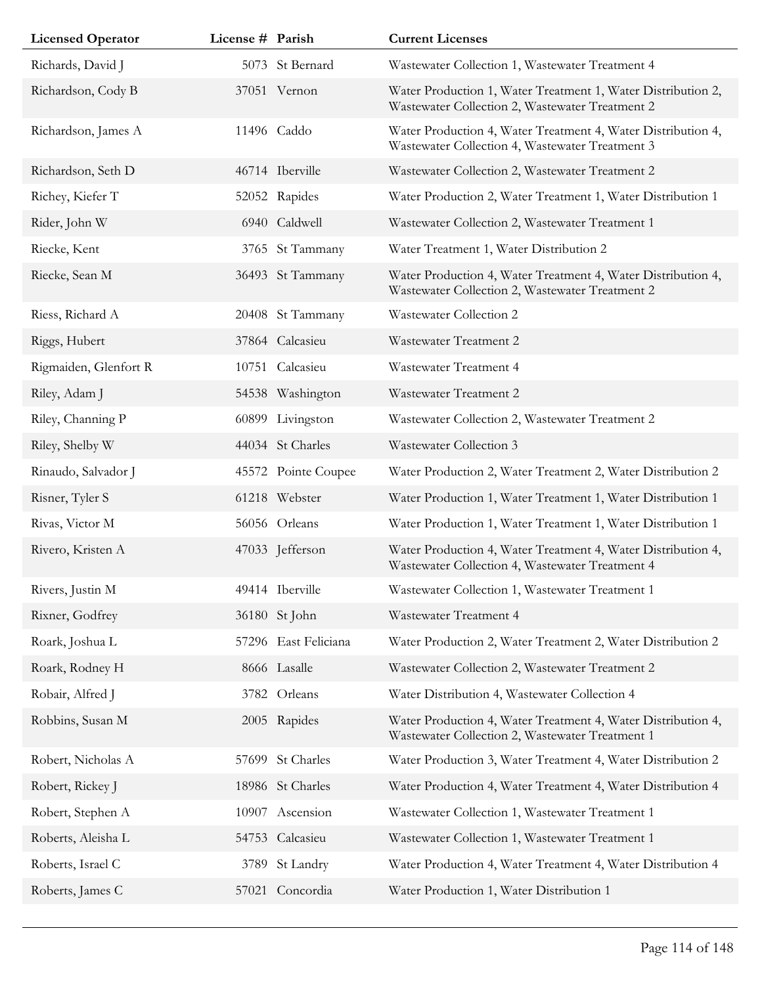| <b>Licensed Operator</b> | License # Parish |                      | <b>Current Licenses</b>                                                                                         |
|--------------------------|------------------|----------------------|-----------------------------------------------------------------------------------------------------------------|
| Richards, David J        |                  | 5073 St Bernard      | Wastewater Collection 1, Wastewater Treatment 4                                                                 |
| Richardson, Cody B       |                  | 37051 Vernon         | Water Production 1, Water Treatment 1, Water Distribution 2,<br>Wastewater Collection 2, Wastewater Treatment 2 |
| Richardson, James A      |                  | 11496 Caddo          | Water Production 4, Water Treatment 4, Water Distribution 4,<br>Wastewater Collection 4, Wastewater Treatment 3 |
| Richardson, Seth D       |                  | 46714 Iberville      | Wastewater Collection 2, Wastewater Treatment 2                                                                 |
| Richey, Kiefer T         |                  | 52052 Rapides        | Water Production 2, Water Treatment 1, Water Distribution 1                                                     |
| Rider, John W            |                  | 6940 Caldwell        | Wastewater Collection 2, Wastewater Treatment 1                                                                 |
| Riecke, Kent             |                  | 3765 St Tammany      | Water Treatment 1, Water Distribution 2                                                                         |
| Riecke, Sean M           |                  | 36493 St Tammany     | Water Production 4, Water Treatment 4, Water Distribution 4,<br>Wastewater Collection 2, Wastewater Treatment 2 |
| Riess, Richard A         |                  | 20408 St Tammany     | Wastewater Collection 2                                                                                         |
| Riggs, Hubert            |                  | 37864 Calcasieu      | Wastewater Treatment 2                                                                                          |
| Rigmaiden, Glenfort R    |                  | 10751 Calcasieu      | Wastewater Treatment 4                                                                                          |
| Riley, Adam J            |                  | 54538 Washington     | Wastewater Treatment 2                                                                                          |
| Riley, Channing P        |                  | 60899 Livingston     | Wastewater Collection 2, Wastewater Treatment 2                                                                 |
| Riley, Shelby W          |                  | 44034 St Charles     | Wastewater Collection 3                                                                                         |
| Rinaudo, Salvador J      |                  | 45572 Pointe Coupee  | Water Production 2, Water Treatment 2, Water Distribution 2                                                     |
| Risner, Tyler S          |                  | 61218 Webster        | Water Production 1, Water Treatment 1, Water Distribution 1                                                     |
| Rivas, Victor M          |                  | 56056 Orleans        | Water Production 1, Water Treatment 1, Water Distribution 1                                                     |
| Rivero, Kristen A        |                  | 47033 Jefferson      | Water Production 4, Water Treatment 4, Water Distribution 4,<br>Wastewater Collection 4, Wastewater Treatment 4 |
| Rivers, Justin M         |                  | 49414 Iberville      | Wastewater Collection 1, Wastewater Treatment 1                                                                 |
| Rixner, Godfrey          |                  | 36180 St John        | Wastewater Treatment 4                                                                                          |
| Roark, Joshua L          |                  | 57296 East Feliciana | Water Production 2, Water Treatment 2, Water Distribution 2                                                     |
| Roark, Rodney H          |                  | 8666 Lasalle         | Wastewater Collection 2, Wastewater Treatment 2                                                                 |
| Robair, Alfred J         |                  | 3782 Orleans         | Water Distribution 4, Wastewater Collection 4                                                                   |
| Robbins, Susan M         |                  | 2005 Rapides         | Water Production 4, Water Treatment 4, Water Distribution 4,<br>Wastewater Collection 2, Wastewater Treatment 1 |
| Robert, Nicholas A       |                  | 57699 St Charles     | Water Production 3, Water Treatment 4, Water Distribution 2                                                     |
| Robert, Rickey J         |                  | 18986 St Charles     | Water Production 4, Water Treatment 4, Water Distribution 4                                                     |
| Robert, Stephen A        |                  | 10907 Ascension      | Wastewater Collection 1, Wastewater Treatment 1                                                                 |
| Roberts, Aleisha L       |                  | 54753 Calcasieu      | Wastewater Collection 1, Wastewater Treatment 1                                                                 |
| Roberts, Israel C        | 3789             | St Landry            | Water Production 4, Water Treatment 4, Water Distribution 4                                                     |
| Roberts, James C         |                  | 57021 Concordia      | Water Production 1, Water Distribution 1                                                                        |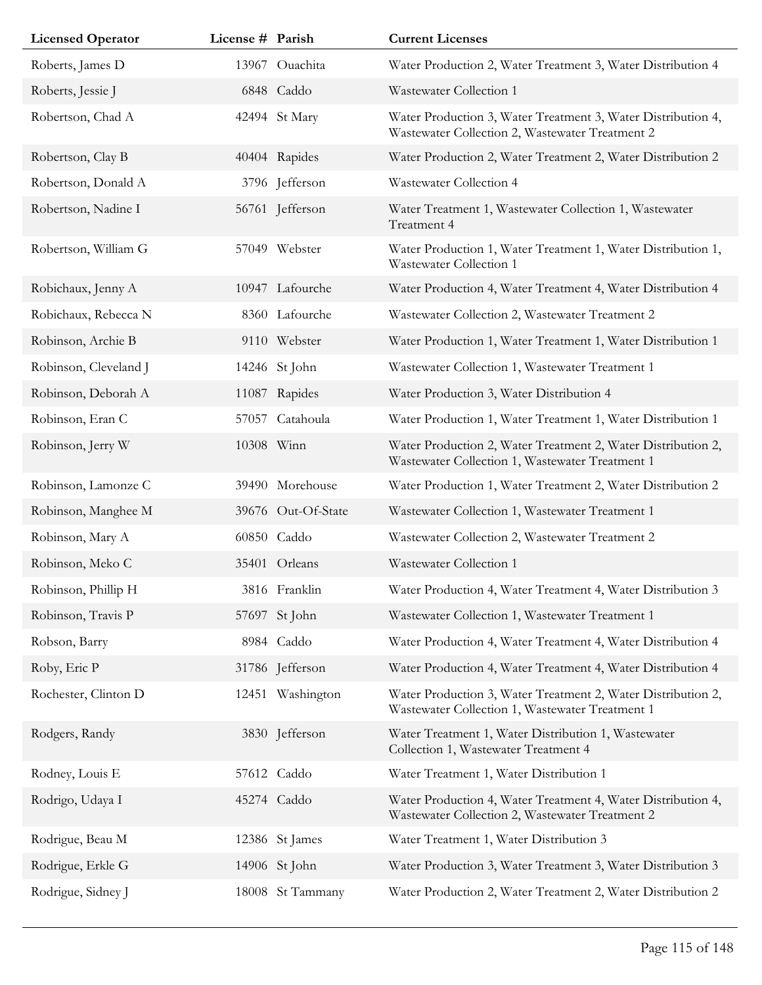| <b>Licensed Operator</b> | License # Parish |                    | <b>Current Licenses</b>                                                                                         |
|--------------------------|------------------|--------------------|-----------------------------------------------------------------------------------------------------------------|
| Roberts, James D         |                  | 13967 Ouachita     | Water Production 2, Water Treatment 3, Water Distribution 4                                                     |
| Roberts, Jessie J        |                  | 6848 Caddo         | Wastewater Collection 1                                                                                         |
| Robertson, Chad A        |                  | 42494 St Mary      | Water Production 3, Water Treatment 3, Water Distribution 4,<br>Wastewater Collection 2, Wastewater Treatment 2 |
| Robertson, Clay B        |                  | 40404 Rapides      | Water Production 2, Water Treatment 2, Water Distribution 2                                                     |
| Robertson, Donald A      |                  | 3796 Jefferson     | Wastewater Collection 4                                                                                         |
| Robertson, Nadine I      |                  | 56761 Jefferson    | Water Treatment 1, Wastewater Collection 1, Wastewater<br>Treatment 4                                           |
| Robertson, William G     |                  | 57049 Webster      | Water Production 1, Water Treatment 1, Water Distribution 1,<br>Wastewater Collection 1                         |
| Robichaux, Jenny A       |                  | 10947 Lafourche    | Water Production 4, Water Treatment 4, Water Distribution 4                                                     |
| Robichaux, Rebecca N     |                  | 8360 Lafourche     | Wastewater Collection 2, Wastewater Treatment 2                                                                 |
| Robinson, Archie B       |                  | 9110 Webster       | Water Production 1, Water Treatment 1, Water Distribution 1                                                     |
| Robinson, Cleveland J    |                  | 14246 St John      | Wastewater Collection 1, Wastewater Treatment 1                                                                 |
| Robinson, Deborah A      |                  | 11087 Rapides      | Water Production 3, Water Distribution 4                                                                        |
| Robinson, Eran C         | 57057            | Catahoula          | Water Production 1, Water Treatment 1, Water Distribution 1                                                     |
| Robinson, Jerry W        | 10308 Winn       |                    | Water Production 2, Water Treatment 2, Water Distribution 2,<br>Wastewater Collection 1, Wastewater Treatment 1 |
| Robinson, Lamonze C      |                  | 39490 Morehouse    | Water Production 1, Water Treatment 2, Water Distribution 2                                                     |
| Robinson, Manghee M      |                  | 39676 Out-Of-State | Wastewater Collection 1, Wastewater Treatment 1                                                                 |
| Robinson, Mary A         |                  | 60850 Caddo        | Wastewater Collection 2, Wastewater Treatment 2                                                                 |
| Robinson, Meko C         |                  | 35401 Orleans      | Wastewater Collection 1                                                                                         |
| Robinson, Phillip H      |                  | 3816 Franklin      | Water Production 4, Water Treatment 4, Water Distribution 3                                                     |
| Robinson, Travis P       |                  | 57697 St John      | Wastewater Collection 1, Wastewater Treatment 1                                                                 |
| Robson, Barry            |                  | 8984 Caddo         | Water Production 4, Water Treatment 4, Water Distribution 4                                                     |
| Roby, Eric P             |                  | 31786 Jefferson    | Water Production 4, Water Treatment 4, Water Distribution 4                                                     |
| Rochester, Clinton D     |                  | 12451 Washington   | Water Production 3, Water Treatment 2, Water Distribution 2,<br>Wastewater Collection 1, Wastewater Treatment 1 |
| Rodgers, Randy           |                  | 3830 Jefferson     | Water Treatment 1, Water Distribution 1, Wastewater<br>Collection 1, Wastewater Treatment 4                     |
| Rodney, Louis E          |                  | 57612 Caddo        | Water Treatment 1, Water Distribution 1                                                                         |
| Rodrigo, Udaya I         |                  | 45274 Caddo        | Water Production 4, Water Treatment 4, Water Distribution 4,<br>Wastewater Collection 2, Wastewater Treatment 2 |
| Rodrigue, Beau M         |                  | 12386 St James     | Water Treatment 1, Water Distribution 3                                                                         |
| Rodrigue, Erkle G        |                  | 14906 St John      | Water Production 3, Water Treatment 3, Water Distribution 3                                                     |
| Rodrigue, Sidney J       |                  | 18008 St Tammany   | Water Production 2, Water Treatment 2, Water Distribution 2                                                     |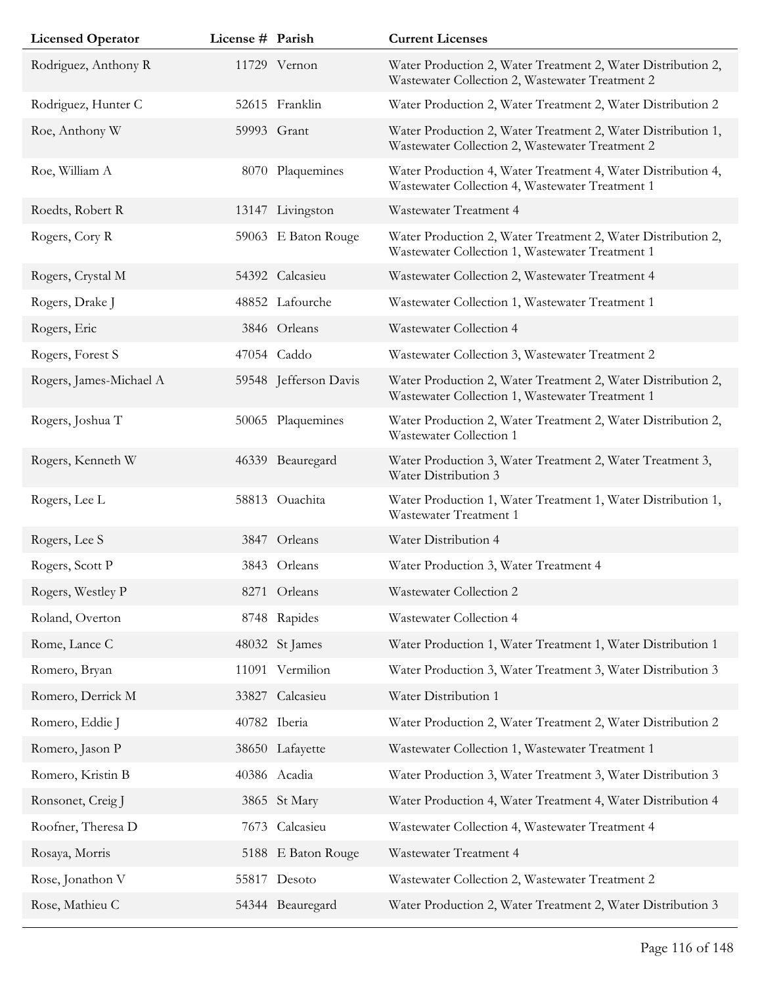| <b>Licensed Operator</b> | License # Parish |                       | <b>Current Licenses</b>                                                                                         |
|--------------------------|------------------|-----------------------|-----------------------------------------------------------------------------------------------------------------|
| Rodriguez, Anthony R     |                  | 11729 Vernon          | Water Production 2, Water Treatment 2, Water Distribution 2,<br>Wastewater Collection 2, Wastewater Treatment 2 |
| Rodriguez, Hunter C      |                  | 52615 Franklin        | Water Production 2, Water Treatment 2, Water Distribution 2                                                     |
| Roe, Anthony W           |                  | 59993 Grant           | Water Production 2, Water Treatment 2, Water Distribution 1,<br>Wastewater Collection 2, Wastewater Treatment 2 |
| Roe, William A           |                  | 8070 Plaquemines      | Water Production 4, Water Treatment 4, Water Distribution 4,<br>Wastewater Collection 4, Wastewater Treatment 1 |
| Roedts, Robert R         |                  | 13147 Livingston      | Wastewater Treatment 4                                                                                          |
| Rogers, Cory R           |                  | 59063 E Baton Rouge   | Water Production 2, Water Treatment 2, Water Distribution 2,<br>Wastewater Collection 1, Wastewater Treatment 1 |
| Rogers, Crystal M        |                  | 54392 Calcasieu       | Wastewater Collection 2, Wastewater Treatment 4                                                                 |
| Rogers, Drake J          |                  | 48852 Lafourche       | Wastewater Collection 1, Wastewater Treatment 1                                                                 |
| Rogers, Eric             |                  | 3846 Orleans          | Wastewater Collection 4                                                                                         |
| Rogers, Forest S         |                  | 47054 Caddo           | Wastewater Collection 3, Wastewater Treatment 2                                                                 |
| Rogers, James-Michael A  |                  | 59548 Jefferson Davis | Water Production 2, Water Treatment 2, Water Distribution 2,<br>Wastewater Collection 1, Wastewater Treatment 1 |
| Rogers, Joshua T         |                  | 50065 Plaquemines     | Water Production 2, Water Treatment 2, Water Distribution 2,<br>Wastewater Collection 1                         |
| Rogers, Kenneth W        |                  | 46339 Beauregard      | Water Production 3, Water Treatment 2, Water Treatment 3,<br>Water Distribution 3                               |
| Rogers, Lee L            |                  | 58813 Ouachita        | Water Production 1, Water Treatment 1, Water Distribution 1,<br>Wastewater Treatment 1                          |
| Rogers, Lee S            |                  | 3847 Orleans          | Water Distribution 4                                                                                            |
| Rogers, Scott P          |                  | 3843 Orleans          | Water Production 3, Water Treatment 4                                                                           |
| Rogers, Westley P        |                  | 8271 Orleans          | Wastewater Collection 2                                                                                         |
| Roland, Overton          |                  | 8748 Rapides          | Wastewater Collection 4                                                                                         |
| Rome, Lance C            |                  | 48032 St James        | Water Production 1, Water Treatment 1, Water Distribution 1                                                     |
| Romero, Bryan            |                  | 11091 Vermilion       | Water Production 3, Water Treatment 3, Water Distribution 3                                                     |
| Romero, Derrick M        |                  | 33827 Calcasieu       | Water Distribution 1                                                                                            |
| Romero, Eddie J          |                  | 40782 Iberia          | Water Production 2, Water Treatment 2, Water Distribution 2                                                     |
| Romero, Jason P          |                  | 38650 Lafayette       | Wastewater Collection 1, Wastewater Treatment 1                                                                 |
| Romero, Kristin B        |                  | 40386 Acadia          | Water Production 3, Water Treatment 3, Water Distribution 3                                                     |
| Ronsonet, Creig J        |                  | 3865 St Mary          | Water Production 4, Water Treatment 4, Water Distribution 4                                                     |
| Roofner, Theresa D       | 7673             | Calcasieu             | Wastewater Collection 4, Wastewater Treatment 4                                                                 |
| Rosaya, Morris           |                  | 5188 E Baton Rouge    | Wastewater Treatment 4                                                                                          |
| Rose, Jonathon V         |                  | 55817 Desoto          | Wastewater Collection 2, Wastewater Treatment 2                                                                 |
| Rose, Mathieu C          |                  | 54344 Beauregard      | Water Production 2, Water Treatment 2, Water Distribution 3                                                     |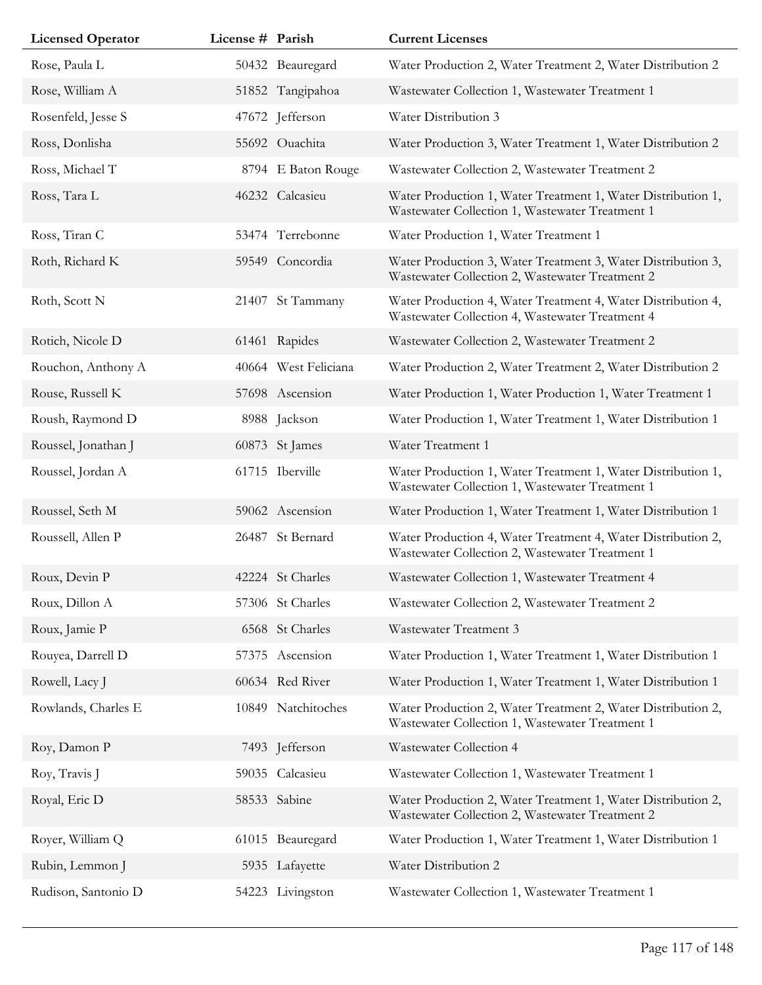| <b>Licensed Operator</b> | License # Parish |                      | <b>Current Licenses</b>                                                                                         |
|--------------------------|------------------|----------------------|-----------------------------------------------------------------------------------------------------------------|
| Rose, Paula L            |                  | 50432 Beauregard     | Water Production 2, Water Treatment 2, Water Distribution 2                                                     |
| Rose, William A          |                  | 51852 Tangipahoa     | Wastewater Collection 1, Wastewater Treatment 1                                                                 |
| Rosenfeld, Jesse S       |                  | 47672 Jefferson      | Water Distribution 3                                                                                            |
| Ross, Donlisha           |                  | 55692 Ouachita       | Water Production 3, Water Treatment 1, Water Distribution 2                                                     |
| Ross, Michael T          |                  | 8794 E Baton Rouge   | Wastewater Collection 2, Wastewater Treatment 2                                                                 |
| Ross, Tara L             |                  | 46232 Calcasieu      | Water Production 1, Water Treatment 1, Water Distribution 1,<br>Wastewater Collection 1, Wastewater Treatment 1 |
| Ross, Tiran C            |                  | 53474 Terrebonne     | Water Production 1, Water Treatment 1                                                                           |
| Roth, Richard K          |                  | 59549 Concordia      | Water Production 3, Water Treatment 3, Water Distribution 3,<br>Wastewater Collection 2, Wastewater Treatment 2 |
| Roth, Scott N            | 21407            | St Tammany           | Water Production 4, Water Treatment 4, Water Distribution 4,<br>Wastewater Collection 4, Wastewater Treatment 4 |
| Rotich, Nicole D         |                  | 61461 Rapides        | Wastewater Collection 2, Wastewater Treatment 2                                                                 |
| Rouchon, Anthony A       |                  | 40664 West Feliciana | Water Production 2, Water Treatment 2, Water Distribution 2                                                     |
| Rouse, Russell K         |                  | 57698 Ascension      | Water Production 1, Water Production 1, Water Treatment 1                                                       |
| Roush, Raymond D         |                  | 8988 Jackson         | Water Production 1, Water Treatment 1, Water Distribution 1                                                     |
| Roussel, Jonathan J      |                  | 60873 St James       | Water Treatment 1                                                                                               |
| Roussel, Jordan A        |                  | 61715 Iberville      | Water Production 1, Water Treatment 1, Water Distribution 1,<br>Wastewater Collection 1, Wastewater Treatment 1 |
| Roussel, Seth M          |                  | 59062 Ascension      | Water Production 1, Water Treatment 1, Water Distribution 1                                                     |
| Roussell, Allen P        |                  | 26487 St Bernard     | Water Production 4, Water Treatment 4, Water Distribution 2,<br>Wastewater Collection 2, Wastewater Treatment 1 |
| Roux, Devin P            |                  | 42224 St Charles     | Wastewater Collection 1, Wastewater Treatment 4                                                                 |
| Roux, Dillon A           |                  | 57306 St Charles     | Wastewater Collection 2, Wastewater Treatment 2                                                                 |
| Roux, Jamie P            |                  | 6568 St Charles      | Wastewater Treatment 3                                                                                          |
| Rouyea, Darrell D        |                  | 57375 Ascension      | Water Production 1, Water Treatment 1, Water Distribution 1                                                     |
| Rowell, Lacy J           |                  | 60634 Red River      | Water Production 1, Water Treatment 1, Water Distribution 1                                                     |
| Rowlands, Charles E      |                  | 10849 Natchitoches   | Water Production 2, Water Treatment 2, Water Distribution 2,<br>Wastewater Collection 1, Wastewater Treatment 1 |
| Roy, Damon P             |                  | 7493 Jefferson       | Wastewater Collection 4                                                                                         |
| Roy, Travis J            |                  | 59035 Calcasieu      | Wastewater Collection 1, Wastewater Treatment 1                                                                 |
| Royal, Eric D            |                  | 58533 Sabine         | Water Production 2, Water Treatment 1, Water Distribution 2,<br>Wastewater Collection 2, Wastewater Treatment 2 |
| Royer, William Q         |                  | 61015 Beauregard     | Water Production 1, Water Treatment 1, Water Distribution 1                                                     |
| Rubin, Lemmon J          |                  | 5935 Lafayette       | Water Distribution 2                                                                                            |
| Rudison, Santonio D      |                  | 54223 Livingston     | Wastewater Collection 1, Wastewater Treatment 1                                                                 |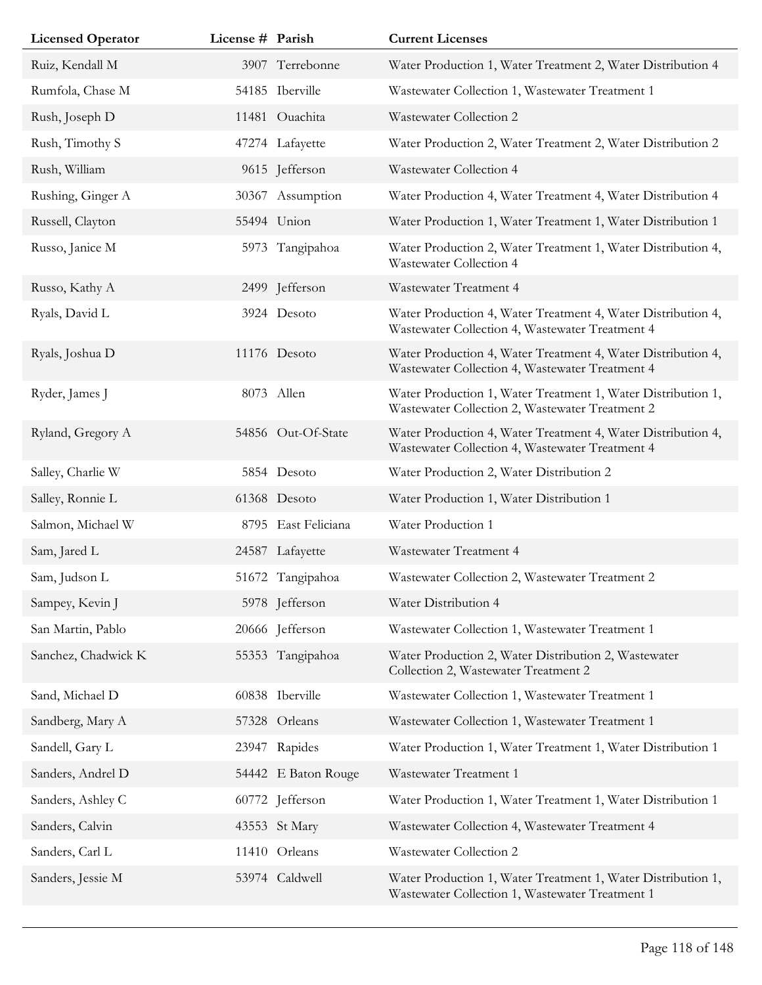| <b>Licensed Operator</b> | License # Parish |                     | <b>Current Licenses</b>                                                                                         |
|--------------------------|------------------|---------------------|-----------------------------------------------------------------------------------------------------------------|
| Ruiz, Kendall M          |                  | 3907 Terrebonne     | Water Production 1, Water Treatment 2, Water Distribution 4                                                     |
| Rumfola, Chase M         |                  | 54185 Iberville     | Wastewater Collection 1, Wastewater Treatment 1                                                                 |
| Rush, Joseph D           |                  | 11481 Ouachita      | Wastewater Collection 2                                                                                         |
| Rush, Timothy S          |                  | 47274 Lafayette     | Water Production 2, Water Treatment 2, Water Distribution 2                                                     |
| Rush, William            |                  | 9615 Jefferson      | Wastewater Collection 4                                                                                         |
| Rushing, Ginger A        |                  | 30367 Assumption    | Water Production 4, Water Treatment 4, Water Distribution 4                                                     |
| Russell, Clayton         |                  | 55494 Union         | Water Production 1, Water Treatment 1, Water Distribution 1                                                     |
| Russo, Janice M          |                  | 5973 Tangipahoa     | Water Production 2, Water Treatment 1, Water Distribution 4,<br>Wastewater Collection 4                         |
| Russo, Kathy A           |                  | 2499 Jefferson      | Wastewater Treatment 4                                                                                          |
| Ryals, David L           |                  | 3924 Desoto         | Water Production 4, Water Treatment 4, Water Distribution 4,<br>Wastewater Collection 4, Wastewater Treatment 4 |
| Ryals, Joshua D          |                  | 11176 Desoto        | Water Production 4, Water Treatment 4, Water Distribution 4,<br>Wastewater Collection 4, Wastewater Treatment 4 |
| Ryder, James J           |                  | 8073 Allen          | Water Production 1, Water Treatment 1, Water Distribution 1,<br>Wastewater Collection 2, Wastewater Treatment 2 |
| Ryland, Gregory A        |                  | 54856 Out-Of-State  | Water Production 4, Water Treatment 4, Water Distribution 4,<br>Wastewater Collection 4, Wastewater Treatment 4 |
| Salley, Charlie W        |                  | 5854 Desoto         | Water Production 2, Water Distribution 2                                                                        |
| Salley, Ronnie L         |                  | 61368 Desoto        | Water Production 1, Water Distribution 1                                                                        |
| Salmon, Michael W        |                  | 8795 East Feliciana | Water Production 1                                                                                              |
| Sam, Jared L             |                  | 24587 Lafayette     | Wastewater Treatment 4                                                                                          |
| Sam, Judson L            |                  | 51672 Tangipahoa    | Wastewater Collection 2, Wastewater Treatment 2                                                                 |
| Sampey, Kevin J          |                  | 5978 Jefferson      | Water Distribution 4                                                                                            |
| San Martin, Pablo        |                  | 20666 Jefferson     | Wastewater Collection 1, Wastewater Treatment 1                                                                 |
| Sanchez, Chadwick K      |                  | 55353 Tangipahoa    | Water Production 2, Water Distribution 2, Wastewater<br>Collection 2, Wastewater Treatment 2                    |
| Sand, Michael D          |                  | 60838 Iberville     | Wastewater Collection 1, Wastewater Treatment 1                                                                 |
| Sandberg, Mary A         |                  | 57328 Orleans       | Wastewater Collection 1, Wastewater Treatment 1                                                                 |
| Sandell, Gary L          |                  | 23947 Rapides       | Water Production 1, Water Treatment 1, Water Distribution 1                                                     |
| Sanders, Andrel D        |                  | 54442 E Baton Rouge | Wastewater Treatment 1                                                                                          |
| Sanders, Ashley C        |                  | 60772 Jefferson     | Water Production 1, Water Treatment 1, Water Distribution 1                                                     |
| Sanders, Calvin          |                  | 43553 St Mary       | Wastewater Collection 4, Wastewater Treatment 4                                                                 |
| Sanders, Carl L          |                  | 11410 Orleans       | Wastewater Collection 2                                                                                         |
| Sanders, Jessie M        |                  | 53974 Caldwell      | Water Production 1, Water Treatment 1, Water Distribution 1,<br>Wastewater Collection 1, Wastewater Treatment 1 |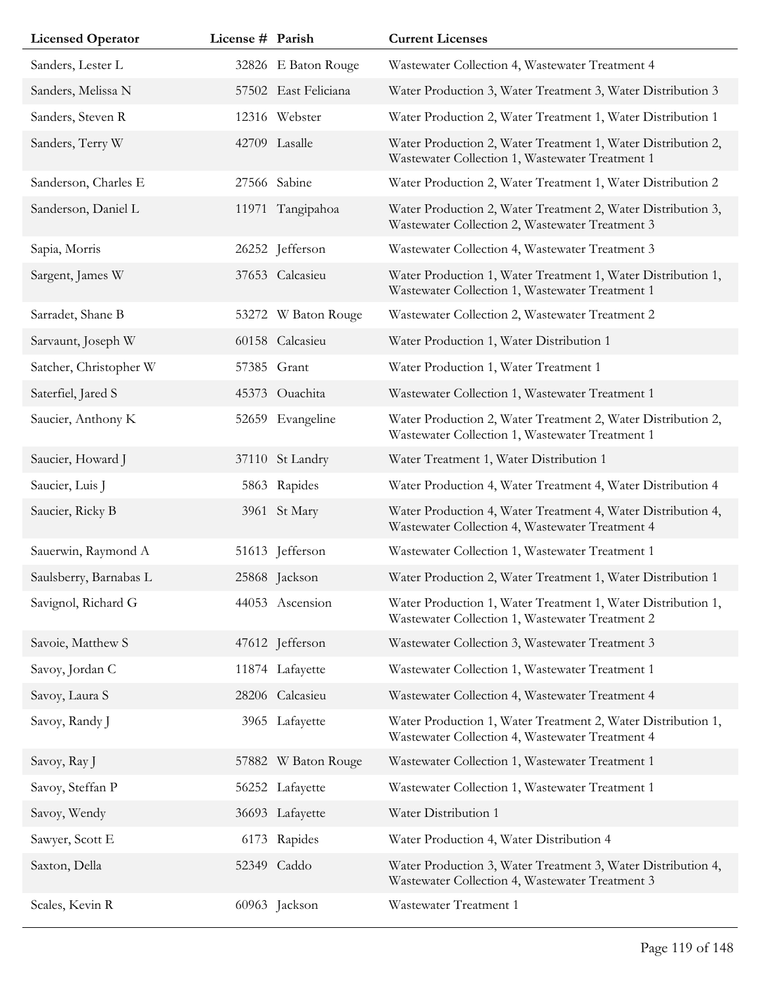| <b>Licensed Operator</b> | License # Parish |                      | <b>Current Licenses</b>                                                                                         |
|--------------------------|------------------|----------------------|-----------------------------------------------------------------------------------------------------------------|
| Sanders, Lester L        |                  | 32826 E Baton Rouge  | Wastewater Collection 4, Wastewater Treatment 4                                                                 |
| Sanders, Melissa N       |                  | 57502 East Feliciana | Water Production 3, Water Treatment 3, Water Distribution 3                                                     |
| Sanders, Steven R        |                  | 12316 Webster        | Water Production 2, Water Treatment 1, Water Distribution 1                                                     |
| Sanders, Terry W         |                  | 42709 Lasalle        | Water Production 2, Water Treatment 1, Water Distribution 2,<br>Wastewater Collection 1, Wastewater Treatment 1 |
| Sanderson, Charles E     |                  | 27566 Sabine         | Water Production 2, Water Treatment 1, Water Distribution 2                                                     |
| Sanderson, Daniel L      |                  | 11971 Tangipahoa     | Water Production 2, Water Treatment 2, Water Distribution 3,<br>Wastewater Collection 2, Wastewater Treatment 3 |
| Sapia, Morris            |                  | 26252 Jefferson      | Wastewater Collection 4, Wastewater Treatment 3                                                                 |
| Sargent, James W         |                  | 37653 Calcasieu      | Water Production 1, Water Treatment 1, Water Distribution 1,<br>Wastewater Collection 1, Wastewater Treatment 1 |
| Sarradet, Shane B        |                  | 53272 W Baton Rouge  | Wastewater Collection 2, Wastewater Treatment 2                                                                 |
| Sarvaunt, Joseph W       |                  | 60158 Calcasieu      | Water Production 1, Water Distribution 1                                                                        |
| Satcher, Christopher W   |                  | 57385 Grant          | Water Production 1, Water Treatment 1                                                                           |
| Saterfiel, Jared S       |                  | 45373 Ouachita       | Wastewater Collection 1, Wastewater Treatment 1                                                                 |
| Saucier, Anthony K       |                  | 52659 Evangeline     | Water Production 2, Water Treatment 2, Water Distribution 2,<br>Wastewater Collection 1, Wastewater Treatment 1 |
| Saucier, Howard J        |                  | 37110 St Landry      | Water Treatment 1, Water Distribution 1                                                                         |
| Saucier, Luis J          |                  | 5863 Rapides         | Water Production 4, Water Treatment 4, Water Distribution 4                                                     |
| Saucier, Ricky B         |                  | 3961 St Mary         | Water Production 4, Water Treatment 4, Water Distribution 4,<br>Wastewater Collection 4, Wastewater Treatment 4 |
| Sauerwin, Raymond A      |                  | 51613 Jefferson      | Wastewater Collection 1, Wastewater Treatment 1                                                                 |
| Saulsberry, Barnabas L   |                  | 25868 Jackson        | Water Production 2, Water Treatment 1, Water Distribution 1                                                     |
| Savignol, Richard G      |                  | 44053 Ascension      | Water Production 1, Water Treatment 1, Water Distribution 1,<br>Wastewater Collection 1, Wastewater Treatment 2 |
| Savoie, Matthew S        |                  | 47612 Jefferson      | Wastewater Collection 3, Wastewater Treatment 3                                                                 |
| Savoy, Jordan C          |                  | 11874 Lafayette      | Wastewater Collection 1, Wastewater Treatment 1                                                                 |
| Savoy, Laura S           |                  | 28206 Calcasieu      | Wastewater Collection 4, Wastewater Treatment 4                                                                 |
| Savoy, Randy J           |                  | 3965 Lafayette       | Water Production 1, Water Treatment 2, Water Distribution 1,<br>Wastewater Collection 4, Wastewater Treatment 4 |
| Savoy, Ray J             |                  | 57882 W Baton Rouge  | Wastewater Collection 1, Wastewater Treatment 1                                                                 |
| Savoy, Steffan P         |                  | 56252 Lafayette      | Wastewater Collection 1, Wastewater Treatment 1                                                                 |
| Savoy, Wendy             |                  | 36693 Lafayette      | Water Distribution 1                                                                                            |
| Sawyer, Scott E          | 6173             | Rapides              | Water Production 4, Water Distribution 4                                                                        |
| Saxton, Della            |                  | 52349 Caddo          | Water Production 3, Water Treatment 3, Water Distribution 4,<br>Wastewater Collection 4, Wastewater Treatment 3 |
| Scales, Kevin R          |                  | 60963 Jackson        | Wastewater Treatment 1                                                                                          |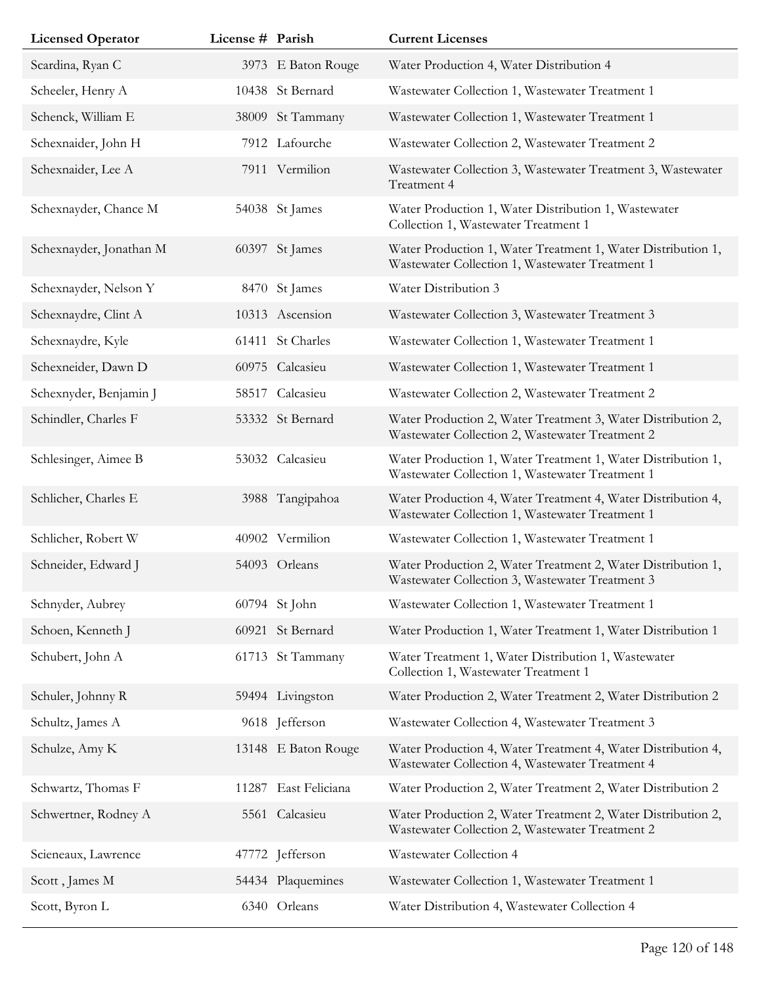| <b>Licensed Operator</b> | License # Parish |                     | <b>Current Licenses</b>                                                                                         |
|--------------------------|------------------|---------------------|-----------------------------------------------------------------------------------------------------------------|
| Scardina, Ryan C         |                  | 3973 E Baton Rouge  | Water Production 4, Water Distribution 4                                                                        |
| Scheeler, Henry A        |                  | 10438 St Bernard    | Wastewater Collection 1, Wastewater Treatment 1                                                                 |
| Schenck, William E       |                  | 38009 St Tammany    | Wastewater Collection 1, Wastewater Treatment 1                                                                 |
| Schexnaider, John H      |                  | 7912 Lafourche      | Wastewater Collection 2, Wastewater Treatment 2                                                                 |
| Schexnaider, Lee A       |                  | 7911 Vermilion      | Wastewater Collection 3, Wastewater Treatment 3, Wastewater<br>Treatment 4                                      |
| Schexnayder, Chance M    |                  | 54038 St James      | Water Production 1, Water Distribution 1, Wastewater<br>Collection 1, Wastewater Treatment 1                    |
| Schexnayder, Jonathan M  |                  | 60397 St James      | Water Production 1, Water Treatment 1, Water Distribution 1,<br>Wastewater Collection 1, Wastewater Treatment 1 |
| Schexnayder, Nelson Y    |                  | 8470 St James       | Water Distribution 3                                                                                            |
| Schexnaydre, Clint A     |                  | 10313 Ascension     | Wastewater Collection 3, Wastewater Treatment 3                                                                 |
| Schexnaydre, Kyle        |                  | 61411 St Charles    | Wastewater Collection 1, Wastewater Treatment 1                                                                 |
| Schexneider, Dawn D      |                  | 60975 Calcasieu     | Wastewater Collection 1, Wastewater Treatment 1                                                                 |
| Schexnyder, Benjamin J   |                  | 58517 Calcasieu     | Wastewater Collection 2, Wastewater Treatment 2                                                                 |
| Schindler, Charles F     |                  | 53332 St Bernard    | Water Production 2, Water Treatment 3, Water Distribution 2,<br>Wastewater Collection 2, Wastewater Treatment 2 |
| Schlesinger, Aimee B     |                  | 53032 Calcasieu     | Water Production 1, Water Treatment 1, Water Distribution 1,<br>Wastewater Collection 1, Wastewater Treatment 1 |
| Schlicher, Charles E     |                  | 3988 Tangipahoa     | Water Production 4, Water Treatment 4, Water Distribution 4,<br>Wastewater Collection 1, Wastewater Treatment 1 |
| Schlicher, Robert W      |                  | 40902 Vermilion     | Wastewater Collection 1, Wastewater Treatment 1                                                                 |
| Schneider, Edward J      |                  | 54093 Orleans       | Water Production 2, Water Treatment 2, Water Distribution 1,<br>Wastewater Collection 3, Wastewater Treatment 3 |
| Schnyder, Aubrey         |                  | 60794 St John       | Wastewater Collection 1, Wastewater Treatment 1                                                                 |
| Schoen, Kenneth J        |                  | 60921 St Bernard    | Water Production 1, Water Treatment 1, Water Distribution 1                                                     |
| Schubert, John A         |                  | 61713 St Tammany    | Water Treatment 1, Water Distribution 1, Wastewater<br>Collection 1, Wastewater Treatment 1                     |
| Schuler, Johnny R        |                  | 59494 Livingston    | Water Production 2, Water Treatment 2, Water Distribution 2                                                     |
| Schultz, James A         |                  | 9618 Jefferson      | Wastewater Collection 4, Wastewater Treatment 3                                                                 |
| Schulze, Amy K           |                  | 13148 E Baton Rouge | Water Production 4, Water Treatment 4, Water Distribution 4,<br>Wastewater Collection 4, Wastewater Treatment 4 |
| Schwartz, Thomas F       | 11287            | East Feliciana      | Water Production 2, Water Treatment 2, Water Distribution 2                                                     |
| Schwertner, Rodney A     |                  | 5561 Calcasieu      | Water Production 2, Water Treatment 2, Water Distribution 2,<br>Wastewater Collection 2, Wastewater Treatment 2 |
| Scieneaux, Lawrence      |                  | 47772 Jefferson     | Wastewater Collection 4                                                                                         |
| Scott, James M           |                  | 54434 Plaquemines   | Wastewater Collection 1, Wastewater Treatment 1                                                                 |
| Scott, Byron L           |                  | 6340 Orleans        | Water Distribution 4, Wastewater Collection 4                                                                   |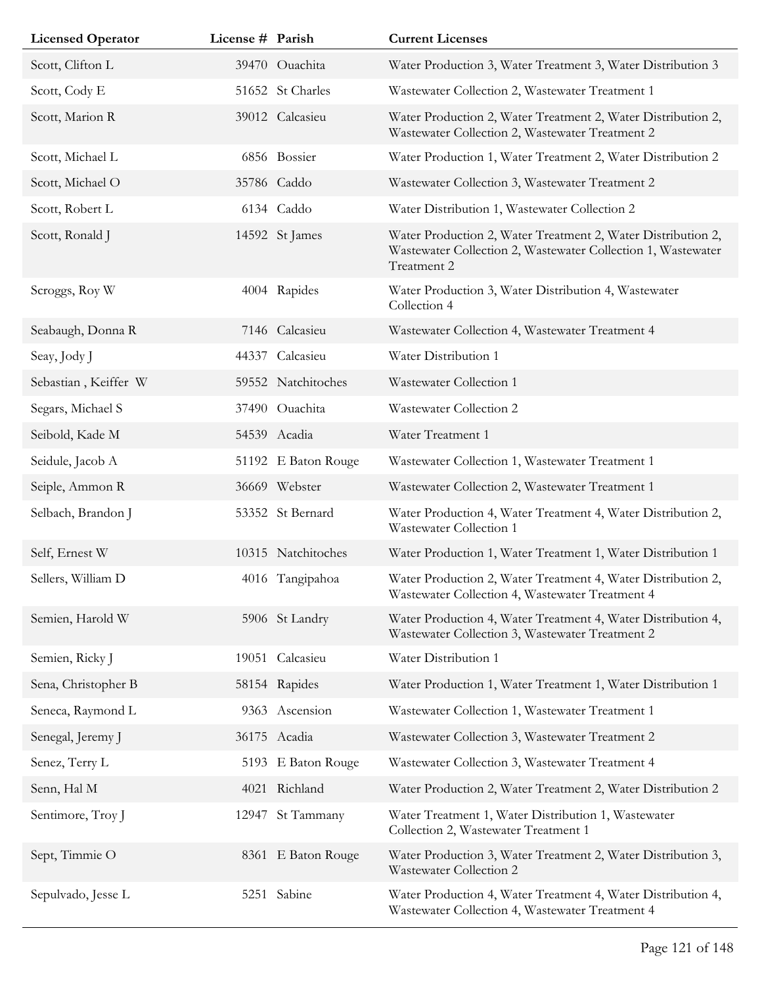| <b>Licensed Operator</b> | License # Parish |                     | <b>Current Licenses</b>                                                                                                                     |
|--------------------------|------------------|---------------------|---------------------------------------------------------------------------------------------------------------------------------------------|
| Scott, Clifton L         |                  | 39470 Ouachita      | Water Production 3, Water Treatment 3, Water Distribution 3                                                                                 |
| Scott, Cody E            |                  | 51652 St Charles    | Wastewater Collection 2, Wastewater Treatment 1                                                                                             |
| Scott, Marion R          |                  | 39012 Calcasieu     | Water Production 2, Water Treatment 2, Water Distribution 2,<br>Wastewater Collection 2, Wastewater Treatment 2                             |
| Scott, Michael L         |                  | 6856 Bossier        | Water Production 1, Water Treatment 2, Water Distribution 2                                                                                 |
| Scott, Michael O         |                  | 35786 Caddo         | Wastewater Collection 3, Wastewater Treatment 2                                                                                             |
| Scott, Robert L          |                  | 6134 Caddo          | Water Distribution 1, Wastewater Collection 2                                                                                               |
| Scott, Ronald J          |                  | 14592 St James      | Water Production 2, Water Treatment 2, Water Distribution 2,<br>Wastewater Collection 2, Wastewater Collection 1, Wastewater<br>Treatment 2 |
| Scroggs, Roy W           |                  | 4004 Rapides        | Water Production 3, Water Distribution 4, Wastewater<br>Collection 4                                                                        |
| Seabaugh, Donna R        |                  | 7146 Calcasieu      | Wastewater Collection 4, Wastewater Treatment 4                                                                                             |
| Seay, Jody J             |                  | 44337 Calcasieu     | Water Distribution 1                                                                                                                        |
| Sebastian, Keiffer W     |                  | 59552 Natchitoches  | Wastewater Collection 1                                                                                                                     |
| Segars, Michael S        |                  | 37490 Ouachita      | Wastewater Collection 2                                                                                                                     |
| Seibold, Kade M          |                  | 54539 Acadia        | Water Treatment 1                                                                                                                           |
| Seidule, Jacob A         |                  | 51192 E Baton Rouge | Wastewater Collection 1, Wastewater Treatment 1                                                                                             |
| Seiple, Ammon R          |                  | 36669 Webster       | Wastewater Collection 2, Wastewater Treatment 1                                                                                             |
| Selbach, Brandon J       |                  | 53352 St Bernard    | Water Production 4, Water Treatment 4, Water Distribution 2,<br>Wastewater Collection 1                                                     |
| Self, Ernest W           |                  | 10315 Natchitoches  | Water Production 1, Water Treatment 1, Water Distribution 1                                                                                 |
| Sellers, William D       |                  | 4016 Tangipahoa     | Water Production 2, Water Treatment 4, Water Distribution 2,<br>Wastewater Collection 4, Wastewater Treatment 4                             |
| Semien, Harold W         |                  | 5906 St Landry      | Water Production 4, Water Treatment 4, Water Distribution 4,<br>Wastewater Collection 3, Wastewater Treatment 2                             |
| Semien, Ricky J          |                  | 19051 Calcasieu     | Water Distribution 1                                                                                                                        |
| Sena, Christopher B      |                  | 58154 Rapides       | Water Production 1, Water Treatment 1, Water Distribution 1                                                                                 |
| Seneca, Raymond L        |                  | 9363 Ascension      | Wastewater Collection 1, Wastewater Treatment 1                                                                                             |
| Senegal, Jeremy J        |                  | 36175 Acadia        | Wastewater Collection 3, Wastewater Treatment 2                                                                                             |
| Senez, Terry L           |                  | 5193 E Baton Rouge  | Wastewater Collection 3, Wastewater Treatment 4                                                                                             |
| Senn, Hal M              |                  | 4021 Richland       | Water Production 2, Water Treatment 2, Water Distribution 2                                                                                 |
| Sentimore, Troy J        |                  | 12947 St Tammany    | Water Treatment 1, Water Distribution 1, Wastewater<br>Collection 2, Wastewater Treatment 1                                                 |
| Sept, Timmie O           |                  | 8361 E Baton Rouge  | Water Production 3, Water Treatment 2, Water Distribution 3,<br>Wastewater Collection 2                                                     |
| Sepulvado, Jesse L       |                  | 5251 Sabine         | Water Production 4, Water Treatment 4, Water Distribution 4,<br>Wastewater Collection 4, Wastewater Treatment 4                             |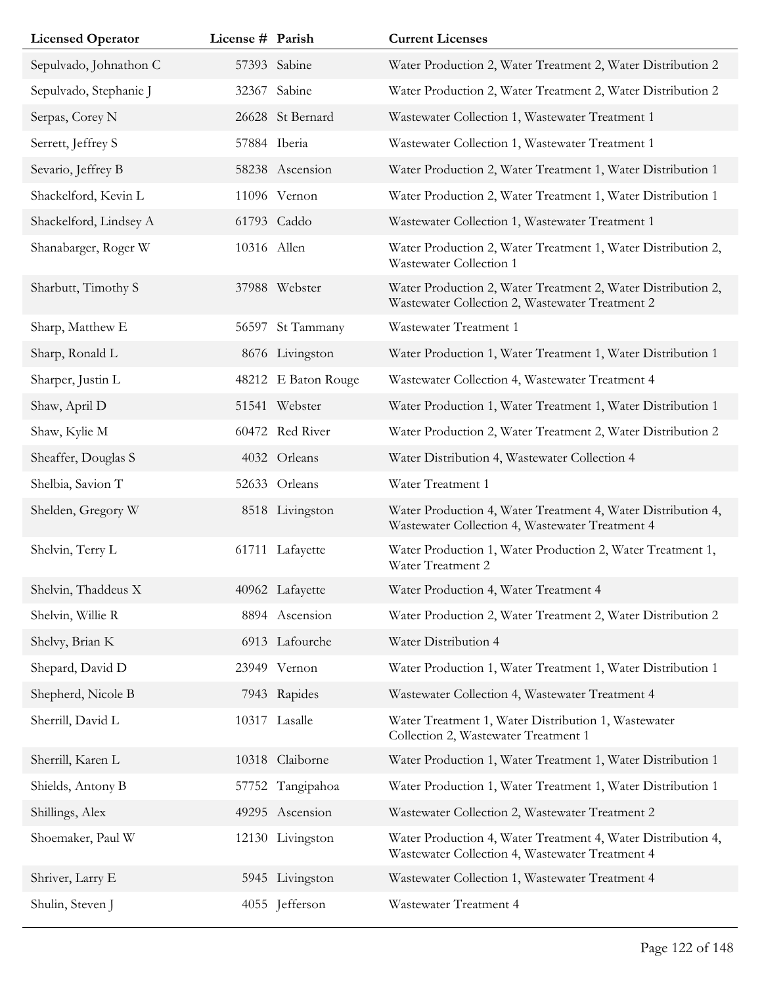| <b>Licensed Operator</b> | License # Parish |                     | <b>Current Licenses</b>                                                                                         |
|--------------------------|------------------|---------------------|-----------------------------------------------------------------------------------------------------------------|
| Sepulvado, Johnathon C   |                  | 57393 Sabine        | Water Production 2, Water Treatment 2, Water Distribution 2                                                     |
| Sepulvado, Stephanie J   |                  | 32367 Sabine        | Water Production 2, Water Treatment 2, Water Distribution 2                                                     |
| Serpas, Corey N          |                  | 26628 St Bernard    | Wastewater Collection 1, Wastewater Treatment 1                                                                 |
| Serrett, Jeffrey S       |                  | 57884 Iberia        | Wastewater Collection 1, Wastewater Treatment 1                                                                 |
| Sevario, Jeffrey B       |                  | 58238 Ascension     | Water Production 2, Water Treatment 1, Water Distribution 1                                                     |
| Shackelford, Kevin L     |                  | 11096 Vernon        | Water Production 2, Water Treatment 1, Water Distribution 1                                                     |
| Shackelford, Lindsey A   |                  | 61793 Caddo         | Wastewater Collection 1, Wastewater Treatment 1                                                                 |
| Shanabarger, Roger W     | 10316 Allen      |                     | Water Production 2, Water Treatment 1, Water Distribution 2,<br>Wastewater Collection 1                         |
| Sharbutt, Timothy S      |                  | 37988 Webster       | Water Production 2, Water Treatment 2, Water Distribution 2,<br>Wastewater Collection 2, Wastewater Treatment 2 |
| Sharp, Matthew E         |                  | 56597 St Tammany    | Wastewater Treatment 1                                                                                          |
| Sharp, Ronald L          |                  | 8676 Livingston     | Water Production 1, Water Treatment 1, Water Distribution 1                                                     |
| Sharper, Justin L        |                  | 48212 E Baton Rouge | Wastewater Collection 4, Wastewater Treatment 4                                                                 |
| Shaw, April D            |                  | 51541 Webster       | Water Production 1, Water Treatment 1, Water Distribution 1                                                     |
| Shaw, Kylie M            |                  | 60472 Red River     | Water Production 2, Water Treatment 2, Water Distribution 2                                                     |
| Sheaffer, Douglas S      |                  | 4032 Orleans        | Water Distribution 4, Wastewater Collection 4                                                                   |
| Shelbia, Savion T        |                  | 52633 Orleans       | Water Treatment 1                                                                                               |
| Shelden, Gregory W       |                  | 8518 Livingston     | Water Production 4, Water Treatment 4, Water Distribution 4,<br>Wastewater Collection 4, Wastewater Treatment 4 |
| Shelvin, Terry L         |                  | 61711 Lafayette     | Water Production 1, Water Production 2, Water Treatment 1,<br>Water Treatment 2                                 |
| Shelvin, Thaddeus X      |                  | 40962 Lafayette     | Water Production 4, Water Treatment 4                                                                           |
| Shelvin, Willie R        |                  | 8894 Ascension      | Water Production 2, Water Treatment 2, Water Distribution 2                                                     |
| Shelvy, Brian K          |                  | 6913 Lafourche      | Water Distribution 4                                                                                            |
| Shepard, David D         |                  | 23949 Vernon        | Water Production 1, Water Treatment 1, Water Distribution 1                                                     |
| Shepherd, Nicole B       |                  | 7943 Rapides        | Wastewater Collection 4, Wastewater Treatment 4                                                                 |
| Sherrill, David L        |                  | 10317 Lasalle       | Water Treatment 1, Water Distribution 1, Wastewater<br>Collection 2, Wastewater Treatment 1                     |
| Sherrill, Karen L        |                  | 10318 Claiborne     | Water Production 1, Water Treatment 1, Water Distribution 1                                                     |
| Shields, Antony B        |                  | 57752 Tangipahoa    | Water Production 1, Water Treatment 1, Water Distribution 1                                                     |
| Shillings, Alex          |                  | 49295 Ascension     | Wastewater Collection 2, Wastewater Treatment 2                                                                 |
| Shoemaker, Paul W        |                  | 12130 Livingston    | Water Production 4, Water Treatment 4, Water Distribution 4,<br>Wastewater Collection 4, Wastewater Treatment 4 |
| Shriver, Larry E         |                  | 5945 Livingston     | Wastewater Collection 1, Wastewater Treatment 4                                                                 |
| Shulin, Steven J         |                  | 4055 Jefferson      | Wastewater Treatment 4                                                                                          |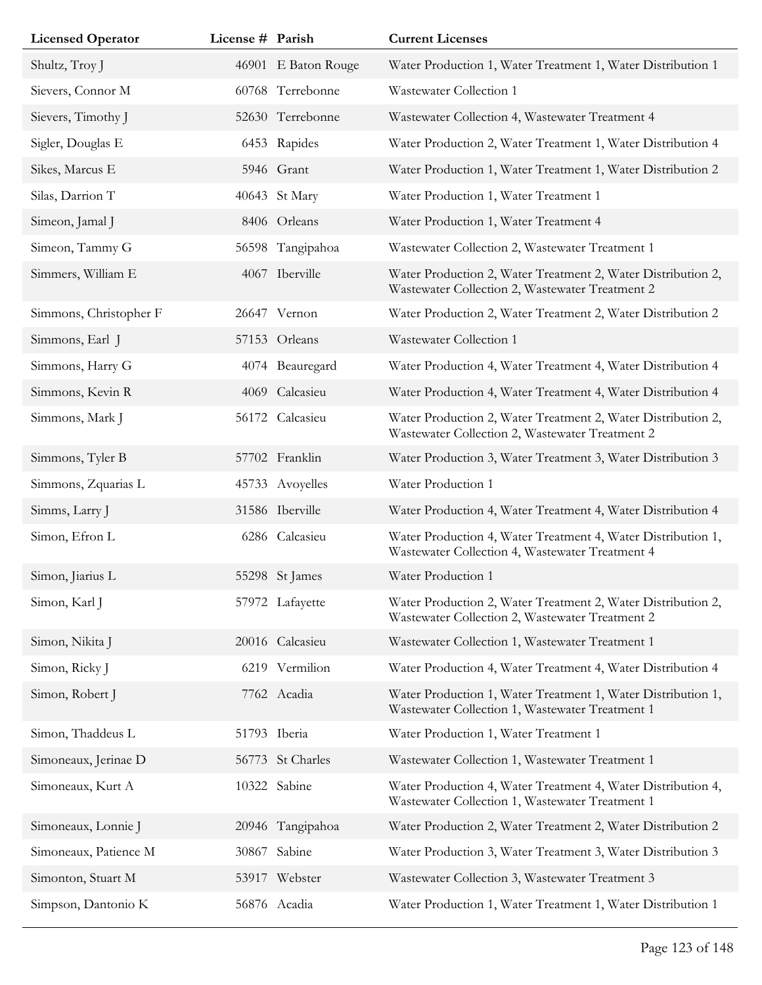| <b>Licensed Operator</b> | License # Parish |                     | <b>Current Licenses</b>                                                                                         |
|--------------------------|------------------|---------------------|-----------------------------------------------------------------------------------------------------------------|
| Shultz, Troy J           |                  | 46901 E Baton Rouge | Water Production 1, Water Treatment 1, Water Distribution 1                                                     |
| Sievers, Connor M        |                  | 60768 Terrebonne    | Wastewater Collection 1                                                                                         |
| Sievers, Timothy J       |                  | 52630 Terrebonne    | Wastewater Collection 4, Wastewater Treatment 4                                                                 |
| Sigler, Douglas E        |                  | 6453 Rapides        | Water Production 2, Water Treatment 1, Water Distribution 4                                                     |
| Sikes, Marcus E          |                  | 5946 Grant          | Water Production 1, Water Treatment 1, Water Distribution 2                                                     |
| Silas, Darrion T         |                  | 40643 St Mary       | Water Production 1, Water Treatment 1                                                                           |
| Simeon, Jamal J          |                  | 8406 Orleans        | Water Production 1, Water Treatment 4                                                                           |
| Simeon, Tammy G          |                  | 56598 Tangipahoa    | Wastewater Collection 2, Wastewater Treatment 1                                                                 |
| Simmers, William E       |                  | 4067 Iberville      | Water Production 2, Water Treatment 2, Water Distribution 2,<br>Wastewater Collection 2, Wastewater Treatment 2 |
| Simmons, Christopher F   |                  | 26647 Vernon        | Water Production 2, Water Treatment 2, Water Distribution 2                                                     |
| Simmons, Earl J          |                  | 57153 Orleans       | Wastewater Collection 1                                                                                         |
| Simmons, Harry G         |                  | 4074 Beauregard     | Water Production 4, Water Treatment 4, Water Distribution 4                                                     |
| Simmons, Kevin R         |                  | 4069 Calcasieu      | Water Production 4, Water Treatment 4, Water Distribution 4                                                     |
| Simmons, Mark J          |                  | 56172 Calcasieu     | Water Production 2, Water Treatment 2, Water Distribution 2,<br>Wastewater Collection 2, Wastewater Treatment 2 |
| Simmons, Tyler B         |                  | 57702 Franklin      | Water Production 3, Water Treatment 3, Water Distribution 3                                                     |
| Simmons, Zquarias L      |                  | 45733 Avoyelles     | Water Production 1                                                                                              |
| Simms, Larry J           |                  | 31586 Iberville     | Water Production 4, Water Treatment 4, Water Distribution 4                                                     |
| Simon, Efron L           |                  | 6286 Calcasieu      | Water Production 4, Water Treatment 4, Water Distribution 1,<br>Wastewater Collection 4, Wastewater Treatment 4 |
| Simon, Jiarius L         |                  | 55298 St James      | Water Production 1                                                                                              |
| Simon, Karl J            |                  | 57972 Lafayette     | Water Production 2, Water Treatment 2, Water Distribution 2,<br>Wastewater Collection 2, Wastewater Treatment 2 |
| Simon, Nikita J          |                  | 20016 Calcasieu     | Wastewater Collection 1, Wastewater Treatment 1                                                                 |
| Simon, Ricky J           |                  | 6219 Vermilion      | Water Production 4, Water Treatment 4, Water Distribution 4                                                     |
| Simon, Robert J          |                  | 7762 Acadia         | Water Production 1, Water Treatment 1, Water Distribution 1,<br>Wastewater Collection 1, Wastewater Treatment 1 |
| Simon, Thaddeus L        |                  | 51793 Iberia        | Water Production 1, Water Treatment 1                                                                           |
| Simoneaux, Jerinae D     |                  | 56773 St Charles    | Wastewater Collection 1, Wastewater Treatment 1                                                                 |
| Simoneaux, Kurt A        |                  | 10322 Sabine        | Water Production 4, Water Treatment 4, Water Distribution 4,<br>Wastewater Collection 1, Wastewater Treatment 1 |
| Simoneaux, Lonnie J      |                  | 20946 Tangipahoa    | Water Production 2, Water Treatment 2, Water Distribution 2                                                     |
| Simoneaux, Patience M    | 30867            | Sabine              | Water Production 3, Water Treatment 3, Water Distribution 3                                                     |
| Simonton, Stuart M       |                  | 53917 Webster       | Wastewater Collection 3, Wastewater Treatment 3                                                                 |
| Simpson, Dantonio K      |                  | 56876 Acadia        | Water Production 1, Water Treatment 1, Water Distribution 1                                                     |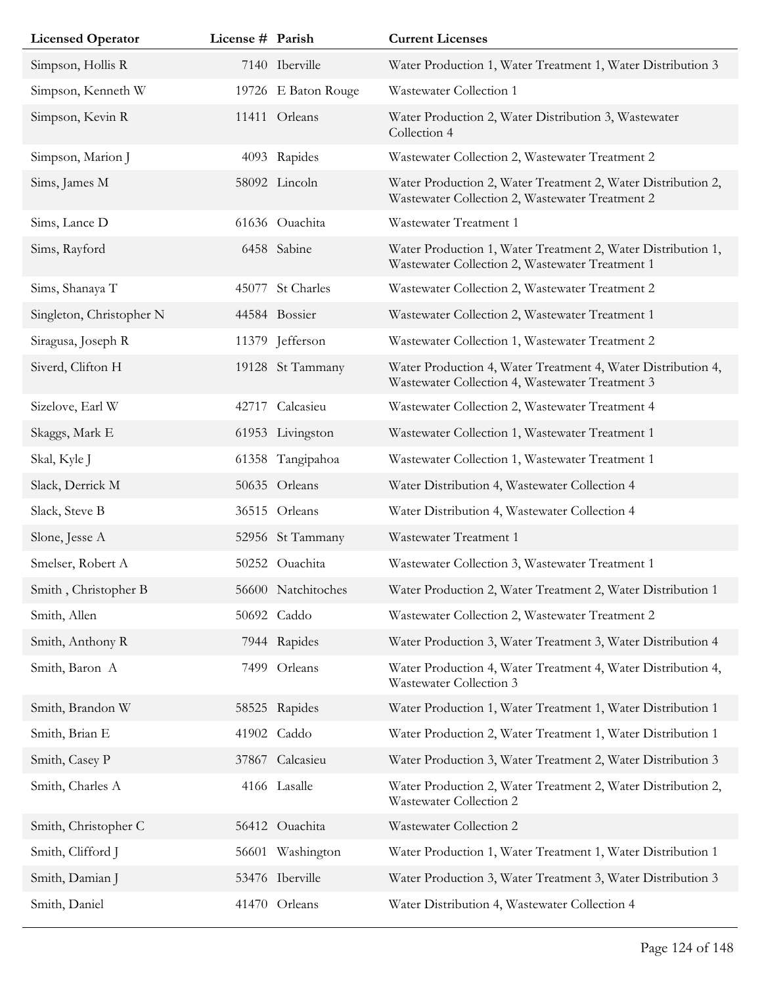| <b>Licensed Operator</b> | License # Parish |                     | <b>Current Licenses</b>                                                                                         |
|--------------------------|------------------|---------------------|-----------------------------------------------------------------------------------------------------------------|
| Simpson, Hollis R        |                  | 7140 Iberville      | Water Production 1, Water Treatment 1, Water Distribution 3                                                     |
| Simpson, Kenneth W       |                  | 19726 E Baton Rouge | Wastewater Collection 1                                                                                         |
| Simpson, Kevin R         |                  | 11411 Orleans       | Water Production 2, Water Distribution 3, Wastewater<br>Collection 4                                            |
| Simpson, Marion J        |                  | 4093 Rapides        | Wastewater Collection 2, Wastewater Treatment 2                                                                 |
| Sims, James M            |                  | 58092 Lincoln       | Water Production 2, Water Treatment 2, Water Distribution 2,<br>Wastewater Collection 2, Wastewater Treatment 2 |
| Sims, Lance D            |                  | 61636 Ouachita      | Wastewater Treatment 1                                                                                          |
| Sims, Rayford            |                  | 6458 Sabine         | Water Production 1, Water Treatment 2, Water Distribution 1,<br>Wastewater Collection 2, Wastewater Treatment 1 |
| Sims, Shanaya T          | 45077            | St Charles          | Wastewater Collection 2, Wastewater Treatment 2                                                                 |
| Singleton, Christopher N |                  | 44584 Bossier       | Wastewater Collection 2, Wastewater Treatment 1                                                                 |
| Siragusa, Joseph R       |                  | 11379 Jefferson     | Wastewater Collection 1, Wastewater Treatment 2                                                                 |
| Siverd, Clifton H        |                  | 19128 St Tammany    | Water Production 4, Water Treatment 4, Water Distribution 4,<br>Wastewater Collection 4, Wastewater Treatment 3 |
| Sizelove, Earl W         |                  | 42717 Calcasieu     | Wastewater Collection 2, Wastewater Treatment 4                                                                 |
| Skaggs, Mark E           |                  | 61953 Livingston    | Wastewater Collection 1, Wastewater Treatment 1                                                                 |
| Skal, Kyle J             | 61358            | Tangipahoa          | Wastewater Collection 1, Wastewater Treatment 1                                                                 |
| Slack, Derrick M         |                  | 50635 Orleans       | Water Distribution 4, Wastewater Collection 4                                                                   |
| Slack, Steve B           |                  | 36515 Orleans       | Water Distribution 4, Wastewater Collection 4                                                                   |
| Slone, Jesse A           |                  | 52956 St Tammany    | Wastewater Treatment 1                                                                                          |
| Smelser, Robert A        |                  | 50252 Ouachita      | Wastewater Collection 3, Wastewater Treatment 1                                                                 |
| Smith, Christopher B     |                  | 56600 Natchitoches  | Water Production 2, Water Treatment 2, Water Distribution 1                                                     |
| Smith, Allen             |                  | 50692 Caddo         | Wastewater Collection 2, Wastewater Treatment 2                                                                 |
| Smith, Anthony R         |                  | 7944 Rapides        | Water Production 3, Water Treatment 3, Water Distribution 4                                                     |
| Smith, Baron A           |                  | 7499 Orleans        | Water Production 4, Water Treatment 4, Water Distribution 4,<br>Wastewater Collection 3                         |
| Smith, Brandon W         |                  | 58525 Rapides       | Water Production 1, Water Treatment 1, Water Distribution 1                                                     |
| Smith, Brian E           |                  | 41902 Caddo         | Water Production 2, Water Treatment 1, Water Distribution 1                                                     |
| Smith, Casey P           |                  | 37867 Calcasieu     | Water Production 3, Water Treatment 2, Water Distribution 3                                                     |
| Smith, Charles A         |                  | 4166 Lasalle        | Water Production 2, Water Treatment 2, Water Distribution 2,<br>Wastewater Collection 2                         |
| Smith, Christopher C     |                  | 56412 Ouachita      | Wastewater Collection 2                                                                                         |
| Smith, Clifford J        |                  | 56601 Washington    | Water Production 1, Water Treatment 1, Water Distribution 1                                                     |
| Smith, Damian J          |                  | 53476 Iberville     | Water Production 3, Water Treatment 3, Water Distribution 3                                                     |
| Smith, Daniel            |                  | 41470 Orleans       | Water Distribution 4, Wastewater Collection 4                                                                   |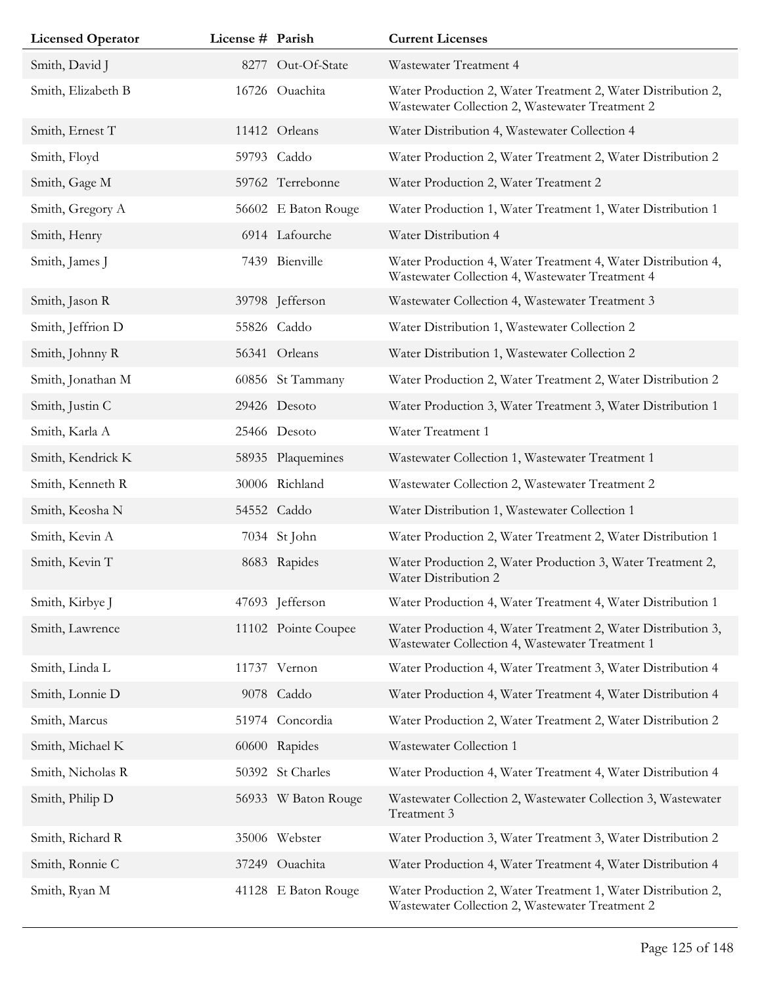| <b>Licensed Operator</b> | License # Parish |                     | <b>Current Licenses</b>                                                                                         |
|--------------------------|------------------|---------------------|-----------------------------------------------------------------------------------------------------------------|
| Smith, David J           |                  | 8277 Out-Of-State   | Wastewater Treatment 4                                                                                          |
| Smith, Elizabeth B       |                  | 16726 Ouachita      | Water Production 2, Water Treatment 2, Water Distribution 2,<br>Wastewater Collection 2, Wastewater Treatment 2 |
| Smith, Ernest T          |                  | 11412 Orleans       | Water Distribution 4, Wastewater Collection 4                                                                   |
| Smith, Floyd             |                  | 59793 Caddo         | Water Production 2, Water Treatment 2, Water Distribution 2                                                     |
| Smith, Gage M            |                  | 59762 Terrebonne    | Water Production 2, Water Treatment 2                                                                           |
| Smith, Gregory A         |                  | 56602 E Baton Rouge | Water Production 1, Water Treatment 1, Water Distribution 1                                                     |
| Smith, Henry             |                  | 6914 Lafourche      | Water Distribution 4                                                                                            |
| Smith, James J           |                  | 7439 Bienville      | Water Production 4, Water Treatment 4, Water Distribution 4,<br>Wastewater Collection 4, Wastewater Treatment 4 |
| Smith, Jason R           |                  | 39798 Jefferson     | Wastewater Collection 4, Wastewater Treatment 3                                                                 |
| Smith, Jeffrion D        |                  | 55826 Caddo         | Water Distribution 1, Wastewater Collection 2                                                                   |
| Smith, Johnny R          |                  | 56341 Orleans       | Water Distribution 1, Wastewater Collection 2                                                                   |
| Smith, Jonathan M        |                  | 60856 St Tammany    | Water Production 2, Water Treatment 2, Water Distribution 2                                                     |
| Smith, Justin C          |                  | 29426 Desoto        | Water Production 3, Water Treatment 3, Water Distribution 1                                                     |
| Smith, Karla A           |                  | 25466 Desoto        | Water Treatment 1                                                                                               |
| Smith, Kendrick K        |                  | 58935 Plaquemines   | Wastewater Collection 1, Wastewater Treatment 1                                                                 |
| Smith, Kenneth R         |                  | 30006 Richland      | Wastewater Collection 2, Wastewater Treatment 2                                                                 |
| Smith, Keosha N          |                  | 54552 Caddo         | Water Distribution 1, Wastewater Collection 1                                                                   |
| Smith, Kevin A           |                  | 7034 St John        | Water Production 2, Water Treatment 2, Water Distribution 1                                                     |
| Smith, Kevin T           |                  | 8683 Rapides        | Water Production 2, Water Production 3, Water Treatment 2,<br>Water Distribution 2                              |
| Smith, Kirbye J          |                  | 47693 Jefferson     | Water Production 4, Water Treatment 4, Water Distribution 1                                                     |
| Smith, Lawrence          |                  | 11102 Pointe Coupee | Water Production 4, Water Treatment 2, Water Distribution 3,<br>Wastewater Collection 4, Wastewater Treatment 1 |
| Smith, Linda L           |                  | 11737 Vernon        | Water Production 4, Water Treatment 3, Water Distribution 4                                                     |
| Smith, Lonnie D          |                  | 9078 Caddo          | Water Production 4, Water Treatment 4, Water Distribution 4                                                     |
| Smith, Marcus            |                  | 51974 Concordia     | Water Production 2, Water Treatment 2, Water Distribution 2                                                     |
| Smith, Michael K         |                  | 60600 Rapides       | Wastewater Collection 1                                                                                         |
| Smith, Nicholas R        |                  | 50392 St Charles    | Water Production 4, Water Treatment 4, Water Distribution 4                                                     |
| Smith, Philip D          |                  | 56933 W Baton Rouge | Wastewater Collection 2, Wastewater Collection 3, Wastewater<br>Treatment 3                                     |
| Smith, Richard R         |                  | 35006 Webster       | Water Production 3, Water Treatment 3, Water Distribution 2                                                     |
| Smith, Ronnie C          |                  | 37249 Ouachita      | Water Production 4, Water Treatment 4, Water Distribution 4                                                     |
| Smith, Ryan M            |                  | 41128 E Baton Rouge | Water Production 2, Water Treatment 1, Water Distribution 2,<br>Wastewater Collection 2, Wastewater Treatment 2 |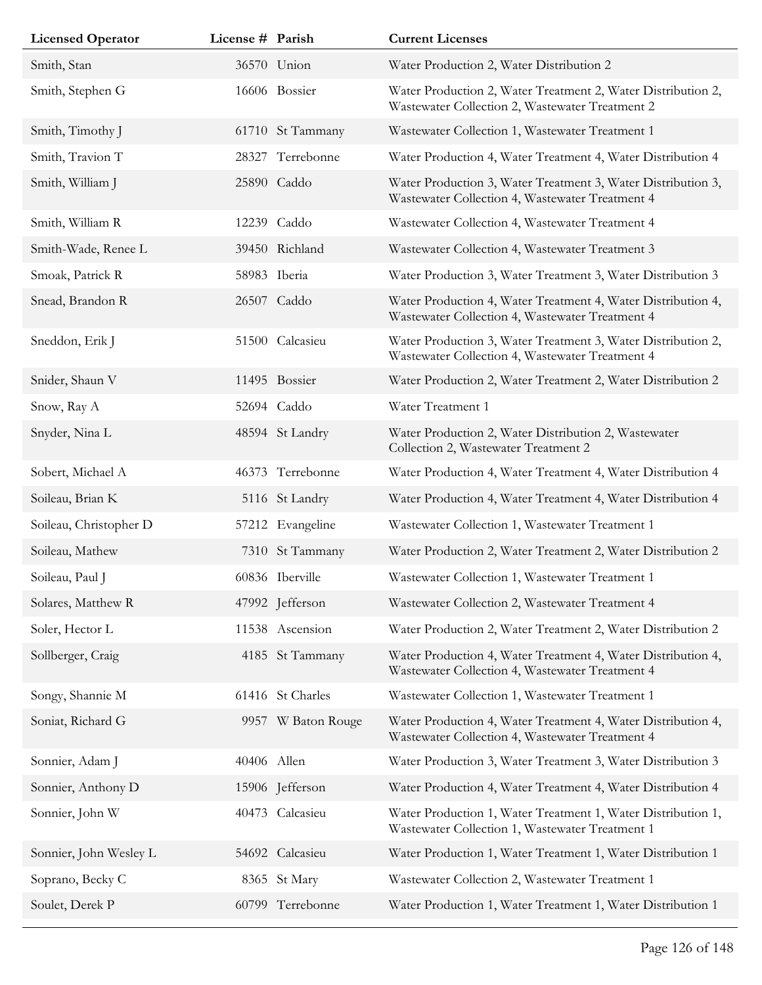| <b>Licensed Operator</b> | License # Parish |                    | <b>Current Licenses</b>                                                                                         |
|--------------------------|------------------|--------------------|-----------------------------------------------------------------------------------------------------------------|
| Smith, Stan              |                  | 36570 Union        | Water Production 2, Water Distribution 2                                                                        |
| Smith, Stephen G         |                  | 16606 Bossier      | Water Production 2, Water Treatment 2, Water Distribution 2,<br>Wastewater Collection 2, Wastewater Treatment 2 |
| Smith, Timothy J         |                  | 61710 St Tammany   | Wastewater Collection 1, Wastewater Treatment 1                                                                 |
| Smith, Travion T         | 28327            | Terrebonne         | Water Production 4, Water Treatment 4, Water Distribution 4                                                     |
| Smith, William J         |                  | 25890 Caddo        | Water Production 3, Water Treatment 3, Water Distribution 3,<br>Wastewater Collection 4, Wastewater Treatment 4 |
| Smith, William R         |                  | 12239 Caddo        | Wastewater Collection 4, Wastewater Treatment 4                                                                 |
| Smith-Wade, Renee L      |                  | 39450 Richland     | Wastewater Collection 4, Wastewater Treatment 3                                                                 |
| Smoak, Patrick R         |                  | 58983 Iberia       | Water Production 3, Water Treatment 3, Water Distribution 3                                                     |
| Snead, Brandon R         |                  | 26507 Caddo        | Water Production 4, Water Treatment 4, Water Distribution 4,<br>Wastewater Collection 4, Wastewater Treatment 4 |
| Sneddon, Erik J          |                  | 51500 Calcasieu    | Water Production 3, Water Treatment 3, Water Distribution 2,<br>Wastewater Collection 4, Wastewater Treatment 4 |
| Snider, Shaun V          |                  | 11495 Bossier      | Water Production 2, Water Treatment 2, Water Distribution 2                                                     |
| Snow, Ray A              |                  | 52694 Caddo        | Water Treatment 1                                                                                               |
| Snyder, Nina L           |                  | 48594 St Landry    | Water Production 2, Water Distribution 2, Wastewater<br>Collection 2, Wastewater Treatment 2                    |
| Sobert, Michael A        |                  | 46373 Terrebonne   | Water Production 4, Water Treatment 4, Water Distribution 4                                                     |
| Soileau, Brian K         |                  | 5116 St Landry     | Water Production 4, Water Treatment 4, Water Distribution 4                                                     |
| Soileau, Christopher D   |                  | 57212 Evangeline   | Wastewater Collection 1, Wastewater Treatment 1                                                                 |
| Soileau, Mathew          |                  | 7310 St Tammany    | Water Production 2, Water Treatment 2, Water Distribution 2                                                     |
| Soileau, Paul J          |                  | 60836 Iberville    | Wastewater Collection 1, Wastewater Treatment 1                                                                 |
| Solares, Matthew R       |                  | 47992 Jefferson    | Wastewater Collection 2, Wastewater Treatment 4                                                                 |
| Soler, Hector L          |                  | 11538 Ascension    | Water Production 2, Water Treatment 2, Water Distribution 2                                                     |
| Sollberger, Craig        |                  | 4185 St Tammany    | Water Production 4, Water Treatment 4, Water Distribution 4,<br>Wastewater Collection 4, Wastewater Treatment 4 |
| Songy, Shannie M         |                  | 61416 St Charles   | Wastewater Collection 1, Wastewater Treatment 1                                                                 |
| Soniat, Richard G        |                  | 9957 W Baton Rouge | Water Production 4, Water Treatment 4, Water Distribution 4,<br>Wastewater Collection 4, Wastewater Treatment 4 |
| Sonnier, Adam J          | 40406 Allen      |                    | Water Production 3, Water Treatment 3, Water Distribution 3                                                     |
| Sonnier, Anthony D       |                  | 15906 Jefferson    | Water Production 4, Water Treatment 4, Water Distribution 4                                                     |
| Sonnier, John W          |                  | 40473 Calcasieu    | Water Production 1, Water Treatment 1, Water Distribution 1,<br>Wastewater Collection 1, Wastewater Treatment 1 |
| Sonnier, John Wesley L   |                  | 54692 Calcasieu    | Water Production 1, Water Treatment 1, Water Distribution 1                                                     |
| Soprano, Becky C         |                  | 8365 St Mary       | Wastewater Collection 2, Wastewater Treatment 1                                                                 |
| Soulet, Derek P          |                  | 60799 Terrebonne   | Water Production 1, Water Treatment 1, Water Distribution 1                                                     |

Ī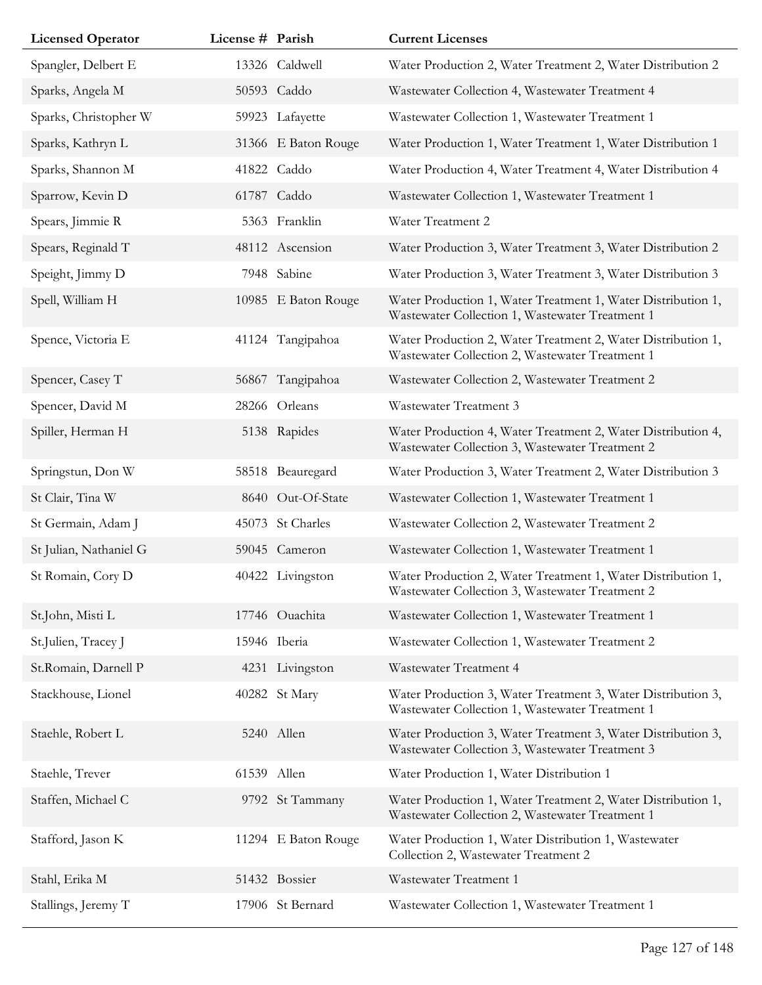| <b>Licensed Operator</b> | License # Parish |                     | <b>Current Licenses</b>                                                                                         |
|--------------------------|------------------|---------------------|-----------------------------------------------------------------------------------------------------------------|
| Spangler, Delbert E      |                  | 13326 Caldwell      | Water Production 2, Water Treatment 2, Water Distribution 2                                                     |
| Sparks, Angela M         |                  | 50593 Caddo         | Wastewater Collection 4, Wastewater Treatment 4                                                                 |
| Sparks, Christopher W    |                  | 59923 Lafayette     | Wastewater Collection 1, Wastewater Treatment 1                                                                 |
| Sparks, Kathryn L        |                  | 31366 E Baton Rouge | Water Production 1, Water Treatment 1, Water Distribution 1                                                     |
| Sparks, Shannon M        |                  | 41822 Caddo         | Water Production 4, Water Treatment 4, Water Distribution 4                                                     |
| Sparrow, Kevin D         |                  | 61787 Caddo         | Wastewater Collection 1, Wastewater Treatment 1                                                                 |
| Spears, Jimmie R         |                  | 5363 Franklin       | Water Treatment 2                                                                                               |
| Spears, Reginald T       |                  | 48112 Ascension     | Water Production 3, Water Treatment 3, Water Distribution 2                                                     |
| Speight, Jimmy D         |                  | 7948 Sabine         | Water Production 3, Water Treatment 3, Water Distribution 3                                                     |
| Spell, William H         |                  | 10985 E Baton Rouge | Water Production 1, Water Treatment 1, Water Distribution 1,<br>Wastewater Collection 1, Wastewater Treatment 1 |
| Spence, Victoria E       |                  | 41124 Tangipahoa    | Water Production 2, Water Treatment 2, Water Distribution 1,<br>Wastewater Collection 2, Wastewater Treatment 1 |
| Spencer, Casey T         |                  | 56867 Tangipahoa    | Wastewater Collection 2, Wastewater Treatment 2                                                                 |
| Spencer, David M         |                  | 28266 Orleans       | Wastewater Treatment 3                                                                                          |
| Spiller, Herman H        |                  | 5138 Rapides        | Water Production 4, Water Treatment 2, Water Distribution 4,<br>Wastewater Collection 3, Wastewater Treatment 2 |
| Springstun, Don W        |                  | 58518 Beauregard    | Water Production 3, Water Treatment 2, Water Distribution 3                                                     |
| St Clair, Tina W         |                  | 8640 Out-Of-State   | Wastewater Collection 1, Wastewater Treatment 1                                                                 |
| St Germain, Adam J       |                  | 45073 St Charles    | Wastewater Collection 2, Wastewater Treatment 2                                                                 |
| St Julian, Nathaniel G   |                  | 59045 Cameron       | Wastewater Collection 1, Wastewater Treatment 1                                                                 |
| St Romain, Cory D        |                  | 40422 Livingston    | Water Production 2, Water Treatment 1, Water Distribution 1,<br>Wastewater Collection 3, Wastewater Treatment 2 |
| St.John, Misti L         |                  | 17746 Ouachita      | Wastewater Collection 1, Wastewater Treatment 1                                                                 |
| St.Julien, Tracey J      |                  | 15946 Iberia        | Wastewater Collection 1, Wastewater Treatment 2                                                                 |
| St.Romain, Darnell P     |                  | 4231 Livingston     | Wastewater Treatment 4                                                                                          |
| Stackhouse, Lionel       |                  | 40282 St Mary       | Water Production 3, Water Treatment 3, Water Distribution 3,<br>Wastewater Collection 1, Wastewater Treatment 1 |
| Staehle, Robert L        |                  | 5240 Allen          | Water Production 3, Water Treatment 3, Water Distribution 3,<br>Wastewater Collection 3, Wastewater Treatment 3 |
| Staehle, Trever          | 61539 Allen      |                     | Water Production 1, Water Distribution 1                                                                        |
| Staffen, Michael C       |                  | 9792 St Tammany     | Water Production 1, Water Treatment 2, Water Distribution 1,<br>Wastewater Collection 2, Wastewater Treatment 1 |
| Stafford, Jason K        |                  | 11294 E Baton Rouge | Water Production 1, Water Distribution 1, Wastewater<br>Collection 2, Wastewater Treatment 2                    |
| Stahl, Erika M           |                  | 51432 Bossier       | Wastewater Treatment 1                                                                                          |
| Stallings, Jeremy T      |                  | 17906 St Bernard    | Wastewater Collection 1, Wastewater Treatment 1                                                                 |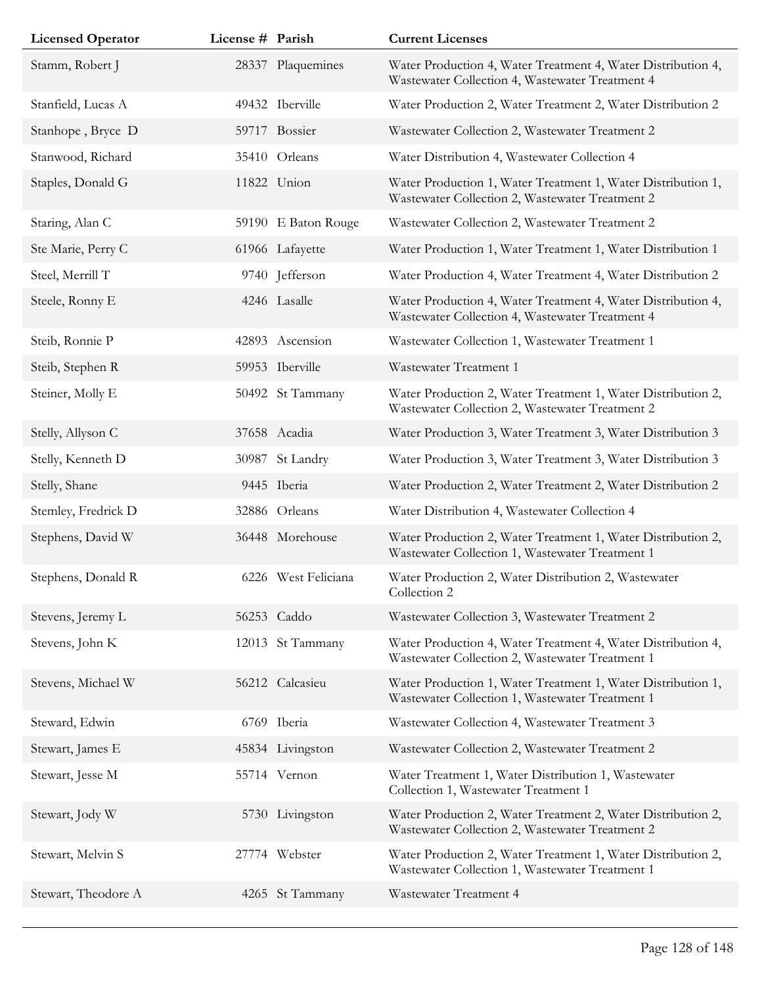| <b>Licensed Operator</b> | License # Parish |                     | <b>Current Licenses</b>                                                                                         |
|--------------------------|------------------|---------------------|-----------------------------------------------------------------------------------------------------------------|
| Stamm, Robert J          |                  | 28337 Plaquemines   | Water Production 4, Water Treatment 4, Water Distribution 4,<br>Wastewater Collection 4, Wastewater Treatment 4 |
| Stanfield, Lucas A       |                  | 49432 Iberville     | Water Production 2, Water Treatment 2, Water Distribution 2                                                     |
| Stanhope, Bryce D        |                  | 59717 Bossier       | Wastewater Collection 2, Wastewater Treatment 2                                                                 |
| Stanwood, Richard        |                  | 35410 Orleans       | Water Distribution 4, Wastewater Collection 4                                                                   |
| Staples, Donald G        |                  | 11822 Union         | Water Production 1, Water Treatment 1, Water Distribution 1,<br>Wastewater Collection 2, Wastewater Treatment 2 |
| Staring, Alan C          |                  | 59190 E Baton Rouge | Wastewater Collection 2, Wastewater Treatment 2                                                                 |
| Ste Marie, Perry C       |                  | 61966 Lafayette     | Water Production 1, Water Treatment 1, Water Distribution 1                                                     |
| Steel, Merrill T         |                  | 9740 Jefferson      | Water Production 4, Water Treatment 4, Water Distribution 2                                                     |
| Steele, Ronny E          |                  | 4246 Lasalle        | Water Production 4, Water Treatment 4, Water Distribution 4,<br>Wastewater Collection 4, Wastewater Treatment 4 |
| Steib, Ronnie P          |                  | 42893 Ascension     | Wastewater Collection 1, Wastewater Treatment 1                                                                 |
| Steib, Stephen R         |                  | 59953 Iberville     | Wastewater Treatment 1                                                                                          |
| Steiner, Molly E         |                  | 50492 St Tammany    | Water Production 2, Water Treatment 1, Water Distribution 2,<br>Wastewater Collection 2, Wastewater Treatment 2 |
| Stelly, Allyson C        |                  | 37658 Acadia        | Water Production 3, Water Treatment 3, Water Distribution 3                                                     |
| Stelly, Kenneth D        |                  | 30987 St Landry     | Water Production 3, Water Treatment 3, Water Distribution 3                                                     |
| Stelly, Shane            |                  | 9445 Iberia         | Water Production 2, Water Treatment 2, Water Distribution 2                                                     |
| Stemley, Fredrick D      |                  | 32886 Orleans       | Water Distribution 4, Wastewater Collection 4                                                                   |
| Stephens, David W        |                  | 36448 Morehouse     | Water Production 2, Water Treatment 1, Water Distribution 2,<br>Wastewater Collection 1, Wastewater Treatment 1 |
| Stephens, Donald R       |                  | 6226 West Feliciana | Water Production 2, Water Distribution 2, Wastewater<br>Collection 2                                            |
| Stevens, Jeremy L        |                  | 56253 Caddo         | Wastewater Collection 3, Wastewater Treatment 2                                                                 |
| Stevens, John K          |                  | 12013 St Tammany    | Water Production 4, Water Treatment 4, Water Distribution 4,<br>Wastewater Collection 2, Wastewater Treatment 1 |
| Stevens, Michael W       |                  | 56212 Calcasieu     | Water Production 1, Water Treatment 1, Water Distribution 1,<br>Wastewater Collection 1, Wastewater Treatment 1 |
| Steward, Edwin           |                  | 6769 Iberia         | Wastewater Collection 4, Wastewater Treatment 3                                                                 |
| Stewart, James E         |                  | 45834 Livingston    | Wastewater Collection 2, Wastewater Treatment 2                                                                 |
| Stewart, Jesse M         |                  | 55714 Vernon        | Water Treatment 1, Water Distribution 1, Wastewater<br>Collection 1, Wastewater Treatment 1                     |
| Stewart, Jody W          |                  | 5730 Livingston     | Water Production 2, Water Treatment 2, Water Distribution 2,<br>Wastewater Collection 2, Wastewater Treatment 2 |
| Stewart, Melvin S        |                  | 27774 Webster       | Water Production 2, Water Treatment 1, Water Distribution 2,<br>Wastewater Collection 1, Wastewater Treatment 1 |
| Stewart, Theodore A      |                  | 4265 St Tammany     | Wastewater Treatment 4                                                                                          |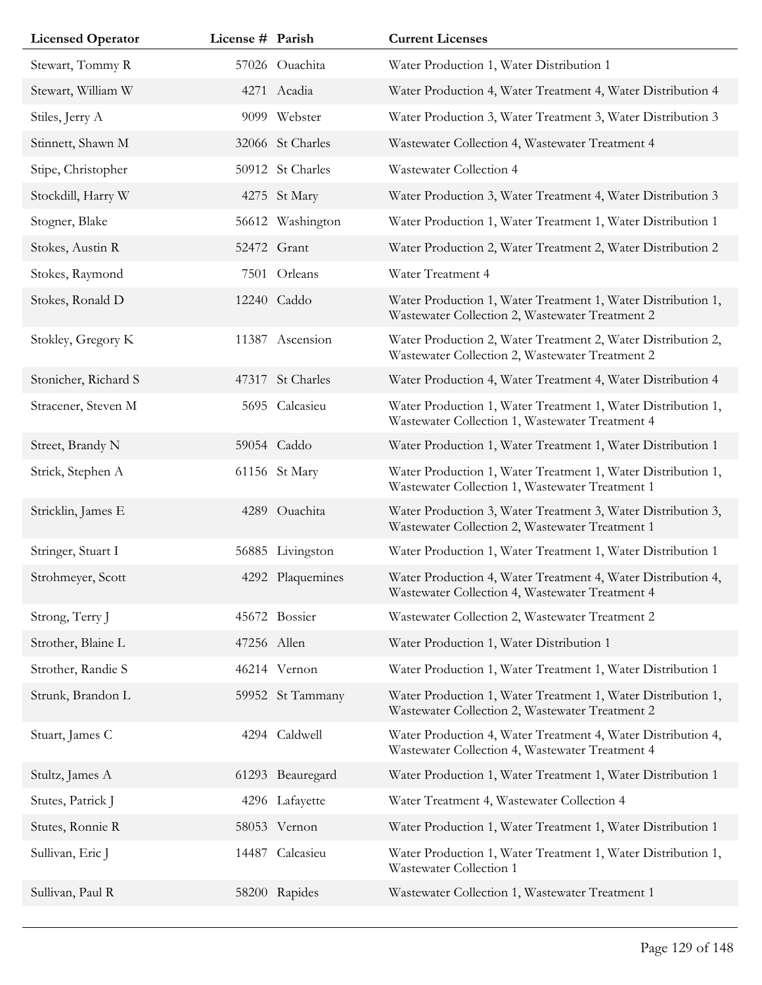| <b>Licensed Operator</b> | License # Parish |                  | <b>Current Licenses</b>                                                                                         |
|--------------------------|------------------|------------------|-----------------------------------------------------------------------------------------------------------------|
| Stewart, Tommy R         |                  | 57026 Ouachita   | Water Production 1, Water Distribution 1                                                                        |
| Stewart, William W       |                  | 4271 Acadia      | Water Production 4, Water Treatment 4, Water Distribution 4                                                     |
| Stiles, Jerry A          |                  | 9099 Webster     | Water Production 3, Water Treatment 3, Water Distribution 3                                                     |
| Stinnett, Shawn M        |                  | 32066 St Charles | Wastewater Collection 4, Wastewater Treatment 4                                                                 |
| Stipe, Christopher       |                  | 50912 St Charles | Wastewater Collection 4                                                                                         |
| Stockdill, Harry W       |                  | 4275 St Mary     | Water Production 3, Water Treatment 4, Water Distribution 3                                                     |
| Stogner, Blake           |                  | 56612 Washington | Water Production 1, Water Treatment 1, Water Distribution 1                                                     |
| Stokes, Austin R         |                  | 52472 Grant      | Water Production 2, Water Treatment 2, Water Distribution 2                                                     |
| Stokes, Raymond          |                  | 7501 Orleans     | Water Treatment 4                                                                                               |
| Stokes, Ronald D         |                  | 12240 Caddo      | Water Production 1, Water Treatment 1, Water Distribution 1,<br>Wastewater Collection 2, Wastewater Treatment 2 |
| Stokley, Gregory K       |                  | 11387 Ascension  | Water Production 2, Water Treatment 2, Water Distribution 2,<br>Wastewater Collection 2, Wastewater Treatment 2 |
| Stonicher, Richard S     |                  | 47317 St Charles | Water Production 4, Water Treatment 4, Water Distribution 4                                                     |
| Stracener, Steven M      |                  | 5695 Calcasieu   | Water Production 1, Water Treatment 1, Water Distribution 1,<br>Wastewater Collection 1, Wastewater Treatment 4 |
| Street, Brandy N         |                  | 59054 Caddo      | Water Production 1, Water Treatment 1, Water Distribution 1                                                     |
| Strick, Stephen A        |                  | 61156 St Mary    | Water Production 1, Water Treatment 1, Water Distribution 1,<br>Wastewater Collection 1, Wastewater Treatment 1 |
| Stricklin, James E       |                  | 4289 Ouachita    | Water Production 3, Water Treatment 3, Water Distribution 3,<br>Wastewater Collection 2, Wastewater Treatment 1 |
| Stringer, Stuart I       |                  | 56885 Livingston | Water Production 1, Water Treatment 1, Water Distribution 1                                                     |
| Strohmeyer, Scott        |                  | 4292 Plaquemines | Water Production 4, Water Treatment 4, Water Distribution 4,<br>Wastewater Collection 4, Wastewater Treatment 4 |
| Strong, Terry J          |                  | 45672 Bossier    | Wastewater Collection 2, Wastewater Treatment 2                                                                 |
| Strother, Blaine L       | 47256 Allen      |                  | Water Production 1, Water Distribution 1                                                                        |
| Strother, Randie S       |                  | 46214 Vernon     | Water Production 1, Water Treatment 1, Water Distribution 1                                                     |
| Strunk, Brandon L        |                  | 59952 St Tammany | Water Production 1, Water Treatment 1, Water Distribution 1,<br>Wastewater Collection 2, Wastewater Treatment 2 |
| Stuart, James C          |                  | 4294 Caldwell    | Water Production 4, Water Treatment 4, Water Distribution 4,<br>Wastewater Collection 4, Wastewater Treatment 4 |
| Stultz, James A          |                  | 61293 Beauregard | Water Production 1, Water Treatment 1, Water Distribution 1                                                     |
| Stutes, Patrick J        |                  | 4296 Lafayette   | Water Treatment 4, Wastewater Collection 4                                                                      |
| Stutes, Ronnie R         |                  | 58053 Vernon     | Water Production 1, Water Treatment 1, Water Distribution 1                                                     |
| Sullivan, Eric J         |                  | 14487 Calcasieu  | Water Production 1, Water Treatment 1, Water Distribution 1,<br>Wastewater Collection 1                         |
| Sullivan, Paul R         |                  | 58200 Rapides    | Wastewater Collection 1, Wastewater Treatment 1                                                                 |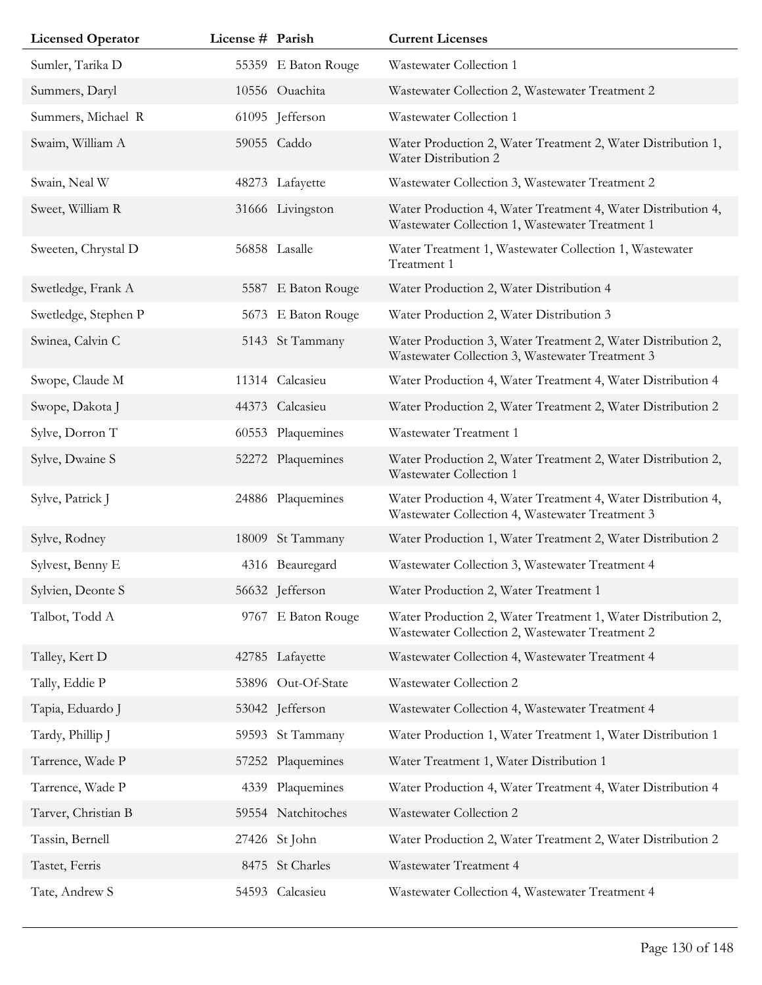| <b>Licensed Operator</b> | License # Parish |                     | <b>Current Licenses</b>                                                                                         |
|--------------------------|------------------|---------------------|-----------------------------------------------------------------------------------------------------------------|
| Sumler, Tarika D         |                  | 55359 E Baton Rouge | Wastewater Collection 1                                                                                         |
| Summers, Daryl           |                  | 10556 Ouachita      | Wastewater Collection 2, Wastewater Treatment 2                                                                 |
| Summers, Michael R       |                  | 61095 Jefferson     | Wastewater Collection 1                                                                                         |
| Swaim, William A         |                  | 59055 Caddo         | Water Production 2, Water Treatment 2, Water Distribution 1,<br>Water Distribution 2                            |
| Swain, Neal W            |                  | 48273 Lafayette     | Wastewater Collection 3, Wastewater Treatment 2                                                                 |
| Sweet, William R         |                  | 31666 Livingston    | Water Production 4, Water Treatment 4, Water Distribution 4,<br>Wastewater Collection 1, Wastewater Treatment 1 |
| Sweeten, Chrystal D      |                  | 56858 Lasalle       | Water Treatment 1, Wastewater Collection 1, Wastewater<br>Treatment 1                                           |
| Swetledge, Frank A       |                  | 5587 E Baton Rouge  | Water Production 2, Water Distribution 4                                                                        |
| Swetledge, Stephen P     |                  | 5673 E Baton Rouge  | Water Production 2, Water Distribution 3                                                                        |
| Swinea, Calvin C         |                  | 5143 St Tammany     | Water Production 3, Water Treatment 2, Water Distribution 2,<br>Wastewater Collection 3, Wastewater Treatment 3 |
| Swope, Claude M          |                  | 11314 Calcasieu     | Water Production 4, Water Treatment 4, Water Distribution 4                                                     |
| Swope, Dakota J          |                  | 44373 Calcasieu     | Water Production 2, Water Treatment 2, Water Distribution 2                                                     |
| Sylve, Dorron T          |                  | 60553 Plaquemines   | Wastewater Treatment 1                                                                                          |
| Sylve, Dwaine S          |                  | 52272 Plaquemines   | Water Production 2, Water Treatment 2, Water Distribution 2,<br>Wastewater Collection 1                         |
| Sylve, Patrick J         |                  | 24886 Plaquemines   | Water Production 4, Water Treatment 4, Water Distribution 4,<br>Wastewater Collection 4, Wastewater Treatment 3 |
| Sylve, Rodney            |                  | 18009 St Tammany    | Water Production 1, Water Treatment 2, Water Distribution 2                                                     |
| Sylvest, Benny E         |                  | 4316 Beauregard     | Wastewater Collection 3, Wastewater Treatment 4                                                                 |
| Sylvien, Deonte S        |                  | 56632 Jefferson     | Water Production 2, Water Treatment 1                                                                           |
| Talbot, Todd A           |                  | 9767 E Baton Rouge  | Water Production 2, Water Treatment 1, Water Distribution 2,<br>Wastewater Collection 2, Wastewater Treatment 2 |
| Talley, Kert D           |                  | 42785 Lafayette     | Wastewater Collection 4, Wastewater Treatment 4                                                                 |
| Tally, Eddie P           |                  | 53896 Out-Of-State  | Wastewater Collection 2                                                                                         |
| Tapia, Eduardo J         |                  | 53042 Jefferson     | Wastewater Collection 4, Wastewater Treatment 4                                                                 |
| Tardy, Phillip J         |                  | 59593 St Tammany    | Water Production 1, Water Treatment 1, Water Distribution 1                                                     |
| Tarrence, Wade P         |                  | 57252 Plaquemines   | Water Treatment 1, Water Distribution 1                                                                         |
| Tarrence, Wade P         |                  | 4339 Plaquemines    | Water Production 4, Water Treatment 4, Water Distribution 4                                                     |
| Tarver, Christian B      |                  | 59554 Natchitoches  | Wastewater Collection 2                                                                                         |
| Tassin, Bernell          |                  | 27426 St John       | Water Production 2, Water Treatment 2, Water Distribution 2                                                     |
| Tastet, Ferris           |                  | 8475 St Charles     | Wastewater Treatment 4                                                                                          |
| Tate, Andrew S           |                  | 54593 Calcasieu     | Wastewater Collection 4, Wastewater Treatment 4                                                                 |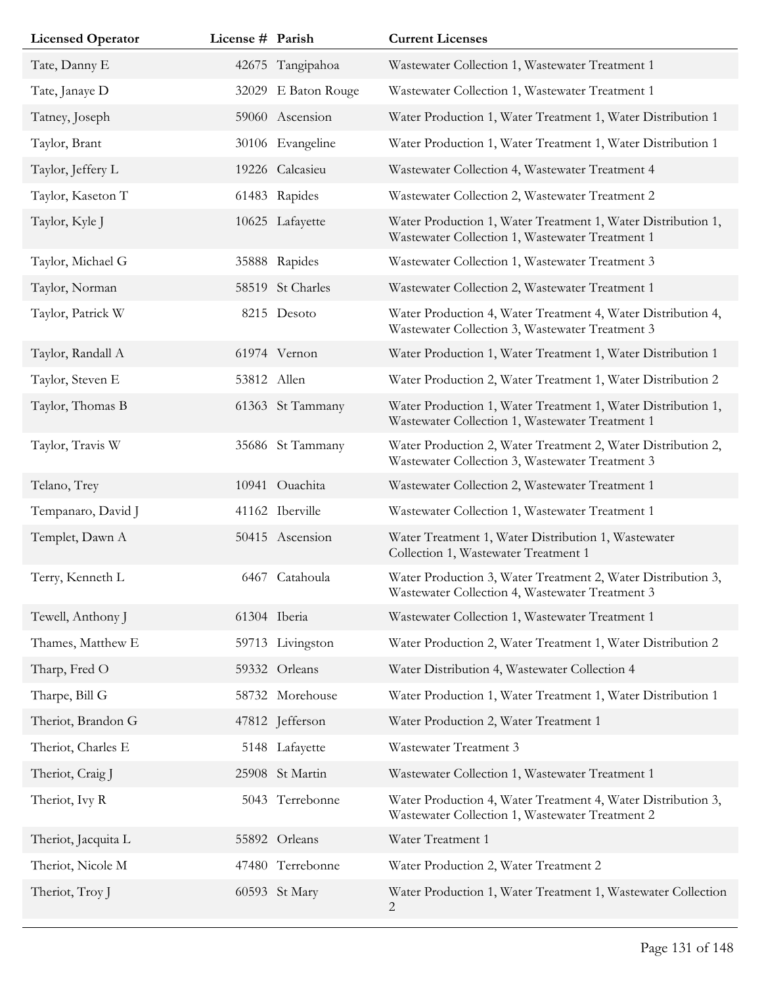| <b>Licensed Operator</b> | License # Parish |                     | <b>Current Licenses</b>                                                                                         |
|--------------------------|------------------|---------------------|-----------------------------------------------------------------------------------------------------------------|
| Tate, Danny E            |                  | 42675 Tangipahoa    | Wastewater Collection 1, Wastewater Treatment 1                                                                 |
| Tate, Janaye D           |                  | 32029 E Baton Rouge | Wastewater Collection 1, Wastewater Treatment 1                                                                 |
| Tatney, Joseph           |                  | 59060 Ascension     | Water Production 1, Water Treatment 1, Water Distribution 1                                                     |
| Taylor, Brant            |                  | 30106 Evangeline    | Water Production 1, Water Treatment 1, Water Distribution 1                                                     |
| Taylor, Jeffery L        |                  | 19226 Calcasieu     | Wastewater Collection 4, Wastewater Treatment 4                                                                 |
| Taylor, Kaseton T        |                  | 61483 Rapides       | Wastewater Collection 2, Wastewater Treatment 2                                                                 |
| Taylor, Kyle J           |                  | 10625 Lafayette     | Water Production 1, Water Treatment 1, Water Distribution 1,<br>Wastewater Collection 1, Wastewater Treatment 1 |
| Taylor, Michael G        |                  | 35888 Rapides       | Wastewater Collection 1, Wastewater Treatment 3                                                                 |
| Taylor, Norman           |                  | 58519 St Charles    | Wastewater Collection 2, Wastewater Treatment 1                                                                 |
| Taylor, Patrick W        |                  | 8215 Desoto         | Water Production 4, Water Treatment 4, Water Distribution 4,<br>Wastewater Collection 3, Wastewater Treatment 3 |
| Taylor, Randall A        |                  | 61974 Vernon        | Water Production 1, Water Treatment 1, Water Distribution 1                                                     |
| Taylor, Steven E         | 53812 Allen      |                     | Water Production 2, Water Treatment 1, Water Distribution 2                                                     |
| Taylor, Thomas B         |                  | 61363 St Tammany    | Water Production 1, Water Treatment 1, Water Distribution 1,<br>Wastewater Collection 1, Wastewater Treatment 1 |
| Taylor, Travis W         |                  | 35686 St Tammany    | Water Production 2, Water Treatment 2, Water Distribution 2,<br>Wastewater Collection 3, Wastewater Treatment 3 |
| Telano, Trey             |                  | 10941 Ouachita      | Wastewater Collection 2, Wastewater Treatment 1                                                                 |
| Tempanaro, David J       |                  | 41162 Iberville     | Wastewater Collection 1, Wastewater Treatment 1                                                                 |
| Templet, Dawn A          |                  | 50415 Ascension     | Water Treatment 1, Water Distribution 1, Wastewater<br>Collection 1, Wastewater Treatment 1                     |
| Terry, Kenneth L         |                  | 6467 Catahoula      | Water Production 3, Water Treatment 2, Water Distribution 3,<br>Wastewater Collection 4, Wastewater Treatment 3 |
| Tewell, Anthony J        |                  | 61304 Iberia        | Wastewater Collection 1, Wastewater Treatment 1                                                                 |
| Thames, Matthew E        |                  | 59713 Livingston    | Water Production 2, Water Treatment 1, Water Distribution 2                                                     |
| Tharp, Fred O            |                  | 59332 Orleans       | Water Distribution 4, Wastewater Collection 4                                                                   |
| Tharpe, Bill G           |                  | 58732 Morehouse     | Water Production 1, Water Treatment 1, Water Distribution 1                                                     |
| Theriot, Brandon G       |                  | 47812 Jefferson     | Water Production 2, Water Treatment 1                                                                           |
| Theriot, Charles E       |                  | 5148 Lafayette      | Wastewater Treatment 3                                                                                          |
| Theriot, Craig J         |                  | 25908 St Martin     | Wastewater Collection 1, Wastewater Treatment 1                                                                 |
| Theriot, Ivy R           |                  | 5043 Terrebonne     | Water Production 4, Water Treatment 4, Water Distribution 3,<br>Wastewater Collection 1, Wastewater Treatment 2 |
| Theriot, Jacquita L      |                  | 55892 Orleans       | Water Treatment 1                                                                                               |
| Theriot, Nicole M        |                  | 47480 Terrebonne    | Water Production 2, Water Treatment 2                                                                           |
| Theriot, Troy J          |                  | 60593 St Mary       | Water Production 1, Water Treatment 1, Wastewater Collection<br>2                                               |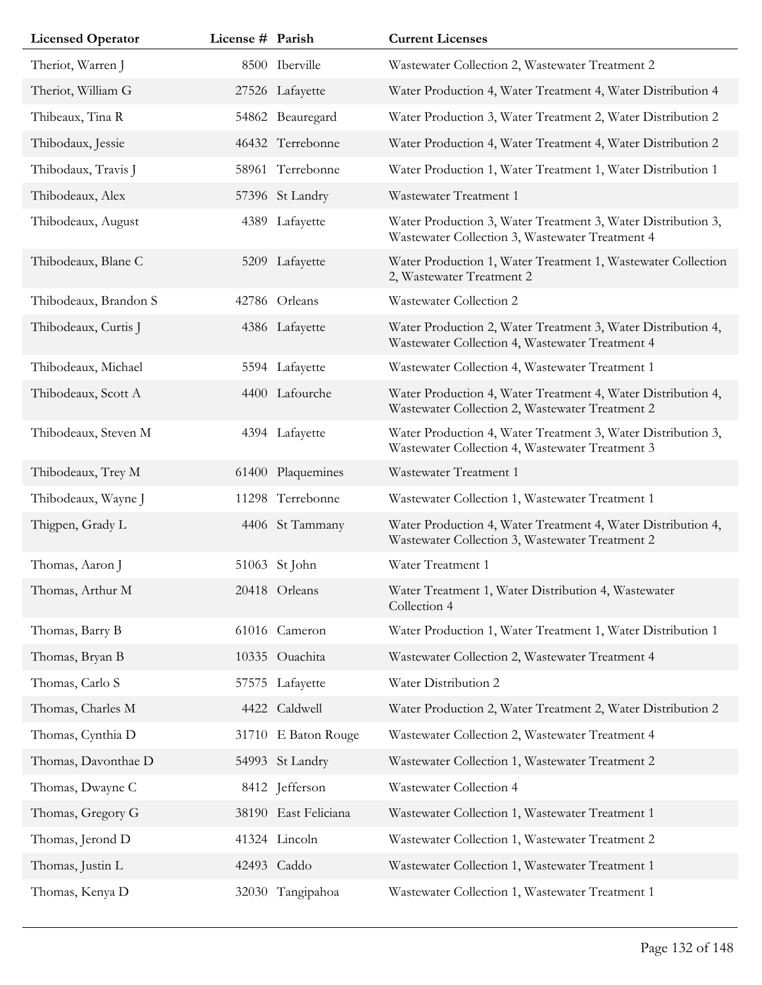| <b>Licensed Operator</b> | License # Parish |                      | <b>Current Licenses</b>                                                                                         |
|--------------------------|------------------|----------------------|-----------------------------------------------------------------------------------------------------------------|
| Theriot, Warren J        |                  | 8500 Iberville       | Wastewater Collection 2, Wastewater Treatment 2                                                                 |
| Theriot, William G       |                  | 27526 Lafayette      | Water Production 4, Water Treatment 4, Water Distribution 4                                                     |
| Thibeaux, Tina R         |                  | 54862 Beauregard     | Water Production 3, Water Treatment 2, Water Distribution 2                                                     |
| Thibodaux, Jessie        |                  | 46432 Terrebonne     | Water Production 4, Water Treatment 4, Water Distribution 2                                                     |
| Thibodaux, Travis J      |                  | 58961 Terrebonne     | Water Production 1, Water Treatment 1, Water Distribution 1                                                     |
| Thibodeaux, Alex         |                  | 57396 St Landry      | Wastewater Treatment 1                                                                                          |
| Thibodeaux, August       |                  | 4389 Lafayette       | Water Production 3, Water Treatment 3, Water Distribution 3,<br>Wastewater Collection 3, Wastewater Treatment 4 |
| Thibodeaux, Blane C      |                  | 5209 Lafayette       | Water Production 1, Water Treatment 1, Wastewater Collection<br>2, Wastewater Treatment 2                       |
| Thibodeaux, Brandon S    |                  | 42786 Orleans        | Wastewater Collection 2                                                                                         |
| Thibodeaux, Curtis J     |                  | 4386 Lafayette       | Water Production 2, Water Treatment 3, Water Distribution 4,<br>Wastewater Collection 4, Wastewater Treatment 4 |
| Thibodeaux, Michael      |                  | 5594 Lafayette       | Wastewater Collection 4, Wastewater Treatment 1                                                                 |
| Thibodeaux, Scott A      |                  | 4400 Lafourche       | Water Production 4, Water Treatment 4, Water Distribution 4,<br>Wastewater Collection 2, Wastewater Treatment 2 |
| Thibodeaux, Steven M     |                  | 4394 Lafayette       | Water Production 4, Water Treatment 3, Water Distribution 3,<br>Wastewater Collection 4, Wastewater Treatment 3 |
| Thibodeaux, Trey M       |                  | 61400 Plaquemines    | Wastewater Treatment 1                                                                                          |
| Thibodeaux, Wayne J      |                  | 11298 Terrebonne     | Wastewater Collection 1, Wastewater Treatment 1                                                                 |
| Thigpen, Grady L         |                  | 4406 St Tammany      | Water Production 4, Water Treatment 4, Water Distribution 4,<br>Wastewater Collection 3, Wastewater Treatment 2 |
| Thomas, Aaron J          |                  | 51063 St John        | Water Treatment 1                                                                                               |
| Thomas, Arthur M         |                  | 20418 Orleans        | Water Treatment 1, Water Distribution 4, Wastewater<br>Collection 4                                             |
| Thomas, Barry B          |                  | 61016 Cameron        | Water Production 1, Water Treatment 1, Water Distribution 1                                                     |
| Thomas, Bryan B          |                  | 10335 Ouachita       | Wastewater Collection 2, Wastewater Treatment 4                                                                 |
| Thomas, Carlo S          |                  | 57575 Lafayette      | Water Distribution 2                                                                                            |
| Thomas, Charles M        |                  | 4422 Caldwell        | Water Production 2, Water Treatment 2, Water Distribution 2                                                     |
| Thomas, Cynthia D        |                  | 31710 E Baton Rouge  | Wastewater Collection 2, Wastewater Treatment 4                                                                 |
| Thomas, Davonthae D      |                  | 54993 St Landry      | Wastewater Collection 1, Wastewater Treatment 2                                                                 |
| Thomas, Dwayne C         |                  | 8412 Jefferson       | Wastewater Collection 4                                                                                         |
| Thomas, Gregory G        |                  | 38190 East Feliciana | Wastewater Collection 1, Wastewater Treatment 1                                                                 |
| Thomas, Jerond D         |                  | 41324 Lincoln        | Wastewater Collection 1, Wastewater Treatment 2                                                                 |
| Thomas, Justin L         |                  | 42493 Caddo          | Wastewater Collection 1, Wastewater Treatment 1                                                                 |
| Thomas, Kenya D          |                  | 32030 Tangipahoa     | Wastewater Collection 1, Wastewater Treatment 1                                                                 |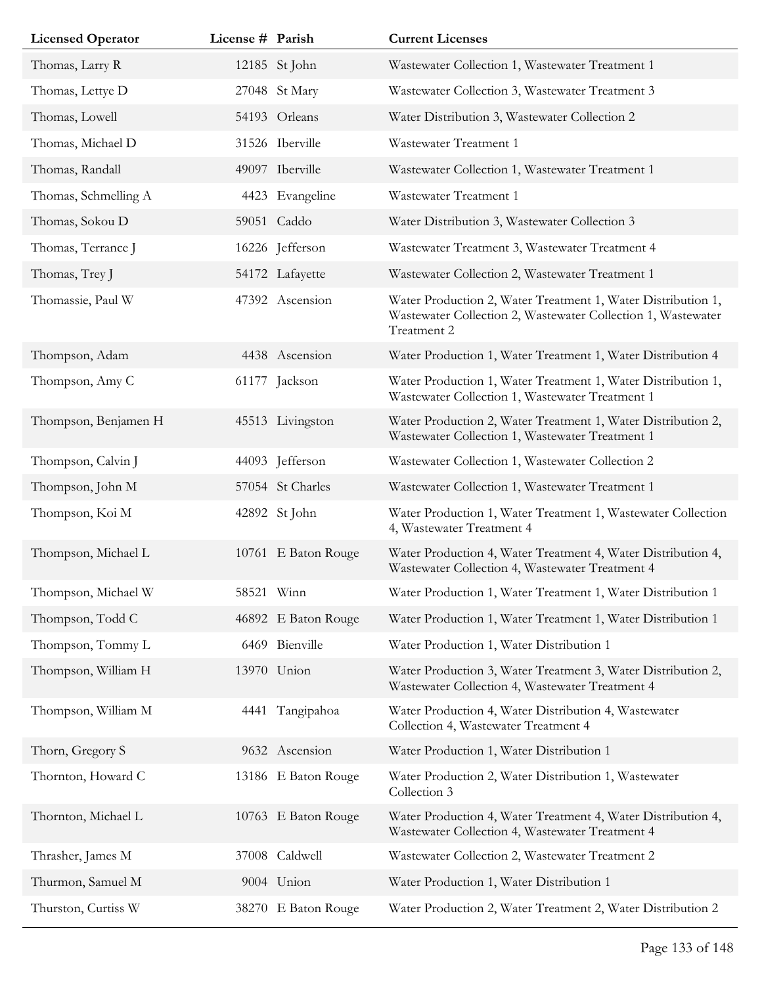| <b>Licensed Operator</b> | License # Parish |                     | <b>Current Licenses</b>                                                                                                                     |
|--------------------------|------------------|---------------------|---------------------------------------------------------------------------------------------------------------------------------------------|
| Thomas, Larry R          |                  | 12185 St John       | Wastewater Collection 1, Wastewater Treatment 1                                                                                             |
| Thomas, Lettye D         |                  | 27048 St Mary       | Wastewater Collection 3, Wastewater Treatment 3                                                                                             |
| Thomas, Lowell           |                  | 54193 Orleans       | Water Distribution 3, Wastewater Collection 2                                                                                               |
| Thomas, Michael D        |                  | 31526 Iberville     | Wastewater Treatment 1                                                                                                                      |
| Thomas, Randall          |                  | 49097 Iberville     | Wastewater Collection 1, Wastewater Treatment 1                                                                                             |
| Thomas, Schmelling A     |                  | 4423 Evangeline     | Wastewater Treatment 1                                                                                                                      |
| Thomas, Sokou D          |                  | 59051 Caddo         | Water Distribution 3, Wastewater Collection 3                                                                                               |
| Thomas, Terrance J       |                  | 16226 Jefferson     | Wastewater Treatment 3, Wastewater Treatment 4                                                                                              |
| Thomas, Trey J           |                  | 54172 Lafayette     | Wastewater Collection 2, Wastewater Treatment 1                                                                                             |
| Thomassie, Paul W        |                  | 47392 Ascension     | Water Production 2, Water Treatment 1, Water Distribution 1,<br>Wastewater Collection 2, Wastewater Collection 1, Wastewater<br>Treatment 2 |
| Thompson, Adam           |                  | 4438 Ascension      | Water Production 1, Water Treatment 1, Water Distribution 4                                                                                 |
| Thompson, Amy C          |                  | 61177 Jackson       | Water Production 1, Water Treatment 1, Water Distribution 1,<br>Wastewater Collection 1, Wastewater Treatment 1                             |
| Thompson, Benjamen H     |                  | 45513 Livingston    | Water Production 2, Water Treatment 1, Water Distribution 2,<br>Wastewater Collection 1, Wastewater Treatment 1                             |
| Thompson, Calvin J       |                  | 44093 Jefferson     | Wastewater Collection 1, Wastewater Collection 2                                                                                            |
| Thompson, John M         |                  | 57054 St Charles    | Wastewater Collection 1, Wastewater Treatment 1                                                                                             |
| Thompson, Koi M          |                  | 42892 St John       | Water Production 1, Water Treatment 1, Wastewater Collection<br>4, Wastewater Treatment 4                                                   |
| Thompson, Michael L      |                  | 10761 E Baton Rouge | Water Production 4, Water Treatment 4, Water Distribution 4,<br>Wastewater Collection 4, Wastewater Treatment 4                             |
| Thompson, Michael W      |                  | 58521 Winn          | Water Production 1, Water Treatment 1, Water Distribution 1                                                                                 |
| Thompson, Todd C         |                  | 46892 E Baton Rouge | Water Production 1, Water Treatment 1, Water Distribution 1                                                                                 |
| Thompson, Tommy L        |                  | 6469 Bienville      | Water Production 1, Water Distribution 1                                                                                                    |
| Thompson, William H      |                  | 13970 Union         | Water Production 3, Water Treatment 3, Water Distribution 2,<br>Wastewater Collection 4, Wastewater Treatment 4                             |
| Thompson, William M      | 4441             | Tangipahoa          | Water Production 4, Water Distribution 4, Wastewater<br>Collection 4, Wastewater Treatment 4                                                |
| Thorn, Gregory S         |                  | 9632 Ascension      | Water Production 1, Water Distribution 1                                                                                                    |
| Thornton, Howard C       |                  | 13186 E Baton Rouge | Water Production 2, Water Distribution 1, Wastewater<br>Collection 3                                                                        |
| Thornton, Michael L      |                  | 10763 E Baton Rouge | Water Production 4, Water Treatment 4, Water Distribution 4,<br>Wastewater Collection 4, Wastewater Treatment 4                             |
| Thrasher, James M        |                  | 37008 Caldwell      | Wastewater Collection 2, Wastewater Treatment 2                                                                                             |
| Thurmon, Samuel M        |                  | 9004 Union          | Water Production 1, Water Distribution 1                                                                                                    |
| Thurston, Curtiss W      |                  | 38270 E Baton Rouge | Water Production 2, Water Treatment 2, Water Distribution 2                                                                                 |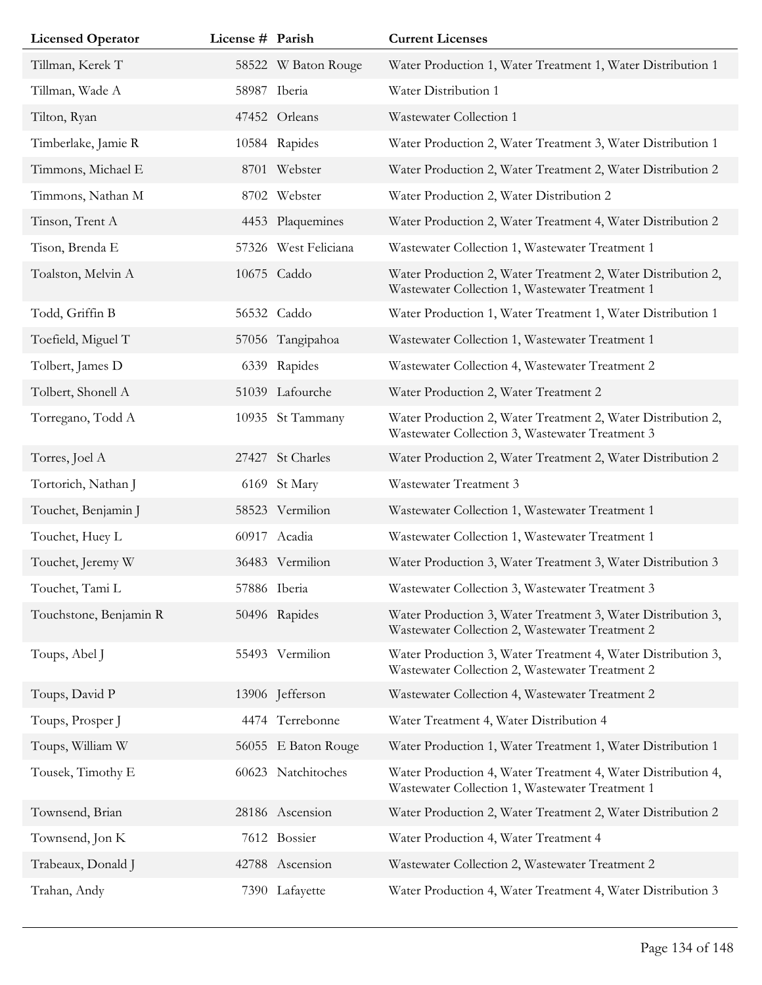| <b>Licensed Operator</b> | License # Parish |                      | <b>Current Licenses</b>                                                                                         |
|--------------------------|------------------|----------------------|-----------------------------------------------------------------------------------------------------------------|
| Tillman, Kerek T         |                  | 58522 W Baton Rouge  | Water Production 1, Water Treatment 1, Water Distribution 1                                                     |
| Tillman, Wade A          |                  | 58987 Iberia         | Water Distribution 1                                                                                            |
| Tilton, Ryan             |                  | 47452 Orleans        | Wastewater Collection 1                                                                                         |
| Timberlake, Jamie R      |                  | 10584 Rapides        | Water Production 2, Water Treatment 3, Water Distribution 1                                                     |
| Timmons, Michael E       |                  | 8701 Webster         | Water Production 2, Water Treatment 2, Water Distribution 2                                                     |
| Timmons, Nathan M        |                  | 8702 Webster         | Water Production 2, Water Distribution 2                                                                        |
| Tinson, Trent A          |                  | 4453 Plaquemines     | Water Production 2, Water Treatment 4, Water Distribution 2                                                     |
| Tison, Brenda E          |                  | 57326 West Feliciana | Wastewater Collection 1, Wastewater Treatment 1                                                                 |
| Toalston, Melvin A       |                  | 10675 Caddo          | Water Production 2, Water Treatment 2, Water Distribution 2,<br>Wastewater Collection 1, Wastewater Treatment 1 |
| Todd, Griffin B          |                  | 56532 Caddo          | Water Production 1, Water Treatment 1, Water Distribution 1                                                     |
| Toefield, Miguel T       |                  | 57056 Tangipahoa     | Wastewater Collection 1, Wastewater Treatment 1                                                                 |
| Tolbert, James D         | 6339             | Rapides              | Wastewater Collection 4, Wastewater Treatment 2                                                                 |
| Tolbert, Shonell A       |                  | 51039 Lafourche      | Water Production 2, Water Treatment 2                                                                           |
| Torregano, Todd A        |                  | 10935 St Tammany     | Water Production 2, Water Treatment 2, Water Distribution 2,<br>Wastewater Collection 3, Wastewater Treatment 3 |
| Torres, Joel A           |                  | 27427 St Charles     | Water Production 2, Water Treatment 2, Water Distribution 2                                                     |
| Tortorich, Nathan J      |                  | 6169 St Mary         | Wastewater Treatment 3                                                                                          |
| Touchet, Benjamin J      |                  | 58523 Vermilion      | Wastewater Collection 1, Wastewater Treatment 1                                                                 |
| Touchet, Huey L          |                  | 60917 Acadia         | Wastewater Collection 1, Wastewater Treatment 1                                                                 |
| Touchet, Jeremy W        |                  | 36483 Vermilion      | Water Production 3, Water Treatment 3, Water Distribution 3                                                     |
| Touchet, Tami L          |                  | 57886 Iberia         | Wastewater Collection 3, Wastewater Treatment 3                                                                 |
| Touchstone, Benjamin R   |                  | 50496 Rapides        | Water Production 3, Water Treatment 3, Water Distribution 3,<br>Wastewater Collection 2, Wastewater Treatment 2 |
| Toups, Abel J            |                  | 55493 Vermilion      | Water Production 3, Water Treatment 4, Water Distribution 3,<br>Wastewater Collection 2, Wastewater Treatment 2 |
| Toups, David P           |                  | 13906 Jefferson      | Wastewater Collection 4, Wastewater Treatment 2                                                                 |
| Toups, Prosper J         |                  | 4474 Terrebonne      | Water Treatment 4, Water Distribution 4                                                                         |
| Toups, William W         |                  | 56055 E Baton Rouge  | Water Production 1, Water Treatment 1, Water Distribution 1                                                     |
| Tousek, Timothy E        |                  | 60623 Natchitoches   | Water Production 4, Water Treatment 4, Water Distribution 4,<br>Wastewater Collection 1, Wastewater Treatment 1 |
| Townsend, Brian          |                  | 28186 Ascension      | Water Production 2, Water Treatment 2, Water Distribution 2                                                     |
| Townsend, Jon K          |                  | 7612 Bossier         | Water Production 4, Water Treatment 4                                                                           |
| Trabeaux, Donald J       |                  | 42788 Ascension      | Wastewater Collection 2, Wastewater Treatment 2                                                                 |
| Trahan, Andy             |                  | 7390 Lafayette       | Water Production 4, Water Treatment 4, Water Distribution 3                                                     |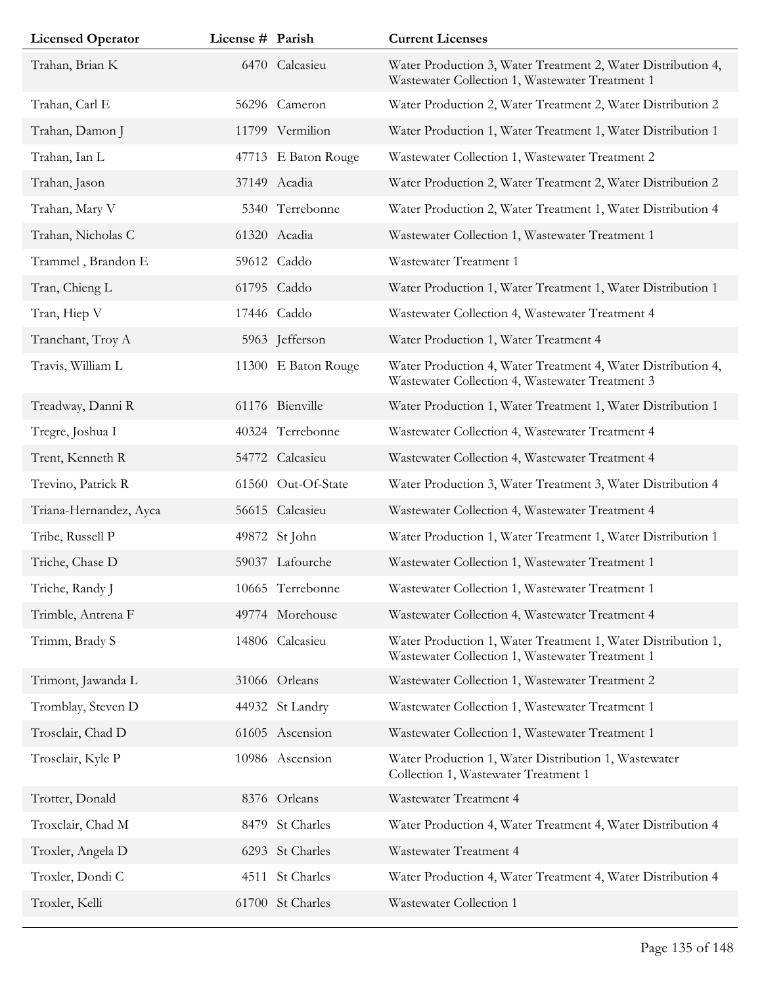| <b>Licensed Operator</b> | License # Parish |                     | <b>Current Licenses</b>                                                                                         |
|--------------------------|------------------|---------------------|-----------------------------------------------------------------------------------------------------------------|
| Trahan, Brian K          |                  | 6470 Calcasieu      | Water Production 3, Water Treatment 2, Water Distribution 4,<br>Wastewater Collection 1, Wastewater Treatment 1 |
| Trahan, Carl E           |                  | 56296 Cameron       | Water Production 2, Water Treatment 2, Water Distribution 2                                                     |
| Trahan, Damon J          |                  | 11799 Vermilion     | Water Production 1, Water Treatment 1, Water Distribution 1                                                     |
| Trahan, Ian L            |                  | 47713 E Baton Rouge | Wastewater Collection 1, Wastewater Treatment 2                                                                 |
| Trahan, Jason            |                  | 37149 Acadia        | Water Production 2, Water Treatment 2, Water Distribution 2                                                     |
| Trahan, Mary V           |                  | 5340 Terrebonne     | Water Production 2, Water Treatment 1, Water Distribution 4                                                     |
| Trahan, Nicholas C       |                  | 61320 Acadia        | Wastewater Collection 1, Wastewater Treatment 1                                                                 |
| Trammel, Brandon E       |                  | 59612 Caddo         | Wastewater Treatment 1                                                                                          |
| Tran, Chieng L           |                  | 61795 Caddo         | Water Production 1, Water Treatment 1, Water Distribution 1                                                     |
| Tran, Hiep V             |                  | 17446 Caddo         | Wastewater Collection 4, Wastewater Treatment 4                                                                 |
| Tranchant, Troy A        |                  | 5963 Jefferson      | Water Production 1, Water Treatment 4                                                                           |
| Travis, William L        |                  | 11300 E Baton Rouge | Water Production 4, Water Treatment 4, Water Distribution 4,<br>Wastewater Collection 4, Wastewater Treatment 3 |
| Treadway, Danni R        |                  | 61176 Bienville     | Water Production 1, Water Treatment 1, Water Distribution 1                                                     |
| Tregre, Joshua I         |                  | 40324 Terrebonne    | Wastewater Collection 4, Wastewater Treatment 4                                                                 |
| Trent, Kenneth R         |                  | 54772 Calcasieu     | Wastewater Collection 4, Wastewater Treatment 4                                                                 |
| Trevino, Patrick R       |                  | 61560 Out-Of-State  | Water Production 3, Water Treatment 3, Water Distribution 4                                                     |
| Triana-Hernandez, Ayca   |                  | 56615 Calcasieu     | Wastewater Collection 4, Wastewater Treatment 4                                                                 |
| Tribe, Russell P         |                  | 49872 St John       | Water Production 1, Water Treatment 1, Water Distribution 1                                                     |
| Triche, Chase D          |                  | 59037 Lafourche     | Wastewater Collection 1, Wastewater Treatment 1                                                                 |
| Triche, Randy J          |                  | 10665 Terrebonne    | Wastewater Collection 1, Wastewater Treatment 1                                                                 |
| Trimble, Antrena F       |                  | 49774 Morehouse     | Wastewater Collection 4, Wastewater Treatment 4                                                                 |
| Trimm, Brady S           |                  | 14806 Calcasieu     | Water Production 1, Water Treatment 1, Water Distribution 1,<br>Wastewater Collection 1, Wastewater Treatment 1 |
| Trimont, Jawanda L       |                  | 31066 Orleans       | Wastewater Collection 1, Wastewater Treatment 2                                                                 |
| Tromblay, Steven D       |                  | 44932 St Landry     | Wastewater Collection 1, Wastewater Treatment 1                                                                 |
| Trosclair, Chad D        |                  | 61605 Ascension     | Wastewater Collection 1, Wastewater Treatment 1                                                                 |
| Trosclair, Kyle P        |                  | 10986 Ascension     | Water Production 1, Water Distribution 1, Wastewater<br>Collection 1, Wastewater Treatment 1                    |
| Trotter, Donald          |                  | 8376 Orleans        | Wastewater Treatment 4                                                                                          |
| Troxclair, Chad M        |                  | 8479 St Charles     | Water Production 4, Water Treatment 4, Water Distribution 4                                                     |
| Troxler, Angela D        |                  | 6293 St Charles     | Wastewater Treatment 4                                                                                          |
| Troxler, Dondi C         |                  | 4511 St Charles     | Water Production 4, Water Treatment 4, Water Distribution 4                                                     |
| Troxler, Kelli           |                  | 61700 St Charles    | Wastewater Collection 1                                                                                         |
|                          |                  |                     |                                                                                                                 |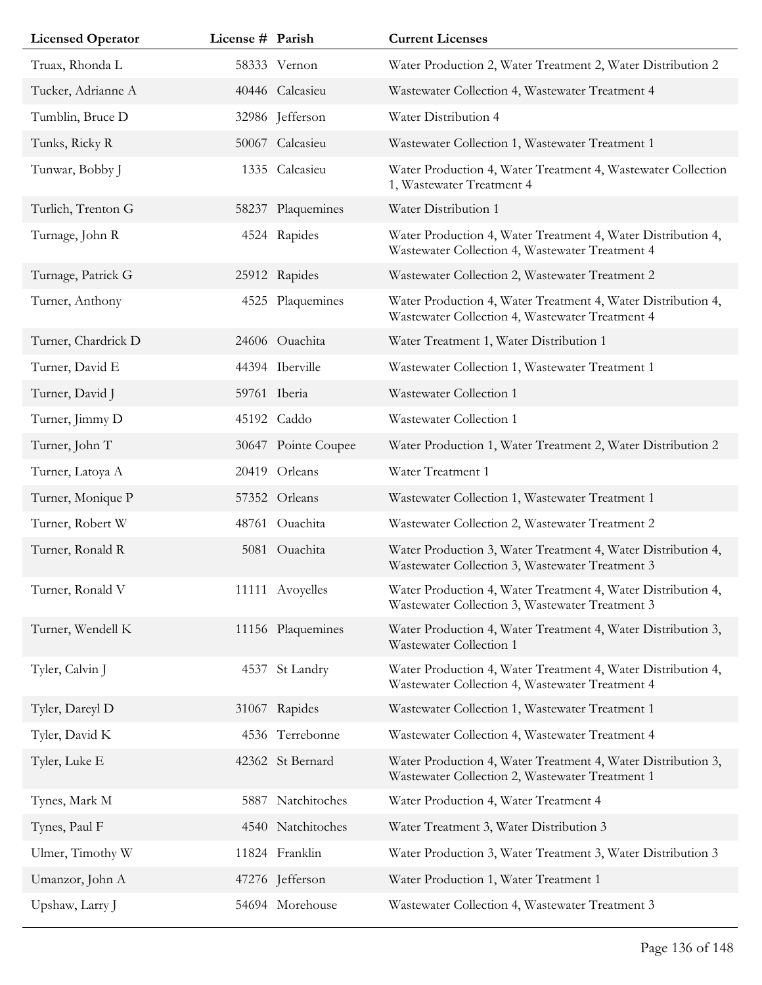| <b>Licensed Operator</b> | License # Parish |                     | <b>Current Licenses</b>                                                                                         |
|--------------------------|------------------|---------------------|-----------------------------------------------------------------------------------------------------------------|
| Truax, Rhonda L          |                  | 58333 Vernon        | Water Production 2, Water Treatment 2, Water Distribution 2                                                     |
| Tucker, Adrianne A       |                  | 40446 Calcasieu     | Wastewater Collection 4, Wastewater Treatment 4                                                                 |
| Tumblin, Bruce D         |                  | 32986 Jefferson     | Water Distribution 4                                                                                            |
| Tunks, Ricky R           |                  | 50067 Calcasieu     | Wastewater Collection 1, Wastewater Treatment 1                                                                 |
| Tunwar, Bobby J          | 1335             | Calcasieu           | Water Production 4, Water Treatment 4, Wastewater Collection<br>1, Wastewater Treatment 4                       |
| Turlich, Trenton G       |                  | 58237 Plaquemines   | Water Distribution 1                                                                                            |
| Turnage, John R          |                  | 4524 Rapides        | Water Production 4, Water Treatment 4, Water Distribution 4,<br>Wastewater Collection 4, Wastewater Treatment 4 |
| Turnage, Patrick G       |                  | 25912 Rapides       | Wastewater Collection 2, Wastewater Treatment 2                                                                 |
| Turner, Anthony          | 4525             | Plaquemines         | Water Production 4, Water Treatment 4, Water Distribution 4,<br>Wastewater Collection 4, Wastewater Treatment 4 |
| Turner, Chardrick D      |                  | 24606 Ouachita      | Water Treatment 1, Water Distribution 1                                                                         |
| Turner, David E          |                  | 44394 Iberville     | Wastewater Collection 1, Wastewater Treatment 1                                                                 |
| Turner, David J          |                  | 59761 Iberia        | Wastewater Collection 1                                                                                         |
| Turner, Jimmy D          |                  | 45192 Caddo         | Wastewater Collection 1                                                                                         |
| Turner, John T           |                  | 30647 Pointe Coupee | Water Production 1, Water Treatment 2, Water Distribution 2                                                     |
| Turner, Latoya A         |                  | 20419 Orleans       | Water Treatment 1                                                                                               |
| Turner, Monique P        |                  | 57352 Orleans       | Wastewater Collection 1, Wastewater Treatment 1                                                                 |
| Turner, Robert W         |                  | 48761 Ouachita      | Wastewater Collection 2, Wastewater Treatment 2                                                                 |
| Turner, Ronald R         |                  | 5081 Ouachita       | Water Production 3, Water Treatment 4, Water Distribution 4,<br>Wastewater Collection 3, Wastewater Treatment 3 |
| Turner, Ronald V         |                  | 11111 Avoyelles     | Water Production 4, Water Treatment 4, Water Distribution 4,<br>Wastewater Collection 3, Wastewater Treatment 3 |
| Turner, Wendell K        |                  | 11156 Plaquemines   | Water Production 4, Water Treatment 4, Water Distribution 3,<br>Wastewater Collection 1                         |
| Tyler, Calvin J          | 4537             | St Landry           | Water Production 4, Water Treatment 4, Water Distribution 4,<br>Wastewater Collection 4, Wastewater Treatment 4 |
| Tyler, Dareyl D          |                  | 31067 Rapides       | Wastewater Collection 1, Wastewater Treatment 1                                                                 |
| Tyler, David K           |                  | 4536 Terrebonne     | Wastewater Collection 4, Wastewater Treatment 4                                                                 |
| Tyler, Luke E            |                  | 42362 St Bernard    | Water Production 4, Water Treatment 4, Water Distribution 3,<br>Wastewater Collection 2, Wastewater Treatment 1 |
| Tynes, Mark M            | 5887             | Natchitoches        | Water Production 4, Water Treatment 4                                                                           |
| Tynes, Paul F            |                  | 4540 Natchitoches   | Water Treatment 3, Water Distribution 3                                                                         |
| Ulmer, Timothy W         |                  | 11824 Franklin      | Water Production 3, Water Treatment 3, Water Distribution 3                                                     |
| Umanzor, John A          |                  | 47276 Jefferson     | Water Production 1, Water Treatment 1                                                                           |
| Upshaw, Larry J          |                  | 54694 Morehouse     | Wastewater Collection 4, Wastewater Treatment 3                                                                 |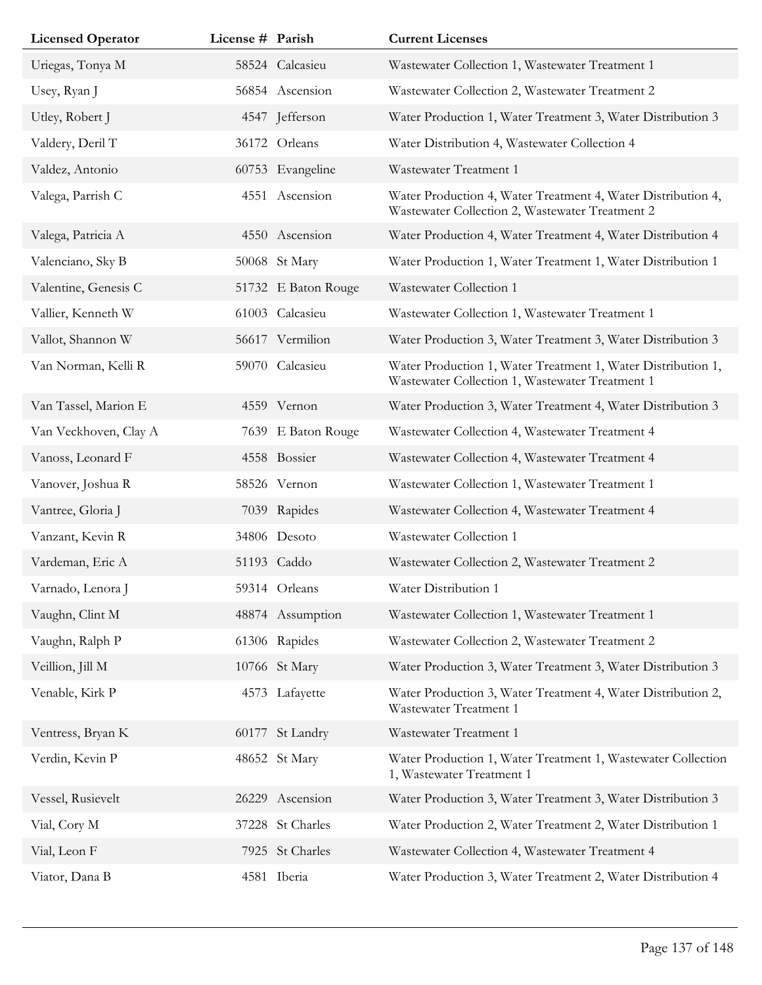| <b>Licensed Operator</b> | License # Parish |                     | <b>Current Licenses</b>                                                                                         |
|--------------------------|------------------|---------------------|-----------------------------------------------------------------------------------------------------------------|
| Uriegas, Tonya M         |                  | 58524 Calcasieu     | Wastewater Collection 1, Wastewater Treatment 1                                                                 |
| Usey, Ryan J             |                  | 56854 Ascension     | Wastewater Collection 2, Wastewater Treatment 2                                                                 |
| Utley, Robert J          |                  | 4547 Jefferson      | Water Production 1, Water Treatment 3, Water Distribution 3                                                     |
| Valdery, Deril T         |                  | 36172 Orleans       | Water Distribution 4, Wastewater Collection 4                                                                   |
| Valdez, Antonio          |                  | 60753 Evangeline    | Wastewater Treatment 1                                                                                          |
| Valega, Parrish C        |                  | 4551 Ascension      | Water Production 4, Water Treatment 4, Water Distribution 4,<br>Wastewater Collection 2, Wastewater Treatment 2 |
| Valega, Patricia A       |                  | 4550 Ascension      | Water Production 4, Water Treatment 4, Water Distribution 4                                                     |
| Valenciano, Sky B        |                  | 50068 St Mary       | Water Production 1, Water Treatment 1, Water Distribution 1                                                     |
| Valentine, Genesis C     |                  | 51732 E Baton Rouge | Wastewater Collection 1                                                                                         |
| Vallier, Kenneth W       |                  | 61003 Calcasieu     | Wastewater Collection 1, Wastewater Treatment 1                                                                 |
| Vallot, Shannon W        |                  | 56617 Vermilion     | Water Production 3, Water Treatment 3, Water Distribution 3                                                     |
| Van Norman, Kelli R      |                  | 59070 Calcasieu     | Water Production 1, Water Treatment 1, Water Distribution 1,<br>Wastewater Collection 1, Wastewater Treatment 1 |
| Van Tassel, Marion E     |                  | 4559 Vernon         | Water Production 3, Water Treatment 4, Water Distribution 3                                                     |
| Van Veckhoven, Clay A    |                  | 7639 E Baton Rouge  | Wastewater Collection 4, Wastewater Treatment 4                                                                 |
| Vanoss, Leonard F        |                  | 4558 Bossier        | Wastewater Collection 4, Wastewater Treatment 4                                                                 |
| Vanover, Joshua R        |                  | 58526 Vernon        | Wastewater Collection 1, Wastewater Treatment 1                                                                 |
| Vantree, Gloria J        |                  | 7039 Rapides        | Wastewater Collection 4, Wastewater Treatment 4                                                                 |
| Vanzant, Kevin R         |                  | 34806 Desoto        | Wastewater Collection 1                                                                                         |
| Vardeman, Eric A         |                  | 51193 Caddo         | Wastewater Collection 2, Wastewater Treatment 2                                                                 |
| Varnado, Lenora J        |                  | 59314 Orleans       | Water Distribution 1                                                                                            |
| Vaughn, Clint M          |                  | 48874 Assumption    | Wastewater Collection 1, Wastewater Treatment 1                                                                 |
| Vaughn, Ralph P          |                  | 61306 Rapides       | Wastewater Collection 2, Wastewater Treatment 2                                                                 |
| Veillion, Jill M         |                  | 10766 St Mary       | Water Production 3, Water Treatment 3, Water Distribution 3                                                     |
| Venable, Kirk P          |                  | 4573 Lafayette      | Water Production 3, Water Treatment 4, Water Distribution 2,<br>Wastewater Treatment 1                          |
| Ventress, Bryan K        |                  | 60177 St Landry     | Wastewater Treatment 1                                                                                          |
| Verdin, Kevin P          |                  | 48652 St Mary       | Water Production 1, Water Treatment 1, Wastewater Collection<br>1, Wastewater Treatment 1                       |
| Vessel, Rusievelt        | 26229            | Ascension           | Water Production 3, Water Treatment 3, Water Distribution 3                                                     |
| Vial, Cory M             |                  | 37228 St Charles    | Water Production 2, Water Treatment 2, Water Distribution 1                                                     |
| Vial, Leon F             |                  | 7925 St Charles     | Wastewater Collection 4, Wastewater Treatment 4                                                                 |
| Viator, Dana B           |                  | 4581 Iberia         | Water Production 3, Water Treatment 2, Water Distribution 4                                                     |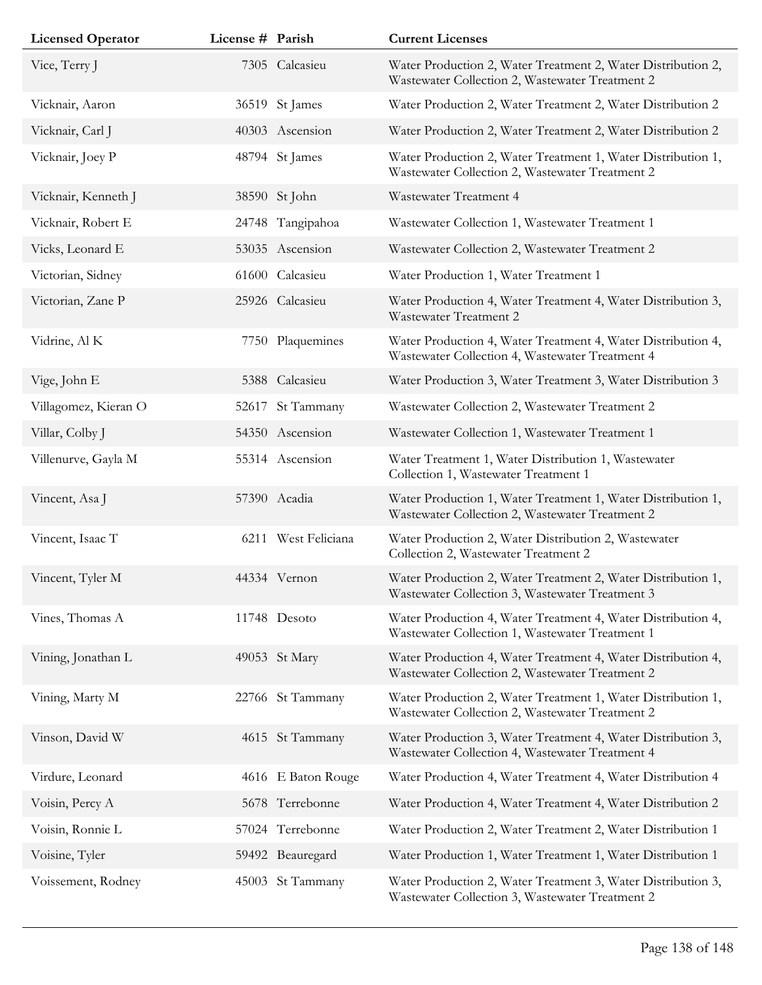| <b>Licensed Operator</b> | License # Parish |                     | <b>Current Licenses</b>                                                                                         |
|--------------------------|------------------|---------------------|-----------------------------------------------------------------------------------------------------------------|
| Vice, Terry J            |                  | 7305 Calcasieu      | Water Production 2, Water Treatment 2, Water Distribution 2,<br>Wastewater Collection 2, Wastewater Treatment 2 |
| Vicknair, Aaron          |                  | 36519 St James      | Water Production 2, Water Treatment 2, Water Distribution 2                                                     |
| Vicknair, Carl J         |                  | 40303 Ascension     | Water Production 2, Water Treatment 2, Water Distribution 2                                                     |
| Vicknair, Joey P         |                  | 48794 St James      | Water Production 2, Water Treatment 1, Water Distribution 1,<br>Wastewater Collection 2, Wastewater Treatment 2 |
| Vicknair, Kenneth J      |                  | 38590 St John       | Wastewater Treatment 4                                                                                          |
| Vicknair, Robert E       |                  | 24748 Tangipahoa    | Wastewater Collection 1, Wastewater Treatment 1                                                                 |
| Vicks, Leonard E         |                  | 53035 Ascension     | Wastewater Collection 2, Wastewater Treatment 2                                                                 |
| Victorian, Sidney        | 61600            | Calcasieu           | Water Production 1, Water Treatment 1                                                                           |
| Victorian, Zane P        |                  | 25926 Calcasieu     | Water Production 4, Water Treatment 4, Water Distribution 3,<br>Wastewater Treatment 2                          |
| Vidrine, Al K            |                  | 7750 Plaquemines    | Water Production 4, Water Treatment 4, Water Distribution 4,<br>Wastewater Collection 4, Wastewater Treatment 4 |
| Vige, John E             |                  | 5388 Calcasieu      | Water Production 3, Water Treatment 3, Water Distribution 3                                                     |
| Villagomez, Kieran O     | 52617            | St Tammany          | Wastewater Collection 2, Wastewater Treatment 2                                                                 |
| Villar, Colby J          |                  | 54350 Ascension     | Wastewater Collection 1, Wastewater Treatment 1                                                                 |
| Villenurve, Gayla M      |                  | 55314 Ascension     | Water Treatment 1, Water Distribution 1, Wastewater<br>Collection 1, Wastewater Treatment 1                     |
| Vincent, Asa J           |                  | 57390 Acadia        | Water Production 1, Water Treatment 1, Water Distribution 1,<br>Wastewater Collection 2, Wastewater Treatment 2 |
| Vincent, Isaac T         |                  | 6211 West Feliciana | Water Production 2, Water Distribution 2, Wastewater<br>Collection 2, Wastewater Treatment 2                    |
| Vincent, Tyler M         |                  | 44334 Vernon        | Water Production 2, Water Treatment 2, Water Distribution 1,<br>Wastewater Collection 3, Wastewater Treatment 3 |
| Vines, Thomas A          |                  | 11748 Desoto        | Water Production 4, Water Treatment 4, Water Distribution 4,<br>Wastewater Collection 1, Wastewater Treatment 1 |
| Vining, Jonathan L       |                  | 49053 St Mary       | Water Production 4, Water Treatment 4, Water Distribution 4,<br>Wastewater Collection 2, Wastewater Treatment 2 |
| Vining, Marty M          |                  | 22766 St Tammany    | Water Production 2, Water Treatment 1, Water Distribution 1,<br>Wastewater Collection 2, Wastewater Treatment 2 |
| Vinson, David W          |                  | 4615 St Tammany     | Water Production 3, Water Treatment 4, Water Distribution 3,<br>Wastewater Collection 4, Wastewater Treatment 4 |
| Virdure, Leonard         |                  | 4616 E Baton Rouge  | Water Production 4, Water Treatment 4, Water Distribution 4                                                     |
| Voisin, Percy A          |                  | 5678 Terrebonne     | Water Production 4, Water Treatment 4, Water Distribution 2                                                     |
| Voisin, Ronnie L         |                  | 57024 Terrebonne    | Water Production 2, Water Treatment 2, Water Distribution 1                                                     |
| Voisine, Tyler           |                  | 59492 Beauregard    | Water Production 1, Water Treatment 1, Water Distribution 1                                                     |
| Voissement, Rodney       |                  | 45003 St Tammany    | Water Production 2, Water Treatment 3, Water Distribution 3,<br>Wastewater Collection 3, Wastewater Treatment 2 |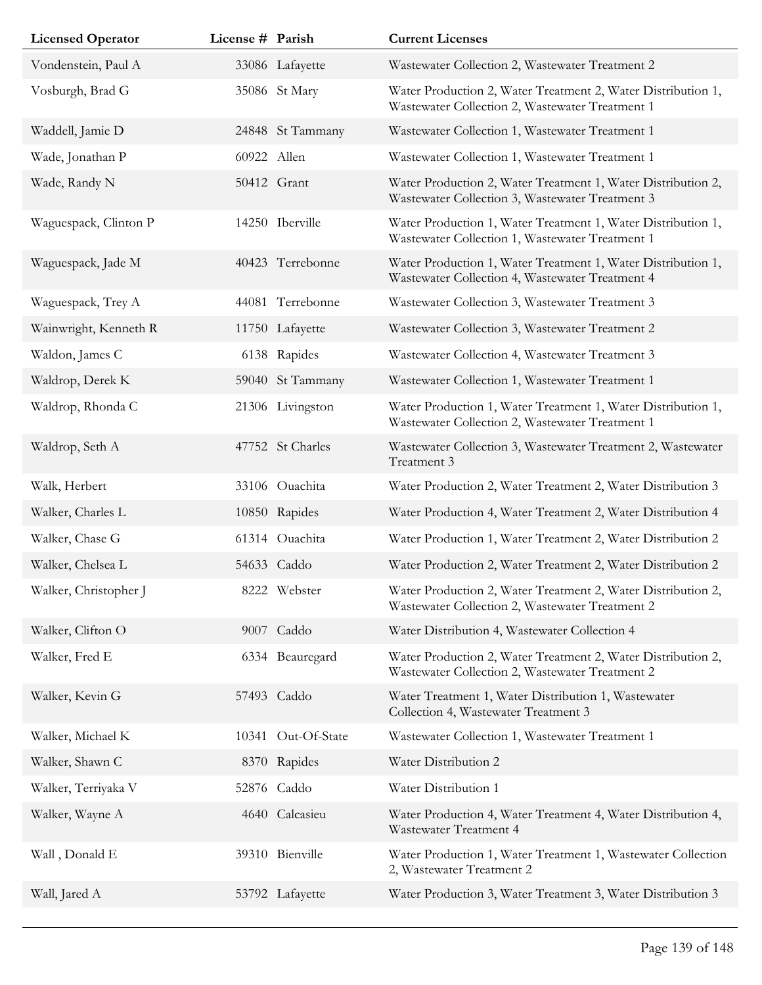| <b>Licensed Operator</b> | License # Parish |                    | <b>Current Licenses</b>                                                                                         |
|--------------------------|------------------|--------------------|-----------------------------------------------------------------------------------------------------------------|
| Vondenstein, Paul A      |                  | 33086 Lafayette    | Wastewater Collection 2, Wastewater Treatment 2                                                                 |
| Vosburgh, Brad G         |                  | 35086 St Mary      | Water Production 2, Water Treatment 2, Water Distribution 1,<br>Wastewater Collection 2, Wastewater Treatment 1 |
| Waddell, Jamie D         |                  | 24848 St Tammany   | Wastewater Collection 1, Wastewater Treatment 1                                                                 |
| Wade, Jonathan P         | 60922 Allen      |                    | Wastewater Collection 1, Wastewater Treatment 1                                                                 |
| Wade, Randy N            |                  | 50412 Grant        | Water Production 2, Water Treatment 1, Water Distribution 2,<br>Wastewater Collection 3, Wastewater Treatment 3 |
| Waguespack, Clinton P    |                  | 14250 Iberville    | Water Production 1, Water Treatment 1, Water Distribution 1,<br>Wastewater Collection 1, Wastewater Treatment 1 |
| Waguespack, Jade M       |                  | 40423 Terrebonne   | Water Production 1, Water Treatment 1, Water Distribution 1,<br>Wastewater Collection 4, Wastewater Treatment 4 |
| Waguespack, Trey A       |                  | 44081 Terrebonne   | Wastewater Collection 3, Wastewater Treatment 3                                                                 |
| Wainwright, Kenneth R    |                  | 11750 Lafayette    | Wastewater Collection 3, Wastewater Treatment 2                                                                 |
| Waldon, James C          |                  | 6138 Rapides       | Wastewater Collection 4, Wastewater Treatment 3                                                                 |
| Waldrop, Derek K         |                  | 59040 St Tammany   | Wastewater Collection 1, Wastewater Treatment 1                                                                 |
| Waldrop, Rhonda C        |                  | 21306 Livingston   | Water Production 1, Water Treatment 1, Water Distribution 1,<br>Wastewater Collection 2, Wastewater Treatment 1 |
| Waldrop, Seth A          |                  | 47752 St Charles   | Wastewater Collection 3, Wastewater Treatment 2, Wastewater<br>Treatment 3                                      |
| Walk, Herbert            |                  | 33106 Ouachita     | Water Production 2, Water Treatment 2, Water Distribution 3                                                     |
| Walker, Charles L        |                  | 10850 Rapides      | Water Production 4, Water Treatment 2, Water Distribution 4                                                     |
| Walker, Chase G          |                  | 61314 Ouachita     | Water Production 1, Water Treatment 2, Water Distribution 2                                                     |
| Walker, Chelsea L        |                  | 54633 Caddo        | Water Production 2, Water Treatment 2, Water Distribution 2                                                     |
| Walker, Christopher J    |                  | 8222 Webster       | Water Production 2, Water Treatment 2, Water Distribution 2,<br>Wastewater Collection 2, Wastewater Treatment 2 |
| Walker, Clifton O        |                  | 9007 Caddo         | Water Distribution 4, Wastewater Collection 4                                                                   |
| Walker, Fred E           |                  | 6334 Beauregard    | Water Production 2, Water Treatment 2, Water Distribution 2,<br>Wastewater Collection 2, Wastewater Treatment 2 |
| Walker, Kevin G          |                  | 57493 Caddo        | Water Treatment 1, Water Distribution 1, Wastewater<br>Collection 4, Wastewater Treatment 3                     |
| Walker, Michael K        |                  | 10341 Out-Of-State | Wastewater Collection 1, Wastewater Treatment 1                                                                 |
| Walker, Shawn C          |                  | 8370 Rapides       | Water Distribution 2                                                                                            |
| Walker, Terriyaka V      | 52876            | Caddo              | Water Distribution 1                                                                                            |
| Walker, Wayne A          |                  | 4640 Calcasieu     | Water Production 4, Water Treatment 4, Water Distribution 4,<br>Wastewater Treatment 4                          |
| Wall, Donald E           |                  | 39310 Bienville    | Water Production 1, Water Treatment 1, Wastewater Collection<br>2, Wastewater Treatment 2                       |
| Wall, Jared A            |                  | 53792 Lafayette    | Water Production 3, Water Treatment 3, Water Distribution 3                                                     |
|                          |                  |                    |                                                                                                                 |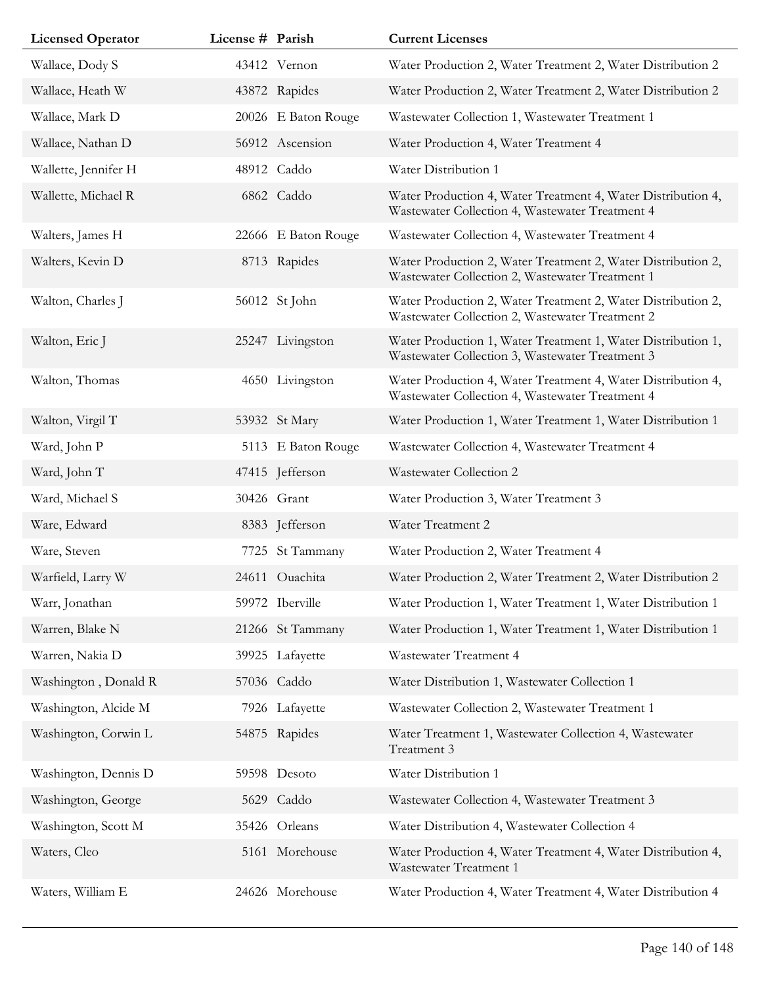| <b>Licensed Operator</b> | License # Parish |                     | <b>Current Licenses</b>                                                                                         |
|--------------------------|------------------|---------------------|-----------------------------------------------------------------------------------------------------------------|
| Wallace, Dody S          |                  | 43412 Vernon        | Water Production 2, Water Treatment 2, Water Distribution 2                                                     |
| Wallace, Heath W         |                  | 43872 Rapides       | Water Production 2, Water Treatment 2, Water Distribution 2                                                     |
| Wallace, Mark D          |                  | 20026 E Baton Rouge | Wastewater Collection 1, Wastewater Treatment 1                                                                 |
| Wallace, Nathan D        |                  | 56912 Ascension     | Water Production 4, Water Treatment 4                                                                           |
| Wallette, Jennifer H     |                  | 48912 Caddo         | Water Distribution 1                                                                                            |
| Wallette, Michael R      |                  | 6862 Caddo          | Water Production 4, Water Treatment 4, Water Distribution 4,<br>Wastewater Collection 4, Wastewater Treatment 4 |
| Walters, James H         |                  | 22666 E Baton Rouge | Wastewater Collection 4, Wastewater Treatment 4                                                                 |
| Walters, Kevin D         |                  | 8713 Rapides        | Water Production 2, Water Treatment 2, Water Distribution 2,<br>Wastewater Collection 2, Wastewater Treatment 1 |
| Walton, Charles J        |                  | 56012 St John       | Water Production 2, Water Treatment 2, Water Distribution 2,<br>Wastewater Collection 2, Wastewater Treatment 2 |
| Walton, Eric J           |                  | 25247 Livingston    | Water Production 1, Water Treatment 1, Water Distribution 1,<br>Wastewater Collection 3, Wastewater Treatment 3 |
| Walton, Thomas           |                  | 4650 Livingston     | Water Production 4, Water Treatment 4, Water Distribution 4,<br>Wastewater Collection 4, Wastewater Treatment 4 |
| Walton, Virgil T         |                  | 53932 St Mary       | Water Production 1, Water Treatment 1, Water Distribution 1                                                     |
| Ward, John P             |                  | 5113 E Baton Rouge  | Wastewater Collection 4, Wastewater Treatment 4                                                                 |
| Ward, John T             |                  | 47415 Jefferson     | Wastewater Collection 2                                                                                         |
| Ward, Michael S          |                  | 30426 Grant         | Water Production 3, Water Treatment 3                                                                           |
| Ware, Edward             |                  | 8383 Jefferson      | Water Treatment 2                                                                                               |
| Ware, Steven             |                  | 7725 St Tammany     | Water Production 2, Water Treatment 4                                                                           |
| Warfield, Larry W        |                  | 24611 Ouachita      | Water Production 2, Water Treatment 2, Water Distribution 2                                                     |
| Warr, Jonathan           |                  | 59972 Iberville     | Water Production 1, Water Treatment 1, Water Distribution 1                                                     |
| Warren, Blake N          |                  | 21266 St Tammany    | Water Production 1, Water Treatment 1, Water Distribution 1                                                     |
| Warren, Nakia D          |                  | 39925 Lafayette     | Wastewater Treatment 4                                                                                          |
| Washington, Donald R     |                  | 57036 Caddo         | Water Distribution 1, Wastewater Collection 1                                                                   |
| Washington, Alcide M     |                  | 7926 Lafayette      | Wastewater Collection 2, Wastewater Treatment 1                                                                 |
| Washington, Corwin L     |                  | 54875 Rapides       | Water Treatment 1, Wastewater Collection 4, Wastewater<br>Treatment 3                                           |
| Washington, Dennis D     |                  | 59598 Desoto        | Water Distribution 1                                                                                            |
| Washington, George       |                  | 5629 Caddo          | Wastewater Collection 4, Wastewater Treatment 3                                                                 |
| Washington, Scott M      |                  | 35426 Orleans       | Water Distribution 4, Wastewater Collection 4                                                                   |
| Waters, Cleo             |                  | 5161 Morehouse      | Water Production 4, Water Treatment 4, Water Distribution 4,<br>Wastewater Treatment 1                          |
| Waters, William E        |                  | 24626 Morehouse     | Water Production 4, Water Treatment 4, Water Distribution 4                                                     |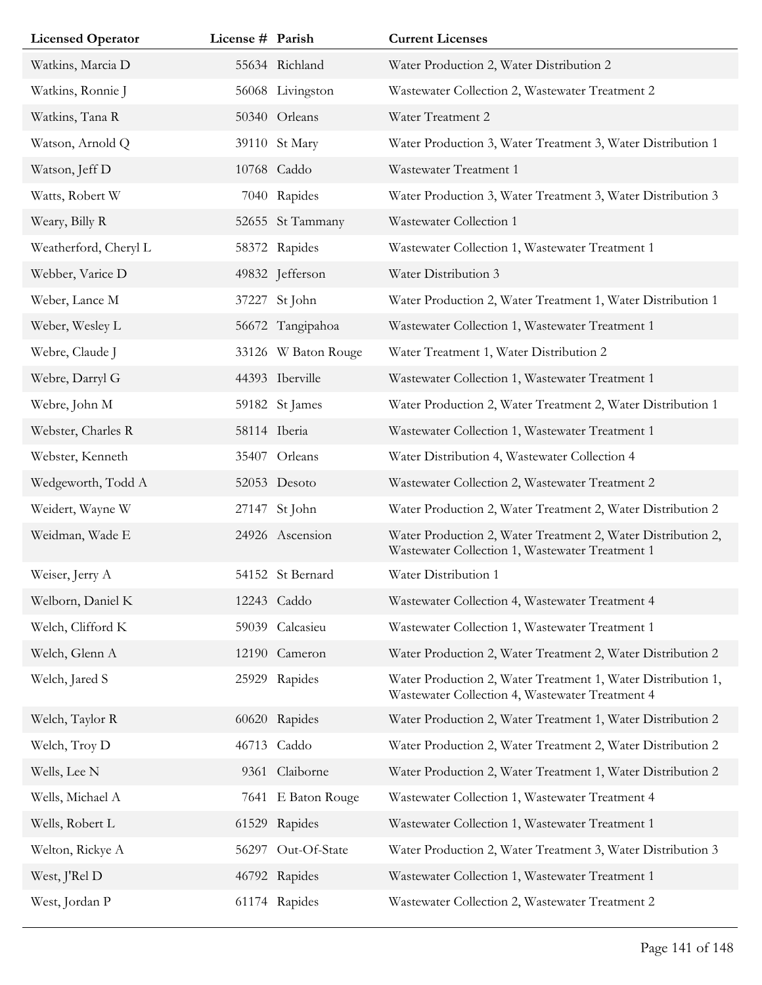| <b>Licensed Operator</b> | License # Parish |                     | <b>Current Licenses</b>                                                                                         |
|--------------------------|------------------|---------------------|-----------------------------------------------------------------------------------------------------------------|
| Watkins, Marcia D        |                  | 55634 Richland      | Water Production 2, Water Distribution 2                                                                        |
| Watkins, Ronnie J        |                  | 56068 Livingston    | Wastewater Collection 2, Wastewater Treatment 2                                                                 |
| Watkins, Tana R          |                  | 50340 Orleans       | Water Treatment 2                                                                                               |
| Watson, Arnold Q         |                  | 39110 St Mary       | Water Production 3, Water Treatment 3, Water Distribution 1                                                     |
| Watson, Jeff D           |                  | 10768 Caddo         | Wastewater Treatment 1                                                                                          |
| Watts, Robert W          | 7040             | Rapides             | Water Production 3, Water Treatment 3, Water Distribution 3                                                     |
| Weary, Billy R           |                  | 52655 St Tammany    | Wastewater Collection 1                                                                                         |
| Weatherford, Cheryl L    | 58372            | Rapides             | Wastewater Collection 1, Wastewater Treatment 1                                                                 |
| Webber, Varice D         |                  | 49832 Jefferson     | Water Distribution 3                                                                                            |
| Weber, Lance M           | 37227            | St John             | Water Production 2, Water Treatment 1, Water Distribution 1                                                     |
| Weber, Wesley L          |                  | 56672 Tangipahoa    | Wastewater Collection 1, Wastewater Treatment 1                                                                 |
| Webre, Claude J          |                  | 33126 W Baton Rouge | Water Treatment 1, Water Distribution 2                                                                         |
| Webre, Darryl G          |                  | 44393 Iberville     | Wastewater Collection 1, Wastewater Treatment 1                                                                 |
| Webre, John M            |                  | 59182 St James      | Water Production 2, Water Treatment 2, Water Distribution 1                                                     |
| Webster, Charles R       |                  | 58114 Iberia        | Wastewater Collection 1, Wastewater Treatment 1                                                                 |
| Webster, Kenneth         |                  | 35407 Orleans       | Water Distribution 4, Wastewater Collection 4                                                                   |
| Wedgeworth, Todd A       |                  | 52053 Desoto        | Wastewater Collection 2, Wastewater Treatment 2                                                                 |
| Weidert, Wayne W         |                  | 27147 St John       | Water Production 2, Water Treatment 2, Water Distribution 2                                                     |
| Weidman, Wade E          |                  | 24926 Ascension     | Water Production 2, Water Treatment 2, Water Distribution 2,<br>Wastewater Collection 1, Wastewater Treatment 1 |
| Weiser, Jerry A          |                  | 54152 St Bernard    | Water Distribution 1                                                                                            |
| Welborn, Daniel K        |                  | 12243 Caddo         | Wastewater Collection 4, Wastewater Treatment 4                                                                 |
| Welch, Clifford K        |                  | 59039 Calcasieu     | Wastewater Collection 1, Wastewater Treatment 1                                                                 |
| Welch, Glenn A           |                  | 12190 Cameron       | Water Production 2, Water Treatment 2, Water Distribution 2                                                     |
| Welch, Jared S           | 25929            | Rapides             | Water Production 2, Water Treatment 1, Water Distribution 1,<br>Wastewater Collection 4, Wastewater Treatment 4 |
| Welch, Taylor R          |                  | 60620 Rapides       | Water Production 2, Water Treatment 1, Water Distribution 2                                                     |
| Welch, Troy D            |                  | 46713 Caddo         | Water Production 2, Water Treatment 2, Water Distribution 2                                                     |
| Wells, Lee N             |                  | 9361 Claiborne      | Water Production 2, Water Treatment 1, Water Distribution 2                                                     |
| Wells, Michael A         | 7641             | E Baton Rouge       | Wastewater Collection 1, Wastewater Treatment 4                                                                 |
| Wells, Robert L          |                  | 61529 Rapides       | Wastewater Collection 1, Wastewater Treatment 1                                                                 |
| Welton, Rickye A         | 56297            | Out-Of-State        | Water Production 2, Water Treatment 3, Water Distribution 3                                                     |
| West, J'Rel D            |                  | 46792 Rapides       | Wastewater Collection 1, Wastewater Treatment 1                                                                 |
| West, Jordan P           |                  | 61174 Rapides       | Wastewater Collection 2, Wastewater Treatment 2                                                                 |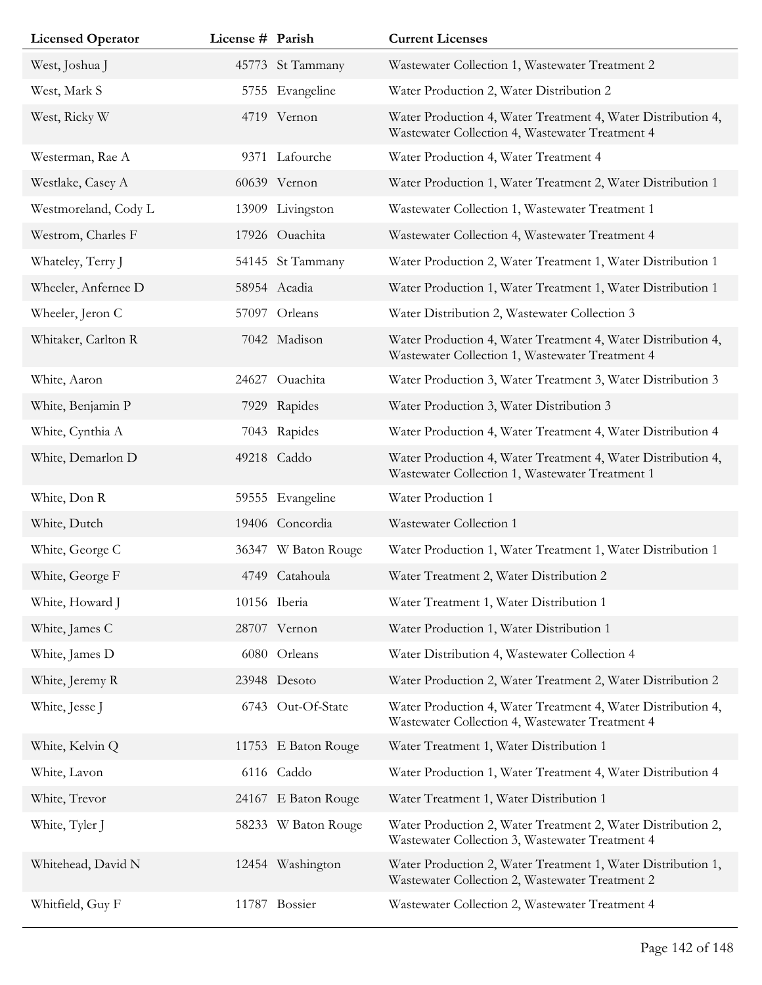| <b>Licensed Operator</b> | License # Parish |                     | <b>Current Licenses</b>                                                                                         |
|--------------------------|------------------|---------------------|-----------------------------------------------------------------------------------------------------------------|
| West, Joshua J           |                  | 45773 St Tammany    | Wastewater Collection 1, Wastewater Treatment 2                                                                 |
| West, Mark S             |                  | 5755 Evangeline     | Water Production 2, Water Distribution 2                                                                        |
| West, Ricky W            |                  | 4719 Vernon         | Water Production 4, Water Treatment 4, Water Distribution 4,<br>Wastewater Collection 4, Wastewater Treatment 4 |
| Westerman, Rae A         |                  | 9371 Lafourche      | Water Production 4, Water Treatment 4                                                                           |
| Westlake, Casey A        |                  | 60639 Vernon        | Water Production 1, Water Treatment 2, Water Distribution 1                                                     |
| Westmoreland, Cody L     |                  | 13909 Livingston    | Wastewater Collection 1, Wastewater Treatment 1                                                                 |
| Westrom, Charles F       |                  | 17926 Ouachita      | Wastewater Collection 4, Wastewater Treatment 4                                                                 |
| Whateley, Terry J        |                  | 54145 St Tammany    | Water Production 2, Water Treatment 1, Water Distribution 1                                                     |
| Wheeler, Anfernee D      |                  | 58954 Acadia        | Water Production 1, Water Treatment 1, Water Distribution 1                                                     |
| Wheeler, Jeron C         |                  | 57097 Orleans       | Water Distribution 2, Wastewater Collection 3                                                                   |
| Whitaker, Carlton R      |                  | 7042 Madison        | Water Production 4, Water Treatment 4, Water Distribution 4,<br>Wastewater Collection 1, Wastewater Treatment 4 |
| White, Aaron             | 24627            | Ouachita            | Water Production 3, Water Treatment 3, Water Distribution 3                                                     |
| White, Benjamin P        |                  | 7929 Rapides        | Water Production 3, Water Distribution 3                                                                        |
| White, Cynthia A         |                  | 7043 Rapides        | Water Production 4, Water Treatment 4, Water Distribution 4                                                     |
| White, Demarlon D        |                  | 49218 Caddo         | Water Production 4, Water Treatment 4, Water Distribution 4,<br>Wastewater Collection 1, Wastewater Treatment 1 |
| White, Don R             |                  | 59555 Evangeline    | Water Production 1                                                                                              |
| White, Dutch             |                  | 19406 Concordia     | Wastewater Collection 1                                                                                         |
| White, George C          |                  | 36347 W Baton Rouge | Water Production 1, Water Treatment 1, Water Distribution 1                                                     |
| White, George F          |                  | 4749 Catahoula      | Water Treatment 2, Water Distribution 2                                                                         |
| White, Howard J          |                  | 10156 Iberia        | Water Treatment 1, Water Distribution 1                                                                         |
| White, James C           |                  | 28707 Vernon        | Water Production 1, Water Distribution 1                                                                        |
| White, James D           |                  | 6080 Orleans        | Water Distribution 4, Wastewater Collection 4                                                                   |
| White, Jeremy R          |                  | 23948 Desoto        | Water Production 2, Water Treatment 2, Water Distribution 2                                                     |
| White, Jesse J           |                  | 6743 Out-Of-State   | Water Production 4, Water Treatment 4, Water Distribution 4,<br>Wastewater Collection 4, Wastewater Treatment 4 |
| White, Kelvin Q          |                  | 11753 E Baton Rouge | Water Treatment 1, Water Distribution 1                                                                         |
| White, Lavon             |                  | 6116 Caddo          | Water Production 1, Water Treatment 4, Water Distribution 4                                                     |
| White, Trevor            |                  | 24167 E Baton Rouge | Water Treatment 1, Water Distribution 1                                                                         |
| White, Tyler J           |                  | 58233 W Baton Rouge | Water Production 2, Water Treatment 2, Water Distribution 2,<br>Wastewater Collection 3, Wastewater Treatment 4 |
| Whitehead, David N       |                  | 12454 Washington    | Water Production 2, Water Treatment 1, Water Distribution 1,<br>Wastewater Collection 2, Wastewater Treatment 2 |
| Whitfield, Guy F         |                  | 11787 Bossier       | Wastewater Collection 2, Wastewater Treatment 4                                                                 |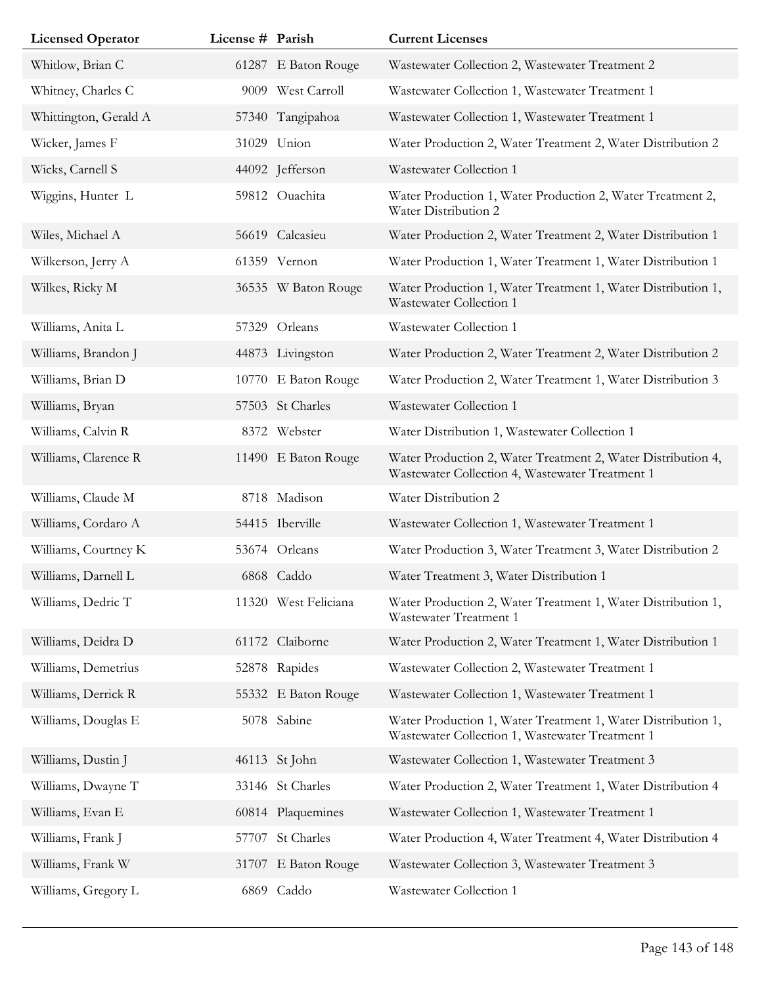| <b>Licensed Operator</b> | License # Parish |                      | <b>Current Licenses</b>                                                                                         |
|--------------------------|------------------|----------------------|-----------------------------------------------------------------------------------------------------------------|
| Whitlow, Brian C         |                  | 61287 E Baton Rouge  | Wastewater Collection 2, Wastewater Treatment 2                                                                 |
| Whitney, Charles C       |                  | 9009 West Carroll    | Wastewater Collection 1, Wastewater Treatment 1                                                                 |
| Whittington, Gerald A    |                  | 57340 Tangipahoa     | Wastewater Collection 1, Wastewater Treatment 1                                                                 |
| Wicker, James F          |                  | 31029 Union          | Water Production 2, Water Treatment 2, Water Distribution 2                                                     |
| Wicks, Carnell S         |                  | 44092 Jefferson      | Wastewater Collection 1                                                                                         |
| Wiggins, Hunter L        |                  | 59812 Ouachita       | Water Production 1, Water Production 2, Water Treatment 2,<br>Water Distribution 2                              |
| Wiles, Michael A         |                  | 56619 Calcasieu      | Water Production 2, Water Treatment 2, Water Distribution 1                                                     |
| Wilkerson, Jerry A       |                  | 61359 Vernon         | Water Production 1, Water Treatment 1, Water Distribution 1                                                     |
| Wilkes, Ricky M          |                  | 36535 W Baton Rouge  | Water Production 1, Water Treatment 1, Water Distribution 1,<br>Wastewater Collection 1                         |
| Williams, Anita L        |                  | 57329 Orleans        | Wastewater Collection 1                                                                                         |
| Williams, Brandon J      |                  | 44873 Livingston     | Water Production 2, Water Treatment 2, Water Distribution 2                                                     |
| Williams, Brian D        | 10770            | E Baton Rouge        | Water Production 2, Water Treatment 1, Water Distribution 3                                                     |
| Williams, Bryan          |                  | 57503 St Charles     | Wastewater Collection 1                                                                                         |
| Williams, Calvin R       |                  | 8372 Webster         | Water Distribution 1, Wastewater Collection 1                                                                   |
| Williams, Clarence R     |                  | 11490 E Baton Rouge  | Water Production 2, Water Treatment 2, Water Distribution 4,<br>Wastewater Collection 4, Wastewater Treatment 1 |
| Williams, Claude M       |                  | 8718 Madison         | Water Distribution 2                                                                                            |
| Williams, Cordaro A      |                  | 54415 Iberville      | Wastewater Collection 1, Wastewater Treatment 1                                                                 |
| Williams, Courtney K     |                  | 53674 Orleans        | Water Production 3, Water Treatment 3, Water Distribution 2                                                     |
| Williams, Darnell L      |                  | 6868 Caddo           | Water Treatment 3, Water Distribution 1                                                                         |
| Williams, Dedric T       |                  | 11320 West Feliciana | Water Production 2, Water Treatment 1, Water Distribution 1,<br>Wastewater Treatment 1                          |
| Williams, Deidra D       |                  | 61172 Claiborne      | Water Production 2, Water Treatment 1, Water Distribution 1                                                     |
| Williams, Demetrius      |                  | 52878 Rapides        | Wastewater Collection 2, Wastewater Treatment 1                                                                 |
| Williams, Derrick R      |                  | 55332 E Baton Rouge  | Wastewater Collection 1, Wastewater Treatment 1                                                                 |
| Williams, Douglas E      |                  | 5078 Sabine          | Water Production 1, Water Treatment 1, Water Distribution 1,<br>Wastewater Collection 1, Wastewater Treatment 1 |
| Williams, Dustin J       |                  | 46113 St John        | Wastewater Collection 1, Wastewater Treatment 3                                                                 |
| Williams, Dwayne T       |                  | 33146 St Charles     | Water Production 2, Water Treatment 1, Water Distribution 4                                                     |
| Williams, Evan E         |                  | 60814 Plaquemines    | Wastewater Collection 1, Wastewater Treatment 1                                                                 |
| Williams, Frank J        | 57707            | St Charles           | Water Production 4, Water Treatment 4, Water Distribution 4                                                     |
| Williams, Frank W        | 31707            | E Baton Rouge        | Wastewater Collection 3, Wastewater Treatment 3                                                                 |
| Williams, Gregory L      |                  | 6869 Caddo           | Wastewater Collection 1                                                                                         |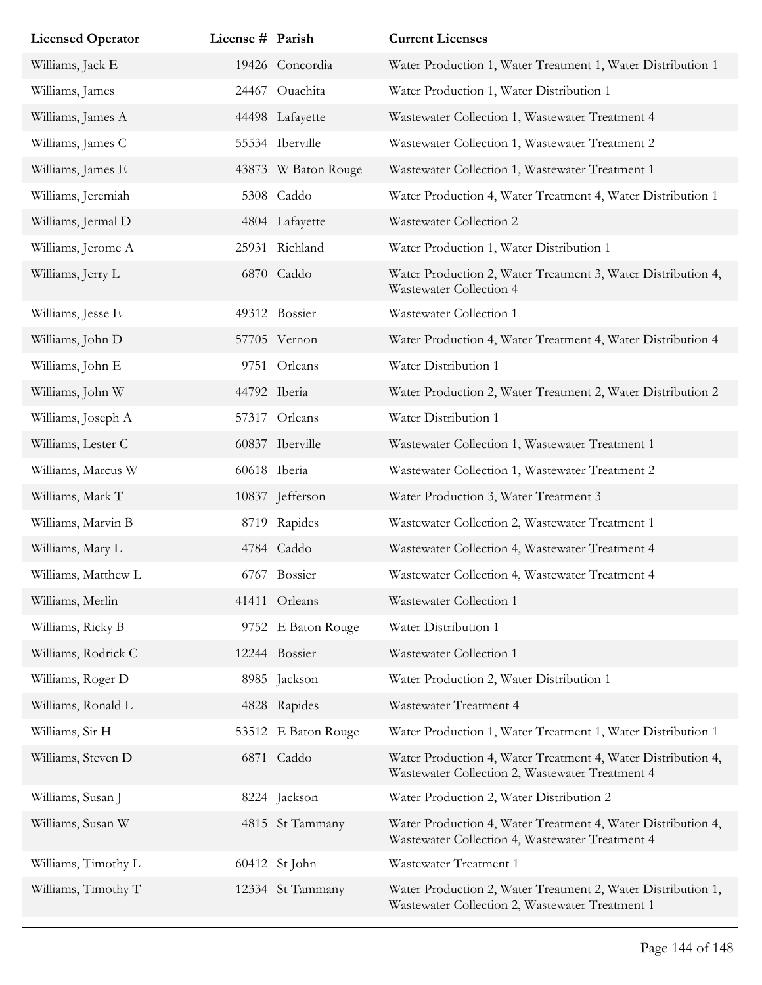| <b>Licensed Operator</b> | License # Parish |                     | <b>Current Licenses</b>                                                                                         |
|--------------------------|------------------|---------------------|-----------------------------------------------------------------------------------------------------------------|
| Williams, Jack E         |                  | 19426 Concordia     | Water Production 1, Water Treatment 1, Water Distribution 1                                                     |
| Williams, James          |                  | 24467 Ouachita      | Water Production 1, Water Distribution 1                                                                        |
| Williams, James A        |                  | 44498 Lafayette     | Wastewater Collection 1, Wastewater Treatment 4                                                                 |
| Williams, James C        |                  | 55534 Iberville     | Wastewater Collection 1, Wastewater Treatment 2                                                                 |
| Williams, James E        |                  | 43873 W Baton Rouge | Wastewater Collection 1, Wastewater Treatment 1                                                                 |
| Williams, Jeremiah       |                  | 5308 Caddo          | Water Production 4, Water Treatment 4, Water Distribution 1                                                     |
| Williams, Jermal D       |                  | 4804 Lafayette      | Wastewater Collection 2                                                                                         |
| Williams, Jerome A       |                  | 25931 Richland      | Water Production 1, Water Distribution 1                                                                        |
| Williams, Jerry L        |                  | 6870 Caddo          | Water Production 2, Water Treatment 3, Water Distribution 4,<br>Wastewater Collection 4                         |
| Williams, Jesse E        |                  | 49312 Bossier       | Wastewater Collection 1                                                                                         |
| Williams, John D         |                  | 57705 Vernon        | Water Production 4, Water Treatment 4, Water Distribution 4                                                     |
| Williams, John E         |                  | 9751 Orleans        | Water Distribution 1                                                                                            |
| Williams, John W         |                  | 44792 Iberia        | Water Production 2, Water Treatment 2, Water Distribution 2                                                     |
| Williams, Joseph A       |                  | 57317 Orleans       | Water Distribution 1                                                                                            |
| Williams, Lester C       |                  | 60837 Iberville     | Wastewater Collection 1, Wastewater Treatment 1                                                                 |
| Williams, Marcus W       |                  | 60618 Iberia        | Wastewater Collection 1, Wastewater Treatment 2                                                                 |
| Williams, Mark T         |                  | 10837 Jefferson     | Water Production 3, Water Treatment 3                                                                           |
| Williams, Marvin B       |                  | 8719 Rapides        | Wastewater Collection 2, Wastewater Treatment 1                                                                 |
| Williams, Mary L         |                  | 4784 Caddo          | Wastewater Collection 4, Wastewater Treatment 4                                                                 |
| Williams, Matthew L      |                  | 6767 Bossier        | Wastewater Collection 4, Wastewater Treatment 4                                                                 |
| Williams, Merlin         |                  | 41411 Orleans       | Wastewater Collection 1                                                                                         |
| Williams, Ricky B        |                  | 9752 E Baton Rouge  | Water Distribution 1                                                                                            |
| Williams, Rodrick C      |                  | 12244 Bossier       | Wastewater Collection 1                                                                                         |
| Williams, Roger D        |                  | 8985 Jackson        | Water Production 2, Water Distribution 1                                                                        |
| Williams, Ronald L       |                  | 4828 Rapides        | Wastewater Treatment 4                                                                                          |
| Williams, Sir H          |                  | 53512 E Baton Rouge | Water Production 1, Water Treatment 1, Water Distribution 1                                                     |
| Williams, Steven D       |                  | 6871 Caddo          | Water Production 4, Water Treatment 4, Water Distribution 4,<br>Wastewater Collection 2, Wastewater Treatment 4 |
| Williams, Susan J        |                  | 8224 Jackson        | Water Production 2, Water Distribution 2                                                                        |
| Williams, Susan W        |                  | 4815 St Tammany     | Water Production 4, Water Treatment 4, Water Distribution 4,<br>Wastewater Collection 4, Wastewater Treatment 4 |
| Williams, Timothy L      |                  | 60412 St John       | Wastewater Treatment 1                                                                                          |
| Williams, Timothy T      |                  | 12334 St Tammany    | Water Production 2, Water Treatment 2, Water Distribution 1,<br>Wastewater Collection 2, Wastewater Treatment 1 |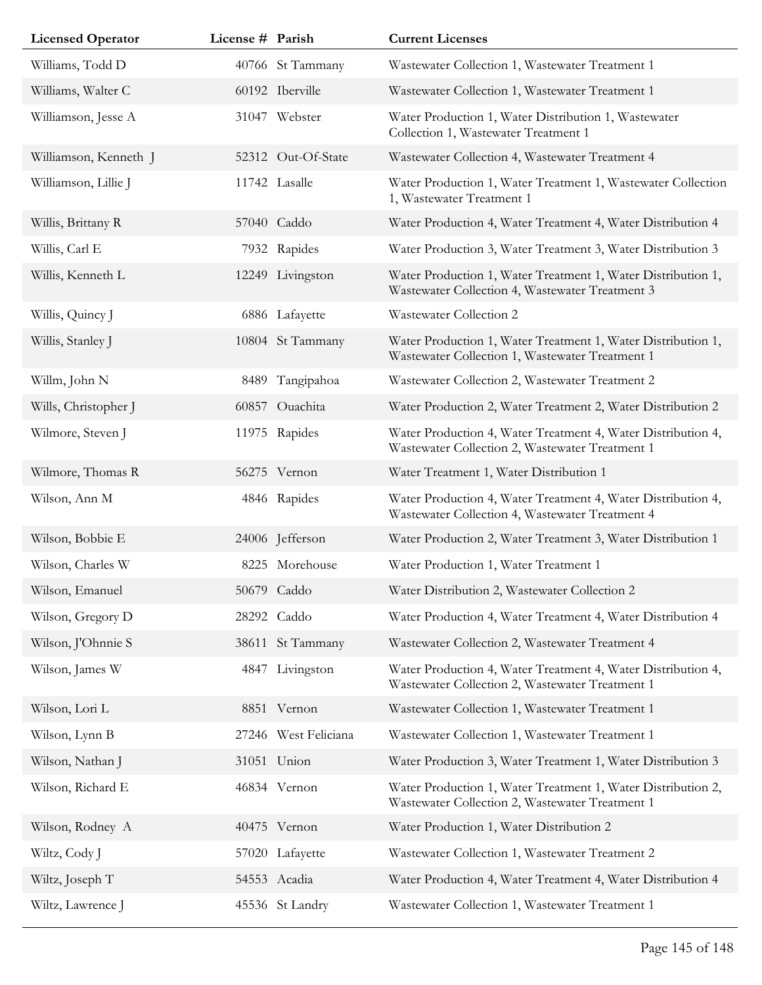| <b>Licensed Operator</b> | License # Parish |                      | <b>Current Licenses</b>                                                                                         |
|--------------------------|------------------|----------------------|-----------------------------------------------------------------------------------------------------------------|
| Williams, Todd D         |                  | 40766 St Tammany     | Wastewater Collection 1, Wastewater Treatment 1                                                                 |
| Williams, Walter C       |                  | 60192 Iberville      | Wastewater Collection 1, Wastewater Treatment 1                                                                 |
| Williamson, Jesse A      |                  | 31047 Webster        | Water Production 1, Water Distribution 1, Wastewater<br>Collection 1, Wastewater Treatment 1                    |
| Williamson, Kenneth J    |                  | 52312 Out-Of-State   | Wastewater Collection 4, Wastewater Treatment 4                                                                 |
| Williamson, Lillie J     |                  | 11742 Lasalle        | Water Production 1, Water Treatment 1, Wastewater Collection<br>1, Wastewater Treatment 1                       |
| Willis, Brittany R       |                  | 57040 Caddo          | Water Production 4, Water Treatment 4, Water Distribution 4                                                     |
| Willis, Carl E           |                  | 7932 Rapides         | Water Production 3, Water Treatment 3, Water Distribution 3                                                     |
| Willis, Kenneth L        |                  | 12249 Livingston     | Water Production 1, Water Treatment 1, Water Distribution 1,<br>Wastewater Collection 4, Wastewater Treatment 3 |
| Willis, Quincy J         |                  | 6886 Lafayette       | Wastewater Collection 2                                                                                         |
| Willis, Stanley J        |                  | 10804 St Tammany     | Water Production 1, Water Treatment 1, Water Distribution 1,<br>Wastewater Collection 1, Wastewater Treatment 1 |
| Willm, John N            | 8489             | Tangipahoa           | Wastewater Collection 2, Wastewater Treatment 2                                                                 |
| Wills, Christopher J     |                  | 60857 Ouachita       | Water Production 2, Water Treatment 2, Water Distribution 2                                                     |
| Wilmore, Steven J        |                  | 11975 Rapides        | Water Production 4, Water Treatment 4, Water Distribution 4,<br>Wastewater Collection 2, Wastewater Treatment 1 |
| Wilmore, Thomas R        |                  | 56275 Vernon         | Water Treatment 1, Water Distribution 1                                                                         |
| Wilson, Ann M            |                  | 4846 Rapides         | Water Production 4, Water Treatment 4, Water Distribution 4,<br>Wastewater Collection 4, Wastewater Treatment 4 |
| Wilson, Bobbie E         |                  | 24006 Jefferson      | Water Production 2, Water Treatment 3, Water Distribution 1                                                     |
| Wilson, Charles W        |                  | 8225 Morehouse       | Water Production 1, Water Treatment 1                                                                           |
| Wilson, Emanuel          |                  | 50679 Caddo          | Water Distribution 2, Wastewater Collection 2                                                                   |
| Wilson, Gregory D        |                  | 28292 Caddo          | Water Production 4, Water Treatment 4, Water Distribution 4                                                     |
| Wilson, J'Ohnnie S       |                  | 38611 St Tammany     | Wastewater Collection 2, Wastewater Treatment 4                                                                 |
| Wilson, James W          |                  | 4847 Livingston      | Water Production 4, Water Treatment 4, Water Distribution 4,<br>Wastewater Collection 2, Wastewater Treatment 1 |
| Wilson, Lori L           |                  | 8851 Vernon          | Wastewater Collection 1, Wastewater Treatment 1                                                                 |
| Wilson, Lynn B           |                  | 27246 West Feliciana | Wastewater Collection 1, Wastewater Treatment 1                                                                 |
| Wilson, Nathan J         |                  | 31051 Union          | Water Production 3, Water Treatment 1, Water Distribution 3                                                     |
| Wilson, Richard E        |                  | 46834 Vernon         | Water Production 1, Water Treatment 1, Water Distribution 2,<br>Wastewater Collection 2, Wastewater Treatment 1 |
| Wilson, Rodney A         |                  | 40475 Vernon         | Water Production 1, Water Distribution 2                                                                        |
| Wiltz, Cody J            |                  | 57020 Lafayette      | Wastewater Collection 1, Wastewater Treatment 2                                                                 |
| Wiltz, Joseph T          |                  | 54553 Acadia         | Water Production 4, Water Treatment 4, Water Distribution 4                                                     |
| Wiltz, Lawrence J        |                  | 45536 St Landry      | Wastewater Collection 1, Wastewater Treatment 1                                                                 |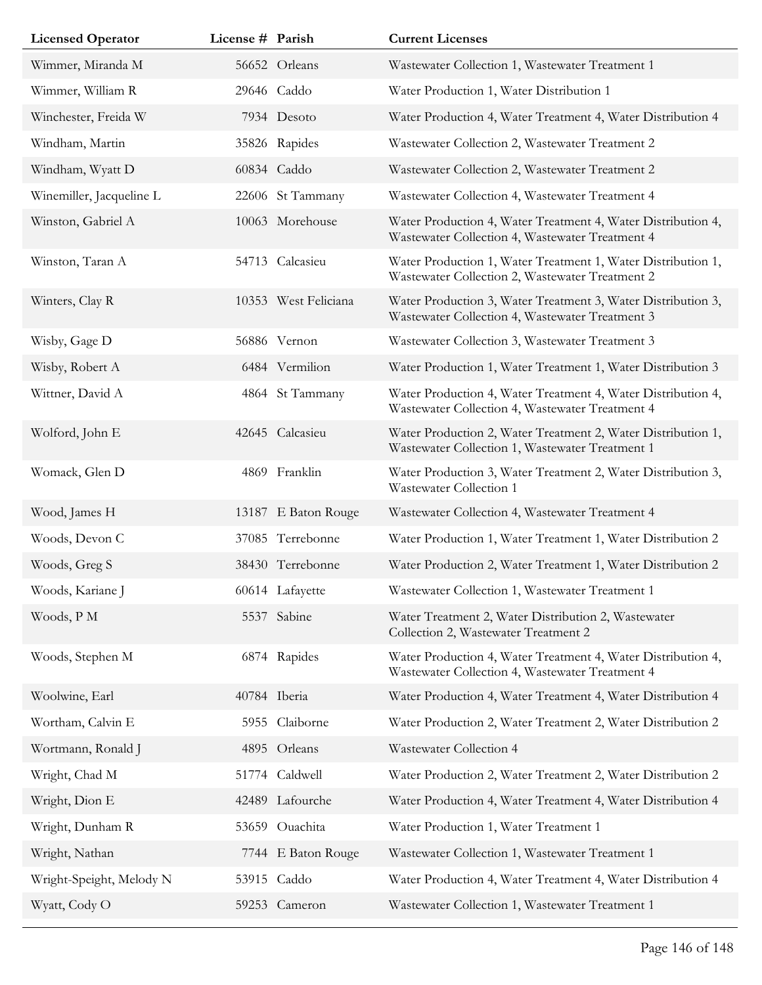| <b>Licensed Operator</b> | License # Parish |                      | <b>Current Licenses</b>                                                                                         |
|--------------------------|------------------|----------------------|-----------------------------------------------------------------------------------------------------------------|
| Wimmer, Miranda M        |                  | 56652 Orleans        | Wastewater Collection 1, Wastewater Treatment 1                                                                 |
| Wimmer, William R        |                  | 29646 Caddo          | Water Production 1, Water Distribution 1                                                                        |
| Winchester, Freida W     |                  | 7934 Desoto          | Water Production 4, Water Treatment 4, Water Distribution 4                                                     |
| Windham, Martin          |                  | 35826 Rapides        | Wastewater Collection 2, Wastewater Treatment 2                                                                 |
| Windham, Wyatt D         |                  | 60834 Caddo          | Wastewater Collection 2, Wastewater Treatment 2                                                                 |
| Winemiller, Jacqueline L |                  | 22606 St Tammany     | Wastewater Collection 4, Wastewater Treatment 4                                                                 |
| Winston, Gabriel A       |                  | 10063 Morehouse      | Water Production 4, Water Treatment 4, Water Distribution 4,<br>Wastewater Collection 4, Wastewater Treatment 4 |
| Winston, Taran A         |                  | 54713 Calcasieu      | Water Production 1, Water Treatment 1, Water Distribution 1,<br>Wastewater Collection 2, Wastewater Treatment 2 |
| Winters, Clay R          |                  | 10353 West Feliciana | Water Production 3, Water Treatment 3, Water Distribution 3,<br>Wastewater Collection 4, Wastewater Treatment 3 |
| Wisby, Gage D            |                  | 56886 Vernon         | Wastewater Collection 3, Wastewater Treatment 3                                                                 |
| Wisby, Robert A          |                  | 6484 Vermilion       | Water Production 1, Water Treatment 1, Water Distribution 3                                                     |
| Wittner, David A         |                  | 4864 St Tammany      | Water Production 4, Water Treatment 4, Water Distribution 4,<br>Wastewater Collection 4, Wastewater Treatment 4 |
| Wolford, John E          |                  | 42645 Calcasieu      | Water Production 2, Water Treatment 2, Water Distribution 1,<br>Wastewater Collection 1, Wastewater Treatment 1 |
| Womack, Glen D           |                  | 4869 Franklin        | Water Production 3, Water Treatment 2, Water Distribution 3,<br>Wastewater Collection 1                         |
| Wood, James H            |                  | 13187 E Baton Rouge  | Wastewater Collection 4, Wastewater Treatment 4                                                                 |
| Woods, Devon C           |                  | 37085 Terrebonne     | Water Production 1, Water Treatment 1, Water Distribution 2                                                     |
| Woods, Greg S            |                  | 38430 Terrebonne     | Water Production 2, Water Treatment 1, Water Distribution 2                                                     |
| Woods, Kariane J         |                  | 60614 Lafayette      | Wastewater Collection 1, Wastewater Treatment 1                                                                 |
| Woods, P M               |                  | 5537 Sabine          | Water Treatment 2, Water Distribution 2, Wastewater<br>Collection 2, Wastewater Treatment 2                     |
| Woods, Stephen M         |                  | 6874 Rapides         | Water Production 4, Water Treatment 4, Water Distribution 4,<br>Wastewater Collection 4, Wastewater Treatment 4 |
| Woolwine, Earl           |                  | 40784 Iberia         | Water Production 4, Water Treatment 4, Water Distribution 4                                                     |
| Wortham, Calvin E        |                  | 5955 Claiborne       | Water Production 2, Water Treatment 2, Water Distribution 2                                                     |
| Wortmann, Ronald J       |                  | 4895 Orleans         | Wastewater Collection 4                                                                                         |
| Wright, Chad M           |                  | 51774 Caldwell       | Water Production 2, Water Treatment 2, Water Distribution 2                                                     |
| Wright, Dion E           |                  | 42489 Lafourche      | Water Production 4, Water Treatment 4, Water Distribution 4                                                     |
| Wright, Dunham R         |                  | 53659 Ouachita       | Water Production 1, Water Treatment 1                                                                           |
| Wright, Nathan           |                  | 7744 E Baton Rouge   | Wastewater Collection 1, Wastewater Treatment 1                                                                 |
| Wright-Speight, Melody N |                  | 53915 Caddo          | Water Production 4, Water Treatment 4, Water Distribution 4                                                     |
| Wyatt, Cody O            |                  | 59253 Cameron        | Wastewater Collection 1, Wastewater Treatment 1                                                                 |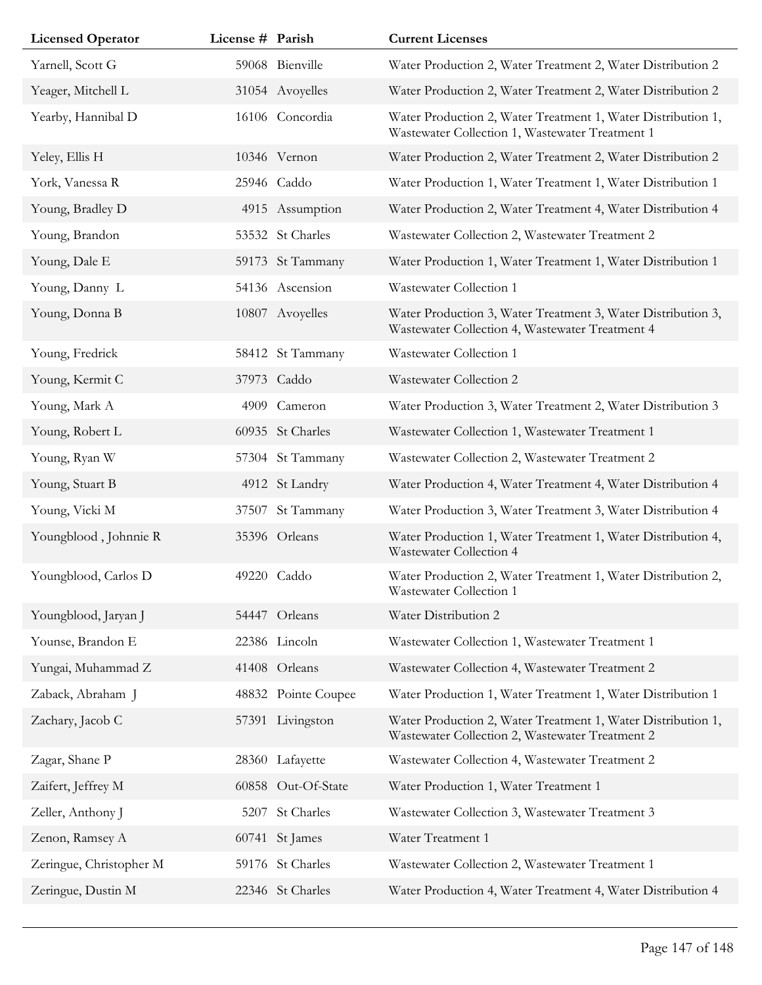| <b>Licensed Operator</b> | License # Parish |                     | <b>Current Licenses</b>                                                                                         |
|--------------------------|------------------|---------------------|-----------------------------------------------------------------------------------------------------------------|
| Yarnell, Scott G         |                  | 59068 Bienville     | Water Production 2, Water Treatment 2, Water Distribution 2                                                     |
| Yeager, Mitchell L       |                  | 31054 Avoyelles     | Water Production 2, Water Treatment 2, Water Distribution 2                                                     |
| Yearby, Hannibal D       |                  | 16106 Concordia     | Water Production 2, Water Treatment 1, Water Distribution 1,<br>Wastewater Collection 1, Wastewater Treatment 1 |
| Yeley, Ellis H           |                  | 10346 Vernon        | Water Production 2, Water Treatment 2, Water Distribution 2                                                     |
| York, Vanessa R          |                  | 25946 Caddo         | Water Production 1, Water Treatment 1, Water Distribution 1                                                     |
| Young, Bradley D         |                  | 4915 Assumption     | Water Production 2, Water Treatment 4, Water Distribution 4                                                     |
| Young, Brandon           |                  | 53532 St Charles    | Wastewater Collection 2, Wastewater Treatment 2                                                                 |
| Young, Dale E            |                  | 59173 St Tammany    | Water Production 1, Water Treatment 1, Water Distribution 1                                                     |
| Young, Danny L           |                  | 54136 Ascension     | Wastewater Collection 1                                                                                         |
| Young, Donna B           |                  | 10807 Avoyelles     | Water Production 3, Water Treatment 3, Water Distribution 3,<br>Wastewater Collection 4, Wastewater Treatment 4 |
| Young, Fredrick          | 58412            | St Tammany          | Wastewater Collection 1                                                                                         |
| Young, Kermit C          |                  | 37973 Caddo         | Wastewater Collection 2                                                                                         |
| Young, Mark A            |                  | 4909 Cameron        | Water Production 3, Water Treatment 2, Water Distribution 3                                                     |
| Young, Robert L          |                  | 60935 St Charles    | Wastewater Collection 1, Wastewater Treatment 1                                                                 |
| Young, Ryan W            |                  | 57304 St Tammany    | Wastewater Collection 2, Wastewater Treatment 2                                                                 |
| Young, Stuart B          |                  | 4912 St Landry      | Water Production 4, Water Treatment 4, Water Distribution 4                                                     |
| Young, Vicki M           | 37507            | St Tammany          | Water Production 3, Water Treatment 3, Water Distribution 4                                                     |
| Youngblood, Johnnie R    |                  | 35396 Orleans       | Water Production 1, Water Treatment 1, Water Distribution 4,<br>Wastewater Collection 4                         |
| Youngblood, Carlos D     |                  | 49220 Caddo         | Water Production 2, Water Treatment 1, Water Distribution 2,<br>Wastewater Collection 1                         |
| Youngblood, Jaryan J     |                  | 54447 Orleans       | Water Distribution 2                                                                                            |
| Younse, Brandon E        |                  | 22386 Lincoln       | Wastewater Collection 1, Wastewater Treatment 1                                                                 |
| Yungai, Muhammad Z       |                  | 41408 Orleans       | Wastewater Collection 4, Wastewater Treatment 2                                                                 |
| Zaback, Abraham J        |                  | 48832 Pointe Coupee | Water Production 1, Water Treatment 1, Water Distribution 1                                                     |
| Zachary, Jacob C         |                  | 57391 Livingston    | Water Production 2, Water Treatment 1, Water Distribution 1,<br>Wastewater Collection 2, Wastewater Treatment 2 |
| Zagar, Shane P           |                  | 28360 Lafayette     | Wastewater Collection 4, Wastewater Treatment 2                                                                 |
| Zaifert, Jeffrey M       |                  | 60858 Out-Of-State  | Water Production 1, Water Treatment 1                                                                           |
| Zeller, Anthony J        | 5207             | St Charles          | Wastewater Collection 3, Wastewater Treatment 3                                                                 |
| Zenon, Ramsey A          |                  | 60741 St James      | Water Treatment 1                                                                                               |
| Zeringue, Christopher M  |                  | 59176 St Charles    | Wastewater Collection 2, Wastewater Treatment 1                                                                 |
| Zeringue, Dustin M       |                  | 22346 St Charles    | Water Production 4, Water Treatment 4, Water Distribution 4                                                     |